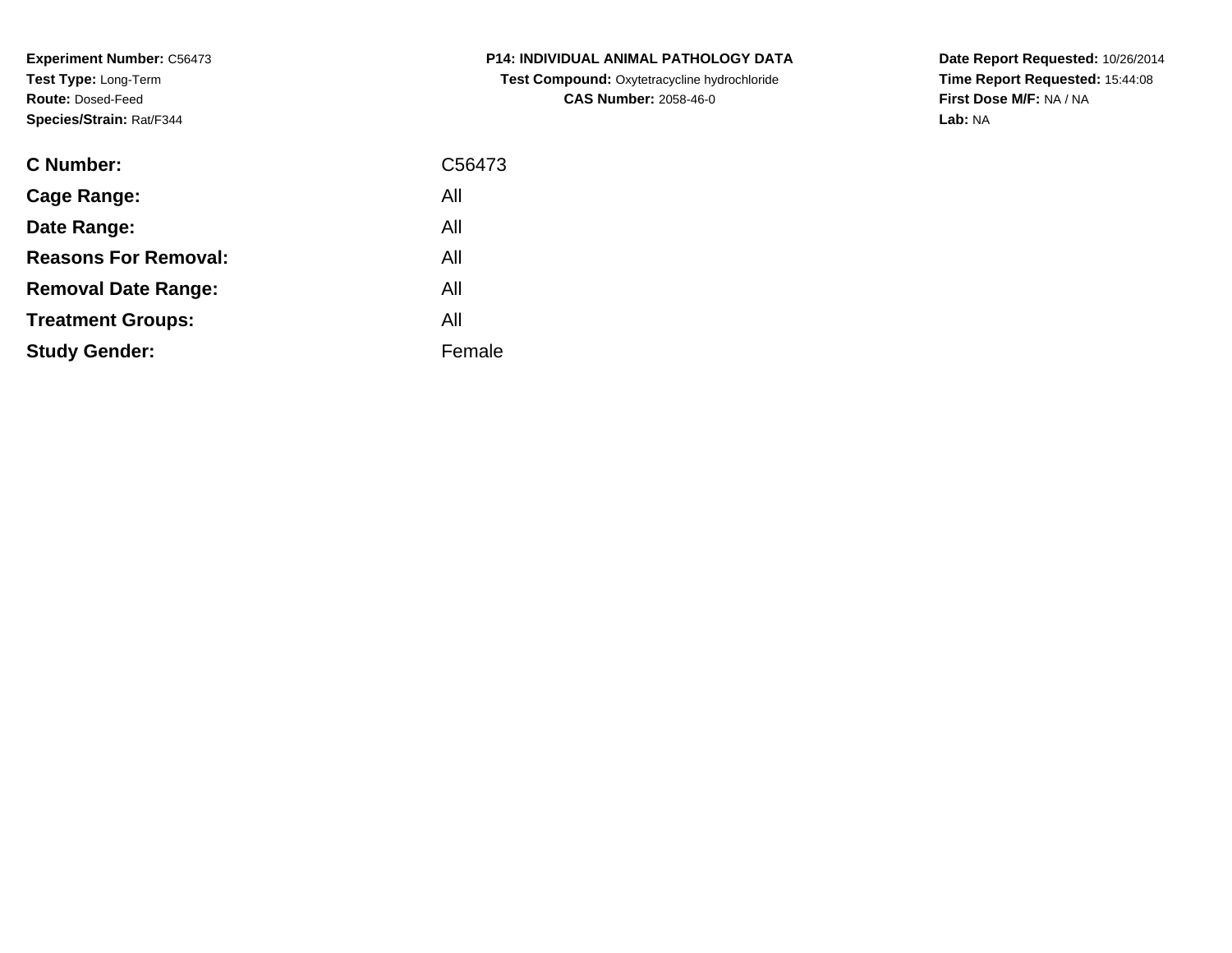**Experiment Number:** C56473**Test Type:** Long-Term**Route:** Dosed-Feed**Species/Strain:** Rat/F344

| <b>C Number:</b>            | C56473 |
|-----------------------------|--------|
| <b>Cage Range:</b>          | All    |
| Date Range:                 | All    |
| <b>Reasons For Removal:</b> | All    |
| <b>Removal Date Range:</b>  | All    |
| <b>Treatment Groups:</b>    | All    |
| <b>Study Gender:</b>        | Female |
|                             |        |

**P14: INDIVIDUAL ANIMAL PATHOLOGY DATA Test Compound:** Oxytetracycline hydrochloride**CAS Number:** 2058-46-0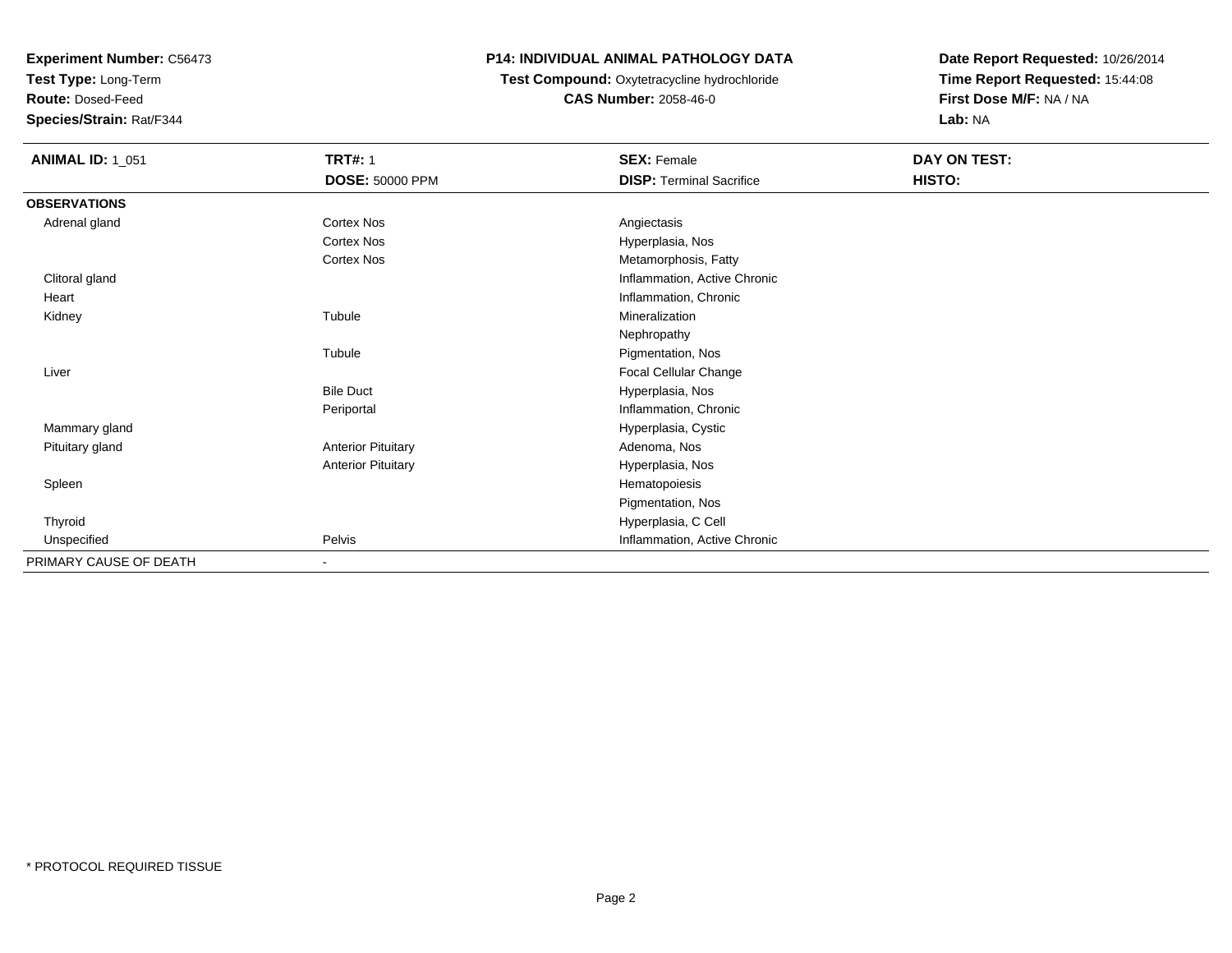**Test Type:** Long-Term

**Route:** Dosed-Feed

**Species/Strain:** Rat/F344

## **P14: INDIVIDUAL ANIMAL PATHOLOGY DATA**

 **Test Compound:** Oxytetracycline hydrochloride**CAS Number:** 2058-46-0

| <b>ANIMAL ID: 1_051</b> | <b>TRT#: 1</b>            | <b>SEX: Female</b>              | DAY ON TEST: |  |
|-------------------------|---------------------------|---------------------------------|--------------|--|
|                         | <b>DOSE: 50000 PPM</b>    | <b>DISP: Terminal Sacrifice</b> | HISTO:       |  |
| <b>OBSERVATIONS</b>     |                           |                                 |              |  |
| Adrenal gland           | Cortex Nos                | Angiectasis                     |              |  |
|                         | Cortex Nos                | Hyperplasia, Nos                |              |  |
|                         | <b>Cortex Nos</b>         | Metamorphosis, Fatty            |              |  |
| Clitoral gland          |                           | Inflammation, Active Chronic    |              |  |
| Heart                   |                           | Inflammation, Chronic           |              |  |
| Kidney                  | Tubule                    | Mineralization                  |              |  |
|                         |                           | Nephropathy                     |              |  |
|                         | Tubule                    | Pigmentation, Nos               |              |  |
| Liver                   |                           | Focal Cellular Change           |              |  |
|                         | <b>Bile Duct</b>          | Hyperplasia, Nos                |              |  |
|                         | Periportal                | Inflammation, Chronic           |              |  |
| Mammary gland           |                           | Hyperplasia, Cystic             |              |  |
| Pituitary gland         | <b>Anterior Pituitary</b> | Adenoma, Nos                    |              |  |
|                         | <b>Anterior Pituitary</b> | Hyperplasia, Nos                |              |  |
| Spleen                  |                           | Hematopoiesis                   |              |  |
|                         |                           | Pigmentation, Nos               |              |  |
| Thyroid                 |                           | Hyperplasia, C Cell             |              |  |
| Unspecified             | Pelvis                    | Inflammation, Active Chronic    |              |  |
| PRIMARY CAUSE OF DEATH  | $\overline{\phantom{a}}$  |                                 |              |  |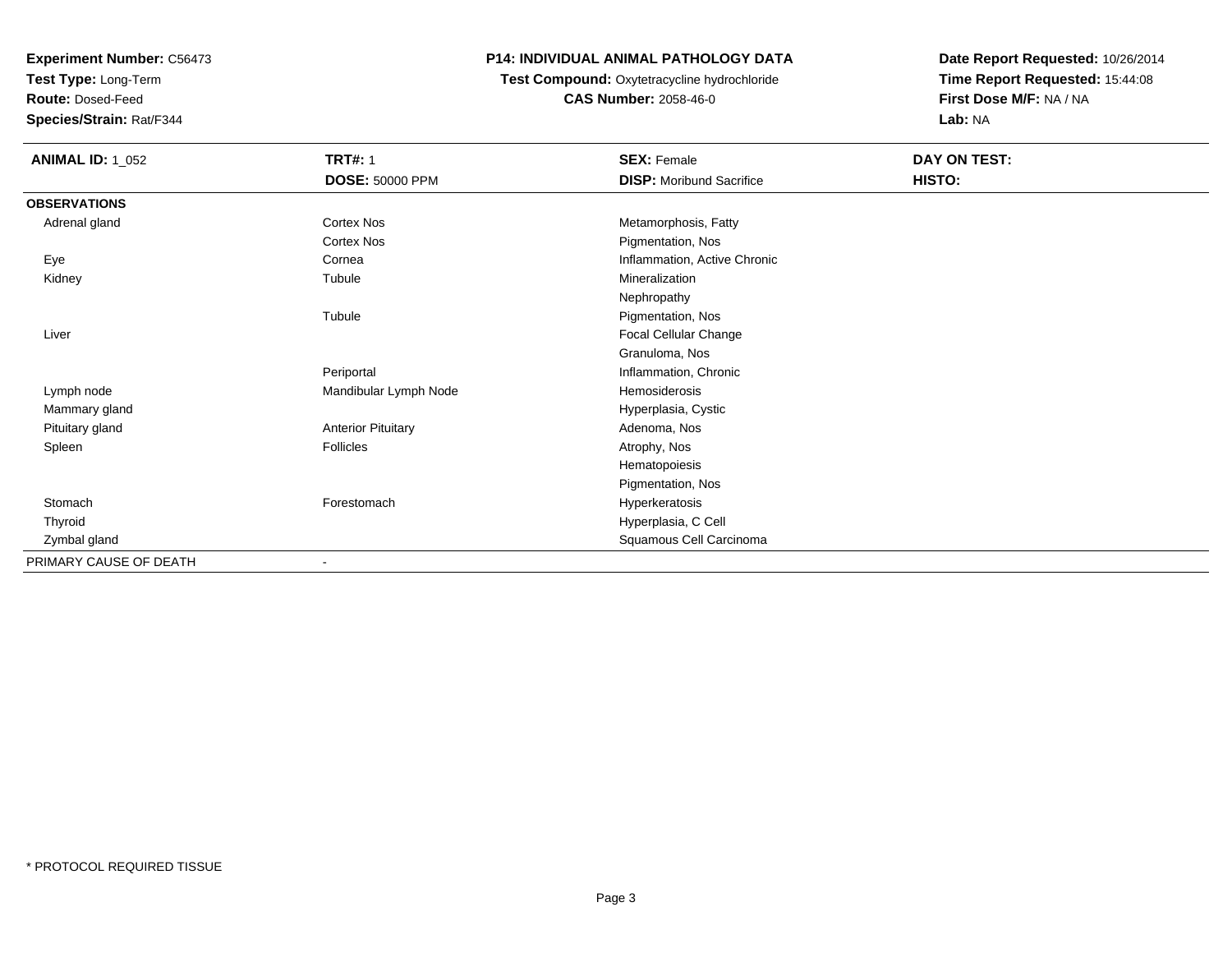**Test Type:** Long-Term

**Route:** Dosed-Feed

**Species/Strain:** Rat/F344

### **P14: INDIVIDUAL ANIMAL PATHOLOGY DATA**

 **Test Compound:** Oxytetracycline hydrochloride**CAS Number:** 2058-46-0

| <b>ANIMAL ID: 1_052</b> | <b>TRT#: 1</b><br>DOSE: 50000 PPM | <b>SEX: Female</b><br><b>DISP:</b> Moribund Sacrifice | <b>DAY ON TEST:</b><br>HISTO: |
|-------------------------|-----------------------------------|-------------------------------------------------------|-------------------------------|
| <b>OBSERVATIONS</b>     |                                   |                                                       |                               |
| Adrenal gland           | Cortex Nos                        | Metamorphosis, Fatty                                  |                               |
|                         | Cortex Nos                        | Pigmentation, Nos                                     |                               |
| Eye                     | Cornea                            | Inflammation, Active Chronic                          |                               |
| Kidney                  | Tubule                            | Mineralization                                        |                               |
|                         |                                   | Nephropathy                                           |                               |
|                         | Tubule                            | Pigmentation, Nos                                     |                               |
| Liver                   |                                   | Focal Cellular Change                                 |                               |
|                         |                                   | Granuloma, Nos                                        |                               |
|                         | Periportal                        | Inflammation, Chronic                                 |                               |
| Lymph node              | Mandibular Lymph Node             | Hemosiderosis                                         |                               |
| Mammary gland           |                                   | Hyperplasia, Cystic                                   |                               |
| Pituitary gland         | <b>Anterior Pituitary</b>         | Adenoma, Nos                                          |                               |
| Spleen                  | <b>Follicles</b>                  | Atrophy, Nos                                          |                               |
|                         |                                   | Hematopoiesis                                         |                               |
|                         |                                   | Pigmentation, Nos                                     |                               |
| Stomach                 | Forestomach                       | Hyperkeratosis                                        |                               |
| Thyroid                 |                                   | Hyperplasia, C Cell                                   |                               |
| Zymbal gland            |                                   | Squamous Cell Carcinoma                               |                               |
| PRIMARY CAUSE OF DEATH  | $\overline{\phantom{a}}$          |                                                       |                               |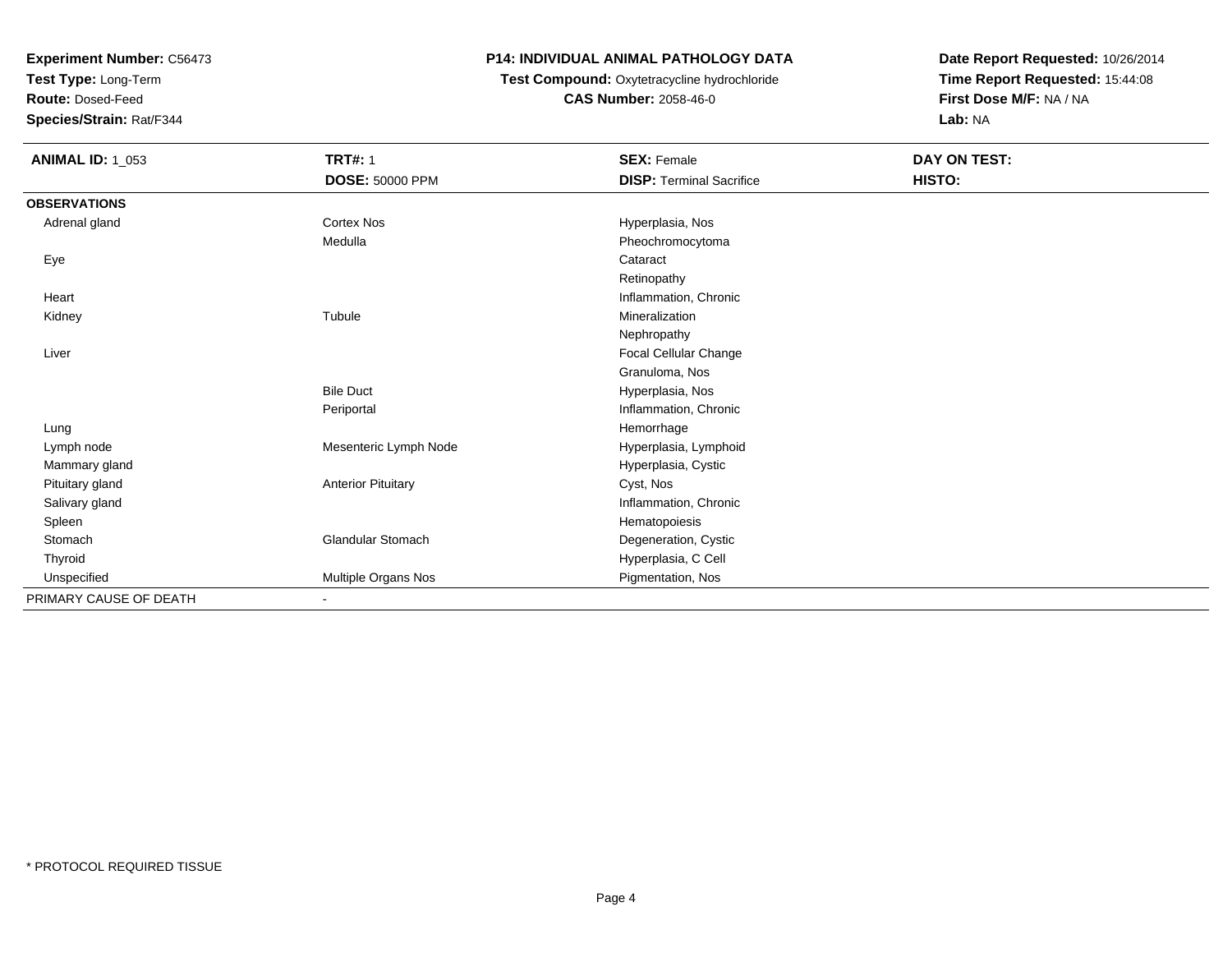**Test Type:** Long-Term

**Route:** Dosed-Feed

**Species/Strain:** Rat/F344

## **P14: INDIVIDUAL ANIMAL PATHOLOGY DATA**

**Test Compound:** Oxytetracycline hydrochloride**CAS Number:** 2058-46-0

| <b>ANIMAL ID: 1_053</b> | <b>TRT#: 1</b>            | <b>SEX: Female</b>              | DAY ON TEST: |
|-------------------------|---------------------------|---------------------------------|--------------|
|                         | DOSE: 50000 PPM           | <b>DISP: Terminal Sacrifice</b> | HISTO:       |
| <b>OBSERVATIONS</b>     |                           |                                 |              |
| Adrenal gland           | <b>Cortex Nos</b>         | Hyperplasia, Nos                |              |
|                         | Medulla                   | Pheochromocytoma                |              |
| Eye                     |                           | Cataract                        |              |
|                         |                           | Retinopathy                     |              |
| Heart                   |                           | Inflammation, Chronic           |              |
| Kidney                  | Tubule                    | Mineralization                  |              |
|                         |                           | Nephropathy                     |              |
| Liver                   |                           | Focal Cellular Change           |              |
|                         |                           | Granuloma, Nos                  |              |
|                         | <b>Bile Duct</b>          | Hyperplasia, Nos                |              |
|                         | Periportal                | Inflammation, Chronic           |              |
| Lung                    |                           | Hemorrhage                      |              |
| Lymph node              | Mesenteric Lymph Node     | Hyperplasia, Lymphoid           |              |
| Mammary gland           |                           | Hyperplasia, Cystic             |              |
| Pituitary gland         | <b>Anterior Pituitary</b> | Cyst, Nos                       |              |
| Salivary gland          |                           | Inflammation, Chronic           |              |
| Spleen                  |                           | Hematopoiesis                   |              |
| Stomach                 | <b>Glandular Stomach</b>  | Degeneration, Cystic            |              |
| Thyroid                 |                           | Hyperplasia, C Cell             |              |
| Unspecified             | Multiple Organs Nos       | Pigmentation, Nos               |              |
| PRIMARY CAUSE OF DEATH  | $\blacksquare$            |                                 |              |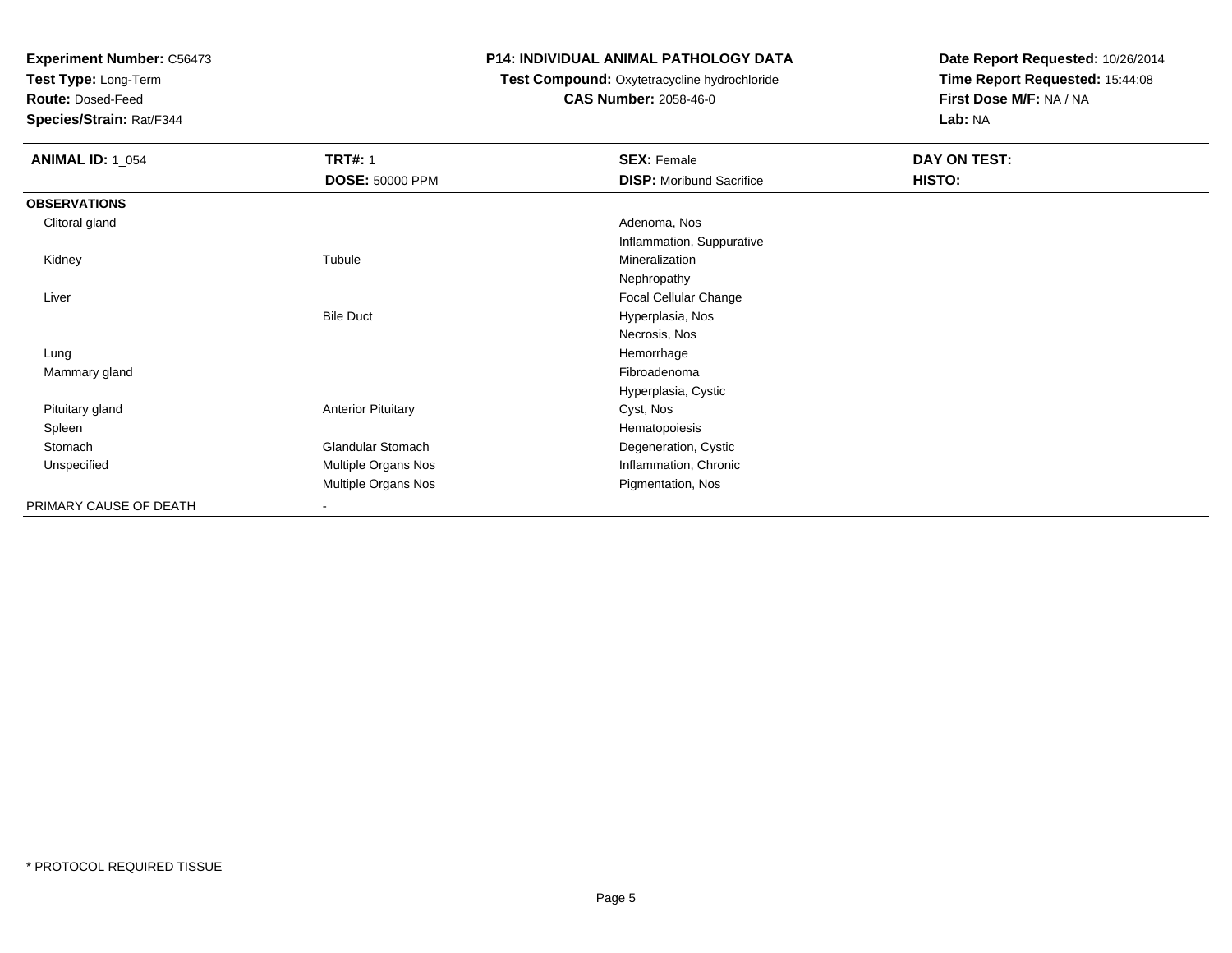**Test Type:** Long-Term

**Route:** Dosed-Feed

**Species/Strain:** Rat/F344

### **P14: INDIVIDUAL ANIMAL PATHOLOGY DATA**

## **Test Compound:** Oxytetracycline hydrochloride**CAS Number:** 2058-46-0

| <b>ANIMAL ID: 1_054</b> | <b>TRT#: 1</b>            | <b>SEX: Female</b>              | DAY ON TEST: |
|-------------------------|---------------------------|---------------------------------|--------------|
|                         | <b>DOSE: 50000 PPM</b>    | <b>DISP:</b> Moribund Sacrifice | HISTO:       |
| <b>OBSERVATIONS</b>     |                           |                                 |              |
| Clitoral gland          |                           | Adenoma, Nos                    |              |
|                         |                           | Inflammation, Suppurative       |              |
| Kidney                  | Tubule                    | Mineralization                  |              |
|                         |                           | Nephropathy                     |              |
| Liver                   |                           | Focal Cellular Change           |              |
|                         | <b>Bile Duct</b>          | Hyperplasia, Nos                |              |
|                         |                           | Necrosis, Nos                   |              |
| Lung                    |                           | Hemorrhage                      |              |
| Mammary gland           |                           | Fibroadenoma                    |              |
|                         |                           | Hyperplasia, Cystic             |              |
| Pituitary gland         | <b>Anterior Pituitary</b> | Cyst, Nos                       |              |
| Spleen                  |                           | Hematopoiesis                   |              |
| Stomach                 | <b>Glandular Stomach</b>  | Degeneration, Cystic            |              |
| Unspecified             | Multiple Organs Nos       | Inflammation, Chronic           |              |
|                         | Multiple Organs Nos       | Pigmentation, Nos               |              |
| PRIMARY CAUSE OF DEATH  | $\sim$                    |                                 |              |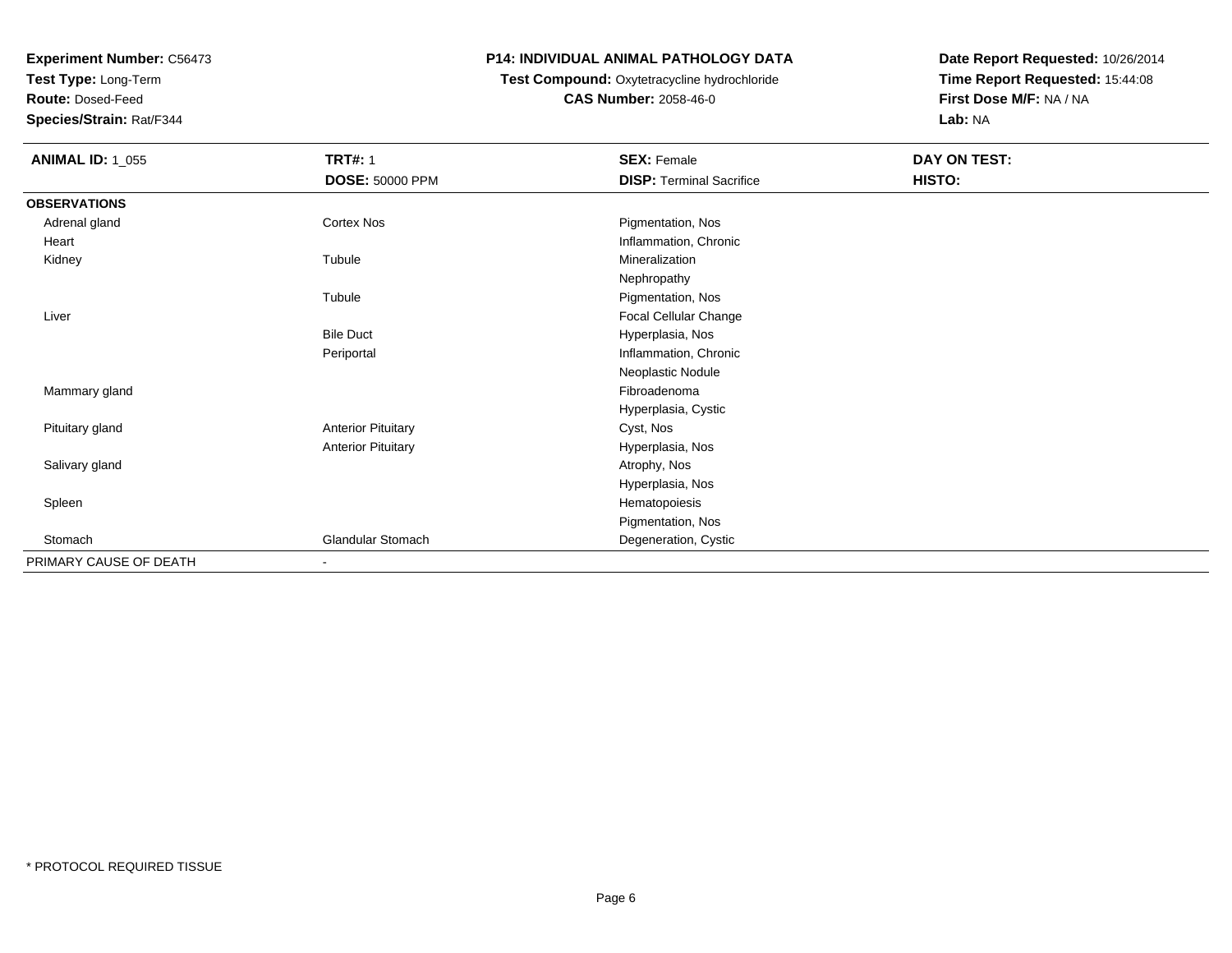**Test Type:** Long-Term

**Route:** Dosed-Feed

**Species/Strain:** Rat/F344

## **P14: INDIVIDUAL ANIMAL PATHOLOGY DATA**

# **Test Compound:** Oxytetracycline hydrochloride**CAS Number:** 2058-46-0

| <b>ANIMAL ID: 1_055</b> | <b>TRT#: 1</b>            | <b>SEX: Female</b>              | DAY ON TEST: |  |
|-------------------------|---------------------------|---------------------------------|--------------|--|
|                         | <b>DOSE: 50000 PPM</b>    | <b>DISP: Terminal Sacrifice</b> | HISTO:       |  |
| <b>OBSERVATIONS</b>     |                           |                                 |              |  |
| Adrenal gland           | <b>Cortex Nos</b>         | Pigmentation, Nos               |              |  |
| Heart                   |                           | Inflammation, Chronic           |              |  |
| Kidney                  | Tubule                    | Mineralization                  |              |  |
|                         |                           | Nephropathy                     |              |  |
|                         | Tubule                    | Pigmentation, Nos               |              |  |
| Liver                   |                           | Focal Cellular Change           |              |  |
|                         | <b>Bile Duct</b>          | Hyperplasia, Nos                |              |  |
|                         | Periportal                | Inflammation, Chronic           |              |  |
|                         |                           | Neoplastic Nodule               |              |  |
| Mammary gland           |                           | Fibroadenoma                    |              |  |
|                         |                           | Hyperplasia, Cystic             |              |  |
| Pituitary gland         | <b>Anterior Pituitary</b> | Cyst, Nos                       |              |  |
|                         | <b>Anterior Pituitary</b> | Hyperplasia, Nos                |              |  |
| Salivary gland          |                           | Atrophy, Nos                    |              |  |
|                         |                           | Hyperplasia, Nos                |              |  |
| Spleen                  |                           | Hematopoiesis                   |              |  |
|                         |                           | Pigmentation, Nos               |              |  |
| Stomach                 | Glandular Stomach         | Degeneration, Cystic            |              |  |
| PRIMARY CAUSE OF DEATH  | ٠                         |                                 |              |  |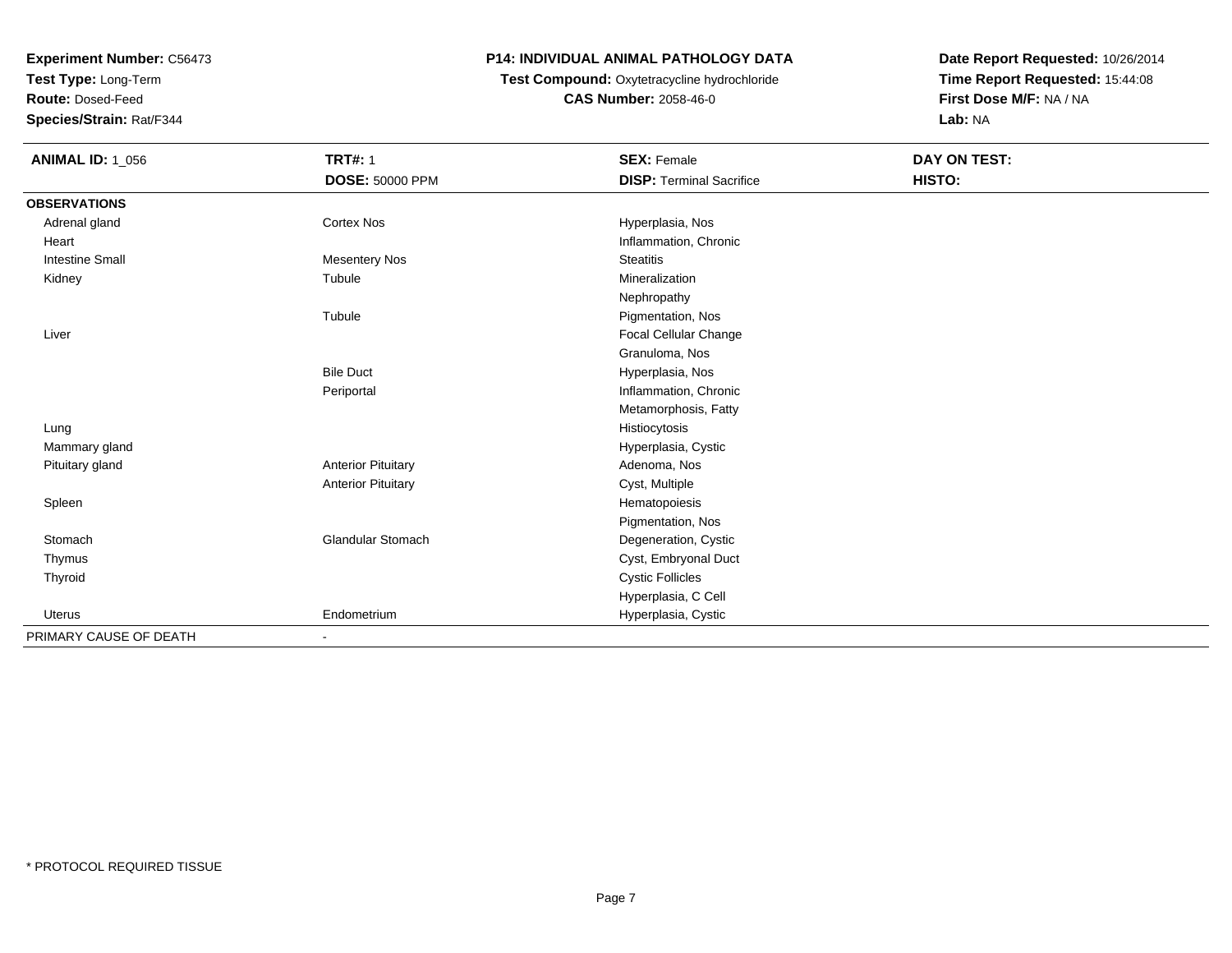**Test Type:** Long-Term

**Route:** Dosed-Feed

**Species/Strain:** Rat/F344

## **P14: INDIVIDUAL ANIMAL PATHOLOGY DATA**

## **Test Compound:** Oxytetracycline hydrochloride**CAS Number:** 2058-46-0

| <b>ANIMAL ID: 1_056</b> | <b>TRT#: 1</b>            | <b>SEX: Female</b>              | DAY ON TEST: |  |
|-------------------------|---------------------------|---------------------------------|--------------|--|
|                         | <b>DOSE: 50000 PPM</b>    | <b>DISP: Terminal Sacrifice</b> | HISTO:       |  |
| <b>OBSERVATIONS</b>     |                           |                                 |              |  |
| Adrenal gland           | Cortex Nos                | Hyperplasia, Nos                |              |  |
| Heart                   |                           | Inflammation, Chronic           |              |  |
| <b>Intestine Small</b>  | <b>Mesentery Nos</b>      | <b>Steatitis</b>                |              |  |
| Kidney                  | Tubule                    | Mineralization                  |              |  |
|                         |                           | Nephropathy                     |              |  |
|                         | Tubule                    | Pigmentation, Nos               |              |  |
| Liver                   |                           | <b>Focal Cellular Change</b>    |              |  |
|                         |                           | Granuloma, Nos                  |              |  |
|                         | <b>Bile Duct</b>          | Hyperplasia, Nos                |              |  |
|                         | Periportal                | Inflammation, Chronic           |              |  |
|                         |                           | Metamorphosis, Fatty            |              |  |
| Lung                    |                           | Histiocytosis                   |              |  |
| Mammary gland           |                           | Hyperplasia, Cystic             |              |  |
| Pituitary gland         | <b>Anterior Pituitary</b> | Adenoma, Nos                    |              |  |
|                         | <b>Anterior Pituitary</b> | Cyst, Multiple                  |              |  |
| Spleen                  |                           | Hematopoiesis                   |              |  |
|                         |                           | Pigmentation, Nos               |              |  |
| Stomach                 | <b>Glandular Stomach</b>  | Degeneration, Cystic            |              |  |
| Thymus                  |                           | Cyst, Embryonal Duct            |              |  |
| Thyroid                 |                           | <b>Cystic Follicles</b>         |              |  |
|                         |                           | Hyperplasia, C Cell             |              |  |
| Uterus                  | Endometrium               | Hyperplasia, Cystic             |              |  |
| PRIMARY CAUSE OF DEATH  |                           |                                 |              |  |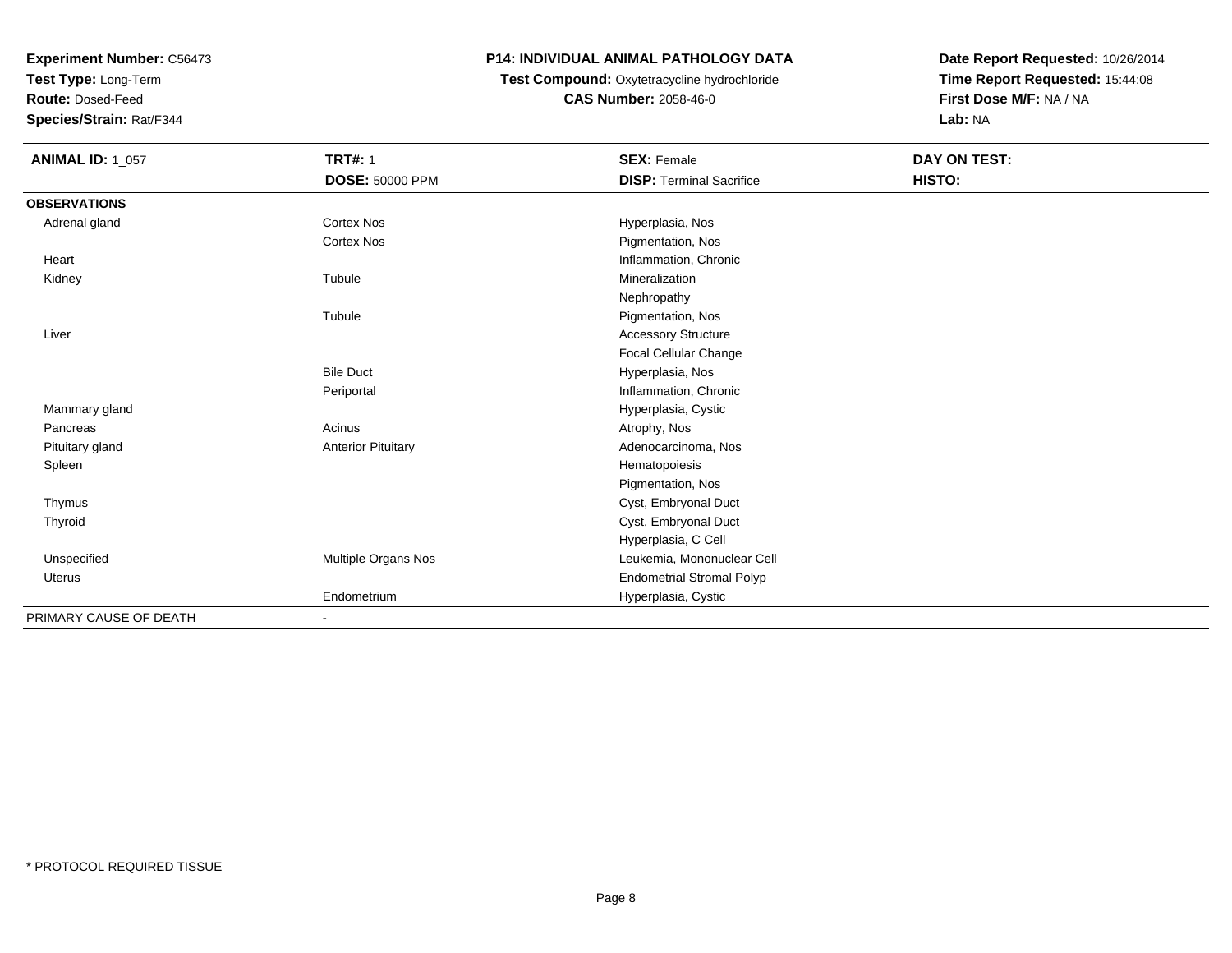**Test Type:** Long-Term

**Route:** Dosed-Feed

**Species/Strain:** Rat/F344

## **P14: INDIVIDUAL ANIMAL PATHOLOGY DATA**

## **Test Compound:** Oxytetracycline hydrochloride**CAS Number:** 2058-46-0

| <b>ANIMAL ID: 1_057</b> | <b>TRT#: 1</b>            | <b>SEX: Female</b>               | DAY ON TEST: |  |
|-------------------------|---------------------------|----------------------------------|--------------|--|
|                         | <b>DOSE: 50000 PPM</b>    | <b>DISP: Terminal Sacrifice</b>  | HISTO:       |  |
| <b>OBSERVATIONS</b>     |                           |                                  |              |  |
| Adrenal gland           | Cortex Nos                | Hyperplasia, Nos                 |              |  |
|                         | <b>Cortex Nos</b>         | Pigmentation, Nos                |              |  |
| Heart                   |                           | Inflammation, Chronic            |              |  |
| Kidney                  | Tubule                    | Mineralization                   |              |  |
|                         |                           | Nephropathy                      |              |  |
|                         | Tubule                    | Pigmentation, Nos                |              |  |
| Liver                   |                           | <b>Accessory Structure</b>       |              |  |
|                         |                           | Focal Cellular Change            |              |  |
|                         | <b>Bile Duct</b>          | Hyperplasia, Nos                 |              |  |
|                         | Periportal                | Inflammation, Chronic            |              |  |
| Mammary gland           |                           | Hyperplasia, Cystic              |              |  |
| Pancreas                | Acinus                    | Atrophy, Nos                     |              |  |
| Pituitary gland         | <b>Anterior Pituitary</b> | Adenocarcinoma, Nos              |              |  |
| Spleen                  |                           | Hematopoiesis                    |              |  |
|                         |                           | Pigmentation, Nos                |              |  |
| Thymus                  |                           | Cyst, Embryonal Duct             |              |  |
| Thyroid                 |                           | Cyst, Embryonal Duct             |              |  |
|                         |                           | Hyperplasia, C Cell              |              |  |
| Unspecified             | Multiple Organs Nos       | Leukemia, Mononuclear Cell       |              |  |
| Uterus                  |                           | <b>Endometrial Stromal Polyp</b> |              |  |
|                         | Endometrium               | Hyperplasia, Cystic              |              |  |
| PRIMARY CAUSE OF DEATH  |                           |                                  |              |  |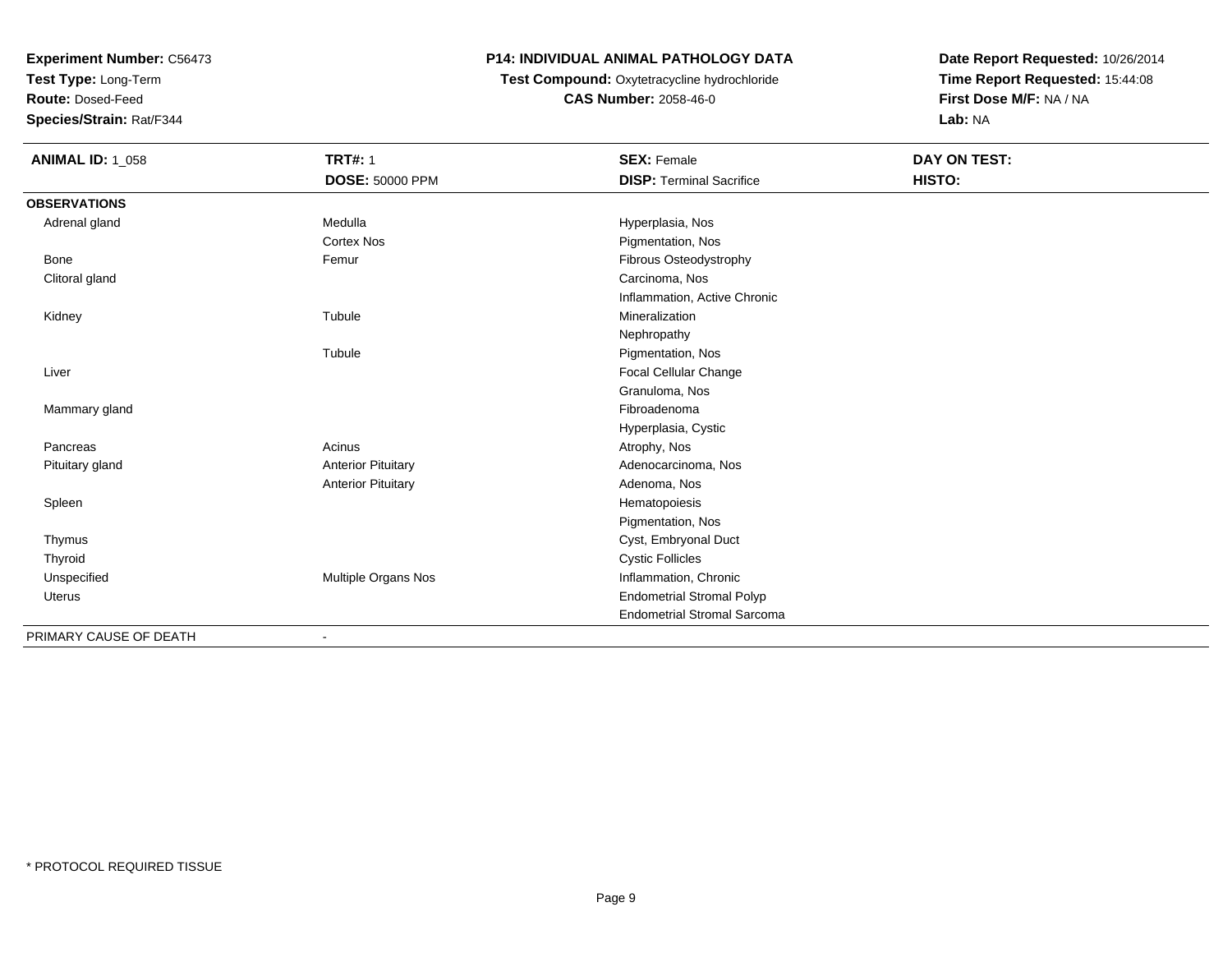**Test Type:** Long-Term

**Route:** Dosed-Feed

**Species/Strain:** Rat/F344

## **P14: INDIVIDUAL ANIMAL PATHOLOGY DATA**

**Test Compound:** Oxytetracycline hydrochloride**CAS Number:** 2058-46-0

| <b>ANIMAL ID: 1_058</b> | <b>TRT#: 1</b>            | <b>SEX: Female</b>                 | DAY ON TEST: |
|-------------------------|---------------------------|------------------------------------|--------------|
|                         | <b>DOSE: 50000 PPM</b>    | <b>DISP: Terminal Sacrifice</b>    | HISTO:       |
| <b>OBSERVATIONS</b>     |                           |                                    |              |
| Adrenal gland           | Medulla                   | Hyperplasia, Nos                   |              |
|                         | <b>Cortex Nos</b>         | Pigmentation, Nos                  |              |
| Bone                    | Femur                     | <b>Fibrous Osteodystrophy</b>      |              |
| Clitoral gland          |                           | Carcinoma, Nos                     |              |
|                         |                           | Inflammation, Active Chronic       |              |
| Kidney                  | Tubule                    | Mineralization                     |              |
|                         |                           | Nephropathy                        |              |
|                         | Tubule                    | Pigmentation, Nos                  |              |
| Liver                   |                           | Focal Cellular Change              |              |
|                         |                           | Granuloma, Nos                     |              |
| Mammary gland           |                           | Fibroadenoma                       |              |
|                         |                           | Hyperplasia, Cystic                |              |
| Pancreas                | Acinus                    | Atrophy, Nos                       |              |
| Pituitary gland         | <b>Anterior Pituitary</b> | Adenocarcinoma, Nos                |              |
|                         | <b>Anterior Pituitary</b> | Adenoma, Nos                       |              |
| Spleen                  |                           | Hematopoiesis                      |              |
|                         |                           | Pigmentation, Nos                  |              |
| Thymus                  |                           | Cyst, Embryonal Duct               |              |
| Thyroid                 |                           | <b>Cystic Follicles</b>            |              |
| Unspecified             | Multiple Organs Nos       | Inflammation, Chronic              |              |
| Uterus                  |                           | <b>Endometrial Stromal Polyp</b>   |              |
|                         |                           | <b>Endometrial Stromal Sarcoma</b> |              |
| PRIMARY CAUSE OF DEATH  |                           |                                    |              |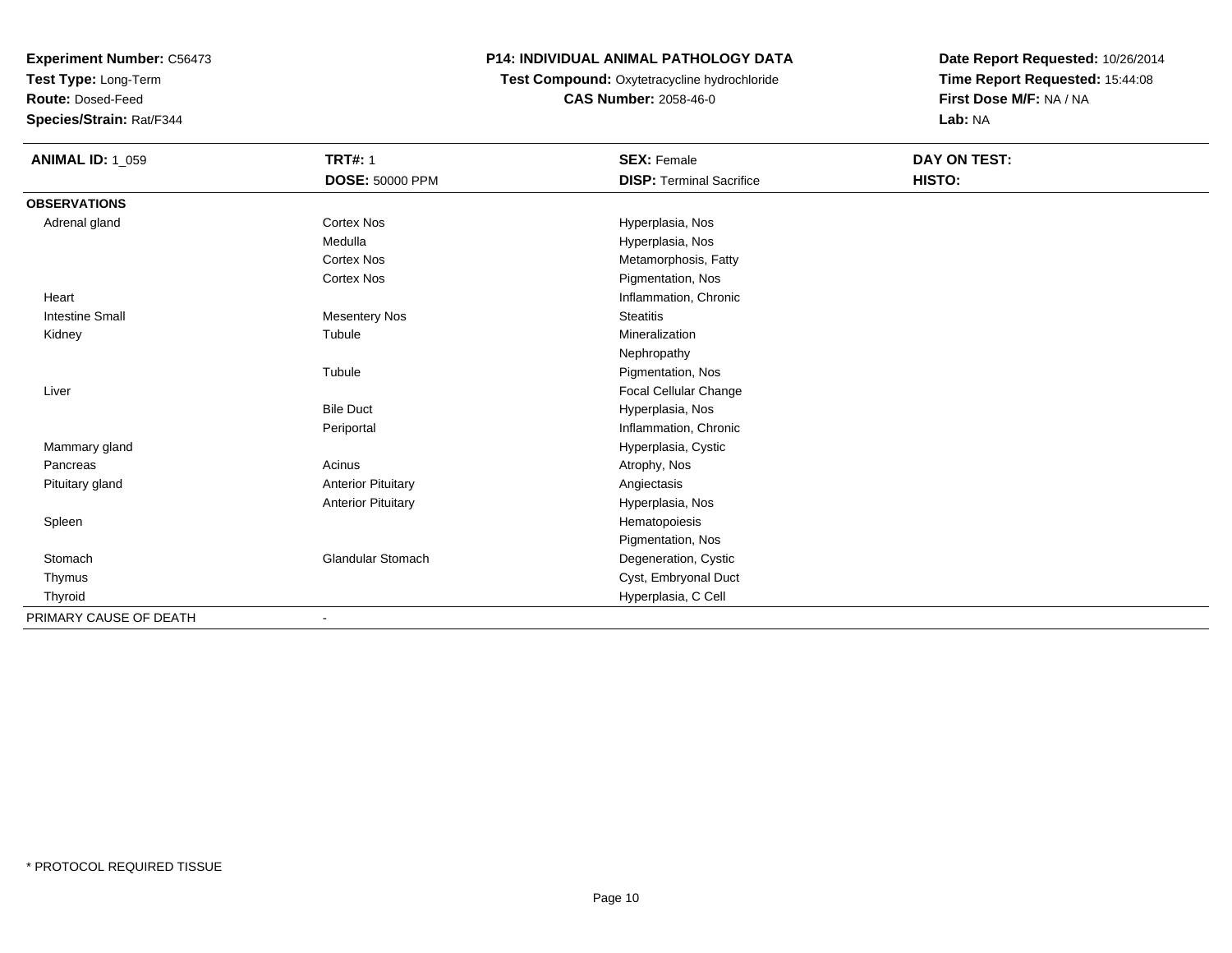**Test Type:** Long-Term

**Route:** Dosed-Feed

**Species/Strain:** Rat/F344

## **P14: INDIVIDUAL ANIMAL PATHOLOGY DATA**

**Test Compound:** Oxytetracycline hydrochloride**CAS Number:** 2058-46-0

| <b>ANIMAL ID: 1_059</b> | <b>TRT#: 1</b>            | <b>SEX: Female</b>              | DAY ON TEST: |
|-------------------------|---------------------------|---------------------------------|--------------|
|                         | DOSE: 50000 PPM           | <b>DISP: Terminal Sacrifice</b> | HISTO:       |
| <b>OBSERVATIONS</b>     |                           |                                 |              |
| Adrenal gland           | <b>Cortex Nos</b>         | Hyperplasia, Nos                |              |
|                         | Medulla                   | Hyperplasia, Nos                |              |
|                         | <b>Cortex Nos</b>         | Metamorphosis, Fatty            |              |
|                         | Cortex Nos                | Pigmentation, Nos               |              |
| Heart                   |                           | Inflammation, Chronic           |              |
| <b>Intestine Small</b>  | <b>Mesentery Nos</b>      | <b>Steatitis</b>                |              |
| Kidney                  | Tubule                    | Mineralization                  |              |
|                         |                           | Nephropathy                     |              |
|                         | Tubule                    | Pigmentation, Nos               |              |
| Liver                   |                           | Focal Cellular Change           |              |
|                         | <b>Bile Duct</b>          | Hyperplasia, Nos                |              |
|                         | Periportal                | Inflammation, Chronic           |              |
| Mammary gland           |                           | Hyperplasia, Cystic             |              |
| Pancreas                | Acinus                    | Atrophy, Nos                    |              |
| Pituitary gland         | <b>Anterior Pituitary</b> | Angiectasis                     |              |
|                         | <b>Anterior Pituitary</b> | Hyperplasia, Nos                |              |
| Spleen                  |                           | Hematopoiesis                   |              |
|                         |                           | Pigmentation, Nos               |              |
| Stomach                 | <b>Glandular Stomach</b>  | Degeneration, Cystic            |              |
| Thymus                  |                           | Cyst, Embryonal Duct            |              |
| Thyroid                 |                           | Hyperplasia, C Cell             |              |
| PRIMARY CAUSE OF DEATH  | ٠                         |                                 |              |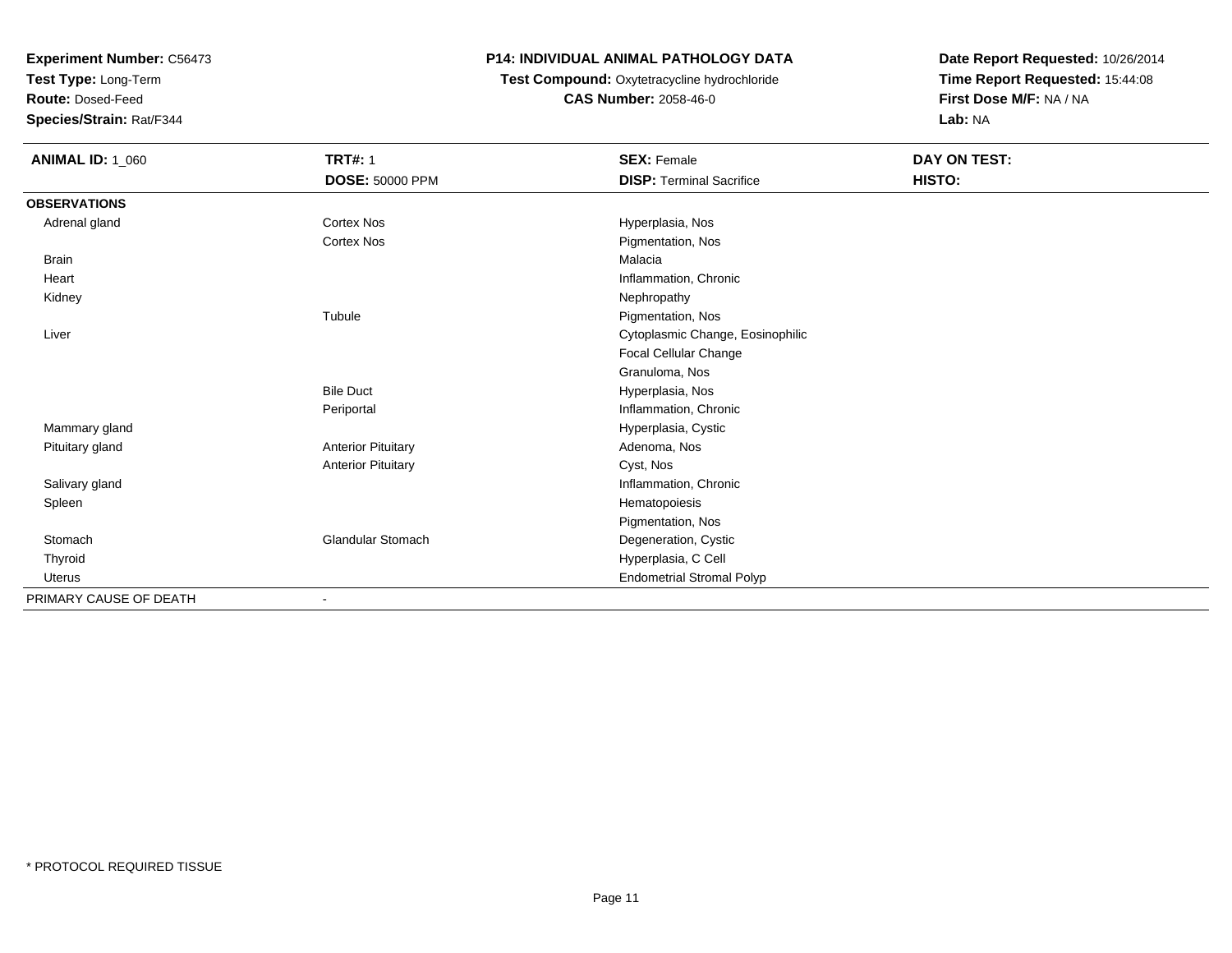**Test Type:** Long-Term

**Route:** Dosed-Feed

**Species/Strain:** Rat/F344

## **P14: INDIVIDUAL ANIMAL PATHOLOGY DATA**

 **Test Compound:** Oxytetracycline hydrochloride**CAS Number:** 2058-46-0

| <b>ANIMAL ID: 1_060</b> | <b>TRT#: 1</b>            | <b>SEX: Female</b>               | DAY ON TEST: |  |
|-------------------------|---------------------------|----------------------------------|--------------|--|
|                         | <b>DOSE: 50000 PPM</b>    | <b>DISP: Terminal Sacrifice</b>  | HISTO:       |  |
| <b>OBSERVATIONS</b>     |                           |                                  |              |  |
| Adrenal gland           | <b>Cortex Nos</b>         | Hyperplasia, Nos                 |              |  |
|                         | <b>Cortex Nos</b>         | Pigmentation, Nos                |              |  |
| <b>Brain</b>            |                           | Malacia                          |              |  |
| Heart                   |                           | Inflammation, Chronic            |              |  |
| Kidney                  |                           | Nephropathy                      |              |  |
|                         | Tubule                    | Pigmentation, Nos                |              |  |
| Liver                   |                           | Cytoplasmic Change, Eosinophilic |              |  |
|                         |                           | Focal Cellular Change            |              |  |
|                         |                           | Granuloma, Nos                   |              |  |
|                         | <b>Bile Duct</b>          | Hyperplasia, Nos                 |              |  |
|                         | Periportal                | Inflammation, Chronic            |              |  |
| Mammary gland           |                           | Hyperplasia, Cystic              |              |  |
| Pituitary gland         | <b>Anterior Pituitary</b> | Adenoma, Nos                     |              |  |
|                         | <b>Anterior Pituitary</b> | Cyst, Nos                        |              |  |
| Salivary gland          |                           | Inflammation, Chronic            |              |  |
| Spleen                  |                           | Hematopoiesis                    |              |  |
|                         |                           | Pigmentation, Nos                |              |  |
| Stomach                 | <b>Glandular Stomach</b>  | Degeneration, Cystic             |              |  |
| Thyroid                 |                           | Hyperplasia, C Cell              |              |  |
| Uterus                  |                           | <b>Endometrial Stromal Polyp</b> |              |  |
| PRIMARY CAUSE OF DEATH  |                           |                                  |              |  |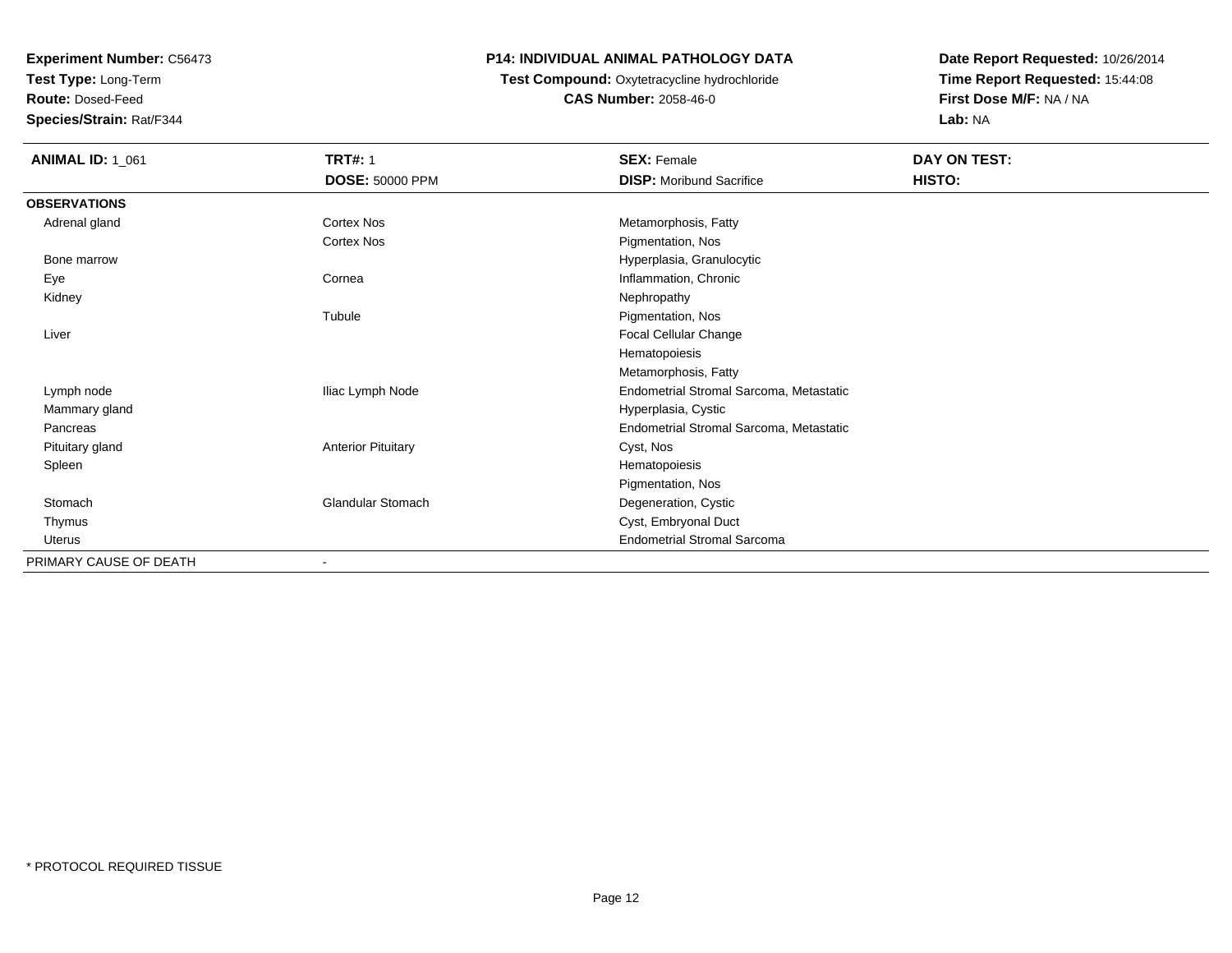**Test Type:** Long-Term

**Route:** Dosed-Feed

**Species/Strain:** Rat/F344

### **P14: INDIVIDUAL ANIMAL PATHOLOGY DATA**

#### **Test Compound:** Oxytetracycline hydrochloride**CAS Number:** 2058-46-0

| <b>ANIMAL ID: 1_061</b> | <b>TRT#: 1</b><br><b>DOSE: 50000 PPM</b> | <b>SEX: Female</b><br><b>DISP:</b> Moribund Sacrifice | DAY ON TEST:<br>HISTO: |
|-------------------------|------------------------------------------|-------------------------------------------------------|------------------------|
| <b>OBSERVATIONS</b>     |                                          |                                                       |                        |
| Adrenal gland           | Cortex Nos                               | Metamorphosis, Fatty                                  |                        |
|                         | Cortex Nos                               | Pigmentation, Nos                                     |                        |
| Bone marrow             |                                          | Hyperplasia, Granulocytic                             |                        |
| Eye                     | Cornea                                   | Inflammation, Chronic                                 |                        |
| Kidney                  |                                          | Nephropathy                                           |                        |
|                         | Tubule                                   | Pigmentation, Nos                                     |                        |
| Liver                   |                                          | Focal Cellular Change                                 |                        |
|                         |                                          | Hematopoiesis                                         |                        |
|                         |                                          | Metamorphosis, Fatty                                  |                        |
| Lymph node              | Iliac Lymph Node                         | Endometrial Stromal Sarcoma, Metastatic               |                        |
| Mammary gland           |                                          | Hyperplasia, Cystic                                   |                        |
| Pancreas                |                                          | Endometrial Stromal Sarcoma, Metastatic               |                        |
| Pituitary gland         | <b>Anterior Pituitary</b>                | Cyst, Nos                                             |                        |
| Spleen                  |                                          | Hematopoiesis                                         |                        |
|                         |                                          | Pigmentation, Nos                                     |                        |
| Stomach                 | <b>Glandular Stomach</b>                 | Degeneration, Cystic                                  |                        |
| Thymus                  |                                          | Cyst, Embryonal Duct                                  |                        |
| <b>Uterus</b>           |                                          | <b>Endometrial Stromal Sarcoma</b>                    |                        |
| PRIMARY CAUSE OF DEATH  | $\qquad \qquad \blacksquare$             |                                                       |                        |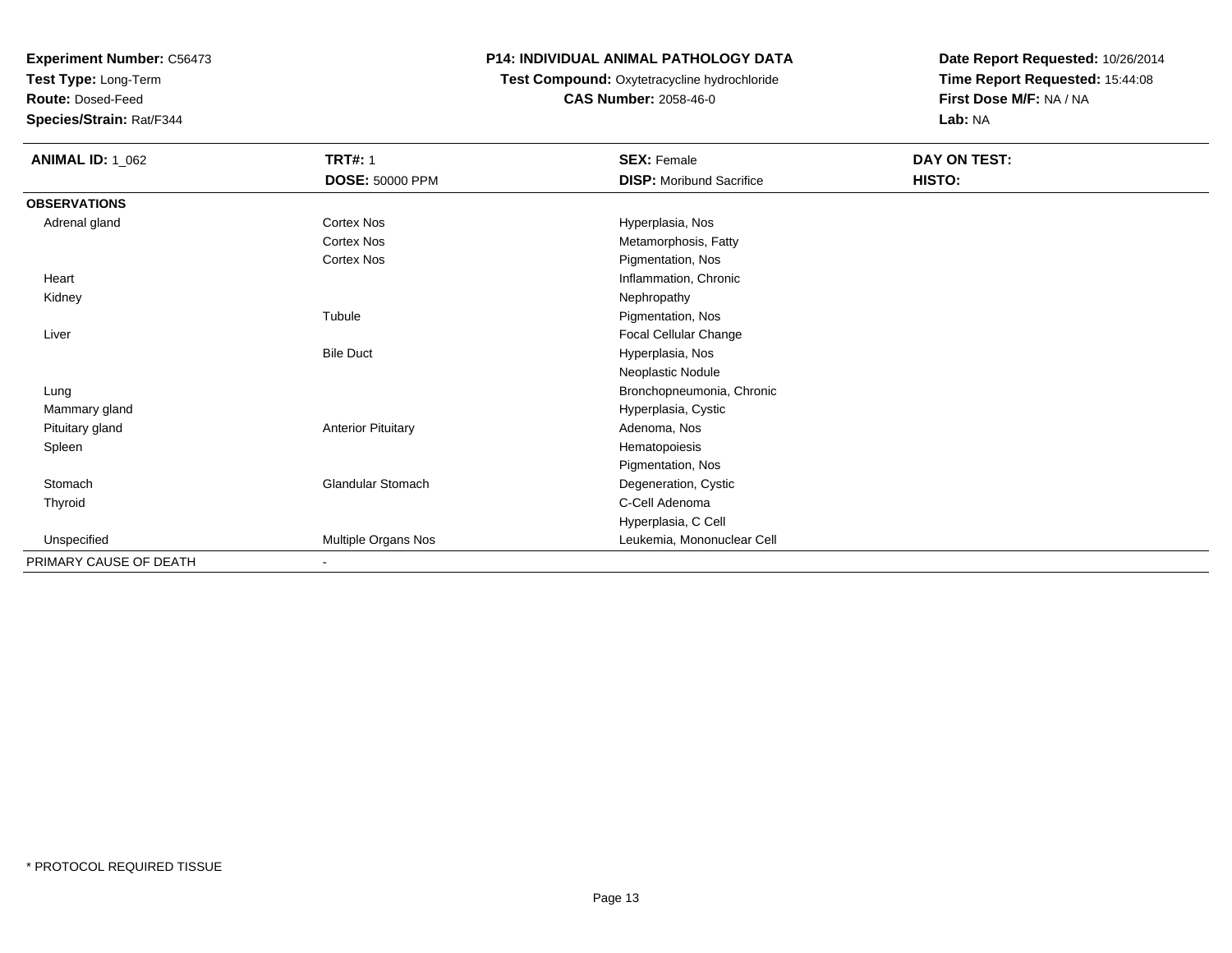**Test Type:** Long-Term

**Route:** Dosed-Feed

**Species/Strain:** Rat/F344

## **P14: INDIVIDUAL ANIMAL PATHOLOGY DATA**

## **Test Compound:** Oxytetracycline hydrochloride**CAS Number:** 2058-46-0

| <b>ANIMAL ID: 1_062</b> | <b>TRT#: 1</b><br>DOSE: 50000 PPM | <b>SEX: Female</b><br><b>DISP: Moribund Sacrifice</b> | <b>DAY ON TEST:</b><br>HISTO: |
|-------------------------|-----------------------------------|-------------------------------------------------------|-------------------------------|
| <b>OBSERVATIONS</b>     |                                   |                                                       |                               |
| Adrenal gland           | Cortex Nos                        | Hyperplasia, Nos                                      |                               |
|                         | Cortex Nos                        | Metamorphosis, Fatty                                  |                               |
|                         | Cortex Nos                        | Pigmentation, Nos                                     |                               |
| Heart                   |                                   | Inflammation, Chronic                                 |                               |
| Kidney                  |                                   | Nephropathy                                           |                               |
|                         | Tubule                            | Pigmentation, Nos                                     |                               |
| Liver                   |                                   | Focal Cellular Change                                 |                               |
|                         | <b>Bile Duct</b>                  | Hyperplasia, Nos                                      |                               |
|                         |                                   | Neoplastic Nodule                                     |                               |
| Lung                    |                                   | Bronchopneumonia, Chronic                             |                               |
| Mammary gland           |                                   | Hyperplasia, Cystic                                   |                               |
| Pituitary gland         | <b>Anterior Pituitary</b>         | Adenoma, Nos                                          |                               |
| Spleen                  |                                   | Hematopoiesis                                         |                               |
|                         |                                   | Pigmentation, Nos                                     |                               |
| Stomach                 | <b>Glandular Stomach</b>          | Degeneration, Cystic                                  |                               |
| Thyroid                 |                                   | C-Cell Adenoma                                        |                               |
|                         |                                   | Hyperplasia, C Cell                                   |                               |
| Unspecified             | Multiple Organs Nos               | Leukemia, Mononuclear Cell                            |                               |
| PRIMARY CAUSE OF DEATH  | ٠                                 |                                                       |                               |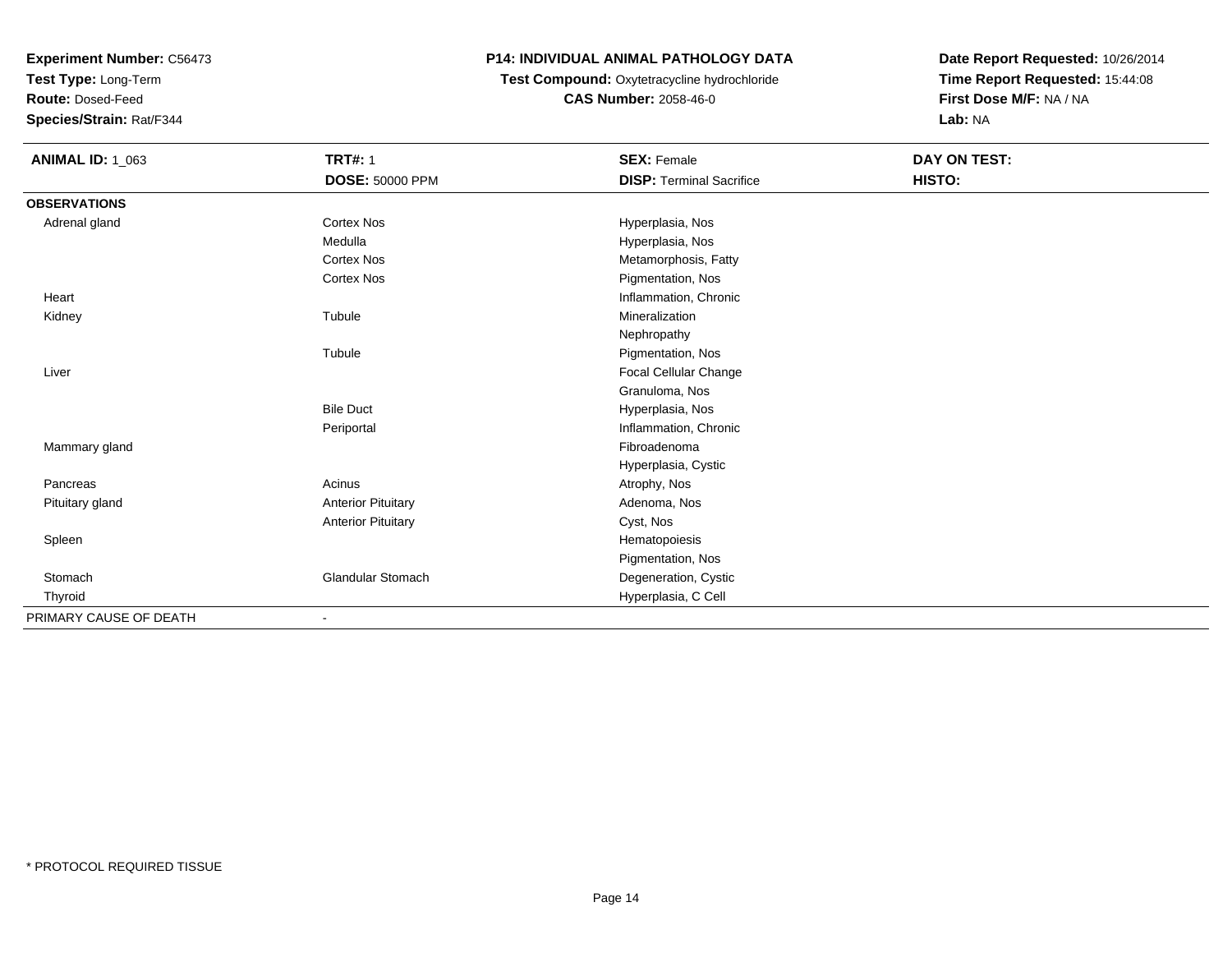**Test Type:** Long-Term

**Route:** Dosed-Feed

**Species/Strain:** Rat/F344

### **P14: INDIVIDUAL ANIMAL PATHOLOGY DATA**

### **Test Compound:** Oxytetracycline hydrochloride**CAS Number:** 2058-46-0

| <b>ANIMAL ID: 1_063</b> | <b>TRT#: 1</b>            | <b>SEX: Female</b>              | DAY ON TEST: |  |
|-------------------------|---------------------------|---------------------------------|--------------|--|
|                         | <b>DOSE: 50000 PPM</b>    | <b>DISP: Terminal Sacrifice</b> | HISTO:       |  |
| <b>OBSERVATIONS</b>     |                           |                                 |              |  |
| Adrenal gland           | Cortex Nos                | Hyperplasia, Nos                |              |  |
|                         | Medulla                   | Hyperplasia, Nos                |              |  |
|                         | <b>Cortex Nos</b>         | Metamorphosis, Fatty            |              |  |
|                         | <b>Cortex Nos</b>         | Pigmentation, Nos               |              |  |
| Heart                   |                           | Inflammation, Chronic           |              |  |
| Kidney                  | Tubule                    | Mineralization                  |              |  |
|                         |                           | Nephropathy                     |              |  |
|                         | Tubule                    | Pigmentation, Nos               |              |  |
| Liver                   |                           | Focal Cellular Change           |              |  |
|                         |                           | Granuloma, Nos                  |              |  |
|                         | <b>Bile Duct</b>          | Hyperplasia, Nos                |              |  |
|                         | Periportal                | Inflammation, Chronic           |              |  |
| Mammary gland           |                           | Fibroadenoma                    |              |  |
|                         |                           | Hyperplasia, Cystic             |              |  |
| Pancreas                | Acinus                    | Atrophy, Nos                    |              |  |
| Pituitary gland         | <b>Anterior Pituitary</b> | Adenoma, Nos                    |              |  |
|                         | <b>Anterior Pituitary</b> | Cyst, Nos                       |              |  |
| Spleen                  |                           | Hematopoiesis                   |              |  |
|                         |                           | Pigmentation, Nos               |              |  |
| Stomach                 | <b>Glandular Stomach</b>  | Degeneration, Cystic            |              |  |
| Thyroid                 |                           | Hyperplasia, C Cell             |              |  |
| PRIMARY CAUSE OF DEATH  |                           |                                 |              |  |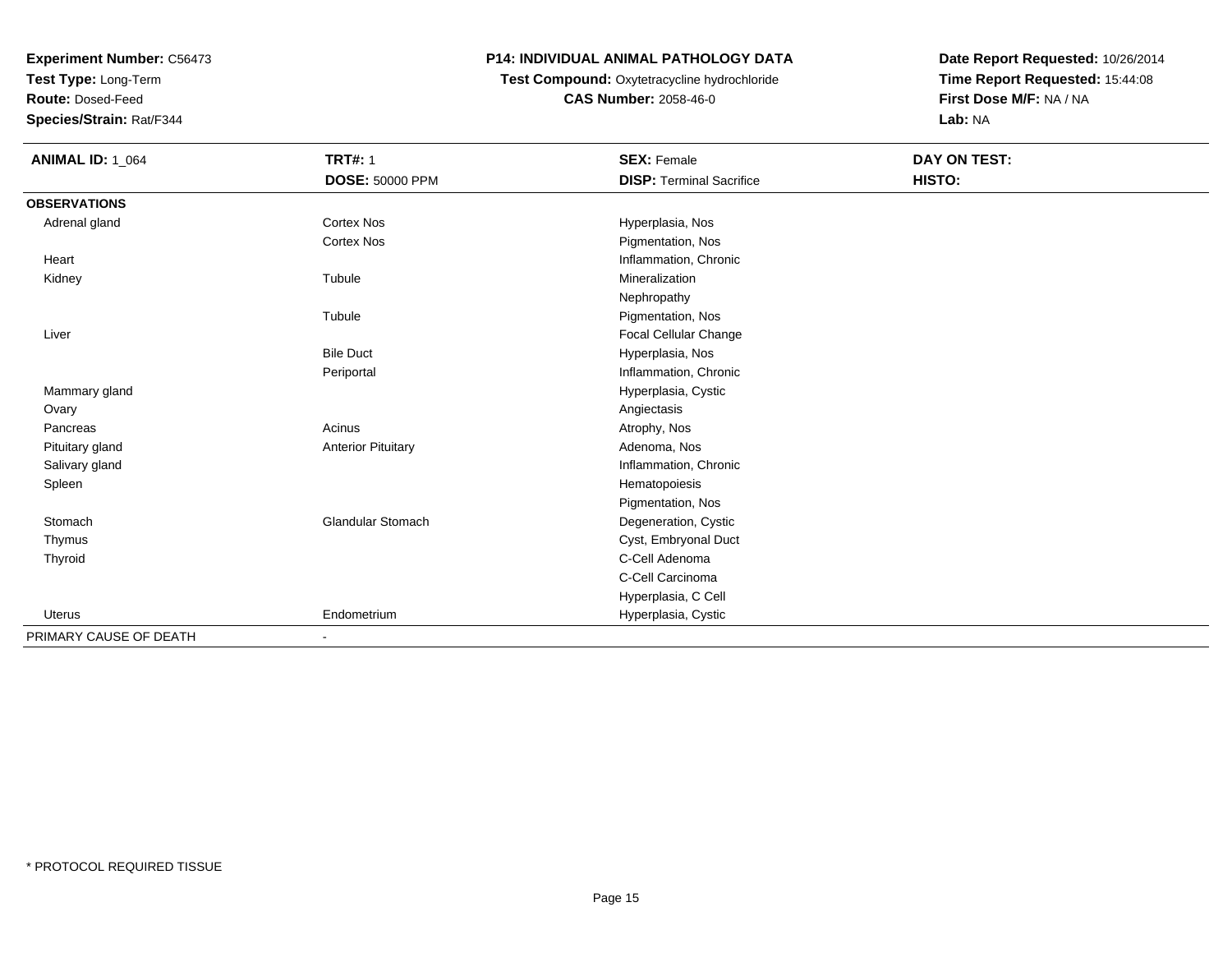**Test Type:** Long-Term

**Route:** Dosed-Feed

**Species/Strain:** Rat/F344

## **P14: INDIVIDUAL ANIMAL PATHOLOGY DATA**

# **Test Compound:** Oxytetracycline hydrochloride**CAS Number:** 2058-46-0

| <b>ANIMAL ID: 1_064</b> | <b>TRT#: 1</b>            | <b>SEX: Female</b>              | <b>DAY ON TEST:</b> |  |
|-------------------------|---------------------------|---------------------------------|---------------------|--|
|                         | <b>DOSE: 50000 PPM</b>    | <b>DISP: Terminal Sacrifice</b> | HISTO:              |  |
| <b>OBSERVATIONS</b>     |                           |                                 |                     |  |
| Adrenal gland           | <b>Cortex Nos</b>         | Hyperplasia, Nos                |                     |  |
|                         | <b>Cortex Nos</b>         | Pigmentation, Nos               |                     |  |
| Heart                   |                           | Inflammation, Chronic           |                     |  |
| Kidney                  | Tubule                    | Mineralization                  |                     |  |
|                         |                           | Nephropathy                     |                     |  |
|                         | Tubule                    | Pigmentation, Nos               |                     |  |
| Liver                   |                           | <b>Focal Cellular Change</b>    |                     |  |
|                         | <b>Bile Duct</b>          | Hyperplasia, Nos                |                     |  |
|                         | Periportal                | Inflammation, Chronic           |                     |  |
| Mammary gland           |                           | Hyperplasia, Cystic             |                     |  |
| Ovary                   |                           | Angiectasis                     |                     |  |
| Pancreas                | Acinus                    | Atrophy, Nos                    |                     |  |
| Pituitary gland         | <b>Anterior Pituitary</b> | Adenoma, Nos                    |                     |  |
| Salivary gland          |                           | Inflammation, Chronic           |                     |  |
| Spleen                  |                           | Hematopoiesis                   |                     |  |
|                         |                           | Pigmentation, Nos               |                     |  |
| Stomach                 | <b>Glandular Stomach</b>  | Degeneration, Cystic            |                     |  |
| Thymus                  |                           | Cyst, Embryonal Duct            |                     |  |
| Thyroid                 |                           | C-Cell Adenoma                  |                     |  |
|                         |                           | C-Cell Carcinoma                |                     |  |
|                         |                           | Hyperplasia, C Cell             |                     |  |
| Uterus                  | Endometrium               | Hyperplasia, Cystic             |                     |  |
| PRIMARY CAUSE OF DEATH  | ۰                         |                                 |                     |  |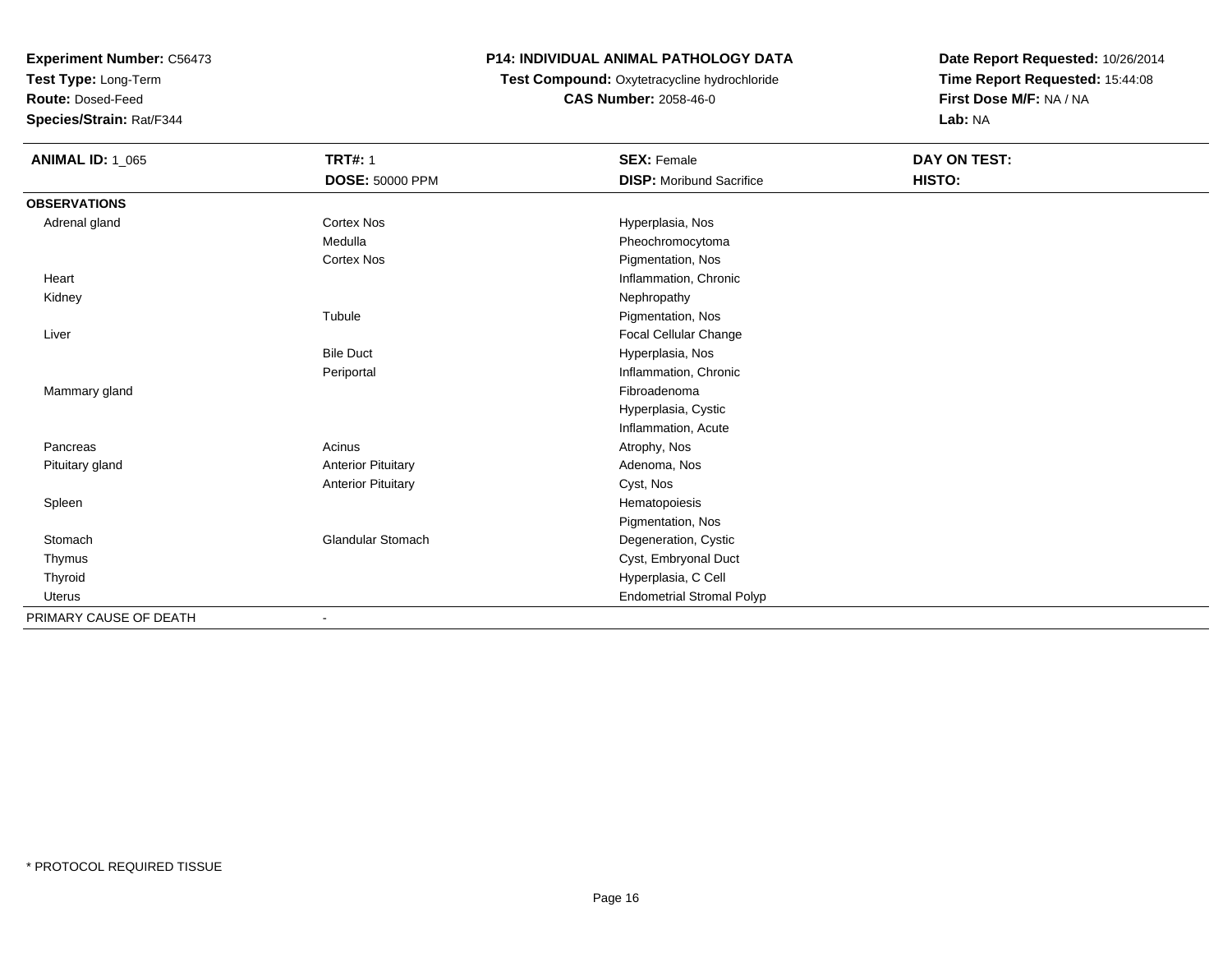**Test Type:** Long-Term

**Route:** Dosed-Feed

**Species/Strain:** Rat/F344

## **P14: INDIVIDUAL ANIMAL PATHOLOGY DATA**

## **Test Compound:** Oxytetracycline hydrochloride**CAS Number:** 2058-46-0

| <b>ANIMAL ID: 1_065</b> | <b>TRT#: 1</b>            | <b>SEX: Female</b>               | <b>DAY ON TEST:</b> |  |
|-------------------------|---------------------------|----------------------------------|---------------------|--|
|                         | <b>DOSE: 50000 PPM</b>    | <b>DISP:</b> Moribund Sacrifice  | HISTO:              |  |
| <b>OBSERVATIONS</b>     |                           |                                  |                     |  |
| Adrenal gland           | <b>Cortex Nos</b>         | Hyperplasia, Nos                 |                     |  |
|                         | Medulla                   | Pheochromocytoma                 |                     |  |
|                         | <b>Cortex Nos</b>         | Pigmentation, Nos                |                     |  |
| Heart                   |                           | Inflammation, Chronic            |                     |  |
| Kidney                  |                           | Nephropathy                      |                     |  |
|                         | Tubule                    | Pigmentation, Nos                |                     |  |
| Liver                   |                           | Focal Cellular Change            |                     |  |
|                         | <b>Bile Duct</b>          | Hyperplasia, Nos                 |                     |  |
|                         | Periportal                | Inflammation, Chronic            |                     |  |
| Mammary gland           |                           | Fibroadenoma                     |                     |  |
|                         |                           | Hyperplasia, Cystic              |                     |  |
|                         |                           | Inflammation, Acute              |                     |  |
| Pancreas                | Acinus                    | Atrophy, Nos                     |                     |  |
| Pituitary gland         | <b>Anterior Pituitary</b> | Adenoma, Nos                     |                     |  |
|                         | <b>Anterior Pituitary</b> | Cyst, Nos                        |                     |  |
| Spleen                  |                           | Hematopoiesis                    |                     |  |
|                         |                           | Pigmentation, Nos                |                     |  |
| Stomach                 | <b>Glandular Stomach</b>  | Degeneration, Cystic             |                     |  |
| Thymus                  |                           | Cyst, Embryonal Duct             |                     |  |
| Thyroid                 |                           | Hyperplasia, C Cell              |                     |  |
| Uterus                  |                           | <b>Endometrial Stromal Polyp</b> |                     |  |
| PRIMARY CAUSE OF DEATH  | $\overline{\phantom{a}}$  |                                  |                     |  |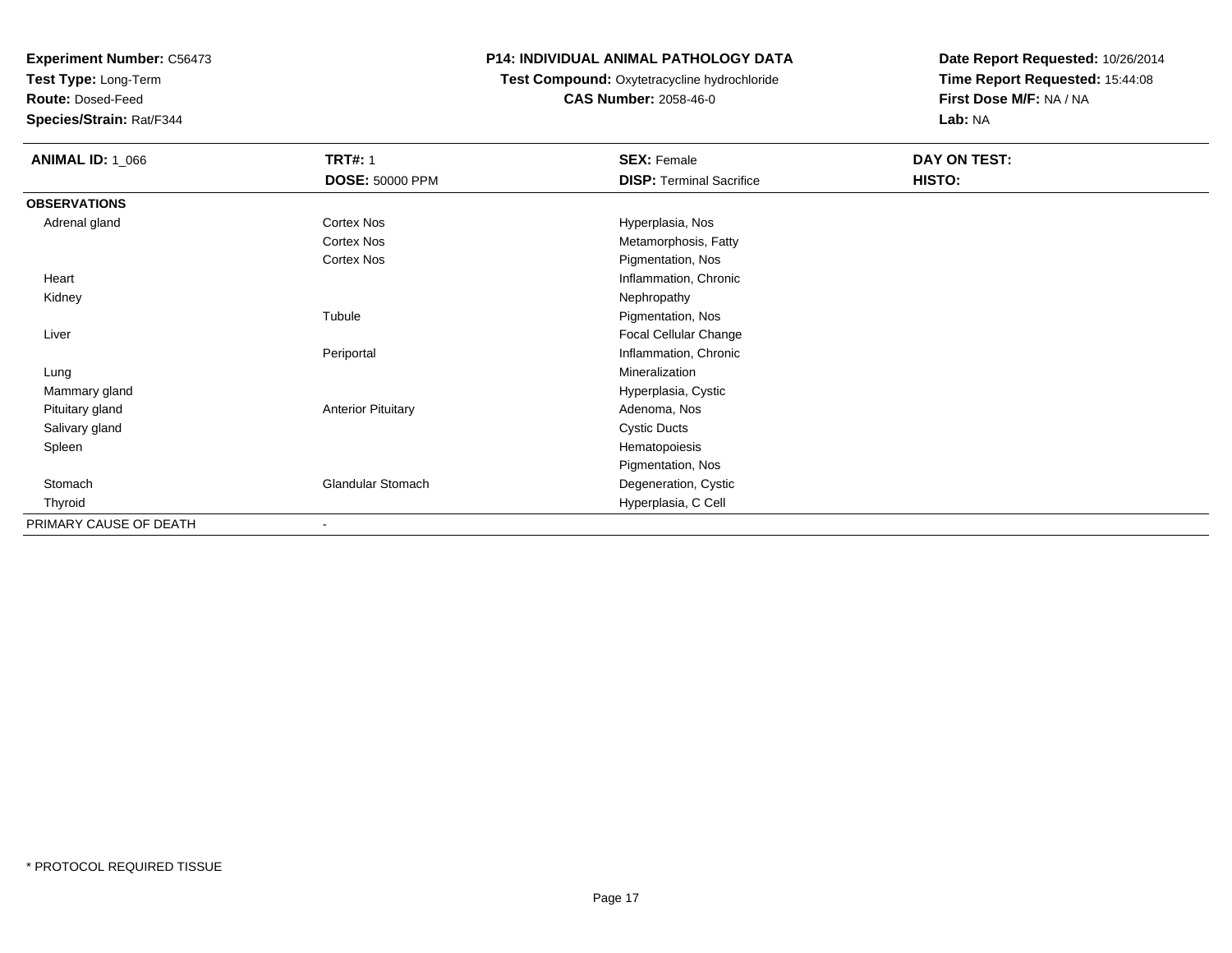**Test Type:** Long-Term

**Route:** Dosed-Feed

**Species/Strain:** Rat/F344

### **P14: INDIVIDUAL ANIMAL PATHOLOGY DATA**

#### **Test Compound:** Oxytetracycline hydrochloride**CAS Number:** 2058-46-0

| <b>ANIMAL ID: 1_066</b> | <b>TRT#: 1</b>            | <b>SEX: Female</b>              | DAY ON TEST: |  |
|-------------------------|---------------------------|---------------------------------|--------------|--|
|                         | <b>DOSE: 50000 PPM</b>    | <b>DISP: Terminal Sacrifice</b> | HISTO:       |  |
| <b>OBSERVATIONS</b>     |                           |                                 |              |  |
| Adrenal gland           | Cortex Nos                | Hyperplasia, Nos                |              |  |
|                         | Cortex Nos                | Metamorphosis, Fatty            |              |  |
|                         | Cortex Nos                | Pigmentation, Nos               |              |  |
| Heart                   |                           | Inflammation, Chronic           |              |  |
| Kidney                  |                           | Nephropathy                     |              |  |
|                         | Tubule                    | Pigmentation, Nos               |              |  |
| Liver                   |                           | Focal Cellular Change           |              |  |
|                         | Periportal                | Inflammation, Chronic           |              |  |
| Lung                    |                           | Mineralization                  |              |  |
| Mammary gland           |                           | Hyperplasia, Cystic             |              |  |
| Pituitary gland         | <b>Anterior Pituitary</b> | Adenoma, Nos                    |              |  |
| Salivary gland          |                           | <b>Cystic Ducts</b>             |              |  |
| Spleen                  |                           | Hematopoiesis                   |              |  |
|                         |                           | Pigmentation, Nos               |              |  |
| Stomach                 | <b>Glandular Stomach</b>  | Degeneration, Cystic            |              |  |
| Thyroid                 |                           | Hyperplasia, C Cell             |              |  |
| PRIMARY CAUSE OF DEATH  |                           |                                 |              |  |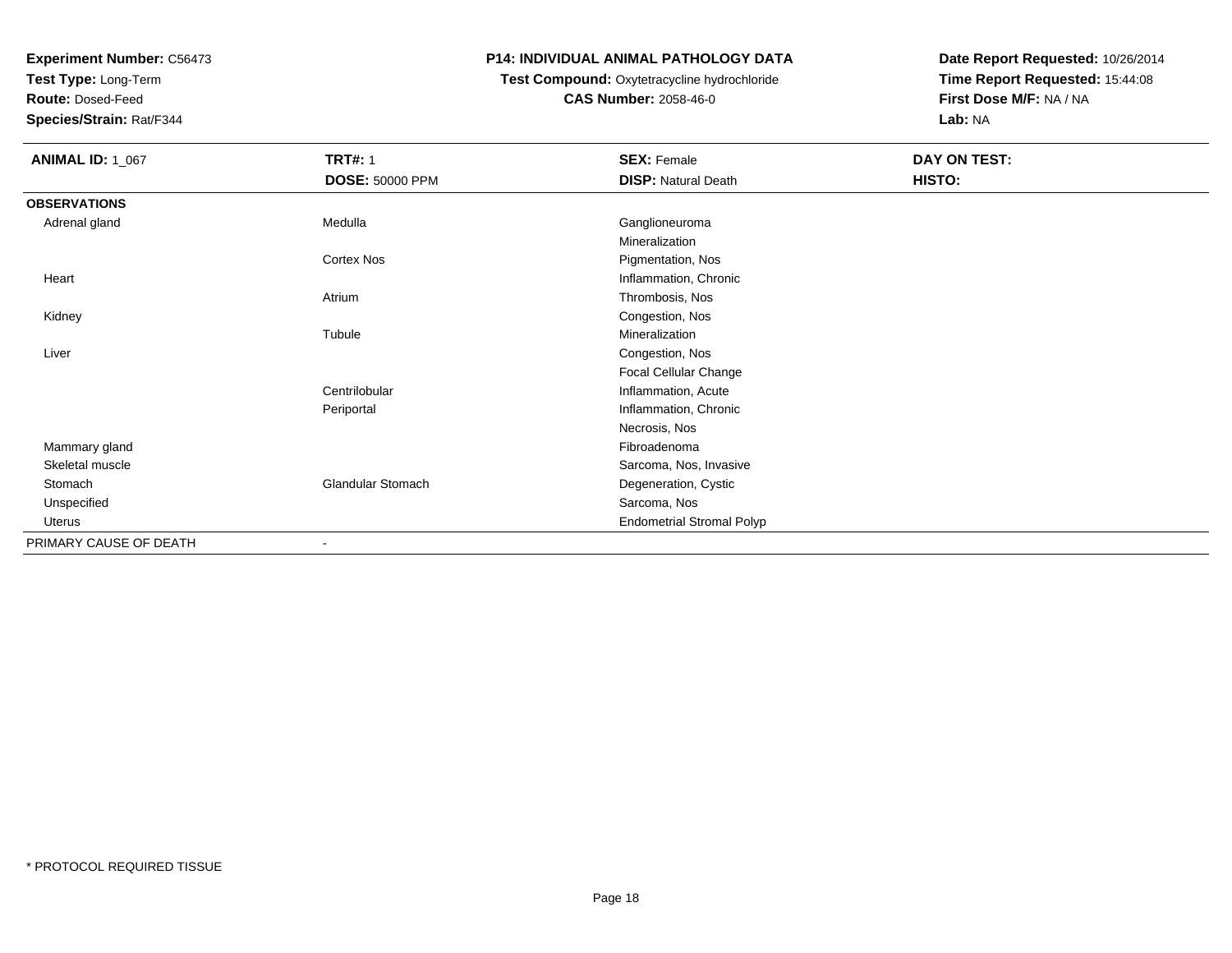**Test Type:** Long-Term

**Route:** Dosed-Feed

**Species/Strain:** Rat/F344

## **P14: INDIVIDUAL ANIMAL PATHOLOGY DATA**

## **Test Compound:** Oxytetracycline hydrochloride**CAS Number:** 2058-46-0

| <b>ANIMAL ID: 1_067</b> | <b>TRT#: 1</b>           | <b>SEX: Female</b>               | DAY ON TEST: |
|-------------------------|--------------------------|----------------------------------|--------------|
|                         | <b>DOSE: 50000 PPM</b>   | <b>DISP: Natural Death</b>       | HISTO:       |
| <b>OBSERVATIONS</b>     |                          |                                  |              |
| Adrenal gland           | Medulla                  | Ganglioneuroma                   |              |
|                         |                          | Mineralization                   |              |
|                         | Cortex Nos               | Pigmentation, Nos                |              |
| Heart                   |                          | Inflammation, Chronic            |              |
|                         | Atrium                   | Thrombosis, Nos                  |              |
| Kidney                  |                          | Congestion, Nos                  |              |
|                         | Tubule                   | Mineralization                   |              |
| Liver                   |                          | Congestion, Nos                  |              |
|                         |                          | Focal Cellular Change            |              |
|                         | Centrilobular            | Inflammation, Acute              |              |
|                         | Periportal               | Inflammation, Chronic            |              |
|                         |                          | Necrosis, Nos                    |              |
| Mammary gland           |                          | Fibroadenoma                     |              |
| Skeletal muscle         |                          | Sarcoma, Nos, Invasive           |              |
| Stomach                 | <b>Glandular Stomach</b> | Degeneration, Cystic             |              |
| Unspecified             |                          | Sarcoma, Nos                     |              |
| Uterus                  |                          | <b>Endometrial Stromal Polyp</b> |              |
| PRIMARY CAUSE OF DEATH  | $\overline{\phantom{a}}$ |                                  |              |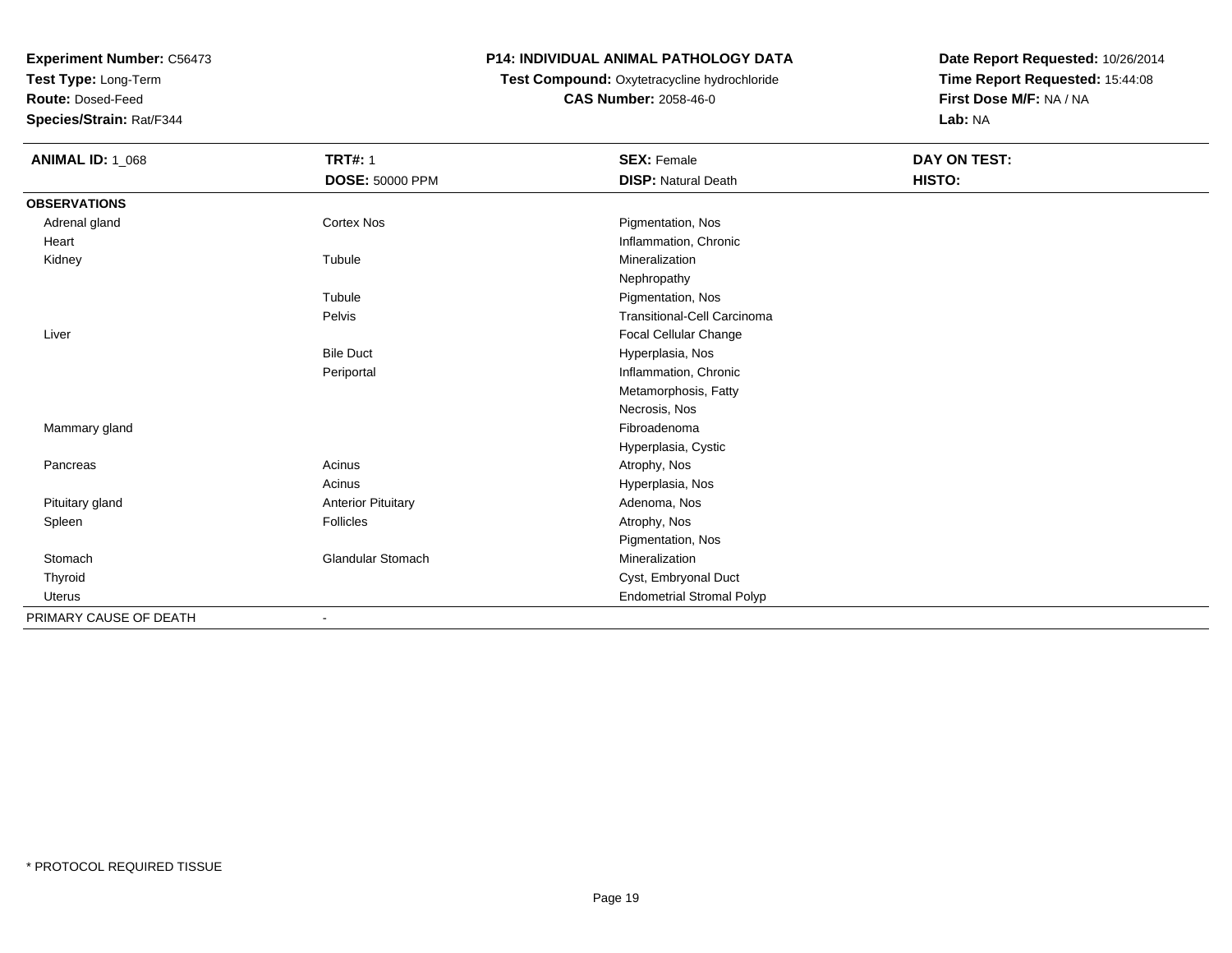**Test Type:** Long-Term

**Route:** Dosed-Feed

**Species/Strain:** Rat/F344

## **P14: INDIVIDUAL ANIMAL PATHOLOGY DATA**

## **Test Compound:** Oxytetracycline hydrochloride**CAS Number:** 2058-46-0

| <b>ANIMAL ID: 1_068</b> | <b>TRT#: 1</b>            | <b>SEX: Female</b>                 | DAY ON TEST: |  |
|-------------------------|---------------------------|------------------------------------|--------------|--|
|                         | <b>DOSE: 50000 PPM</b>    | <b>DISP: Natural Death</b>         | HISTO:       |  |
| <b>OBSERVATIONS</b>     |                           |                                    |              |  |
| Adrenal gland           | <b>Cortex Nos</b>         | Pigmentation, Nos                  |              |  |
| Heart                   |                           | Inflammation, Chronic              |              |  |
| Kidney                  | Tubule                    | Mineralization                     |              |  |
|                         |                           | Nephropathy                        |              |  |
|                         | Tubule                    | Pigmentation, Nos                  |              |  |
|                         | Pelvis                    | <b>Transitional-Cell Carcinoma</b> |              |  |
| Liver                   |                           | Focal Cellular Change              |              |  |
|                         | <b>Bile Duct</b>          | Hyperplasia, Nos                   |              |  |
|                         | Periportal                | Inflammation, Chronic              |              |  |
|                         |                           | Metamorphosis, Fatty               |              |  |
|                         |                           | Necrosis, Nos                      |              |  |
| Mammary gland           |                           | Fibroadenoma                       |              |  |
|                         |                           | Hyperplasia, Cystic                |              |  |
| Pancreas                | Acinus                    | Atrophy, Nos                       |              |  |
|                         | Acinus                    | Hyperplasia, Nos                   |              |  |
| Pituitary gland         | <b>Anterior Pituitary</b> | Adenoma, Nos                       |              |  |
| Spleen                  | <b>Follicles</b>          | Atrophy, Nos                       |              |  |
|                         |                           | Pigmentation, Nos                  |              |  |
| Stomach                 | <b>Glandular Stomach</b>  | Mineralization                     |              |  |
| Thyroid                 |                           | Cyst, Embryonal Duct               |              |  |
| Uterus                  |                           | <b>Endometrial Stromal Polyp</b>   |              |  |
| PRIMARY CAUSE OF DEATH  |                           |                                    |              |  |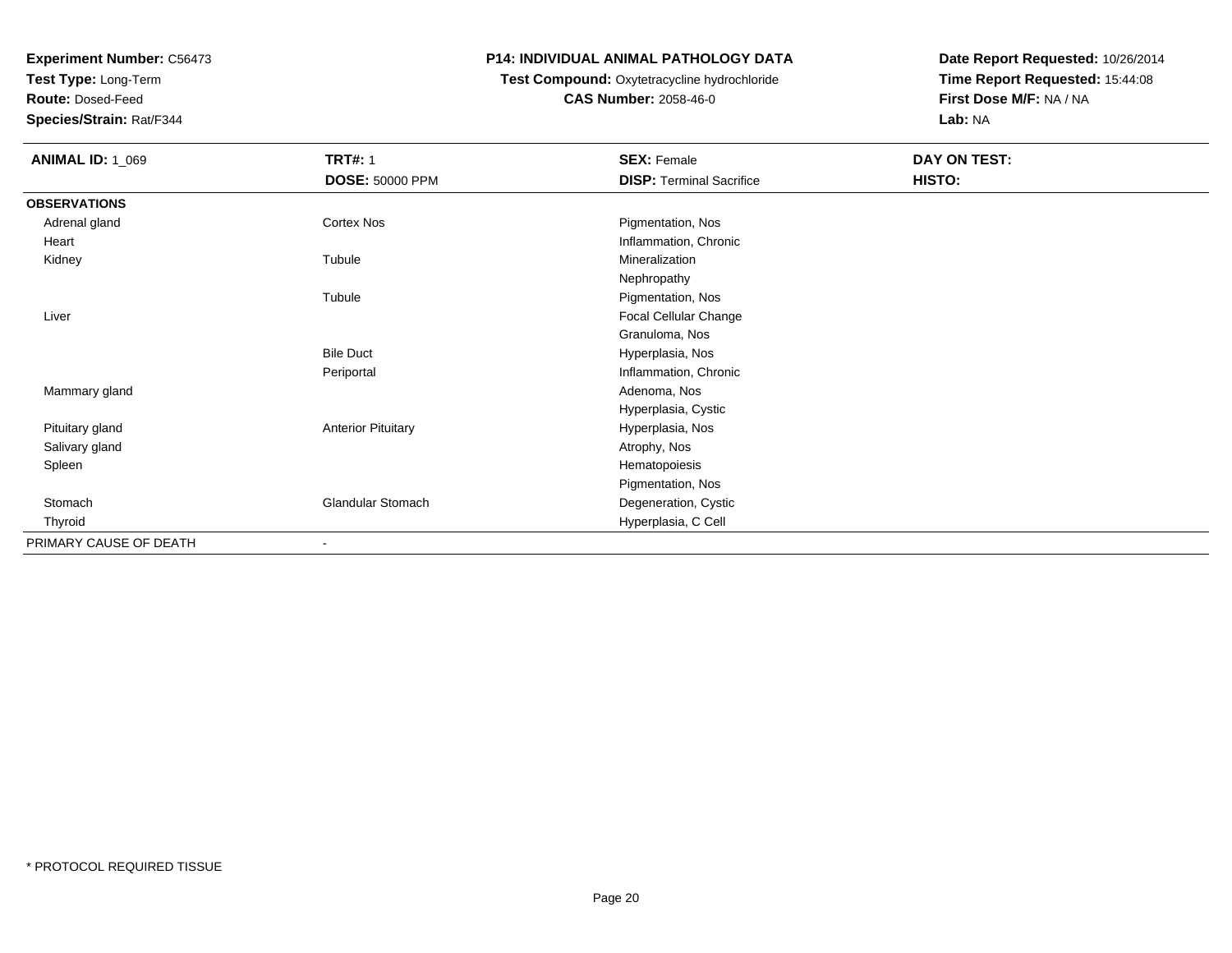**Test Type:** Long-Term

**Route:** Dosed-Feed

**Species/Strain:** Rat/F344

### **P14: INDIVIDUAL ANIMAL PATHOLOGY DATA**

## **Test Compound:** Oxytetracycline hydrochloride**CAS Number:** 2058-46-0

| <b>ANIMAL ID: 1_069</b> | <b>TRT#: 1</b>            | <b>SEX: Female</b>              | DAY ON TEST: |
|-------------------------|---------------------------|---------------------------------|--------------|
|                         | DOSE: 50000 PPM           | <b>DISP: Terminal Sacrifice</b> | HISTO:       |
| <b>OBSERVATIONS</b>     |                           |                                 |              |
| Adrenal gland           | Cortex Nos                | Pigmentation, Nos               |              |
| Heart                   |                           | Inflammation, Chronic           |              |
| Kidney                  | Tubule                    | Mineralization                  |              |
|                         |                           | Nephropathy                     |              |
|                         | Tubule                    | Pigmentation, Nos               |              |
| Liver                   |                           | Focal Cellular Change           |              |
|                         |                           | Granuloma, Nos                  |              |
|                         | <b>Bile Duct</b>          | Hyperplasia, Nos                |              |
|                         | Periportal                | Inflammation, Chronic           |              |
| Mammary gland           |                           | Adenoma, Nos                    |              |
|                         |                           | Hyperplasia, Cystic             |              |
| Pituitary gland         | <b>Anterior Pituitary</b> | Hyperplasia, Nos                |              |
| Salivary gland          |                           | Atrophy, Nos                    |              |
| Spleen                  |                           | Hematopoiesis                   |              |
|                         |                           | Pigmentation, Nos               |              |
| Stomach                 | <b>Glandular Stomach</b>  | Degeneration, Cystic            |              |
| Thyroid                 |                           | Hyperplasia, C Cell             |              |
| PRIMARY CAUSE OF DEATH  | $\blacksquare$            |                                 |              |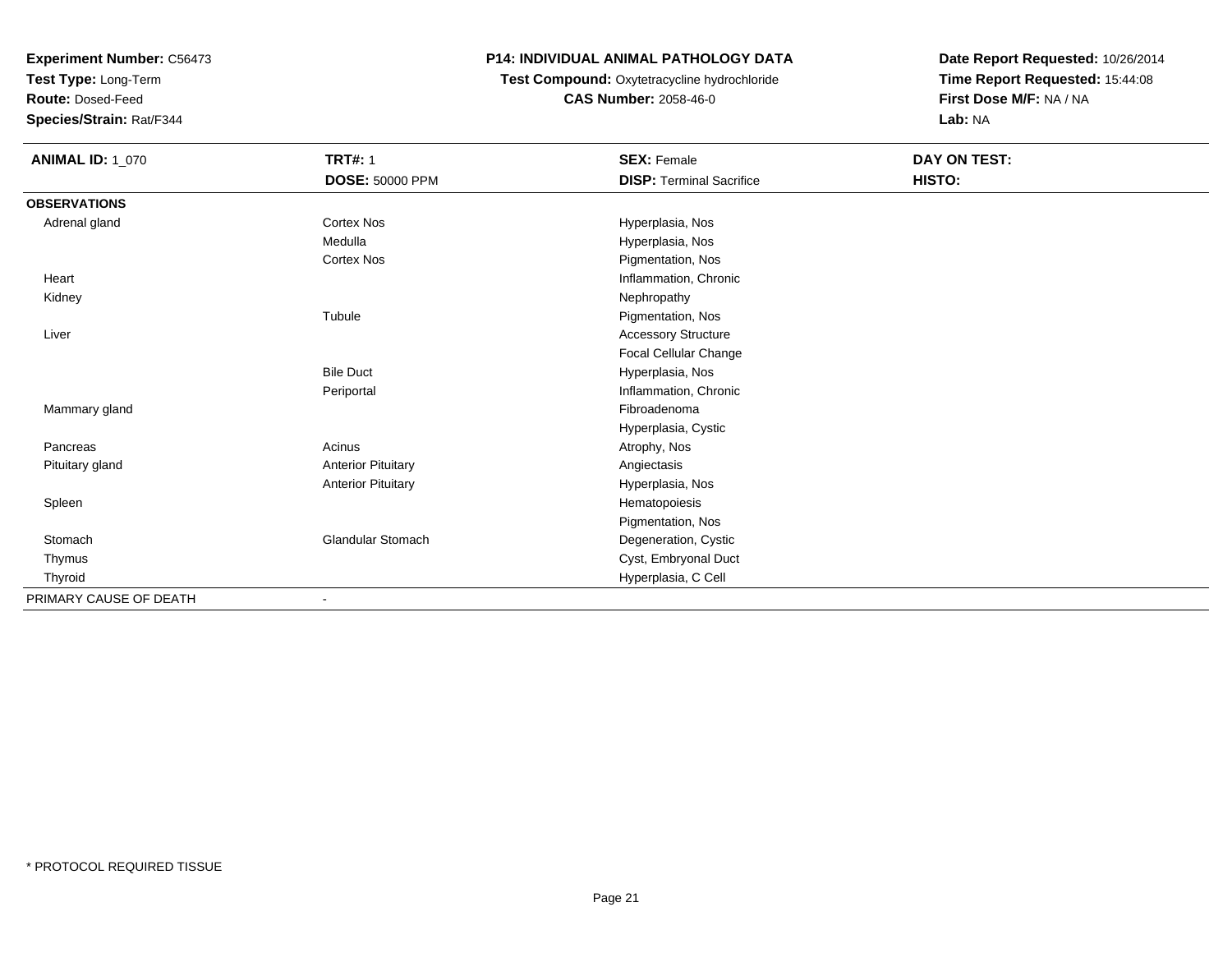**Test Type:** Long-Term

**Route:** Dosed-Feed

**Species/Strain:** Rat/F344

## **P14: INDIVIDUAL ANIMAL PATHOLOGY DATA**

### **Test Compound:** Oxytetracycline hydrochloride**CAS Number:** 2058-46-0

| <b>ANIMAL ID: 1_070</b> | <b>TRT#: 1</b>            | <b>SEX: Female</b>              | DAY ON TEST: |  |
|-------------------------|---------------------------|---------------------------------|--------------|--|
|                         | <b>DOSE: 50000 PPM</b>    | <b>DISP: Terminal Sacrifice</b> | HISTO:       |  |
| <b>OBSERVATIONS</b>     |                           |                                 |              |  |
| Adrenal gland           | <b>Cortex Nos</b>         | Hyperplasia, Nos                |              |  |
|                         | Medulla                   | Hyperplasia, Nos                |              |  |
|                         | Cortex Nos                | Pigmentation, Nos               |              |  |
| Heart                   |                           | Inflammation, Chronic           |              |  |
| Kidney                  |                           | Nephropathy                     |              |  |
|                         | Tubule                    | Pigmentation, Nos               |              |  |
| Liver                   |                           | <b>Accessory Structure</b>      |              |  |
|                         |                           | Focal Cellular Change           |              |  |
|                         | <b>Bile Duct</b>          | Hyperplasia, Nos                |              |  |
|                         | Periportal                | Inflammation, Chronic           |              |  |
| Mammary gland           |                           | Fibroadenoma                    |              |  |
|                         |                           | Hyperplasia, Cystic             |              |  |
| Pancreas                | Acinus                    | Atrophy, Nos                    |              |  |
| Pituitary gland         | <b>Anterior Pituitary</b> | Angiectasis                     |              |  |
|                         | <b>Anterior Pituitary</b> | Hyperplasia, Nos                |              |  |
| Spleen                  |                           | Hematopoiesis                   |              |  |
|                         |                           | Pigmentation, Nos               |              |  |
| Stomach                 | <b>Glandular Stomach</b>  | Degeneration, Cystic            |              |  |
| Thymus                  |                           | Cyst, Embryonal Duct            |              |  |
| Thyroid                 |                           | Hyperplasia, C Cell             |              |  |
| PRIMARY CAUSE OF DEATH  |                           |                                 |              |  |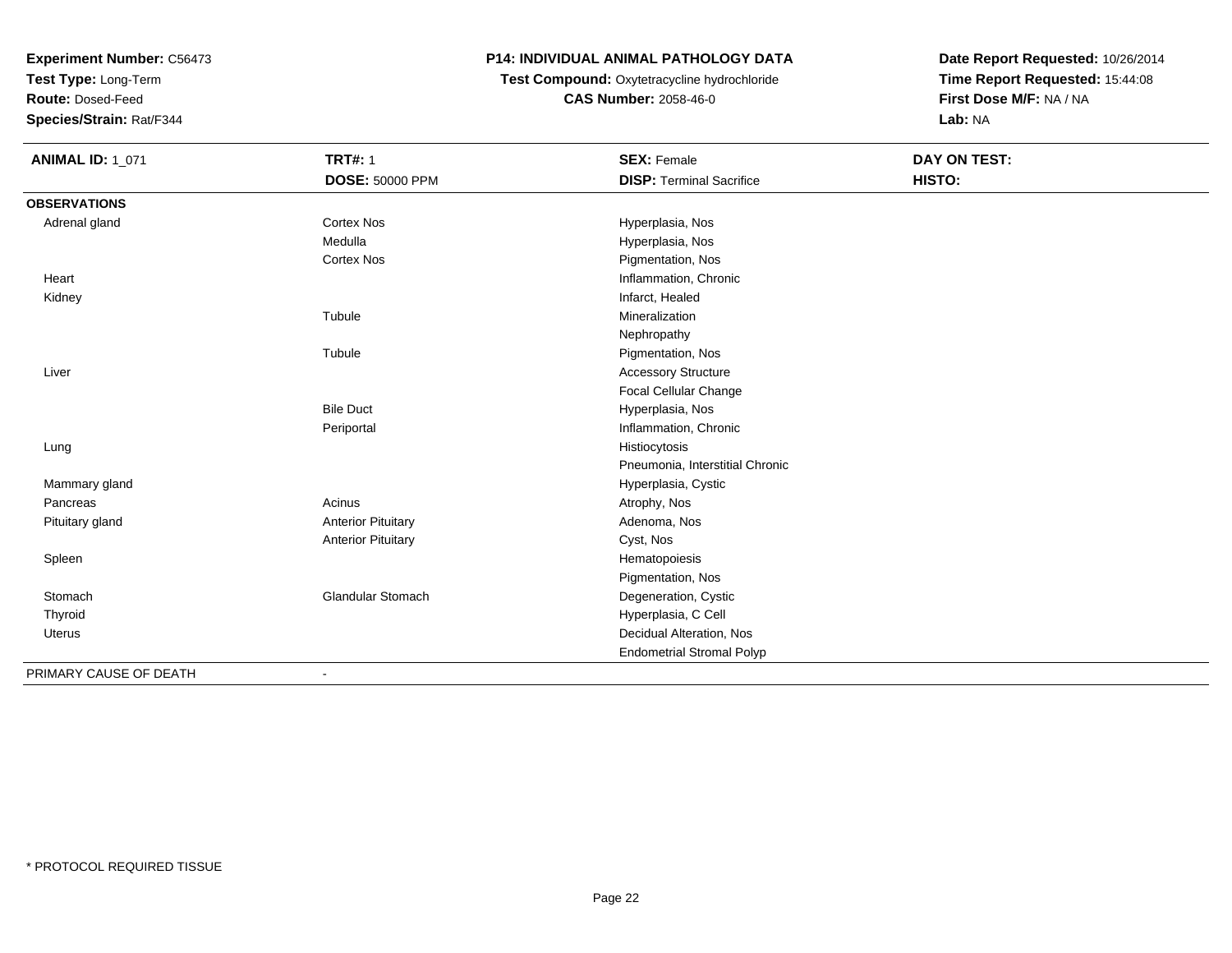**Test Type:** Long-Term

**Route:** Dosed-Feed

**Species/Strain:** Rat/F344

### **P14: INDIVIDUAL ANIMAL PATHOLOGY DATA**

 **Test Compound:** Oxytetracycline hydrochloride**CAS Number:** 2058-46-0

| <b>ANIMAL ID: 1_071</b> | <b>TRT#: 1</b>            | <b>SEX: Female</b>               | <b>DAY ON TEST:</b> |  |
|-------------------------|---------------------------|----------------------------------|---------------------|--|
|                         | <b>DOSE: 50000 PPM</b>    | <b>DISP: Terminal Sacrifice</b>  | HISTO:              |  |
| <b>OBSERVATIONS</b>     |                           |                                  |                     |  |
| Adrenal gland           | <b>Cortex Nos</b>         | Hyperplasia, Nos                 |                     |  |
|                         | Medulla                   | Hyperplasia, Nos                 |                     |  |
|                         | <b>Cortex Nos</b>         | Pigmentation, Nos                |                     |  |
| Heart                   |                           | Inflammation, Chronic            |                     |  |
| Kidney                  |                           | Infarct, Healed                  |                     |  |
|                         | Tubule                    | Mineralization                   |                     |  |
|                         |                           | Nephropathy                      |                     |  |
|                         | Tubule                    | Pigmentation, Nos                |                     |  |
| Liver                   |                           | <b>Accessory Structure</b>       |                     |  |
|                         |                           | Focal Cellular Change            |                     |  |
|                         | <b>Bile Duct</b>          | Hyperplasia, Nos                 |                     |  |
|                         | Periportal                | Inflammation, Chronic            |                     |  |
| Lung                    |                           | Histiocytosis                    |                     |  |
|                         |                           | Pneumonia, Interstitial Chronic  |                     |  |
| Mammary gland           |                           | Hyperplasia, Cystic              |                     |  |
| Pancreas                | Acinus                    | Atrophy, Nos                     |                     |  |
| Pituitary gland         | <b>Anterior Pituitary</b> | Adenoma, Nos                     |                     |  |
|                         | <b>Anterior Pituitary</b> | Cyst, Nos                        |                     |  |
| Spleen                  |                           | Hematopoiesis                    |                     |  |
|                         |                           | Pigmentation, Nos                |                     |  |
| Stomach                 | <b>Glandular Stomach</b>  | Degeneration, Cystic             |                     |  |
| Thyroid                 |                           | Hyperplasia, C Cell              |                     |  |
| Uterus                  |                           | Decidual Alteration, Nos         |                     |  |
|                         |                           | <b>Endometrial Stromal Polyp</b> |                     |  |
| PRIMARY CAUSE OF DEATH  |                           |                                  |                     |  |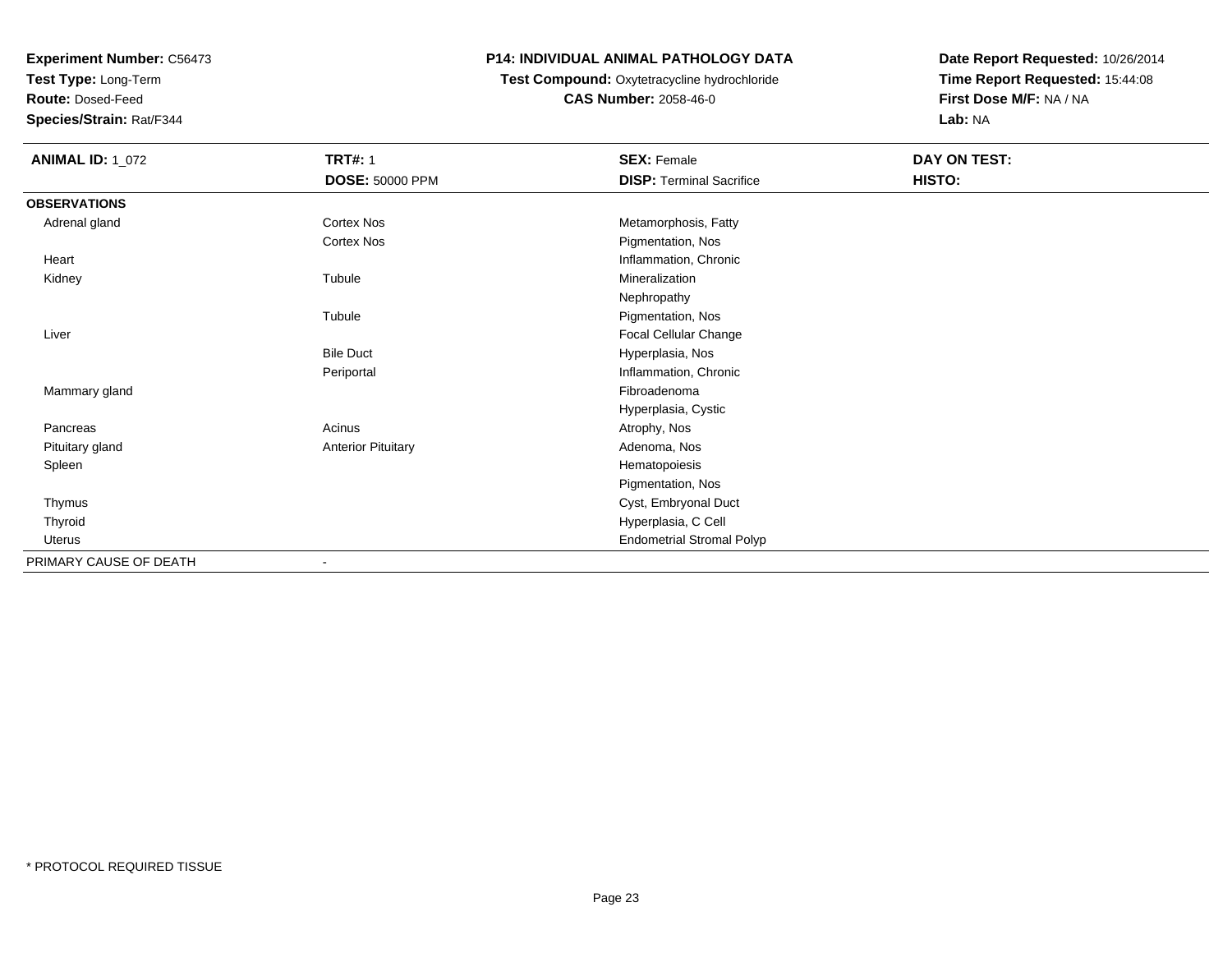**Test Type:** Long-Term

**Route:** Dosed-Feed

**Species/Strain:** Rat/F344

## **P14: INDIVIDUAL ANIMAL PATHOLOGY DATA**

## **Test Compound:** Oxytetracycline hydrochloride**CAS Number:** 2058-46-0

| <b>ANIMAL ID: 1_072</b> | <b>TRT#: 1</b>            | <b>SEX: Female</b>               | DAY ON TEST: |  |
|-------------------------|---------------------------|----------------------------------|--------------|--|
|                         | <b>DOSE: 50000 PPM</b>    | <b>DISP: Terminal Sacrifice</b>  | HISTO:       |  |
| <b>OBSERVATIONS</b>     |                           |                                  |              |  |
| Adrenal gland           | Cortex Nos                | Metamorphosis, Fatty             |              |  |
|                         | Cortex Nos                | Pigmentation, Nos                |              |  |
| Heart                   |                           | Inflammation, Chronic            |              |  |
| Kidney                  | Tubule                    | Mineralization                   |              |  |
|                         |                           | Nephropathy                      |              |  |
|                         | Tubule                    | Pigmentation, Nos                |              |  |
| Liver                   |                           | Focal Cellular Change            |              |  |
|                         | <b>Bile Duct</b>          | Hyperplasia, Nos                 |              |  |
|                         | Periportal                | Inflammation, Chronic            |              |  |
| Mammary gland           |                           | Fibroadenoma                     |              |  |
|                         |                           | Hyperplasia, Cystic              |              |  |
| Pancreas                | Acinus                    | Atrophy, Nos                     |              |  |
| Pituitary gland         | <b>Anterior Pituitary</b> | Adenoma, Nos                     |              |  |
| Spleen                  |                           | Hematopoiesis                    |              |  |
|                         |                           | Pigmentation, Nos                |              |  |
| Thymus                  |                           | Cyst, Embryonal Duct             |              |  |
| Thyroid                 |                           | Hyperplasia, C Cell              |              |  |
| Uterus                  |                           | <b>Endometrial Stromal Polyp</b> |              |  |
| PRIMARY CAUSE OF DEATH  | $\overline{\phantom{a}}$  |                                  |              |  |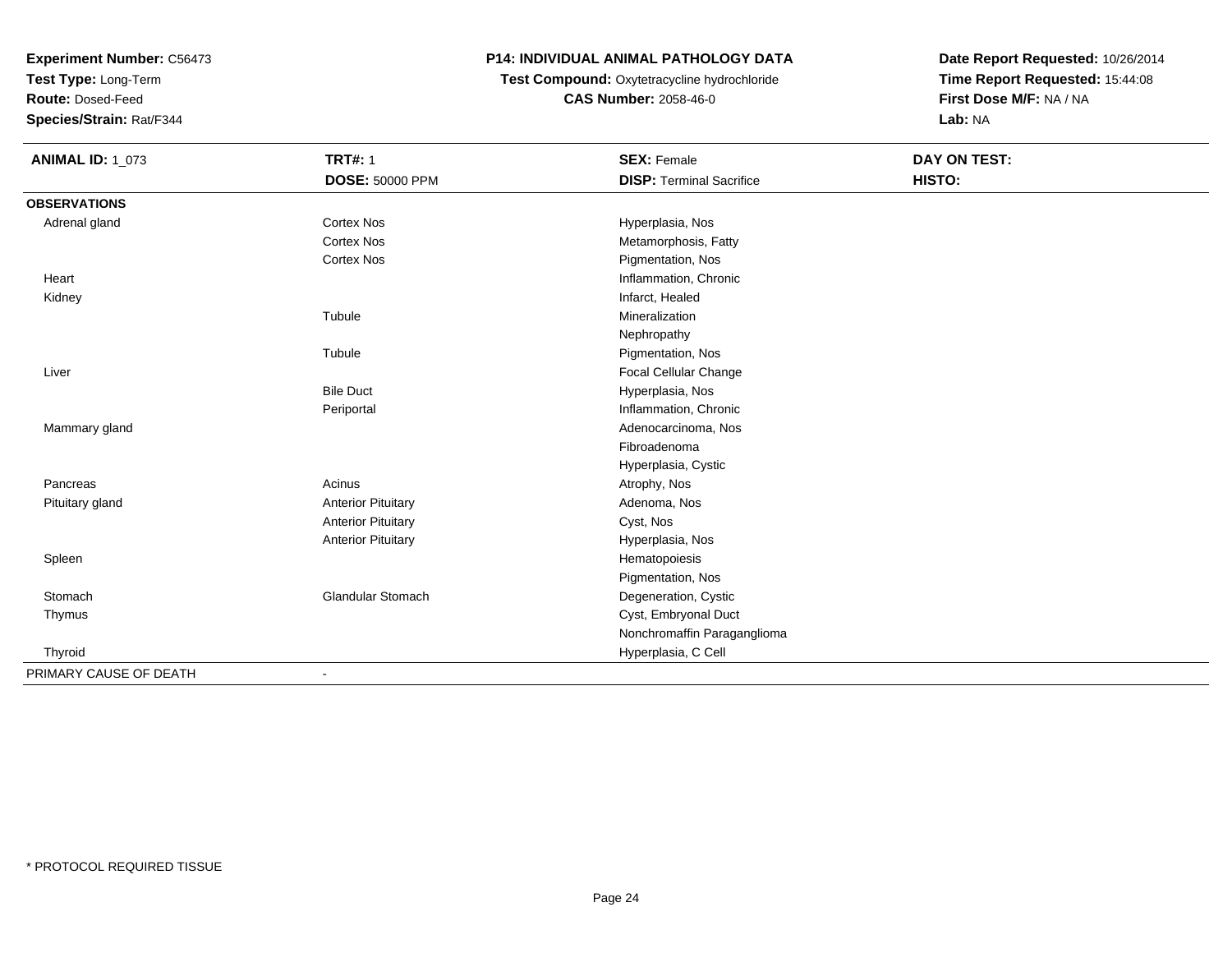**Test Type:** Long-Term

**Route:** Dosed-Feed

**Species/Strain:** Rat/F344

## **P14: INDIVIDUAL ANIMAL PATHOLOGY DATA**

## **Test Compound:** Oxytetracycline hydrochloride**CAS Number:** 2058-46-0

| <b>ANIMAL ID: 1_073</b> | <b>TRT#: 1</b><br>DOSE: 50000 PPM | <b>SEX: Female</b><br><b>DISP: Terminal Sacrifice</b> | DAY ON TEST:<br>HISTO: |  |
|-------------------------|-----------------------------------|-------------------------------------------------------|------------------------|--|
|                         |                                   |                                                       |                        |  |
| <b>OBSERVATIONS</b>     |                                   |                                                       |                        |  |
| Adrenal gland           | <b>Cortex Nos</b>                 | Hyperplasia, Nos                                      |                        |  |
|                         | <b>Cortex Nos</b>                 | Metamorphosis, Fatty                                  |                        |  |
|                         | <b>Cortex Nos</b>                 | Pigmentation, Nos                                     |                        |  |
| Heart                   |                                   | Inflammation, Chronic                                 |                        |  |
| Kidney                  |                                   | Infarct, Healed                                       |                        |  |
|                         | Tubule                            | Mineralization                                        |                        |  |
|                         |                                   | Nephropathy                                           |                        |  |
|                         | Tubule                            | Pigmentation, Nos                                     |                        |  |
| Liver                   |                                   | Focal Cellular Change                                 |                        |  |
|                         | <b>Bile Duct</b>                  | Hyperplasia, Nos                                      |                        |  |
|                         | Periportal                        | Inflammation, Chronic                                 |                        |  |
| Mammary gland           |                                   | Adenocarcinoma, Nos                                   |                        |  |
|                         |                                   | Fibroadenoma                                          |                        |  |
|                         |                                   | Hyperplasia, Cystic                                   |                        |  |
| Pancreas                | Acinus                            | Atrophy, Nos                                          |                        |  |
| Pituitary gland         | <b>Anterior Pituitary</b>         | Adenoma, Nos                                          |                        |  |
|                         | <b>Anterior Pituitary</b>         | Cyst, Nos                                             |                        |  |
|                         | <b>Anterior Pituitary</b>         | Hyperplasia, Nos                                      |                        |  |
| Spleen                  |                                   | Hematopoiesis                                         |                        |  |
|                         |                                   | Pigmentation, Nos                                     |                        |  |
| Stomach                 | Glandular Stomach                 | Degeneration, Cystic                                  |                        |  |
| Thymus                  |                                   | Cyst, Embryonal Duct                                  |                        |  |
|                         |                                   | Nonchromaffin Paraganglioma                           |                        |  |
| Thyroid                 |                                   | Hyperplasia, C Cell                                   |                        |  |
| PRIMARY CAUSE OF DEATH  |                                   |                                                       |                        |  |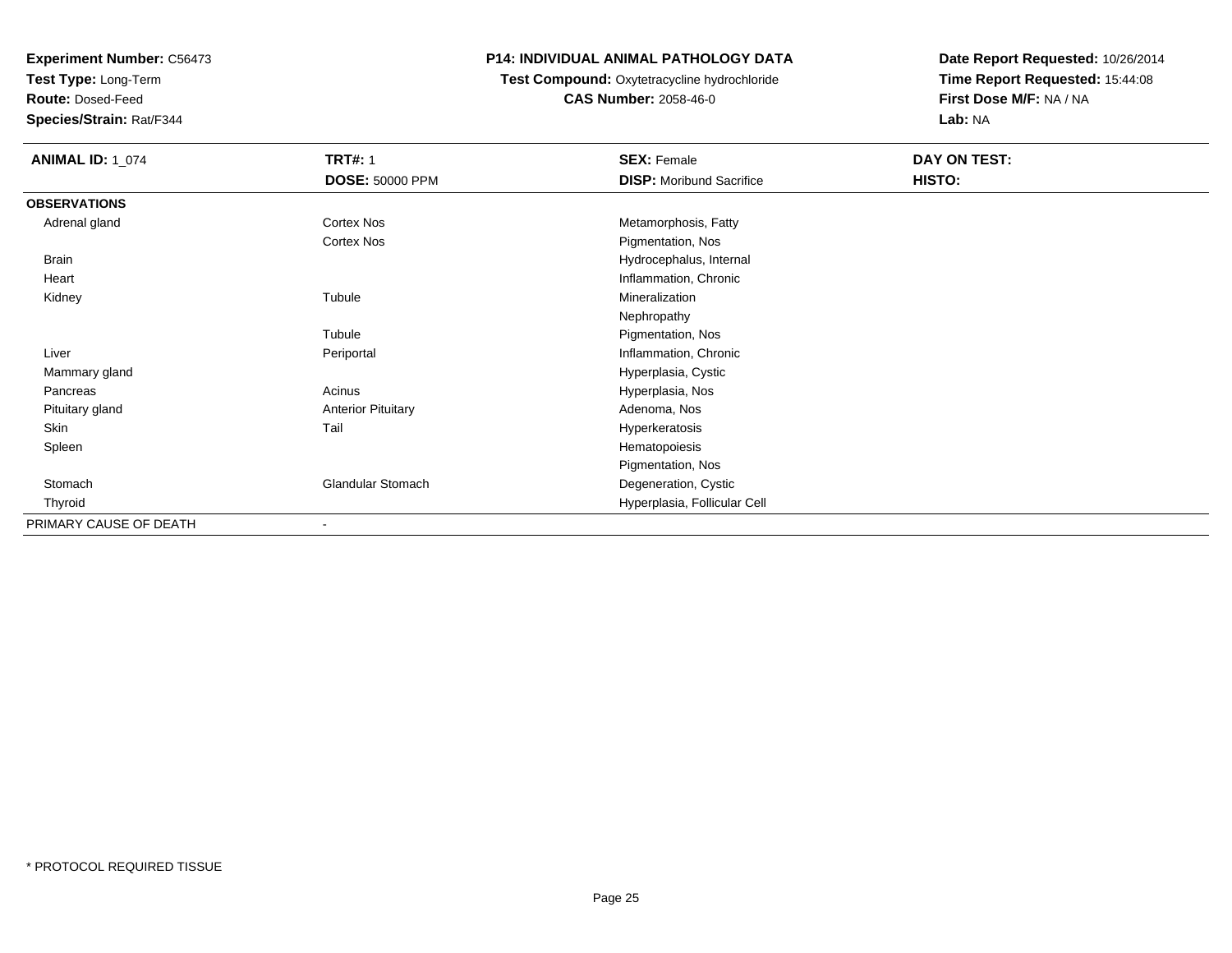**Test Type:** Long-Term

**Route:** Dosed-Feed

**Species/Strain:** Rat/F344

## **P14: INDIVIDUAL ANIMAL PATHOLOGY DATA**

## **Test Compound:** Oxytetracycline hydrochloride**CAS Number:** 2058-46-0

| <b>ANIMAL ID: 1_074</b> | <b>TRT#: 1</b>            | <b>SEX: Female</b>              | DAY ON TEST: |  |
|-------------------------|---------------------------|---------------------------------|--------------|--|
|                         | <b>DOSE: 50000 PPM</b>    | <b>DISP:</b> Moribund Sacrifice | HISTO:       |  |
| <b>OBSERVATIONS</b>     |                           |                                 |              |  |
| Adrenal gland           | Cortex Nos                | Metamorphosis, Fatty            |              |  |
|                         | Cortex Nos                | Pigmentation, Nos               |              |  |
| <b>Brain</b>            |                           | Hydrocephalus, Internal         |              |  |
| Heart                   |                           | Inflammation, Chronic           |              |  |
| Kidney                  | Tubule                    | Mineralization                  |              |  |
|                         |                           | Nephropathy                     |              |  |
|                         | Tubule                    | Pigmentation, Nos               |              |  |
| Liver                   | Periportal                | Inflammation, Chronic           |              |  |
| Mammary gland           |                           | Hyperplasia, Cystic             |              |  |
| Pancreas                | Acinus                    | Hyperplasia, Nos                |              |  |
| Pituitary gland         | <b>Anterior Pituitary</b> | Adenoma, Nos                    |              |  |
| Skin                    | Tail                      | Hyperkeratosis                  |              |  |
| Spleen                  |                           | Hematopoiesis                   |              |  |
|                         |                           | Pigmentation, Nos               |              |  |
| Stomach                 | Glandular Stomach         | Degeneration, Cystic            |              |  |
| Thyroid                 |                           | Hyperplasia, Follicular Cell    |              |  |
| PRIMARY CAUSE OF DEATH  | ٠                         |                                 |              |  |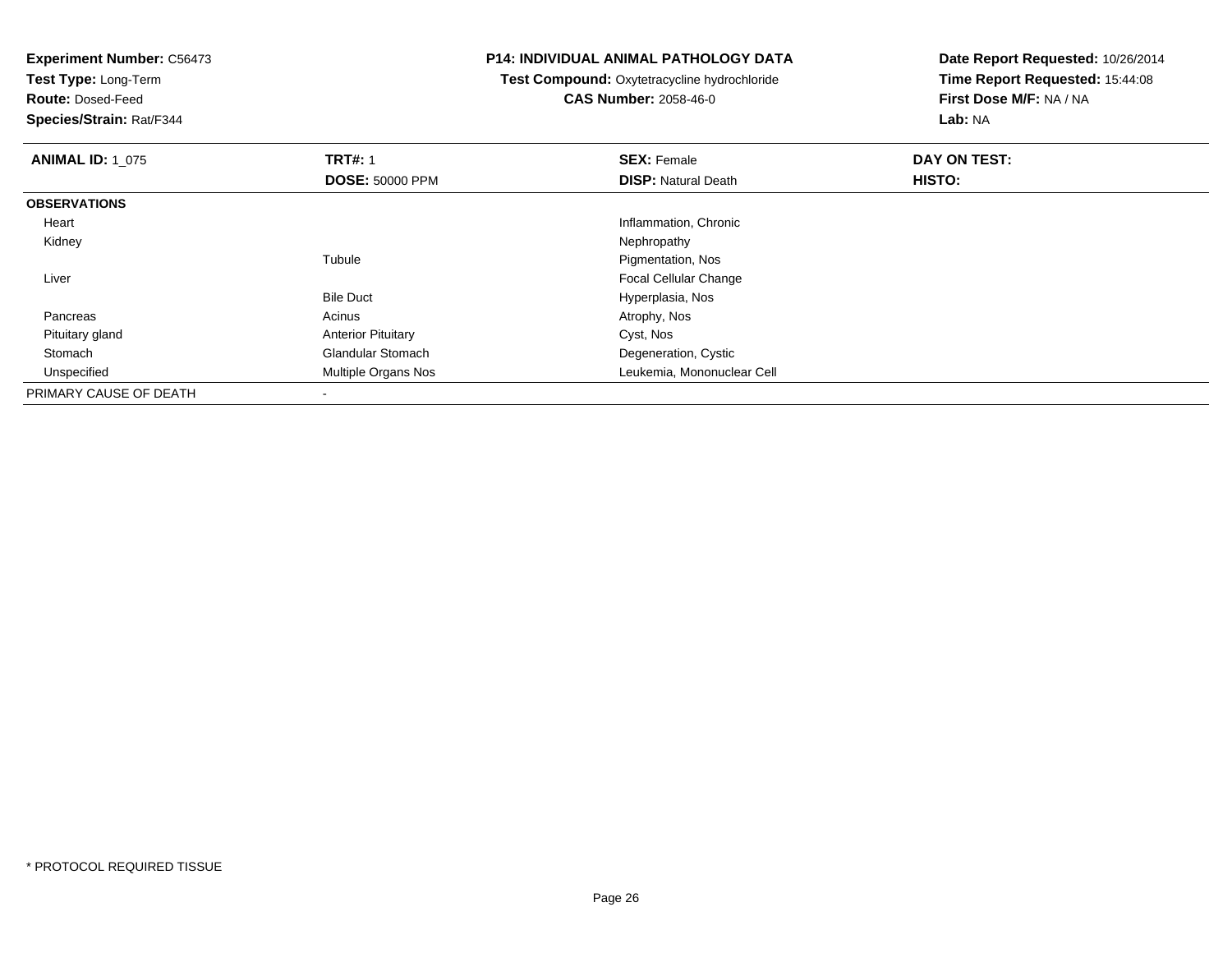**Test Type:** Long-Term

**Route:** Dosed-Feed

**Species/Strain:** Rat/F344

#### **P14: INDIVIDUAL ANIMAL PATHOLOGY DATA**

**Test Compound:** Oxytetracycline hydrochloride**CAS Number:** 2058-46-0

| <b>ANIMAL ID: 1 075</b> | <b>TRT#: 1</b>            | <b>SEX: Female</b>           | DAY ON TEST: |  |
|-------------------------|---------------------------|------------------------------|--------------|--|
|                         | <b>DOSE: 50000 PPM</b>    | <b>DISP:</b> Natural Death   | HISTO:       |  |
| <b>OBSERVATIONS</b>     |                           |                              |              |  |
| Heart                   |                           | Inflammation, Chronic        |              |  |
| Kidney                  |                           | Nephropathy                  |              |  |
|                         | Tubule                    | Pigmentation, Nos            |              |  |
| Liver                   |                           | <b>Focal Cellular Change</b> |              |  |
|                         | <b>Bile Duct</b>          | Hyperplasia, Nos             |              |  |
| Pancreas                | Acinus                    | Atrophy, Nos                 |              |  |
| Pituitary gland         | <b>Anterior Pituitary</b> | Cyst, Nos                    |              |  |
| Stomach                 | <b>Glandular Stomach</b>  | Degeneration, Cystic         |              |  |
| Unspecified             | Multiple Organs Nos       | Leukemia, Mononuclear Cell   |              |  |
| PRIMARY CAUSE OF DEATH  |                           |                              |              |  |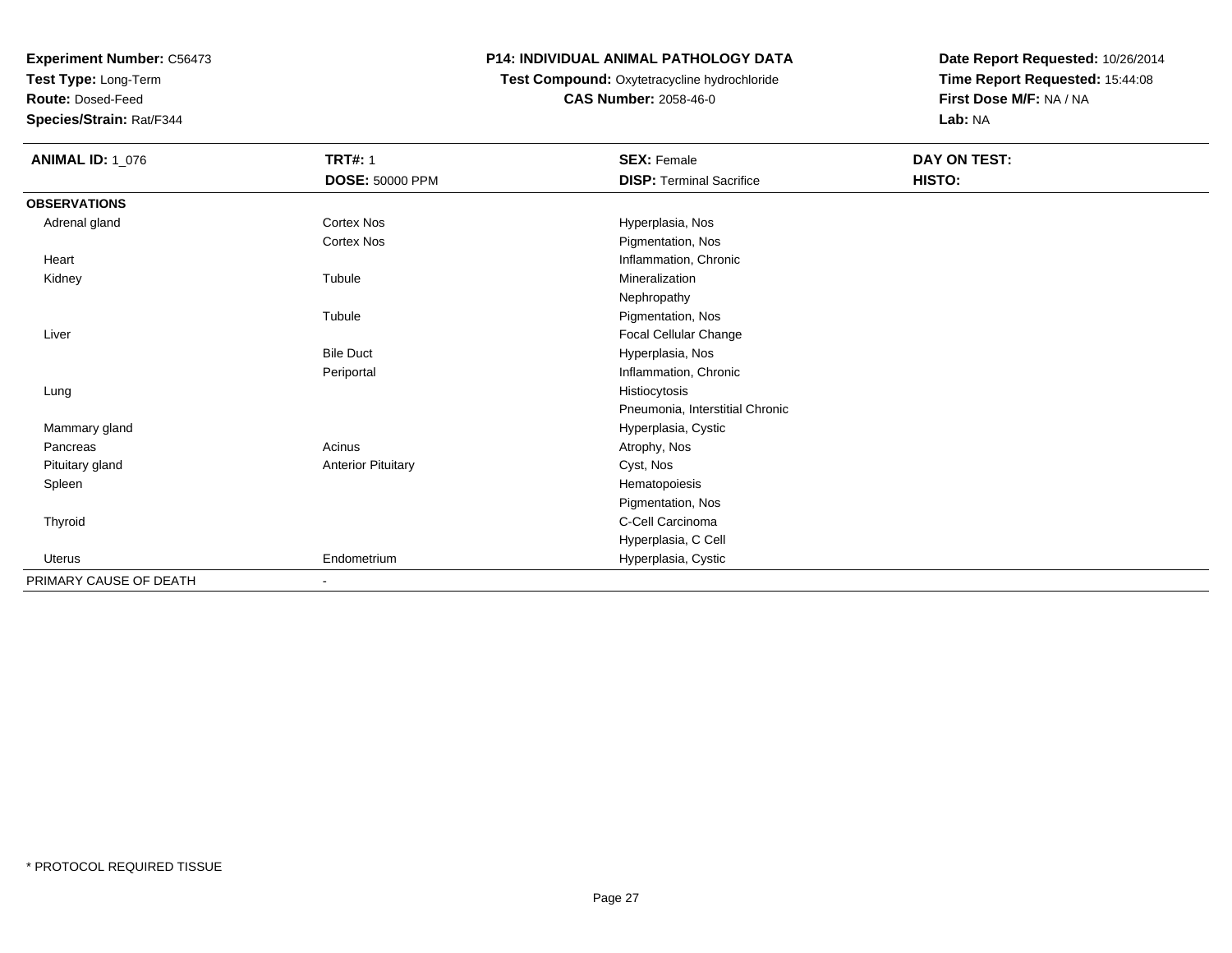**Test Type:** Long-Term

**Route:** Dosed-Feed

**Species/Strain:** Rat/F344

## **P14: INDIVIDUAL ANIMAL PATHOLOGY DATA**

## **Test Compound:** Oxytetracycline hydrochloride**CAS Number:** 2058-46-0

| <b>ANIMAL ID: 1_076</b> | <b>TRT#: 1</b>            | <b>SEX: Female</b>              | DAY ON TEST: |  |
|-------------------------|---------------------------|---------------------------------|--------------|--|
|                         | DOSE: 50000 PPM           | <b>DISP: Terminal Sacrifice</b> | HISTO:       |  |
| <b>OBSERVATIONS</b>     |                           |                                 |              |  |
| Adrenal gland           | Cortex Nos                | Hyperplasia, Nos                |              |  |
|                         | Cortex Nos                | Pigmentation, Nos               |              |  |
| Heart                   |                           | Inflammation, Chronic           |              |  |
| Kidney                  | Tubule                    | Mineralization                  |              |  |
|                         |                           | Nephropathy                     |              |  |
|                         | Tubule                    | Pigmentation, Nos               |              |  |
| Liver                   |                           | Focal Cellular Change           |              |  |
|                         | <b>Bile Duct</b>          | Hyperplasia, Nos                |              |  |
|                         | Periportal                | Inflammation, Chronic           |              |  |
| Lung                    |                           | Histiocytosis                   |              |  |
|                         |                           | Pneumonia, Interstitial Chronic |              |  |
| Mammary gland           |                           | Hyperplasia, Cystic             |              |  |
| Pancreas                | Acinus                    | Atrophy, Nos                    |              |  |
| Pituitary gland         | <b>Anterior Pituitary</b> | Cyst, Nos                       |              |  |
| Spleen                  |                           | Hematopoiesis                   |              |  |
|                         |                           | Pigmentation, Nos               |              |  |
| Thyroid                 |                           | C-Cell Carcinoma                |              |  |
|                         |                           | Hyperplasia, C Cell             |              |  |
| Uterus                  | Endometrium               | Hyperplasia, Cystic             |              |  |
| PRIMARY CAUSE OF DEATH  |                           |                                 |              |  |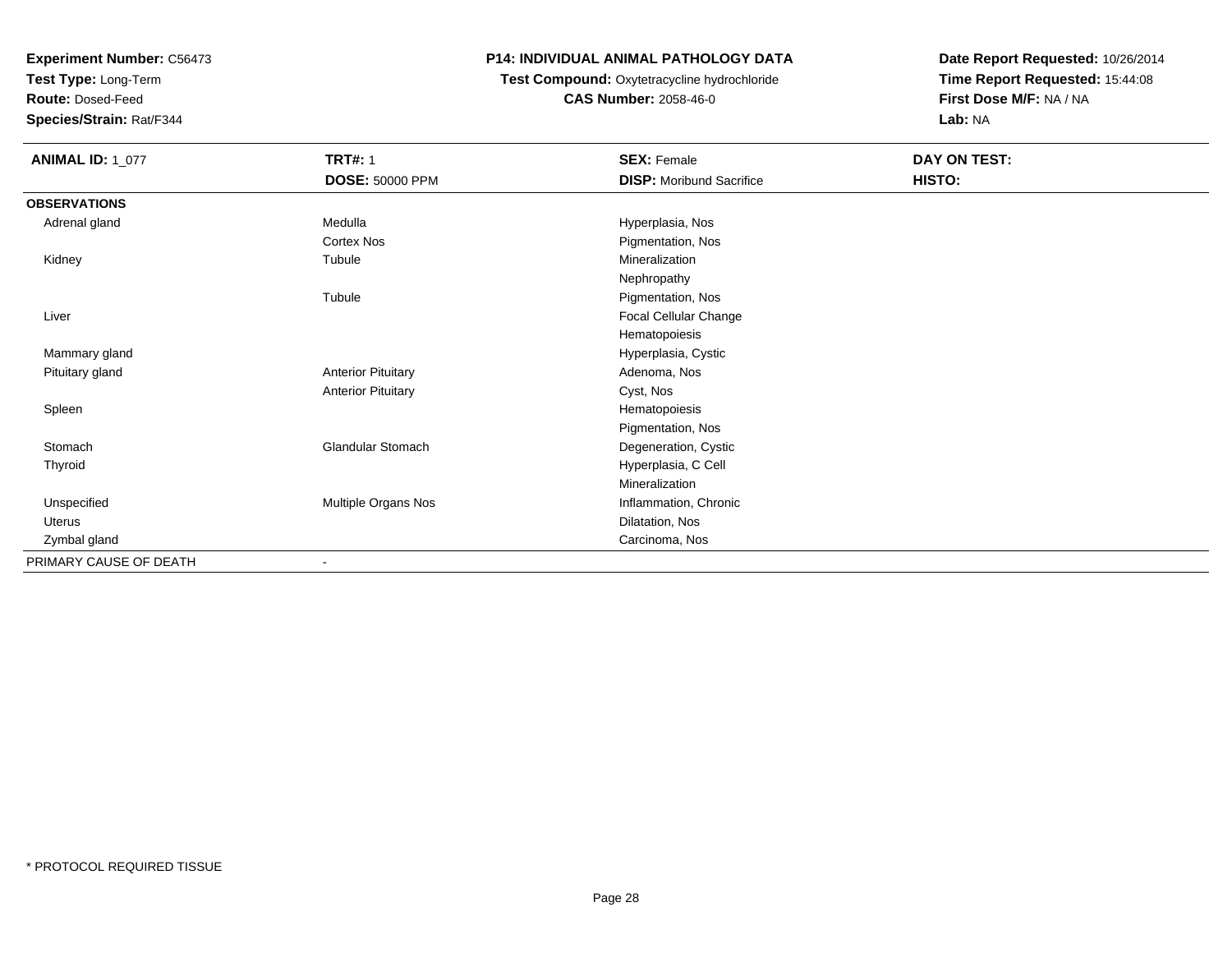**Test Type:** Long-Term

**Route:** Dosed-Feed

**Species/Strain:** Rat/F344

## **P14: INDIVIDUAL ANIMAL PATHOLOGY DATA**

 **Test Compound:** Oxytetracycline hydrochloride**CAS Number:** 2058-46-0

| <b>ANIMAL ID: 1_077</b> | <b>TRT#: 1</b>            | <b>SEX: Female</b>              | DAY ON TEST: |
|-------------------------|---------------------------|---------------------------------|--------------|
|                         | <b>DOSE: 50000 PPM</b>    | <b>DISP: Moribund Sacrifice</b> | HISTO:       |
| <b>OBSERVATIONS</b>     |                           |                                 |              |
| Adrenal gland           | Medulla                   | Hyperplasia, Nos                |              |
|                         | Cortex Nos                | Pigmentation, Nos               |              |
| Kidney                  | Tubule                    | Mineralization                  |              |
|                         |                           | Nephropathy                     |              |
|                         | Tubule                    | Pigmentation, Nos               |              |
| Liver                   |                           | Focal Cellular Change           |              |
|                         |                           | Hematopoiesis                   |              |
| Mammary gland           |                           | Hyperplasia, Cystic             |              |
| Pituitary gland         | <b>Anterior Pituitary</b> | Adenoma, Nos                    |              |
|                         | <b>Anterior Pituitary</b> | Cyst, Nos                       |              |
| Spleen                  |                           | Hematopoiesis                   |              |
|                         |                           | Pigmentation, Nos               |              |
| Stomach                 | <b>Glandular Stomach</b>  | Degeneration, Cystic            |              |
| Thyroid                 |                           | Hyperplasia, C Cell             |              |
|                         |                           | Mineralization                  |              |
| Unspecified             | Multiple Organs Nos       | Inflammation, Chronic           |              |
| Uterus                  |                           | Dilatation, Nos                 |              |
| Zymbal gland            |                           | Carcinoma, Nos                  |              |
| PRIMARY CAUSE OF DEATH  | $\overline{\phantom{a}}$  |                                 |              |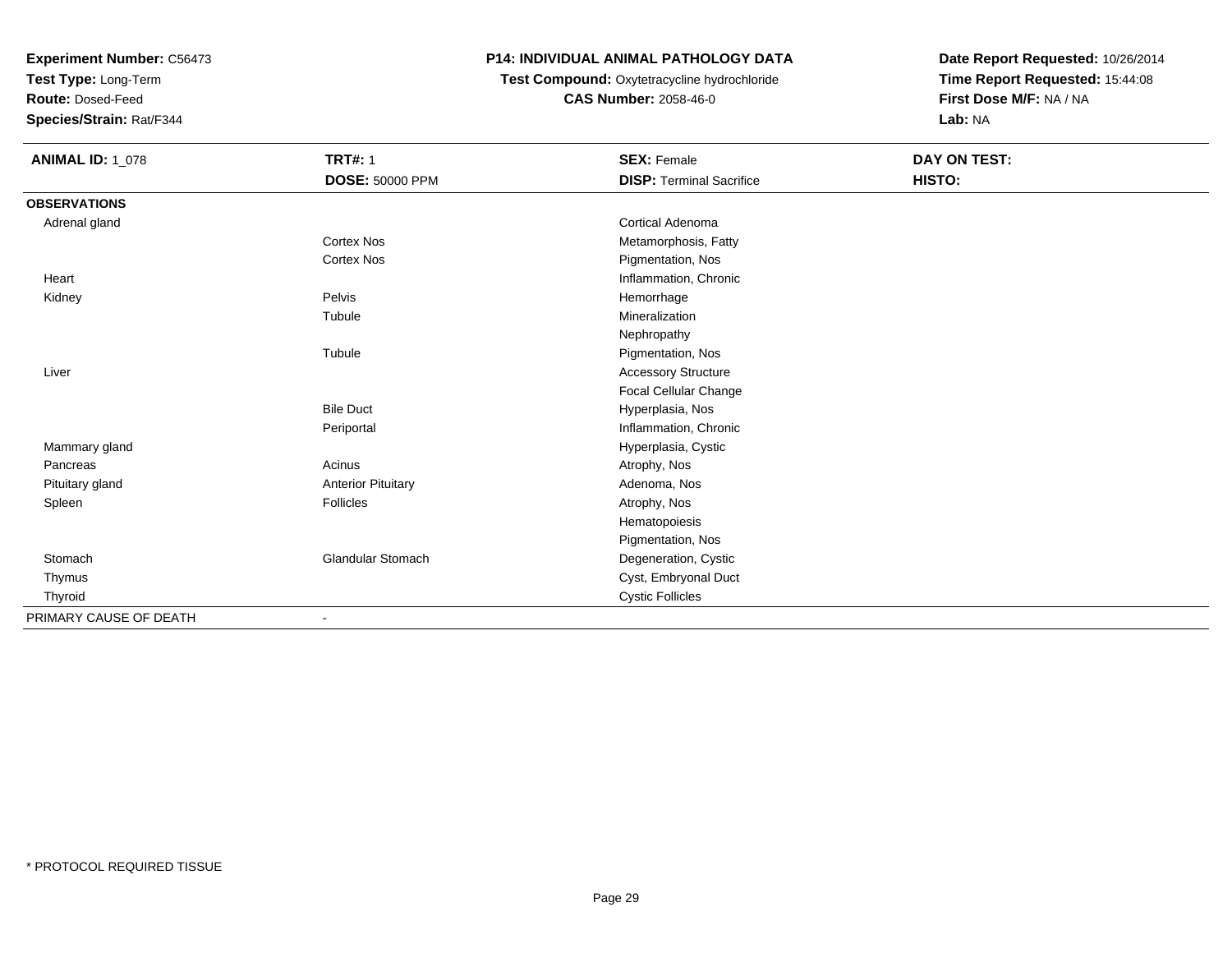**Test Type:** Long-Term

**Route:** Dosed-Feed

**Species/Strain:** Rat/F344

## **P14: INDIVIDUAL ANIMAL PATHOLOGY DATA**

### **Test Compound:** Oxytetracycline hydrochloride**CAS Number:** 2058-46-0

| <b>ANIMAL ID: 1_078</b> | <b>TRT#: 1</b>            | <b>SEX: Female</b>              | DAY ON TEST: |  |
|-------------------------|---------------------------|---------------------------------|--------------|--|
|                         | <b>DOSE: 50000 PPM</b>    | <b>DISP: Terminal Sacrifice</b> | HISTO:       |  |
| <b>OBSERVATIONS</b>     |                           |                                 |              |  |
| Adrenal gland           |                           | <b>Cortical Adenoma</b>         |              |  |
|                         | <b>Cortex Nos</b>         | Metamorphosis, Fatty            |              |  |
|                         | <b>Cortex Nos</b>         | Pigmentation, Nos               |              |  |
| Heart                   |                           | Inflammation, Chronic           |              |  |
| Kidney                  | Pelvis                    | Hemorrhage                      |              |  |
|                         | Tubule                    | Mineralization                  |              |  |
|                         |                           | Nephropathy                     |              |  |
|                         | Tubule                    | Pigmentation, Nos               |              |  |
| Liver                   |                           | <b>Accessory Structure</b>      |              |  |
|                         |                           | Focal Cellular Change           |              |  |
|                         | <b>Bile Duct</b>          | Hyperplasia, Nos                |              |  |
|                         | Periportal                | Inflammation, Chronic           |              |  |
| Mammary gland           |                           | Hyperplasia, Cystic             |              |  |
| Pancreas                | Acinus                    | Atrophy, Nos                    |              |  |
| Pituitary gland         | <b>Anterior Pituitary</b> | Adenoma, Nos                    |              |  |
| Spleen                  | Follicles                 | Atrophy, Nos                    |              |  |
|                         |                           | Hematopoiesis                   |              |  |
|                         |                           | Pigmentation, Nos               |              |  |
| Stomach                 | <b>Glandular Stomach</b>  | Degeneration, Cystic            |              |  |
| Thymus                  |                           | Cyst, Embryonal Duct            |              |  |
| Thyroid                 |                           | <b>Cystic Follicles</b>         |              |  |
| PRIMARY CAUSE OF DEATH  |                           |                                 |              |  |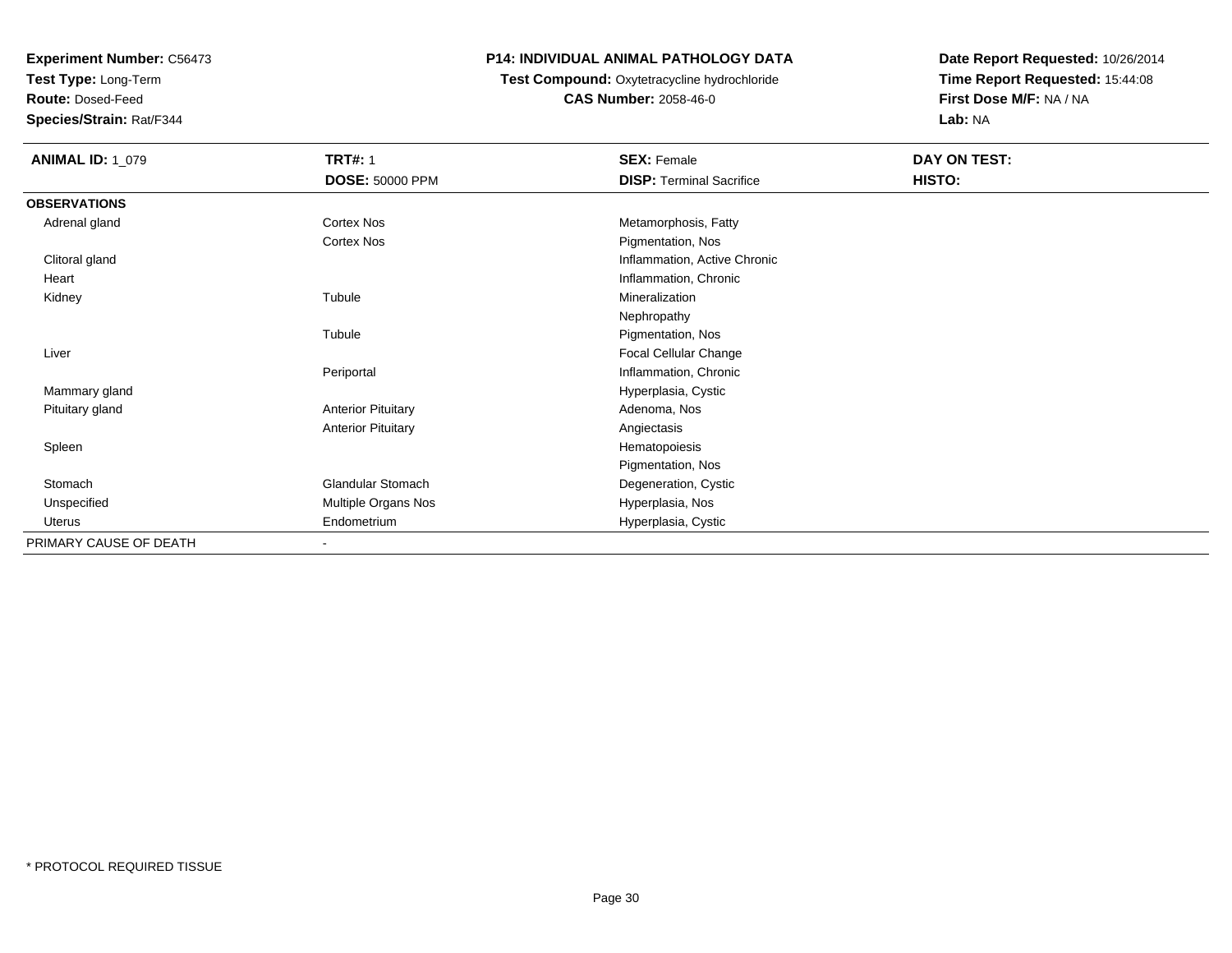**Test Type:** Long-Term

**Route:** Dosed-Feed

**Species/Strain:** Rat/F344

### **P14: INDIVIDUAL ANIMAL PATHOLOGY DATA**

## **Test Compound:** Oxytetracycline hydrochloride**CAS Number:** 2058-46-0

| <b>ANIMAL ID: 1_079</b> | <b>TRT#: 1</b>            | <b>SEX: Female</b>              | DAY ON TEST: |  |
|-------------------------|---------------------------|---------------------------------|--------------|--|
|                         | <b>DOSE: 50000 PPM</b>    | <b>DISP: Terminal Sacrifice</b> | HISTO:       |  |
| <b>OBSERVATIONS</b>     |                           |                                 |              |  |
| Adrenal gland           | <b>Cortex Nos</b>         | Metamorphosis, Fatty            |              |  |
|                         | Cortex Nos                | Pigmentation, Nos               |              |  |
| Clitoral gland          |                           | Inflammation, Active Chronic    |              |  |
| Heart                   |                           | Inflammation, Chronic           |              |  |
| Kidney                  | Tubule                    | Mineralization                  |              |  |
|                         |                           | Nephropathy                     |              |  |
|                         | Tubule                    | Pigmentation, Nos               |              |  |
| Liver                   |                           | Focal Cellular Change           |              |  |
|                         | Periportal                | Inflammation, Chronic           |              |  |
| Mammary gland           |                           | Hyperplasia, Cystic             |              |  |
| Pituitary gland         | <b>Anterior Pituitary</b> | Adenoma, Nos                    |              |  |
|                         | <b>Anterior Pituitary</b> | Angiectasis                     |              |  |
| Spleen                  |                           | Hematopoiesis                   |              |  |
|                         |                           | Pigmentation, Nos               |              |  |
| Stomach                 | <b>Glandular Stomach</b>  | Degeneration, Cystic            |              |  |
| Unspecified             | Multiple Organs Nos       | Hyperplasia, Nos                |              |  |
| Uterus                  | Endometrium               | Hyperplasia, Cystic             |              |  |
| PRIMARY CAUSE OF DEATH  | $\overline{\phantom{a}}$  |                                 |              |  |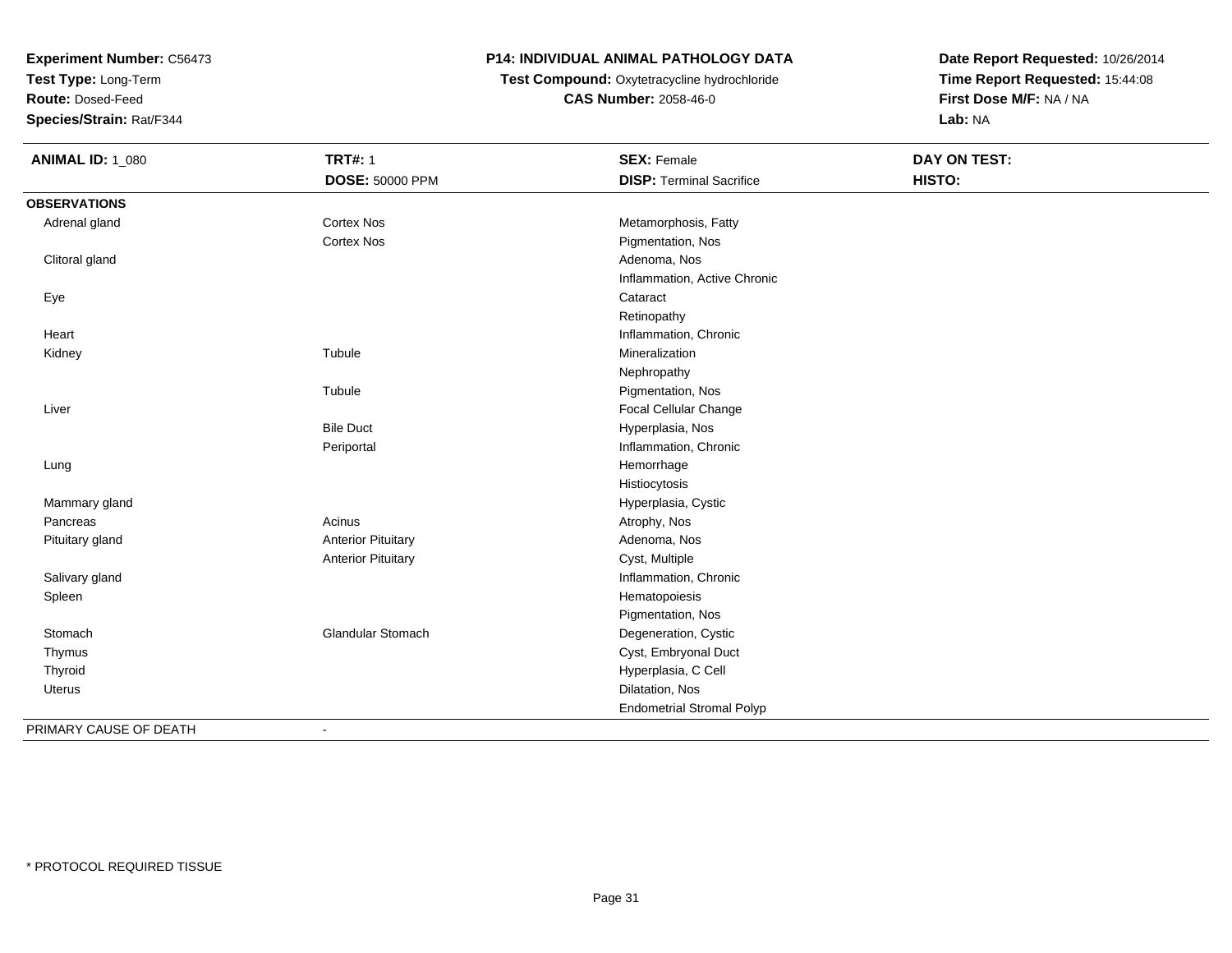**Test Type:** Long-Term

**Route:** Dosed-Feed

**Species/Strain:** Rat/F344

## **P14: INDIVIDUAL ANIMAL PATHOLOGY DATA**

**Test Compound:** Oxytetracycline hydrochloride**CAS Number:** 2058-46-0

| <b>ANIMAL ID: 1_080</b> | <b>TRT#: 1</b>            | <b>SEX: Female</b>               | <b>DAY ON TEST:</b> |  |
|-------------------------|---------------------------|----------------------------------|---------------------|--|
|                         | <b>DOSE: 50000 PPM</b>    | <b>DISP: Terminal Sacrifice</b>  | HISTO:              |  |
| <b>OBSERVATIONS</b>     |                           |                                  |                     |  |
| Adrenal gland           | <b>Cortex Nos</b>         | Metamorphosis, Fatty             |                     |  |
|                         | Cortex Nos                | Pigmentation, Nos                |                     |  |
| Clitoral gland          |                           | Adenoma, Nos                     |                     |  |
|                         |                           | Inflammation, Active Chronic     |                     |  |
| Eye                     |                           | Cataract                         |                     |  |
|                         |                           | Retinopathy                      |                     |  |
| Heart                   |                           | Inflammation, Chronic            |                     |  |
| Kidney                  | Tubule                    | Mineralization                   |                     |  |
|                         |                           | Nephropathy                      |                     |  |
|                         | Tubule                    | Pigmentation, Nos                |                     |  |
| Liver                   |                           | Focal Cellular Change            |                     |  |
|                         | <b>Bile Duct</b>          | Hyperplasia, Nos                 |                     |  |
|                         | Periportal                | Inflammation, Chronic            |                     |  |
| Lung                    |                           | Hemorrhage                       |                     |  |
|                         |                           | Histiocytosis                    |                     |  |
| Mammary gland           |                           | Hyperplasia, Cystic              |                     |  |
| Pancreas                | Acinus                    | Atrophy, Nos                     |                     |  |
| Pituitary gland         | <b>Anterior Pituitary</b> | Adenoma, Nos                     |                     |  |
|                         | <b>Anterior Pituitary</b> | Cyst, Multiple                   |                     |  |
| Salivary gland          |                           | Inflammation, Chronic            |                     |  |
| Spleen                  |                           | Hematopoiesis                    |                     |  |
|                         |                           | Pigmentation, Nos                |                     |  |
| Stomach                 | Glandular Stomach         | Degeneration, Cystic             |                     |  |
| Thymus                  |                           | Cyst, Embryonal Duct             |                     |  |
| Thyroid                 |                           | Hyperplasia, C Cell              |                     |  |
| Uterus                  |                           | Dilatation, Nos                  |                     |  |
|                         |                           | <b>Endometrial Stromal Polyp</b> |                     |  |
| PRIMARY CAUSE OF DEATH  | $\overline{\phantom{a}}$  |                                  |                     |  |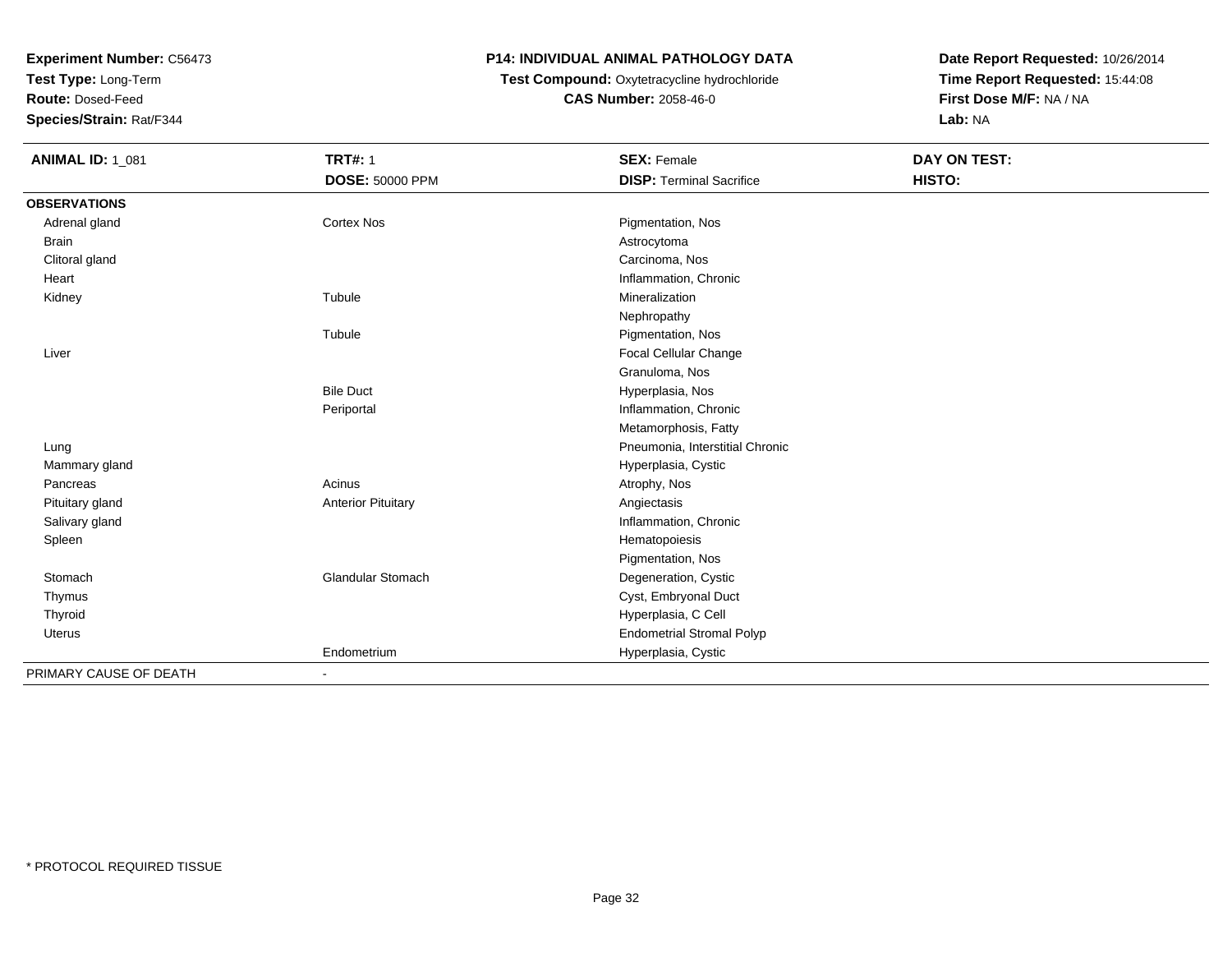**Test Type:** Long-Term

**Route:** Dosed-Feed

**Species/Strain:** Rat/F344

## **P14: INDIVIDUAL ANIMAL PATHOLOGY DATA**

## **Test Compound:** Oxytetracycline hydrochloride**CAS Number:** 2058-46-0

| <b>ANIMAL ID: 1_081</b> | <b>TRT#: 1</b>            | <b>SEX: Female</b>               | DAY ON TEST: |  |
|-------------------------|---------------------------|----------------------------------|--------------|--|
|                         | <b>DOSE: 50000 PPM</b>    | <b>DISP: Terminal Sacrifice</b>  | HISTO:       |  |
| <b>OBSERVATIONS</b>     |                           |                                  |              |  |
| Adrenal gland           | <b>Cortex Nos</b>         | Pigmentation, Nos                |              |  |
| <b>Brain</b>            |                           | Astrocytoma                      |              |  |
| Clitoral gland          |                           | Carcinoma, Nos                   |              |  |
| Heart                   |                           | Inflammation, Chronic            |              |  |
| Kidney                  | Tubule                    | Mineralization                   |              |  |
|                         |                           | Nephropathy                      |              |  |
|                         | Tubule                    | Pigmentation, Nos                |              |  |
| Liver                   |                           | Focal Cellular Change            |              |  |
|                         |                           | Granuloma, Nos                   |              |  |
|                         | <b>Bile Duct</b>          | Hyperplasia, Nos                 |              |  |
|                         | Periportal                | Inflammation, Chronic            |              |  |
|                         |                           | Metamorphosis, Fatty             |              |  |
| Lung                    |                           | Pneumonia, Interstitial Chronic  |              |  |
| Mammary gland           |                           | Hyperplasia, Cystic              |              |  |
| Pancreas                | Acinus                    | Atrophy, Nos                     |              |  |
| Pituitary gland         | <b>Anterior Pituitary</b> | Angiectasis                      |              |  |
| Salivary gland          |                           | Inflammation, Chronic            |              |  |
| Spleen                  |                           | Hematopoiesis                    |              |  |
|                         |                           | Pigmentation, Nos                |              |  |
| Stomach                 | Glandular Stomach         | Degeneration, Cystic             |              |  |
| Thymus                  |                           | Cyst, Embryonal Duct             |              |  |
| Thyroid                 |                           | Hyperplasia, C Cell              |              |  |
| <b>Uterus</b>           |                           | <b>Endometrial Stromal Polyp</b> |              |  |
|                         | Endometrium               | Hyperplasia, Cystic              |              |  |
| PRIMARY CAUSE OF DEATH  |                           |                                  |              |  |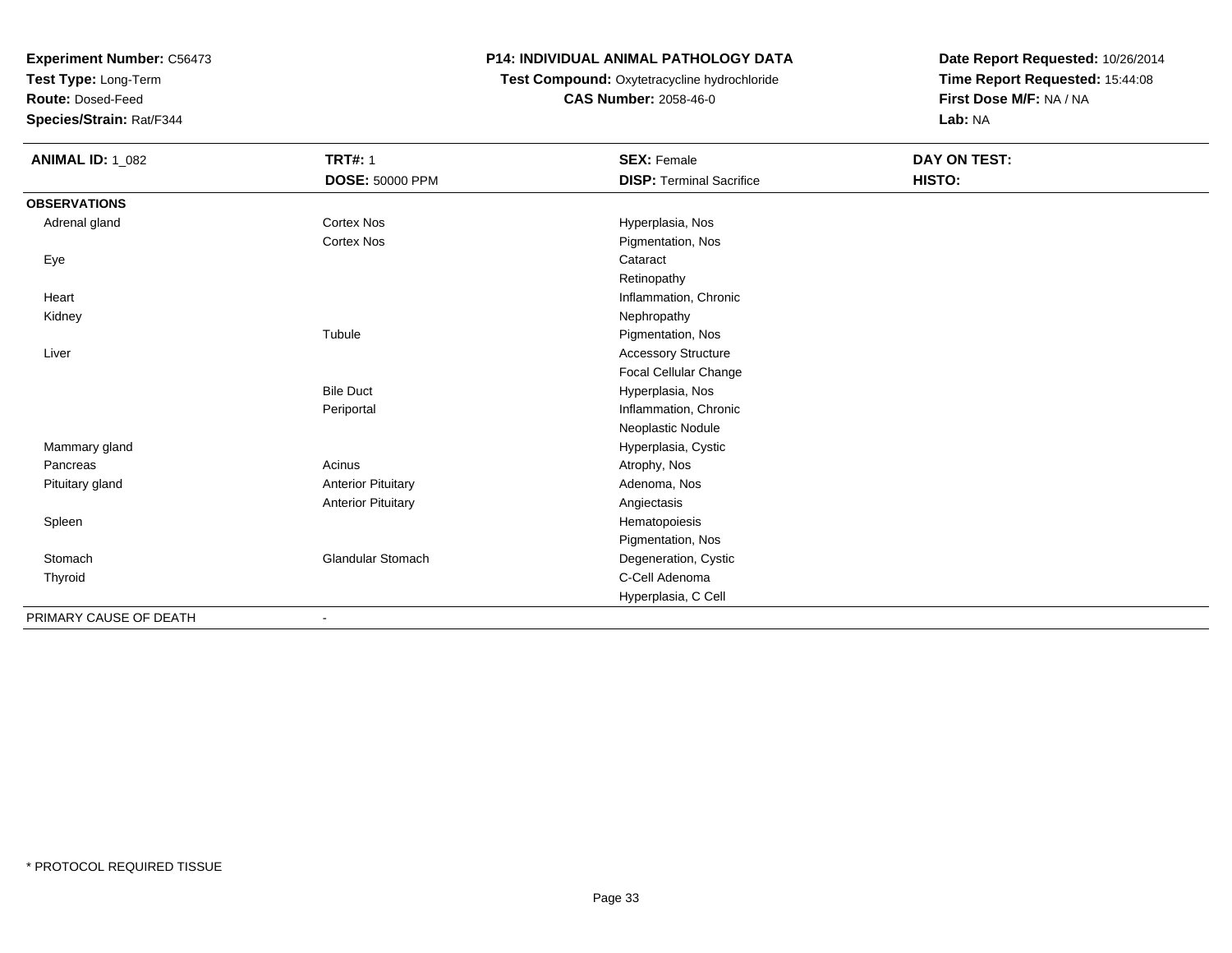**Test Type:** Long-Term

**Route:** Dosed-Feed

**Species/Strain:** Rat/F344

## **P14: INDIVIDUAL ANIMAL PATHOLOGY DATA**

**Test Compound:** Oxytetracycline hydrochloride**CAS Number:** 2058-46-0

| <b>ANIMAL ID: 1_082</b> | <b>TRT#: 1</b>               | <b>SEX: Female</b>              | DAY ON TEST: |
|-------------------------|------------------------------|---------------------------------|--------------|
|                         | DOSE: 50000 PPM              | <b>DISP: Terminal Sacrifice</b> | HISTO:       |
| <b>OBSERVATIONS</b>     |                              |                                 |              |
| Adrenal gland           | <b>Cortex Nos</b>            | Hyperplasia, Nos                |              |
|                         | <b>Cortex Nos</b>            | Pigmentation, Nos               |              |
| Eye                     |                              | Cataract                        |              |
|                         |                              | Retinopathy                     |              |
| Heart                   |                              | Inflammation, Chronic           |              |
| Kidney                  |                              | Nephropathy                     |              |
|                         | Tubule                       | Pigmentation, Nos               |              |
| Liver                   |                              | <b>Accessory Structure</b>      |              |
|                         |                              | Focal Cellular Change           |              |
|                         | <b>Bile Duct</b>             | Hyperplasia, Nos                |              |
|                         | Periportal                   | Inflammation, Chronic           |              |
|                         |                              | Neoplastic Nodule               |              |
| Mammary gland           |                              | Hyperplasia, Cystic             |              |
| Pancreas                | Acinus                       | Atrophy, Nos                    |              |
| Pituitary gland         | <b>Anterior Pituitary</b>    | Adenoma, Nos                    |              |
|                         | <b>Anterior Pituitary</b>    | Angiectasis                     |              |
| Spleen                  |                              | Hematopoiesis                   |              |
|                         |                              | Pigmentation, Nos               |              |
| Stomach                 | <b>Glandular Stomach</b>     | Degeneration, Cystic            |              |
| Thyroid                 |                              | C-Cell Adenoma                  |              |
|                         |                              | Hyperplasia, C Cell             |              |
| PRIMARY CAUSE OF DEATH  | $\qquad \qquad \blacksquare$ |                                 |              |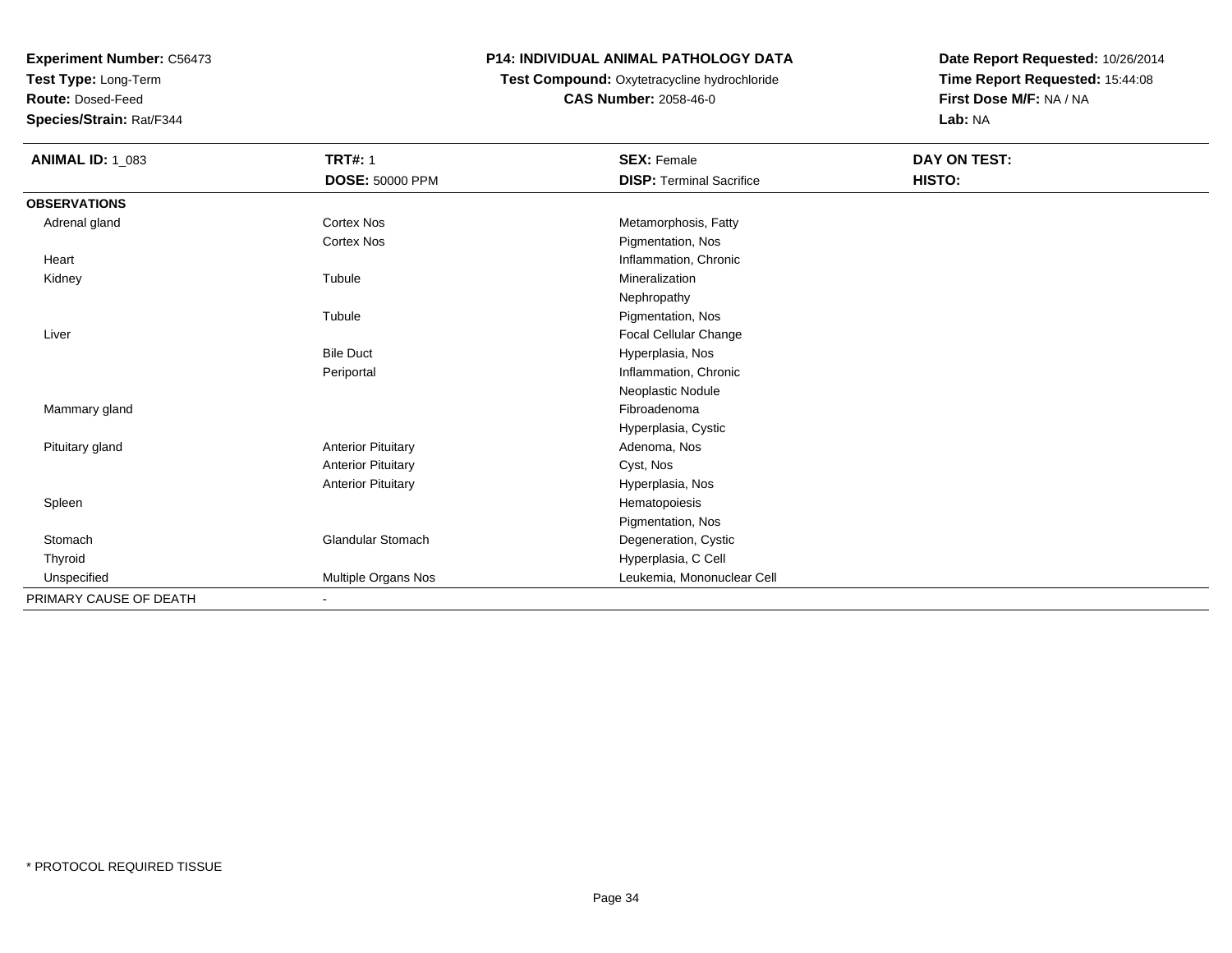**Test Type:** Long-Term

**Route:** Dosed-Feed

**Species/Strain:** Rat/F344

## **P14: INDIVIDUAL ANIMAL PATHOLOGY DATA**

## **Test Compound:** Oxytetracycline hydrochloride**CAS Number:** 2058-46-0

| <b>ANIMAL ID: 1_083</b> | <b>TRT#: 1</b>            | <b>SEX: Female</b>              | DAY ON TEST: |  |
|-------------------------|---------------------------|---------------------------------|--------------|--|
|                         | <b>DOSE: 50000 PPM</b>    | <b>DISP: Terminal Sacrifice</b> | HISTO:       |  |
| <b>OBSERVATIONS</b>     |                           |                                 |              |  |
| Adrenal gland           | <b>Cortex Nos</b>         | Metamorphosis, Fatty            |              |  |
|                         | <b>Cortex Nos</b>         | Pigmentation, Nos               |              |  |
| Heart                   |                           | Inflammation, Chronic           |              |  |
| Kidney                  | Tubule                    | Mineralization                  |              |  |
|                         |                           | Nephropathy                     |              |  |
|                         | Tubule                    | Pigmentation, Nos               |              |  |
| Liver                   |                           | Focal Cellular Change           |              |  |
|                         | <b>Bile Duct</b>          | Hyperplasia, Nos                |              |  |
|                         | Periportal                | Inflammation, Chronic           |              |  |
|                         |                           | Neoplastic Nodule               |              |  |
| Mammary gland           |                           | Fibroadenoma                    |              |  |
|                         |                           | Hyperplasia, Cystic             |              |  |
| Pituitary gland         | <b>Anterior Pituitary</b> | Adenoma, Nos                    |              |  |
|                         | <b>Anterior Pituitary</b> | Cyst, Nos                       |              |  |
|                         | <b>Anterior Pituitary</b> | Hyperplasia, Nos                |              |  |
| Spleen                  |                           | Hematopoiesis                   |              |  |
|                         |                           | Pigmentation, Nos               |              |  |
| Stomach                 | <b>Glandular Stomach</b>  | Degeneration, Cystic            |              |  |
| Thyroid                 |                           | Hyperplasia, C Cell             |              |  |
| Unspecified             | Multiple Organs Nos       | Leukemia, Mononuclear Cell      |              |  |
| PRIMARY CAUSE OF DEATH  | $\sim$                    |                                 |              |  |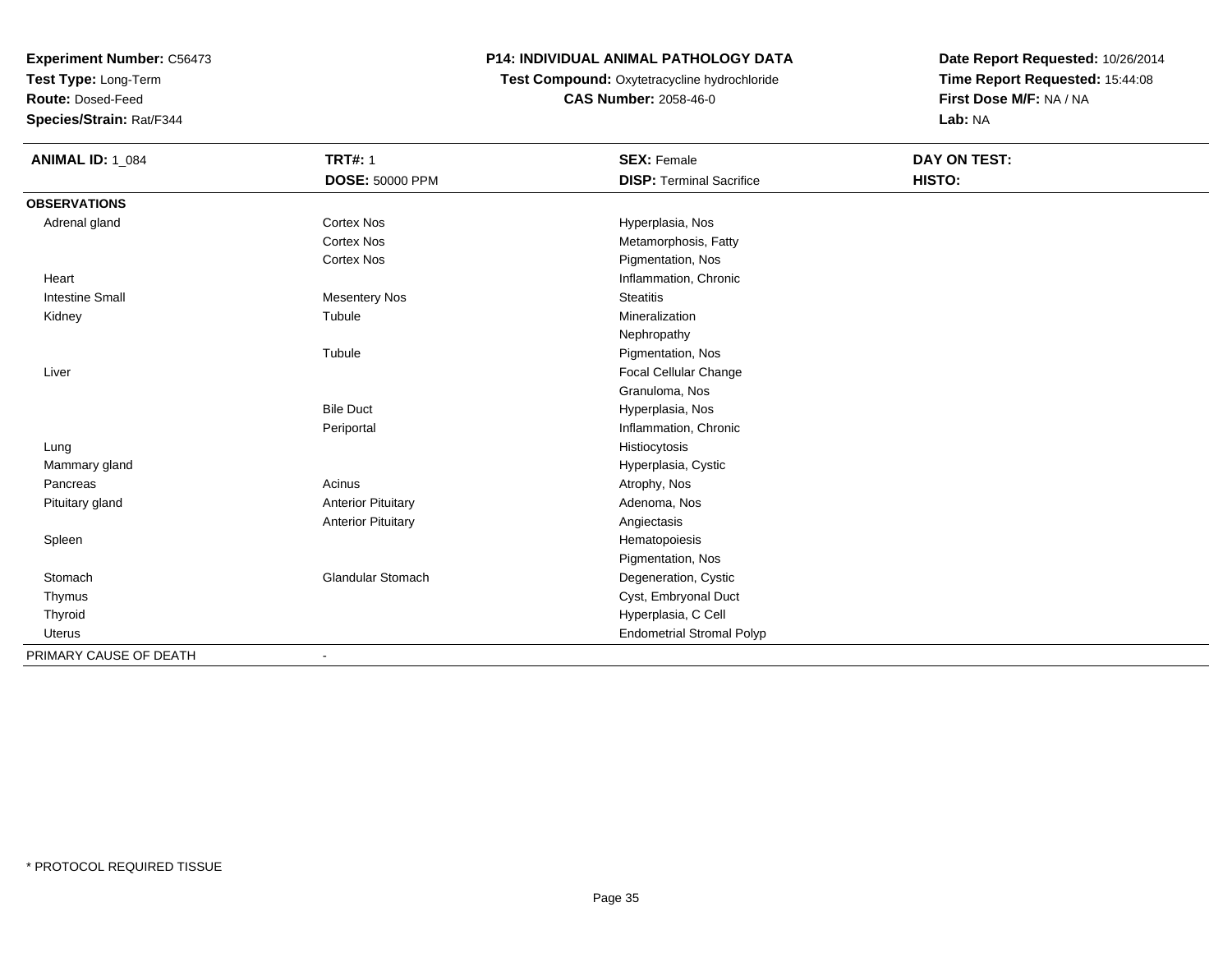**Test Type:** Long-Term

**Route:** Dosed-Feed

**Species/Strain:** Rat/F344

## **P14: INDIVIDUAL ANIMAL PATHOLOGY DATA**

**Test Compound:** Oxytetracycline hydrochloride**CAS Number:** 2058-46-0

| <b>ANIMAL ID: 1_084</b> | <b>TRT#: 1</b>            | <b>SEX: Female</b>               | DAY ON TEST: |  |
|-------------------------|---------------------------|----------------------------------|--------------|--|
|                         | <b>DOSE: 50000 PPM</b>    | <b>DISP: Terminal Sacrifice</b>  | HISTO:       |  |
| <b>OBSERVATIONS</b>     |                           |                                  |              |  |
| Adrenal gland           | Cortex Nos                | Hyperplasia, Nos                 |              |  |
|                         | <b>Cortex Nos</b>         | Metamorphosis, Fatty             |              |  |
|                         | <b>Cortex Nos</b>         | Pigmentation, Nos                |              |  |
| Heart                   |                           | Inflammation, Chronic            |              |  |
| <b>Intestine Small</b>  | Mesentery Nos             | <b>Steatitis</b>                 |              |  |
| Kidney                  | Tubule                    | Mineralization                   |              |  |
|                         |                           | Nephropathy                      |              |  |
|                         | Tubule                    | Pigmentation, Nos                |              |  |
| Liver                   |                           | Focal Cellular Change            |              |  |
|                         |                           | Granuloma, Nos                   |              |  |
|                         | <b>Bile Duct</b>          | Hyperplasia, Nos                 |              |  |
|                         | Periportal                | Inflammation, Chronic            |              |  |
| Lung                    |                           | Histiocytosis                    |              |  |
| Mammary gland           |                           | Hyperplasia, Cystic              |              |  |
| Pancreas                | Acinus                    | Atrophy, Nos                     |              |  |
| Pituitary gland         | <b>Anterior Pituitary</b> | Adenoma, Nos                     |              |  |
|                         | <b>Anterior Pituitary</b> | Angiectasis                      |              |  |
| Spleen                  |                           | Hematopoiesis                    |              |  |
|                         |                           | Pigmentation, Nos                |              |  |
| Stomach                 | <b>Glandular Stomach</b>  | Degeneration, Cystic             |              |  |
| Thymus                  |                           | Cyst, Embryonal Duct             |              |  |
| Thyroid                 |                           | Hyperplasia, C Cell              |              |  |
| Uterus                  |                           | <b>Endometrial Stromal Polyp</b> |              |  |
| PRIMARY CAUSE OF DEATH  |                           |                                  |              |  |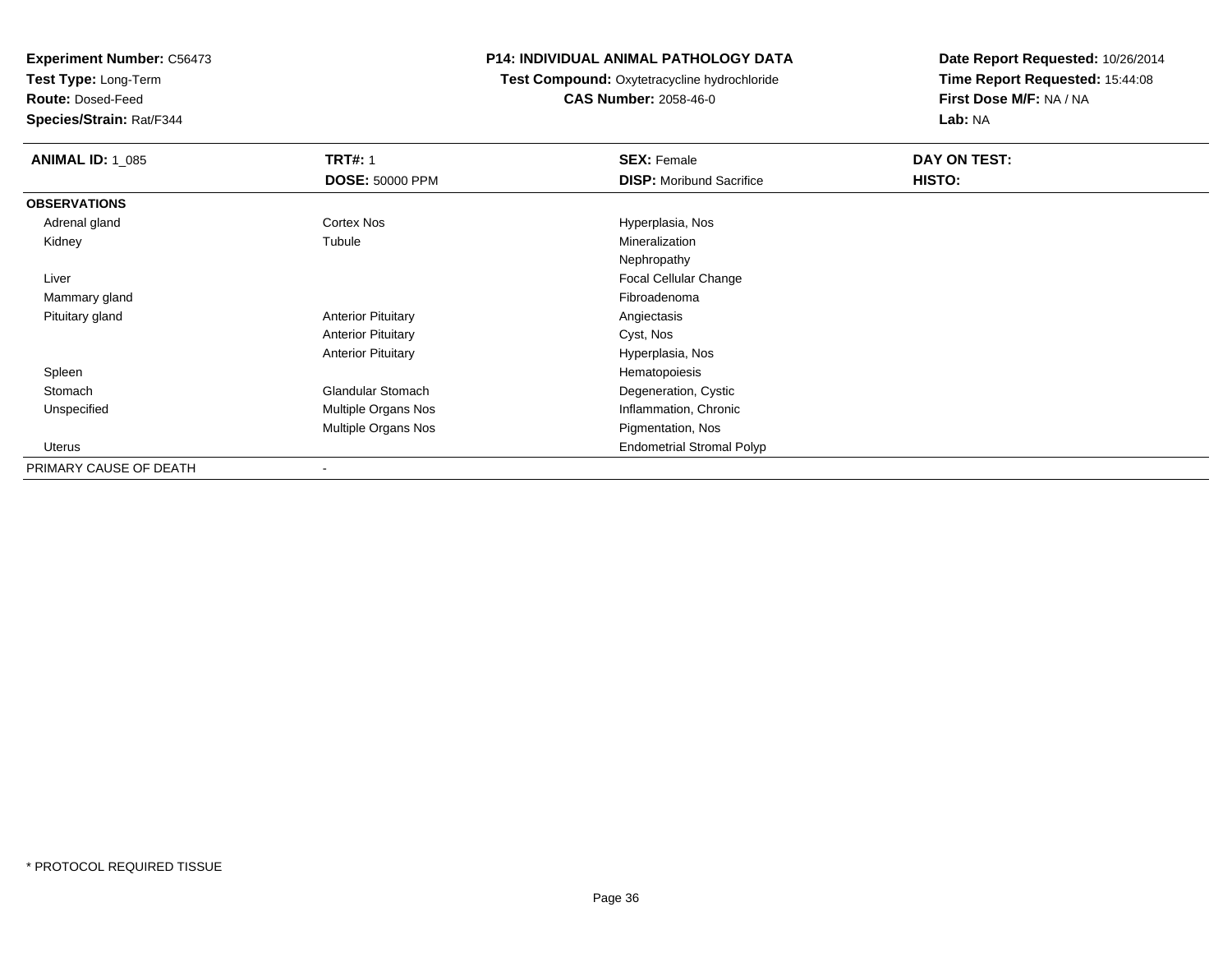**Test Type:** Long-Term

**Route:** Dosed-Feed

**Species/Strain:** Rat/F344

### **P14: INDIVIDUAL ANIMAL PATHOLOGY DATA**

**Test Compound:** Oxytetracycline hydrochloride**CAS Number:** 2058-46-0

| <b>ANIMAL ID: 1_085</b> | <b>TRT#: 1</b>            | <b>SEX: Female</b>               | DAY ON TEST: |  |
|-------------------------|---------------------------|----------------------------------|--------------|--|
|                         | <b>DOSE: 50000 PPM</b>    | <b>DISP:</b> Moribund Sacrifice  | HISTO:       |  |
| <b>OBSERVATIONS</b>     |                           |                                  |              |  |
| Adrenal gland           | <b>Cortex Nos</b>         | Hyperplasia, Nos                 |              |  |
| Kidney                  | Tubule                    | Mineralization                   |              |  |
|                         |                           | Nephropathy                      |              |  |
| Liver                   |                           | <b>Focal Cellular Change</b>     |              |  |
| Mammary gland           |                           | Fibroadenoma                     |              |  |
| Pituitary gland         | <b>Anterior Pituitary</b> | Angiectasis                      |              |  |
|                         | <b>Anterior Pituitary</b> | Cyst, Nos                        |              |  |
|                         | <b>Anterior Pituitary</b> | Hyperplasia, Nos                 |              |  |
| Spleen                  |                           | Hematopoiesis                    |              |  |
| Stomach                 | <b>Glandular Stomach</b>  | Degeneration, Cystic             |              |  |
| Unspecified             | Multiple Organs Nos       | Inflammation, Chronic            |              |  |
|                         | Multiple Organs Nos       | Pigmentation, Nos                |              |  |
| Uterus                  |                           | <b>Endometrial Stromal Polyp</b> |              |  |
| PRIMARY CAUSE OF DEATH  |                           |                                  |              |  |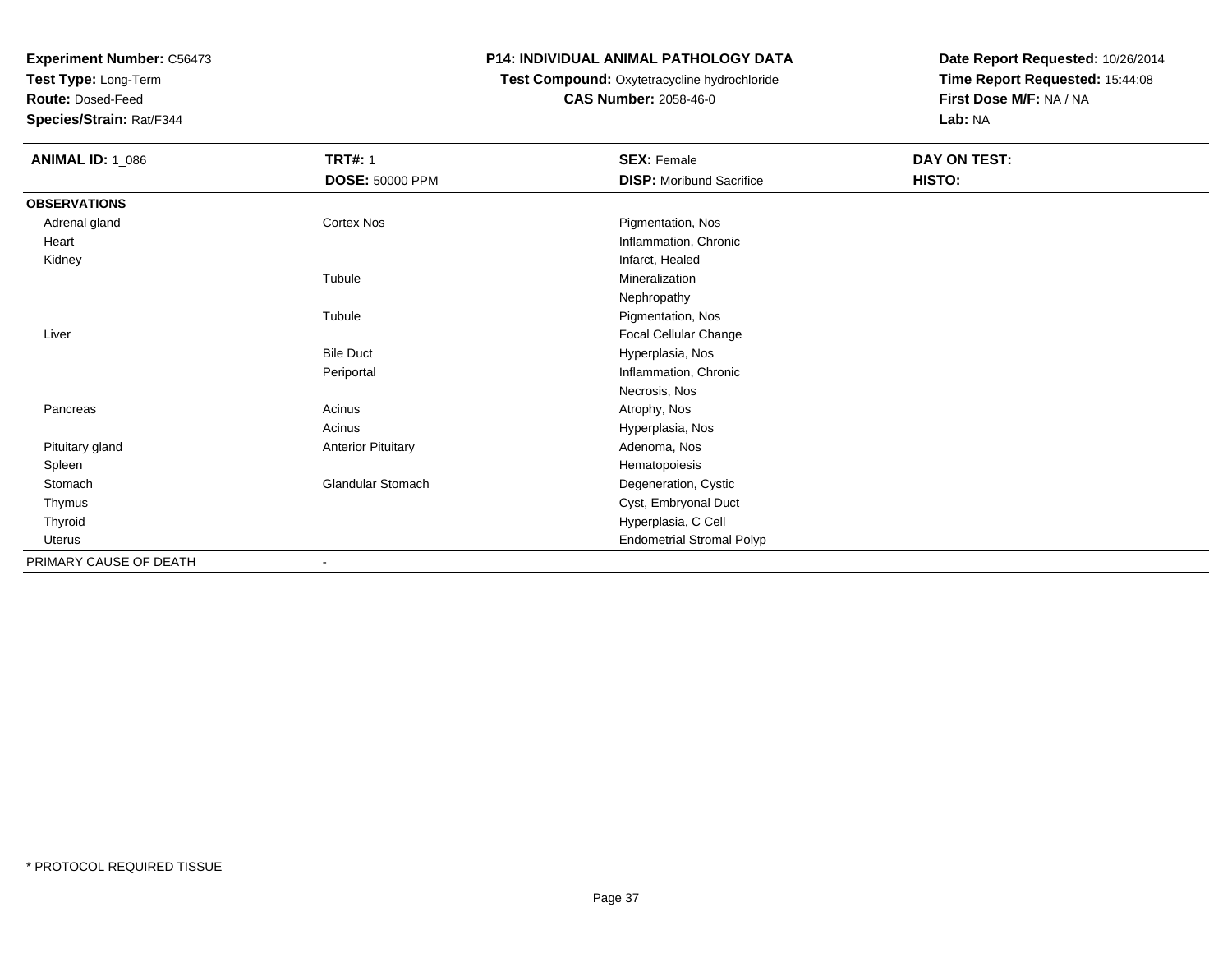**Test Type:** Long-Term

**Route:** Dosed-Feed

**Species/Strain:** Rat/F344

### **P14: INDIVIDUAL ANIMAL PATHOLOGY DATA**

### **Test Compound:** Oxytetracycline hydrochloride**CAS Number:** 2058-46-0

| <b>ANIMAL ID: 1_086</b> | <b>TRT#: 1</b><br><b>DOSE: 50000 PPM</b> | <b>SEX: Female</b><br><b>DISP:</b> Moribund Sacrifice | DAY ON TEST:<br>HISTO: |
|-------------------------|------------------------------------------|-------------------------------------------------------|------------------------|
| <b>OBSERVATIONS</b>     |                                          |                                                       |                        |
| Adrenal gland           | Cortex Nos                               | Pigmentation, Nos                                     |                        |
| Heart                   |                                          | Inflammation, Chronic                                 |                        |
| Kidney                  |                                          | Infarct, Healed                                       |                        |
|                         | Tubule                                   | Mineralization                                        |                        |
|                         |                                          | Nephropathy                                           |                        |
|                         | Tubule                                   | Pigmentation, Nos                                     |                        |
| Liver                   |                                          | Focal Cellular Change                                 |                        |
|                         | <b>Bile Duct</b>                         | Hyperplasia, Nos                                      |                        |
|                         | Periportal                               | Inflammation, Chronic                                 |                        |
|                         |                                          | Necrosis, Nos                                         |                        |
| Pancreas                | Acinus                                   | Atrophy, Nos                                          |                        |
|                         | Acinus                                   | Hyperplasia, Nos                                      |                        |
| Pituitary gland         | <b>Anterior Pituitary</b>                | Adenoma, Nos                                          |                        |
| Spleen                  |                                          | Hematopoiesis                                         |                        |
| Stomach                 | Glandular Stomach                        | Degeneration, Cystic                                  |                        |
| Thymus                  |                                          | Cyst, Embryonal Duct                                  |                        |
| Thyroid                 |                                          | Hyperplasia, C Cell                                   |                        |
| <b>Uterus</b>           |                                          | <b>Endometrial Stromal Polyp</b>                      |                        |
| PRIMARY CAUSE OF DEATH  |                                          |                                                       |                        |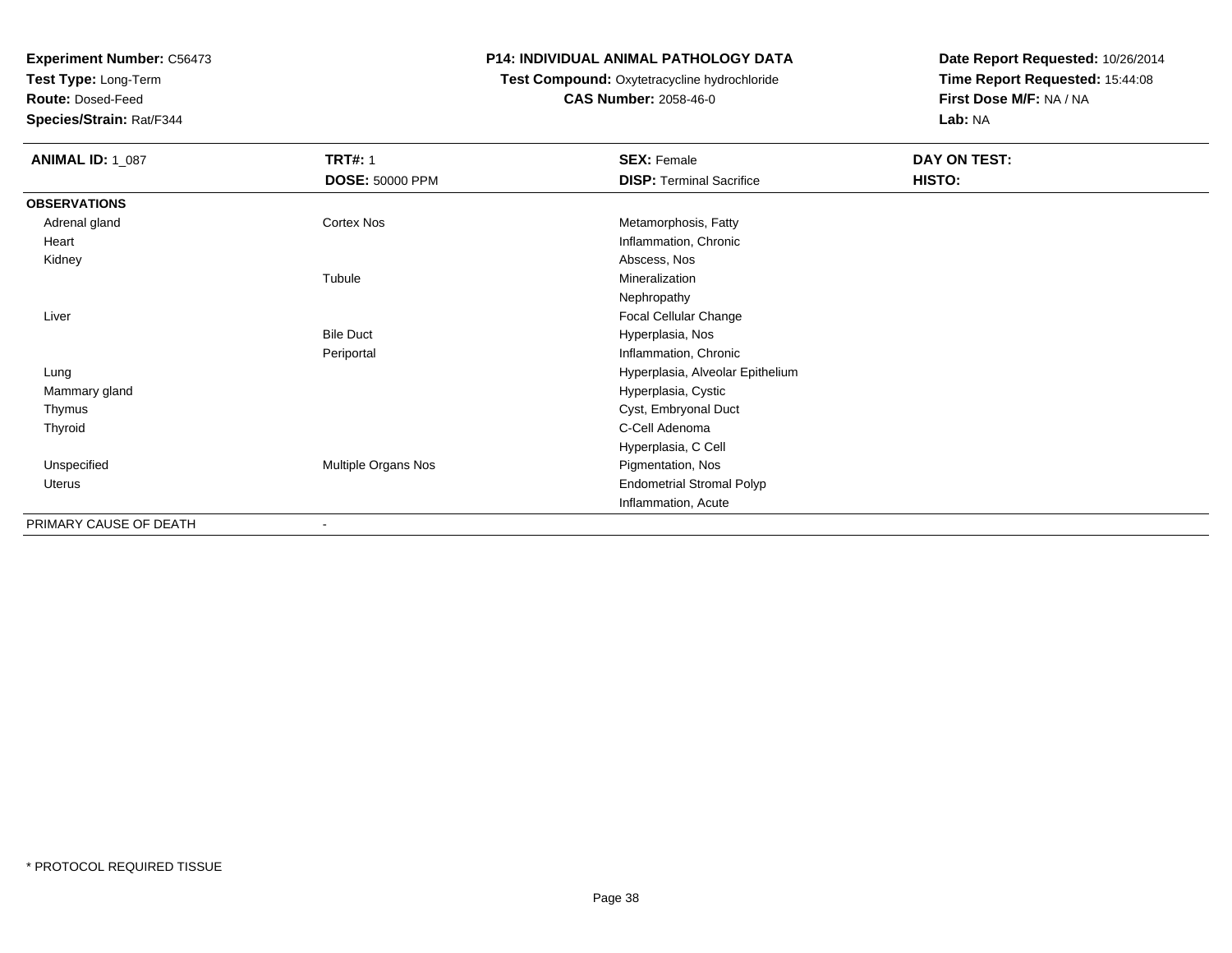**Test Type:** Long-Term

**Route:** Dosed-Feed

**Species/Strain:** Rat/F344

### **P14: INDIVIDUAL ANIMAL PATHOLOGY DATA**

### **Test Compound:** Oxytetracycline hydrochloride**CAS Number:** 2058-46-0

| <b>ANIMAL ID: 1_087</b> | <b>TRT#: 1</b>      | <b>SEX: Female</b>               | DAY ON TEST: |  |
|-------------------------|---------------------|----------------------------------|--------------|--|
|                         | DOSE: 50000 PPM     | <b>DISP: Terminal Sacrifice</b>  | HISTO:       |  |
| <b>OBSERVATIONS</b>     |                     |                                  |              |  |
| Adrenal gland           | Cortex Nos          | Metamorphosis, Fatty             |              |  |
| Heart                   |                     | Inflammation, Chronic            |              |  |
| Kidney                  |                     | Abscess, Nos                     |              |  |
|                         | Tubule              | Mineralization                   |              |  |
|                         |                     | Nephropathy                      |              |  |
| Liver                   |                     | Focal Cellular Change            |              |  |
|                         | <b>Bile Duct</b>    | Hyperplasia, Nos                 |              |  |
|                         | Periportal          | Inflammation, Chronic            |              |  |
| Lung                    |                     | Hyperplasia, Alveolar Epithelium |              |  |
| Mammary gland           |                     | Hyperplasia, Cystic              |              |  |
| Thymus                  |                     | Cyst, Embryonal Duct             |              |  |
| Thyroid                 |                     | C-Cell Adenoma                   |              |  |
|                         |                     | Hyperplasia, C Cell              |              |  |
| Unspecified             | Multiple Organs Nos | Pigmentation, Nos                |              |  |
| Uterus                  |                     | <b>Endometrial Stromal Polyp</b> |              |  |
|                         |                     | Inflammation, Acute              |              |  |
| PRIMARY CAUSE OF DEATH  |                     |                                  |              |  |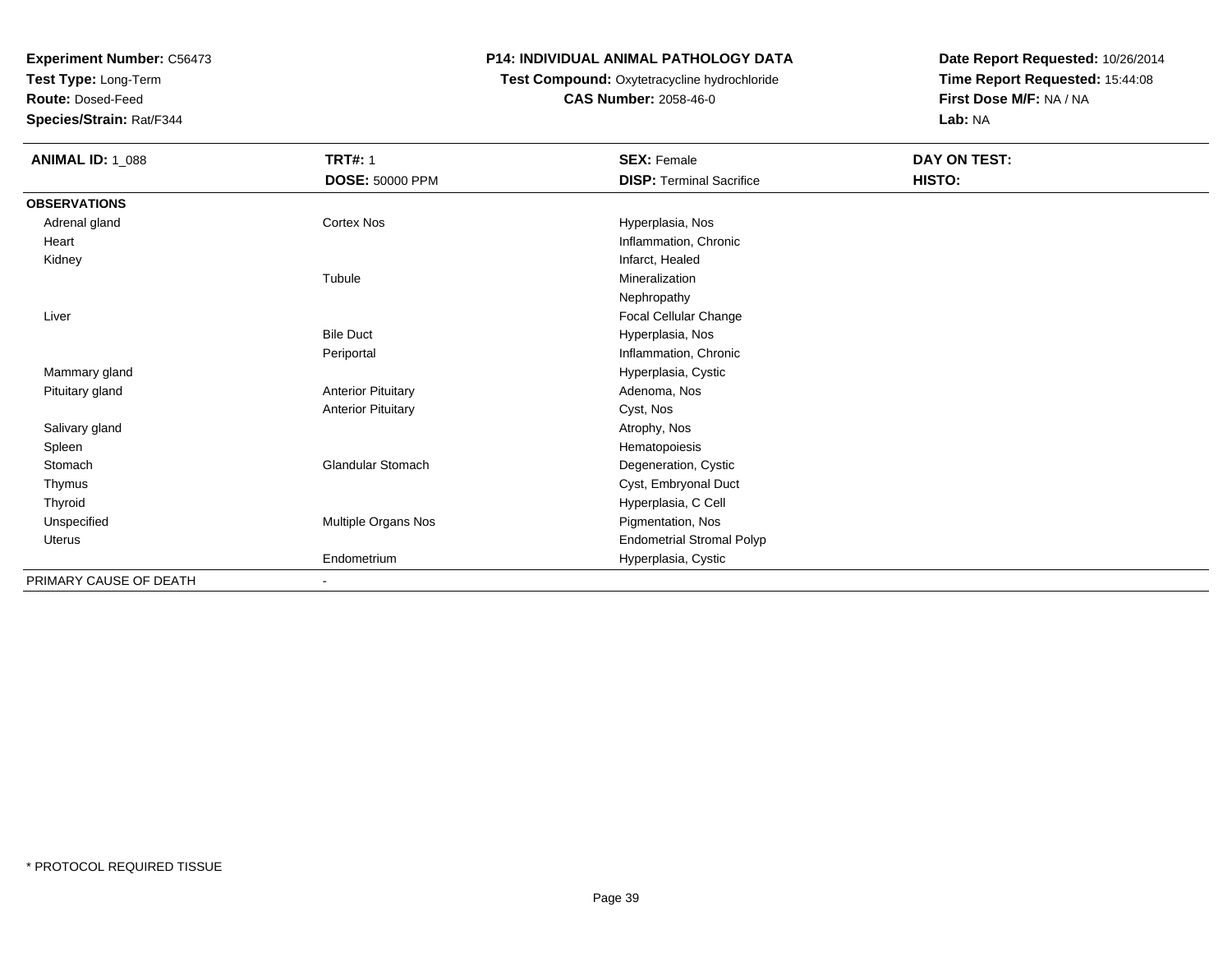**Test Type:** Long-Term

**Route:** Dosed-Feed

**Species/Strain:** Rat/F344

## **P14: INDIVIDUAL ANIMAL PATHOLOGY DATA**

# **Test Compound:** Oxytetracycline hydrochloride**CAS Number:** 2058-46-0

| <b>ANIMAL ID: 1_088</b> | <b>TRT#: 1</b>            | <b>SEX: Female</b>               | DAY ON TEST: |
|-------------------------|---------------------------|----------------------------------|--------------|
|                         | <b>DOSE: 50000 PPM</b>    | <b>DISP: Terminal Sacrifice</b>  | HISTO:       |
| <b>OBSERVATIONS</b>     |                           |                                  |              |
| Adrenal gland           | Cortex Nos                | Hyperplasia, Nos                 |              |
| Heart                   |                           | Inflammation, Chronic            |              |
| Kidney                  |                           | Infarct, Healed                  |              |
|                         | Tubule                    | Mineralization                   |              |
|                         |                           | Nephropathy                      |              |
| Liver                   |                           | Focal Cellular Change            |              |
|                         | <b>Bile Duct</b>          | Hyperplasia, Nos                 |              |
|                         | Periportal                | Inflammation, Chronic            |              |
| Mammary gland           |                           | Hyperplasia, Cystic              |              |
| Pituitary gland         | <b>Anterior Pituitary</b> | Adenoma, Nos                     |              |
|                         | <b>Anterior Pituitary</b> | Cyst, Nos                        |              |
| Salivary gland          |                           | Atrophy, Nos                     |              |
| Spleen                  |                           | Hematopoiesis                    |              |
| Stomach                 | Glandular Stomach         | Degeneration, Cystic             |              |
| Thymus                  |                           | Cyst, Embryonal Duct             |              |
| Thyroid                 |                           | Hyperplasia, C Cell              |              |
| Unspecified             | Multiple Organs Nos       | Pigmentation, Nos                |              |
| Uterus                  |                           | <b>Endometrial Stromal Polyp</b> |              |
|                         | Endometrium               | Hyperplasia, Cystic              |              |
| PRIMARY CAUSE OF DEATH  | $\blacksquare$            |                                  |              |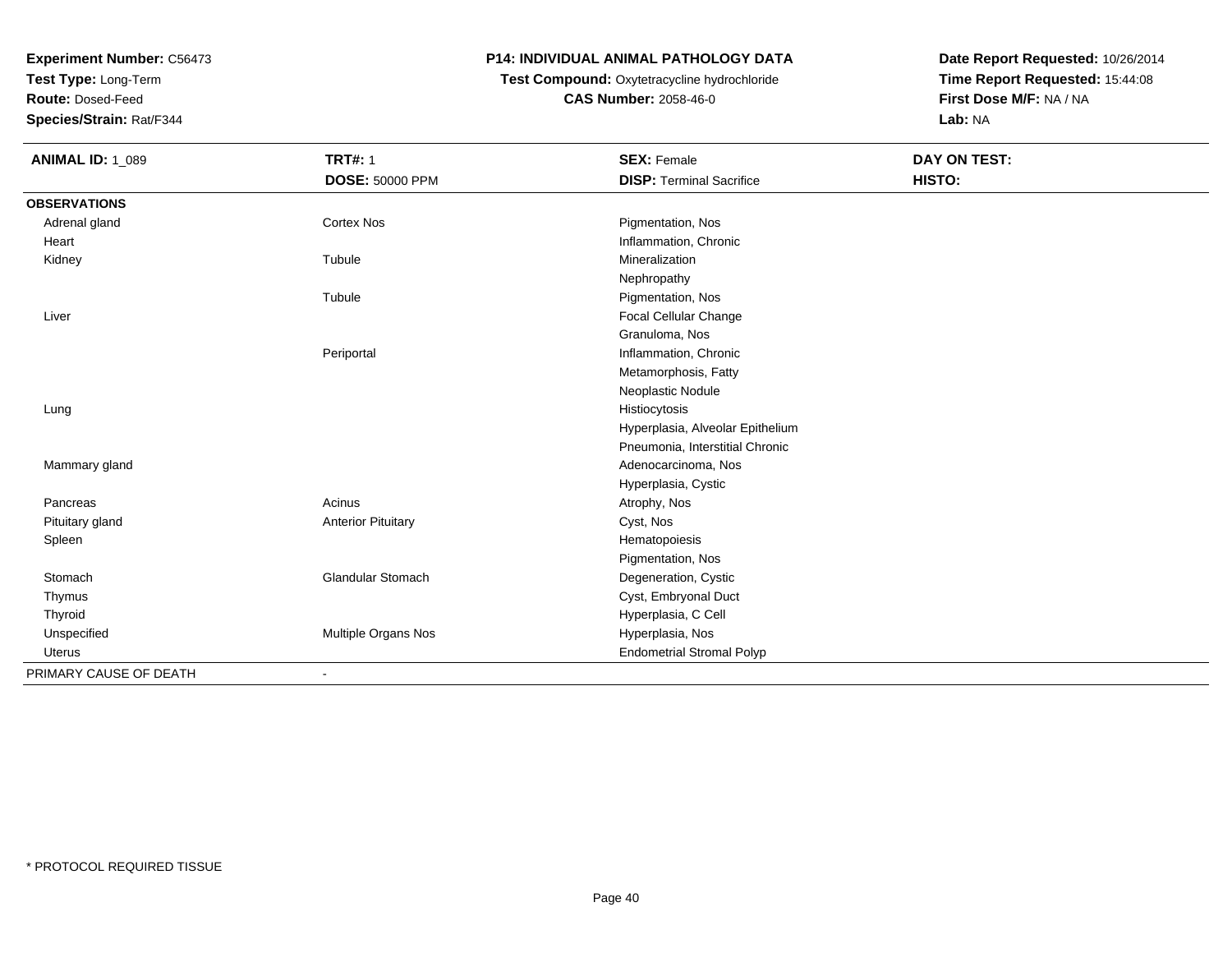**Test Type:** Long-Term

**Route:** Dosed-Feed

**Species/Strain:** Rat/F344

## **P14: INDIVIDUAL ANIMAL PATHOLOGY DATA**

# **Test Compound:** Oxytetracycline hydrochloride**CAS Number:** 2058-46-0

| <b>ANIMAL ID: 1_089</b> | <b>TRT#: 1</b>            | <b>SEX: Female</b>               | DAY ON TEST: |  |
|-------------------------|---------------------------|----------------------------------|--------------|--|
|                         | DOSE: 50000 PPM           | <b>DISP: Terminal Sacrifice</b>  | HISTO:       |  |
| <b>OBSERVATIONS</b>     |                           |                                  |              |  |
| Adrenal gland           | <b>Cortex Nos</b>         | Pigmentation, Nos                |              |  |
| Heart                   |                           | Inflammation, Chronic            |              |  |
| Kidney                  | Tubule                    | Mineralization                   |              |  |
|                         |                           | Nephropathy                      |              |  |
|                         | Tubule                    | Pigmentation, Nos                |              |  |
| Liver                   |                           | Focal Cellular Change            |              |  |
|                         |                           | Granuloma, Nos                   |              |  |
|                         | Periportal                | Inflammation, Chronic            |              |  |
|                         |                           | Metamorphosis, Fatty             |              |  |
|                         |                           | Neoplastic Nodule                |              |  |
| Lung                    |                           | Histiocytosis                    |              |  |
|                         |                           | Hyperplasia, Alveolar Epithelium |              |  |
|                         |                           | Pneumonia, Interstitial Chronic  |              |  |
| Mammary gland           |                           | Adenocarcinoma, Nos              |              |  |
|                         |                           | Hyperplasia, Cystic              |              |  |
| Pancreas                | Acinus                    | Atrophy, Nos                     |              |  |
| Pituitary gland         | <b>Anterior Pituitary</b> | Cyst, Nos                        |              |  |
| Spleen                  |                           | Hematopoiesis                    |              |  |
|                         |                           | Pigmentation, Nos                |              |  |
| Stomach                 | Glandular Stomach         | Degeneration, Cystic             |              |  |
| Thymus                  |                           | Cyst, Embryonal Duct             |              |  |
| Thyroid                 |                           | Hyperplasia, C Cell              |              |  |
| Unspecified             | Multiple Organs Nos       | Hyperplasia, Nos                 |              |  |
| Uterus                  |                           | <b>Endometrial Stromal Polyp</b> |              |  |
| PRIMARY CAUSE OF DEATH  |                           |                                  |              |  |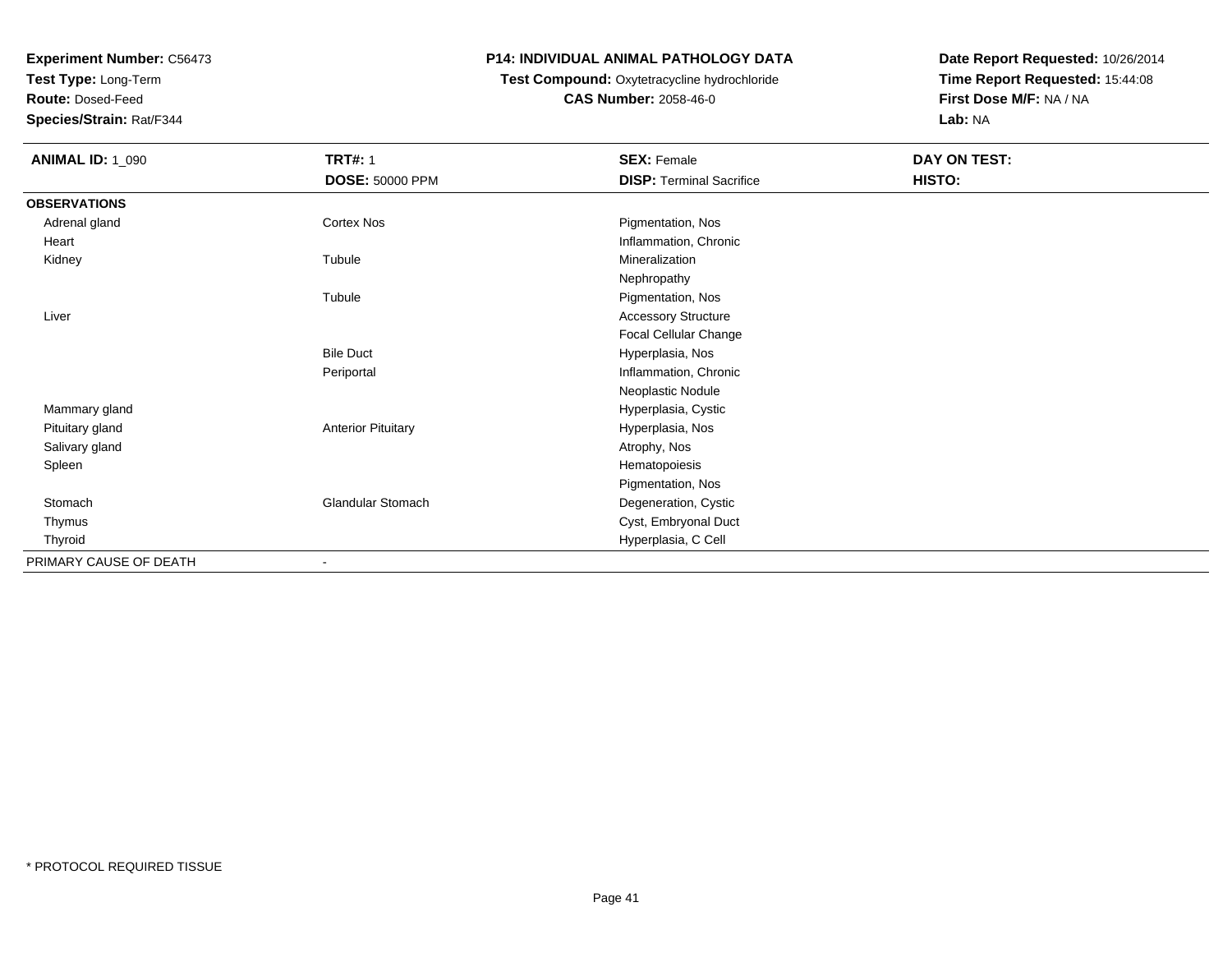**Test Type:** Long-Term

**Route:** Dosed-Feed

**Species/Strain:** Rat/F344

### **P14: INDIVIDUAL ANIMAL PATHOLOGY DATA**

# **Test Compound:** Oxytetracycline hydrochloride**CAS Number:** 2058-46-0

| <b>ANIMAL ID: 1_090</b> | <b>TRT#: 1</b>            | <b>SEX: Female</b>              | DAY ON TEST: |  |
|-------------------------|---------------------------|---------------------------------|--------------|--|
|                         | <b>DOSE: 50000 PPM</b>    | <b>DISP: Terminal Sacrifice</b> | HISTO:       |  |
| <b>OBSERVATIONS</b>     |                           |                                 |              |  |
| Adrenal gland           | Cortex Nos                | Pigmentation, Nos               |              |  |
| Heart                   |                           | Inflammation, Chronic           |              |  |
| Kidney                  | Tubule                    | Mineralization                  |              |  |
|                         |                           | Nephropathy                     |              |  |
|                         | Tubule                    | Pigmentation, Nos               |              |  |
| Liver                   |                           | <b>Accessory Structure</b>      |              |  |
|                         |                           | Focal Cellular Change           |              |  |
|                         | <b>Bile Duct</b>          | Hyperplasia, Nos                |              |  |
|                         | Periportal                | Inflammation, Chronic           |              |  |
|                         |                           | Neoplastic Nodule               |              |  |
| Mammary gland           |                           | Hyperplasia, Cystic             |              |  |
| Pituitary gland         | <b>Anterior Pituitary</b> | Hyperplasia, Nos                |              |  |
| Salivary gland          |                           | Atrophy, Nos                    |              |  |
| Spleen                  |                           | Hematopoiesis                   |              |  |
|                         |                           | Pigmentation, Nos               |              |  |
| Stomach                 | Glandular Stomach         | Degeneration, Cystic            |              |  |
| Thymus                  |                           | Cyst, Embryonal Duct            |              |  |
| Thyroid                 |                           | Hyperplasia, C Cell             |              |  |
| PRIMARY CAUSE OF DEATH  |                           |                                 |              |  |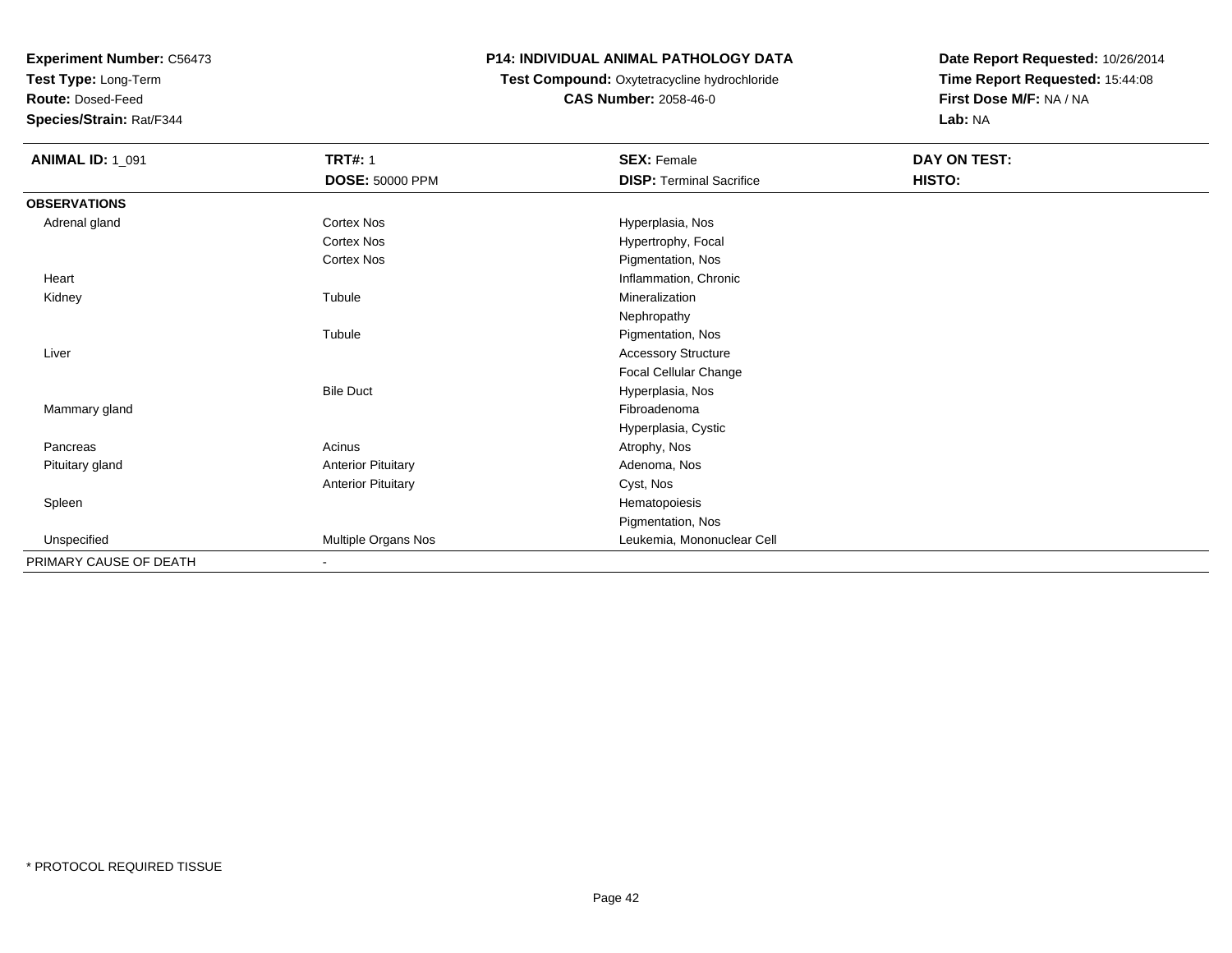**Test Type:** Long-Term

**Route:** Dosed-Feed

**Species/Strain:** Rat/F344

## **P14: INDIVIDUAL ANIMAL PATHOLOGY DATA**

# **Test Compound:** Oxytetracycline hydrochloride**CAS Number:** 2058-46-0

| <b>ANIMAL ID: 1_091</b> | <b>TRT#: 1</b>            | <b>SEX: Female</b>              | DAY ON TEST: |  |
|-------------------------|---------------------------|---------------------------------|--------------|--|
|                         | <b>DOSE: 50000 PPM</b>    | <b>DISP: Terminal Sacrifice</b> | HISTO:       |  |
| <b>OBSERVATIONS</b>     |                           |                                 |              |  |
| Adrenal gland           | Cortex Nos                | Hyperplasia, Nos                |              |  |
|                         | Cortex Nos                | Hypertrophy, Focal              |              |  |
|                         | Cortex Nos                | Pigmentation, Nos               |              |  |
| Heart                   |                           | Inflammation, Chronic           |              |  |
| Kidney                  | Tubule                    | Mineralization                  |              |  |
|                         |                           | Nephropathy                     |              |  |
|                         | Tubule                    | Pigmentation, Nos               |              |  |
| Liver                   |                           | <b>Accessory Structure</b>      |              |  |
|                         |                           | Focal Cellular Change           |              |  |
|                         | <b>Bile Duct</b>          | Hyperplasia, Nos                |              |  |
| Mammary gland           |                           | Fibroadenoma                    |              |  |
|                         |                           | Hyperplasia, Cystic             |              |  |
| Pancreas                | Acinus                    | Atrophy, Nos                    |              |  |
| Pituitary gland         | <b>Anterior Pituitary</b> | Adenoma, Nos                    |              |  |
|                         | <b>Anterior Pituitary</b> | Cyst, Nos                       |              |  |
| Spleen                  |                           | Hematopoiesis                   |              |  |
|                         |                           | Pigmentation, Nos               |              |  |
| Unspecified             | Multiple Organs Nos       | Leukemia, Mononuclear Cell      |              |  |
| PRIMARY CAUSE OF DEATH  |                           |                                 |              |  |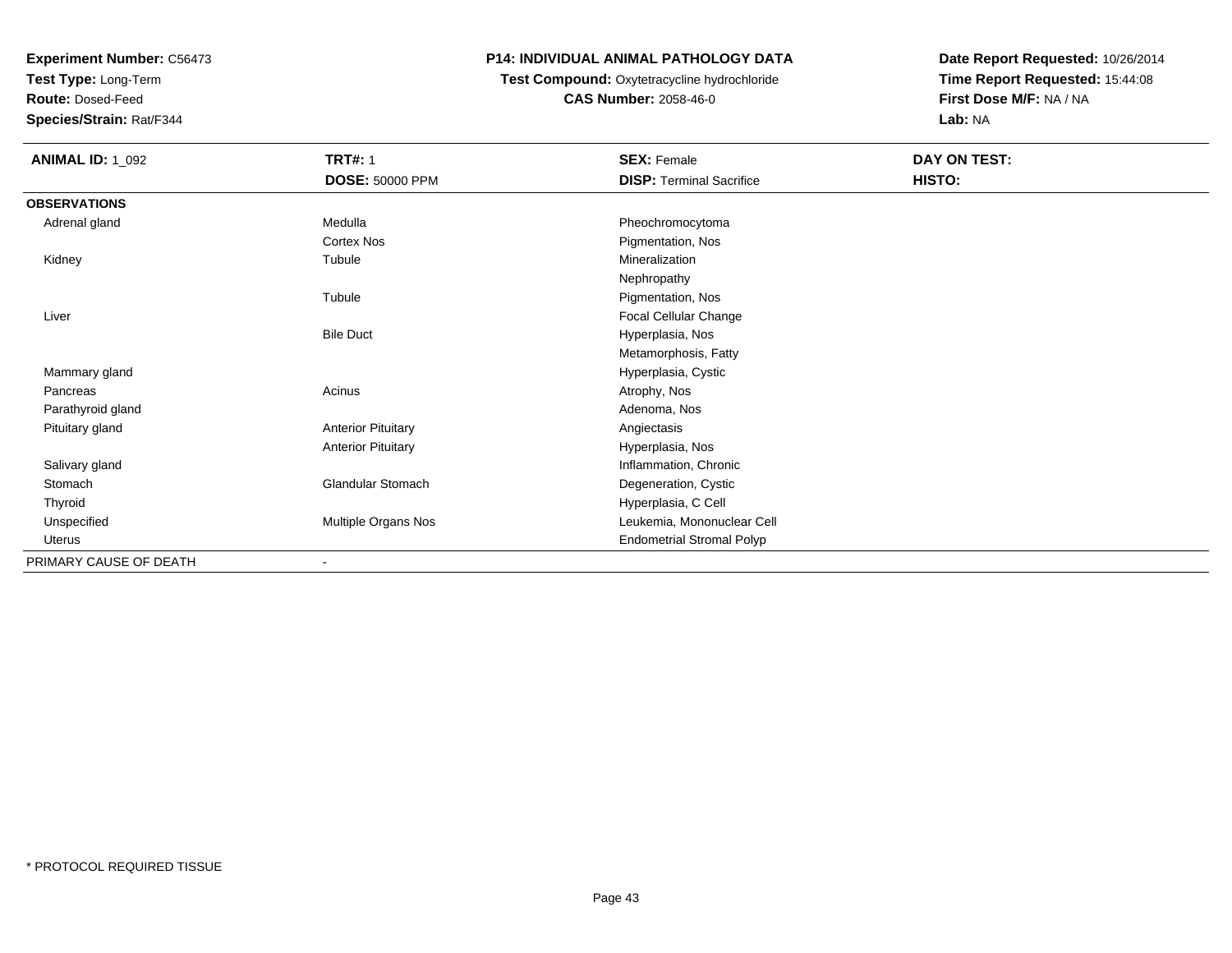**Test Type:** Long-Term

**Route:** Dosed-Feed

**Species/Strain:** Rat/F344

## **P14: INDIVIDUAL ANIMAL PATHOLOGY DATA**

**Test Compound:** Oxytetracycline hydrochloride**CAS Number:** 2058-46-0

| <b>ANIMAL ID: 1_092</b> | <b>TRT#: 1</b>               | <b>SEX: Female</b>               | DAY ON TEST: |
|-------------------------|------------------------------|----------------------------------|--------------|
|                         | <b>DOSE: 50000 PPM</b>       | <b>DISP: Terminal Sacrifice</b>  | HISTO:       |
| <b>OBSERVATIONS</b>     |                              |                                  |              |
| Adrenal gland           | Medulla                      | Pheochromocytoma                 |              |
|                         | Cortex Nos                   | Pigmentation, Nos                |              |
| Kidney                  | Tubule                       | Mineralization                   |              |
|                         |                              | Nephropathy                      |              |
|                         | Tubule                       | Pigmentation, Nos                |              |
| Liver                   |                              | <b>Focal Cellular Change</b>     |              |
|                         | <b>Bile Duct</b>             | Hyperplasia, Nos                 |              |
|                         |                              | Metamorphosis, Fatty             |              |
| Mammary gland           |                              | Hyperplasia, Cystic              |              |
| Pancreas                | Acinus                       | Atrophy, Nos                     |              |
| Parathyroid gland       |                              | Adenoma, Nos                     |              |
| Pituitary gland         | <b>Anterior Pituitary</b>    | Angiectasis                      |              |
|                         | <b>Anterior Pituitary</b>    | Hyperplasia, Nos                 |              |
| Salivary gland          |                              | Inflammation, Chronic            |              |
| Stomach                 | Glandular Stomach            | Degeneration, Cystic             |              |
| Thyroid                 |                              | Hyperplasia, C Cell              |              |
| Unspecified             | Multiple Organs Nos          | Leukemia, Mononuclear Cell       |              |
| Uterus                  |                              | <b>Endometrial Stromal Polyp</b> |              |
| PRIMARY CAUSE OF DEATH  | $\qquad \qquad \blacksquare$ |                                  |              |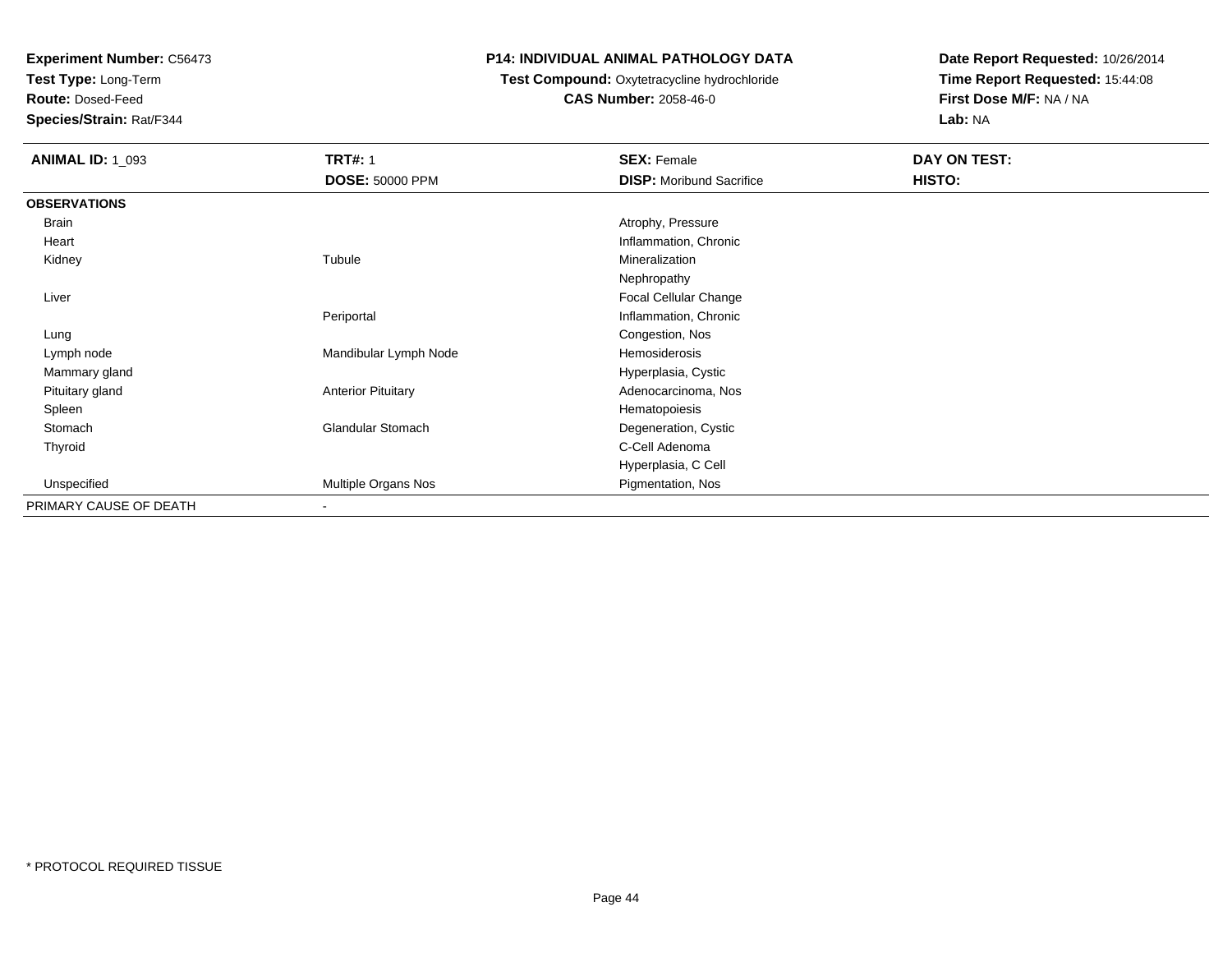**Test Type:** Long-Term

**Route:** Dosed-Feed

**Species/Strain:** Rat/F344

### **P14: INDIVIDUAL ANIMAL PATHOLOGY DATA**

# **Test Compound:** Oxytetracycline hydrochloride**CAS Number:** 2058-46-0

| <b>ANIMAL ID: 1_093</b> | <b>TRT#: 1</b>            | <b>SEX: Female</b>              | DAY ON TEST: |  |
|-------------------------|---------------------------|---------------------------------|--------------|--|
|                         | <b>DOSE: 50000 PPM</b>    | <b>DISP:</b> Moribund Sacrifice | HISTO:       |  |
| <b>OBSERVATIONS</b>     |                           |                                 |              |  |
| Brain                   |                           | Atrophy, Pressure               |              |  |
| Heart                   |                           | Inflammation, Chronic           |              |  |
| Kidney                  | Tubule                    | Mineralization                  |              |  |
|                         |                           | Nephropathy                     |              |  |
| Liver                   |                           | Focal Cellular Change           |              |  |
|                         | Periportal                | Inflammation, Chronic           |              |  |
| Lung                    |                           | Congestion, Nos                 |              |  |
| Lymph node              | Mandibular Lymph Node     | Hemosiderosis                   |              |  |
| Mammary gland           |                           | Hyperplasia, Cystic             |              |  |
| Pituitary gland         | <b>Anterior Pituitary</b> | Adenocarcinoma, Nos             |              |  |
| Spleen                  |                           | Hematopoiesis                   |              |  |
| Stomach                 | <b>Glandular Stomach</b>  | Degeneration, Cystic            |              |  |
| Thyroid                 |                           | C-Cell Adenoma                  |              |  |
|                         |                           | Hyperplasia, C Cell             |              |  |
| Unspecified             | Multiple Organs Nos       | Pigmentation, Nos               |              |  |
| PRIMARY CAUSE OF DEATH  | -                         |                                 |              |  |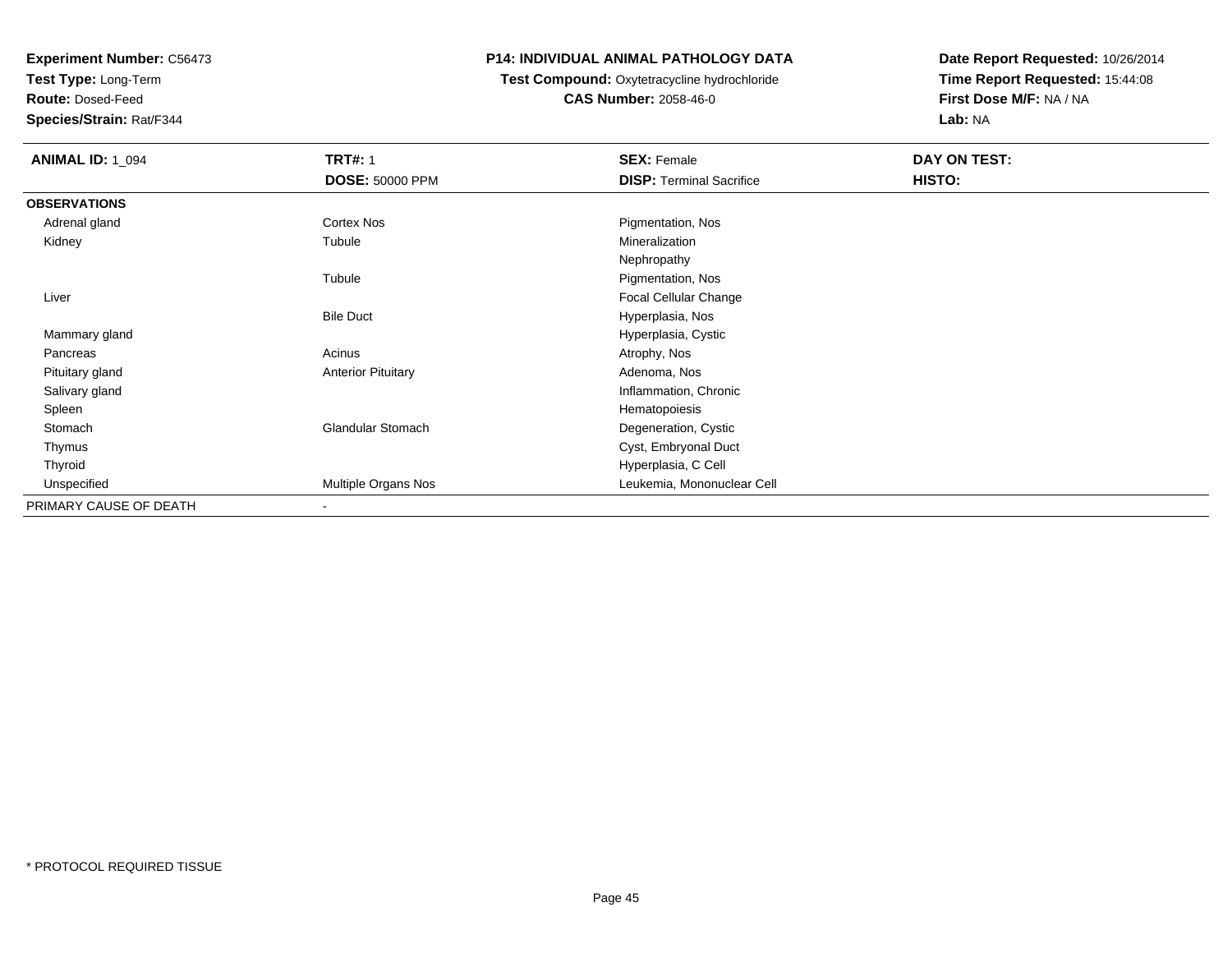**Test Type:** Long-Term

**Route:** Dosed-Feed

**Species/Strain:** Rat/F344

## **P14: INDIVIDUAL ANIMAL PATHOLOGY DATA**

#### **Test Compound:** Oxytetracycline hydrochloride**CAS Number:** 2058-46-0

| <b>ANIMAL ID: 1_094</b> | <b>TRT#: 1</b>            | <b>SEX: Female</b>              | DAY ON TEST: |
|-------------------------|---------------------------|---------------------------------|--------------|
|                         | <b>DOSE: 50000 PPM</b>    | <b>DISP: Terminal Sacrifice</b> | HISTO:       |
| <b>OBSERVATIONS</b>     |                           |                                 |              |
| Adrenal gland           | Cortex Nos                | Pigmentation, Nos               |              |
| Kidney                  | Tubule                    | Mineralization                  |              |
|                         |                           | Nephropathy                     |              |
|                         | Tubule                    | Pigmentation, Nos               |              |
| Liver                   |                           | Focal Cellular Change           |              |
|                         | <b>Bile Duct</b>          | Hyperplasia, Nos                |              |
| Mammary gland           |                           | Hyperplasia, Cystic             |              |
| Pancreas                | Acinus                    | Atrophy, Nos                    |              |
| Pituitary gland         | <b>Anterior Pituitary</b> | Adenoma, Nos                    |              |
| Salivary gland          |                           | Inflammation, Chronic           |              |
| Spleen                  |                           | Hematopoiesis                   |              |
| Stomach                 | <b>Glandular Stomach</b>  | Degeneration, Cystic            |              |
| Thymus                  |                           | Cyst, Embryonal Duct            |              |
| Thyroid                 |                           | Hyperplasia, C Cell             |              |
| Unspecified             | Multiple Organs Nos       | Leukemia, Mononuclear Cell      |              |
| PRIMARY CAUSE OF DEATH  | $\overline{\phantom{a}}$  |                                 |              |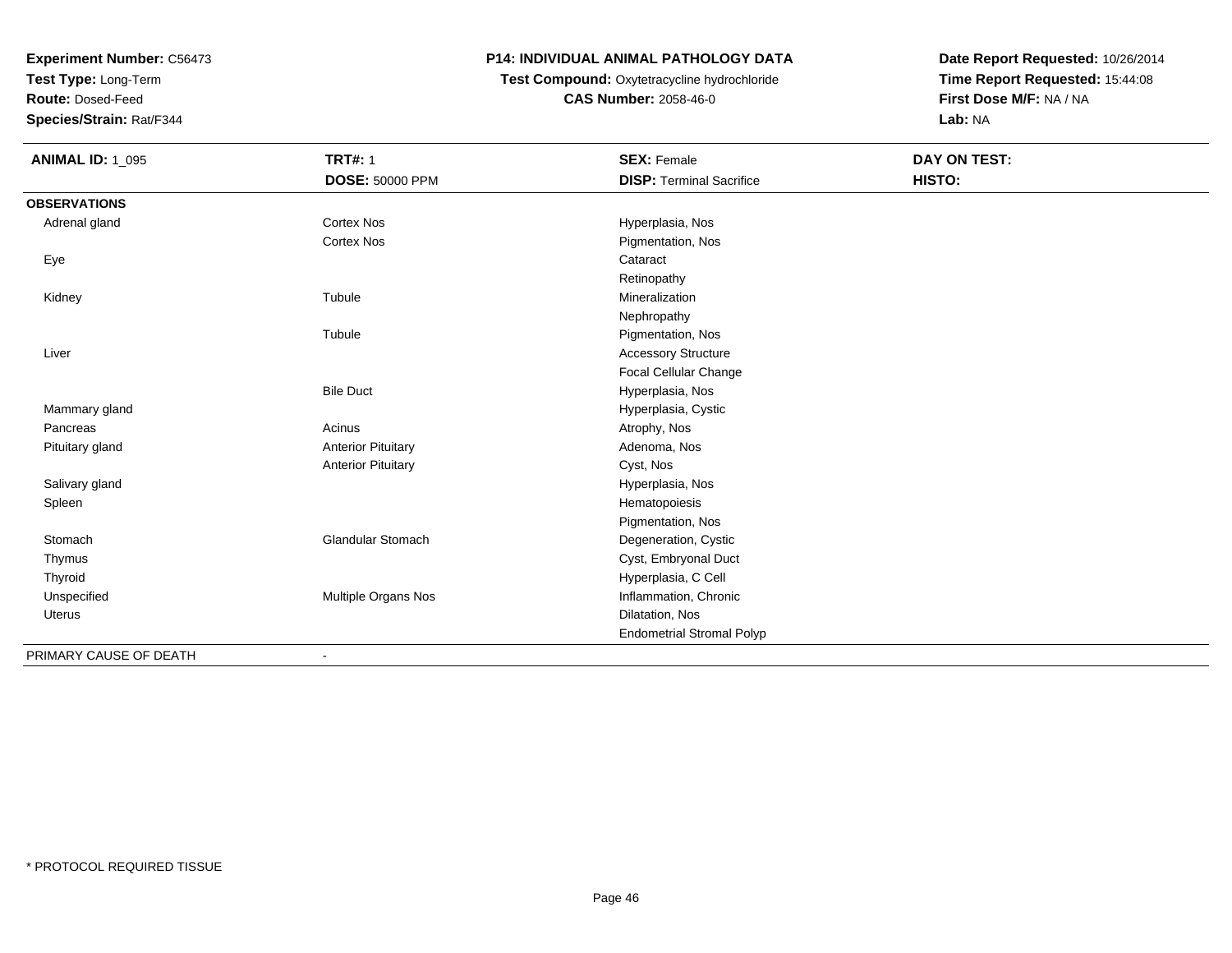**Test Type:** Long-Term

**Route:** Dosed-Feed

**Species/Strain:** Rat/F344

### **P14: INDIVIDUAL ANIMAL PATHOLOGY DATA**

**Test Compound:** Oxytetracycline hydrochloride**CAS Number:** 2058-46-0

| <b>ANIMAL ID: 1_095</b> | <b>TRT#: 1</b>               | <b>SEX: Female</b>               | <b>DAY ON TEST:</b> |  |
|-------------------------|------------------------------|----------------------------------|---------------------|--|
|                         | <b>DOSE: 50000 PPM</b>       | <b>DISP: Terminal Sacrifice</b>  | HISTO:              |  |
| <b>OBSERVATIONS</b>     |                              |                                  |                     |  |
| Adrenal gland           | <b>Cortex Nos</b>            | Hyperplasia, Nos                 |                     |  |
|                         | Cortex Nos                   | Pigmentation, Nos                |                     |  |
| Eye                     |                              | Cataract                         |                     |  |
|                         |                              | Retinopathy                      |                     |  |
| Kidney                  | Tubule                       | Mineralization                   |                     |  |
|                         |                              | Nephropathy                      |                     |  |
|                         | Tubule                       | Pigmentation, Nos                |                     |  |
| Liver                   |                              | <b>Accessory Structure</b>       |                     |  |
|                         |                              | Focal Cellular Change            |                     |  |
|                         | <b>Bile Duct</b>             | Hyperplasia, Nos                 |                     |  |
| Mammary gland           |                              | Hyperplasia, Cystic              |                     |  |
| Pancreas                | Acinus                       | Atrophy, Nos                     |                     |  |
| Pituitary gland         | <b>Anterior Pituitary</b>    | Adenoma, Nos                     |                     |  |
|                         | <b>Anterior Pituitary</b>    | Cyst, Nos                        |                     |  |
| Salivary gland          |                              | Hyperplasia, Nos                 |                     |  |
| Spleen                  |                              | Hematopoiesis                    |                     |  |
|                         |                              | Pigmentation, Nos                |                     |  |
| Stomach                 | <b>Glandular Stomach</b>     | Degeneration, Cystic             |                     |  |
| Thymus                  |                              | Cyst, Embryonal Duct             |                     |  |
| Thyroid                 |                              | Hyperplasia, C Cell              |                     |  |
| Unspecified             | Multiple Organs Nos          | Inflammation, Chronic            |                     |  |
| Uterus                  |                              | Dilatation, Nos                  |                     |  |
|                         |                              | <b>Endometrial Stromal Polyp</b> |                     |  |
| PRIMARY CAUSE OF DEATH  | $\qquad \qquad \blacksquare$ |                                  |                     |  |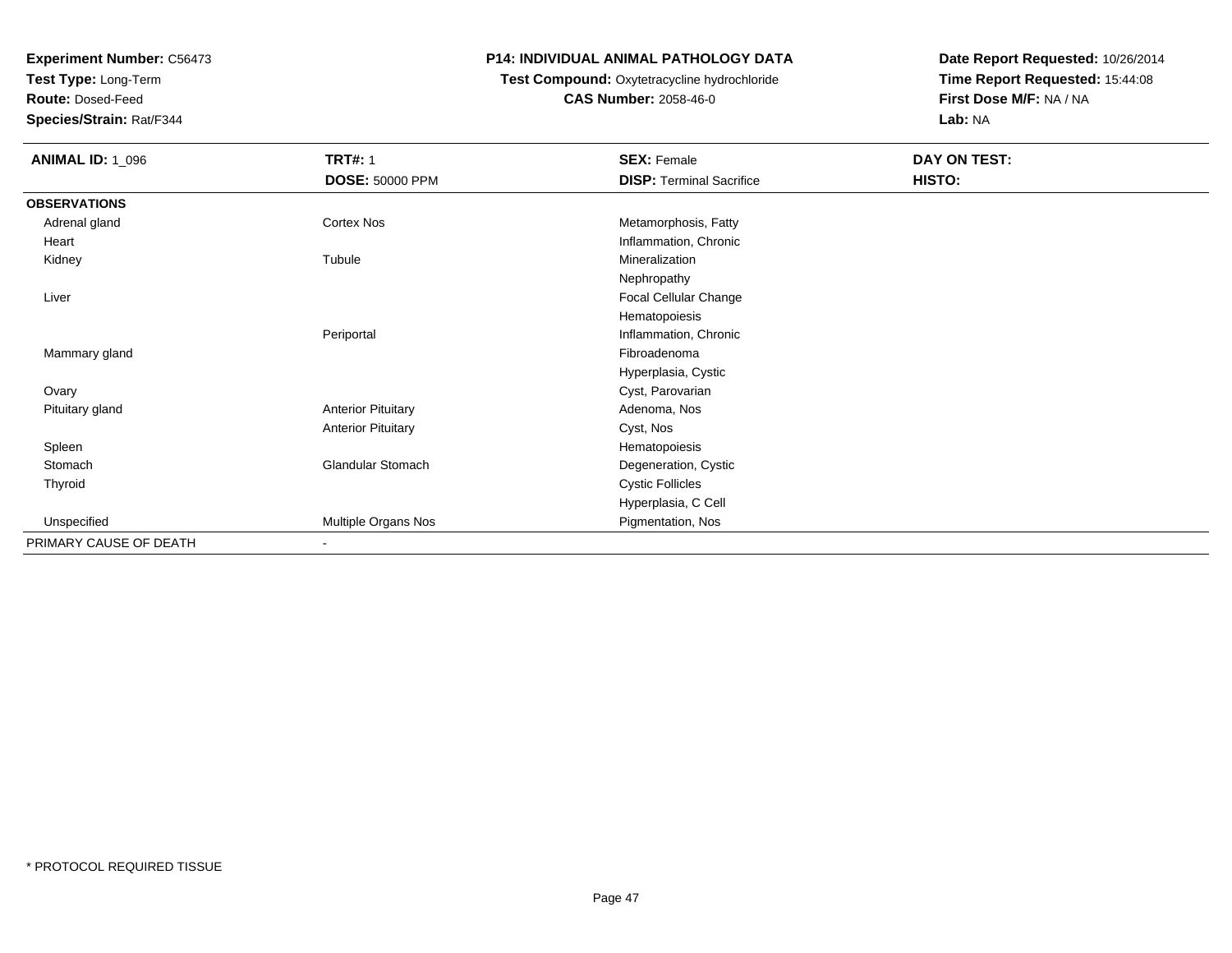**Test Type:** Long-Term

**Route:** Dosed-Feed

**Species/Strain:** Rat/F344

### **P14: INDIVIDUAL ANIMAL PATHOLOGY DATA**

# **Test Compound:** Oxytetracycline hydrochloride**CAS Number:** 2058-46-0

| <b>ANIMAL ID: 1_096</b> | <b>TRT#: 1</b>            | <b>SEX: Female</b>              | DAY ON TEST: |  |
|-------------------------|---------------------------|---------------------------------|--------------|--|
|                         | <b>DOSE: 50000 PPM</b>    | <b>DISP: Terminal Sacrifice</b> | HISTO:       |  |
| <b>OBSERVATIONS</b>     |                           |                                 |              |  |
| Adrenal gland           | Cortex Nos                | Metamorphosis, Fatty            |              |  |
| Heart                   |                           | Inflammation, Chronic           |              |  |
| Kidney                  | Tubule                    | Mineralization                  |              |  |
|                         |                           | Nephropathy                     |              |  |
| Liver                   |                           | Focal Cellular Change           |              |  |
|                         |                           | Hematopoiesis                   |              |  |
|                         | Periportal                | Inflammation, Chronic           |              |  |
| Mammary gland           |                           | Fibroadenoma                    |              |  |
|                         |                           | Hyperplasia, Cystic             |              |  |
| Ovary                   |                           | Cyst, Parovarian                |              |  |
| Pituitary gland         | <b>Anterior Pituitary</b> | Adenoma, Nos                    |              |  |
|                         | <b>Anterior Pituitary</b> | Cyst, Nos                       |              |  |
| Spleen                  |                           | Hematopoiesis                   |              |  |
| Stomach                 | Glandular Stomach         | Degeneration, Cystic            |              |  |
| Thyroid                 |                           | <b>Cystic Follicles</b>         |              |  |
|                         |                           | Hyperplasia, C Cell             |              |  |
| Unspecified             | Multiple Organs Nos       | Pigmentation, Nos               |              |  |
| PRIMARY CAUSE OF DEATH  | $\blacksquare$            |                                 |              |  |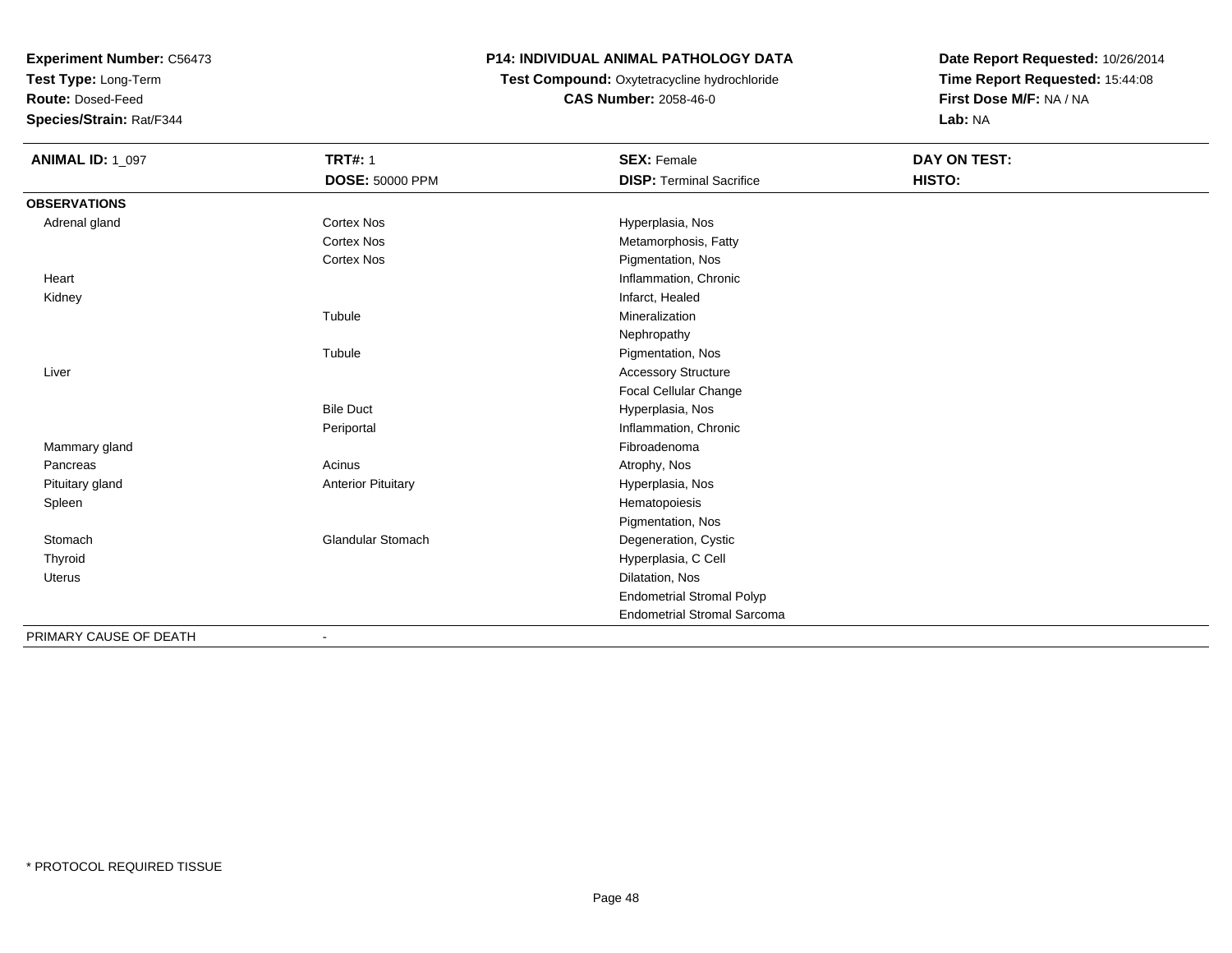**Test Type:** Long-Term

**Route:** Dosed-Feed

**Species/Strain:** Rat/F344

## **P14: INDIVIDUAL ANIMAL PATHOLOGY DATA**

# **Test Compound:** Oxytetracycline hydrochloride**CAS Number:** 2058-46-0

| <b>ANIMAL ID: 1_097</b> | <b>TRT#: 1</b>            | <b>SEX: Female</b>                 | DAY ON TEST: |
|-------------------------|---------------------------|------------------------------------|--------------|
|                         | <b>DOSE: 50000 PPM</b>    | <b>DISP: Terminal Sacrifice</b>    | HISTO:       |
| <b>OBSERVATIONS</b>     |                           |                                    |              |
| Adrenal gland           | Cortex Nos                | Hyperplasia, Nos                   |              |
|                         | <b>Cortex Nos</b>         | Metamorphosis, Fatty               |              |
|                         | Cortex Nos                | Pigmentation, Nos                  |              |
| Heart                   |                           | Inflammation, Chronic              |              |
| Kidney                  |                           | Infarct, Healed                    |              |
|                         | Tubule                    | Mineralization                     |              |
|                         |                           | Nephropathy                        |              |
|                         | Tubule                    | Pigmentation, Nos                  |              |
| Liver                   |                           | <b>Accessory Structure</b>         |              |
|                         |                           | Focal Cellular Change              |              |
|                         | <b>Bile Duct</b>          | Hyperplasia, Nos                   |              |
|                         | Periportal                | Inflammation, Chronic              |              |
| Mammary gland           |                           | Fibroadenoma                       |              |
| Pancreas                | Acinus                    | Atrophy, Nos                       |              |
| Pituitary gland         | <b>Anterior Pituitary</b> | Hyperplasia, Nos                   |              |
| Spleen                  |                           | Hematopoiesis                      |              |
|                         |                           | Pigmentation, Nos                  |              |
| Stomach                 | <b>Glandular Stomach</b>  | Degeneration, Cystic               |              |
| Thyroid                 |                           | Hyperplasia, C Cell                |              |
| <b>Uterus</b>           |                           | Dilatation, Nos                    |              |
|                         |                           | <b>Endometrial Stromal Polyp</b>   |              |
|                         |                           | <b>Endometrial Stromal Sarcoma</b> |              |
| PRIMARY CAUSE OF DEATH  |                           |                                    |              |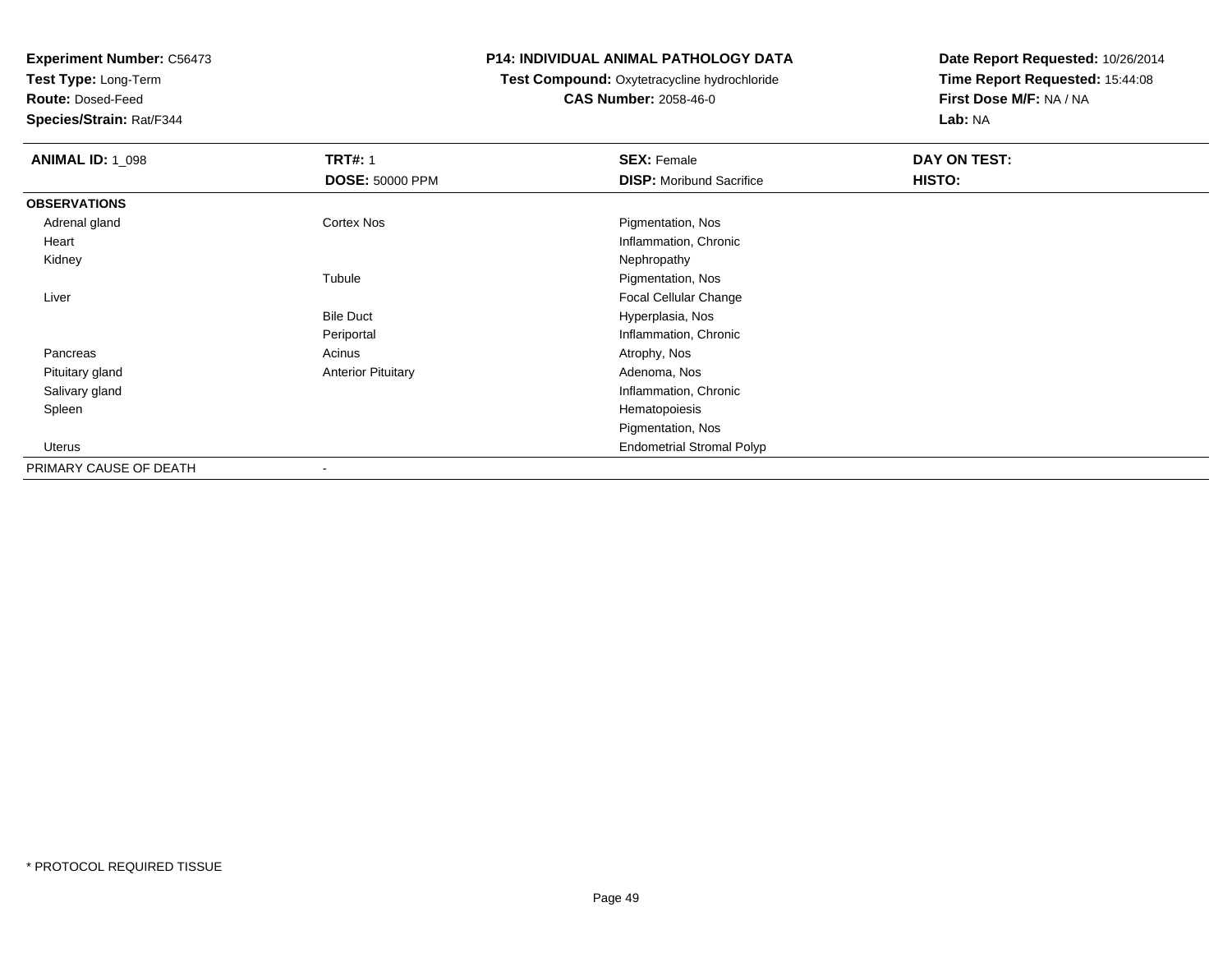**Test Type:** Long-Term

**Route:** Dosed-Feed

**Species/Strain:** Rat/F344

#### **P14: INDIVIDUAL ANIMAL PATHOLOGY DATA**

#### **Test Compound:** Oxytetracycline hydrochloride**CAS Number:** 2058-46-0

| <b>ANIMAL ID: 1_098</b> | <b>TRT#: 1</b>            | <b>SEX: Female</b>               | DAY ON TEST: |  |
|-------------------------|---------------------------|----------------------------------|--------------|--|
|                         | <b>DOSE: 50000 PPM</b>    | <b>DISP:</b> Moribund Sacrifice  | HISTO:       |  |
| <b>OBSERVATIONS</b>     |                           |                                  |              |  |
| Adrenal gland           | <b>Cortex Nos</b>         | Pigmentation, Nos                |              |  |
| Heart                   |                           | Inflammation, Chronic            |              |  |
| Kidney                  |                           | Nephropathy                      |              |  |
|                         | Tubule                    | Pigmentation, Nos                |              |  |
| Liver                   |                           | Focal Cellular Change            |              |  |
|                         | <b>Bile Duct</b>          | Hyperplasia, Nos                 |              |  |
|                         | Periportal                | Inflammation, Chronic            |              |  |
| Pancreas                | Acinus                    | Atrophy, Nos                     |              |  |
| Pituitary gland         | <b>Anterior Pituitary</b> | Adenoma, Nos                     |              |  |
| Salivary gland          |                           | Inflammation, Chronic            |              |  |
| Spleen                  |                           | Hematopoiesis                    |              |  |
|                         |                           | Pigmentation, Nos                |              |  |
| Uterus                  |                           | <b>Endometrial Stromal Polyp</b> |              |  |
| PRIMARY CAUSE OF DEATH  |                           |                                  |              |  |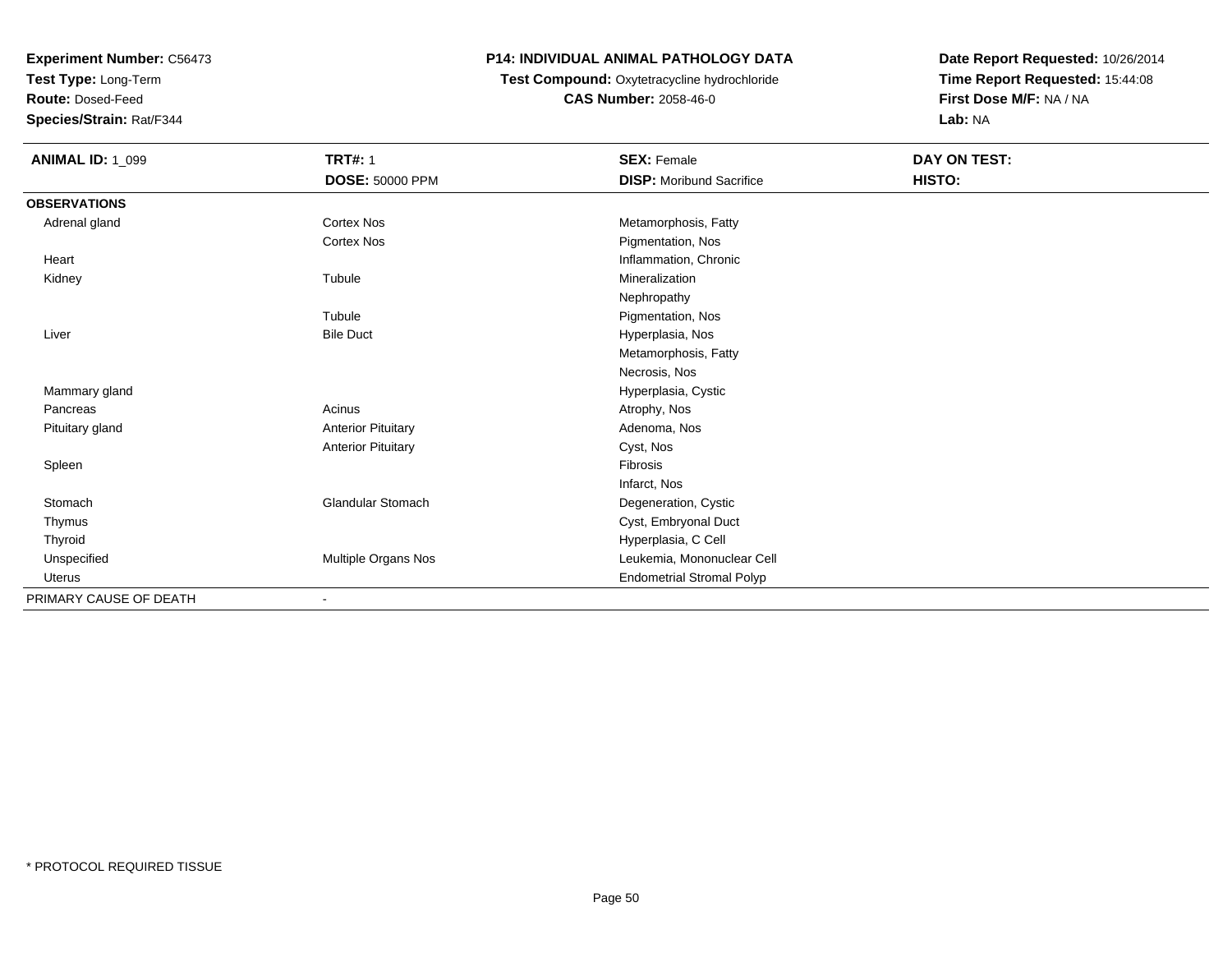**Test Type:** Long-Term

**Route:** Dosed-Feed

**Species/Strain:** Rat/F344

## **P14: INDIVIDUAL ANIMAL PATHOLOGY DATA**

# **Test Compound:** Oxytetracycline hydrochloride**CAS Number:** 2058-46-0

| <b>ANIMAL ID: 1_099</b> | <b>TRT#: 1</b><br><b>DOSE: 50000 PPM</b> | <b>SEX: Female</b><br><b>DISP:</b> Moribund Sacrifice | DAY ON TEST:<br>HISTO: |  |
|-------------------------|------------------------------------------|-------------------------------------------------------|------------------------|--|
| <b>OBSERVATIONS</b>     |                                          |                                                       |                        |  |
| Adrenal gland           | <b>Cortex Nos</b>                        | Metamorphosis, Fatty                                  |                        |  |
|                         | Cortex Nos                               | Pigmentation, Nos                                     |                        |  |
| Heart                   |                                          | Inflammation, Chronic                                 |                        |  |
| Kidney                  | Tubule                                   | Mineralization                                        |                        |  |
|                         |                                          | Nephropathy                                           |                        |  |
|                         | Tubule                                   | Pigmentation, Nos                                     |                        |  |
| Liver                   | <b>Bile Duct</b>                         | Hyperplasia, Nos                                      |                        |  |
|                         |                                          | Metamorphosis, Fatty                                  |                        |  |
|                         |                                          | Necrosis, Nos                                         |                        |  |
| Mammary gland           |                                          | Hyperplasia, Cystic                                   |                        |  |
| Pancreas                | Acinus                                   | Atrophy, Nos                                          |                        |  |
| Pituitary gland         | <b>Anterior Pituitary</b>                | Adenoma, Nos                                          |                        |  |
|                         | <b>Anterior Pituitary</b>                | Cyst, Nos                                             |                        |  |
| Spleen                  |                                          | Fibrosis                                              |                        |  |
|                         |                                          | Infarct, Nos                                          |                        |  |
| Stomach                 | <b>Glandular Stomach</b>                 | Degeneration, Cystic                                  |                        |  |
| Thymus                  |                                          | Cyst, Embryonal Duct                                  |                        |  |
| Thyroid                 |                                          | Hyperplasia, C Cell                                   |                        |  |
| Unspecified             | Multiple Organs Nos                      | Leukemia, Mononuclear Cell                            |                        |  |
| Uterus                  |                                          | <b>Endometrial Stromal Polyp</b>                      |                        |  |
| PRIMARY CAUSE OF DEATH  | $\qquad \qquad \blacksquare$             |                                                       |                        |  |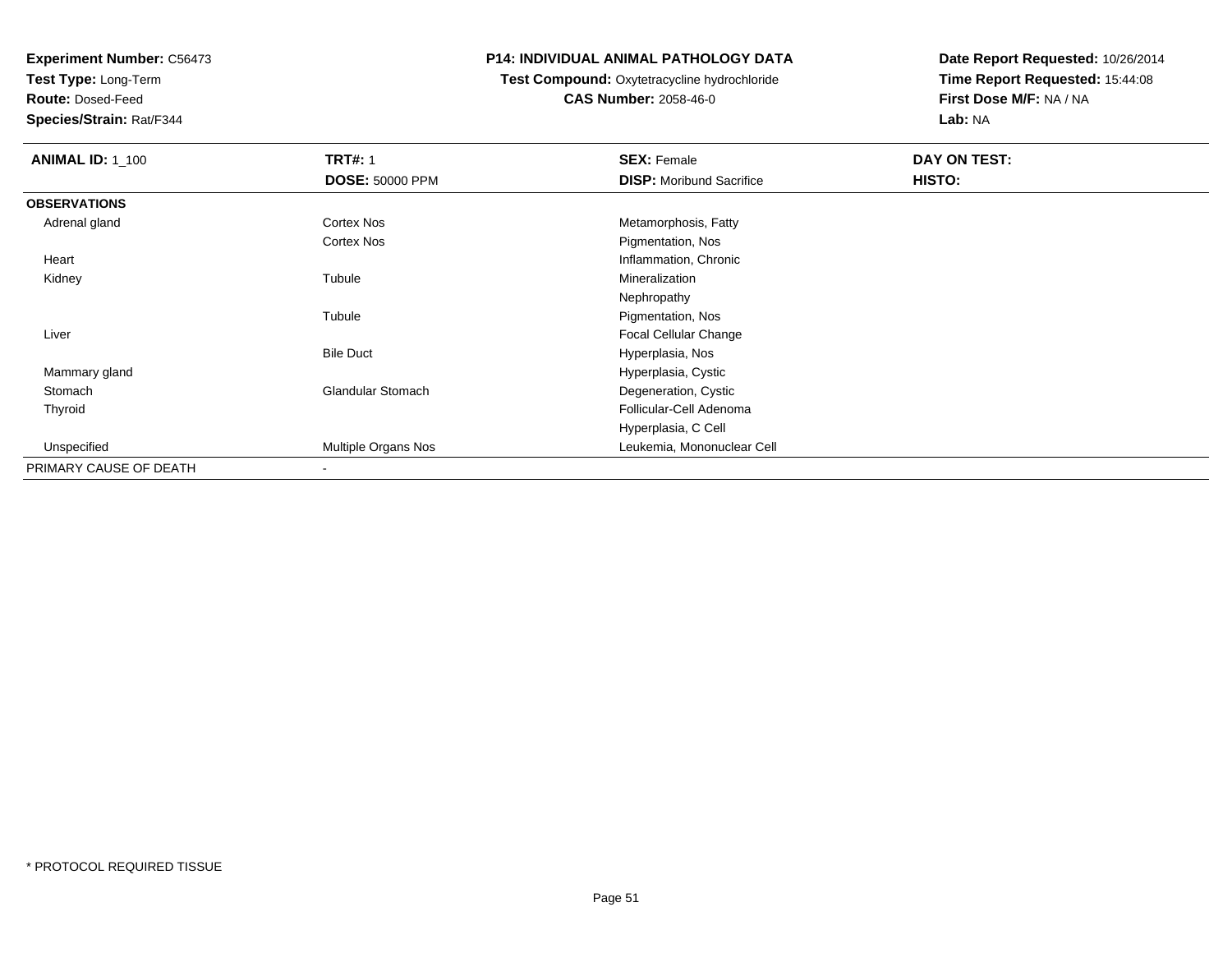**Test Type:** Long-Term

**Route:** Dosed-Feed

**Species/Strain:** Rat/F344

### **P14: INDIVIDUAL ANIMAL PATHOLOGY DATA**

# **Test Compound:** Oxytetracycline hydrochloride**CAS Number:** 2058-46-0

| <b>ANIMAL ID: 1 100</b> | <b>TRT#: 1</b>           | <b>SEX: Female</b>              | DAY ON TEST: |  |
|-------------------------|--------------------------|---------------------------------|--------------|--|
|                         | <b>DOSE: 50000 PPM</b>   | <b>DISP:</b> Moribund Sacrifice | HISTO:       |  |
| <b>OBSERVATIONS</b>     |                          |                                 |              |  |
| Adrenal gland           | <b>Cortex Nos</b>        | Metamorphosis, Fatty            |              |  |
|                         | <b>Cortex Nos</b>        | Pigmentation, Nos               |              |  |
| Heart                   |                          | Inflammation, Chronic           |              |  |
| Kidney                  | Tubule                   | Mineralization                  |              |  |
|                         |                          | Nephropathy                     |              |  |
|                         | Tubule                   | Pigmentation, Nos               |              |  |
| Liver                   |                          | <b>Focal Cellular Change</b>    |              |  |
|                         | <b>Bile Duct</b>         | Hyperplasia, Nos                |              |  |
| Mammary gland           |                          | Hyperplasia, Cystic             |              |  |
| Stomach                 | Glandular Stomach        | Degeneration, Cystic            |              |  |
| Thyroid                 |                          | Follicular-Cell Adenoma         |              |  |
|                         |                          | Hyperplasia, C Cell             |              |  |
| Unspecified             | Multiple Organs Nos      | Leukemia, Mononuclear Cell      |              |  |
| PRIMARY CAUSE OF DEATH  | $\overline{\phantom{a}}$ |                                 |              |  |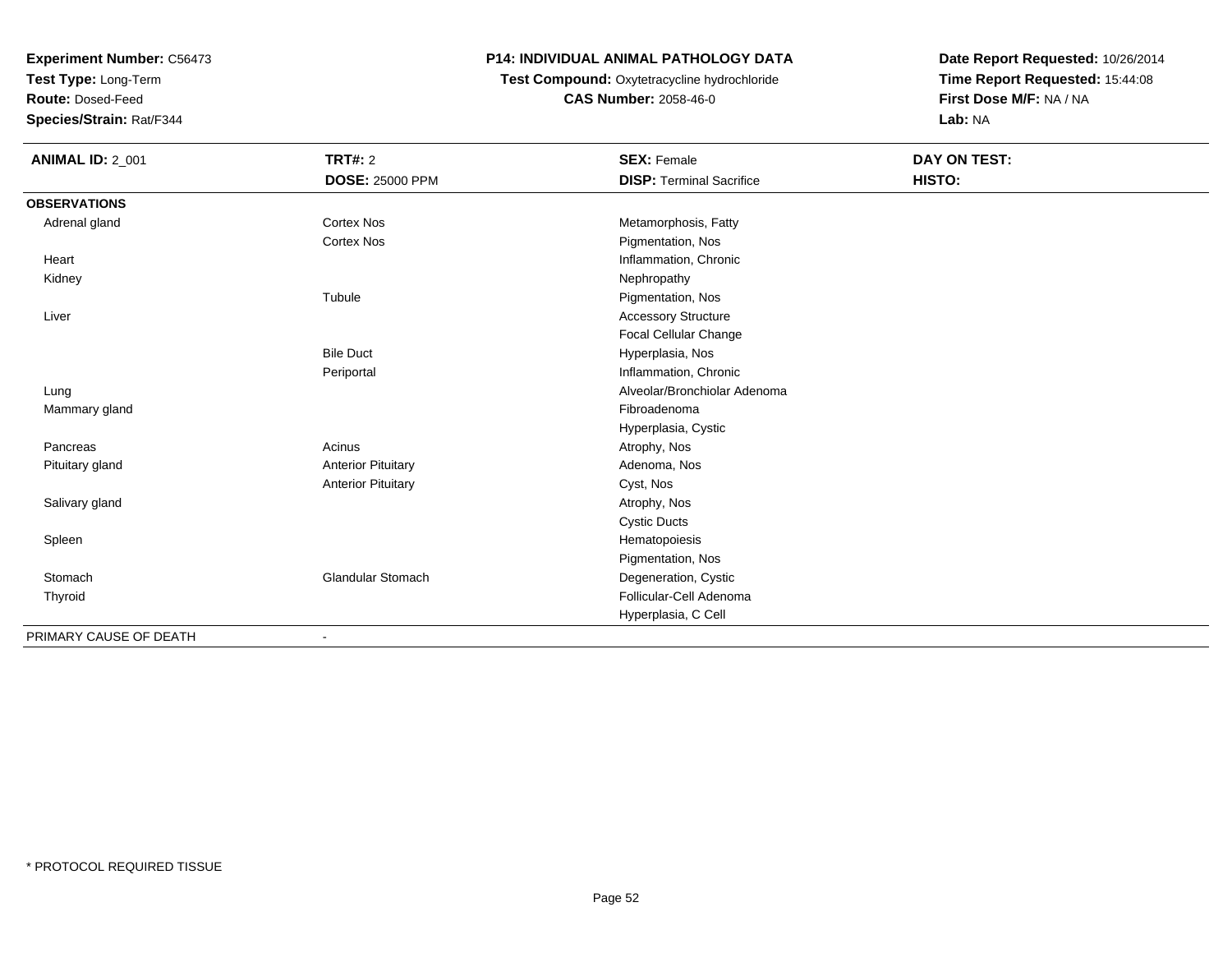**Test Type:** Long-Term

**Route:** Dosed-Feed

**Species/Strain:** Rat/F344

### **P14: INDIVIDUAL ANIMAL PATHOLOGY DATA**

**Test Compound:** Oxytetracycline hydrochloride**CAS Number:** 2058-46-0

| <b>ANIMAL ID: 2_001</b> | <b>TRT#: 2</b>            | <b>SEX: Female</b>              | <b>DAY ON TEST:</b> |  |
|-------------------------|---------------------------|---------------------------------|---------------------|--|
|                         | <b>DOSE: 25000 PPM</b>    | <b>DISP: Terminal Sacrifice</b> | HISTO:              |  |
| <b>OBSERVATIONS</b>     |                           |                                 |                     |  |
| Adrenal gland           | <b>Cortex Nos</b>         | Metamorphosis, Fatty            |                     |  |
|                         | <b>Cortex Nos</b>         | Pigmentation, Nos               |                     |  |
| Heart                   |                           | Inflammation, Chronic           |                     |  |
| Kidney                  |                           | Nephropathy                     |                     |  |
|                         | Tubule                    | Pigmentation, Nos               |                     |  |
| Liver                   |                           | <b>Accessory Structure</b>      |                     |  |
|                         |                           | Focal Cellular Change           |                     |  |
|                         | <b>Bile Duct</b>          | Hyperplasia, Nos                |                     |  |
|                         | Periportal                | Inflammation, Chronic           |                     |  |
| Lung                    |                           | Alveolar/Bronchiolar Adenoma    |                     |  |
| Mammary gland           |                           | Fibroadenoma                    |                     |  |
|                         |                           | Hyperplasia, Cystic             |                     |  |
| Pancreas                | Acinus                    | Atrophy, Nos                    |                     |  |
| Pituitary gland         | <b>Anterior Pituitary</b> | Adenoma, Nos                    |                     |  |
|                         | <b>Anterior Pituitary</b> | Cyst, Nos                       |                     |  |
| Salivary gland          |                           | Atrophy, Nos                    |                     |  |
|                         |                           | <b>Cystic Ducts</b>             |                     |  |
| Spleen                  |                           | Hematopoiesis                   |                     |  |
|                         |                           | Pigmentation, Nos               |                     |  |
| Stomach                 | <b>Glandular Stomach</b>  | Degeneration, Cystic            |                     |  |
| Thyroid                 |                           | Follicular-Cell Adenoma         |                     |  |
|                         |                           | Hyperplasia, C Cell             |                     |  |
| PRIMARY CAUSE OF DEATH  | ٠                         |                                 |                     |  |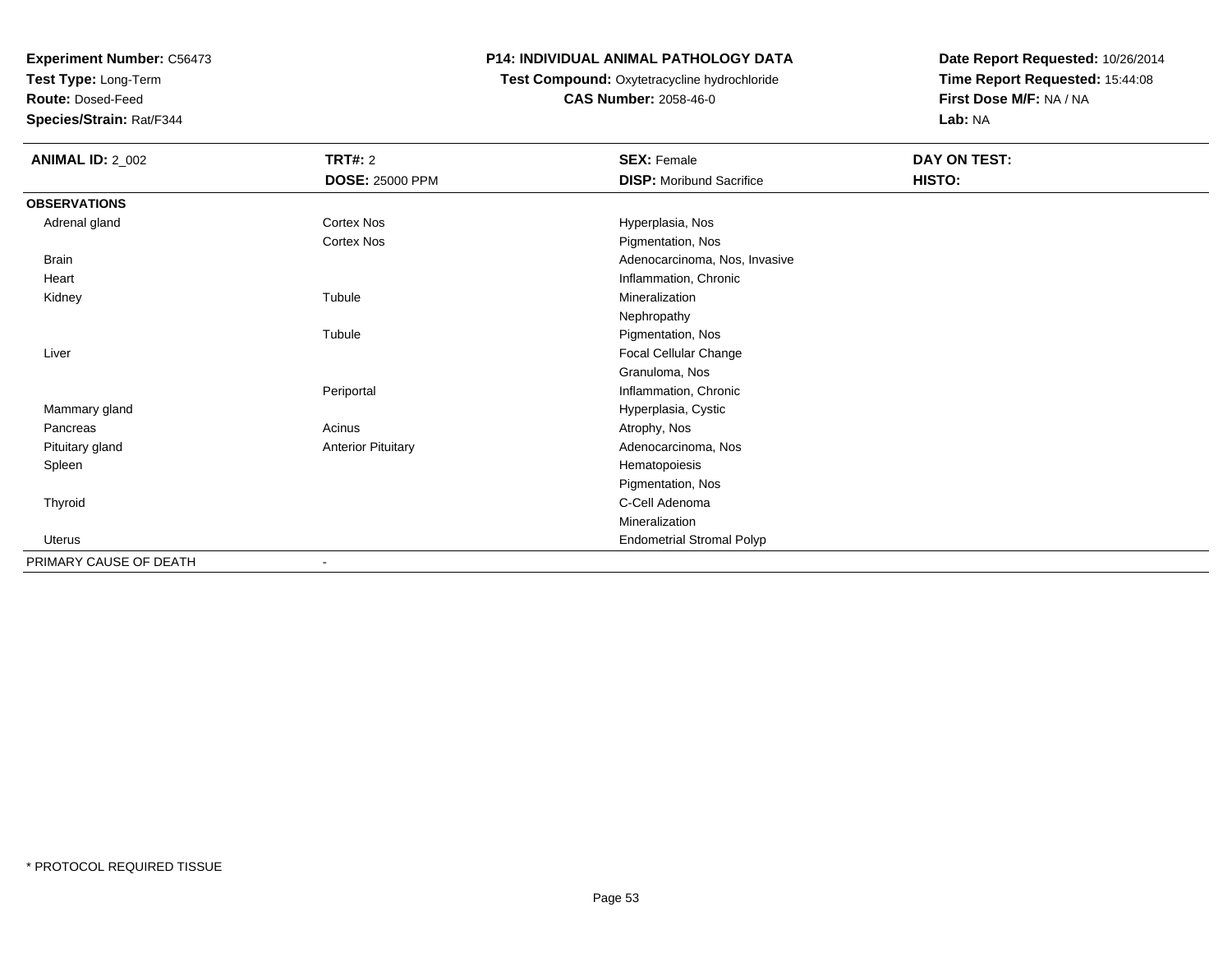**Test Type:** Long-Term

**Route:** Dosed-Feed

**Species/Strain:** Rat/F344

### **P14: INDIVIDUAL ANIMAL PATHOLOGY DATA**

# **Test Compound:** Oxytetracycline hydrochloride**CAS Number:** 2058-46-0

| <b>ANIMAL ID: 2_002</b> | <b>TRT#: 2</b>            | <b>SEX: Female</b>               | DAY ON TEST: |
|-------------------------|---------------------------|----------------------------------|--------------|
|                         | <b>DOSE: 25000 PPM</b>    | <b>DISP:</b> Moribund Sacrifice  | HISTO:       |
| <b>OBSERVATIONS</b>     |                           |                                  |              |
| Adrenal gland           | Cortex Nos                | Hyperplasia, Nos                 |              |
|                         | Cortex Nos                | Pigmentation, Nos                |              |
| <b>Brain</b>            |                           | Adenocarcinoma, Nos, Invasive    |              |
| Heart                   |                           | Inflammation, Chronic            |              |
| Kidney                  | Tubule                    | Mineralization                   |              |
|                         |                           | Nephropathy                      |              |
|                         | Tubule                    | Pigmentation, Nos                |              |
| Liver                   |                           | Focal Cellular Change            |              |
|                         |                           | Granuloma, Nos                   |              |
|                         | Periportal                | Inflammation, Chronic            |              |
| Mammary gland           |                           | Hyperplasia, Cystic              |              |
| Pancreas                | Acinus                    | Atrophy, Nos                     |              |
| Pituitary gland         | <b>Anterior Pituitary</b> | Adenocarcinoma, Nos              |              |
| Spleen                  |                           | Hematopoiesis                    |              |
|                         |                           | Pigmentation, Nos                |              |
| Thyroid                 |                           | C-Cell Adenoma                   |              |
|                         |                           | Mineralization                   |              |
| <b>Uterus</b>           |                           | <b>Endometrial Stromal Polyp</b> |              |
| PRIMARY CAUSE OF DEATH  | $\overline{\phantom{a}}$  |                                  |              |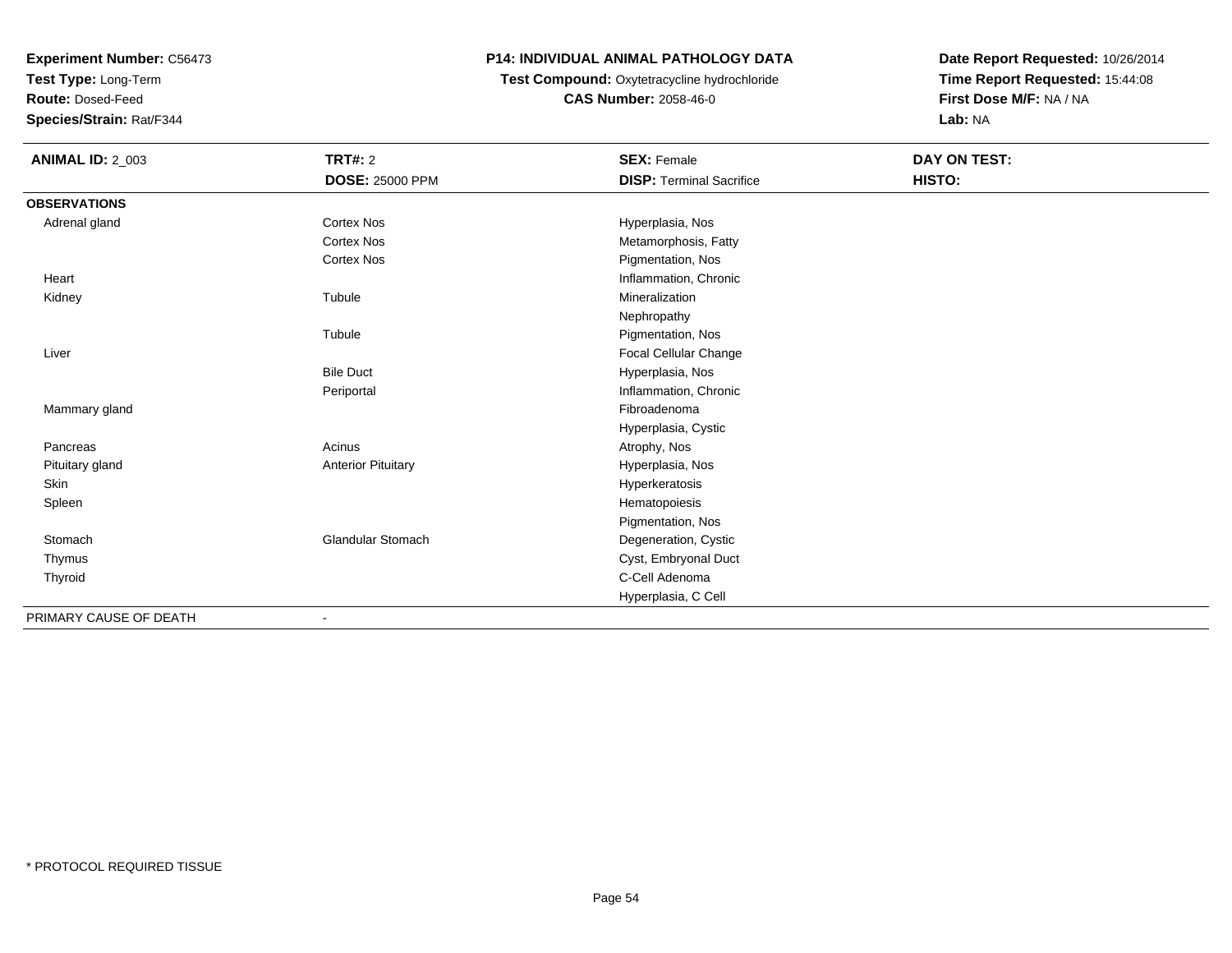**Test Type:** Long-Term

**Route:** Dosed-Feed

**Species/Strain:** Rat/F344

### **P14: INDIVIDUAL ANIMAL PATHOLOGY DATA**

# **Test Compound:** Oxytetracycline hydrochloride**CAS Number:** 2058-46-0

| <b>ANIMAL ID: 2_003</b> | <b>TRT#: 2</b>            | <b>SEX: Female</b>              | DAY ON TEST: |  |
|-------------------------|---------------------------|---------------------------------|--------------|--|
|                         | <b>DOSE: 25000 PPM</b>    | <b>DISP: Terminal Sacrifice</b> | HISTO:       |  |
| <b>OBSERVATIONS</b>     |                           |                                 |              |  |
| Adrenal gland           | <b>Cortex Nos</b>         | Hyperplasia, Nos                |              |  |
|                         | <b>Cortex Nos</b>         | Metamorphosis, Fatty            |              |  |
|                         | Cortex Nos                | Pigmentation, Nos               |              |  |
| Heart                   |                           | Inflammation, Chronic           |              |  |
| Kidney                  | Tubule                    | Mineralization                  |              |  |
|                         |                           | Nephropathy                     |              |  |
|                         | Tubule                    | Pigmentation, Nos               |              |  |
| Liver                   |                           | Focal Cellular Change           |              |  |
|                         | <b>Bile Duct</b>          | Hyperplasia, Nos                |              |  |
|                         | Periportal                | Inflammation, Chronic           |              |  |
| Mammary gland           |                           | Fibroadenoma                    |              |  |
|                         |                           | Hyperplasia, Cystic             |              |  |
| Pancreas                | Acinus                    | Atrophy, Nos                    |              |  |
| Pituitary gland         | <b>Anterior Pituitary</b> | Hyperplasia, Nos                |              |  |
| Skin                    |                           | Hyperkeratosis                  |              |  |
| Spleen                  |                           | Hematopoiesis                   |              |  |
|                         |                           | Pigmentation, Nos               |              |  |
| Stomach                 | <b>Glandular Stomach</b>  | Degeneration, Cystic            |              |  |
| Thymus                  |                           | Cyst, Embryonal Duct            |              |  |
| Thyroid                 |                           | C-Cell Adenoma                  |              |  |
|                         |                           | Hyperplasia, C Cell             |              |  |
| PRIMARY CAUSE OF DEATH  | $\overline{\phantom{a}}$  |                                 |              |  |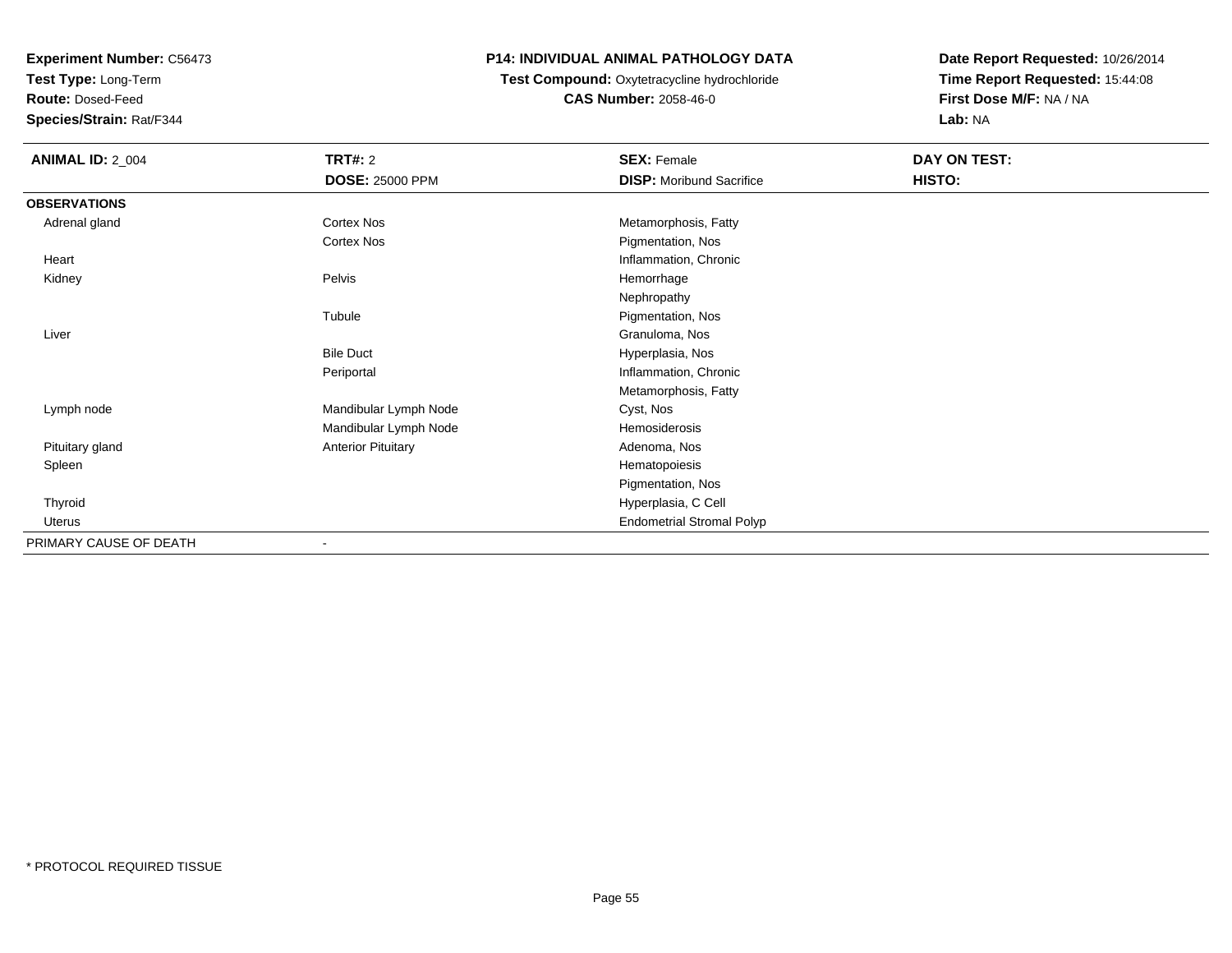**Test Type:** Long-Term

**Route:** Dosed-Feed

**Species/Strain:** Rat/F344

## **P14: INDIVIDUAL ANIMAL PATHOLOGY DATA**

# **Test Compound:** Oxytetracycline hydrochloride**CAS Number:** 2058-46-0

| <b>ANIMAL ID: 2_004</b> | <b>TRT#: 2</b>            | <b>SEX: Female</b>               | DAY ON TEST: |  |
|-------------------------|---------------------------|----------------------------------|--------------|--|
|                         | <b>DOSE: 25000 PPM</b>    | <b>DISP:</b> Moribund Sacrifice  | HISTO:       |  |
| <b>OBSERVATIONS</b>     |                           |                                  |              |  |
| Adrenal gland           | Cortex Nos                | Metamorphosis, Fatty             |              |  |
|                         | <b>Cortex Nos</b>         | Pigmentation, Nos                |              |  |
| Heart                   |                           | Inflammation, Chronic            |              |  |
| Kidney                  | Pelvis                    | Hemorrhage                       |              |  |
|                         |                           | Nephropathy                      |              |  |
|                         | Tubule                    | Pigmentation, Nos                |              |  |
| Liver                   |                           | Granuloma, Nos                   |              |  |
|                         | <b>Bile Duct</b>          | Hyperplasia, Nos                 |              |  |
|                         | Periportal                | Inflammation, Chronic            |              |  |
|                         |                           | Metamorphosis, Fatty             |              |  |
| Lymph node              | Mandibular Lymph Node     | Cyst, Nos                        |              |  |
|                         | Mandibular Lymph Node     | Hemosiderosis                    |              |  |
| Pituitary gland         | <b>Anterior Pituitary</b> | Adenoma, Nos                     |              |  |
| Spleen                  |                           | Hematopoiesis                    |              |  |
|                         |                           | Pigmentation, Nos                |              |  |
| Thyroid                 |                           | Hyperplasia, C Cell              |              |  |
| Uterus                  |                           | <b>Endometrial Stromal Polyp</b> |              |  |
| PRIMARY CAUSE OF DEATH  |                           |                                  |              |  |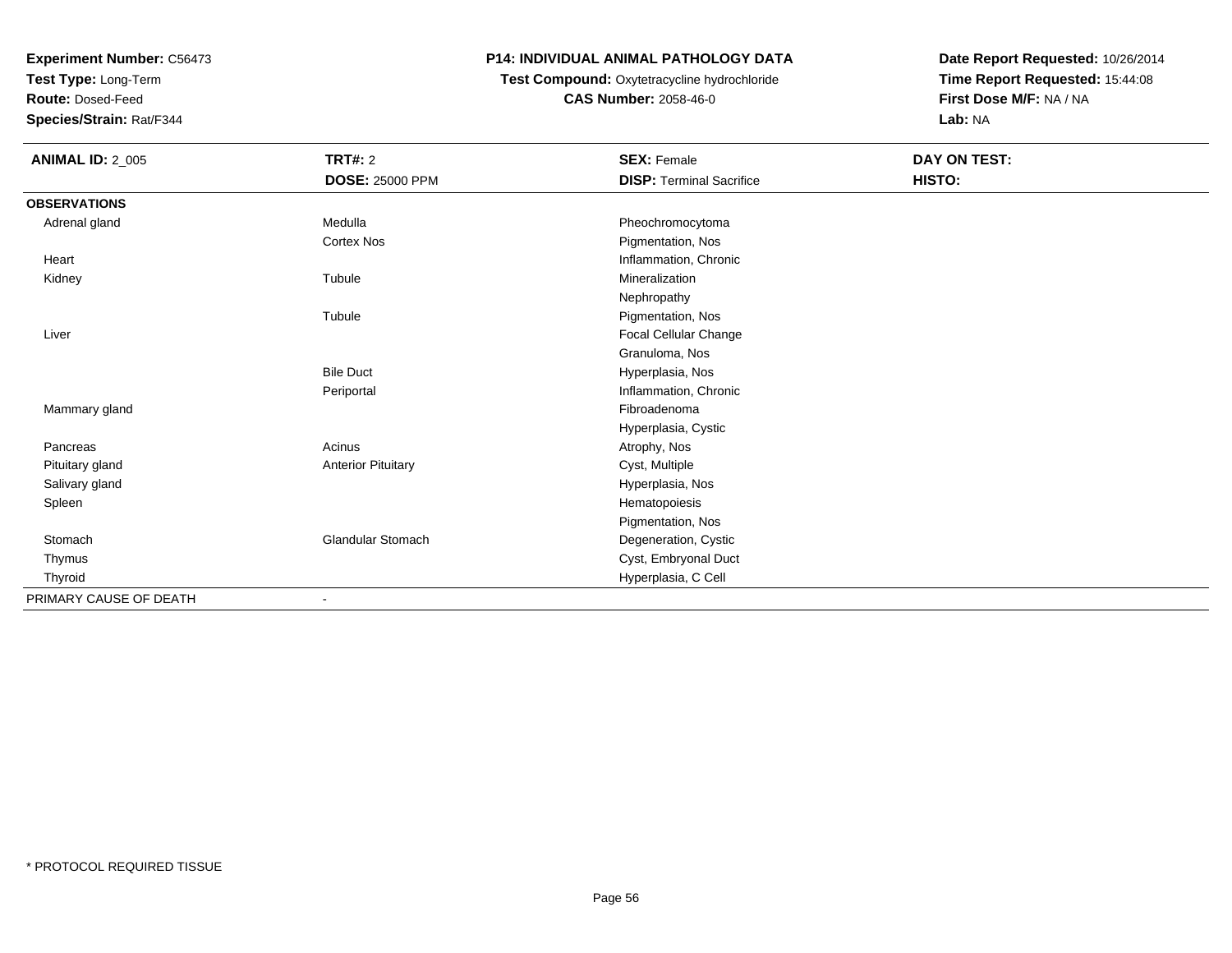**Test Type:** Long-Term

**Route:** Dosed-Feed

**Species/Strain:** Rat/F344

### **P14: INDIVIDUAL ANIMAL PATHOLOGY DATA**

### **Test Compound:** Oxytetracycline hydrochloride**CAS Number:** 2058-46-0

| <b>ANIMAL ID: 2_005</b> | <b>TRT#: 2</b>            | <b>SEX: Female</b>              | DAY ON TEST: |  |
|-------------------------|---------------------------|---------------------------------|--------------|--|
|                         | <b>DOSE: 25000 PPM</b>    | <b>DISP: Terminal Sacrifice</b> | HISTO:       |  |
| <b>OBSERVATIONS</b>     |                           |                                 |              |  |
| Adrenal gland           | Medulla                   | Pheochromocytoma                |              |  |
|                         | <b>Cortex Nos</b>         | Pigmentation, Nos               |              |  |
| Heart                   |                           | Inflammation, Chronic           |              |  |
| Kidney                  | Tubule                    | Mineralization                  |              |  |
|                         |                           | Nephropathy                     |              |  |
|                         | Tubule                    | Pigmentation, Nos               |              |  |
| Liver                   |                           | Focal Cellular Change           |              |  |
|                         |                           | Granuloma, Nos                  |              |  |
|                         | <b>Bile Duct</b>          | Hyperplasia, Nos                |              |  |
|                         | Periportal                | Inflammation, Chronic           |              |  |
| Mammary gland           |                           | Fibroadenoma                    |              |  |
|                         |                           | Hyperplasia, Cystic             |              |  |
| Pancreas                | Acinus                    | Atrophy, Nos                    |              |  |
| Pituitary gland         | <b>Anterior Pituitary</b> | Cyst, Multiple                  |              |  |
| Salivary gland          |                           | Hyperplasia, Nos                |              |  |
| Spleen                  |                           | Hematopoiesis                   |              |  |
|                         |                           | Pigmentation, Nos               |              |  |
| Stomach                 | <b>Glandular Stomach</b>  | Degeneration, Cystic            |              |  |
| Thymus                  |                           | Cyst, Embryonal Duct            |              |  |
| Thyroid                 |                           | Hyperplasia, C Cell             |              |  |
| PRIMARY CAUSE OF DEATH  | $\blacksquare$            |                                 |              |  |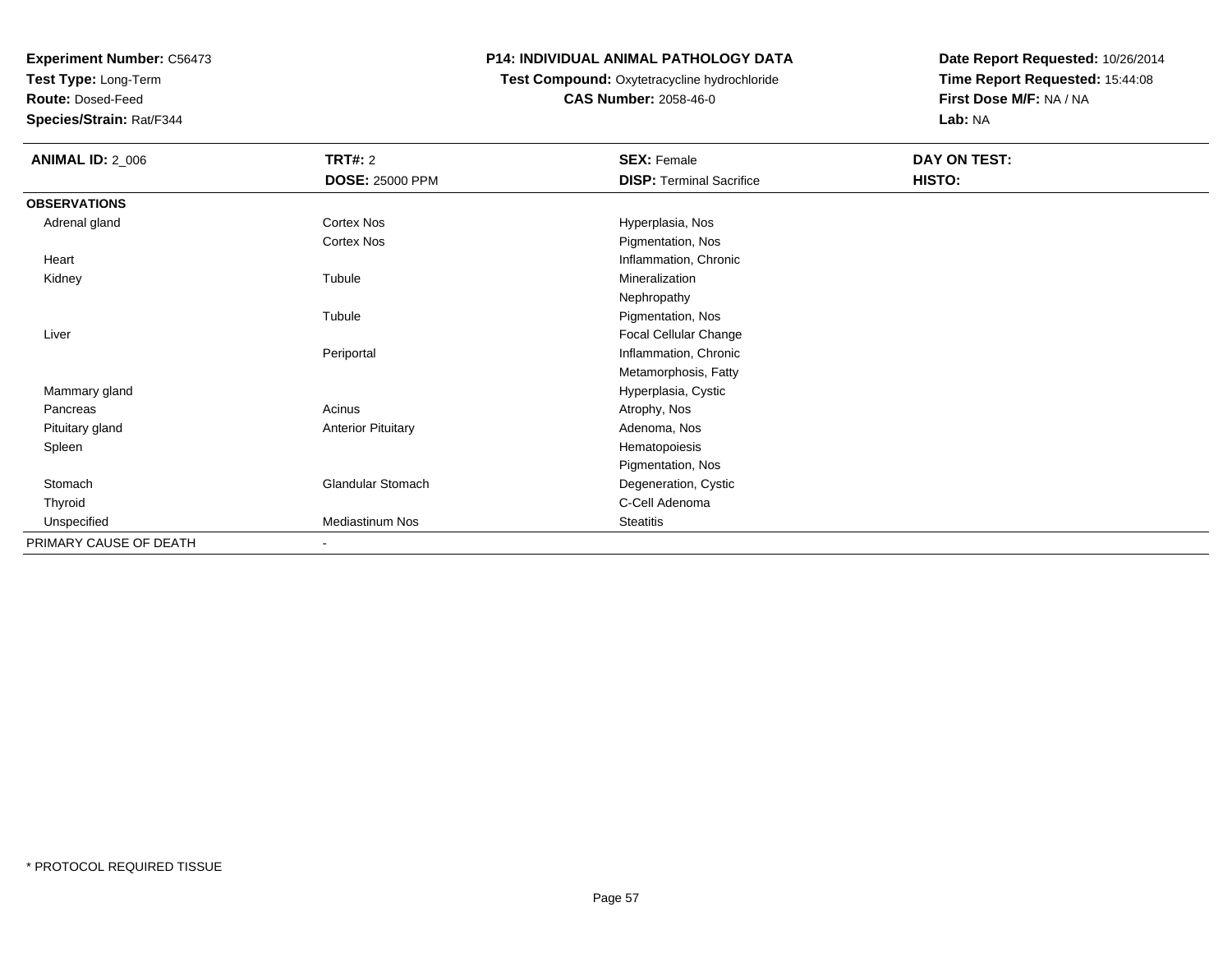**Test Type:** Long-Term

**Route:** Dosed-Feed

**Species/Strain:** Rat/F344

## **P14: INDIVIDUAL ANIMAL PATHOLOGY DATA**

## **Test Compound:** Oxytetracycline hydrochloride**CAS Number:** 2058-46-0

| <b>ANIMAL ID: 2_006</b> | <b>TRT#: 2</b>            | <b>SEX: Female</b>              | DAY ON TEST: |  |
|-------------------------|---------------------------|---------------------------------|--------------|--|
|                         | <b>DOSE: 25000 PPM</b>    | <b>DISP: Terminal Sacrifice</b> | HISTO:       |  |
| <b>OBSERVATIONS</b>     |                           |                                 |              |  |
| Adrenal gland           | Cortex Nos                | Hyperplasia, Nos                |              |  |
|                         | Cortex Nos                | Pigmentation, Nos               |              |  |
| Heart                   |                           | Inflammation, Chronic           |              |  |
| Kidney                  | Tubule                    | Mineralization                  |              |  |
|                         |                           | Nephropathy                     |              |  |
|                         | Tubule                    | Pigmentation, Nos               |              |  |
| Liver                   |                           | Focal Cellular Change           |              |  |
|                         | Periportal                | Inflammation, Chronic           |              |  |
|                         |                           | Metamorphosis, Fatty            |              |  |
| Mammary gland           |                           | Hyperplasia, Cystic             |              |  |
| Pancreas                | Acinus                    | Atrophy, Nos                    |              |  |
| Pituitary gland         | <b>Anterior Pituitary</b> | Adenoma, Nos                    |              |  |
| Spleen                  |                           | Hematopoiesis                   |              |  |
|                         |                           | Pigmentation, Nos               |              |  |
| Stomach                 | Glandular Stomach         | Degeneration, Cystic            |              |  |
| Thyroid                 |                           | C-Cell Adenoma                  |              |  |
| Unspecified             | Mediastinum Nos           | <b>Steatitis</b>                |              |  |
| PRIMARY CAUSE OF DEATH  | $\blacksquare$            |                                 |              |  |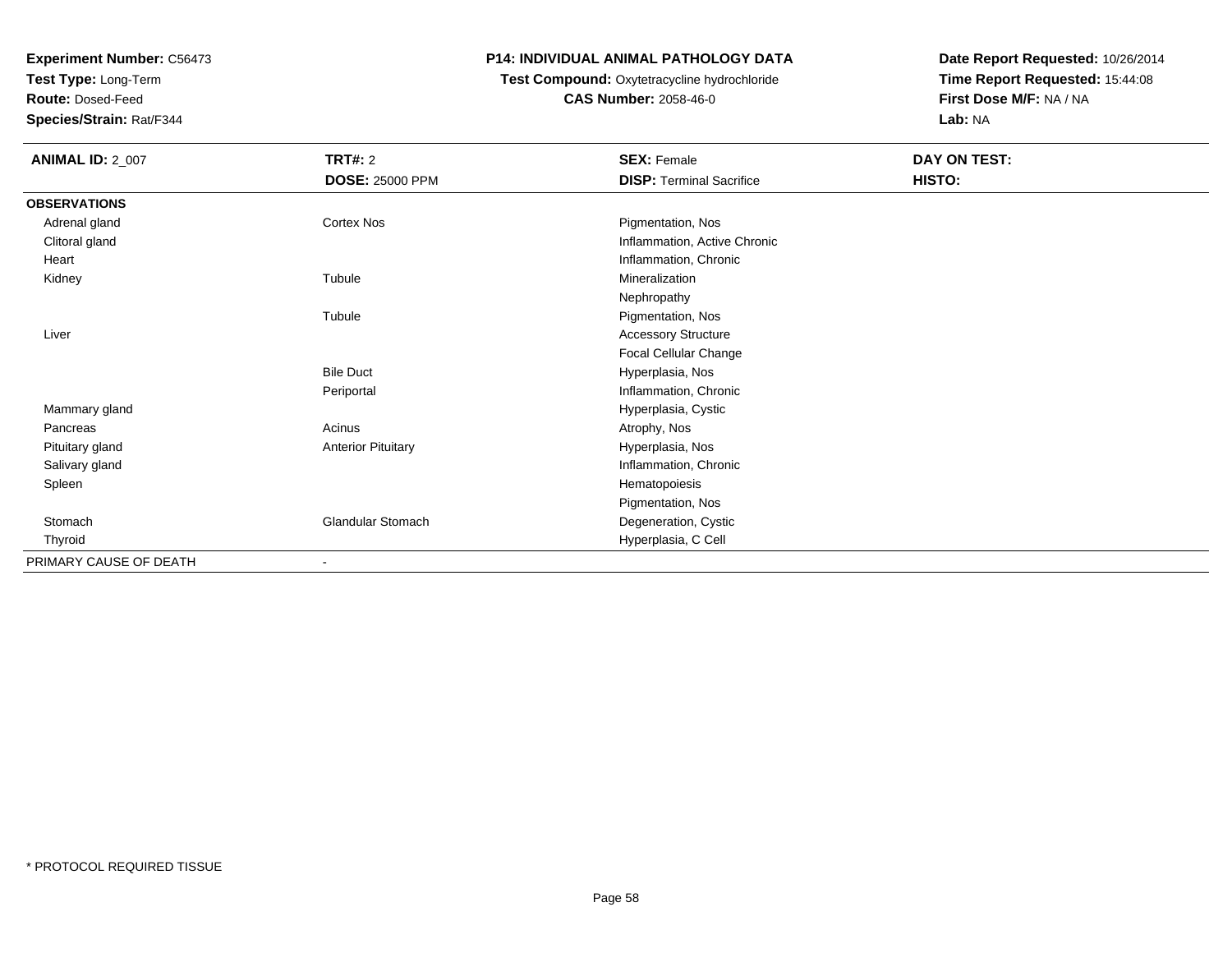**Test Type:** Long-Term

**Route:** Dosed-Feed

**Species/Strain:** Rat/F344

### **P14: INDIVIDUAL ANIMAL PATHOLOGY DATA**

# **Test Compound:** Oxytetracycline hydrochloride**CAS Number:** 2058-46-0

| <b>ANIMAL ID: 2_007</b> | <b>TRT#: 2</b><br><b>DOSE: 25000 PPM</b> | <b>SEX: Female</b><br><b>DISP: Terminal Sacrifice</b> | <b>DAY ON TEST:</b><br>HISTO: |
|-------------------------|------------------------------------------|-------------------------------------------------------|-------------------------------|
| <b>OBSERVATIONS</b>     |                                          |                                                       |                               |
| Adrenal gland           | Cortex Nos                               | Pigmentation, Nos                                     |                               |
| Clitoral gland          |                                          | Inflammation, Active Chronic                          |                               |
| Heart                   |                                          | Inflammation, Chronic                                 |                               |
| Kidney                  | Tubule                                   | Mineralization                                        |                               |
|                         |                                          | Nephropathy                                           |                               |
|                         | Tubule                                   | Pigmentation, Nos                                     |                               |
| Liver                   |                                          | <b>Accessory Structure</b>                            |                               |
|                         |                                          | Focal Cellular Change                                 |                               |
|                         | <b>Bile Duct</b>                         | Hyperplasia, Nos                                      |                               |
|                         | Periportal                               | Inflammation, Chronic                                 |                               |
| Mammary gland           |                                          | Hyperplasia, Cystic                                   |                               |
| Pancreas                | Acinus                                   | Atrophy, Nos                                          |                               |
| Pituitary gland         | <b>Anterior Pituitary</b>                | Hyperplasia, Nos                                      |                               |
| Salivary gland          |                                          | Inflammation, Chronic                                 |                               |
| Spleen                  |                                          | Hematopoiesis                                         |                               |
|                         |                                          | Pigmentation, Nos                                     |                               |
| Stomach                 | <b>Glandular Stomach</b>                 | Degeneration, Cystic                                  |                               |
| Thyroid                 |                                          | Hyperplasia, C Cell                                   |                               |
| PRIMARY CAUSE OF DEATH  | $\overline{\phantom{a}}$                 |                                                       |                               |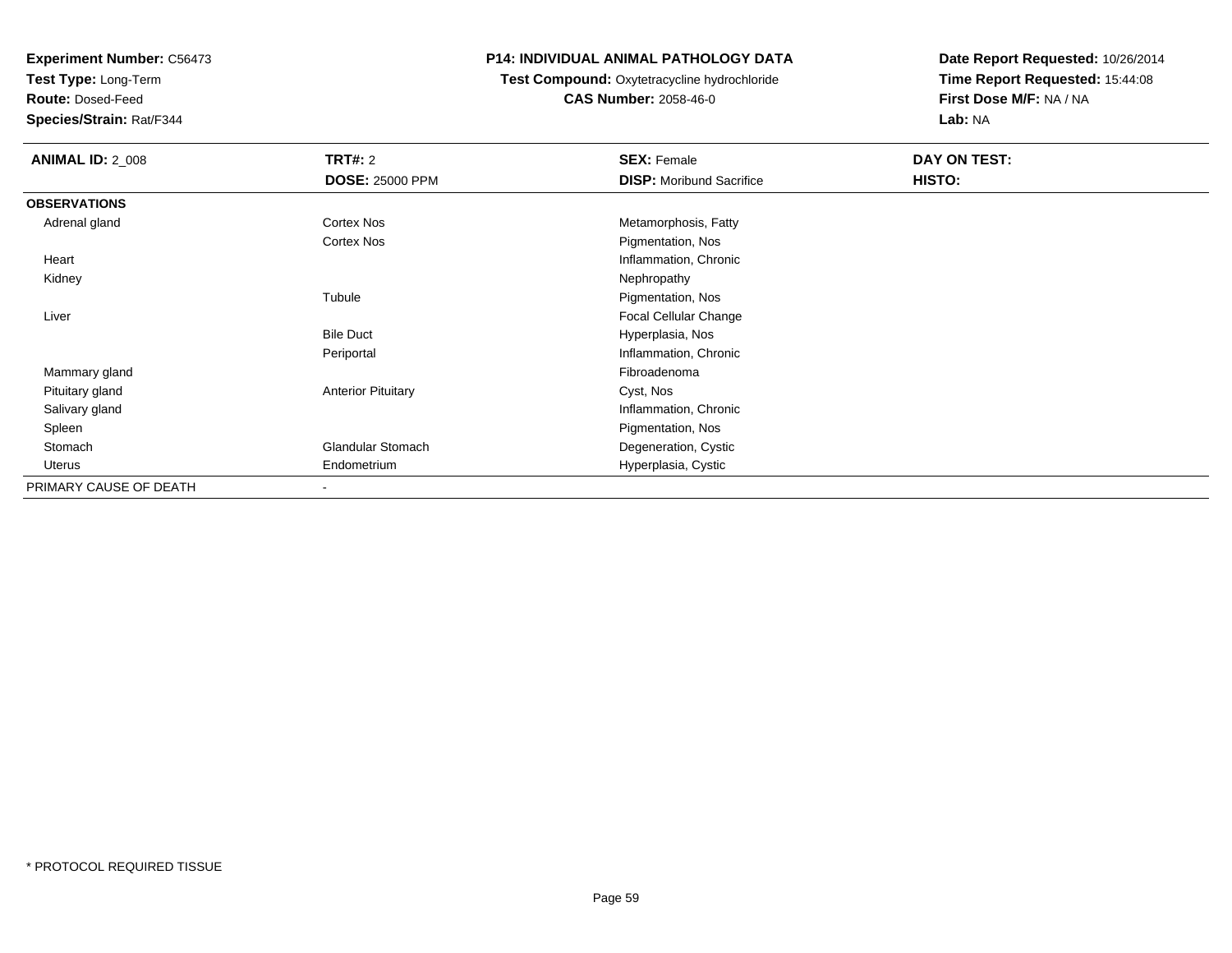**Test Type:** Long-Term

**Route:** Dosed-Feed

**Species/Strain:** Rat/F344

### **P14: INDIVIDUAL ANIMAL PATHOLOGY DATA**

#### **Test Compound:** Oxytetracycline hydrochloride**CAS Number:** 2058-46-0

| <b>ANIMAL ID: 2_008</b> | <b>TRT#: 2</b>            | <b>SEX: Female</b>              | DAY ON TEST: |  |
|-------------------------|---------------------------|---------------------------------|--------------|--|
|                         | <b>DOSE: 25000 PPM</b>    | <b>DISP: Moribund Sacrifice</b> | HISTO:       |  |
| <b>OBSERVATIONS</b>     |                           |                                 |              |  |
| Adrenal gland           | Cortex Nos                | Metamorphosis, Fatty            |              |  |
|                         | Cortex Nos                | Pigmentation, Nos               |              |  |
| Heart                   |                           | Inflammation, Chronic           |              |  |
| Kidney                  |                           | Nephropathy                     |              |  |
|                         | Tubule                    | Pigmentation, Nos               |              |  |
| Liver                   |                           | Focal Cellular Change           |              |  |
|                         | <b>Bile Duct</b>          | Hyperplasia, Nos                |              |  |
|                         | Periportal                | Inflammation, Chronic           |              |  |
| Mammary gland           |                           | Fibroadenoma                    |              |  |
| Pituitary gland         | <b>Anterior Pituitary</b> | Cyst, Nos                       |              |  |
| Salivary gland          |                           | Inflammation, Chronic           |              |  |
| Spleen                  |                           | Pigmentation, Nos               |              |  |
| Stomach                 | Glandular Stomach         | Degeneration, Cystic            |              |  |
| Uterus                  | Endometrium               | Hyperplasia, Cystic             |              |  |
| PRIMARY CAUSE OF DEATH  | $\overline{\phantom{a}}$  |                                 |              |  |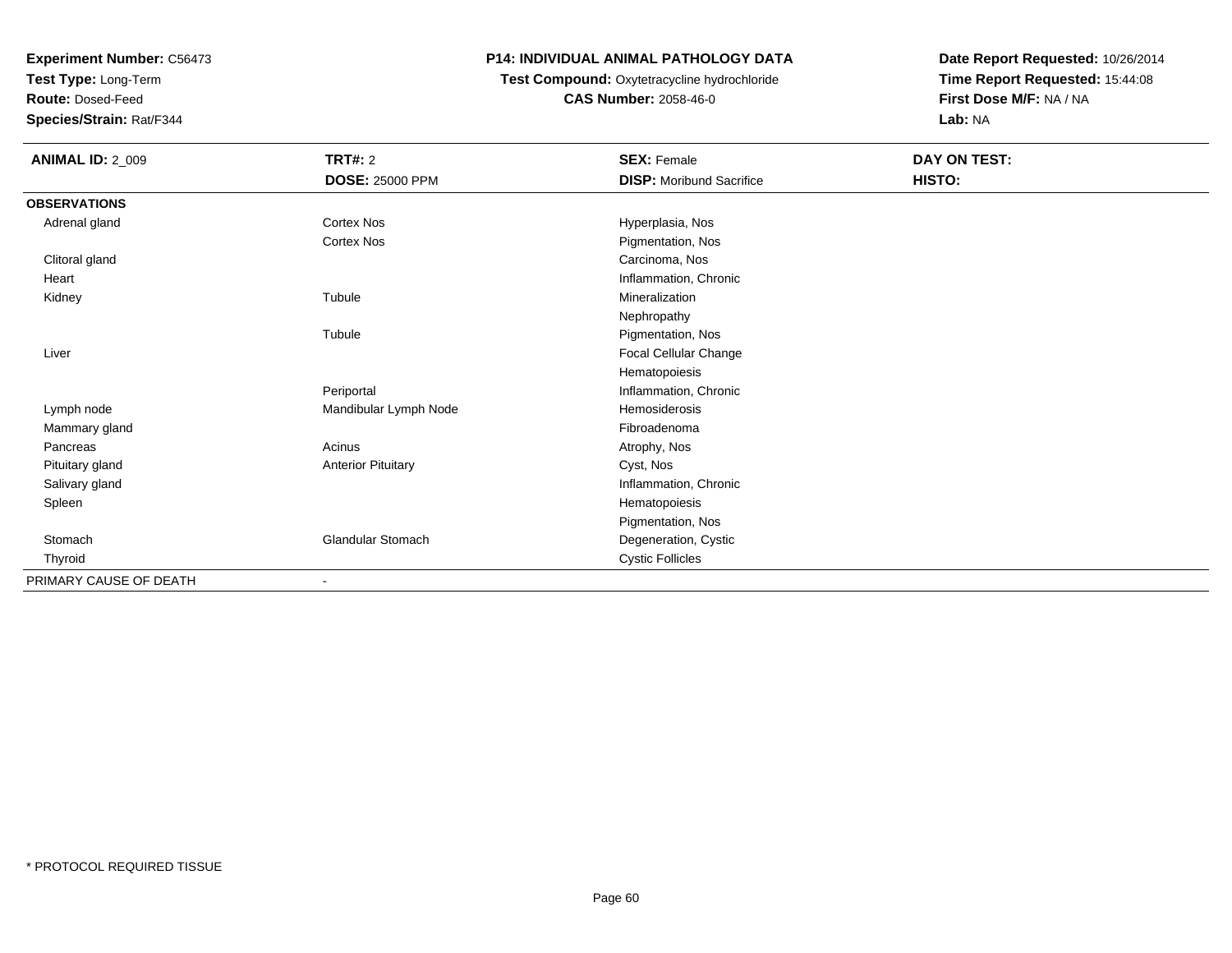**Test Type:** Long-Term

**Route:** Dosed-Feed

**Species/Strain:** Rat/F344

## **P14: INDIVIDUAL ANIMAL PATHOLOGY DATA**

# **Test Compound:** Oxytetracycline hydrochloride**CAS Number:** 2058-46-0

| <b>ANIMAL ID: 2_009</b> | <b>TRT#: 2</b><br><b>DOSE: 25000 PPM</b> | <b>SEX: Female</b><br><b>DISP: Moribund Sacrifice</b> | DAY ON TEST:<br>HISTO: |
|-------------------------|------------------------------------------|-------------------------------------------------------|------------------------|
| <b>OBSERVATIONS</b>     |                                          |                                                       |                        |
| Adrenal gland           | Cortex Nos                               | Hyperplasia, Nos                                      |                        |
|                         | Cortex Nos                               | Pigmentation, Nos                                     |                        |
| Clitoral gland          |                                          | Carcinoma, Nos                                        |                        |
| Heart                   |                                          | Inflammation, Chronic                                 |                        |
| Kidney                  | Tubule                                   | Mineralization                                        |                        |
|                         |                                          | Nephropathy                                           |                        |
|                         | Tubule                                   | Pigmentation, Nos                                     |                        |
| Liver                   |                                          | Focal Cellular Change                                 |                        |
|                         |                                          | Hematopoiesis                                         |                        |
|                         | Periportal                               | Inflammation, Chronic                                 |                        |
| Lymph node              | Mandibular Lymph Node                    | <b>Hemosiderosis</b>                                  |                        |
| Mammary gland           |                                          | Fibroadenoma                                          |                        |
| Pancreas                | Acinus                                   | Atrophy, Nos                                          |                        |
| Pituitary gland         | <b>Anterior Pituitary</b>                | Cyst, Nos                                             |                        |
| Salivary gland          |                                          | Inflammation, Chronic                                 |                        |
| Spleen                  |                                          | Hematopoiesis                                         |                        |
|                         |                                          | Pigmentation, Nos                                     |                        |
| Stomach                 | <b>Glandular Stomach</b>                 | Degeneration, Cystic                                  |                        |
| Thyroid                 |                                          | <b>Cystic Follicles</b>                               |                        |
| PRIMARY CAUSE OF DEATH  |                                          |                                                       |                        |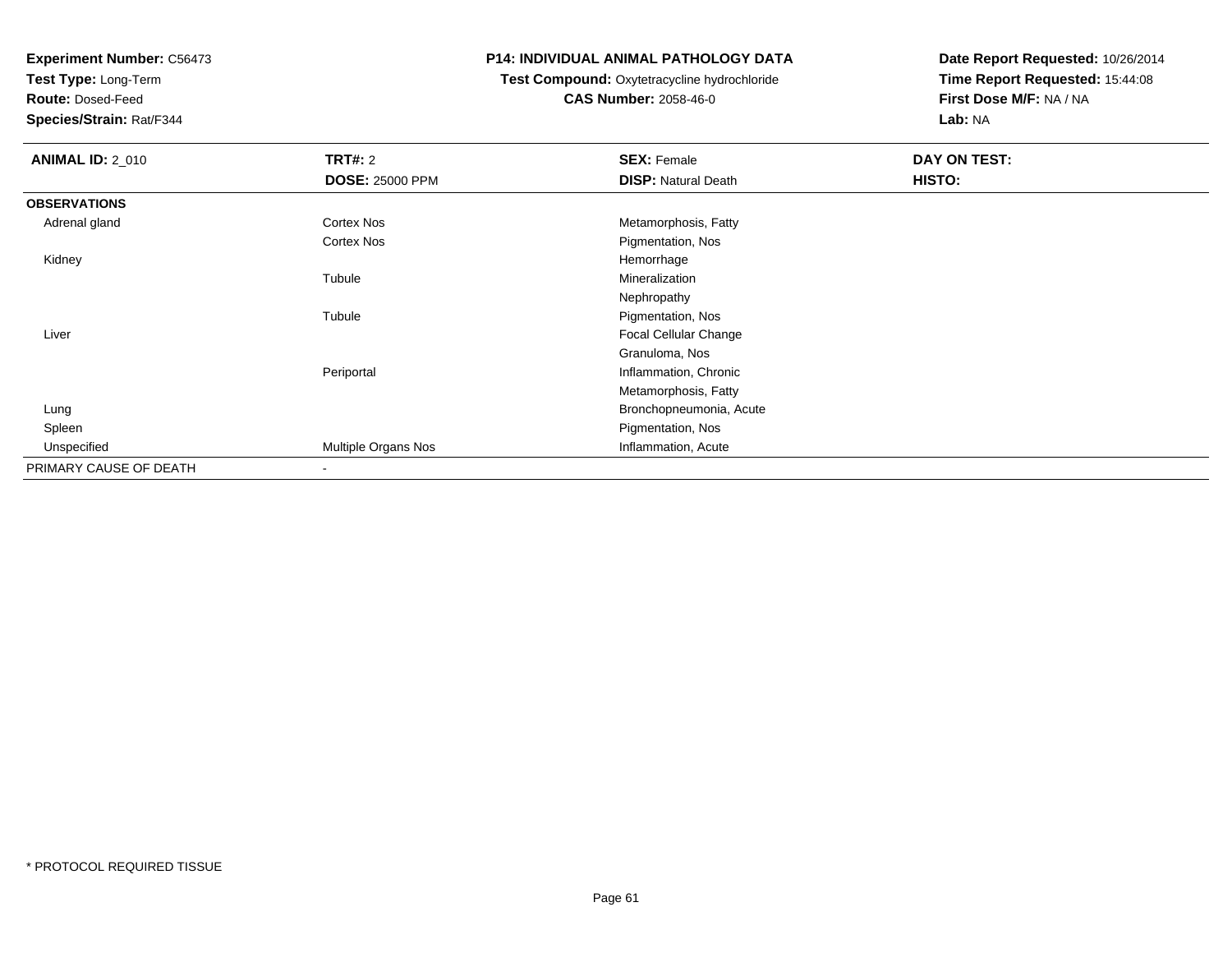**Test Type:** Long-Term

**Route:** Dosed-Feed

**Species/Strain:** Rat/F344

### **P14: INDIVIDUAL ANIMAL PATHOLOGY DATA**

**Test Compound:** Oxytetracycline hydrochloride**CAS Number:** 2058-46-0

| <b>ANIMAL ID: 2_010</b> | <b>TRT#: 2</b>         | <b>SEX: Female</b>         | DAY ON TEST: |  |
|-------------------------|------------------------|----------------------------|--------------|--|
|                         | <b>DOSE: 25000 PPM</b> | <b>DISP: Natural Death</b> | HISTO:       |  |
| <b>OBSERVATIONS</b>     |                        |                            |              |  |
| Adrenal gland           | Cortex Nos             | Metamorphosis, Fatty       |              |  |
|                         | <b>Cortex Nos</b>      | Pigmentation, Nos          |              |  |
| Kidney                  |                        | Hemorrhage                 |              |  |
|                         | Tubule                 | Mineralization             |              |  |
|                         |                        | Nephropathy                |              |  |
|                         | Tubule                 | Pigmentation, Nos          |              |  |
| Liver                   |                        | Focal Cellular Change      |              |  |
|                         |                        | Granuloma, Nos             |              |  |
|                         | Periportal             | Inflammation, Chronic      |              |  |
|                         |                        | Metamorphosis, Fatty       |              |  |
| Lung                    |                        | Bronchopneumonia, Acute    |              |  |
| Spleen                  |                        | Pigmentation, Nos          |              |  |
| Unspecified             | Multiple Organs Nos    | Inflammation, Acute        |              |  |
| PRIMARY CAUSE OF DEATH  |                        |                            |              |  |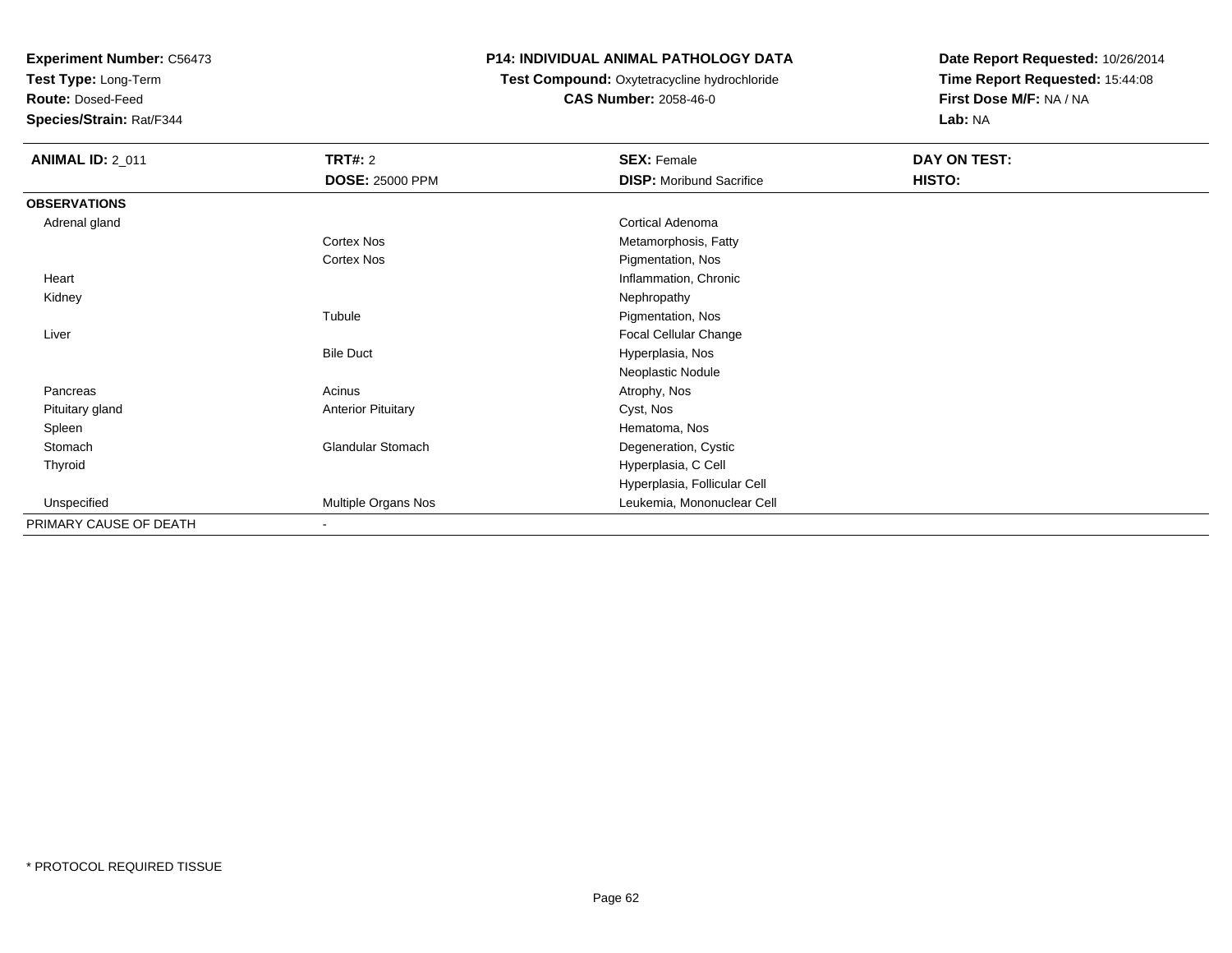**Test Type:** Long-Term

**Route:** Dosed-Feed

**Species/Strain:** Rat/F344

### **P14: INDIVIDUAL ANIMAL PATHOLOGY DATA**

#### **Test Compound:** Oxytetracycline hydrochloride**CAS Number:** 2058-46-0

| <b>ANIMAL ID: 2_011</b> | <b>TRT#: 2</b>            | <b>SEX: Female</b>              | DAY ON TEST: |  |
|-------------------------|---------------------------|---------------------------------|--------------|--|
|                         | <b>DOSE: 25000 PPM</b>    | <b>DISP:</b> Moribund Sacrifice | HISTO:       |  |
| <b>OBSERVATIONS</b>     |                           |                                 |              |  |
| Adrenal gland           |                           | Cortical Adenoma                |              |  |
|                         | Cortex Nos                | Metamorphosis, Fatty            |              |  |
|                         | Cortex Nos                | Pigmentation, Nos               |              |  |
| Heart                   |                           | Inflammation, Chronic           |              |  |
| Kidney                  |                           | Nephropathy                     |              |  |
|                         | Tubule                    | Pigmentation, Nos               |              |  |
| Liver                   |                           | Focal Cellular Change           |              |  |
|                         | <b>Bile Duct</b>          | Hyperplasia, Nos                |              |  |
|                         |                           | Neoplastic Nodule               |              |  |
| Pancreas                | Acinus                    | Atrophy, Nos                    |              |  |
| Pituitary gland         | <b>Anterior Pituitary</b> | Cyst, Nos                       |              |  |
| Spleen                  |                           | Hematoma, Nos                   |              |  |
| Stomach                 | <b>Glandular Stomach</b>  | Degeneration, Cystic            |              |  |
| Thyroid                 |                           | Hyperplasia, C Cell             |              |  |
|                         |                           | Hyperplasia, Follicular Cell    |              |  |
| Unspecified             | Multiple Organs Nos       | Leukemia, Mononuclear Cell      |              |  |
| PRIMARY CAUSE OF DEATH  | $\overline{\phantom{a}}$  |                                 |              |  |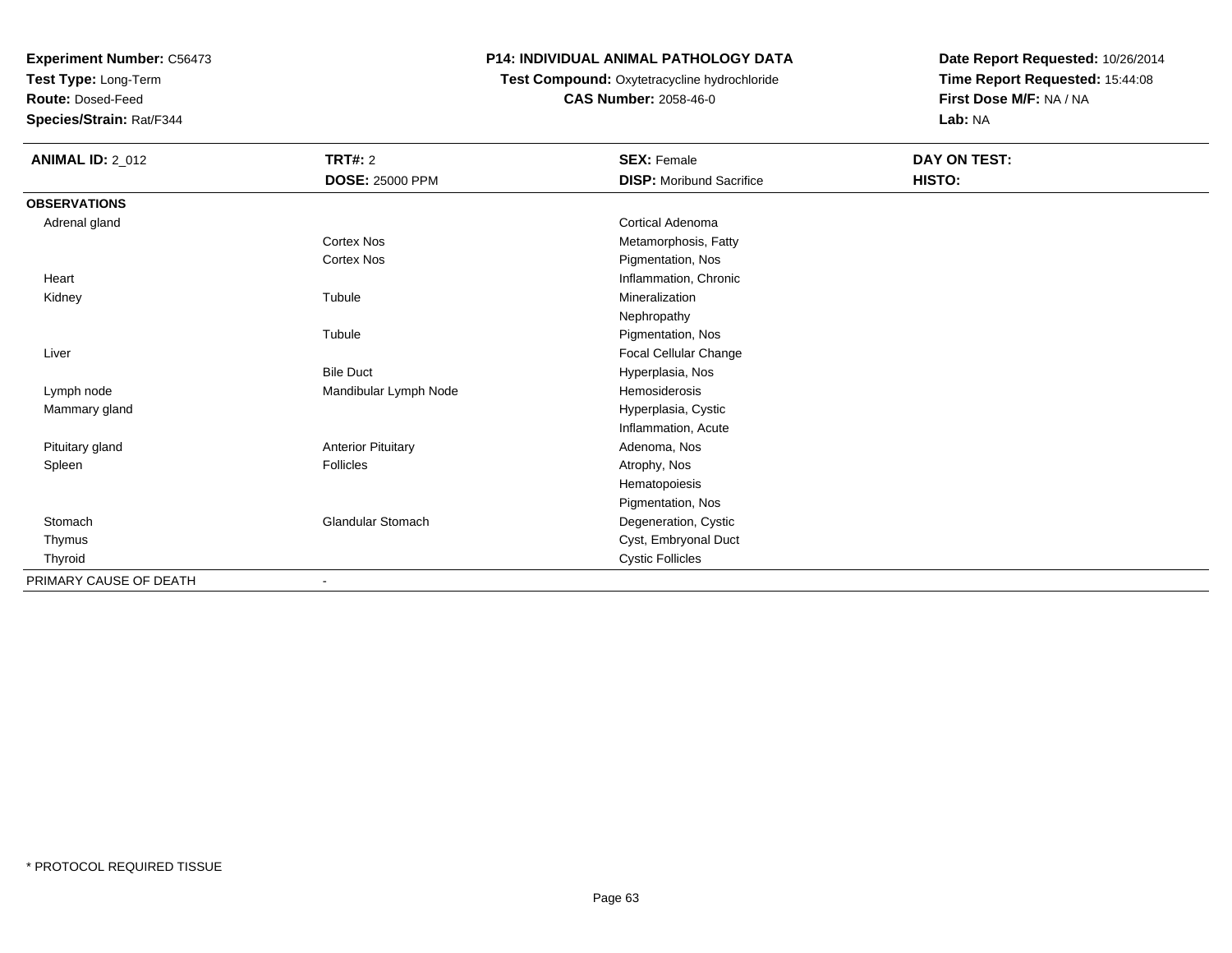**Test Type:** Long-Term

**Route:** Dosed-Feed

**Species/Strain:** Rat/F344

## **P14: INDIVIDUAL ANIMAL PATHOLOGY DATA**

# **Test Compound:** Oxytetracycline hydrochloride**CAS Number:** 2058-46-0

| <b>ANIMAL ID: 2_012</b> | <b>TRT#: 2</b>            | <b>SEX: Female</b>              | DAY ON TEST: |  |
|-------------------------|---------------------------|---------------------------------|--------------|--|
|                         | <b>DOSE: 25000 PPM</b>    | <b>DISP:</b> Moribund Sacrifice | HISTO:       |  |
| <b>OBSERVATIONS</b>     |                           |                                 |              |  |
| Adrenal gland           |                           | <b>Cortical Adenoma</b>         |              |  |
|                         | Cortex Nos                | Metamorphosis, Fatty            |              |  |
|                         | Cortex Nos                | Pigmentation, Nos               |              |  |
| Heart                   |                           | Inflammation, Chronic           |              |  |
| Kidney                  | Tubule                    | Mineralization                  |              |  |
|                         |                           | Nephropathy                     |              |  |
|                         | Tubule                    | Pigmentation, Nos               |              |  |
| Liver                   |                           | Focal Cellular Change           |              |  |
|                         | <b>Bile Duct</b>          | Hyperplasia, Nos                |              |  |
| Lymph node              | Mandibular Lymph Node     | Hemosiderosis                   |              |  |
| Mammary gland           |                           | Hyperplasia, Cystic             |              |  |
|                         |                           | Inflammation, Acute             |              |  |
| Pituitary gland         | <b>Anterior Pituitary</b> | Adenoma, Nos                    |              |  |
| Spleen                  | Follicles                 | Atrophy, Nos                    |              |  |
|                         |                           | Hematopoiesis                   |              |  |
|                         |                           | Pigmentation, Nos               |              |  |
| Stomach                 | Glandular Stomach         | Degeneration, Cystic            |              |  |
| Thymus                  |                           | Cyst, Embryonal Duct            |              |  |
| Thyroid                 |                           | <b>Cystic Follicles</b>         |              |  |
| PRIMARY CAUSE OF DEATH  | ٠                         |                                 |              |  |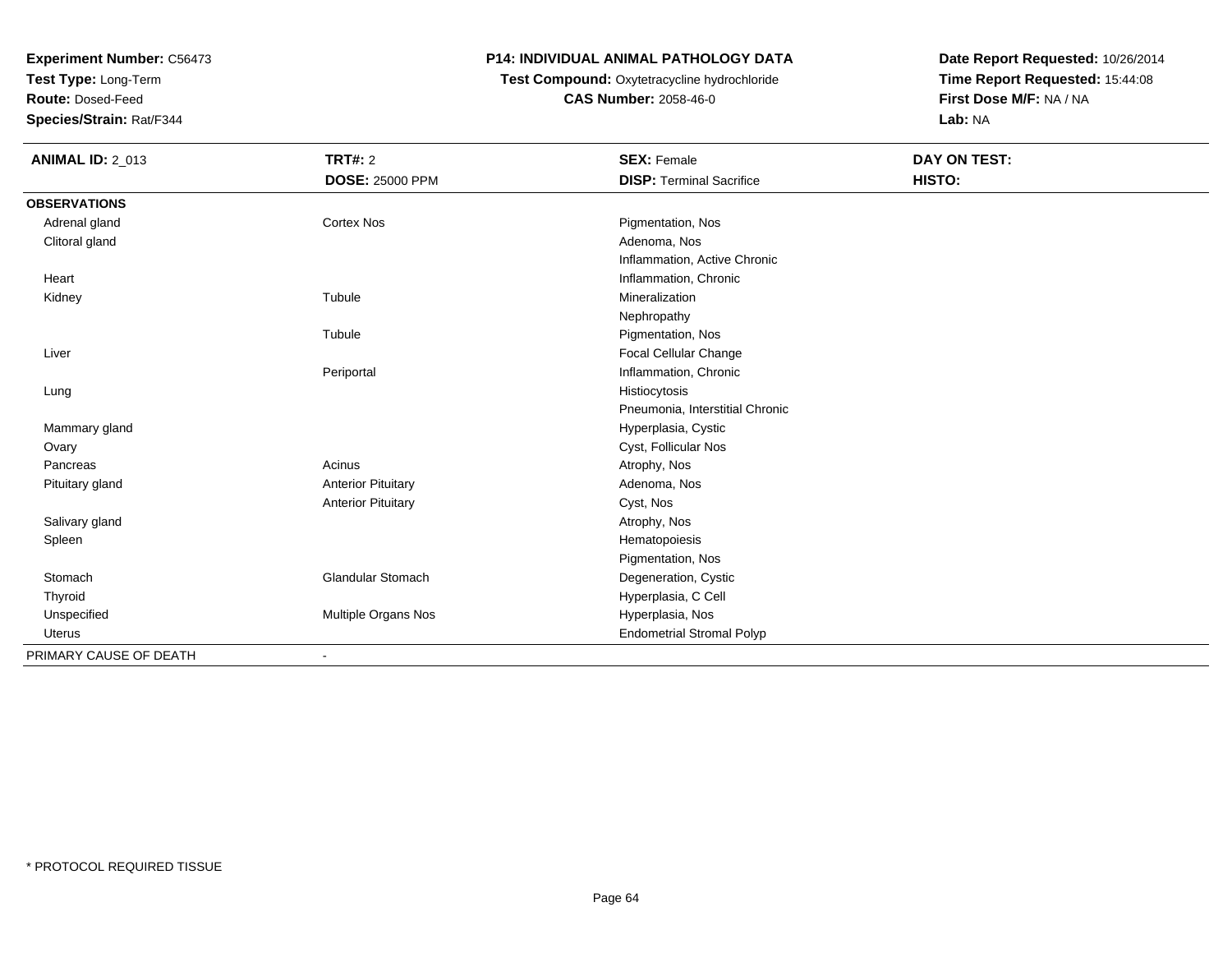**Test Type:** Long-Term

**Route:** Dosed-Feed

**Species/Strain:** Rat/F344

### **P14: INDIVIDUAL ANIMAL PATHOLOGY DATA**

**Test Compound:** Oxytetracycline hydrochloride**CAS Number:** 2058-46-0

| <b>ANIMAL ID: 2_013</b> | <b>TRT#: 2</b>            | <b>SEX: Female</b>               | DAY ON TEST: |  |
|-------------------------|---------------------------|----------------------------------|--------------|--|
|                         | <b>DOSE: 25000 PPM</b>    | <b>DISP: Terminal Sacrifice</b>  | HISTO:       |  |
| <b>OBSERVATIONS</b>     |                           |                                  |              |  |
| Adrenal gland           | Cortex Nos                | Pigmentation, Nos                |              |  |
| Clitoral gland          |                           | Adenoma, Nos                     |              |  |
|                         |                           | Inflammation, Active Chronic     |              |  |
| Heart                   |                           | Inflammation, Chronic            |              |  |
| Kidney                  | Tubule                    | Mineralization                   |              |  |
|                         |                           | Nephropathy                      |              |  |
|                         | Tubule                    | Pigmentation, Nos                |              |  |
| Liver                   |                           | Focal Cellular Change            |              |  |
|                         | Periportal                | Inflammation, Chronic            |              |  |
| Lung                    |                           | Histiocytosis                    |              |  |
|                         |                           | Pneumonia, Interstitial Chronic  |              |  |
| Mammary gland           |                           | Hyperplasia, Cystic              |              |  |
| Ovary                   |                           | Cyst, Follicular Nos             |              |  |
| Pancreas                | Acinus                    | Atrophy, Nos                     |              |  |
| Pituitary gland         | <b>Anterior Pituitary</b> | Adenoma, Nos                     |              |  |
|                         | <b>Anterior Pituitary</b> | Cyst, Nos                        |              |  |
| Salivary gland          |                           | Atrophy, Nos                     |              |  |
| Spleen                  |                           | Hematopoiesis                    |              |  |
|                         |                           | Pigmentation, Nos                |              |  |
| Stomach                 | <b>Glandular Stomach</b>  | Degeneration, Cystic             |              |  |
| Thyroid                 |                           | Hyperplasia, C Cell              |              |  |
| Unspecified             | Multiple Organs Nos       | Hyperplasia, Nos                 |              |  |
| <b>Uterus</b>           |                           | <b>Endometrial Stromal Polyp</b> |              |  |
| PRIMARY CAUSE OF DEATH  |                           |                                  |              |  |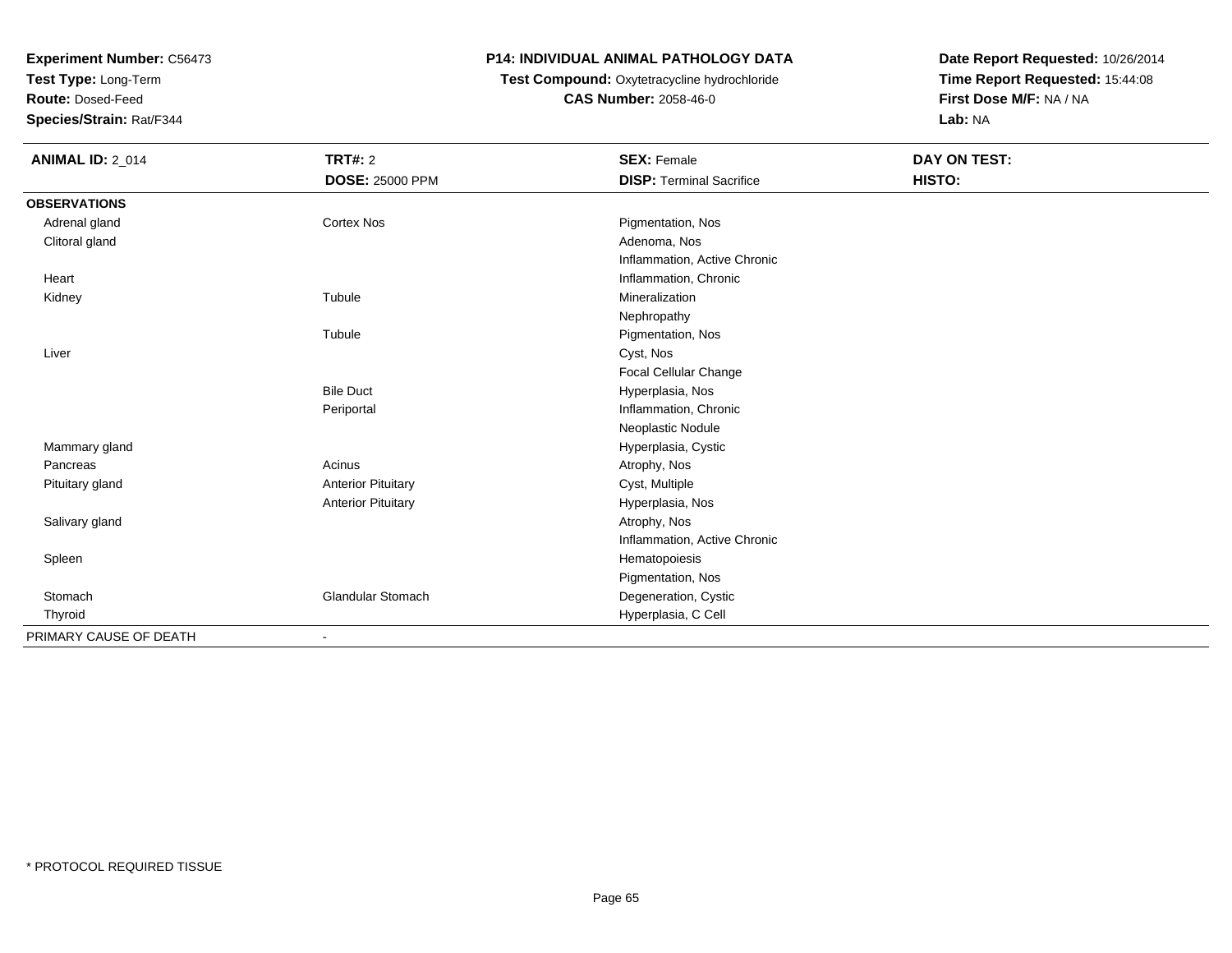**Test Type:** Long-Term

**Route:** Dosed-Feed

**Species/Strain:** Rat/F344

### **P14: INDIVIDUAL ANIMAL PATHOLOGY DATA**

**Test Compound:** Oxytetracycline hydrochloride**CAS Number:** 2058-46-0

| <b>ANIMAL ID: 2_014</b> | TRT#: 2                   | <b>SEX: Female</b>              | DAY ON TEST: |
|-------------------------|---------------------------|---------------------------------|--------------|
|                         | <b>DOSE: 25000 PPM</b>    | <b>DISP: Terminal Sacrifice</b> | HISTO:       |
| <b>OBSERVATIONS</b>     |                           |                                 |              |
| Adrenal gland           | <b>Cortex Nos</b>         | Pigmentation, Nos               |              |
| Clitoral gland          |                           | Adenoma, Nos                    |              |
|                         |                           | Inflammation, Active Chronic    |              |
| Heart                   |                           | Inflammation, Chronic           |              |
| Kidney                  | Tubule                    | Mineralization                  |              |
|                         |                           | Nephropathy                     |              |
|                         | Tubule                    | Pigmentation, Nos               |              |
| Liver                   |                           | Cyst, Nos                       |              |
|                         |                           | Focal Cellular Change           |              |
|                         | <b>Bile Duct</b>          | Hyperplasia, Nos                |              |
|                         | Periportal                | Inflammation, Chronic           |              |
|                         |                           | Neoplastic Nodule               |              |
| Mammary gland           |                           | Hyperplasia, Cystic             |              |
| Pancreas                | Acinus                    | Atrophy, Nos                    |              |
| Pituitary gland         | <b>Anterior Pituitary</b> | Cyst, Multiple                  |              |
|                         | <b>Anterior Pituitary</b> | Hyperplasia, Nos                |              |
| Salivary gland          |                           | Atrophy, Nos                    |              |
|                         |                           | Inflammation, Active Chronic    |              |
| Spleen                  |                           | Hematopoiesis                   |              |
|                         |                           | Pigmentation, Nos               |              |
| Stomach                 | Glandular Stomach         | Degeneration, Cystic            |              |
| Thyroid                 |                           | Hyperplasia, C Cell             |              |
| PRIMARY CAUSE OF DEATH  |                           |                                 |              |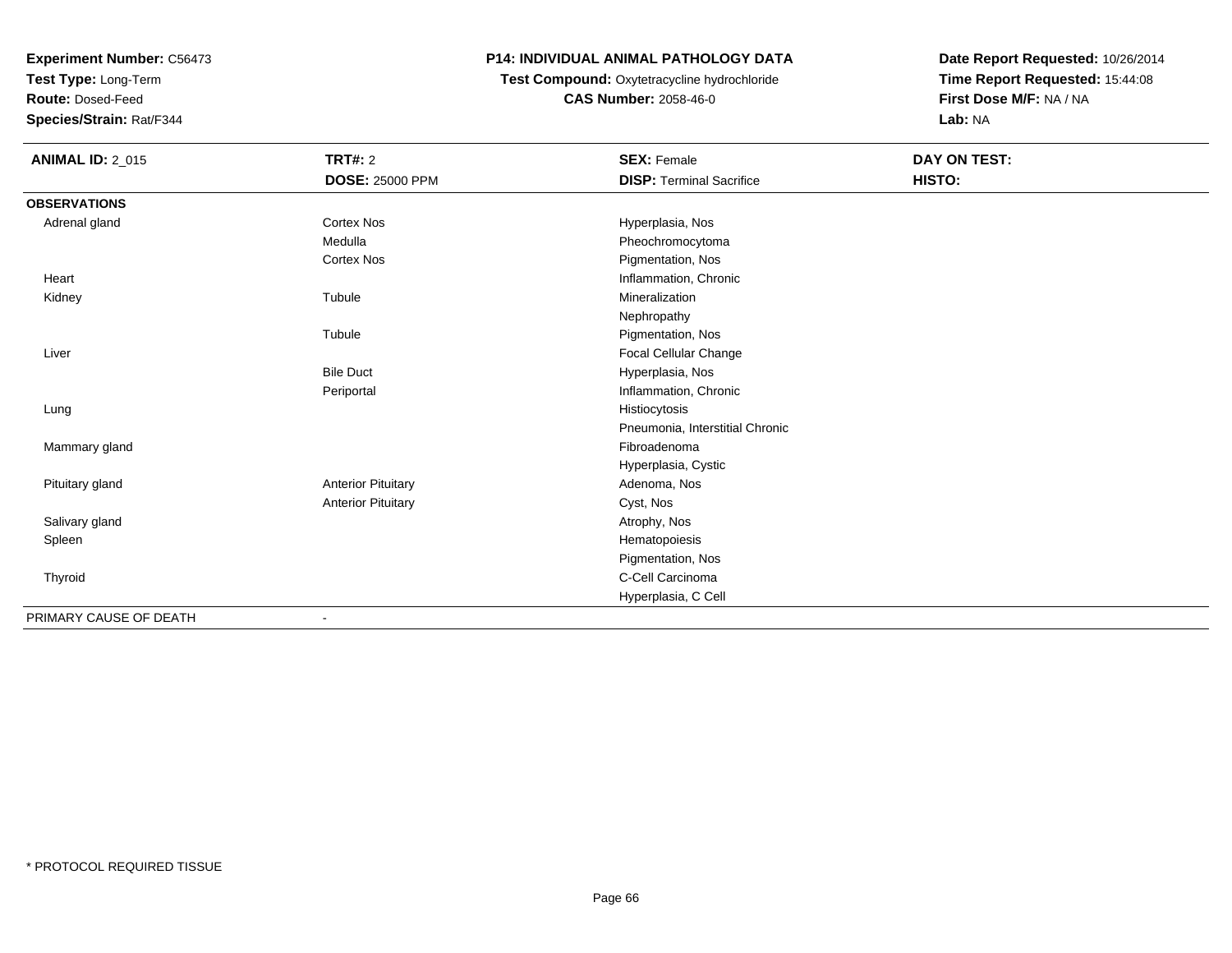**Test Type:** Long-Term

**Route:** Dosed-Feed

**Species/Strain:** Rat/F344

### **P14: INDIVIDUAL ANIMAL PATHOLOGY DATA**

 **Test Compound:** Oxytetracycline hydrochloride**CAS Number:** 2058-46-0

| <b>ANIMAL ID: 2_015</b> | <b>TRT#: 2</b>            | <b>SEX: Female</b>              | DAY ON TEST: |  |
|-------------------------|---------------------------|---------------------------------|--------------|--|
|                         | <b>DOSE: 25000 PPM</b>    | <b>DISP: Terminal Sacrifice</b> | HISTO:       |  |
| <b>OBSERVATIONS</b>     |                           |                                 |              |  |
| Adrenal gland           | <b>Cortex Nos</b>         | Hyperplasia, Nos                |              |  |
|                         | Medulla                   | Pheochromocytoma                |              |  |
|                         | <b>Cortex Nos</b>         | Pigmentation, Nos               |              |  |
| Heart                   |                           | Inflammation, Chronic           |              |  |
| Kidney                  | Tubule                    | Mineralization                  |              |  |
|                         |                           | Nephropathy                     |              |  |
|                         | Tubule                    | Pigmentation, Nos               |              |  |
| Liver                   |                           | Focal Cellular Change           |              |  |
|                         | <b>Bile Duct</b>          | Hyperplasia, Nos                |              |  |
|                         | Periportal                | Inflammation, Chronic           |              |  |
| Lung                    |                           | Histiocytosis                   |              |  |
|                         |                           | Pneumonia, Interstitial Chronic |              |  |
| Mammary gland           |                           | Fibroadenoma                    |              |  |
|                         |                           | Hyperplasia, Cystic             |              |  |
| Pituitary gland         | <b>Anterior Pituitary</b> | Adenoma, Nos                    |              |  |
|                         | <b>Anterior Pituitary</b> | Cyst, Nos                       |              |  |
| Salivary gland          |                           | Atrophy, Nos                    |              |  |
| Spleen                  |                           | Hematopoiesis                   |              |  |
|                         |                           | Pigmentation, Nos               |              |  |
| Thyroid                 |                           | C-Cell Carcinoma                |              |  |
|                         |                           | Hyperplasia, C Cell             |              |  |
| PRIMARY CAUSE OF DEATH  |                           |                                 |              |  |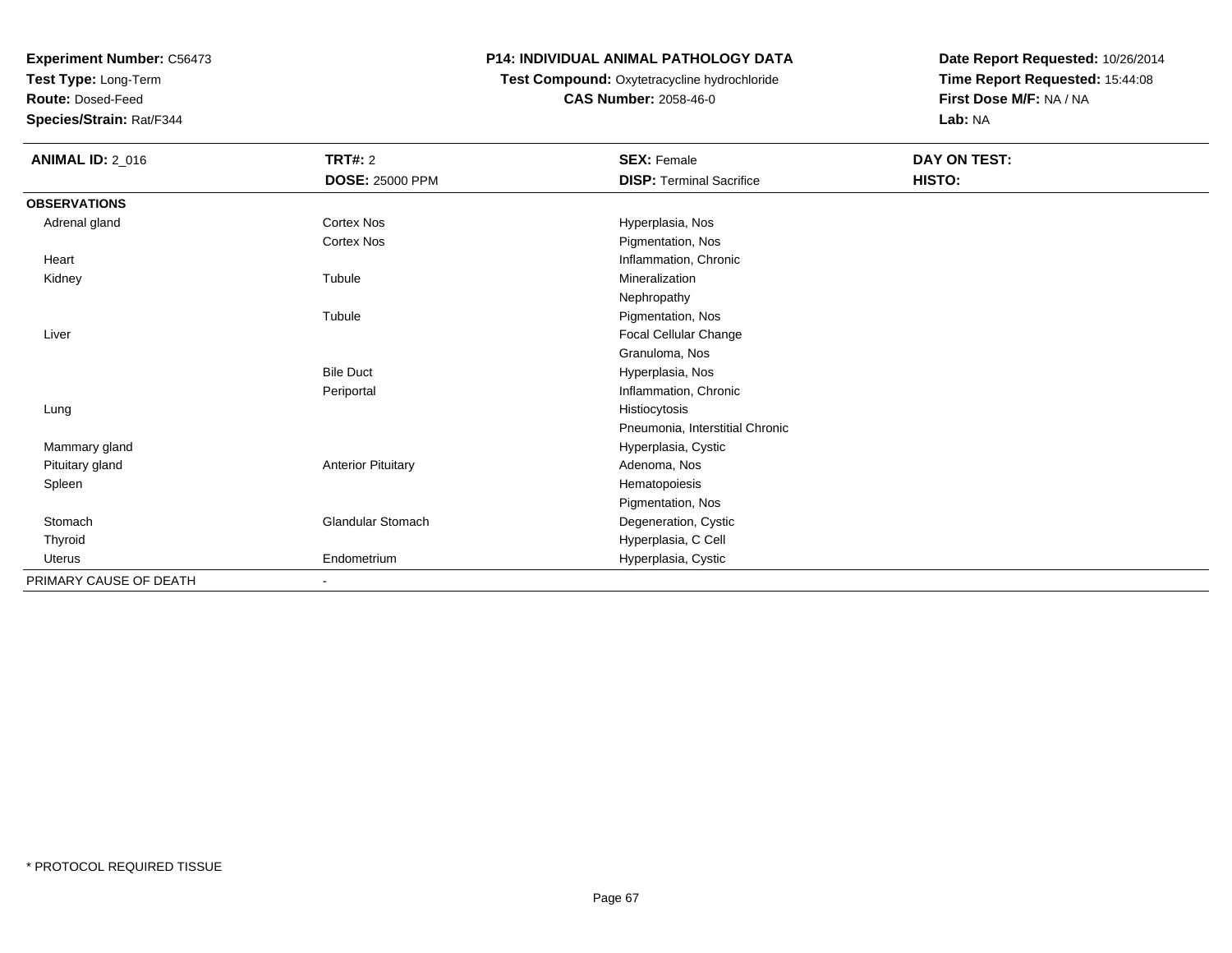**Test Type:** Long-Term

**Route:** Dosed-Feed

**Species/Strain:** Rat/F344

## **P14: INDIVIDUAL ANIMAL PATHOLOGY DATA**

## **Test Compound:** Oxytetracycline hydrochloride**CAS Number:** 2058-46-0

| <b>ANIMAL ID: 2_016</b> | <b>TRT#: 2</b>            | <b>SEX: Female</b>              | DAY ON TEST: |  |
|-------------------------|---------------------------|---------------------------------|--------------|--|
|                         | <b>DOSE: 25000 PPM</b>    | <b>DISP: Terminal Sacrifice</b> | HISTO:       |  |
| <b>OBSERVATIONS</b>     |                           |                                 |              |  |
| Adrenal gland           | Cortex Nos                | Hyperplasia, Nos                |              |  |
|                         | Cortex Nos                | Pigmentation, Nos               |              |  |
| Heart                   |                           | Inflammation, Chronic           |              |  |
| Kidney                  | Tubule                    | Mineralization                  |              |  |
|                         |                           | Nephropathy                     |              |  |
|                         | Tubule                    | Pigmentation, Nos               |              |  |
| Liver                   |                           | Focal Cellular Change           |              |  |
|                         |                           | Granuloma, Nos                  |              |  |
|                         | <b>Bile Duct</b>          | Hyperplasia, Nos                |              |  |
|                         | Periportal                | Inflammation, Chronic           |              |  |
| Lung                    |                           | Histiocytosis                   |              |  |
|                         |                           | Pneumonia, Interstitial Chronic |              |  |
| Mammary gland           |                           | Hyperplasia, Cystic             |              |  |
| Pituitary gland         | <b>Anterior Pituitary</b> | Adenoma, Nos                    |              |  |
| Spleen                  |                           | Hematopoiesis                   |              |  |
|                         |                           | Pigmentation, Nos               |              |  |
| Stomach                 | Glandular Stomach         | Degeneration, Cystic            |              |  |
| Thyroid                 |                           | Hyperplasia, C Cell             |              |  |
| <b>Uterus</b>           | Endometrium               | Hyperplasia, Cystic             |              |  |
| PRIMARY CAUSE OF DEATH  | ٠                         |                                 |              |  |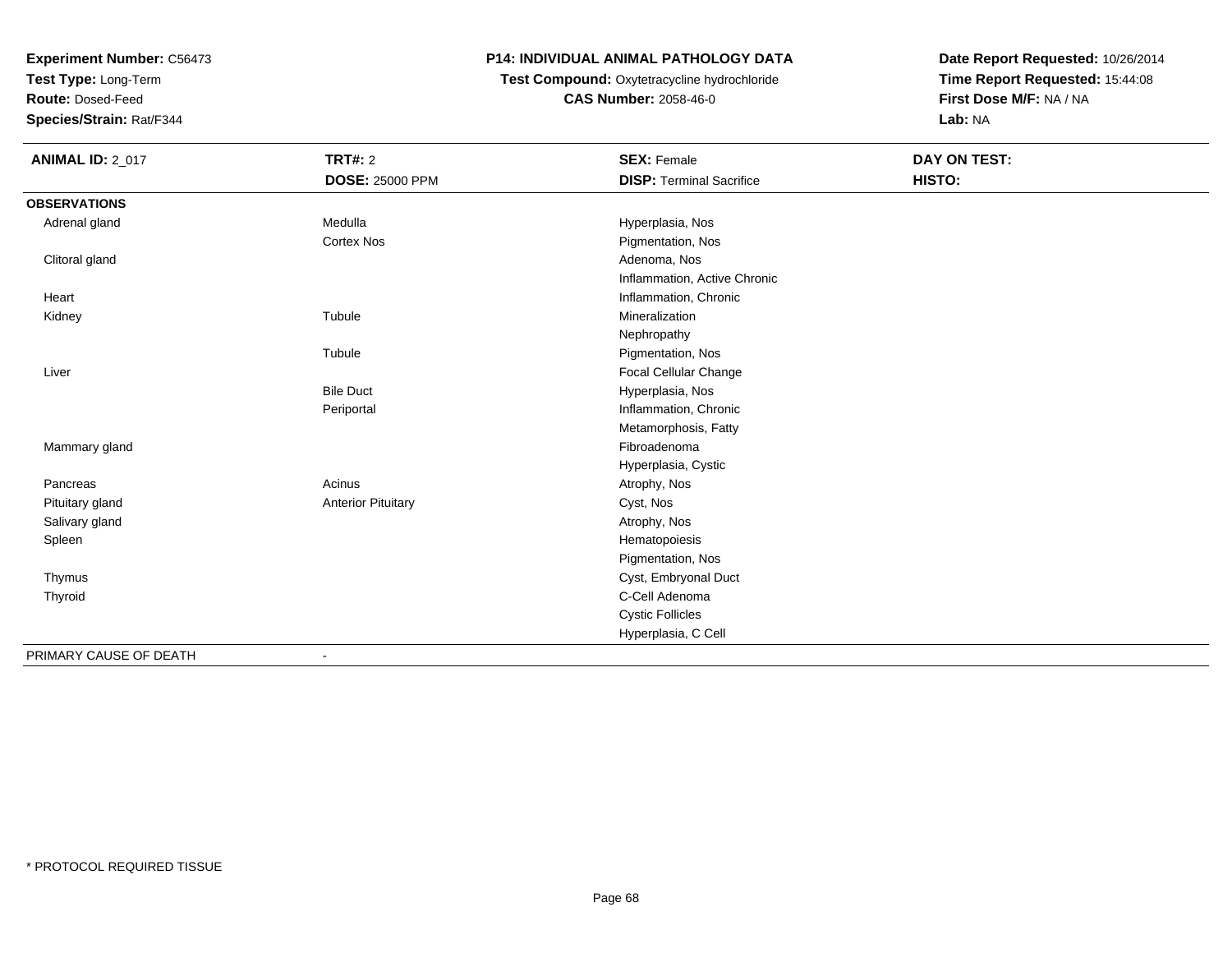**Test Type:** Long-Term

**Route:** Dosed-Feed

**Species/Strain:** Rat/F344

## **P14: INDIVIDUAL ANIMAL PATHOLOGY DATA**

**Test Compound:** Oxytetracycline hydrochloride**CAS Number:** 2058-46-0

| <b>ANIMAL ID: 2_017</b> | <b>TRT#: 2</b>               | <b>SEX: Female</b>              | <b>DAY ON TEST:</b> |  |
|-------------------------|------------------------------|---------------------------------|---------------------|--|
|                         | <b>DOSE: 25000 PPM</b>       | <b>DISP: Terminal Sacrifice</b> | HISTO:              |  |
| <b>OBSERVATIONS</b>     |                              |                                 |                     |  |
| Adrenal gland           | Medulla                      | Hyperplasia, Nos                |                     |  |
|                         | Cortex Nos                   | Pigmentation, Nos               |                     |  |
| Clitoral gland          |                              | Adenoma, Nos                    |                     |  |
|                         |                              | Inflammation, Active Chronic    |                     |  |
| Heart                   |                              | Inflammation, Chronic           |                     |  |
| Kidney                  | Tubule                       | Mineralization                  |                     |  |
|                         |                              | Nephropathy                     |                     |  |
|                         | Tubule                       | Pigmentation, Nos               |                     |  |
| Liver                   |                              | Focal Cellular Change           |                     |  |
|                         | <b>Bile Duct</b>             | Hyperplasia, Nos                |                     |  |
|                         | Periportal                   | Inflammation, Chronic           |                     |  |
|                         |                              | Metamorphosis, Fatty            |                     |  |
| Mammary gland           |                              | Fibroadenoma                    |                     |  |
|                         |                              | Hyperplasia, Cystic             |                     |  |
| Pancreas                | Acinus                       | Atrophy, Nos                    |                     |  |
| Pituitary gland         | <b>Anterior Pituitary</b>    | Cyst, Nos                       |                     |  |
| Salivary gland          |                              | Atrophy, Nos                    |                     |  |
| Spleen                  |                              | Hematopoiesis                   |                     |  |
|                         |                              | Pigmentation, Nos               |                     |  |
| Thymus                  |                              | Cyst, Embryonal Duct            |                     |  |
| Thyroid                 |                              | C-Cell Adenoma                  |                     |  |
|                         |                              | <b>Cystic Follicles</b>         |                     |  |
|                         |                              | Hyperplasia, C Cell             |                     |  |
| PRIMARY CAUSE OF DEATH  | $\qquad \qquad \blacksquare$ |                                 |                     |  |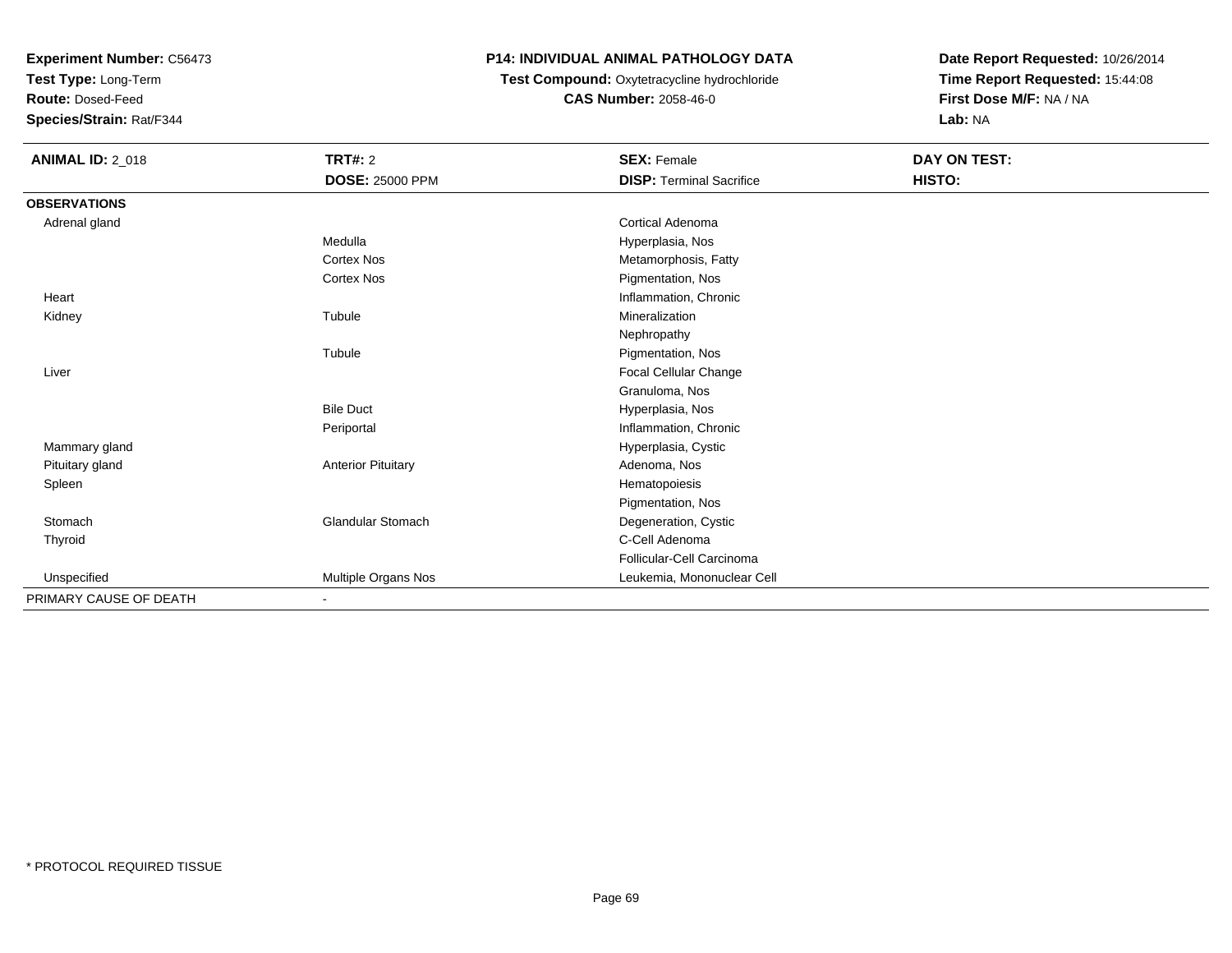**Test Type:** Long-Term

**Route:** Dosed-Feed

**Species/Strain:** Rat/F344

## **P14: INDIVIDUAL ANIMAL PATHOLOGY DATA**

 **Test Compound:** Oxytetracycline hydrochloride**CAS Number:** 2058-46-0

| <b>ANIMAL ID: 2_018</b> | <b>TRT#: 2</b>            | <b>SEX: Female</b>              | DAY ON TEST: |  |
|-------------------------|---------------------------|---------------------------------|--------------|--|
|                         | <b>DOSE: 25000 PPM</b>    | <b>DISP: Terminal Sacrifice</b> | HISTO:       |  |
| <b>OBSERVATIONS</b>     |                           |                                 |              |  |
| Adrenal gland           |                           | <b>Cortical Adenoma</b>         |              |  |
|                         | Medulla                   | Hyperplasia, Nos                |              |  |
|                         | <b>Cortex Nos</b>         | Metamorphosis, Fatty            |              |  |
|                         | <b>Cortex Nos</b>         | Pigmentation, Nos               |              |  |
| Heart                   |                           | Inflammation, Chronic           |              |  |
| Kidney                  | Tubule                    | Mineralization                  |              |  |
|                         |                           | Nephropathy                     |              |  |
|                         | Tubule                    | Pigmentation, Nos               |              |  |
| Liver                   |                           | Focal Cellular Change           |              |  |
|                         |                           | Granuloma, Nos                  |              |  |
|                         | <b>Bile Duct</b>          | Hyperplasia, Nos                |              |  |
|                         | Periportal                | Inflammation, Chronic           |              |  |
| Mammary gland           |                           | Hyperplasia, Cystic             |              |  |
| Pituitary gland         | <b>Anterior Pituitary</b> | Adenoma, Nos                    |              |  |
| Spleen                  |                           | Hematopoiesis                   |              |  |
|                         |                           | Pigmentation, Nos               |              |  |
| Stomach                 | <b>Glandular Stomach</b>  | Degeneration, Cystic            |              |  |
| Thyroid                 |                           | C-Cell Adenoma                  |              |  |
|                         |                           | Follicular-Cell Carcinoma       |              |  |
| Unspecified             | Multiple Organs Nos       | Leukemia, Mononuclear Cell      |              |  |
| PRIMARY CAUSE OF DEATH  | $\blacksquare$            |                                 |              |  |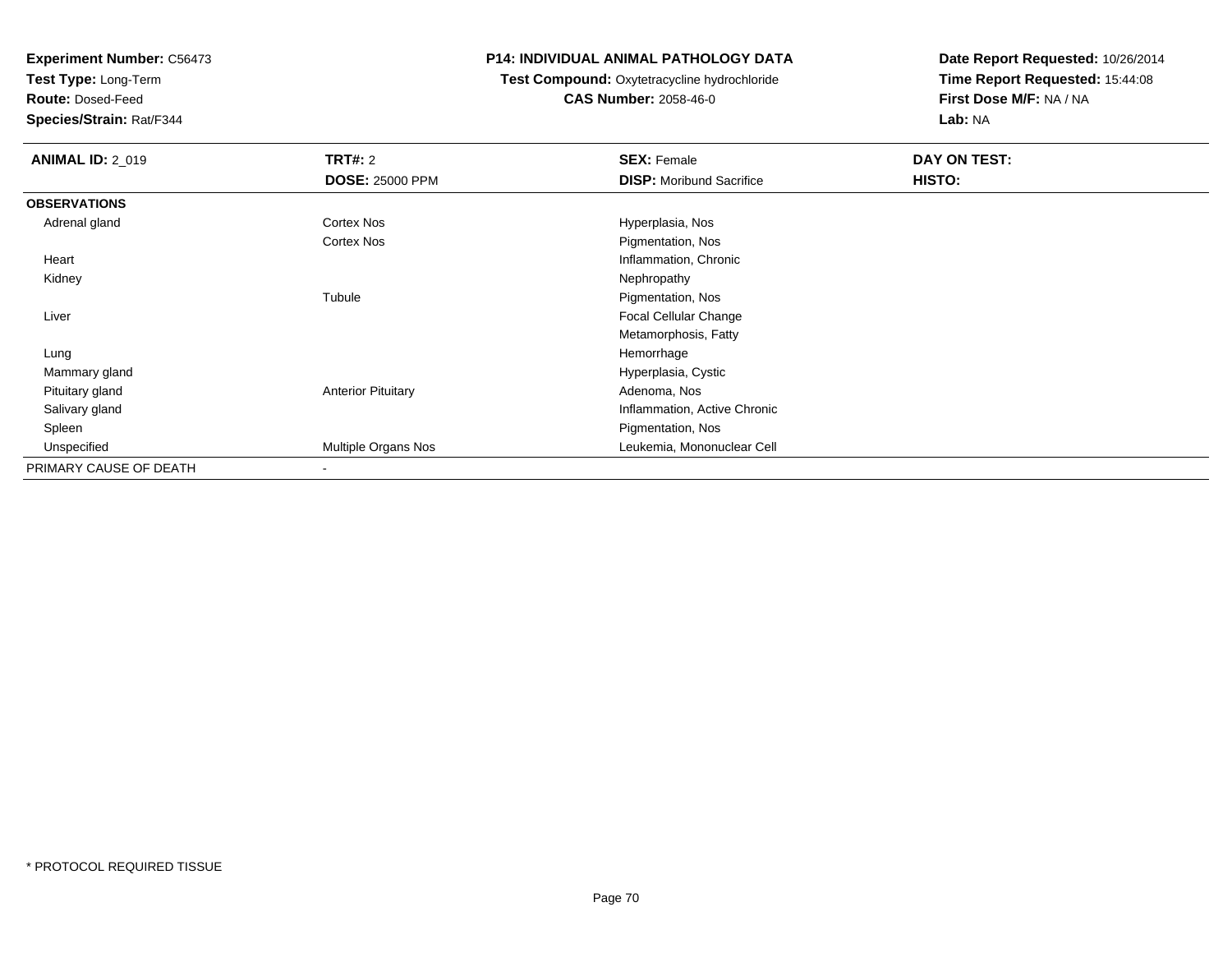**Test Type:** Long-Term

**Route:** Dosed-Feed

**Species/Strain:** Rat/F344

### **P14: INDIVIDUAL ANIMAL PATHOLOGY DATA**

# **Test Compound:** Oxytetracycline hydrochloride**CAS Number:** 2058-46-0

| <b>ANIMAL ID: 2_019</b> | <b>TRT#: 2</b>            | <b>SEX: Female</b>              | DAY ON TEST: |  |
|-------------------------|---------------------------|---------------------------------|--------------|--|
|                         | <b>DOSE: 25000 PPM</b>    | <b>DISP:</b> Moribund Sacrifice | HISTO:       |  |
| <b>OBSERVATIONS</b>     |                           |                                 |              |  |
| Adrenal gland           | Cortex Nos                | Hyperplasia, Nos                |              |  |
|                         | <b>Cortex Nos</b>         | Pigmentation, Nos               |              |  |
| Heart                   |                           | Inflammation, Chronic           |              |  |
| Kidney                  |                           | Nephropathy                     |              |  |
|                         | Tubule                    | Pigmentation, Nos               |              |  |
| Liver                   |                           | Focal Cellular Change           |              |  |
|                         |                           | Metamorphosis, Fatty            |              |  |
| Lung                    |                           | Hemorrhage                      |              |  |
| Mammary gland           |                           | Hyperplasia, Cystic             |              |  |
| Pituitary gland         | <b>Anterior Pituitary</b> | Adenoma, Nos                    |              |  |
| Salivary gland          |                           | Inflammation, Active Chronic    |              |  |
| Spleen                  |                           | Pigmentation, Nos               |              |  |
| Unspecified             | Multiple Organs Nos       | Leukemia, Mononuclear Cell      |              |  |
| PRIMARY CAUSE OF DEATH  |                           |                                 |              |  |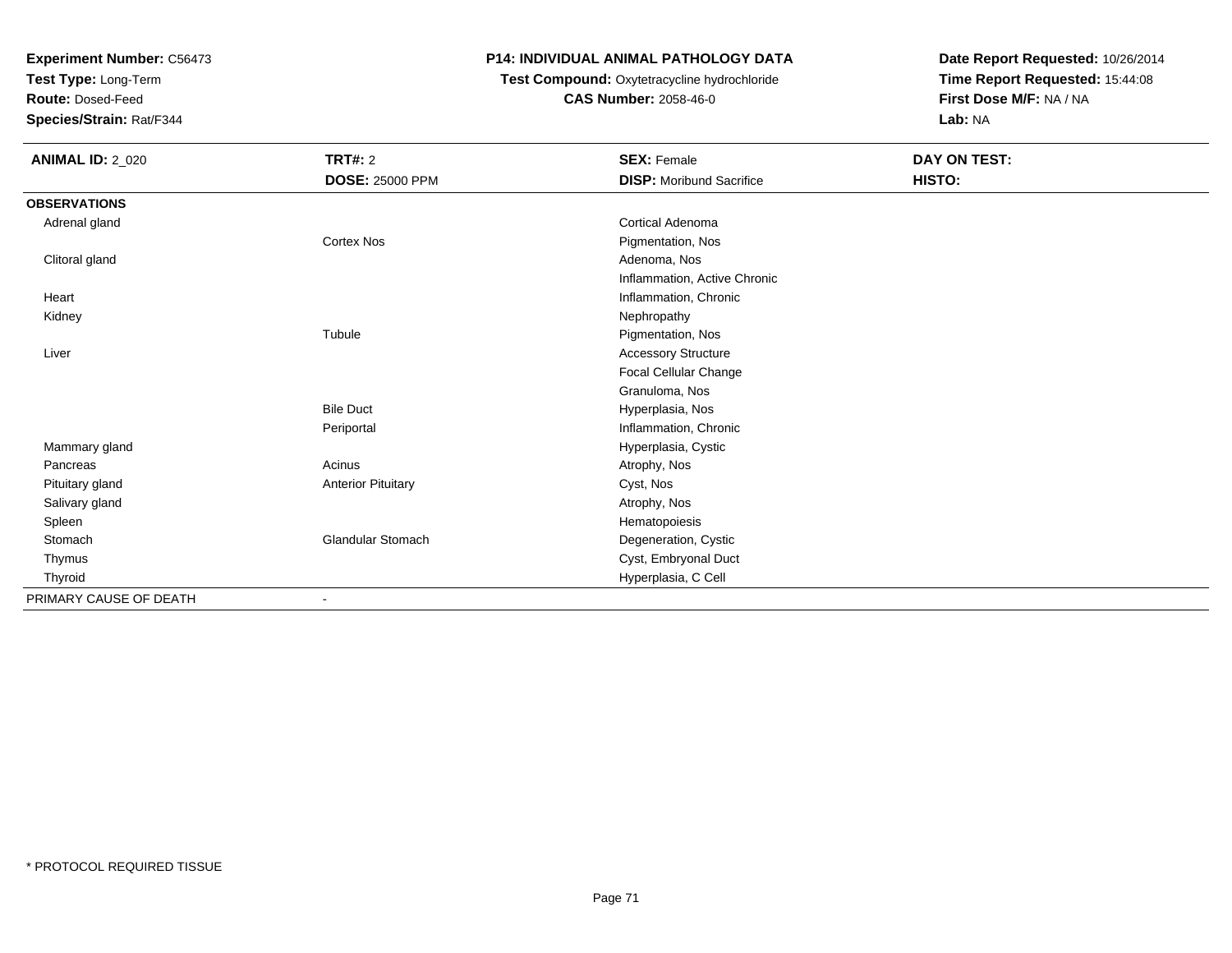**Test Type:** Long-Term

**Route:** Dosed-Feed

**Species/Strain:** Rat/F344

## **P14: INDIVIDUAL ANIMAL PATHOLOGY DATA**

## **Test Compound:** Oxytetracycline hydrochloride**CAS Number:** 2058-46-0

| <b>ANIMAL ID: 2_020</b> | <b>TRT#: 2</b>            | <b>SEX: Female</b>              | DAY ON TEST: |
|-------------------------|---------------------------|---------------------------------|--------------|
|                         | <b>DOSE: 25000 PPM</b>    | <b>DISP:</b> Moribund Sacrifice | HISTO:       |
| <b>OBSERVATIONS</b>     |                           |                                 |              |
| Adrenal gland           |                           | Cortical Adenoma                |              |
|                         | Cortex Nos                | Pigmentation, Nos               |              |
| Clitoral gland          |                           | Adenoma, Nos                    |              |
|                         |                           | Inflammation, Active Chronic    |              |
| Heart                   |                           | Inflammation, Chronic           |              |
| Kidney                  |                           | Nephropathy                     |              |
|                         | Tubule                    | Pigmentation, Nos               |              |
| Liver                   |                           | <b>Accessory Structure</b>      |              |
|                         |                           | Focal Cellular Change           |              |
|                         |                           | Granuloma, Nos                  |              |
|                         | <b>Bile Duct</b>          | Hyperplasia, Nos                |              |
|                         | Periportal                | Inflammation, Chronic           |              |
| Mammary gland           |                           | Hyperplasia, Cystic             |              |
| Pancreas                | Acinus                    | Atrophy, Nos                    |              |
| Pituitary gland         | <b>Anterior Pituitary</b> | Cyst, Nos                       |              |
| Salivary gland          |                           | Atrophy, Nos                    |              |
| Spleen                  |                           | Hematopoiesis                   |              |
| Stomach                 | <b>Glandular Stomach</b>  | Degeneration, Cystic            |              |
| Thymus                  |                           | Cyst, Embryonal Duct            |              |
| Thyroid                 |                           | Hyperplasia, C Cell             |              |
| PRIMARY CAUSE OF DEATH  | $\blacksquare$            |                                 |              |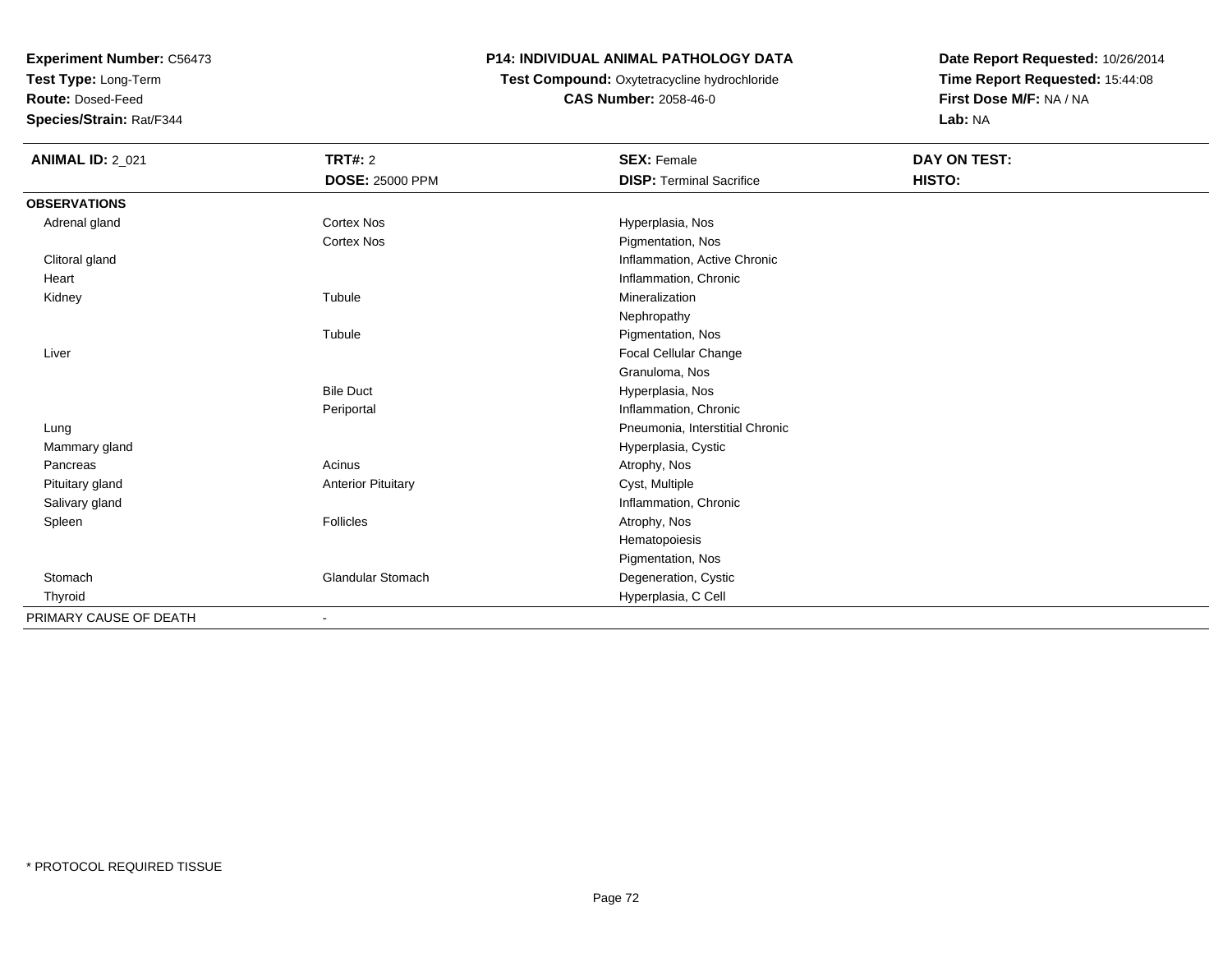**Test Type:** Long-Term

**Route:** Dosed-Feed

**Species/Strain:** Rat/F344

### **P14: INDIVIDUAL ANIMAL PATHOLOGY DATA**

 **Test Compound:** Oxytetracycline hydrochloride**CAS Number:** 2058-46-0

| <b>ANIMAL ID: 2_021</b> | <b>TRT#: 2</b>            | <b>SEX: Female</b>              | <b>DAY ON TEST:</b> |  |
|-------------------------|---------------------------|---------------------------------|---------------------|--|
|                         | <b>DOSE: 25000 PPM</b>    | <b>DISP: Terminal Sacrifice</b> | HISTO:              |  |
| <b>OBSERVATIONS</b>     |                           |                                 |                     |  |
| Adrenal gland           | <b>Cortex Nos</b>         | Hyperplasia, Nos                |                     |  |
|                         | <b>Cortex Nos</b>         | Pigmentation, Nos               |                     |  |
| Clitoral gland          |                           | Inflammation, Active Chronic    |                     |  |
| Heart                   |                           | Inflammation, Chronic           |                     |  |
| Kidney                  | Tubule                    | Mineralization                  |                     |  |
|                         |                           | Nephropathy                     |                     |  |
|                         | Tubule                    | Pigmentation, Nos               |                     |  |
| Liver                   |                           | Focal Cellular Change           |                     |  |
|                         |                           | Granuloma, Nos                  |                     |  |
|                         | <b>Bile Duct</b>          | Hyperplasia, Nos                |                     |  |
|                         | Periportal                | Inflammation, Chronic           |                     |  |
| Lung                    |                           | Pneumonia, Interstitial Chronic |                     |  |
| Mammary gland           |                           | Hyperplasia, Cystic             |                     |  |
| Pancreas                | Acinus                    | Atrophy, Nos                    |                     |  |
| Pituitary gland         | <b>Anterior Pituitary</b> | Cyst, Multiple                  |                     |  |
| Salivary gland          |                           | Inflammation, Chronic           |                     |  |
| Spleen                  | Follicles                 | Atrophy, Nos                    |                     |  |
|                         |                           | Hematopoiesis                   |                     |  |
|                         |                           | Pigmentation, Nos               |                     |  |
| Stomach                 | <b>Glandular Stomach</b>  | Degeneration, Cystic            |                     |  |
| Thyroid                 |                           | Hyperplasia, C Cell             |                     |  |
| PRIMARY CAUSE OF DEATH  |                           |                                 |                     |  |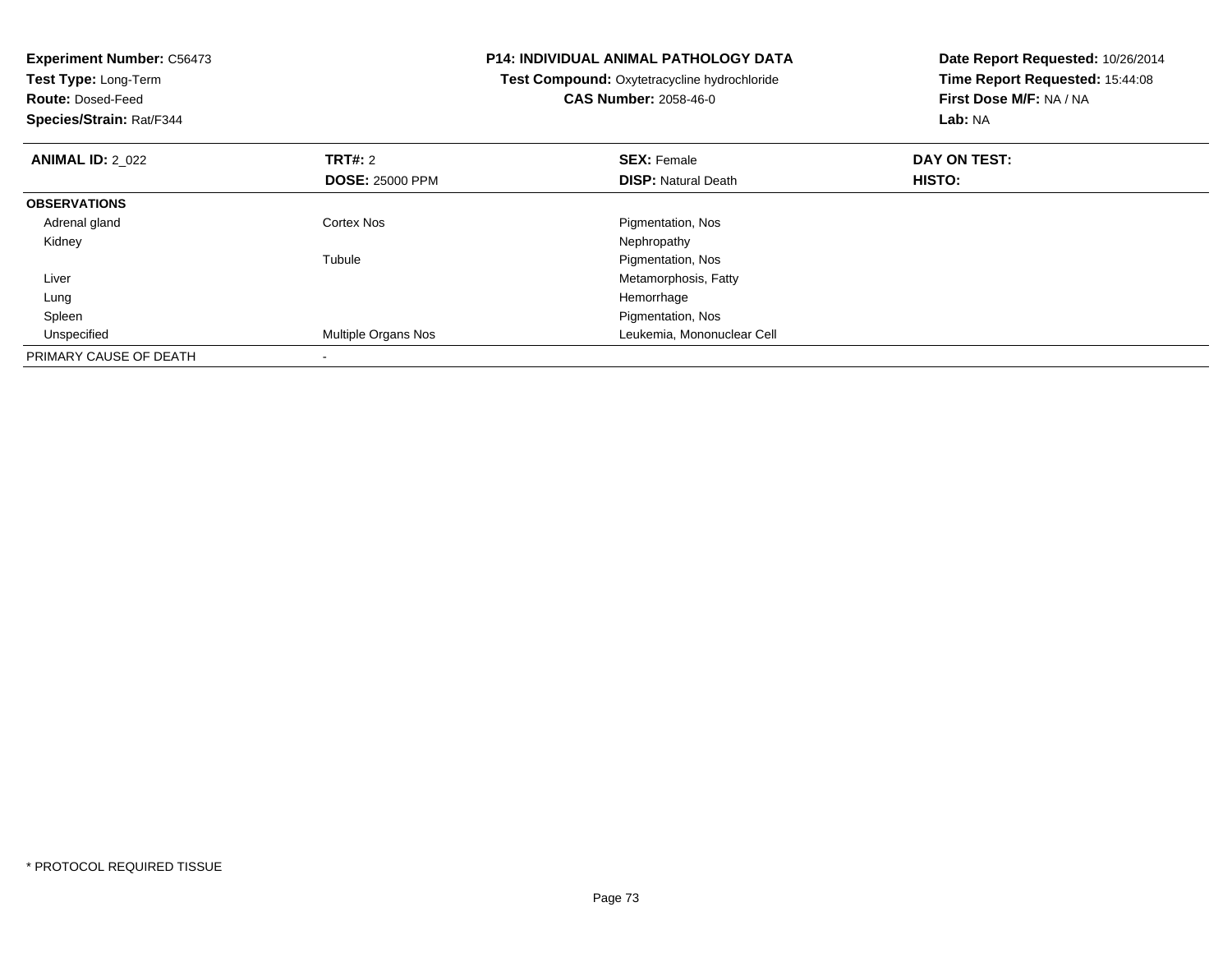| <b>Experiment Number: C56473</b><br><b>Test Type: Long-Term</b><br><b>Route: Dosed-Feed</b><br>Species/Strain: Rat/F344 |                                   | <b>P14: INDIVIDUAL ANIMAL PATHOLOGY DATA</b><br>Test Compound: Oxytetracycline hydrochloride<br><b>CAS Number: 2058-46-0</b> | Date Report Requested: 10/26/2014<br>Time Report Requested: 15:44:08<br>First Dose M/F: NA / NA<br>Lab: NA |
|-------------------------------------------------------------------------------------------------------------------------|-----------------------------------|------------------------------------------------------------------------------------------------------------------------------|------------------------------------------------------------------------------------------------------------|
| <b>ANIMAL ID: 2 022</b>                                                                                                 | TRT#: 2<br><b>DOSE: 25000 PPM</b> | <b>SEX: Female</b><br><b>DISP:</b> Natural Death                                                                             | DAY ON TEST:<br>HISTO:                                                                                     |
| <b>OBSERVATIONS</b>                                                                                                     |                                   |                                                                                                                              |                                                                                                            |
| Adrenal gland                                                                                                           | Cortex Nos                        | Pigmentation, Nos                                                                                                            |                                                                                                            |
| Kidney                                                                                                                  |                                   | Nephropathy                                                                                                                  |                                                                                                            |
|                                                                                                                         | Tubule                            | Pigmentation, Nos                                                                                                            |                                                                                                            |
| Liver                                                                                                                   |                                   | Metamorphosis, Fatty                                                                                                         |                                                                                                            |
| Lung                                                                                                                    |                                   | Hemorrhage                                                                                                                   |                                                                                                            |
| Spleen                                                                                                                  |                                   | Pigmentation, Nos                                                                                                            |                                                                                                            |
| Unspecified                                                                                                             | Multiple Organs Nos               | Leukemia, Mononuclear Cell                                                                                                   |                                                                                                            |
| PRIMARY CAUSE OF DEATH                                                                                                  |                                   |                                                                                                                              |                                                                                                            |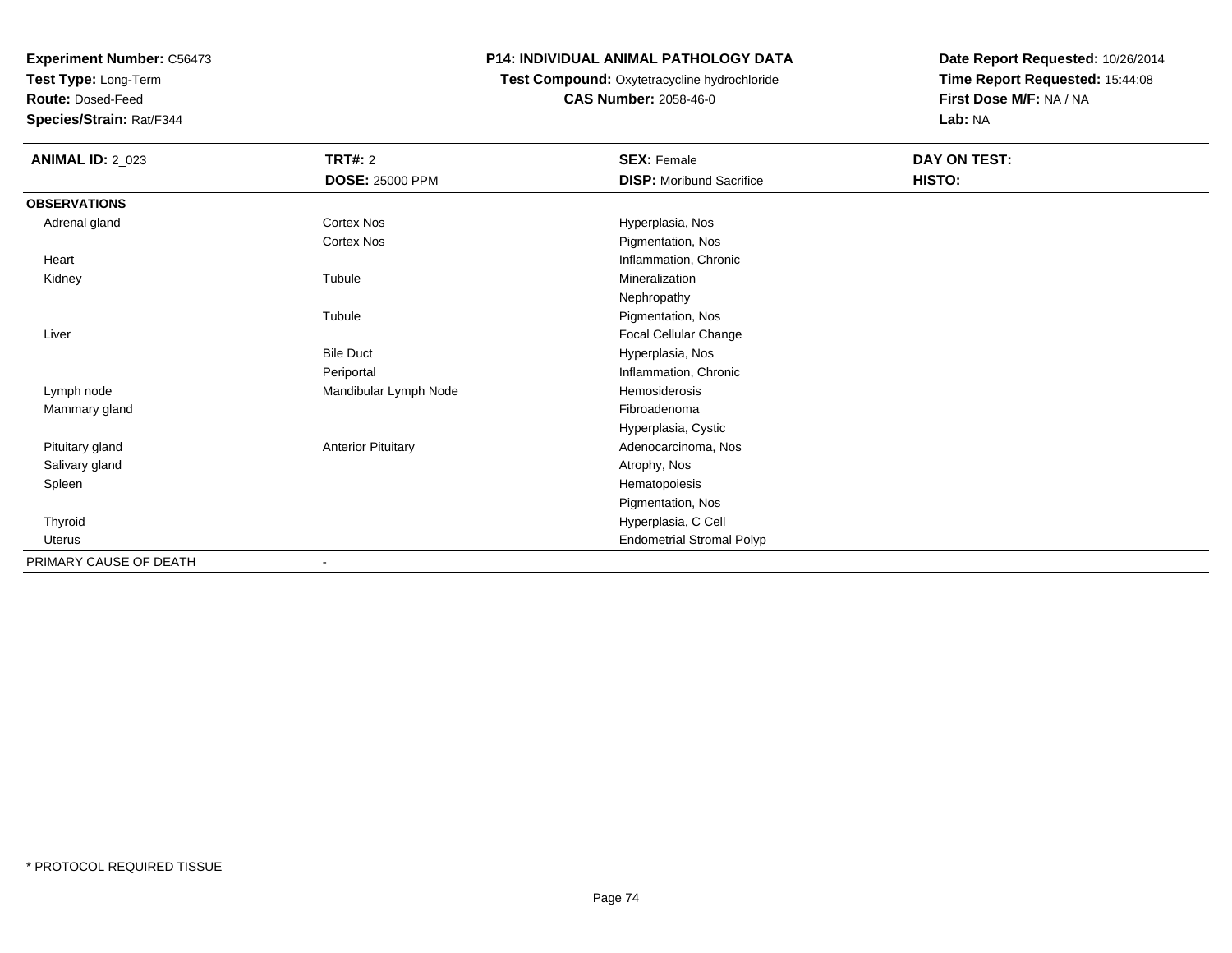**Test Type:** Long-Term

**Route:** Dosed-Feed

**Species/Strain:** Rat/F344

## **P14: INDIVIDUAL ANIMAL PATHOLOGY DATA**

## **Test Compound:** Oxytetracycline hydrochloride**CAS Number:** 2058-46-0

| <b>ANIMAL ID: 2_023</b> | <b>TRT#: 2</b>            | <b>SEX: Female</b>               | DAY ON TEST: |  |
|-------------------------|---------------------------|----------------------------------|--------------|--|
|                         | <b>DOSE: 25000 PPM</b>    | <b>DISP: Moribund Sacrifice</b>  | HISTO:       |  |
| <b>OBSERVATIONS</b>     |                           |                                  |              |  |
| Adrenal gland           | Cortex Nos                | Hyperplasia, Nos                 |              |  |
|                         | Cortex Nos                | Pigmentation, Nos                |              |  |
| Heart                   |                           | Inflammation, Chronic            |              |  |
| Kidney                  | Tubule                    | Mineralization                   |              |  |
|                         |                           | Nephropathy                      |              |  |
|                         | Tubule                    | Pigmentation, Nos                |              |  |
| Liver                   |                           | <b>Focal Cellular Change</b>     |              |  |
|                         | <b>Bile Duct</b>          | Hyperplasia, Nos                 |              |  |
|                         | Periportal                | Inflammation, Chronic            |              |  |
| Lymph node              | Mandibular Lymph Node     | Hemosiderosis                    |              |  |
| Mammary gland           |                           | Fibroadenoma                     |              |  |
|                         |                           | Hyperplasia, Cystic              |              |  |
| Pituitary gland         | <b>Anterior Pituitary</b> | Adenocarcinoma, Nos              |              |  |
| Salivary gland          |                           | Atrophy, Nos                     |              |  |
| Spleen                  |                           | Hematopoiesis                    |              |  |
|                         |                           | Pigmentation, Nos                |              |  |
| Thyroid                 |                           | Hyperplasia, C Cell              |              |  |
| <b>Uterus</b>           |                           | <b>Endometrial Stromal Polyp</b> |              |  |
| PRIMARY CAUSE OF DEATH  | $\overline{\phantom{a}}$  |                                  |              |  |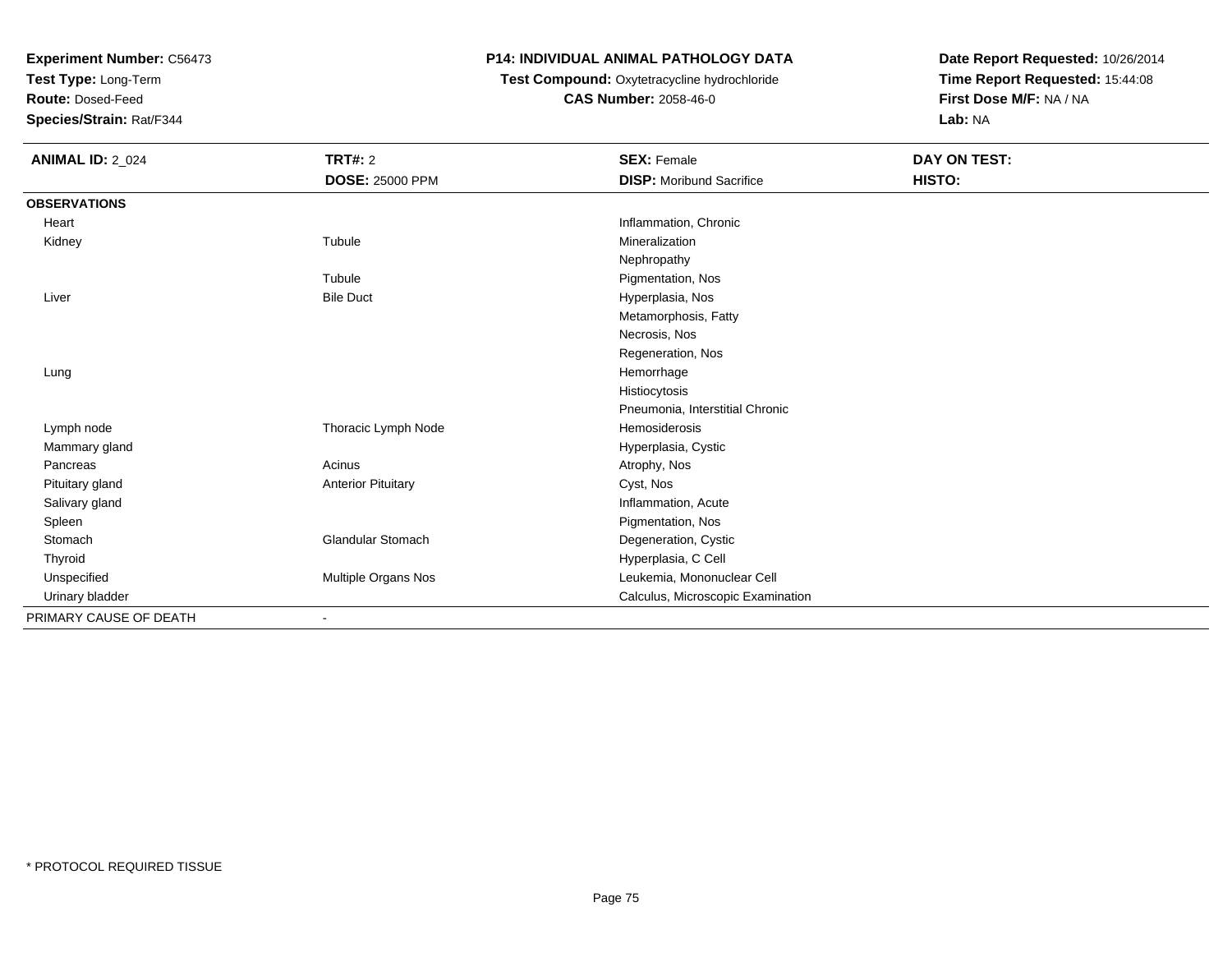**Test Type:** Long-Term

**Route:** Dosed-Feed

**Species/Strain:** Rat/F344

### **P14: INDIVIDUAL ANIMAL PATHOLOGY DATA**

 **Test Compound:** Oxytetracycline hydrochloride**CAS Number:** 2058-46-0

| <b>ANIMAL ID: 2_024</b> | <b>TRT#: 2</b>            | <b>SEX: Female</b>                | <b>DAY ON TEST:</b> |
|-------------------------|---------------------------|-----------------------------------|---------------------|
|                         | <b>DOSE: 25000 PPM</b>    | <b>DISP:</b> Moribund Sacrifice   | HISTO:              |
| <b>OBSERVATIONS</b>     |                           |                                   |                     |
| Heart                   |                           | Inflammation, Chronic             |                     |
| Kidney                  | Tubule                    | Mineralization                    |                     |
|                         |                           | Nephropathy                       |                     |
|                         | Tubule                    | Pigmentation, Nos                 |                     |
| Liver                   | <b>Bile Duct</b>          | Hyperplasia, Nos                  |                     |
|                         |                           | Metamorphosis, Fatty              |                     |
|                         |                           | Necrosis, Nos                     |                     |
|                         |                           | Regeneration, Nos                 |                     |
| Lung                    |                           | Hemorrhage                        |                     |
|                         |                           | Histiocytosis                     |                     |
|                         |                           | Pneumonia, Interstitial Chronic   |                     |
| Lymph node              | Thoracic Lymph Node       | Hemosiderosis                     |                     |
| Mammary gland           |                           | Hyperplasia, Cystic               |                     |
| Pancreas                | Acinus                    | Atrophy, Nos                      |                     |
| Pituitary gland         | <b>Anterior Pituitary</b> | Cyst, Nos                         |                     |
| Salivary gland          |                           | Inflammation, Acute               |                     |
| Spleen                  |                           | Pigmentation, Nos                 |                     |
| Stomach                 | Glandular Stomach         | Degeneration, Cystic              |                     |
| Thyroid                 |                           | Hyperplasia, C Cell               |                     |
| Unspecified             | Multiple Organs Nos       | Leukemia, Mononuclear Cell        |                     |
| Urinary bladder         |                           | Calculus, Microscopic Examination |                     |
| PRIMARY CAUSE OF DEATH  | $\blacksquare$            |                                   |                     |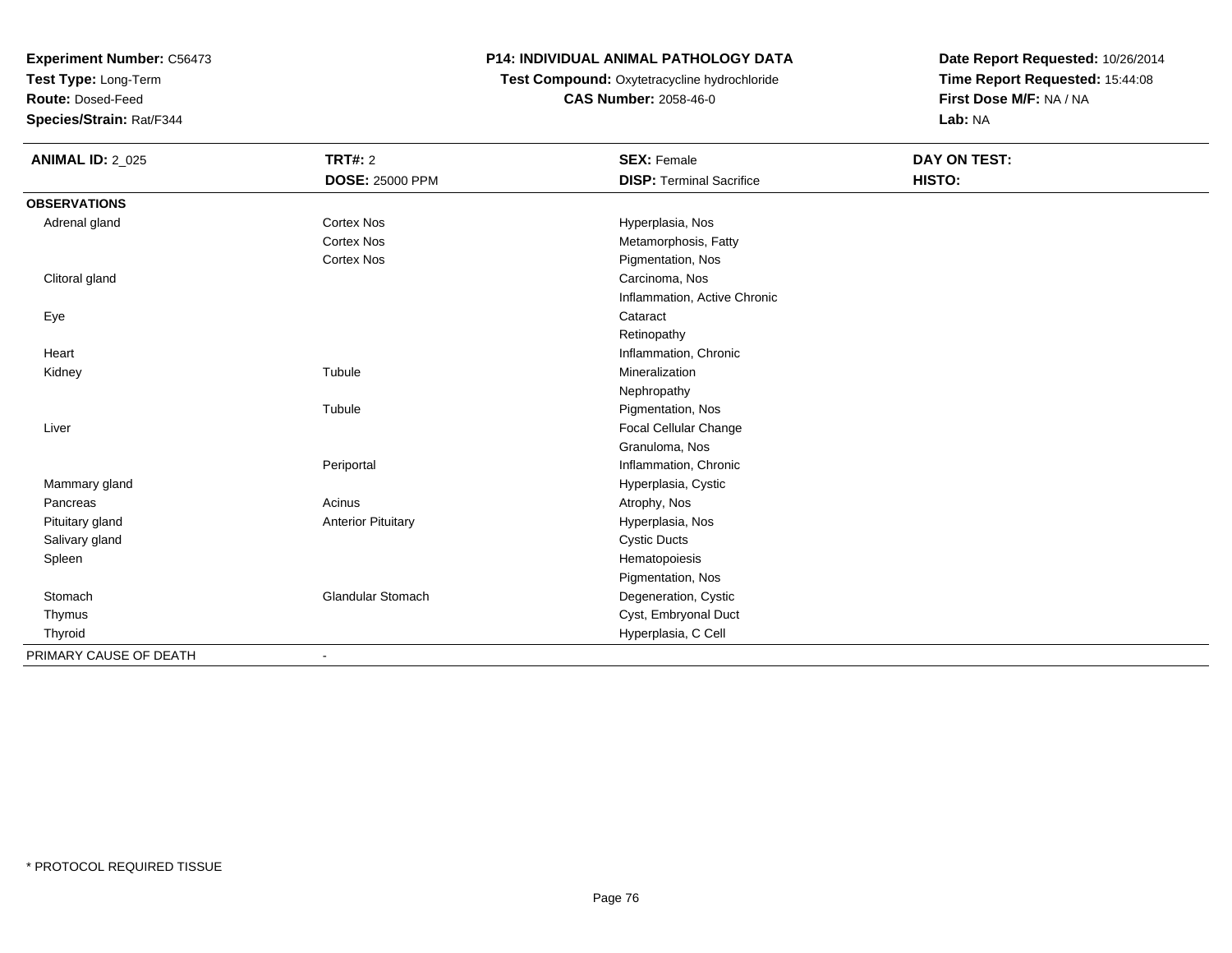**Test Type:** Long-Term

**Route:** Dosed-Feed

**Species/Strain:** Rat/F344

### **P14: INDIVIDUAL ANIMAL PATHOLOGY DATA**

**Test Compound:** Oxytetracycline hydrochloride**CAS Number:** 2058-46-0

| <b>ANIMAL ID: 2_025</b> | <b>TRT#: 2</b>            | <b>SEX: Female</b>              | <b>DAY ON TEST:</b> |  |
|-------------------------|---------------------------|---------------------------------|---------------------|--|
|                         | <b>DOSE: 25000 PPM</b>    | <b>DISP: Terminal Sacrifice</b> | HISTO:              |  |
| <b>OBSERVATIONS</b>     |                           |                                 |                     |  |
| Adrenal gland           | <b>Cortex Nos</b>         | Hyperplasia, Nos                |                     |  |
|                         | <b>Cortex Nos</b>         | Metamorphosis, Fatty            |                     |  |
|                         | <b>Cortex Nos</b>         | Pigmentation, Nos               |                     |  |
| Clitoral gland          |                           | Carcinoma, Nos                  |                     |  |
|                         |                           | Inflammation, Active Chronic    |                     |  |
| Eye                     |                           | Cataract                        |                     |  |
|                         |                           | Retinopathy                     |                     |  |
| Heart                   |                           | Inflammation, Chronic           |                     |  |
| Kidney                  | Tubule                    | Mineralization                  |                     |  |
|                         |                           | Nephropathy                     |                     |  |
|                         | Tubule                    | Pigmentation, Nos               |                     |  |
| Liver                   |                           | Focal Cellular Change           |                     |  |
|                         |                           | Granuloma, Nos                  |                     |  |
|                         | Periportal                | Inflammation, Chronic           |                     |  |
| Mammary gland           |                           | Hyperplasia, Cystic             |                     |  |
| Pancreas                | Acinus                    | Atrophy, Nos                    |                     |  |
| Pituitary gland         | <b>Anterior Pituitary</b> | Hyperplasia, Nos                |                     |  |
| Salivary gland          |                           | <b>Cystic Ducts</b>             |                     |  |
| Spleen                  |                           | Hematopoiesis                   |                     |  |
|                         |                           | Pigmentation, Nos               |                     |  |
| Stomach                 | Glandular Stomach         | Degeneration, Cystic            |                     |  |
| Thymus                  |                           | Cyst, Embryonal Duct            |                     |  |
| Thyroid                 |                           | Hyperplasia, C Cell             |                     |  |
| PRIMARY CAUSE OF DEATH  | $\overline{\phantom{a}}$  |                                 |                     |  |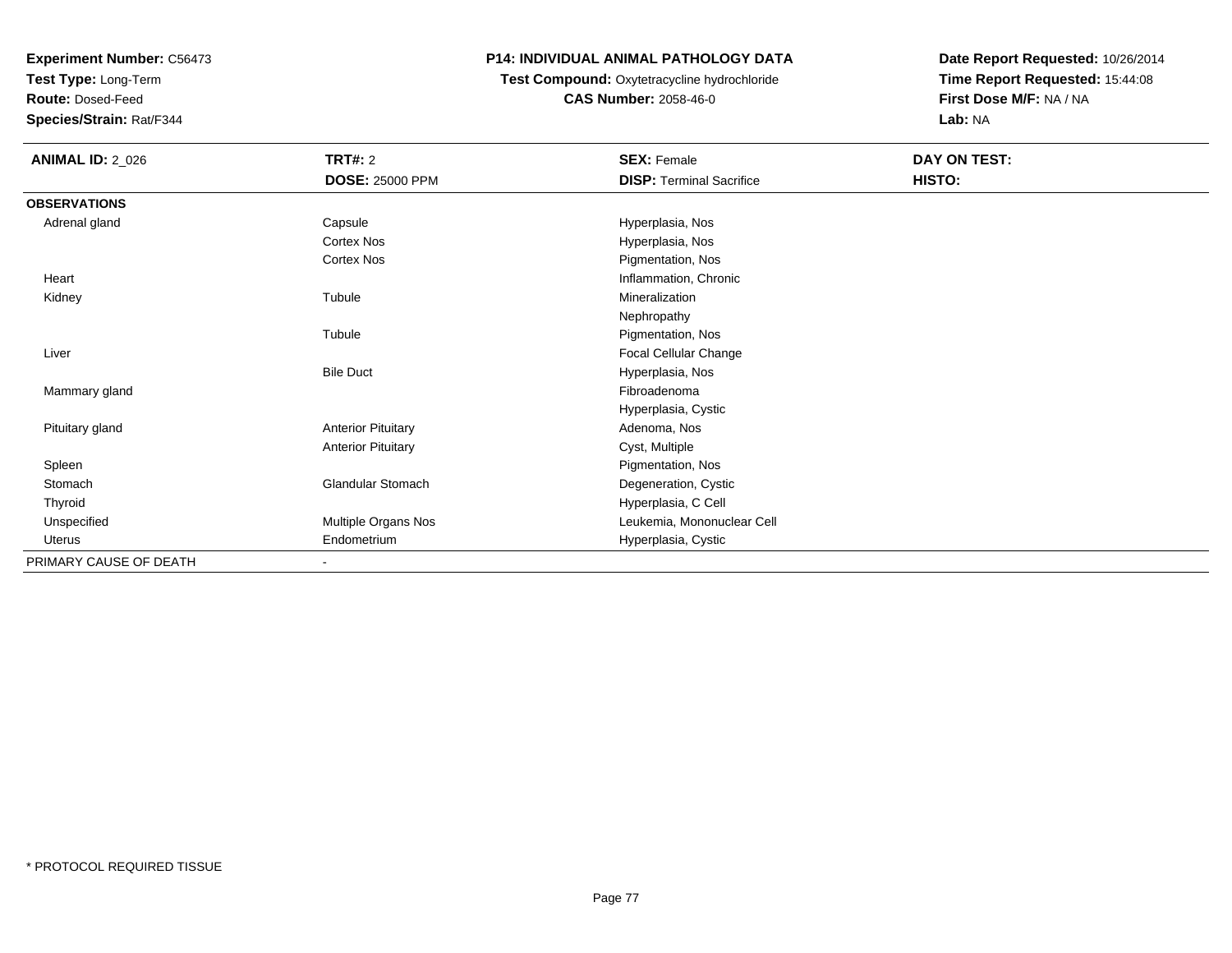**Test Type:** Long-Term

**Route:** Dosed-Feed

**Species/Strain:** Rat/F344

## **P14: INDIVIDUAL ANIMAL PATHOLOGY DATA**

#### **Test Compound:** Oxytetracycline hydrochloride**CAS Number:** 2058-46-0

| <b>ANIMAL ID: 2_026</b> | <b>TRT#: 2</b>            | <b>SEX: Female</b>              | DAY ON TEST: |
|-------------------------|---------------------------|---------------------------------|--------------|
|                         | <b>DOSE: 25000 PPM</b>    | <b>DISP: Terminal Sacrifice</b> | HISTO:       |
| <b>OBSERVATIONS</b>     |                           |                                 |              |
| Adrenal gland           | Capsule                   | Hyperplasia, Nos                |              |
|                         | Cortex Nos                | Hyperplasia, Nos                |              |
|                         | Cortex Nos                | Pigmentation, Nos               |              |
| Heart                   |                           | Inflammation, Chronic           |              |
| Kidney                  | Tubule                    | Mineralization                  |              |
|                         |                           | Nephropathy                     |              |
|                         | Tubule                    | Pigmentation, Nos               |              |
| Liver                   |                           | Focal Cellular Change           |              |
|                         | <b>Bile Duct</b>          | Hyperplasia, Nos                |              |
| Mammary gland           |                           | Fibroadenoma                    |              |
|                         |                           | Hyperplasia, Cystic             |              |
| Pituitary gland         | <b>Anterior Pituitary</b> | Adenoma, Nos                    |              |
|                         | <b>Anterior Pituitary</b> | Cyst, Multiple                  |              |
| Spleen                  |                           | Pigmentation, Nos               |              |
| Stomach                 | <b>Glandular Stomach</b>  | Degeneration, Cystic            |              |
| Thyroid                 |                           | Hyperplasia, C Cell             |              |
| Unspecified             | Multiple Organs Nos       | Leukemia, Mononuclear Cell      |              |
| Uterus                  | Endometrium               | Hyperplasia, Cystic             |              |
| PRIMARY CAUSE OF DEATH  |                           |                                 |              |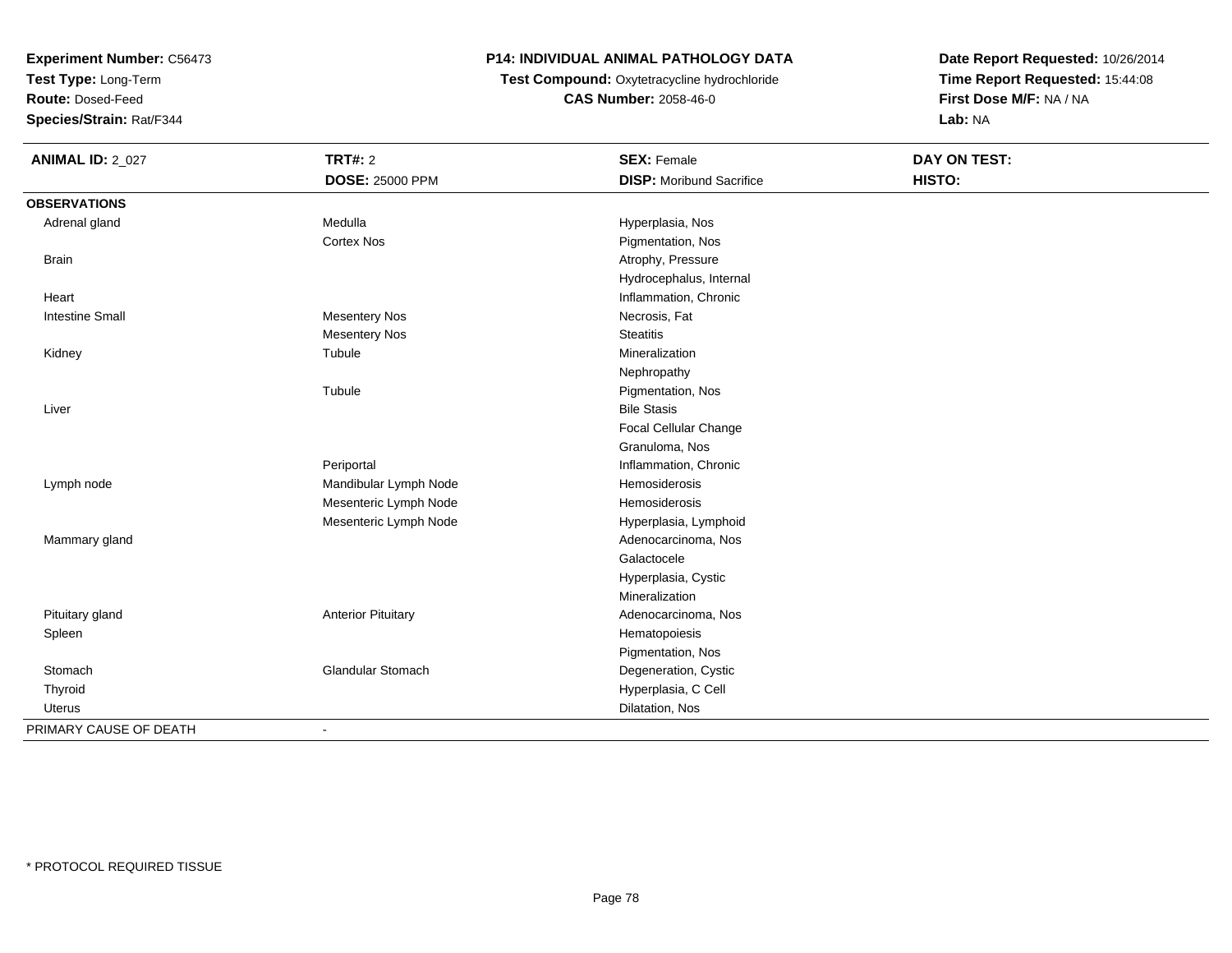**Test Type:** Long-Term

**Route:** Dosed-Feed

**Species/Strain:** Rat/F344

## **P14: INDIVIDUAL ANIMAL PATHOLOGY DATA**

 **Test Compound:** Oxytetracycline hydrochloride**CAS Number:** 2058-46-0

| <b>ANIMAL ID: 2_027</b> | <b>TRT#: 2</b>            | <b>SEX: Female</b>              | <b>DAY ON TEST:</b> |
|-------------------------|---------------------------|---------------------------------|---------------------|
|                         | <b>DOSE: 25000 PPM</b>    | <b>DISP:</b> Moribund Sacrifice | HISTO:              |
| <b>OBSERVATIONS</b>     |                           |                                 |                     |
| Adrenal gland           | Medulla                   | Hyperplasia, Nos                |                     |
|                         | Cortex Nos                | Pigmentation, Nos               |                     |
| <b>Brain</b>            |                           | Atrophy, Pressure               |                     |
|                         |                           | Hydrocephalus, Internal         |                     |
| Heart                   |                           | Inflammation, Chronic           |                     |
| <b>Intestine Small</b>  | <b>Mesentery Nos</b>      | Necrosis, Fat                   |                     |
|                         | <b>Mesentery Nos</b>      | <b>Steatitis</b>                |                     |
| Kidney                  | Tubule                    | Mineralization                  |                     |
|                         |                           | Nephropathy                     |                     |
|                         | Tubule                    | Pigmentation, Nos               |                     |
| Liver                   |                           | <b>Bile Stasis</b>              |                     |
|                         |                           | Focal Cellular Change           |                     |
|                         |                           | Granuloma, Nos                  |                     |
|                         | Periportal                | Inflammation, Chronic           |                     |
| Lymph node              | Mandibular Lymph Node     | Hemosiderosis                   |                     |
|                         | Mesenteric Lymph Node     | Hemosiderosis                   |                     |
|                         | Mesenteric Lymph Node     | Hyperplasia, Lymphoid           |                     |
| Mammary gland           |                           | Adenocarcinoma, Nos             |                     |
|                         |                           | Galactocele                     |                     |
|                         |                           | Hyperplasia, Cystic             |                     |
|                         |                           | Mineralization                  |                     |
| Pituitary gland         | <b>Anterior Pituitary</b> | Adenocarcinoma, Nos             |                     |
| Spleen                  |                           | Hematopoiesis                   |                     |
|                         |                           | Pigmentation, Nos               |                     |
| Stomach                 | Glandular Stomach         | Degeneration, Cystic            |                     |
| Thyroid                 |                           | Hyperplasia, C Cell             |                     |
| Uterus                  |                           | Dilatation, Nos                 |                     |
| PRIMARY CAUSE OF DEATH  | $\blacksquare$            |                                 |                     |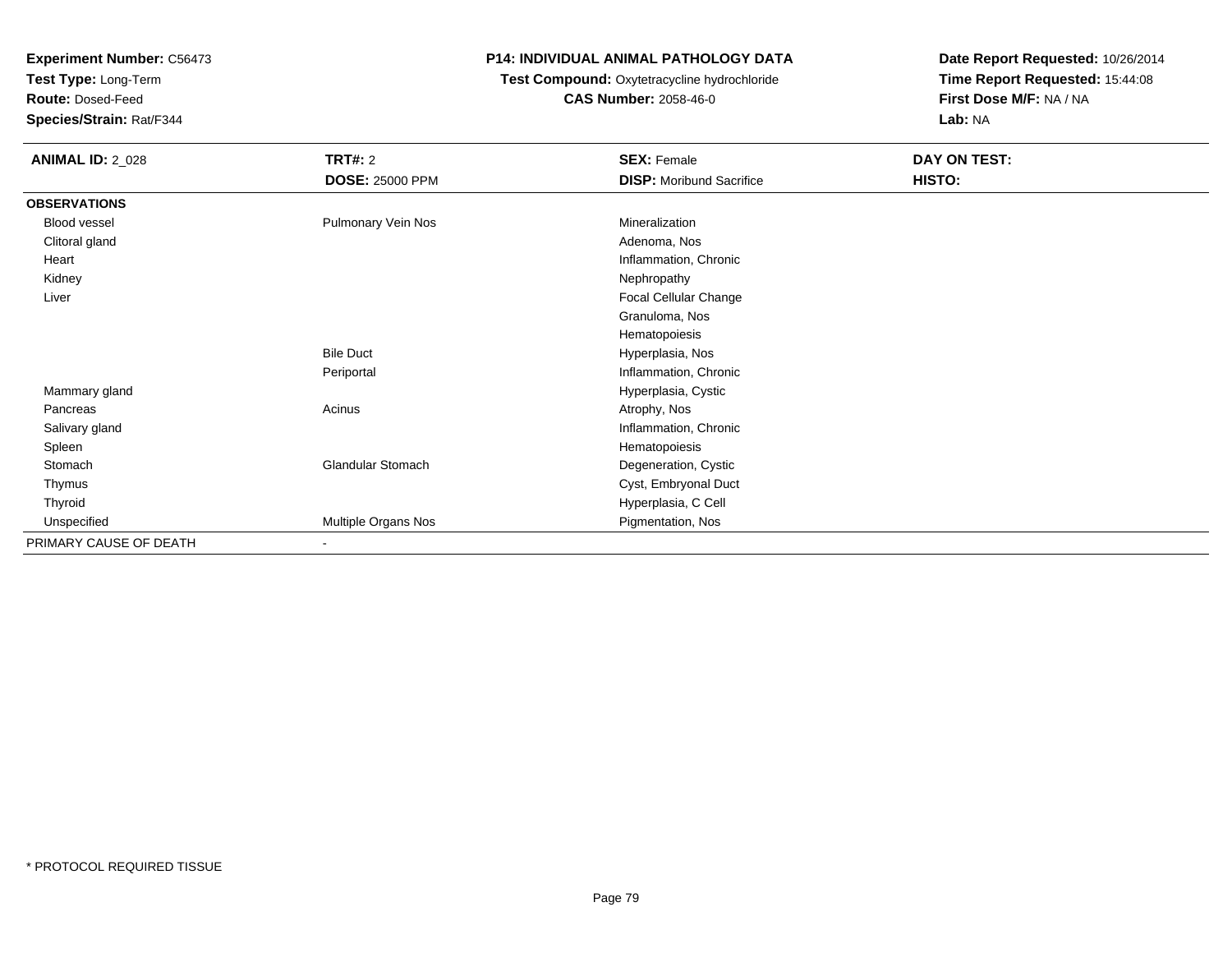**Test Type:** Long-Term

**Route:** Dosed-Feed

**Species/Strain:** Rat/F344

### **P14: INDIVIDUAL ANIMAL PATHOLOGY DATA**

## **Test Compound:** Oxytetracycline hydrochloride**CAS Number:** 2058-46-0

| <b>ANIMAL ID: 2_028</b> | <b>TRT#: 2</b>           | <b>SEX: Female</b>              | DAY ON TEST: |  |
|-------------------------|--------------------------|---------------------------------|--------------|--|
|                         | <b>DOSE: 25000 PPM</b>   | <b>DISP:</b> Moribund Sacrifice | HISTO:       |  |
| <b>OBSERVATIONS</b>     |                          |                                 |              |  |
| Blood vessel            | Pulmonary Vein Nos       | Mineralization                  |              |  |
| Clitoral gland          |                          | Adenoma, Nos                    |              |  |
| Heart                   |                          | Inflammation, Chronic           |              |  |
| Kidney                  |                          | Nephropathy                     |              |  |
| Liver                   |                          | Focal Cellular Change           |              |  |
|                         |                          | Granuloma, Nos                  |              |  |
|                         |                          | Hematopoiesis                   |              |  |
|                         | <b>Bile Duct</b>         | Hyperplasia, Nos                |              |  |
|                         | Periportal               | Inflammation, Chronic           |              |  |
| Mammary gland           |                          | Hyperplasia, Cystic             |              |  |
| Pancreas                | Acinus                   | Atrophy, Nos                    |              |  |
| Salivary gland          |                          | Inflammation, Chronic           |              |  |
| Spleen                  |                          | Hematopoiesis                   |              |  |
| Stomach                 | <b>Glandular Stomach</b> | Degeneration, Cystic            |              |  |
| Thymus                  |                          | Cyst, Embryonal Duct            |              |  |
| Thyroid                 |                          | Hyperplasia, C Cell             |              |  |
| Unspecified             | Multiple Organs Nos      | Pigmentation, Nos               |              |  |
| PRIMARY CAUSE OF DEATH  | $\overline{\phantom{a}}$ |                                 |              |  |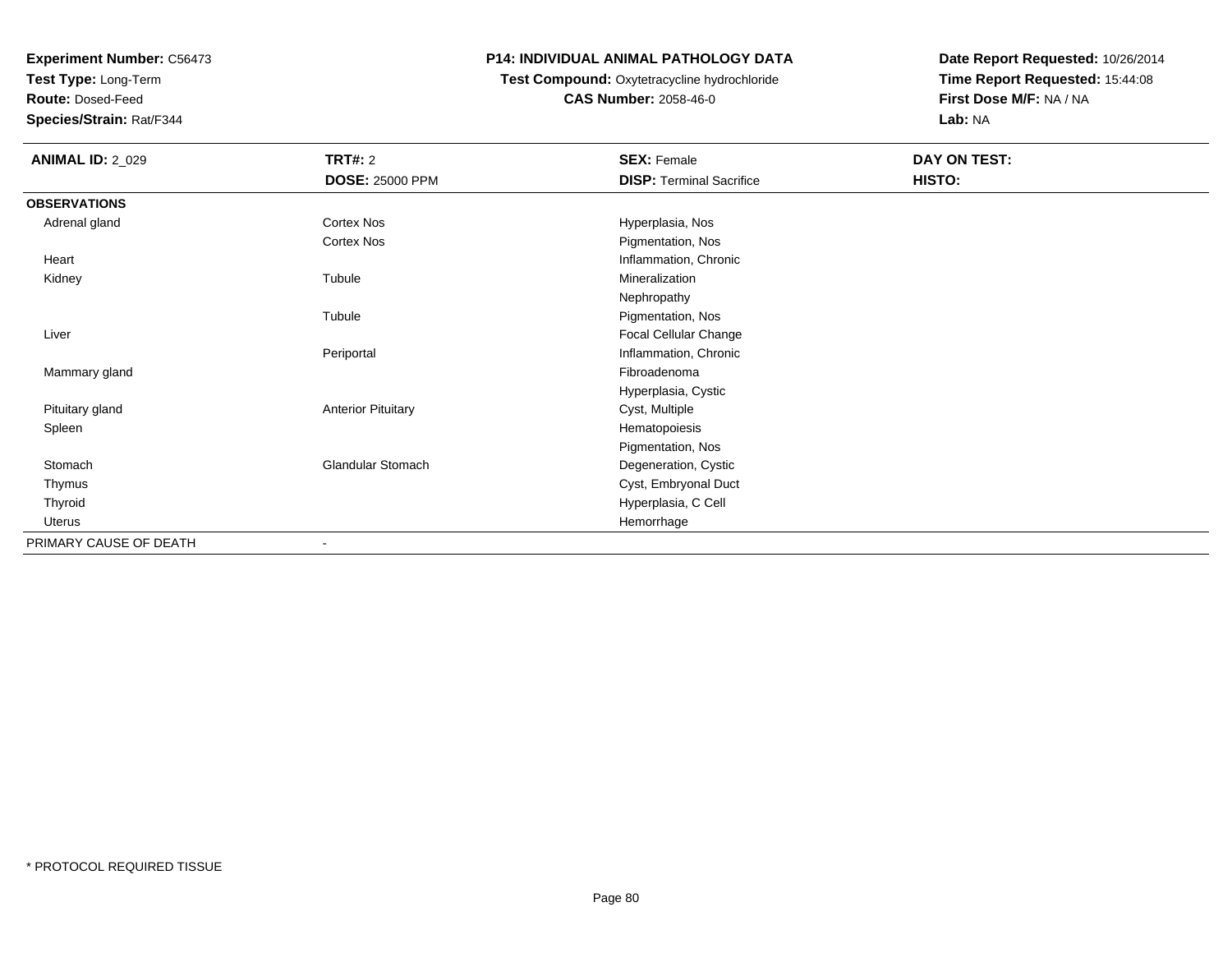**Test Type:** Long-Term

**Route:** Dosed-Feed

**Species/Strain:** Rat/F344

### **P14: INDIVIDUAL ANIMAL PATHOLOGY DATA**

## **Test Compound:** Oxytetracycline hydrochloride**CAS Number:** 2058-46-0

| <b>ANIMAL ID: 2_029</b> | <b>TRT#: 2</b>            | <b>SEX: Female</b>              | DAY ON TEST: |
|-------------------------|---------------------------|---------------------------------|--------------|
|                         | <b>DOSE: 25000 PPM</b>    | <b>DISP: Terminal Sacrifice</b> | HISTO:       |
| <b>OBSERVATIONS</b>     |                           |                                 |              |
| Adrenal gland           | Cortex Nos                | Hyperplasia, Nos                |              |
|                         | <b>Cortex Nos</b>         | Pigmentation, Nos               |              |
| Heart                   |                           | Inflammation, Chronic           |              |
| Kidney                  | Tubule                    | Mineralization                  |              |
|                         |                           | Nephropathy                     |              |
|                         | Tubule                    | Pigmentation, Nos               |              |
| Liver                   |                           | Focal Cellular Change           |              |
|                         | Periportal                | Inflammation, Chronic           |              |
| Mammary gland           |                           | Fibroadenoma                    |              |
|                         |                           | Hyperplasia, Cystic             |              |
| Pituitary gland         | <b>Anterior Pituitary</b> | Cyst, Multiple                  |              |
| Spleen                  |                           | Hematopoiesis                   |              |
|                         |                           | Pigmentation, Nos               |              |
| Stomach                 | <b>Glandular Stomach</b>  | Degeneration, Cystic            |              |
| Thymus                  |                           | Cyst, Embryonal Duct            |              |
| Thyroid                 |                           | Hyperplasia, C Cell             |              |
| Uterus                  |                           | Hemorrhage                      |              |
| PRIMARY CAUSE OF DEATH  |                           |                                 |              |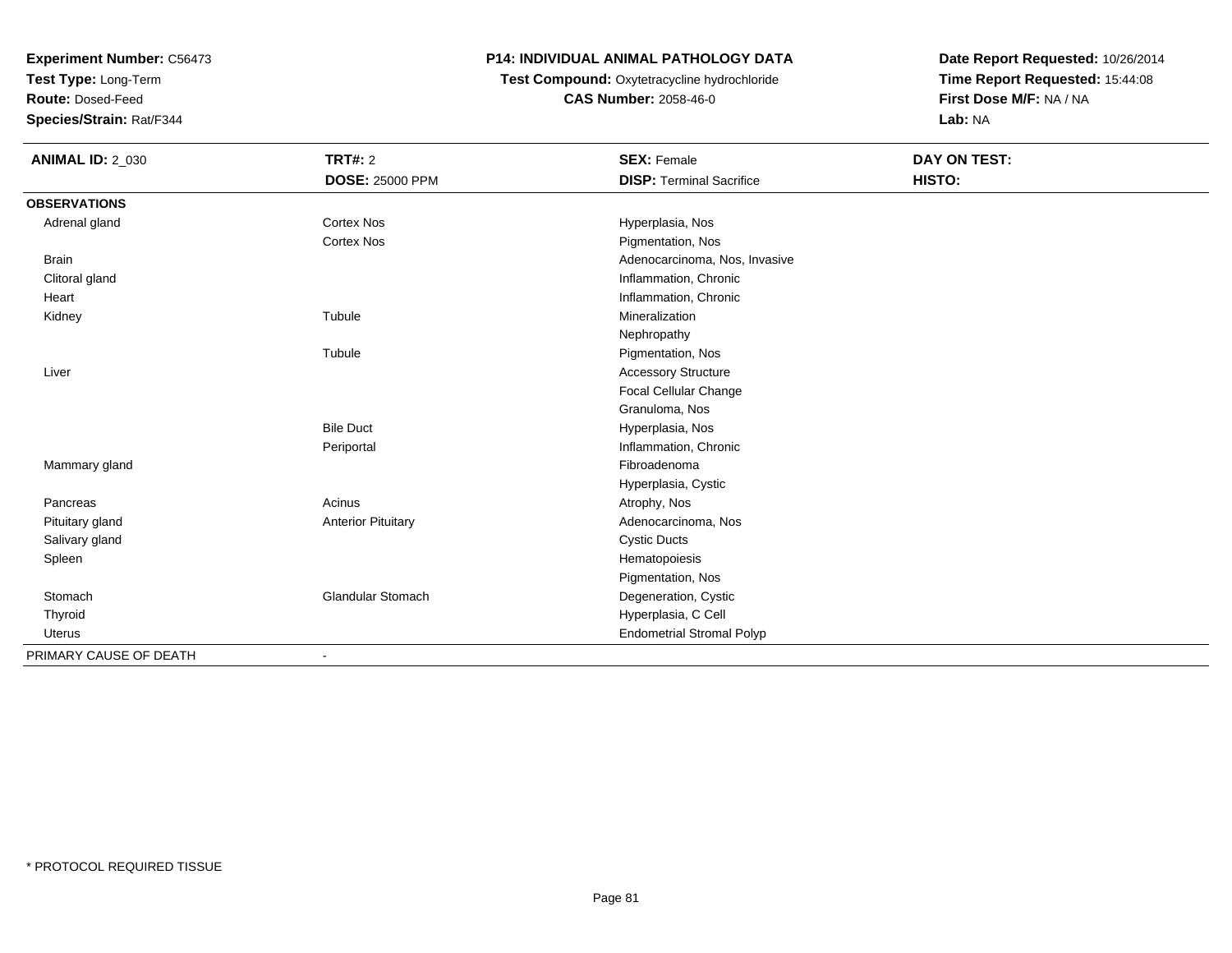**Test Type:** Long-Term

**Route:** Dosed-Feed

**Species/Strain:** Rat/F344

### **P14: INDIVIDUAL ANIMAL PATHOLOGY DATA**

**Test Compound:** Oxytetracycline hydrochloride**CAS Number:** 2058-46-0

| <b>ANIMAL ID: 2_030</b> | <b>TRT#: 2</b>            | <b>SEX: Female</b>               | <b>DAY ON TEST:</b> |  |
|-------------------------|---------------------------|----------------------------------|---------------------|--|
|                         | <b>DOSE: 25000 PPM</b>    | <b>DISP: Terminal Sacrifice</b>  | HISTO:              |  |
| <b>OBSERVATIONS</b>     |                           |                                  |                     |  |
| Adrenal gland           | Cortex Nos                | Hyperplasia, Nos                 |                     |  |
|                         | <b>Cortex Nos</b>         | Pigmentation, Nos                |                     |  |
| <b>Brain</b>            |                           | Adenocarcinoma, Nos, Invasive    |                     |  |
| Clitoral gland          |                           | Inflammation, Chronic            |                     |  |
| Heart                   |                           | Inflammation, Chronic            |                     |  |
| Kidney                  | Tubule                    | Mineralization                   |                     |  |
|                         |                           | Nephropathy                      |                     |  |
|                         | Tubule                    | Pigmentation, Nos                |                     |  |
| Liver                   |                           | <b>Accessory Structure</b>       |                     |  |
|                         |                           | Focal Cellular Change            |                     |  |
|                         |                           | Granuloma, Nos                   |                     |  |
|                         | <b>Bile Duct</b>          | Hyperplasia, Nos                 |                     |  |
|                         | Periportal                | Inflammation, Chronic            |                     |  |
| Mammary gland           |                           | Fibroadenoma                     |                     |  |
|                         |                           | Hyperplasia, Cystic              |                     |  |
| Pancreas                | Acinus                    | Atrophy, Nos                     |                     |  |
| Pituitary gland         | <b>Anterior Pituitary</b> | Adenocarcinoma, Nos              |                     |  |
| Salivary gland          |                           | <b>Cystic Ducts</b>              |                     |  |
| Spleen                  |                           | Hematopoiesis                    |                     |  |
|                         |                           | Pigmentation, Nos                |                     |  |
| Stomach                 | <b>Glandular Stomach</b>  | Degeneration, Cystic             |                     |  |
| Thyroid                 |                           | Hyperplasia, C Cell              |                     |  |
| Uterus                  |                           | <b>Endometrial Stromal Polyp</b> |                     |  |
| PRIMARY CAUSE OF DEATH  |                           |                                  |                     |  |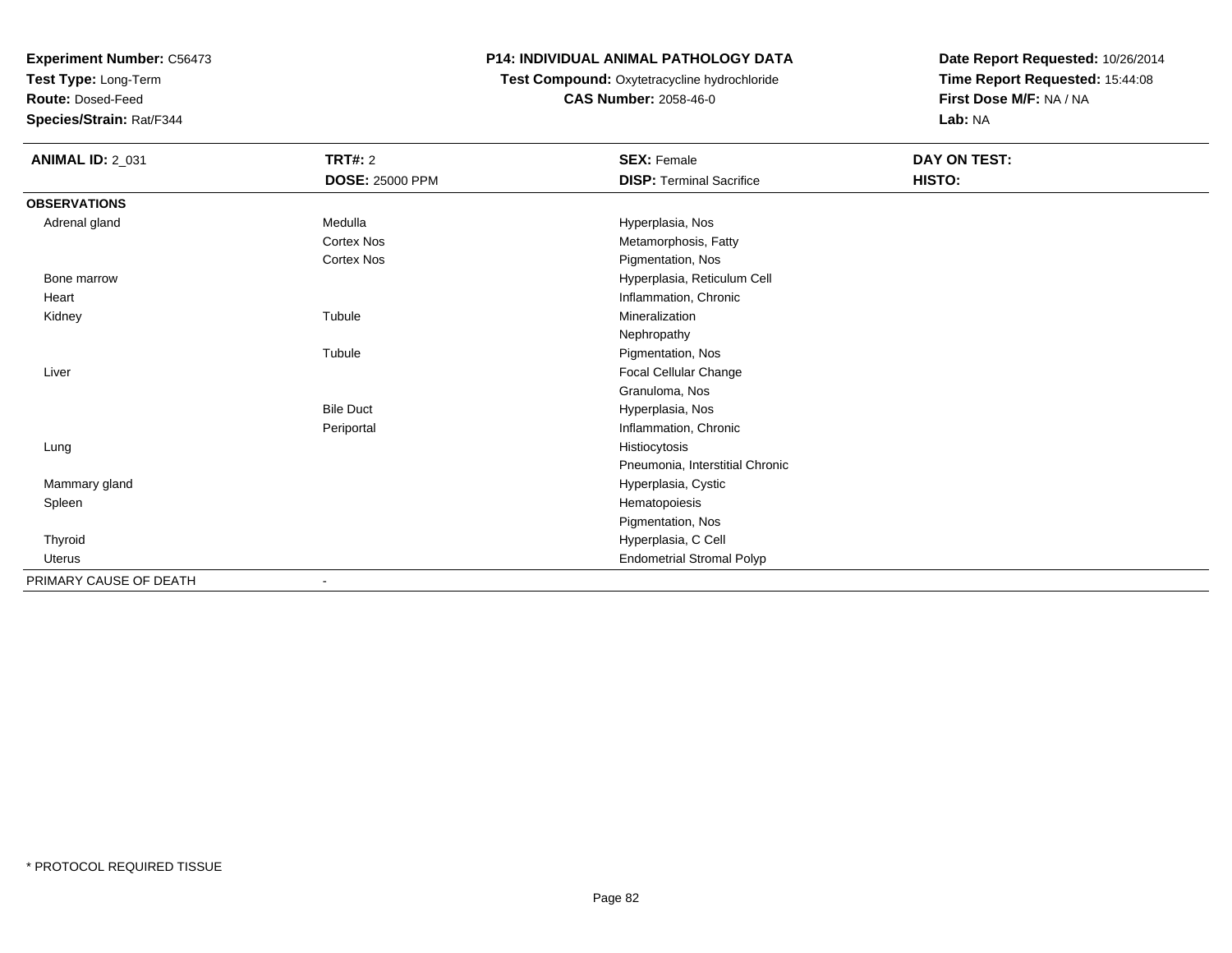**Test Type:** Long-Term

**Route:** Dosed-Feed

**Species/Strain:** Rat/F344

### **P14: INDIVIDUAL ANIMAL PATHOLOGY DATA**

**Test Compound:** Oxytetracycline hydrochloride**CAS Number:** 2058-46-0

| <b>ANIMAL ID: 2_031</b> | <b>TRT#: 2</b>         | <b>SEX: Female</b>               | DAY ON TEST: |  |
|-------------------------|------------------------|----------------------------------|--------------|--|
|                         | <b>DOSE: 25000 PPM</b> | <b>DISP: Terminal Sacrifice</b>  | HISTO:       |  |
| <b>OBSERVATIONS</b>     |                        |                                  |              |  |
| Adrenal gland           | Medulla                | Hyperplasia, Nos                 |              |  |
|                         | <b>Cortex Nos</b>      | Metamorphosis, Fatty             |              |  |
|                         | Cortex Nos             | Pigmentation, Nos                |              |  |
| Bone marrow             |                        | Hyperplasia, Reticulum Cell      |              |  |
| Heart                   |                        | Inflammation, Chronic            |              |  |
| Kidney                  | Tubule                 | Mineralization                   |              |  |
|                         |                        | Nephropathy                      |              |  |
|                         | Tubule                 | Pigmentation, Nos                |              |  |
| Liver                   |                        | Focal Cellular Change            |              |  |
|                         |                        | Granuloma, Nos                   |              |  |
|                         | <b>Bile Duct</b>       | Hyperplasia, Nos                 |              |  |
|                         | Periportal             | Inflammation, Chronic            |              |  |
| Lung                    |                        | Histiocytosis                    |              |  |
|                         |                        | Pneumonia, Interstitial Chronic  |              |  |
| Mammary gland           |                        | Hyperplasia, Cystic              |              |  |
| Spleen                  |                        | Hematopoiesis                    |              |  |
|                         |                        | Pigmentation, Nos                |              |  |
| Thyroid                 |                        | Hyperplasia, C Cell              |              |  |
| Uterus                  |                        | <b>Endometrial Stromal Polyp</b> |              |  |
| PRIMARY CAUSE OF DEATH  |                        |                                  |              |  |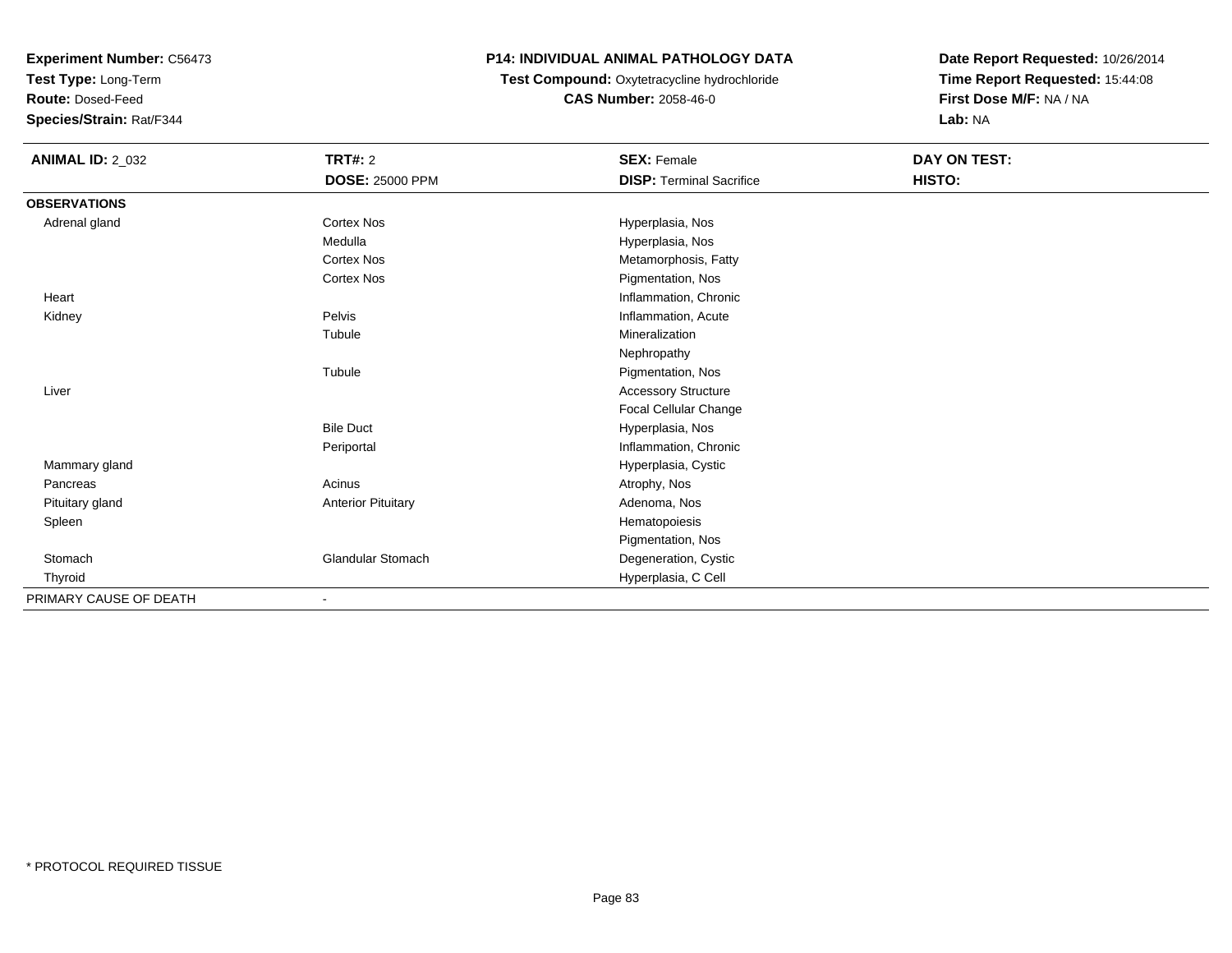**Test Type:** Long-Term

**Route:** Dosed-Feed

**Species/Strain:** Rat/F344

### **P14: INDIVIDUAL ANIMAL PATHOLOGY DATA**

### **Test Compound:** Oxytetracycline hydrochloride**CAS Number:** 2058-46-0

| <b>ANIMAL ID: 2_032</b> | <b>TRT#: 2</b>            | <b>SEX: Female</b>              | DAY ON TEST: |  |
|-------------------------|---------------------------|---------------------------------|--------------|--|
|                         | <b>DOSE: 25000 PPM</b>    | <b>DISP: Terminal Sacrifice</b> | HISTO:       |  |
| <b>OBSERVATIONS</b>     |                           |                                 |              |  |
| Adrenal gland           | <b>Cortex Nos</b>         | Hyperplasia, Nos                |              |  |
|                         | Medulla                   | Hyperplasia, Nos                |              |  |
|                         | <b>Cortex Nos</b>         | Metamorphosis, Fatty            |              |  |
|                         | <b>Cortex Nos</b>         | Pigmentation, Nos               |              |  |
| Heart                   |                           | Inflammation, Chronic           |              |  |
| Kidney                  | Pelvis                    | Inflammation, Acute             |              |  |
|                         | Tubule                    | Mineralization                  |              |  |
|                         |                           | Nephropathy                     |              |  |
|                         | Tubule                    | Pigmentation, Nos               |              |  |
| Liver                   |                           | <b>Accessory Structure</b>      |              |  |
|                         |                           | Focal Cellular Change           |              |  |
|                         | <b>Bile Duct</b>          | Hyperplasia, Nos                |              |  |
|                         | Periportal                | Inflammation, Chronic           |              |  |
| Mammary gland           |                           | Hyperplasia, Cystic             |              |  |
| Pancreas                | Acinus                    | Atrophy, Nos                    |              |  |
| Pituitary gland         | <b>Anterior Pituitary</b> | Adenoma, Nos                    |              |  |
| Spleen                  |                           | Hematopoiesis                   |              |  |
|                         |                           | Pigmentation, Nos               |              |  |
| Stomach                 | <b>Glandular Stomach</b>  | Degeneration, Cystic            |              |  |
| Thyroid                 |                           | Hyperplasia, C Cell             |              |  |
| PRIMARY CAUSE OF DEATH  |                           |                                 |              |  |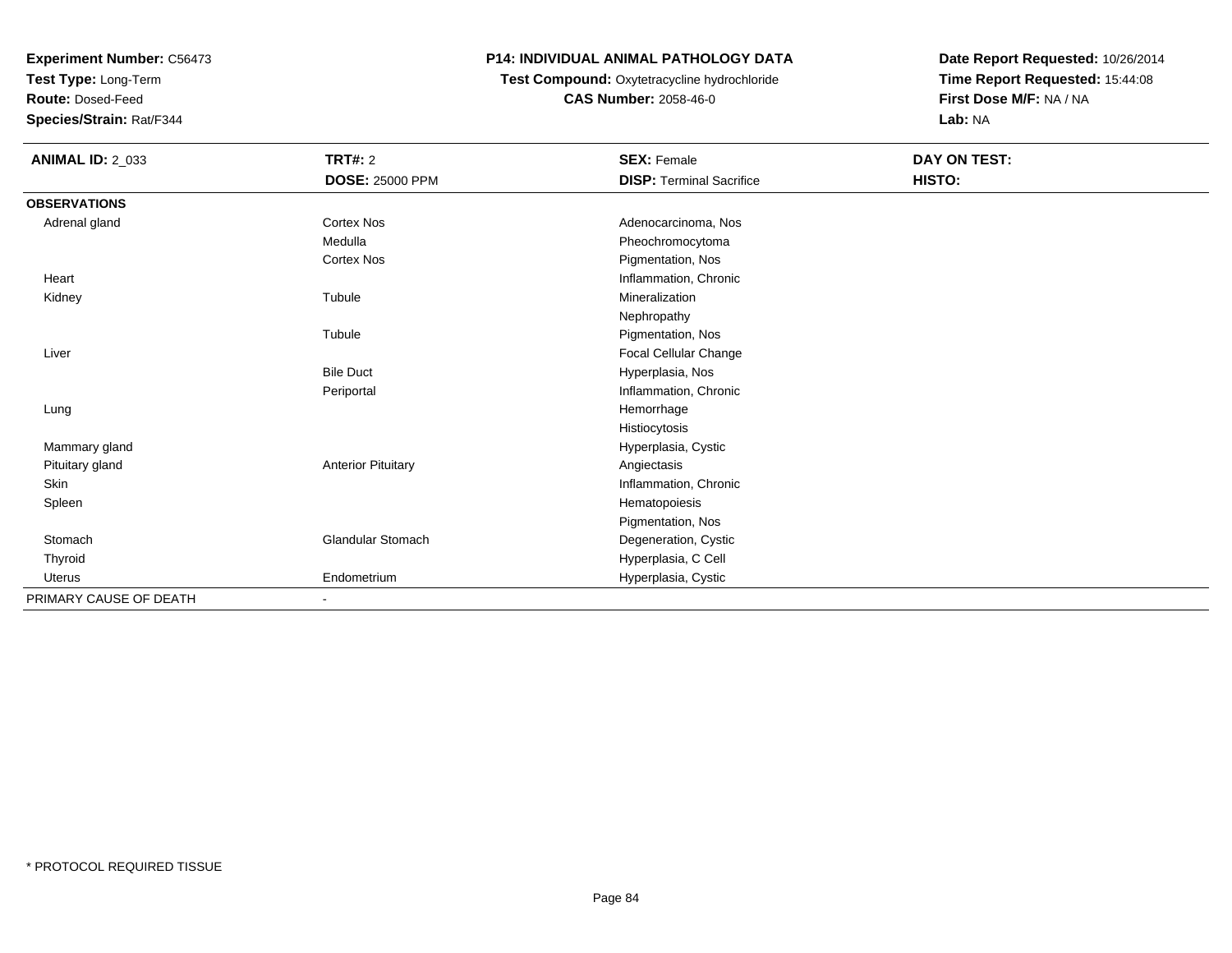**Test Type:** Long-Term

**Route:** Dosed-Feed

**Species/Strain:** Rat/F344

## **P14: INDIVIDUAL ANIMAL PATHOLOGY DATA**

#### **Test Compound:** Oxytetracycline hydrochloride**CAS Number:** 2058-46-0

| <b>ANIMAL ID: 2_033</b> | <b>TRT#: 2</b>            | <b>SEX: Female</b>              | DAY ON TEST: |
|-------------------------|---------------------------|---------------------------------|--------------|
|                         | <b>DOSE: 25000 PPM</b>    | <b>DISP: Terminal Sacrifice</b> | HISTO:       |
| <b>OBSERVATIONS</b>     |                           |                                 |              |
| Adrenal gland           | <b>Cortex Nos</b>         | Adenocarcinoma, Nos             |              |
|                         | Medulla                   | Pheochromocytoma                |              |
|                         | <b>Cortex Nos</b>         | Pigmentation, Nos               |              |
| Heart                   |                           | Inflammation, Chronic           |              |
| Kidney                  | Tubule                    | Mineralization                  |              |
|                         |                           | Nephropathy                     |              |
|                         | Tubule                    | Pigmentation, Nos               |              |
| Liver                   |                           | Focal Cellular Change           |              |
|                         | <b>Bile Duct</b>          | Hyperplasia, Nos                |              |
|                         | Periportal                | Inflammation, Chronic           |              |
| Lung                    |                           | Hemorrhage                      |              |
|                         |                           | Histiocytosis                   |              |
| Mammary gland           |                           | Hyperplasia, Cystic             |              |
| Pituitary gland         | <b>Anterior Pituitary</b> | Angiectasis                     |              |
| Skin                    |                           | Inflammation, Chronic           |              |
| Spleen                  |                           | Hematopoiesis                   |              |
|                         |                           | Pigmentation, Nos               |              |
| Stomach                 | <b>Glandular Stomach</b>  | Degeneration, Cystic            |              |
| Thyroid                 |                           | Hyperplasia, C Cell             |              |
| <b>Uterus</b>           | Endometrium               | Hyperplasia, Cystic             |              |
| PRIMARY CAUSE OF DEATH  | $\overline{\phantom{a}}$  |                                 |              |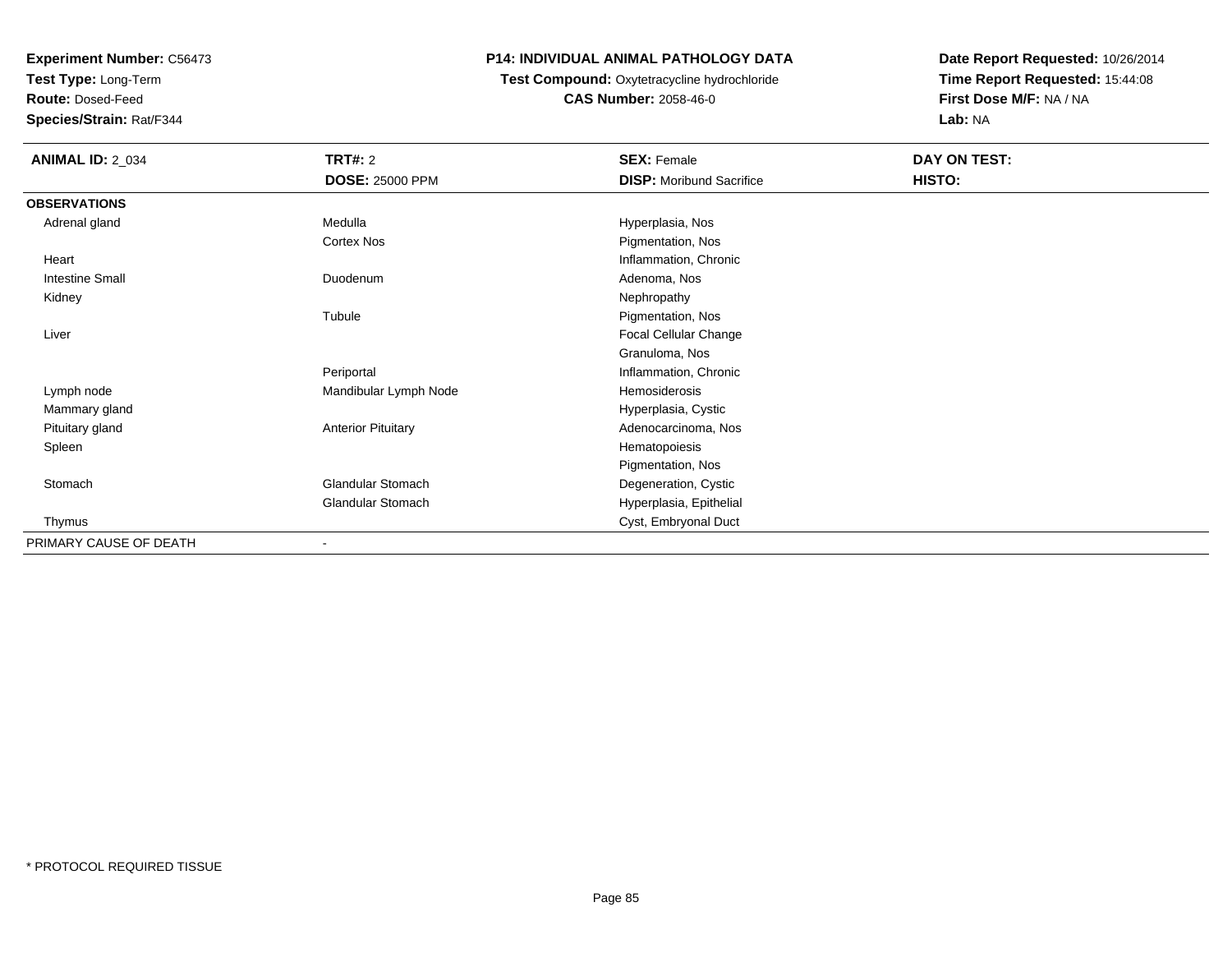**Test Type:** Long-Term

**Route:** Dosed-Feed

**Species/Strain:** Rat/F344

### **P14: INDIVIDUAL ANIMAL PATHOLOGY DATA**

## **Test Compound:** Oxytetracycline hydrochloride**CAS Number:** 2058-46-0

| <b>ANIMAL ID: 2_034</b> | <b>TRT#: 2</b>            | <b>SEX: Female</b>              | DAY ON TEST: |  |
|-------------------------|---------------------------|---------------------------------|--------------|--|
|                         | <b>DOSE: 25000 PPM</b>    | <b>DISP:</b> Moribund Sacrifice | HISTO:       |  |
| <b>OBSERVATIONS</b>     |                           |                                 |              |  |
| Adrenal gland           | Medulla                   | Hyperplasia, Nos                |              |  |
|                         | Cortex Nos                | Pigmentation, Nos               |              |  |
| Heart                   |                           | Inflammation, Chronic           |              |  |
| <b>Intestine Small</b>  | Duodenum                  | Adenoma, Nos                    |              |  |
| Kidney                  |                           | Nephropathy                     |              |  |
|                         | Tubule                    | Pigmentation, Nos               |              |  |
| Liver                   |                           | Focal Cellular Change           |              |  |
|                         |                           | Granuloma, Nos                  |              |  |
|                         | Periportal                | Inflammation, Chronic           |              |  |
| Lymph node              | Mandibular Lymph Node     | Hemosiderosis                   |              |  |
| Mammary gland           |                           | Hyperplasia, Cystic             |              |  |
| Pituitary gland         | <b>Anterior Pituitary</b> | Adenocarcinoma, Nos             |              |  |
| Spleen                  |                           | Hematopoiesis                   |              |  |
|                         |                           | Pigmentation, Nos               |              |  |
| Stomach                 | <b>Glandular Stomach</b>  | Degeneration, Cystic            |              |  |
|                         | <b>Glandular Stomach</b>  | Hyperplasia, Epithelial         |              |  |
| Thymus                  |                           | Cyst, Embryonal Duct            |              |  |
| PRIMARY CAUSE OF DEATH  |                           |                                 |              |  |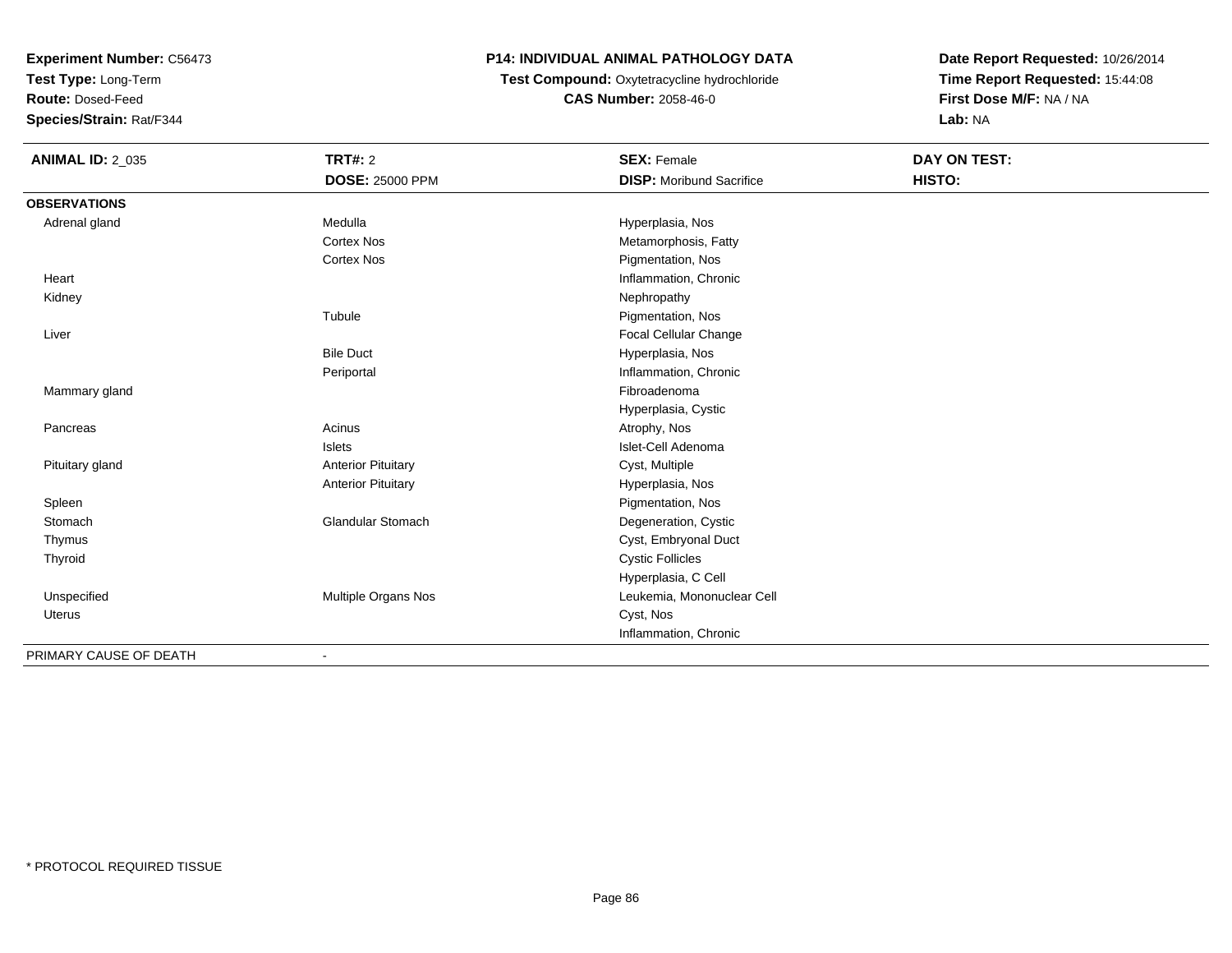**Test Type:** Long-Term

**Route:** Dosed-Feed

**Species/Strain:** Rat/F344

## **P14: INDIVIDUAL ANIMAL PATHOLOGY DATA**

**Test Compound:** Oxytetracycline hydrochloride**CAS Number:** 2058-46-0

| <b>ANIMAL ID: 2_035</b> | <b>TRT#: 2</b>               | <b>SEX: Female</b>              | DAY ON TEST: |  |
|-------------------------|------------------------------|---------------------------------|--------------|--|
|                         | <b>DOSE: 25000 PPM</b>       | <b>DISP:</b> Moribund Sacrifice | HISTO:       |  |
| <b>OBSERVATIONS</b>     |                              |                                 |              |  |
| Adrenal gland           | Medulla                      | Hyperplasia, Nos                |              |  |
|                         | <b>Cortex Nos</b>            | Metamorphosis, Fatty            |              |  |
|                         | <b>Cortex Nos</b>            | Pigmentation, Nos               |              |  |
| Heart                   |                              | Inflammation, Chronic           |              |  |
| Kidney                  |                              | Nephropathy                     |              |  |
|                         | Tubule                       | Pigmentation, Nos               |              |  |
| Liver                   |                              | Focal Cellular Change           |              |  |
|                         | <b>Bile Duct</b>             | Hyperplasia, Nos                |              |  |
|                         | Periportal                   | Inflammation, Chronic           |              |  |
| Mammary gland           |                              | Fibroadenoma                    |              |  |
|                         |                              | Hyperplasia, Cystic             |              |  |
| Pancreas                | Acinus                       | Atrophy, Nos                    |              |  |
|                         | <b>Islets</b>                | Islet-Cell Adenoma              |              |  |
| Pituitary gland         | <b>Anterior Pituitary</b>    | Cyst, Multiple                  |              |  |
|                         | <b>Anterior Pituitary</b>    | Hyperplasia, Nos                |              |  |
| Spleen                  |                              | Pigmentation, Nos               |              |  |
| Stomach                 | <b>Glandular Stomach</b>     | Degeneration, Cystic            |              |  |
| Thymus                  |                              | Cyst, Embryonal Duct            |              |  |
| Thyroid                 |                              | <b>Cystic Follicles</b>         |              |  |
|                         |                              | Hyperplasia, C Cell             |              |  |
| Unspecified             | Multiple Organs Nos          | Leukemia, Mononuclear Cell      |              |  |
| <b>Uterus</b>           |                              | Cyst, Nos                       |              |  |
|                         |                              | Inflammation, Chronic           |              |  |
| PRIMARY CAUSE OF DEATH  | $\qquad \qquad \blacksquare$ |                                 |              |  |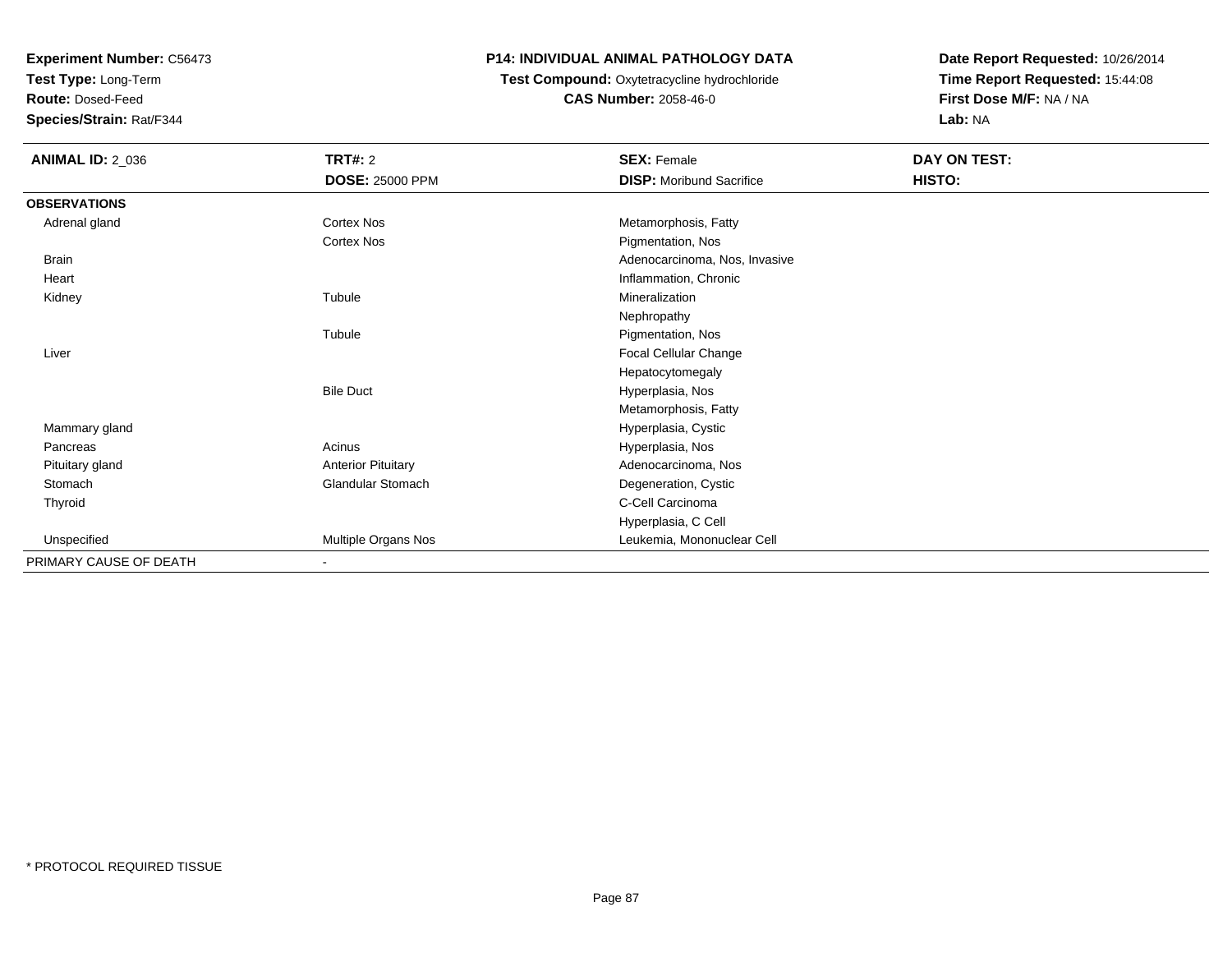**Test Type:** Long-Term

**Route:** Dosed-Feed

**Species/Strain:** Rat/F344

#### **P14: INDIVIDUAL ANIMAL PATHOLOGY DATA**

## **Test Compound:** Oxytetracycline hydrochloride**CAS Number:** 2058-46-0

| <b>ANIMAL ID: 2_036</b> | <b>TRT#: 2</b>            | <b>SEX: Female</b>              | DAY ON TEST: |
|-------------------------|---------------------------|---------------------------------|--------------|
|                         | <b>DOSE: 25000 PPM</b>    | <b>DISP:</b> Moribund Sacrifice | HISTO:       |
| <b>OBSERVATIONS</b>     |                           |                                 |              |
| Adrenal gland           | <b>Cortex Nos</b>         | Metamorphosis, Fatty            |              |
|                         | Cortex Nos                | Pigmentation, Nos               |              |
| <b>Brain</b>            |                           | Adenocarcinoma, Nos, Invasive   |              |
| Heart                   |                           | Inflammation, Chronic           |              |
| Kidney                  | Tubule                    | Mineralization                  |              |
|                         |                           | Nephropathy                     |              |
|                         | Tubule                    | Pigmentation, Nos               |              |
| Liver                   |                           | Focal Cellular Change           |              |
|                         |                           | Hepatocytomegaly                |              |
|                         | <b>Bile Duct</b>          | Hyperplasia, Nos                |              |
|                         |                           | Metamorphosis, Fatty            |              |
| Mammary gland           |                           | Hyperplasia, Cystic             |              |
| Pancreas                | Acinus                    | Hyperplasia, Nos                |              |
| Pituitary gland         | <b>Anterior Pituitary</b> | Adenocarcinoma, Nos             |              |
| Stomach                 | <b>Glandular Stomach</b>  | Degeneration, Cystic            |              |
| Thyroid                 |                           | C-Cell Carcinoma                |              |
|                         |                           | Hyperplasia, C Cell             |              |
| Unspecified             | Multiple Organs Nos       | Leukemia, Mononuclear Cell      |              |
| PRIMARY CAUSE OF DEATH  | $\overline{\phantom{a}}$  |                                 |              |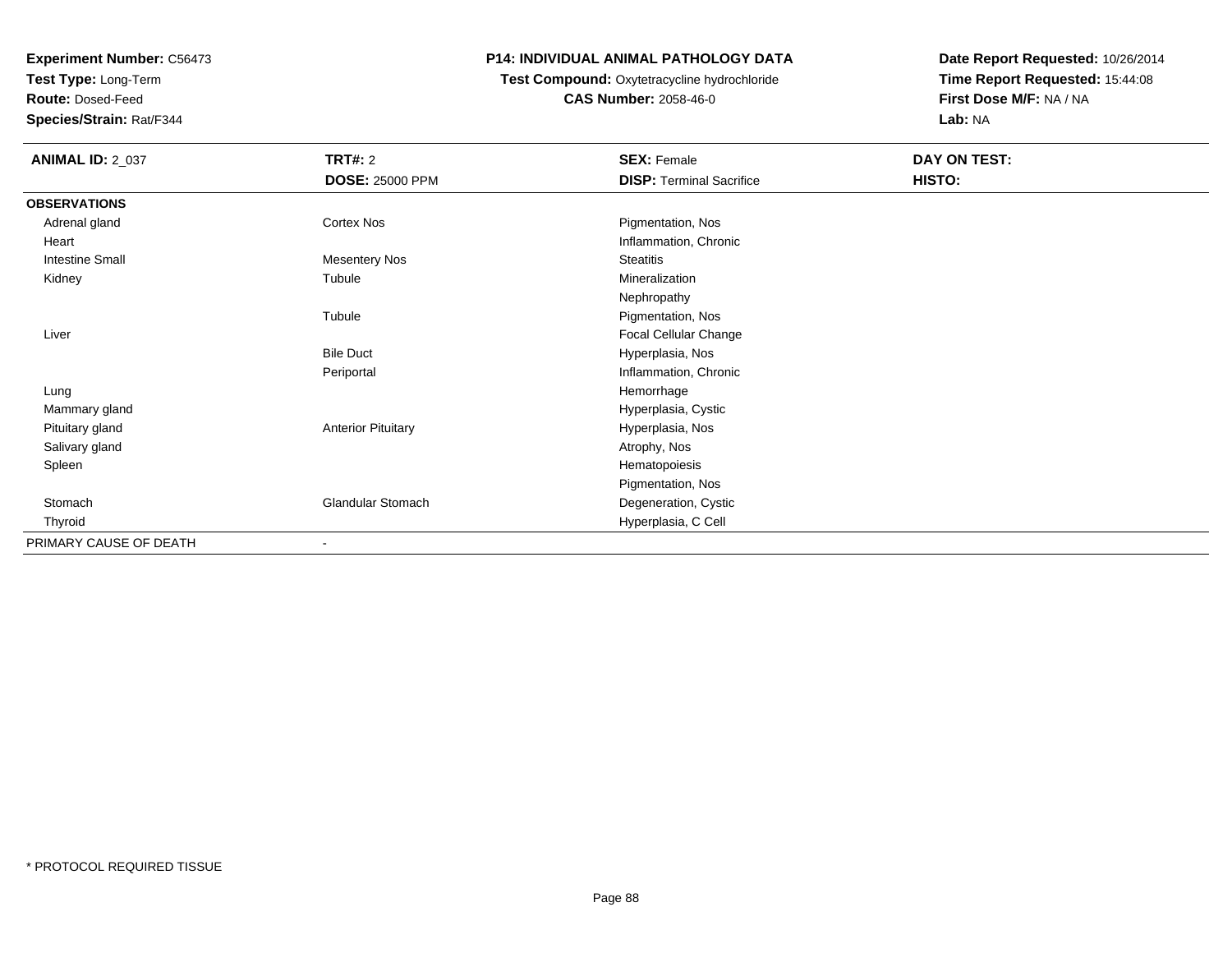**Test Type:** Long-Term

**Route:** Dosed-Feed

**Species/Strain:** Rat/F344

### **P14: INDIVIDUAL ANIMAL PATHOLOGY DATA**

## **Test Compound:** Oxytetracycline hydrochloride**CAS Number:** 2058-46-0

| <b>ANIMAL ID: 2_037</b> | <b>TRT#: 2</b>            | <b>SEX: Female</b>              | DAY ON TEST: |
|-------------------------|---------------------------|---------------------------------|--------------|
|                         | <b>DOSE: 25000 PPM</b>    | <b>DISP: Terminal Sacrifice</b> | HISTO:       |
| <b>OBSERVATIONS</b>     |                           |                                 |              |
| Adrenal gland           | Cortex Nos                | Pigmentation, Nos               |              |
| Heart                   |                           | Inflammation, Chronic           |              |
| <b>Intestine Small</b>  | Mesentery Nos             | <b>Steatitis</b>                |              |
| Kidney                  | Tubule                    | Mineralization                  |              |
|                         |                           | Nephropathy                     |              |
|                         | Tubule                    | Pigmentation, Nos               |              |
| Liver                   |                           | Focal Cellular Change           |              |
|                         | <b>Bile Duct</b>          | Hyperplasia, Nos                |              |
|                         | Periportal                | Inflammation, Chronic           |              |
| Lung                    |                           | Hemorrhage                      |              |
| Mammary gland           |                           | Hyperplasia, Cystic             |              |
| Pituitary gland         | <b>Anterior Pituitary</b> | Hyperplasia, Nos                |              |
| Salivary gland          |                           | Atrophy, Nos                    |              |
| Spleen                  |                           | Hematopoiesis                   |              |
|                         |                           | Pigmentation, Nos               |              |
| Stomach                 | <b>Glandular Stomach</b>  | Degeneration, Cystic            |              |
| Thyroid                 |                           | Hyperplasia, C Cell             |              |
| PRIMARY CAUSE OF DEATH  |                           |                                 |              |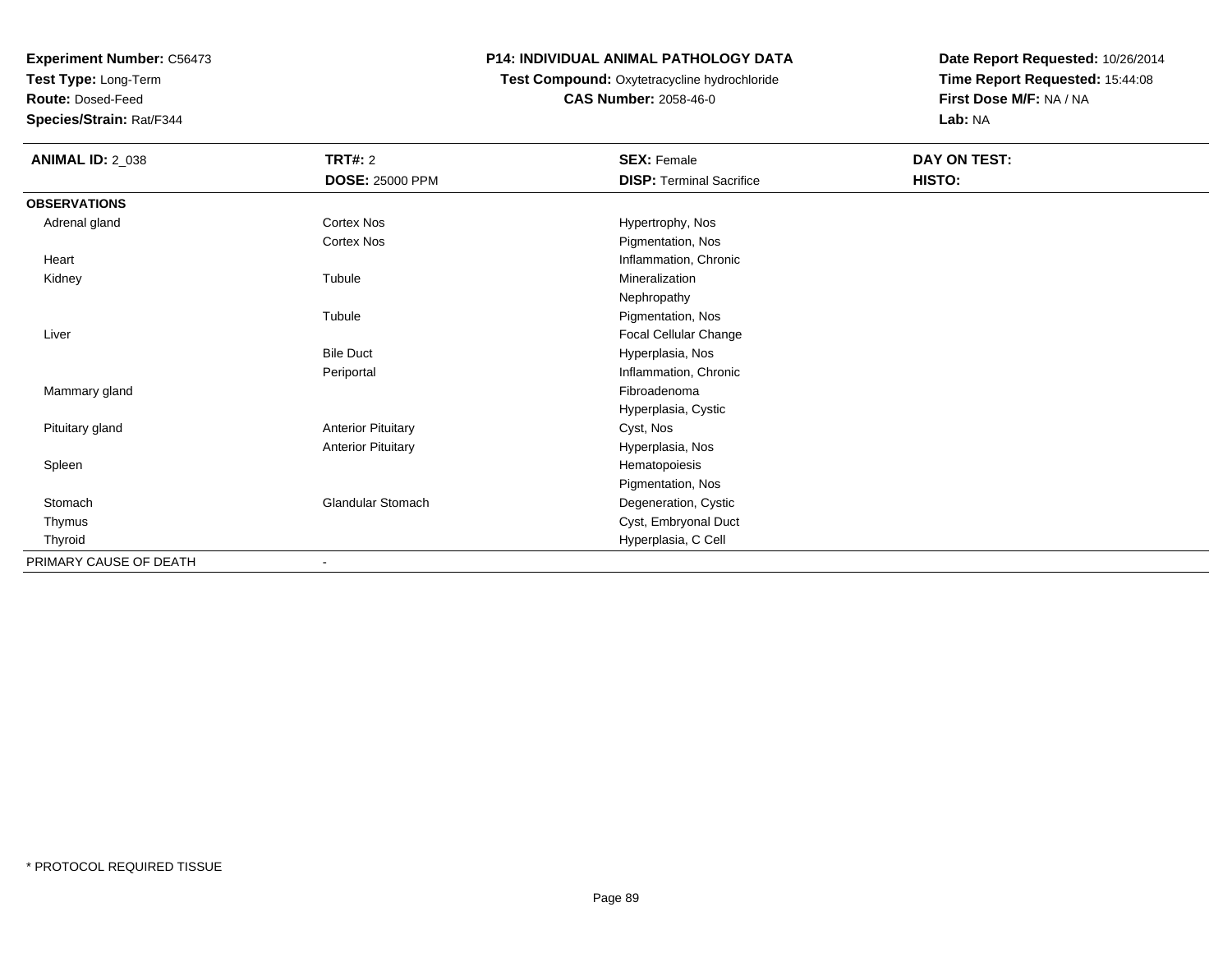**Test Type:** Long-Term

**Route:** Dosed-Feed

**Species/Strain:** Rat/F344

## **P14: INDIVIDUAL ANIMAL PATHOLOGY DATA**

**Test Compound:** Oxytetracycline hydrochloride**CAS Number:** 2058-46-0

| <b>ANIMAL ID: 2_038</b> | <b>TRT#: 2</b>               | <b>SEX: Female</b>              | DAY ON TEST: |
|-------------------------|------------------------------|---------------------------------|--------------|
|                         | <b>DOSE: 25000 PPM</b>       | <b>DISP: Terminal Sacrifice</b> | HISTO:       |
| <b>OBSERVATIONS</b>     |                              |                                 |              |
| Adrenal gland           | Cortex Nos                   | Hypertrophy, Nos                |              |
|                         | Cortex Nos                   | Pigmentation, Nos               |              |
| Heart                   |                              | Inflammation, Chronic           |              |
| Kidney                  | Tubule                       | Mineralization                  |              |
|                         |                              | Nephropathy                     |              |
|                         | Tubule                       | Pigmentation, Nos               |              |
| Liver                   |                              | Focal Cellular Change           |              |
|                         | <b>Bile Duct</b>             | Hyperplasia, Nos                |              |
|                         | Periportal                   | Inflammation, Chronic           |              |
| Mammary gland           |                              | Fibroadenoma                    |              |
|                         |                              | Hyperplasia, Cystic             |              |
| Pituitary gland         | <b>Anterior Pituitary</b>    | Cyst, Nos                       |              |
|                         | <b>Anterior Pituitary</b>    | Hyperplasia, Nos                |              |
| Spleen                  |                              | Hematopoiesis                   |              |
|                         |                              | Pigmentation, Nos               |              |
| Stomach                 | <b>Glandular Stomach</b>     | Degeneration, Cystic            |              |
| Thymus                  |                              | Cyst, Embryonal Duct            |              |
| Thyroid                 |                              | Hyperplasia, C Cell             |              |
| PRIMARY CAUSE OF DEATH  | $\qquad \qquad \blacksquare$ |                                 |              |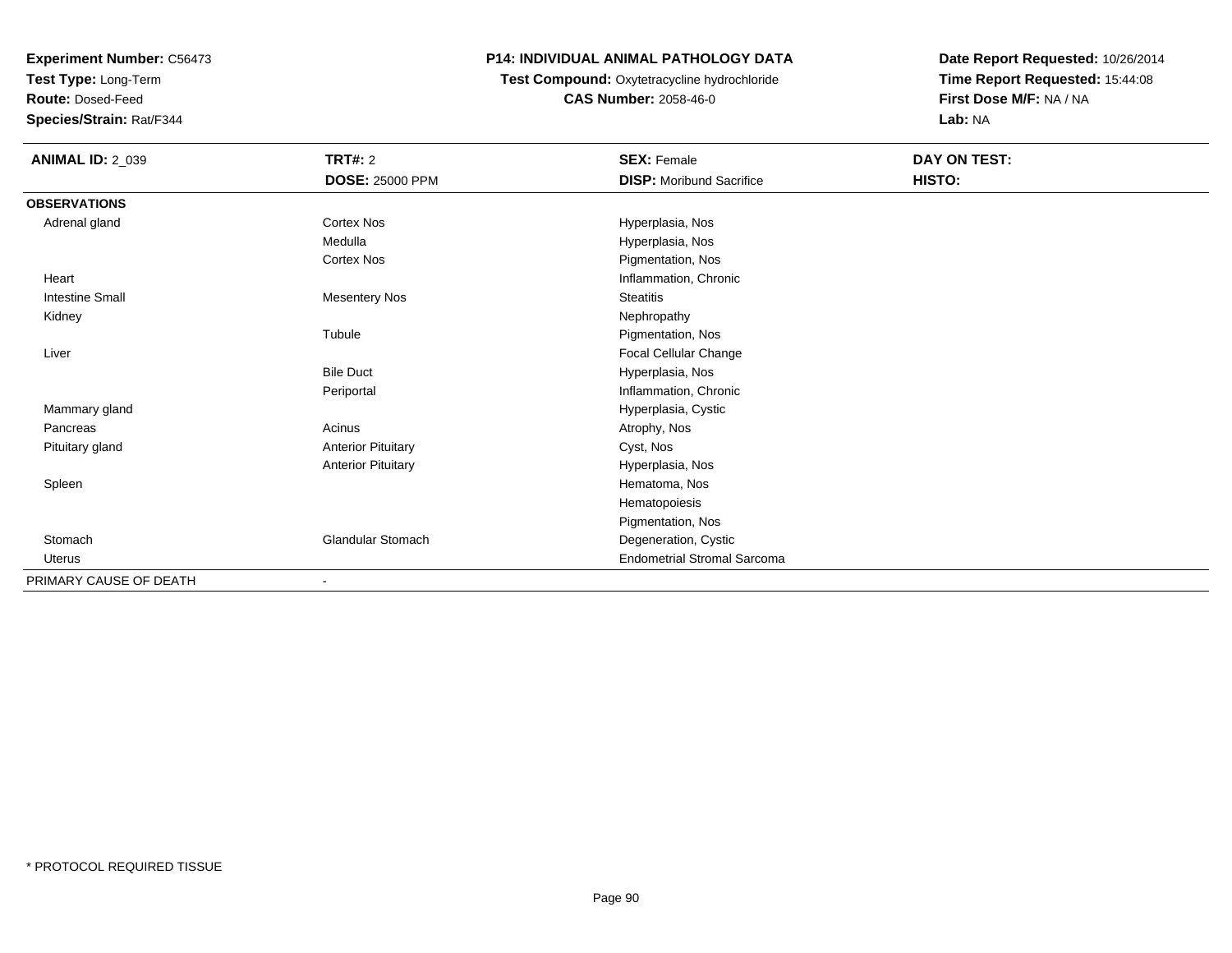**Test Type:** Long-Term

**Route:** Dosed-Feed

**Species/Strain:** Rat/F344

## **P14: INDIVIDUAL ANIMAL PATHOLOGY DATA**

**Test Compound:** Oxytetracycline hydrochloride**CAS Number:** 2058-46-0

| <b>ANIMAL ID: 2_039</b> | TRT#: 2                   | <b>SEX: Female</b>                 | DAY ON TEST: |  |
|-------------------------|---------------------------|------------------------------------|--------------|--|
|                         | DOSE: 25000 PPM           | <b>DISP:</b> Moribund Sacrifice    | HISTO:       |  |
| <b>OBSERVATIONS</b>     |                           |                                    |              |  |
| Adrenal gland           | Cortex Nos                | Hyperplasia, Nos                   |              |  |
|                         | Medulla                   | Hyperplasia, Nos                   |              |  |
|                         | Cortex Nos                | Pigmentation, Nos                  |              |  |
| Heart                   |                           | Inflammation, Chronic              |              |  |
| <b>Intestine Small</b>  | <b>Mesentery Nos</b>      | <b>Steatitis</b>                   |              |  |
| Kidney                  |                           | Nephropathy                        |              |  |
|                         | Tubule                    | Pigmentation, Nos                  |              |  |
| Liver                   |                           | Focal Cellular Change              |              |  |
|                         | <b>Bile Duct</b>          | Hyperplasia, Nos                   |              |  |
|                         | Periportal                | Inflammation, Chronic              |              |  |
| Mammary gland           |                           | Hyperplasia, Cystic                |              |  |
| Pancreas                | Acinus                    | Atrophy, Nos                       |              |  |
| Pituitary gland         | <b>Anterior Pituitary</b> | Cyst, Nos                          |              |  |
|                         | <b>Anterior Pituitary</b> | Hyperplasia, Nos                   |              |  |
| Spleen                  |                           | Hematoma, Nos                      |              |  |
|                         |                           | Hematopoiesis                      |              |  |
|                         |                           | Pigmentation, Nos                  |              |  |
| Stomach                 | <b>Glandular Stomach</b>  | Degeneration, Cystic               |              |  |
| <b>Uterus</b>           |                           | <b>Endometrial Stromal Sarcoma</b> |              |  |
| PRIMARY CAUSE OF DEATH  | $\overline{\phantom{a}}$  |                                    |              |  |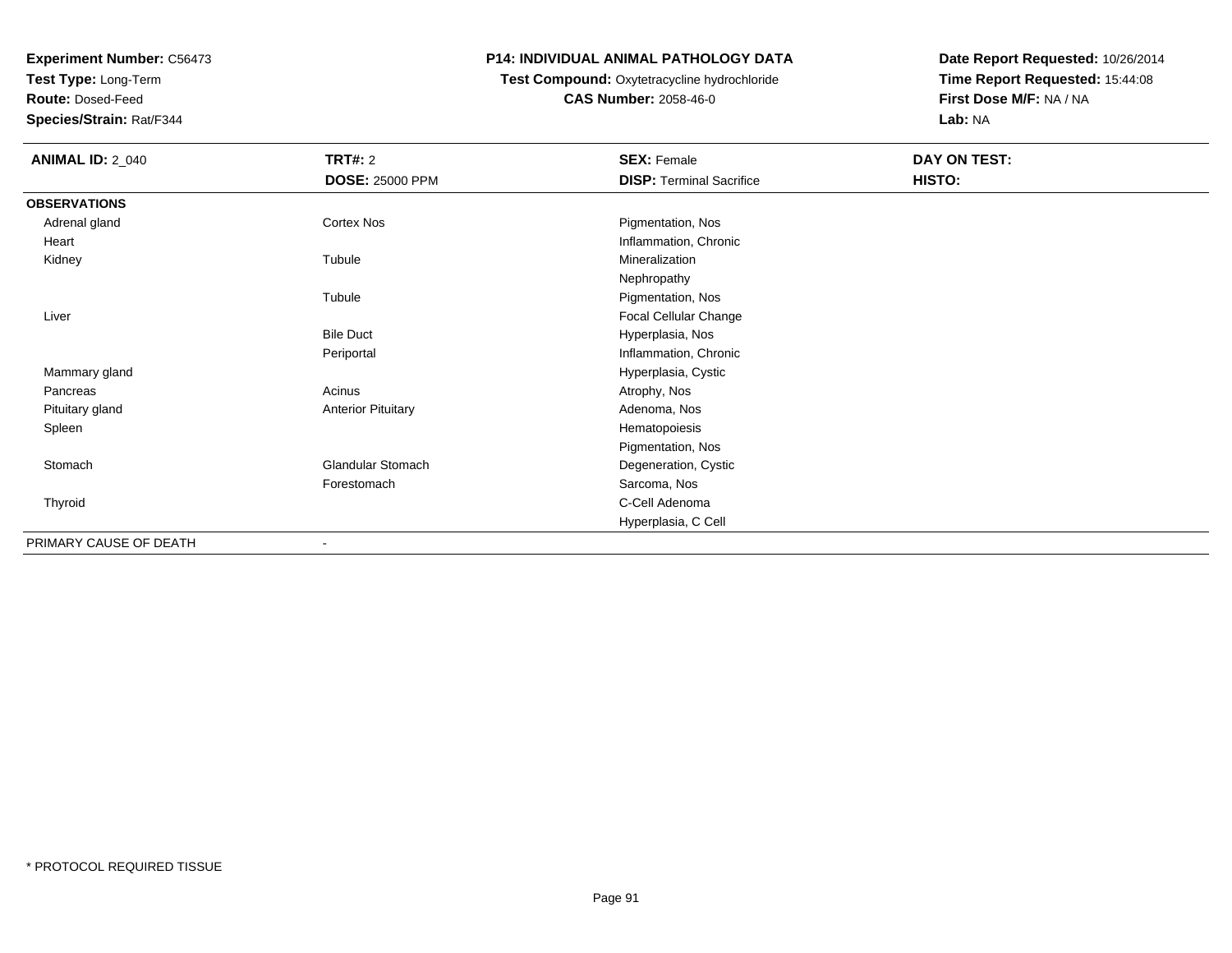**Test Type:** Long-Term

**Route:** Dosed-Feed

**Species/Strain:** Rat/F344

## **P14: INDIVIDUAL ANIMAL PATHOLOGY DATA**

## **Test Compound:** Oxytetracycline hydrochloride**CAS Number:** 2058-46-0

| <b>ANIMAL ID: 2_040</b> | <b>TRT#: 2</b>            | <b>SEX: Female</b>              | DAY ON TEST: |
|-------------------------|---------------------------|---------------------------------|--------------|
|                         | <b>DOSE: 25000 PPM</b>    | <b>DISP: Terminal Sacrifice</b> | HISTO:       |
| <b>OBSERVATIONS</b>     |                           |                                 |              |
| Adrenal gland           | Cortex Nos                | Pigmentation, Nos               |              |
| Heart                   |                           | Inflammation, Chronic           |              |
| Kidney                  | Tubule                    | Mineralization                  |              |
|                         |                           | Nephropathy                     |              |
|                         | Tubule                    | Pigmentation, Nos               |              |
| Liver                   |                           | Focal Cellular Change           |              |
|                         | <b>Bile Duct</b>          | Hyperplasia, Nos                |              |
|                         | Periportal                | Inflammation, Chronic           |              |
| Mammary gland           |                           | Hyperplasia, Cystic             |              |
| Pancreas                | Acinus                    | Atrophy, Nos                    |              |
| Pituitary gland         | <b>Anterior Pituitary</b> | Adenoma, Nos                    |              |
| Spleen                  |                           | Hematopoiesis                   |              |
|                         |                           | Pigmentation, Nos               |              |
| Stomach                 | Glandular Stomach         | Degeneration, Cystic            |              |
|                         | Forestomach               | Sarcoma, Nos                    |              |
| Thyroid                 |                           | C-Cell Adenoma                  |              |
|                         |                           | Hyperplasia, C Cell             |              |
| PRIMARY CAUSE OF DEATH  |                           |                                 |              |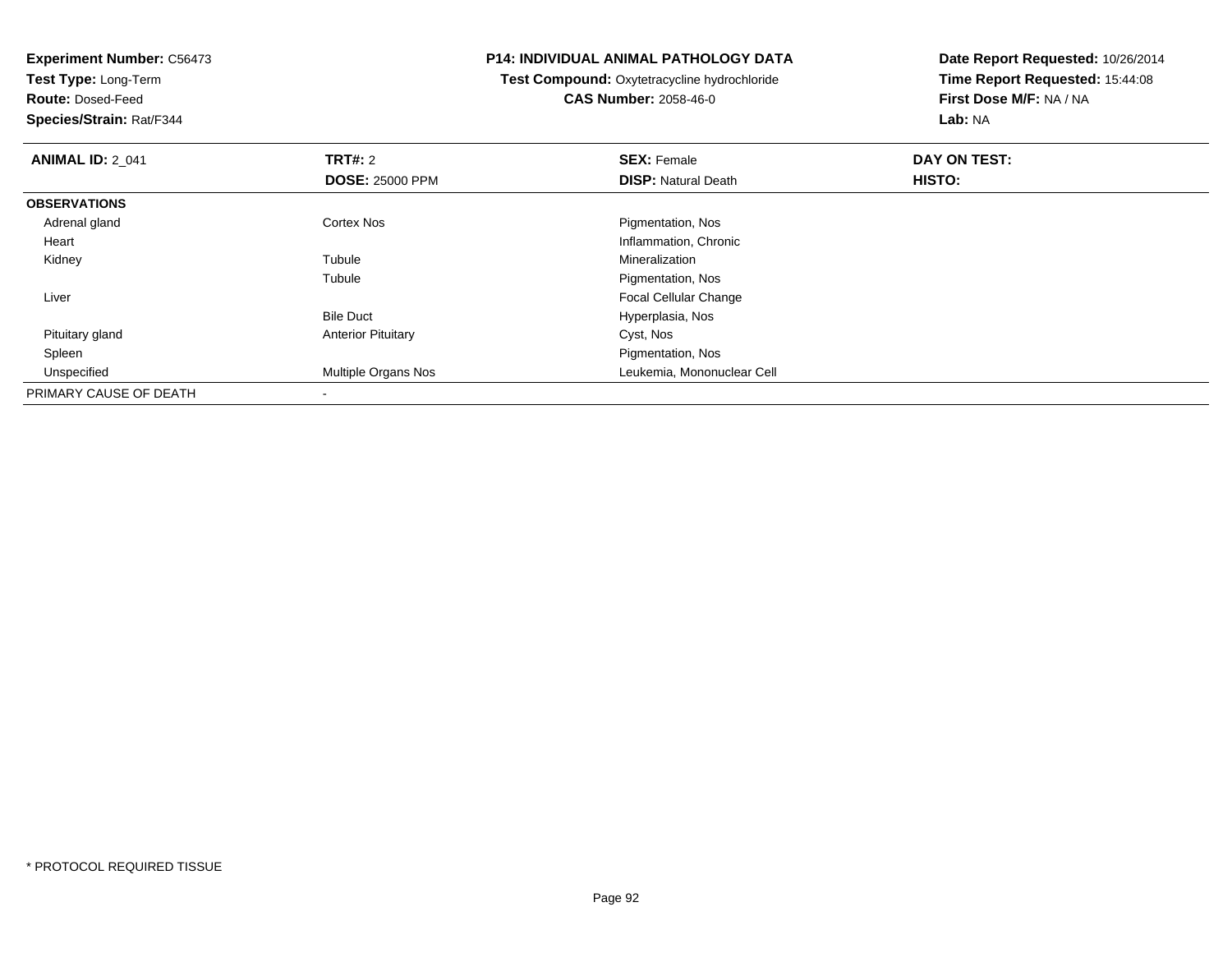**Experiment Number:** C56473**Test Type:** Long-Term**Route:** Dosed-Feed **Species/Strain:** Rat/F344**P14: INDIVIDUAL ANIMAL PATHOLOGY DATATest Compound:** Oxytetracycline hydrochloride**CAS Number:** 2058-46-0**Date Report Requested:** 10/26/2014**Time Report Requested:** 15:44:08**First Dose M/F:** NA / NA**Lab:** NA**ANIMAL ID: 2 041 TRT#:** 2 **SEX:** Female **DAY ON TEST: DOSE:** 25000 PPM**DISP:** Natural Death **HISTO: OBSERVATIONS** Adrenal glandCortex Nos **Pigmentation**, Nos Heart Inflammation, Chronic Kidneyy the contract of the contract of the contract of the contract of the contract of the contract of the contract of the contract of the contract of the contract of the contract of the contract of the contract of the contract Tubule **Mineralization** Tubule Pigmentation, Nos Liver Focal Cellular ChangeBile Duct Hyperplasia, Nos Pituitary glandAnterior Pituitary **Cyst, Nos**  Spleen Pigmentation, Nos Unspecified Multiple Organs Nos Leukemia, Mononuclear Cell PRIMARY CAUSE OF DEATH-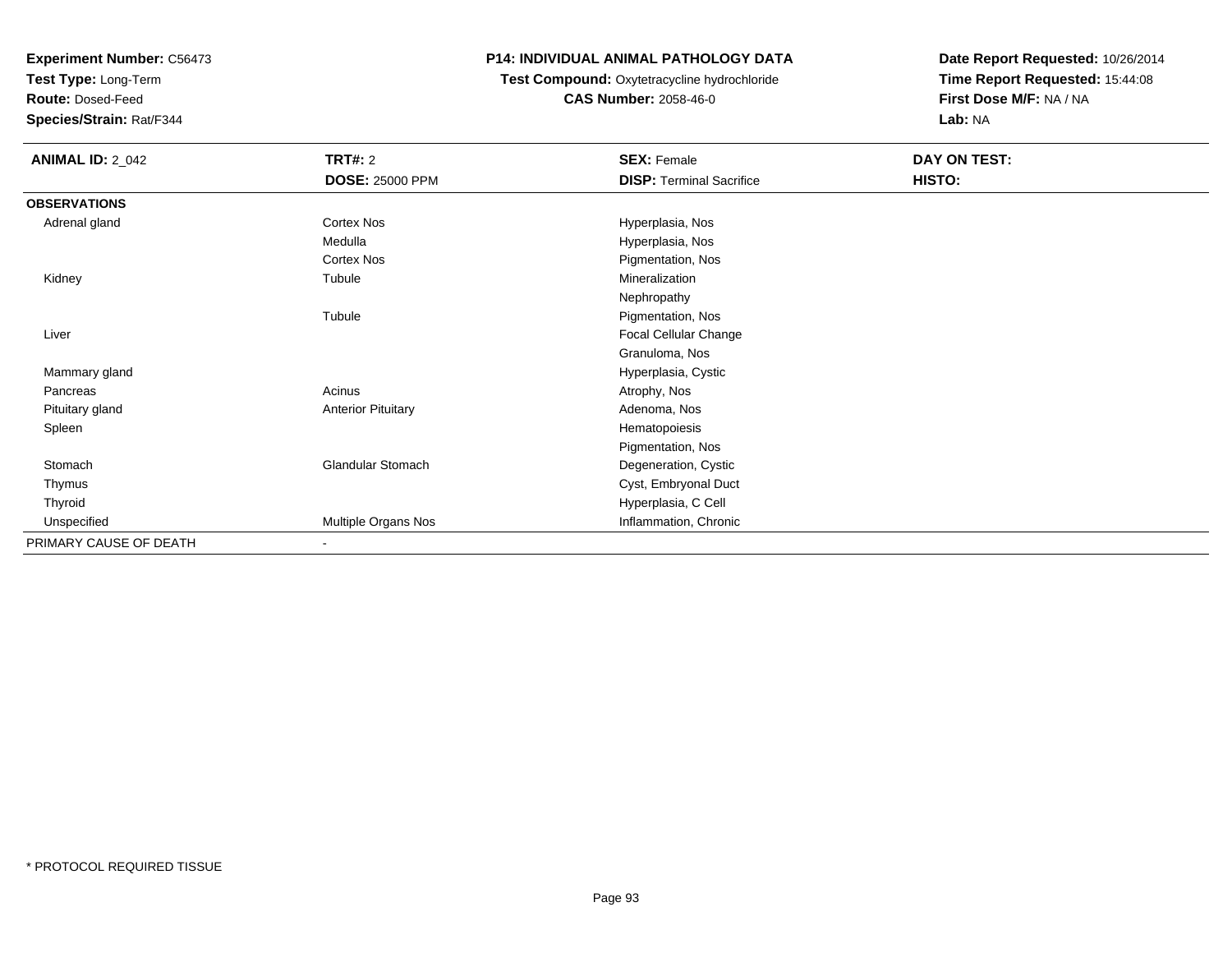**Test Type:** Long-Term

**Route:** Dosed-Feed

**Species/Strain:** Rat/F344

## **P14: INDIVIDUAL ANIMAL PATHOLOGY DATA**

**Test Compound:** Oxytetracycline hydrochloride**CAS Number:** 2058-46-0

| <b>ANIMAL ID: 2_042</b> | <b>TRT#: 2</b>            | <b>SEX: Female</b>              | DAY ON TEST: |
|-------------------------|---------------------------|---------------------------------|--------------|
|                         | <b>DOSE: 25000 PPM</b>    | <b>DISP: Terminal Sacrifice</b> | HISTO:       |
| <b>OBSERVATIONS</b>     |                           |                                 |              |
| Adrenal gland           | Cortex Nos                | Hyperplasia, Nos                |              |
|                         | Medulla                   | Hyperplasia, Nos                |              |
|                         | Cortex Nos                | Pigmentation, Nos               |              |
| Kidney                  | Tubule                    | Mineralization                  |              |
|                         |                           | Nephropathy                     |              |
|                         | Tubule                    | Pigmentation, Nos               |              |
| Liver                   |                           | Focal Cellular Change           |              |
|                         |                           | Granuloma, Nos                  |              |
| Mammary gland           |                           | Hyperplasia, Cystic             |              |
| Pancreas                | Acinus                    | Atrophy, Nos                    |              |
| Pituitary gland         | <b>Anterior Pituitary</b> | Adenoma, Nos                    |              |
| Spleen                  |                           | Hematopoiesis                   |              |
|                         |                           | Pigmentation, Nos               |              |
| Stomach                 | <b>Glandular Stomach</b>  | Degeneration, Cystic            |              |
| Thymus                  |                           | Cyst, Embryonal Duct            |              |
| Thyroid                 |                           | Hyperplasia, C Cell             |              |
| Unspecified             | Multiple Organs Nos       | Inflammation, Chronic           |              |
| PRIMARY CAUSE OF DEATH  | $\blacksquare$            |                                 |              |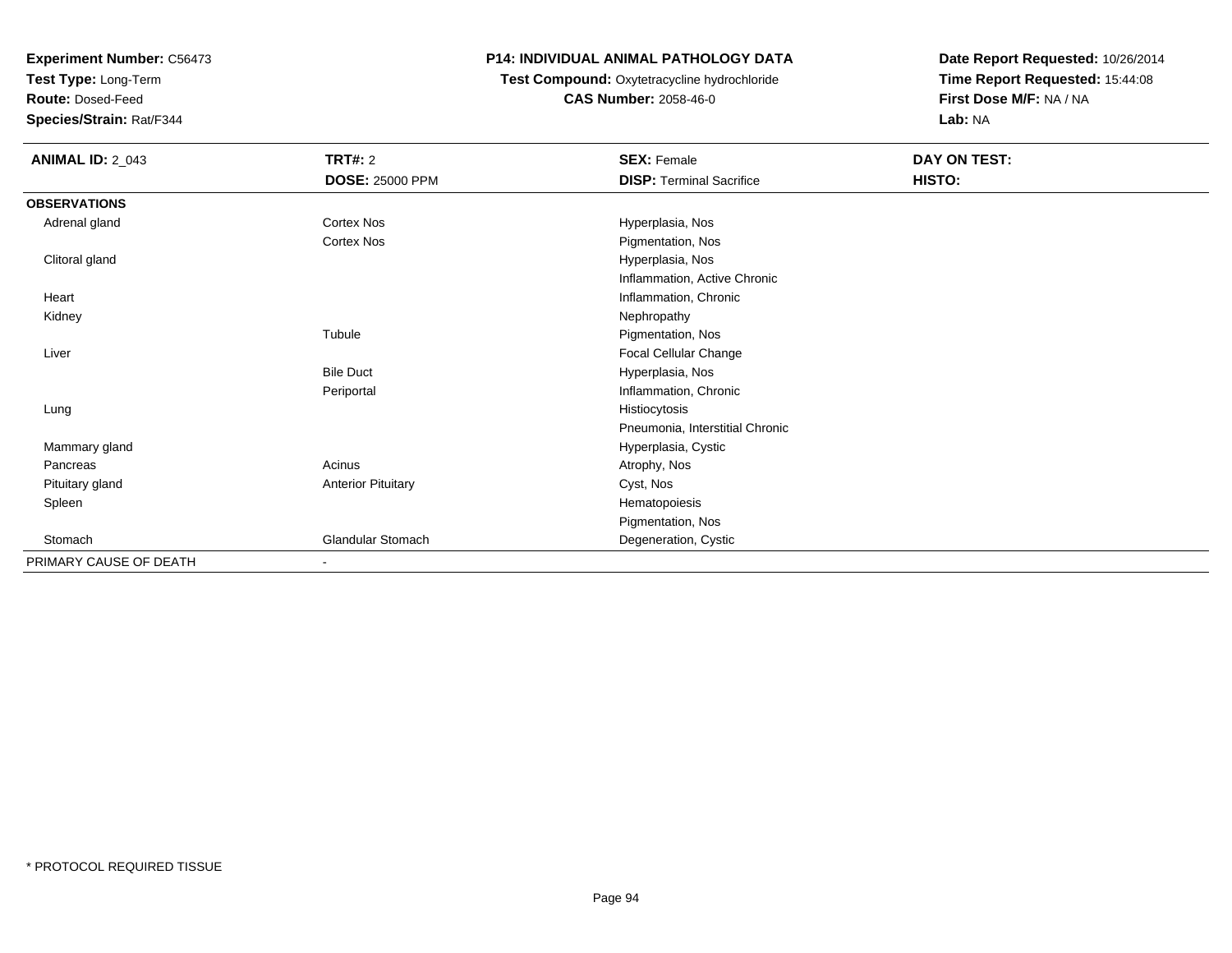**Test Type:** Long-Term

**Route:** Dosed-Feed

**Species/Strain:** Rat/F344

## **P14: INDIVIDUAL ANIMAL PATHOLOGY DATA**

**Test Compound:** Oxytetracycline hydrochloride**CAS Number:** 2058-46-0

| <b>ANIMAL ID: 2_043</b> | <b>TRT#: 2</b>            | <b>SEX: Female</b>              | DAY ON TEST: |  |
|-------------------------|---------------------------|---------------------------------|--------------|--|
|                         | <b>DOSE: 25000 PPM</b>    | <b>DISP: Terminal Sacrifice</b> | HISTO:       |  |
| <b>OBSERVATIONS</b>     |                           |                                 |              |  |
| Adrenal gland           | Cortex Nos                | Hyperplasia, Nos                |              |  |
|                         | Cortex Nos                | Pigmentation, Nos               |              |  |
| Clitoral gland          |                           | Hyperplasia, Nos                |              |  |
|                         |                           | Inflammation, Active Chronic    |              |  |
| Heart                   |                           | Inflammation, Chronic           |              |  |
| Kidney                  |                           | Nephropathy                     |              |  |
|                         | Tubule                    | Pigmentation, Nos               |              |  |
| Liver                   |                           | Focal Cellular Change           |              |  |
|                         | <b>Bile Duct</b>          | Hyperplasia, Nos                |              |  |
|                         | Periportal                | Inflammation, Chronic           |              |  |
| Lung                    |                           | Histiocytosis                   |              |  |
|                         |                           | Pneumonia, Interstitial Chronic |              |  |
| Mammary gland           |                           | Hyperplasia, Cystic             |              |  |
| Pancreas                | Acinus                    | Atrophy, Nos                    |              |  |
| Pituitary gland         | <b>Anterior Pituitary</b> | Cyst, Nos                       |              |  |
| Spleen                  |                           | Hematopoiesis                   |              |  |
|                         |                           | Pigmentation, Nos               |              |  |
| Stomach                 | Glandular Stomach         | Degeneration, Cystic            |              |  |
| PRIMARY CAUSE OF DEATH  | $\overline{\phantom{a}}$  |                                 |              |  |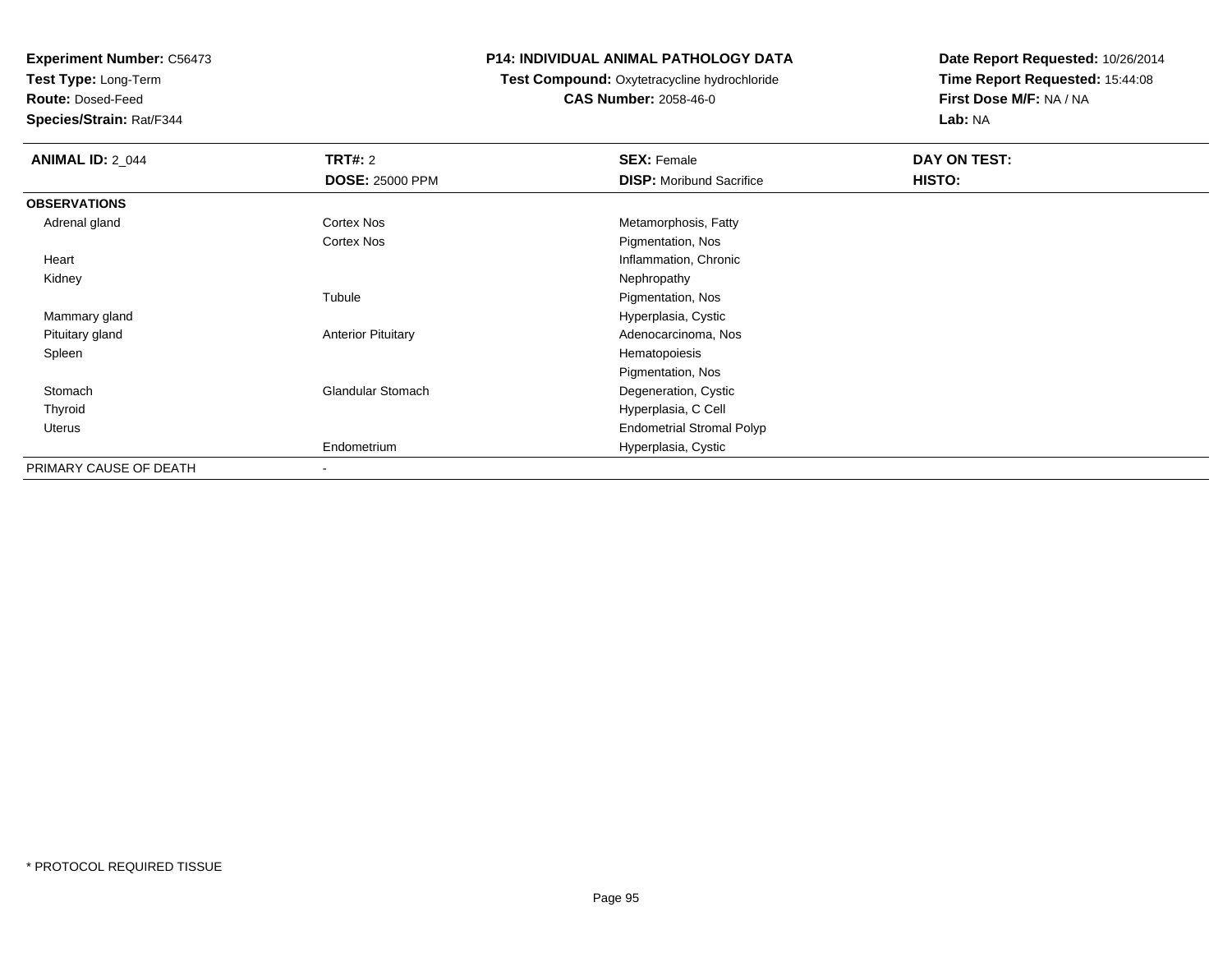**Test Type:** Long-Term

**Route:** Dosed-Feed

**Species/Strain:** Rat/F344

#### **P14: INDIVIDUAL ANIMAL PATHOLOGY DATA**

 **Test Compound:** Oxytetracycline hydrochloride**CAS Number:** 2058-46-0

| <b>ANIMAL ID: 2_044</b> | TRT#: 2                   | <b>SEX: Female</b>               | DAY ON TEST: |  |
|-------------------------|---------------------------|----------------------------------|--------------|--|
|                         | <b>DOSE: 25000 PPM</b>    | <b>DISP:</b> Moribund Sacrifice  | HISTO:       |  |
| <b>OBSERVATIONS</b>     |                           |                                  |              |  |
| Adrenal gland           | <b>Cortex Nos</b>         | Metamorphosis, Fatty             |              |  |
|                         | <b>Cortex Nos</b>         | Pigmentation, Nos                |              |  |
| Heart                   |                           | Inflammation, Chronic            |              |  |
| Kidney                  |                           | Nephropathy                      |              |  |
|                         | Tubule                    | Pigmentation, Nos                |              |  |
| Mammary gland           |                           | Hyperplasia, Cystic              |              |  |
| Pituitary gland         | <b>Anterior Pituitary</b> | Adenocarcinoma, Nos              |              |  |
| Spleen                  |                           | Hematopoiesis                    |              |  |
|                         |                           | Pigmentation, Nos                |              |  |
| Stomach                 | <b>Glandular Stomach</b>  | Degeneration, Cystic             |              |  |
| Thyroid                 |                           | Hyperplasia, C Cell              |              |  |
| Uterus                  |                           | <b>Endometrial Stromal Polyp</b> |              |  |
|                         | Endometrium               | Hyperplasia, Cystic              |              |  |
| PRIMARY CAUSE OF DEATH  | $\overline{\phantom{a}}$  |                                  |              |  |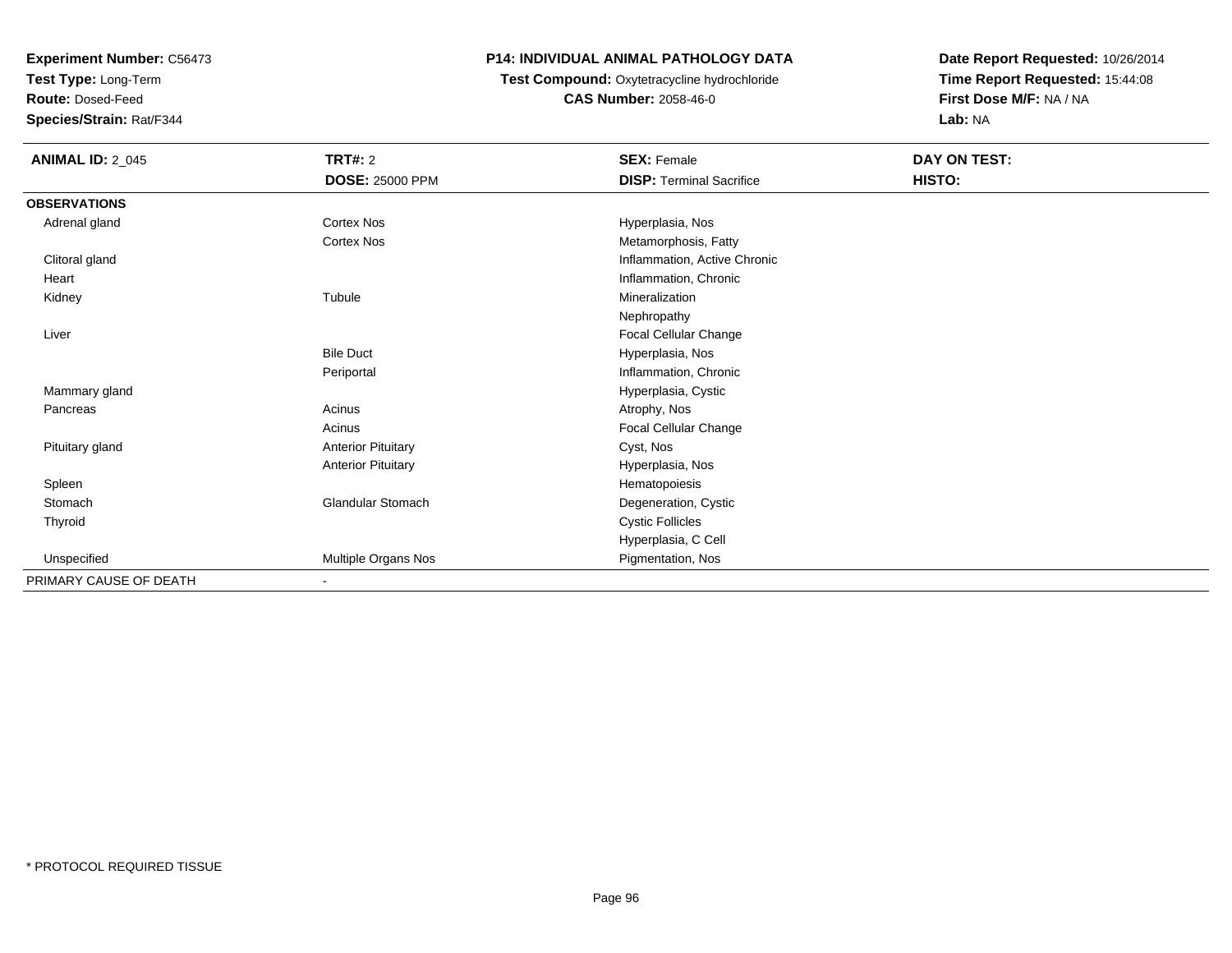**Test Type:** Long-Term

**Route:** Dosed-Feed

**Species/Strain:** Rat/F344

### **P14: INDIVIDUAL ANIMAL PATHOLOGY DATA**

**Test Compound:** Oxytetracycline hydrochloride**CAS Number:** 2058-46-0

| <b>ANIMAL ID: 2_045</b> | <b>TRT#: 2</b>            | <b>SEX: Female</b>              | DAY ON TEST: |  |
|-------------------------|---------------------------|---------------------------------|--------------|--|
|                         | <b>DOSE: 25000 PPM</b>    | <b>DISP: Terminal Sacrifice</b> | HISTO:       |  |
| <b>OBSERVATIONS</b>     |                           |                                 |              |  |
| Adrenal gland           | Cortex Nos                | Hyperplasia, Nos                |              |  |
|                         | Cortex Nos                | Metamorphosis, Fatty            |              |  |
| Clitoral gland          |                           | Inflammation, Active Chronic    |              |  |
| Heart                   |                           | Inflammation, Chronic           |              |  |
| Kidney                  | Tubule                    | Mineralization                  |              |  |
|                         |                           | Nephropathy                     |              |  |
| Liver                   |                           | Focal Cellular Change           |              |  |
|                         | <b>Bile Duct</b>          | Hyperplasia, Nos                |              |  |
|                         | Periportal                | Inflammation, Chronic           |              |  |
| Mammary gland           |                           | Hyperplasia, Cystic             |              |  |
| Pancreas                | Acinus                    | Atrophy, Nos                    |              |  |
|                         | Acinus                    | Focal Cellular Change           |              |  |
| Pituitary gland         | <b>Anterior Pituitary</b> | Cyst, Nos                       |              |  |
|                         | <b>Anterior Pituitary</b> | Hyperplasia, Nos                |              |  |
| Spleen                  |                           | Hematopoiesis                   |              |  |
| Stomach                 | Glandular Stomach         | Degeneration, Cystic            |              |  |
| Thyroid                 |                           | <b>Cystic Follicles</b>         |              |  |
|                         |                           | Hyperplasia, C Cell             |              |  |
| Unspecified             | Multiple Organs Nos       | Pigmentation, Nos               |              |  |
| PRIMARY CAUSE OF DEATH  | $\blacksquare$            |                                 |              |  |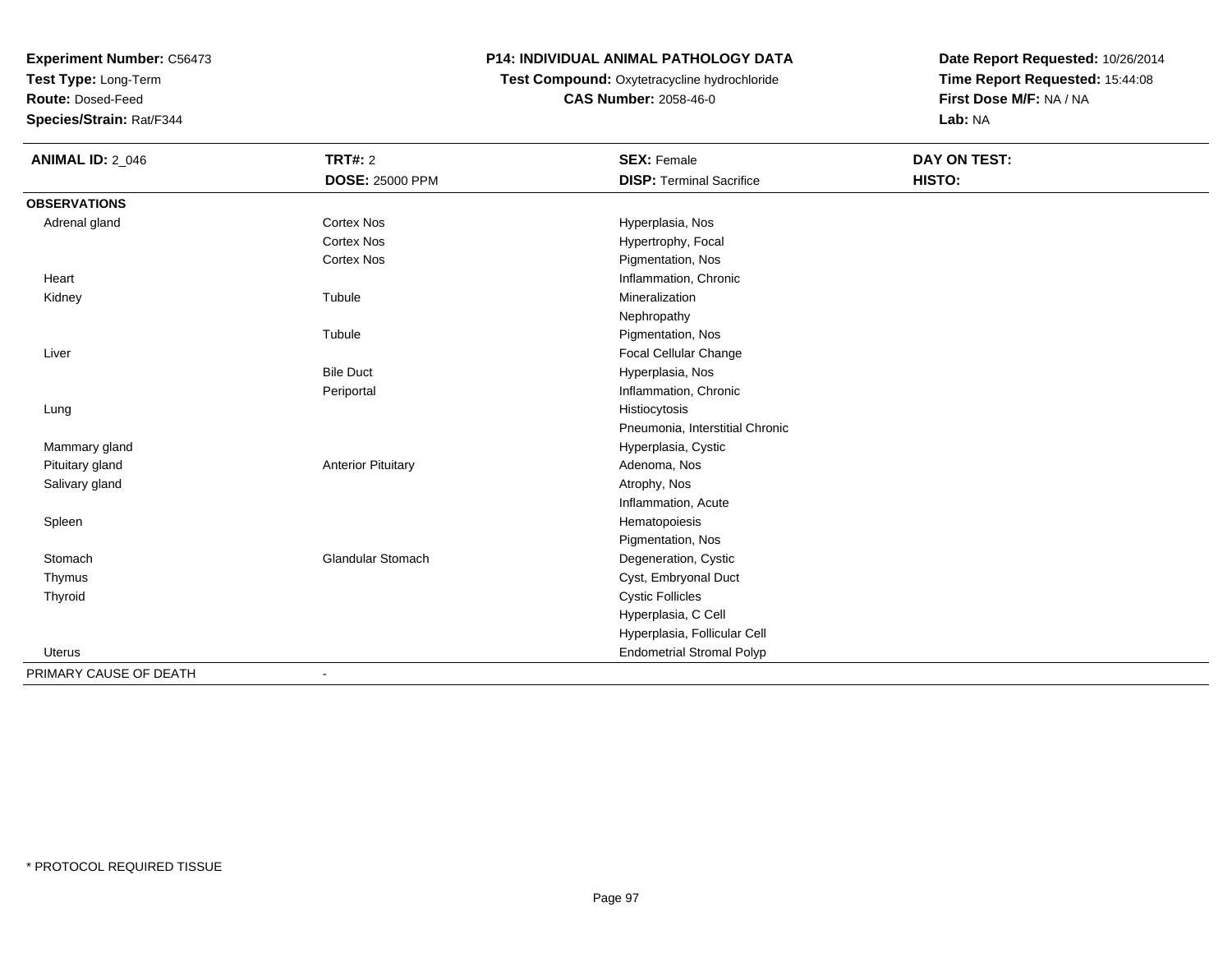**Test Type:** Long-Term

**Route:** Dosed-Feed

**Species/Strain:** Rat/F344

## **P14: INDIVIDUAL ANIMAL PATHOLOGY DATA**

 **Test Compound:** Oxytetracycline hydrochloride**CAS Number:** 2058-46-0

| <b>ANIMAL ID: 2_046</b> | <b>TRT#: 2</b>            | <b>SEX: Female</b>               | DAY ON TEST: |  |
|-------------------------|---------------------------|----------------------------------|--------------|--|
|                         | <b>DOSE: 25000 PPM</b>    | <b>DISP: Terminal Sacrifice</b>  | HISTO:       |  |
| <b>OBSERVATIONS</b>     |                           |                                  |              |  |
| Adrenal gland           | <b>Cortex Nos</b>         | Hyperplasia, Nos                 |              |  |
|                         | <b>Cortex Nos</b>         | Hypertrophy, Focal               |              |  |
|                         | <b>Cortex Nos</b>         | Pigmentation, Nos                |              |  |
| Heart                   |                           | Inflammation, Chronic            |              |  |
| Kidney                  | Tubule                    | Mineralization                   |              |  |
|                         |                           | Nephropathy                      |              |  |
|                         | Tubule                    | Pigmentation, Nos                |              |  |
| Liver                   |                           | Focal Cellular Change            |              |  |
|                         | <b>Bile Duct</b>          | Hyperplasia, Nos                 |              |  |
|                         | Periportal                | Inflammation, Chronic            |              |  |
| Lung                    |                           | Histiocytosis                    |              |  |
|                         |                           | Pneumonia, Interstitial Chronic  |              |  |
| Mammary gland           |                           | Hyperplasia, Cystic              |              |  |
| Pituitary gland         | <b>Anterior Pituitary</b> | Adenoma, Nos                     |              |  |
| Salivary gland          |                           | Atrophy, Nos                     |              |  |
|                         |                           | Inflammation, Acute              |              |  |
| Spleen                  |                           | Hematopoiesis                    |              |  |
|                         |                           | Pigmentation, Nos                |              |  |
| Stomach                 | <b>Glandular Stomach</b>  | Degeneration, Cystic             |              |  |
| Thymus                  |                           | Cyst, Embryonal Duct             |              |  |
| Thyroid                 |                           | <b>Cystic Follicles</b>          |              |  |
|                         |                           | Hyperplasia, C Cell              |              |  |
|                         |                           | Hyperplasia, Follicular Cell     |              |  |
| <b>Uterus</b>           |                           | <b>Endometrial Stromal Polyp</b> |              |  |
| PRIMARY CAUSE OF DEATH  |                           |                                  |              |  |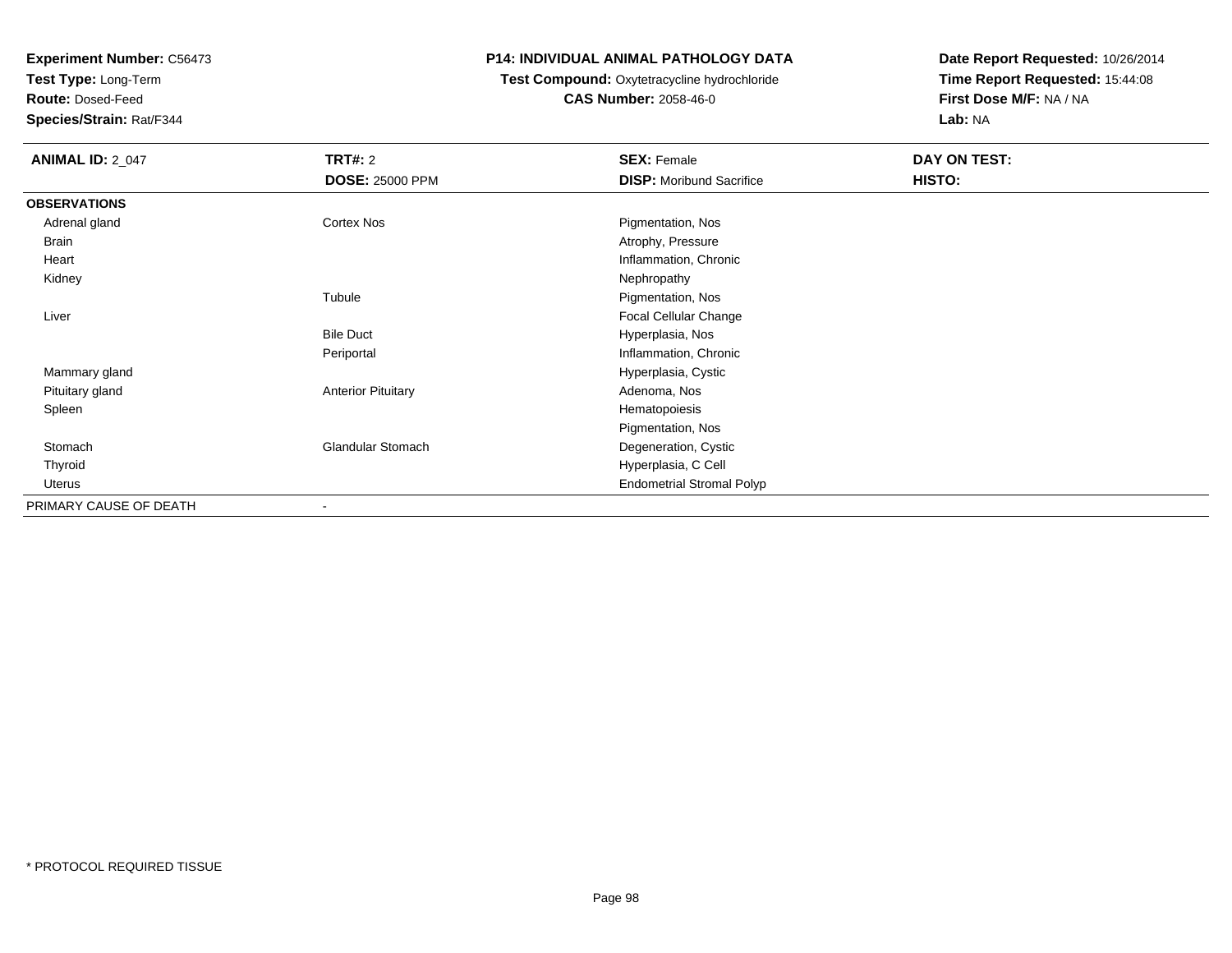**Test Type:** Long-Term

**Route:** Dosed-Feed

**Species/Strain:** Rat/F344

#### **P14: INDIVIDUAL ANIMAL PATHOLOGY DATA**

## **Test Compound:** Oxytetracycline hydrochloride**CAS Number:** 2058-46-0

| <b>ANIMAL ID: 2_047</b> | <b>TRT#: 2</b>            | <b>SEX: Female</b>               | DAY ON TEST: |  |
|-------------------------|---------------------------|----------------------------------|--------------|--|
|                         | <b>DOSE: 25000 PPM</b>    | <b>DISP:</b> Moribund Sacrifice  | HISTO:       |  |
| <b>OBSERVATIONS</b>     |                           |                                  |              |  |
| Adrenal gland           | Cortex Nos                | Pigmentation, Nos                |              |  |
| <b>Brain</b>            |                           | Atrophy, Pressure                |              |  |
| Heart                   |                           | Inflammation, Chronic            |              |  |
| Kidney                  |                           | Nephropathy                      |              |  |
|                         | Tubule                    | Pigmentation, Nos                |              |  |
| Liver                   |                           | Focal Cellular Change            |              |  |
|                         | <b>Bile Duct</b>          | Hyperplasia, Nos                 |              |  |
|                         | Periportal                | Inflammation, Chronic            |              |  |
| Mammary gland           |                           | Hyperplasia, Cystic              |              |  |
| Pituitary gland         | <b>Anterior Pituitary</b> | Adenoma, Nos                     |              |  |
| Spleen                  |                           | Hematopoiesis                    |              |  |
|                         |                           | Pigmentation, Nos                |              |  |
| Stomach                 | <b>Glandular Stomach</b>  | Degeneration, Cystic             |              |  |
| Thyroid                 |                           | Hyperplasia, C Cell              |              |  |
| Uterus                  |                           | <b>Endometrial Stromal Polyp</b> |              |  |
| PRIMARY CAUSE OF DEATH  |                           |                                  |              |  |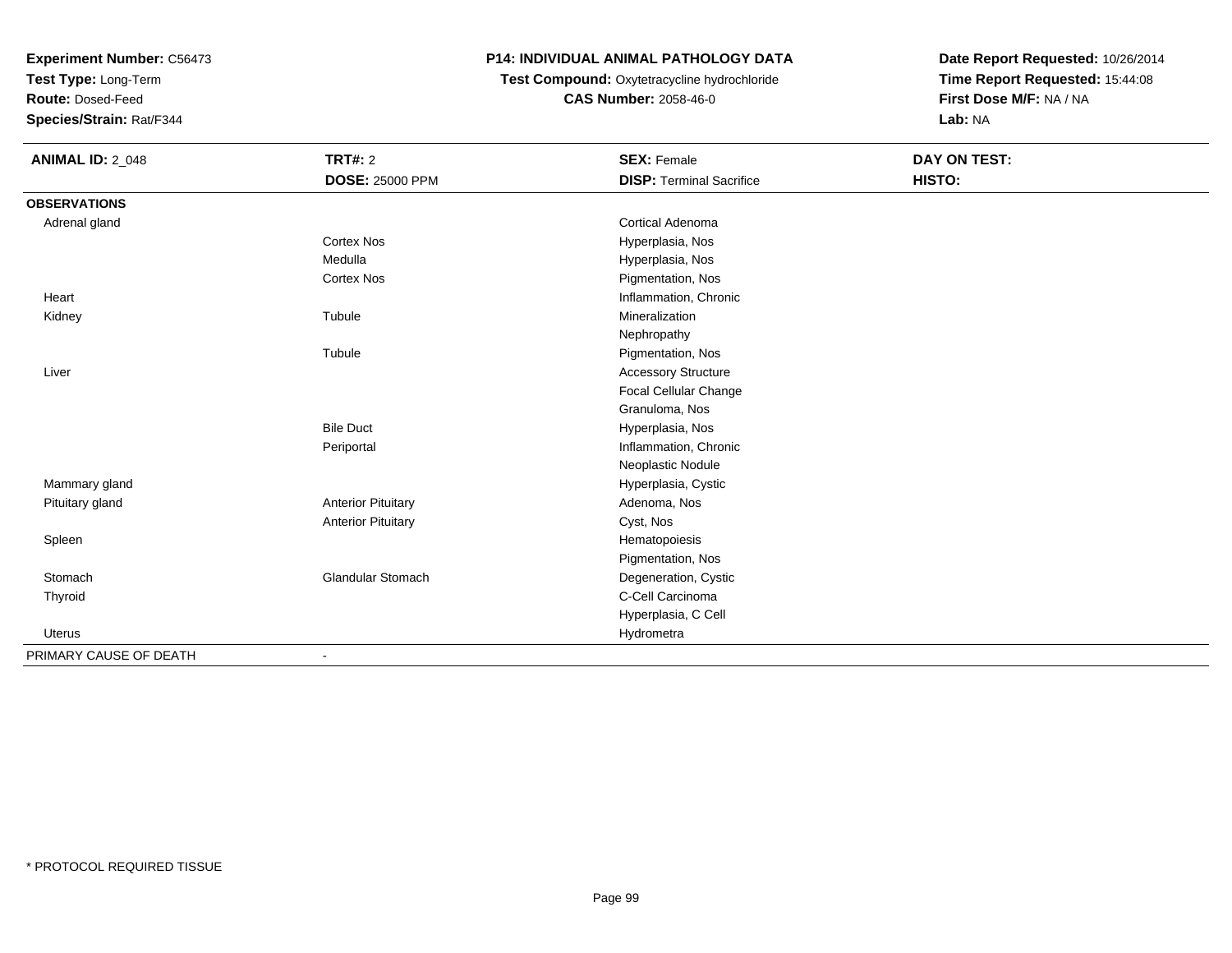**Test Type:** Long-Term

**Route:** Dosed-Feed

**Species/Strain:** Rat/F344

## **P14: INDIVIDUAL ANIMAL PATHOLOGY DATA**

**Test Compound:** Oxytetracycline hydrochloride**CAS Number:** 2058-46-0

| <b>ANIMAL ID: 2_048</b> | <b>TRT#: 2</b>            | <b>SEX: Female</b>              | DAY ON TEST: |  |
|-------------------------|---------------------------|---------------------------------|--------------|--|
|                         | <b>DOSE: 25000 PPM</b>    | <b>DISP: Terminal Sacrifice</b> | HISTO:       |  |
| <b>OBSERVATIONS</b>     |                           |                                 |              |  |
| Adrenal gland           |                           | Cortical Adenoma                |              |  |
|                         | <b>Cortex Nos</b>         | Hyperplasia, Nos                |              |  |
|                         | Medulla                   | Hyperplasia, Nos                |              |  |
|                         | <b>Cortex Nos</b>         | Pigmentation, Nos               |              |  |
| Heart                   |                           | Inflammation, Chronic           |              |  |
| Kidney                  | Tubule                    | Mineralization                  |              |  |
|                         |                           | Nephropathy                     |              |  |
|                         | Tubule                    | Pigmentation, Nos               |              |  |
| Liver                   |                           | <b>Accessory Structure</b>      |              |  |
|                         |                           | Focal Cellular Change           |              |  |
|                         |                           | Granuloma, Nos                  |              |  |
|                         | <b>Bile Duct</b>          | Hyperplasia, Nos                |              |  |
|                         | Periportal                | Inflammation, Chronic           |              |  |
|                         |                           | Neoplastic Nodule               |              |  |
| Mammary gland           |                           | Hyperplasia, Cystic             |              |  |
| Pituitary gland         | <b>Anterior Pituitary</b> | Adenoma, Nos                    |              |  |
|                         | <b>Anterior Pituitary</b> | Cyst, Nos                       |              |  |
| Spleen                  |                           | Hematopoiesis                   |              |  |
|                         |                           | Pigmentation, Nos               |              |  |
| Stomach                 | <b>Glandular Stomach</b>  | Degeneration, Cystic            |              |  |
| Thyroid                 |                           | C-Cell Carcinoma                |              |  |
|                         |                           | Hyperplasia, C Cell             |              |  |
| Uterus                  |                           | Hydrometra                      |              |  |
| PRIMARY CAUSE OF DEATH  | $\overline{a}$            |                                 |              |  |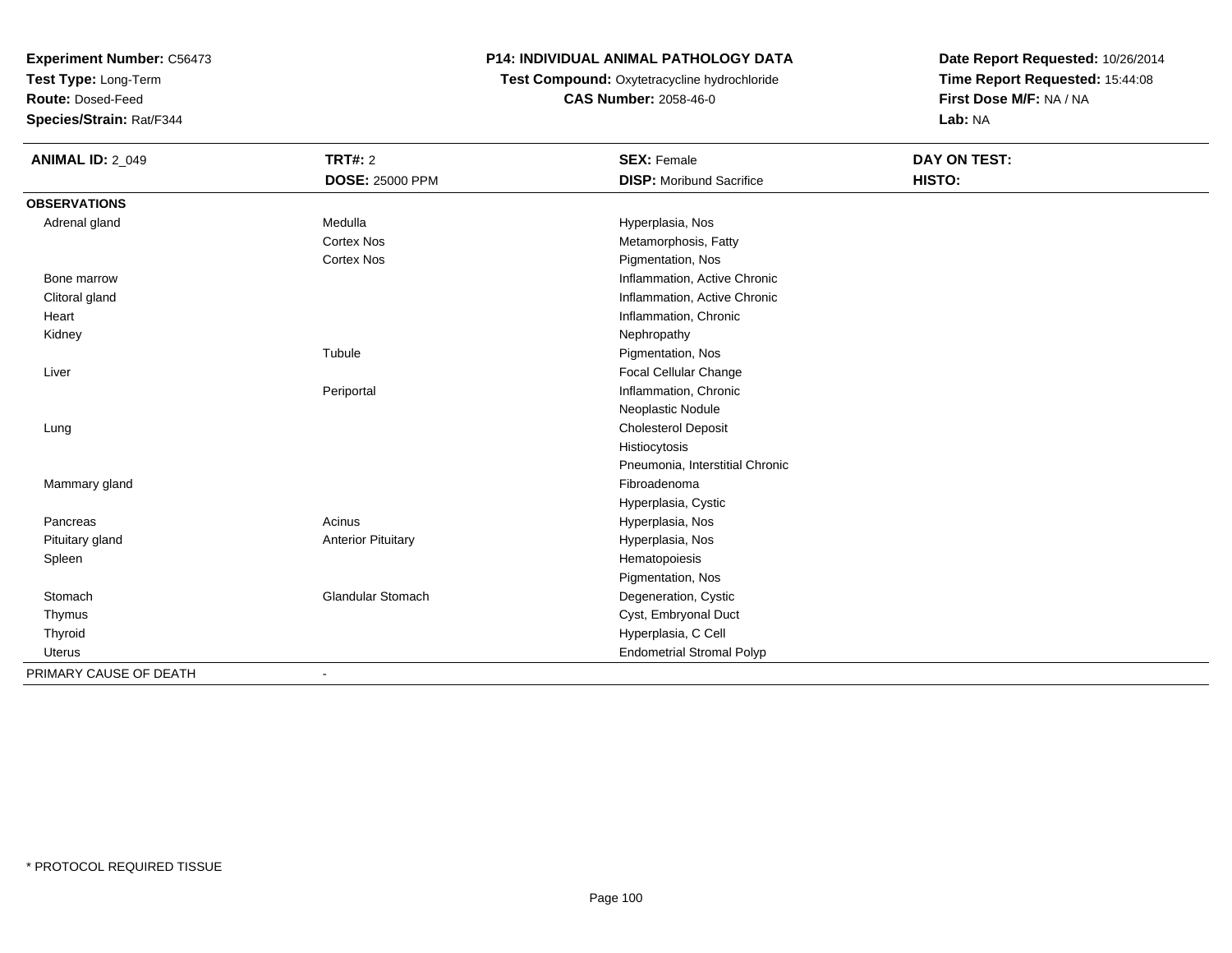**Test Type:** Long-Term

**Route:** Dosed-Feed

**Species/Strain:** Rat/F344

## **P14: INDIVIDUAL ANIMAL PATHOLOGY DATA**

 **Test Compound:** Oxytetracycline hydrochloride**CAS Number:** 2058-46-0

| <b>ANIMAL ID: 2_049</b> | <b>TRT#: 2</b>            | <b>SEX: Female</b>               | <b>DAY ON TEST:</b> |
|-------------------------|---------------------------|----------------------------------|---------------------|
|                         | DOSE: 25000 PPM           | <b>DISP:</b> Moribund Sacrifice  | HISTO:              |
| <b>OBSERVATIONS</b>     |                           |                                  |                     |
| Adrenal gland           | Medulla                   | Hyperplasia, Nos                 |                     |
|                         | <b>Cortex Nos</b>         | Metamorphosis, Fatty             |                     |
|                         | <b>Cortex Nos</b>         | Pigmentation, Nos                |                     |
| Bone marrow             |                           | Inflammation, Active Chronic     |                     |
| Clitoral gland          |                           | Inflammation, Active Chronic     |                     |
| Heart                   |                           | Inflammation, Chronic            |                     |
| Kidney                  |                           | Nephropathy                      |                     |
|                         | Tubule                    | Pigmentation, Nos                |                     |
| Liver                   |                           | <b>Focal Cellular Change</b>     |                     |
|                         | Periportal                | Inflammation, Chronic            |                     |
|                         |                           | Neoplastic Nodule                |                     |
| Lung                    |                           | <b>Cholesterol Deposit</b>       |                     |
|                         |                           | Histiocytosis                    |                     |
|                         |                           | Pneumonia, Interstitial Chronic  |                     |
| Mammary gland           |                           | Fibroadenoma                     |                     |
|                         |                           | Hyperplasia, Cystic              |                     |
| Pancreas                | Acinus                    | Hyperplasia, Nos                 |                     |
| Pituitary gland         | <b>Anterior Pituitary</b> | Hyperplasia, Nos                 |                     |
| Spleen                  |                           | Hematopoiesis                    |                     |
|                         |                           | Pigmentation, Nos                |                     |
| Stomach                 | Glandular Stomach         | Degeneration, Cystic             |                     |
| Thymus                  |                           | Cyst, Embryonal Duct             |                     |
| Thyroid                 |                           | Hyperplasia, C Cell              |                     |
| Uterus                  |                           | <b>Endometrial Stromal Polyp</b> |                     |
| PRIMARY CAUSE OF DEATH  | $\overline{\phantom{0}}$  |                                  |                     |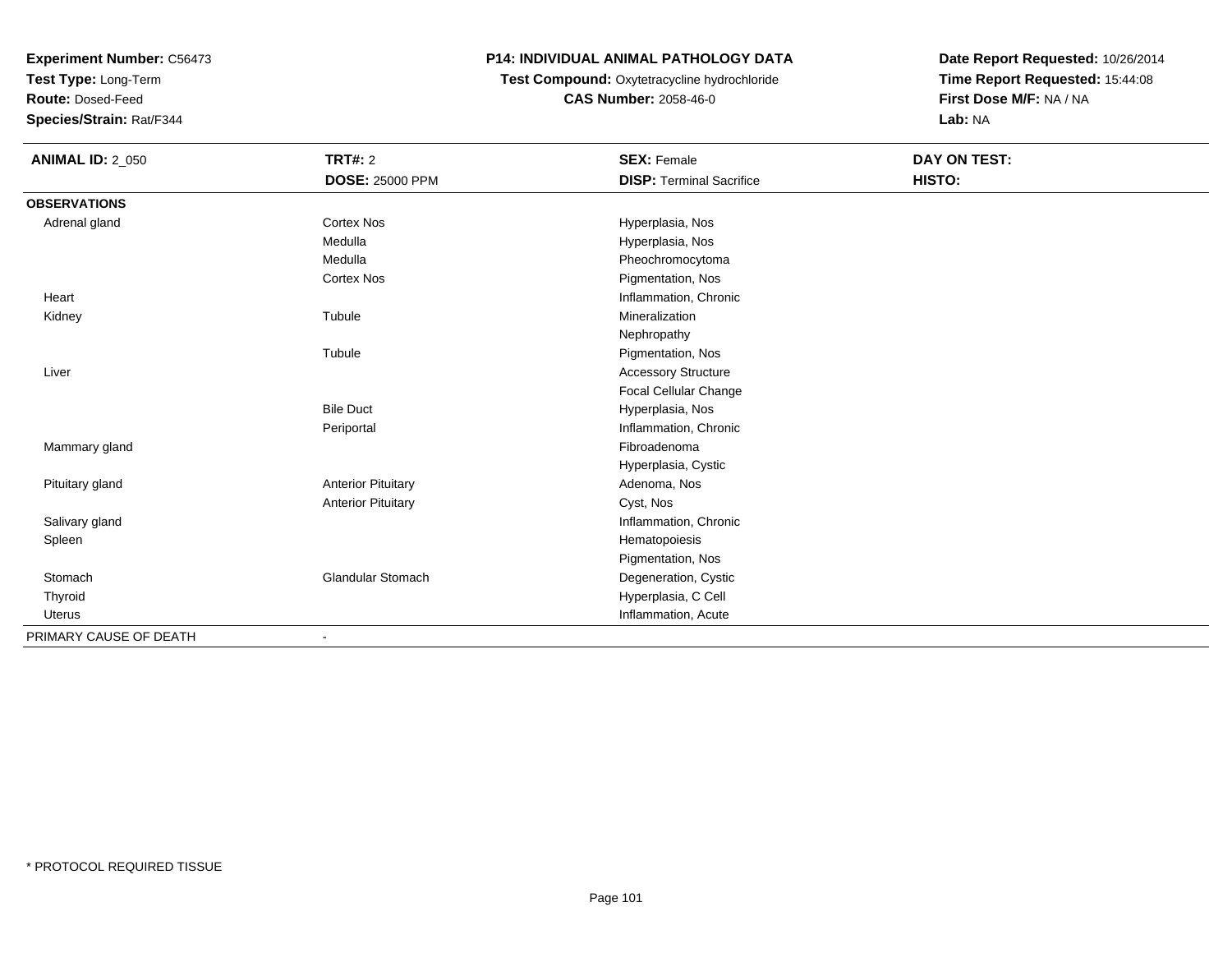**Test Type:** Long-Term

**Route:** Dosed-Feed

**Species/Strain:** Rat/F344

### **P14: INDIVIDUAL ANIMAL PATHOLOGY DATA**

# **Test Compound:** Oxytetracycline hydrochloride**CAS Number:** 2058-46-0

| <b>ANIMAL ID: 2_050</b> | <b>TRT#: 2</b>            | <b>SEX: Female</b>              | <b>DAY ON TEST:</b> |  |
|-------------------------|---------------------------|---------------------------------|---------------------|--|
|                         | <b>DOSE: 25000 PPM</b>    | <b>DISP: Terminal Sacrifice</b> | HISTO:              |  |
| <b>OBSERVATIONS</b>     |                           |                                 |                     |  |
| Adrenal gland           | <b>Cortex Nos</b>         | Hyperplasia, Nos                |                     |  |
|                         | Medulla                   | Hyperplasia, Nos                |                     |  |
|                         | Medulla                   | Pheochromocytoma                |                     |  |
|                         | <b>Cortex Nos</b>         | Pigmentation, Nos               |                     |  |
| Heart                   |                           | Inflammation, Chronic           |                     |  |
| Kidney                  | Tubule                    | Mineralization                  |                     |  |
|                         |                           | Nephropathy                     |                     |  |
|                         | Tubule                    | Pigmentation, Nos               |                     |  |
| Liver                   |                           | <b>Accessory Structure</b>      |                     |  |
|                         |                           | Focal Cellular Change           |                     |  |
|                         | <b>Bile Duct</b>          | Hyperplasia, Nos                |                     |  |
|                         | Periportal                | Inflammation, Chronic           |                     |  |
| Mammary gland           |                           | Fibroadenoma                    |                     |  |
|                         |                           | Hyperplasia, Cystic             |                     |  |
| Pituitary gland         | <b>Anterior Pituitary</b> | Adenoma, Nos                    |                     |  |
|                         | <b>Anterior Pituitary</b> | Cyst, Nos                       |                     |  |
| Salivary gland          |                           | Inflammation, Chronic           |                     |  |
| Spleen                  |                           | Hematopoiesis                   |                     |  |
|                         |                           | Pigmentation, Nos               |                     |  |
| Stomach                 | <b>Glandular Stomach</b>  | Degeneration, Cystic            |                     |  |
| Thyroid                 |                           | Hyperplasia, C Cell             |                     |  |
| <b>Uterus</b>           |                           | Inflammation, Acute             |                     |  |
| PRIMARY CAUSE OF DEATH  |                           |                                 |                     |  |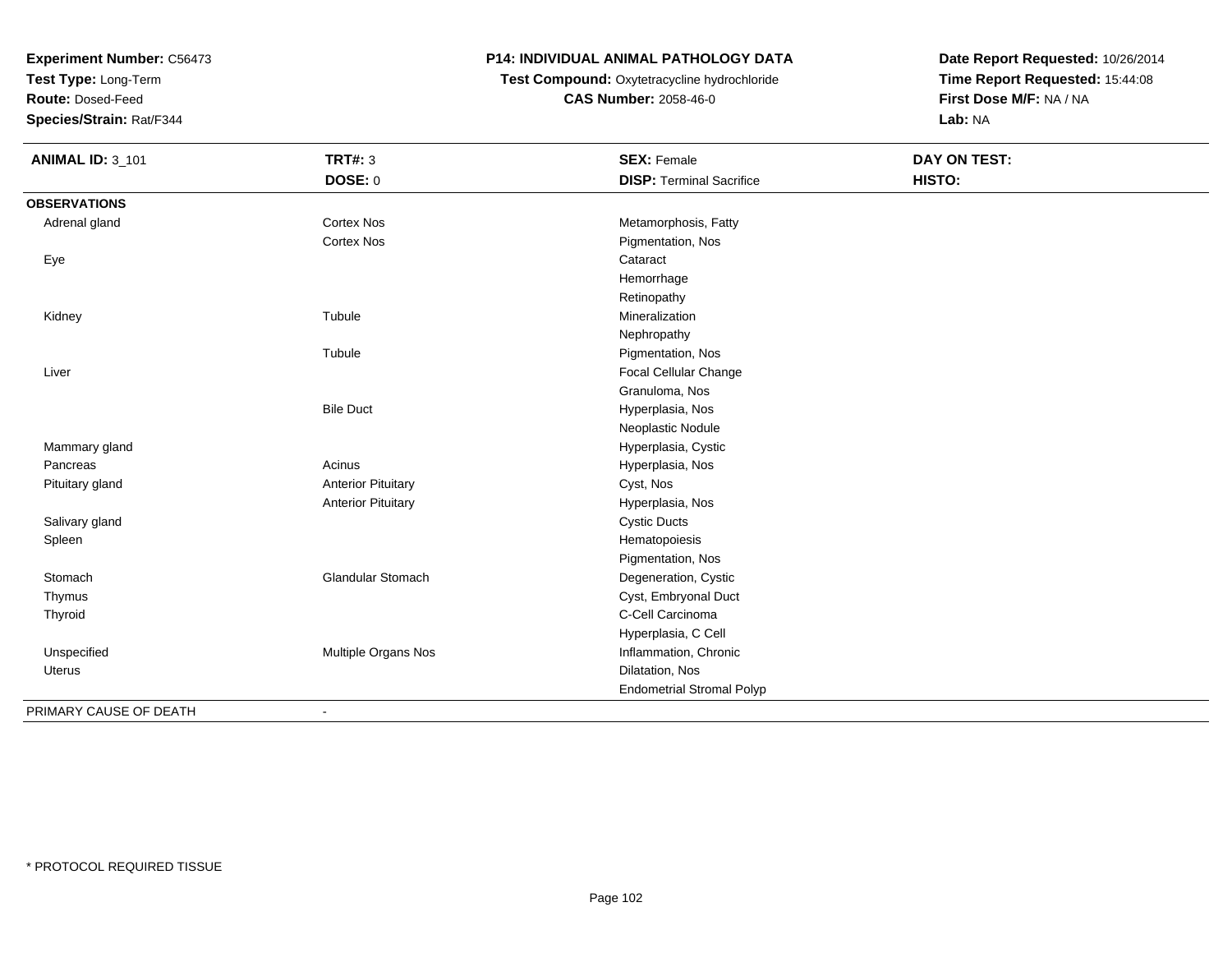**Test Type:** Long-Term

**Route:** Dosed-Feed

**Species/Strain:** Rat/F344

### **P14: INDIVIDUAL ANIMAL PATHOLOGY DATA**

**Test Compound:** Oxytetracycline hydrochloride**CAS Number:** 2058-46-0

| <b>ANIMAL ID: 3_101</b> | <b>TRT#: 3</b>            | <b>SEX: Female</b>               | <b>DAY ON TEST:</b> |  |
|-------------------------|---------------------------|----------------------------------|---------------------|--|
|                         | <b>DOSE: 0</b>            | <b>DISP: Terminal Sacrifice</b>  | HISTO:              |  |
| <b>OBSERVATIONS</b>     |                           |                                  |                     |  |
| Adrenal gland           | <b>Cortex Nos</b>         | Metamorphosis, Fatty             |                     |  |
|                         | <b>Cortex Nos</b>         | Pigmentation, Nos                |                     |  |
| Eye                     |                           | Cataract                         |                     |  |
|                         |                           | Hemorrhage                       |                     |  |
|                         |                           | Retinopathy                      |                     |  |
| Kidney                  | Tubule                    | Mineralization                   |                     |  |
|                         |                           | Nephropathy                      |                     |  |
|                         | Tubule                    | Pigmentation, Nos                |                     |  |
| Liver                   |                           | <b>Focal Cellular Change</b>     |                     |  |
|                         |                           | Granuloma, Nos                   |                     |  |
|                         | <b>Bile Duct</b>          | Hyperplasia, Nos                 |                     |  |
|                         |                           | Neoplastic Nodule                |                     |  |
| Mammary gland           |                           | Hyperplasia, Cystic              |                     |  |
| Pancreas                | Acinus                    | Hyperplasia, Nos                 |                     |  |
| Pituitary gland         | <b>Anterior Pituitary</b> | Cyst, Nos                        |                     |  |
|                         | <b>Anterior Pituitary</b> | Hyperplasia, Nos                 |                     |  |
| Salivary gland          |                           | <b>Cystic Ducts</b>              |                     |  |
| Spleen                  |                           | Hematopoiesis                    |                     |  |
|                         |                           | Pigmentation, Nos                |                     |  |
| Stomach                 | Glandular Stomach         | Degeneration, Cystic             |                     |  |
| Thymus                  |                           | Cyst, Embryonal Duct             |                     |  |
| Thyroid                 |                           | C-Cell Carcinoma                 |                     |  |
|                         |                           | Hyperplasia, C Cell              |                     |  |
| Unspecified             | Multiple Organs Nos       | Inflammation, Chronic            |                     |  |
| Uterus                  |                           | Dilatation, Nos                  |                     |  |
|                         |                           | <b>Endometrial Stromal Polyp</b> |                     |  |
| PRIMARY CAUSE OF DEATH  | $\blacksquare$            |                                  |                     |  |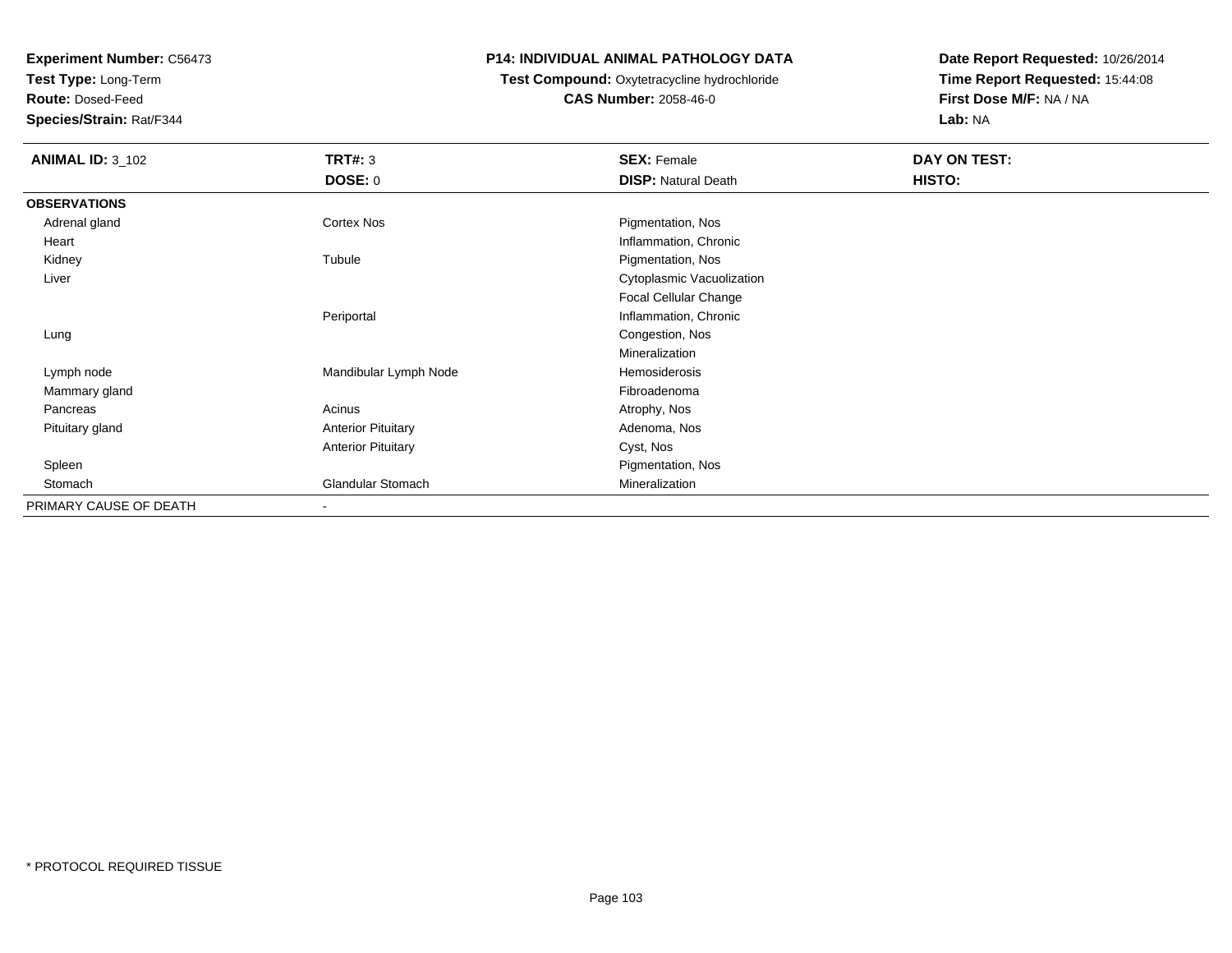**Test Type:** Long-Term

**Route:** Dosed-Feed

**Species/Strain:** Rat/F344

#### **P14: INDIVIDUAL ANIMAL PATHOLOGY DATA**

## **Test Compound:** Oxytetracycline hydrochloride**CAS Number:** 2058-46-0

| <b>ANIMAL ID: 3_102</b> | <b>TRT#: 3</b>            | <b>SEX: Female</b>         | DAY ON TEST: |  |
|-------------------------|---------------------------|----------------------------|--------------|--|
|                         | <b>DOSE: 0</b>            | <b>DISP: Natural Death</b> | HISTO:       |  |
| <b>OBSERVATIONS</b>     |                           |                            |              |  |
| Adrenal gland           | <b>Cortex Nos</b>         | Pigmentation, Nos          |              |  |
| Heart                   |                           | Inflammation, Chronic      |              |  |
| Kidney                  | Tubule                    | Pigmentation, Nos          |              |  |
| Liver                   |                           | Cytoplasmic Vacuolization  |              |  |
|                         |                           | Focal Cellular Change      |              |  |
|                         | Periportal                | Inflammation, Chronic      |              |  |
| Lung                    |                           | Congestion, Nos            |              |  |
|                         |                           | Mineralization             |              |  |
| Lymph node              | Mandibular Lymph Node     | Hemosiderosis              |              |  |
| Mammary gland           |                           | Fibroadenoma               |              |  |
| Pancreas                | Acinus                    | Atrophy, Nos               |              |  |
| Pituitary gland         | <b>Anterior Pituitary</b> | Adenoma, Nos               |              |  |
|                         | <b>Anterior Pituitary</b> | Cyst, Nos                  |              |  |
| Spleen                  |                           | Pigmentation, Nos          |              |  |
| Stomach                 | <b>Glandular Stomach</b>  | Mineralization             |              |  |
| PRIMARY CAUSE OF DEATH  | $\overline{\phantom{a}}$  |                            |              |  |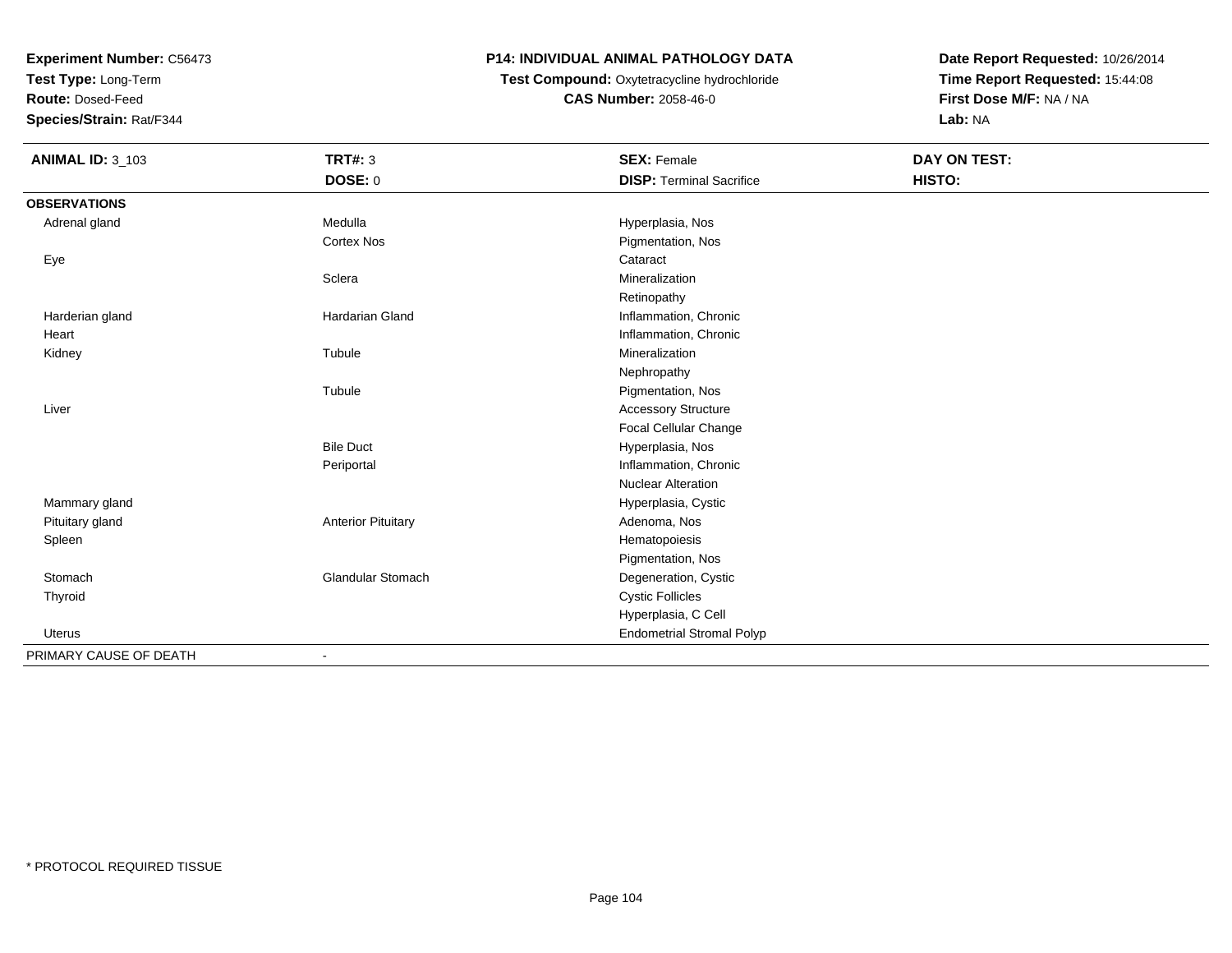**Test Type:** Long-Term

**Route:** Dosed-Feed

**Species/Strain:** Rat/F344

## **P14: INDIVIDUAL ANIMAL PATHOLOGY DATA**

**Test Compound:** Oxytetracycline hydrochloride**CAS Number:** 2058-46-0

| <b>ANIMAL ID: 3_103</b> | <b>TRT#: 3</b>            | <b>SEX: Female</b>               | DAY ON TEST: |  |
|-------------------------|---------------------------|----------------------------------|--------------|--|
|                         | DOSE: 0                   | <b>DISP: Terminal Sacrifice</b>  | HISTO:       |  |
| <b>OBSERVATIONS</b>     |                           |                                  |              |  |
| Adrenal gland           | Medulla                   | Hyperplasia, Nos                 |              |  |
|                         | <b>Cortex Nos</b>         | Pigmentation, Nos                |              |  |
| Eye                     |                           | Cataract                         |              |  |
|                         | Sclera                    | Mineralization                   |              |  |
|                         |                           | Retinopathy                      |              |  |
| Harderian gland         | Hardarian Gland           | Inflammation, Chronic            |              |  |
| Heart                   |                           | Inflammation, Chronic            |              |  |
| Kidney                  | Tubule                    | Mineralization                   |              |  |
|                         |                           | Nephropathy                      |              |  |
|                         | Tubule                    | Pigmentation, Nos                |              |  |
| Liver                   |                           | <b>Accessory Structure</b>       |              |  |
|                         |                           | Focal Cellular Change            |              |  |
|                         | <b>Bile Duct</b>          | Hyperplasia, Nos                 |              |  |
|                         | Periportal                | Inflammation, Chronic            |              |  |
|                         |                           | <b>Nuclear Alteration</b>        |              |  |
| Mammary gland           |                           | Hyperplasia, Cystic              |              |  |
| Pituitary gland         | <b>Anterior Pituitary</b> | Adenoma, Nos                     |              |  |
| Spleen                  |                           | Hematopoiesis                    |              |  |
|                         |                           | Pigmentation, Nos                |              |  |
| Stomach                 | Glandular Stomach         | Degeneration, Cystic             |              |  |
| Thyroid                 |                           | <b>Cystic Follicles</b>          |              |  |
|                         |                           | Hyperplasia, C Cell              |              |  |
| Uterus                  |                           | <b>Endometrial Stromal Polyp</b> |              |  |
| PRIMARY CAUSE OF DEATH  |                           |                                  |              |  |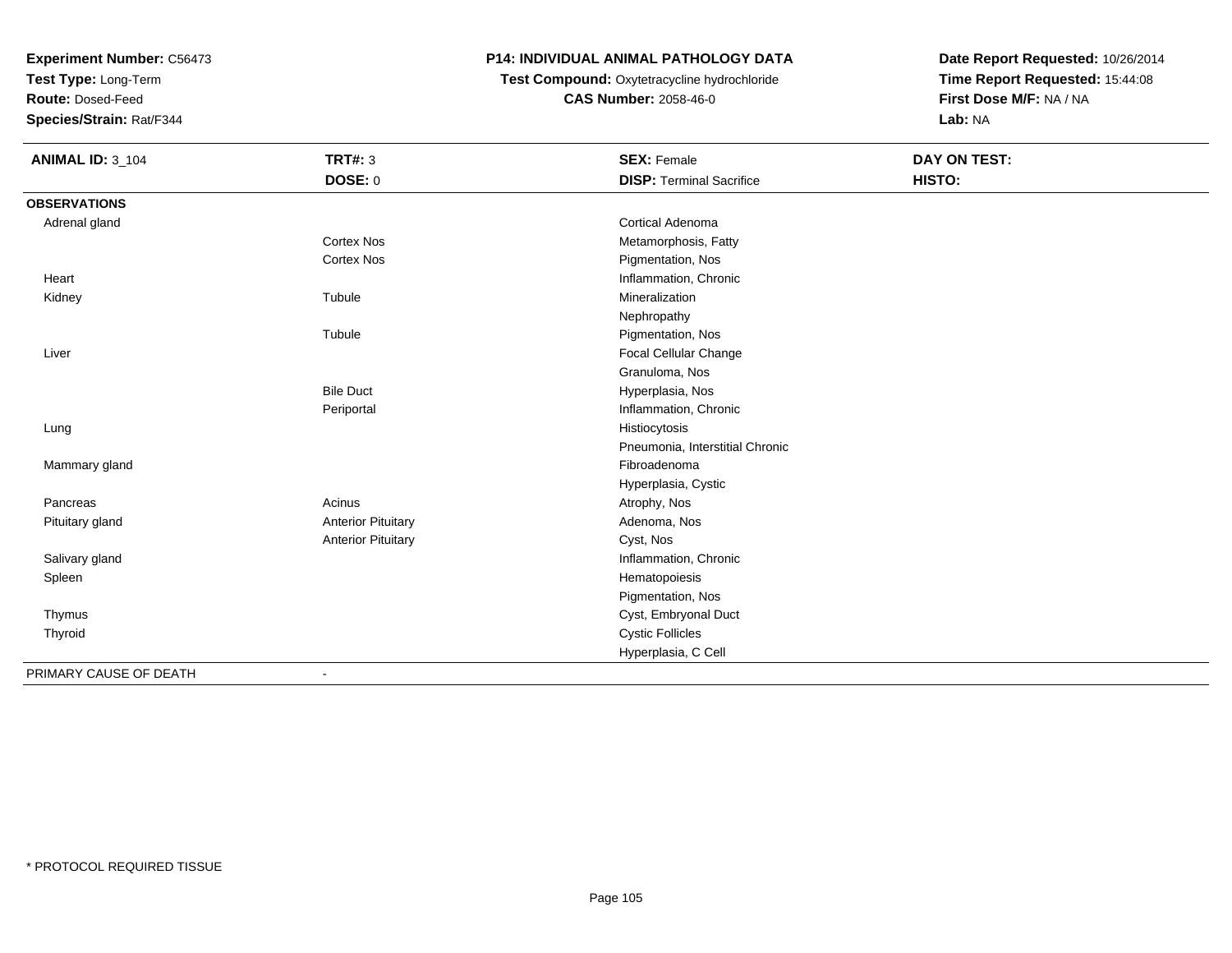**Test Type:** Long-Term

**Route:** Dosed-Feed

**Species/Strain:** Rat/F344

## **P14: INDIVIDUAL ANIMAL PATHOLOGY DATA**

 **Test Compound:** Oxytetracycline hydrochloride**CAS Number:** 2058-46-0

| <b>ANIMAL ID: 3_104</b> | <b>TRT#: 3</b>            | <b>SEX: Female</b>              | DAY ON TEST: |  |
|-------------------------|---------------------------|---------------------------------|--------------|--|
|                         | DOSE: 0                   | <b>DISP: Terminal Sacrifice</b> | HISTO:       |  |
| <b>OBSERVATIONS</b>     |                           |                                 |              |  |
| Adrenal gland           |                           | Cortical Adenoma                |              |  |
|                         | <b>Cortex Nos</b>         | Metamorphosis, Fatty            |              |  |
|                         | Cortex Nos                | Pigmentation, Nos               |              |  |
| Heart                   |                           | Inflammation, Chronic           |              |  |
| Kidney                  | Tubule                    | Mineralization                  |              |  |
|                         |                           | Nephropathy                     |              |  |
|                         | Tubule                    | Pigmentation, Nos               |              |  |
| Liver                   |                           | <b>Focal Cellular Change</b>    |              |  |
|                         |                           | Granuloma, Nos                  |              |  |
|                         | <b>Bile Duct</b>          | Hyperplasia, Nos                |              |  |
|                         | Periportal                | Inflammation, Chronic           |              |  |
| Lung                    |                           | Histiocytosis                   |              |  |
|                         |                           | Pneumonia, Interstitial Chronic |              |  |
| Mammary gland           |                           | Fibroadenoma                    |              |  |
|                         |                           | Hyperplasia, Cystic             |              |  |
| Pancreas                | Acinus                    | Atrophy, Nos                    |              |  |
| Pituitary gland         | <b>Anterior Pituitary</b> | Adenoma, Nos                    |              |  |
|                         | <b>Anterior Pituitary</b> | Cyst, Nos                       |              |  |
| Salivary gland          |                           | Inflammation, Chronic           |              |  |
| Spleen                  |                           | Hematopoiesis                   |              |  |
|                         |                           | Pigmentation, Nos               |              |  |
| Thymus                  |                           | Cyst, Embryonal Duct            |              |  |
| Thyroid                 |                           | <b>Cystic Follicles</b>         |              |  |
|                         |                           | Hyperplasia, C Cell             |              |  |
| PRIMARY CAUSE OF DEATH  | $\overline{\phantom{0}}$  |                                 |              |  |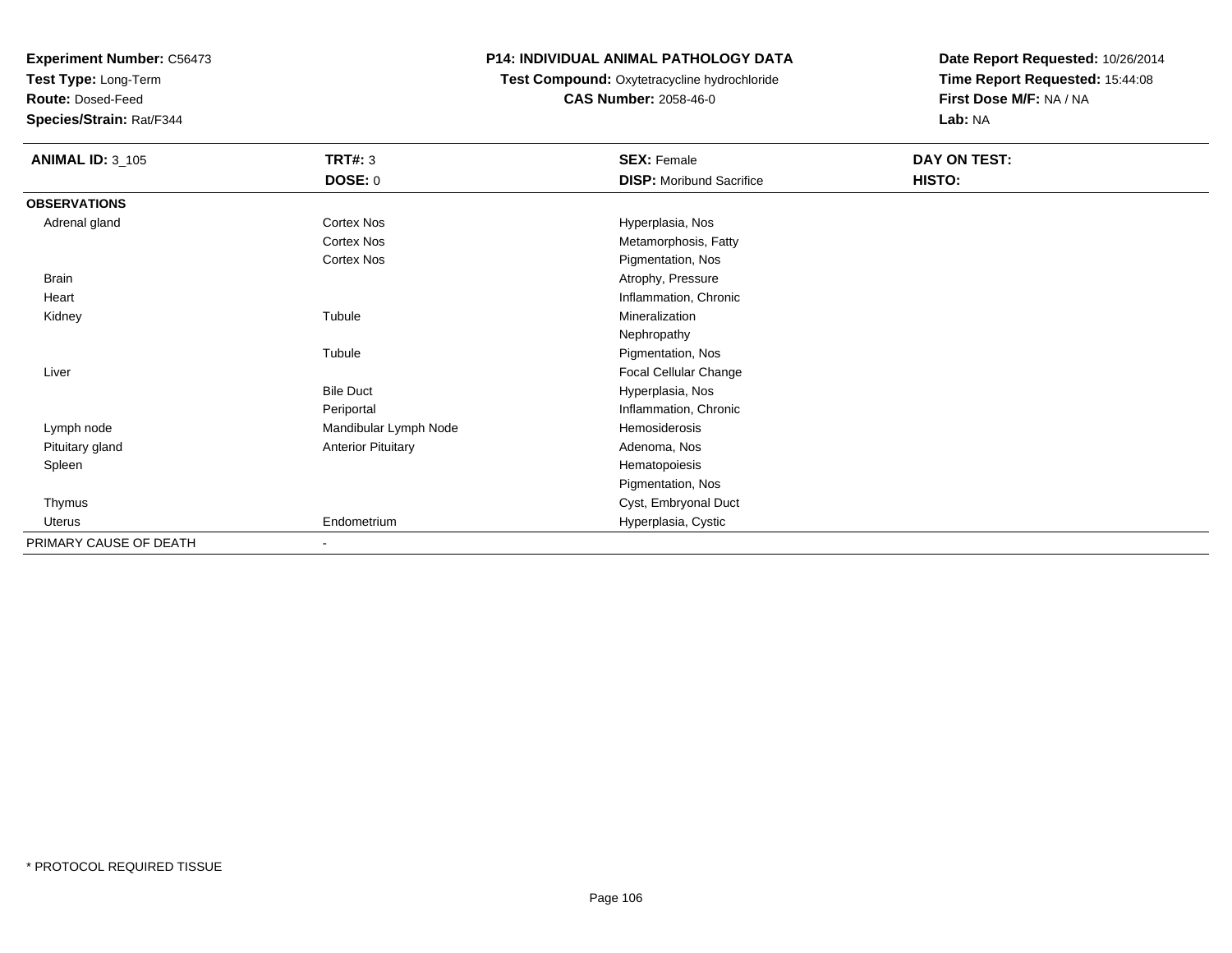**Test Type:** Long-Term

**Route:** Dosed-Feed

**Species/Strain:** Rat/F344

#### **P14: INDIVIDUAL ANIMAL PATHOLOGY DATA**

## **Test Compound:** Oxytetracycline hydrochloride**CAS Number:** 2058-46-0

| <b>ANIMAL ID: 3_105</b> | <b>TRT#: 3</b>            | <b>SEX: Female</b>              | DAY ON TEST: |
|-------------------------|---------------------------|---------------------------------|--------------|
|                         | <b>DOSE: 0</b>            | <b>DISP:</b> Moribund Sacrifice | HISTO:       |
| <b>OBSERVATIONS</b>     |                           |                                 |              |
| Adrenal gland           | <b>Cortex Nos</b>         | Hyperplasia, Nos                |              |
|                         | <b>Cortex Nos</b>         | Metamorphosis, Fatty            |              |
|                         | <b>Cortex Nos</b>         | Pigmentation, Nos               |              |
| <b>Brain</b>            |                           | Atrophy, Pressure               |              |
| Heart                   |                           | Inflammation, Chronic           |              |
| Kidney                  | Tubule                    | Mineralization                  |              |
|                         |                           | Nephropathy                     |              |
|                         | Tubule                    | Pigmentation, Nos               |              |
| Liver                   |                           | Focal Cellular Change           |              |
|                         | <b>Bile Duct</b>          | Hyperplasia, Nos                |              |
|                         | Periportal                | Inflammation, Chronic           |              |
| Lymph node              | Mandibular Lymph Node     | Hemosiderosis                   |              |
| Pituitary gland         | <b>Anterior Pituitary</b> | Adenoma, Nos                    |              |
| Spleen                  |                           | Hematopoiesis                   |              |
|                         |                           | Pigmentation, Nos               |              |
| Thymus                  |                           | Cyst, Embryonal Duct            |              |
| Uterus                  | Endometrium               | Hyperplasia, Cystic             |              |
| PRIMARY CAUSE OF DEATH  |                           |                                 |              |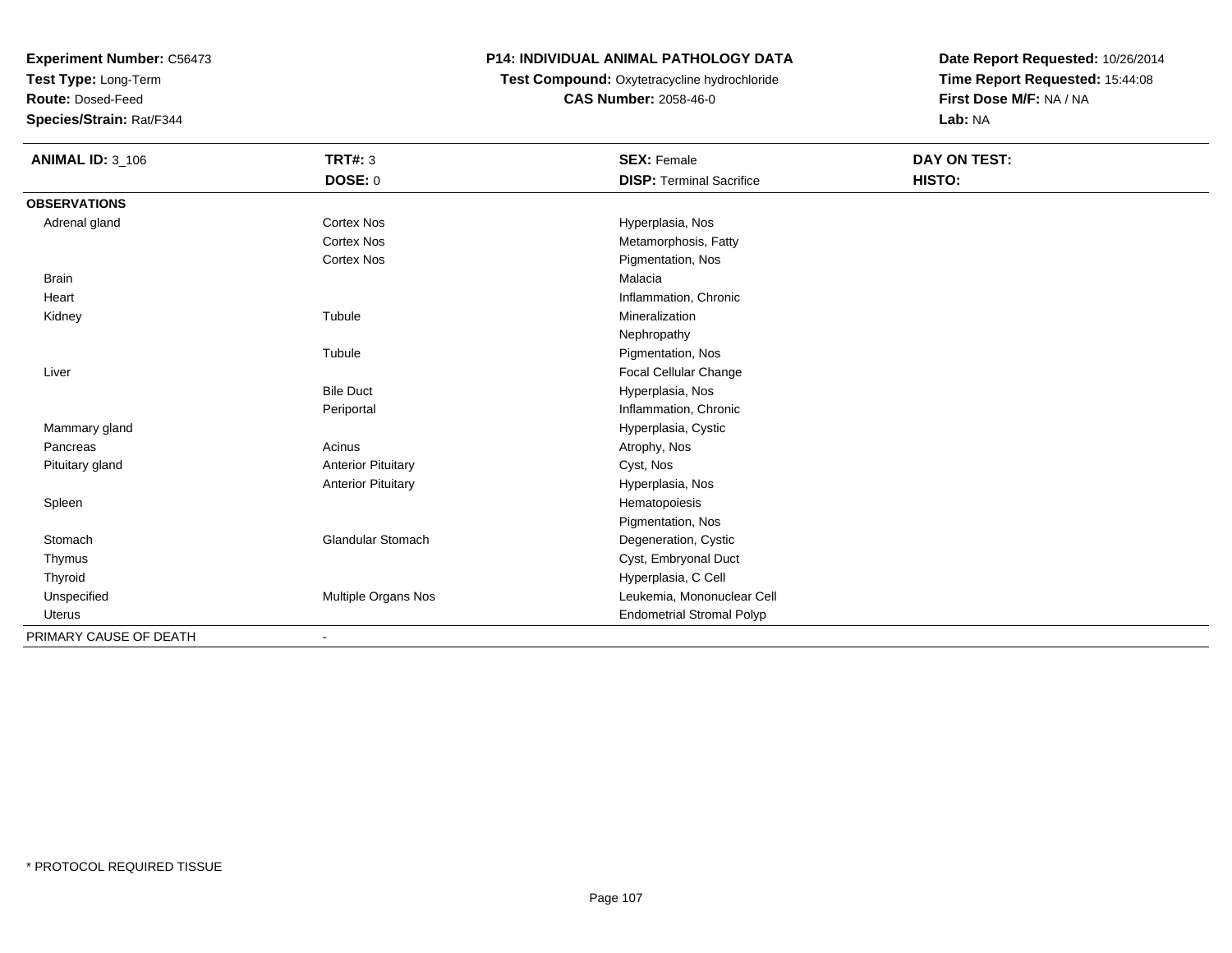**Test Type:** Long-Term

**Route:** Dosed-Feed

**Species/Strain:** Rat/F344

### **P14: INDIVIDUAL ANIMAL PATHOLOGY DATA**

**Test Compound:** Oxytetracycline hydrochloride**CAS Number:** 2058-46-0

| <b>ANIMAL ID: 3_106</b> | TRT#: 3                   | <b>SEX: Female</b>               | DAY ON TEST: |  |
|-------------------------|---------------------------|----------------------------------|--------------|--|
|                         | <b>DOSE: 0</b>            | <b>DISP: Terminal Sacrifice</b>  | HISTO:       |  |
| <b>OBSERVATIONS</b>     |                           |                                  |              |  |
| Adrenal gland           | Cortex Nos                | Hyperplasia, Nos                 |              |  |
|                         | <b>Cortex Nos</b>         | Metamorphosis, Fatty             |              |  |
|                         | <b>Cortex Nos</b>         | Pigmentation, Nos                |              |  |
| <b>Brain</b>            |                           | Malacia                          |              |  |
| Heart                   |                           | Inflammation, Chronic            |              |  |
| Kidney                  | Tubule                    | Mineralization                   |              |  |
|                         |                           | Nephropathy                      |              |  |
|                         | Tubule                    | Pigmentation, Nos                |              |  |
| Liver                   |                           | <b>Focal Cellular Change</b>     |              |  |
|                         | <b>Bile Duct</b>          | Hyperplasia, Nos                 |              |  |
|                         | Periportal                | Inflammation, Chronic            |              |  |
| Mammary gland           |                           | Hyperplasia, Cystic              |              |  |
| Pancreas                | Acinus                    | Atrophy, Nos                     |              |  |
| Pituitary gland         | <b>Anterior Pituitary</b> | Cyst, Nos                        |              |  |
|                         | <b>Anterior Pituitary</b> | Hyperplasia, Nos                 |              |  |
| Spleen                  |                           | Hematopoiesis                    |              |  |
|                         |                           | Pigmentation, Nos                |              |  |
| Stomach                 | <b>Glandular Stomach</b>  | Degeneration, Cystic             |              |  |
| Thymus                  |                           | Cyst, Embryonal Duct             |              |  |
| Thyroid                 |                           | Hyperplasia, C Cell              |              |  |
| Unspecified             | Multiple Organs Nos       | Leukemia, Mononuclear Cell       |              |  |
| Uterus                  |                           | <b>Endometrial Stromal Polyp</b> |              |  |
| PRIMARY CAUSE OF DEATH  |                           |                                  |              |  |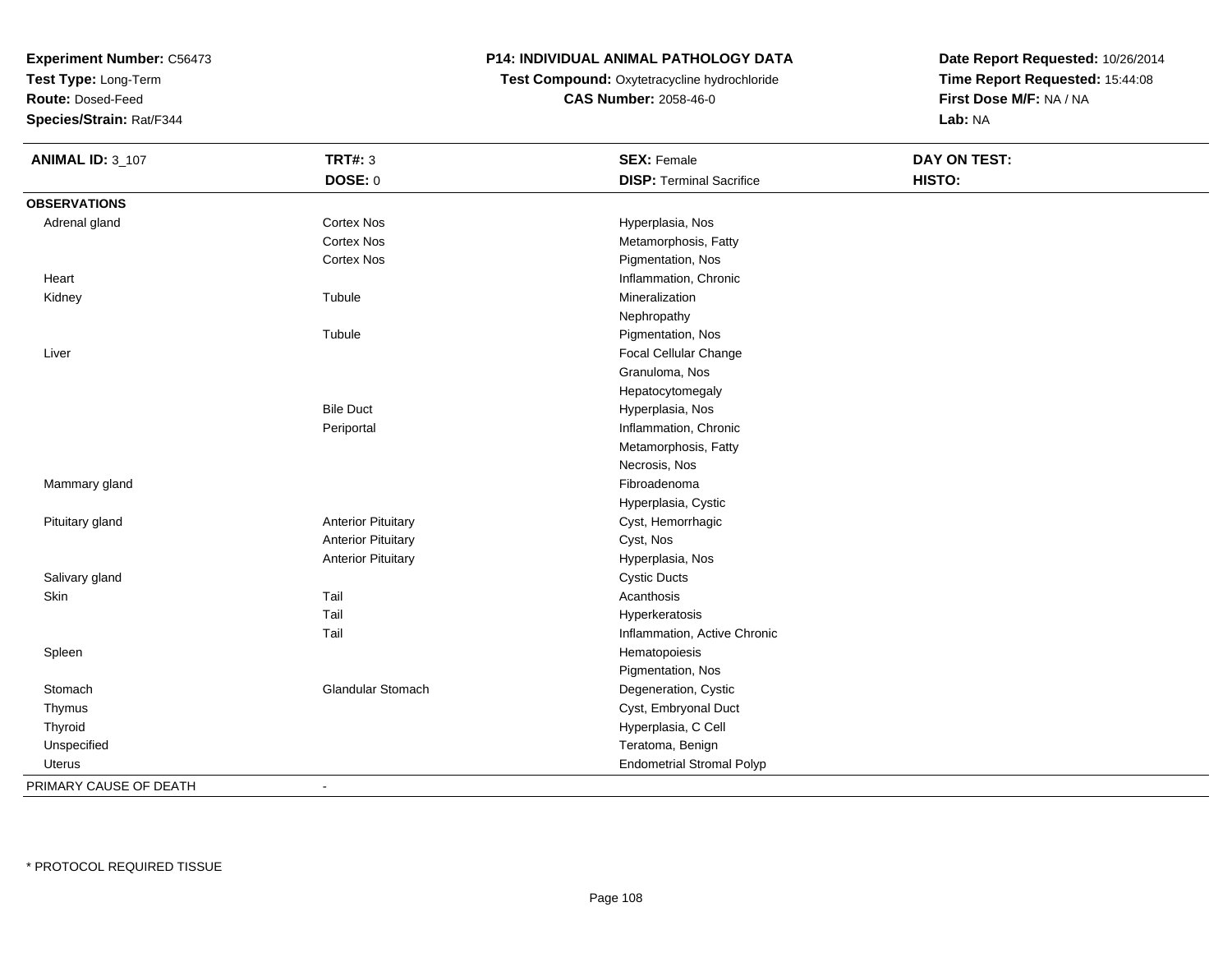**Test Type:** Long-Term

**Route:** Dosed-Feed

**Species/Strain:** Rat/F344

### **P14: INDIVIDUAL ANIMAL PATHOLOGY DATA**

**Test Compound:** Oxytetracycline hydrochloride**CAS Number:** 2058-46-0

| <b>ANIMAL ID: 3_107</b> | <b>TRT#: 3</b>            | <b>SEX: Female</b>               | <b>DAY ON TEST:</b> |  |
|-------------------------|---------------------------|----------------------------------|---------------------|--|
|                         | DOSE: 0                   | <b>DISP: Terminal Sacrifice</b>  | HISTO:              |  |
| <b>OBSERVATIONS</b>     |                           |                                  |                     |  |
| Adrenal gland           | Cortex Nos                | Hyperplasia, Nos                 |                     |  |
|                         | Cortex Nos                | Metamorphosis, Fatty             |                     |  |
|                         | <b>Cortex Nos</b>         | Pigmentation, Nos                |                     |  |
| Heart                   |                           | Inflammation, Chronic            |                     |  |
| Kidney                  | Tubule                    | Mineralization                   |                     |  |
|                         |                           | Nephropathy                      |                     |  |
|                         | Tubule                    | Pigmentation, Nos                |                     |  |
| Liver                   |                           | Focal Cellular Change            |                     |  |
|                         |                           | Granuloma, Nos                   |                     |  |
|                         |                           | Hepatocytomegaly                 |                     |  |
|                         | <b>Bile Duct</b>          | Hyperplasia, Nos                 |                     |  |
|                         | Periportal                | Inflammation, Chronic            |                     |  |
|                         |                           | Metamorphosis, Fatty             |                     |  |
|                         |                           | Necrosis, Nos                    |                     |  |
| Mammary gland           |                           | Fibroadenoma                     |                     |  |
|                         |                           | Hyperplasia, Cystic              |                     |  |
| Pituitary gland         | <b>Anterior Pituitary</b> | Cyst, Hemorrhagic                |                     |  |
|                         | <b>Anterior Pituitary</b> | Cyst, Nos                        |                     |  |
|                         | <b>Anterior Pituitary</b> | Hyperplasia, Nos                 |                     |  |
| Salivary gland          |                           | <b>Cystic Ducts</b>              |                     |  |
| Skin                    | Tail                      | Acanthosis                       |                     |  |
|                         | Tail                      | Hyperkeratosis                   |                     |  |
|                         | Tail                      | Inflammation, Active Chronic     |                     |  |
| Spleen                  |                           | Hematopoiesis                    |                     |  |
|                         |                           | Pigmentation, Nos                |                     |  |
| Stomach                 | Glandular Stomach         | Degeneration, Cystic             |                     |  |
| Thymus                  |                           | Cyst, Embryonal Duct             |                     |  |
| Thyroid                 |                           | Hyperplasia, C Cell              |                     |  |
| Unspecified             |                           | Teratoma, Benign                 |                     |  |
| <b>Uterus</b>           |                           | <b>Endometrial Stromal Polyp</b> |                     |  |
| PRIMARY CAUSE OF DEATH  | $\blacksquare$            |                                  |                     |  |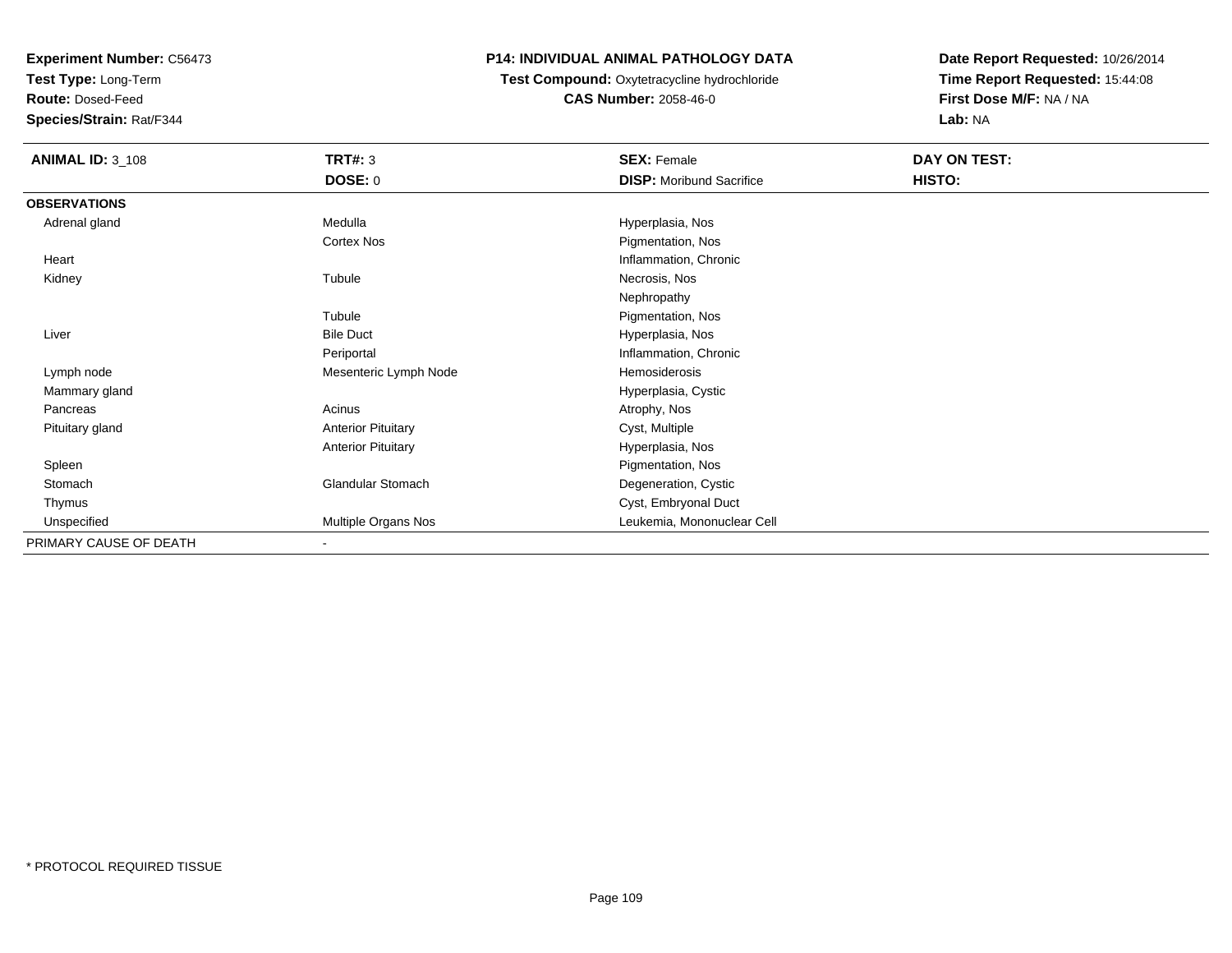**Test Type:** Long-Term

**Route:** Dosed-Feed

**Species/Strain:** Rat/F344

# **P14: INDIVIDUAL ANIMAL PATHOLOGY DATA**

**Test Compound:** Oxytetracycline hydrochloride**CAS Number:** 2058-46-0

| <b>ANIMAL ID: 3_108</b> | <b>TRT#: 3</b>            | <b>SEX: Female</b>              | DAY ON TEST: |  |
|-------------------------|---------------------------|---------------------------------|--------------|--|
|                         | <b>DOSE: 0</b>            | <b>DISP:</b> Moribund Sacrifice | HISTO:       |  |
| <b>OBSERVATIONS</b>     |                           |                                 |              |  |
| Adrenal gland           | Medulla                   | Hyperplasia, Nos                |              |  |
|                         | <b>Cortex Nos</b>         | Pigmentation, Nos               |              |  |
| Heart                   |                           | Inflammation, Chronic           |              |  |
| Kidney                  | Tubule                    | Necrosis, Nos                   |              |  |
|                         |                           | Nephropathy                     |              |  |
|                         | Tubule                    | Pigmentation, Nos               |              |  |
| Liver                   | <b>Bile Duct</b>          | Hyperplasia, Nos                |              |  |
|                         | Periportal                | Inflammation, Chronic           |              |  |
| Lymph node              | Mesenteric Lymph Node     | Hemosiderosis                   |              |  |
| Mammary gland           |                           | Hyperplasia, Cystic             |              |  |
| Pancreas                | Acinus                    | Atrophy, Nos                    |              |  |
| Pituitary gland         | <b>Anterior Pituitary</b> | Cyst, Multiple                  |              |  |
|                         | <b>Anterior Pituitary</b> | Hyperplasia, Nos                |              |  |
| Spleen                  |                           | Pigmentation, Nos               |              |  |
| Stomach                 | Glandular Stomach         | Degeneration, Cystic            |              |  |
| Thymus                  |                           | Cyst, Embryonal Duct            |              |  |
| Unspecified             | Multiple Organs Nos       | Leukemia, Mononuclear Cell      |              |  |
| PRIMARY CAUSE OF DEATH  | $\overline{\phantom{a}}$  |                                 |              |  |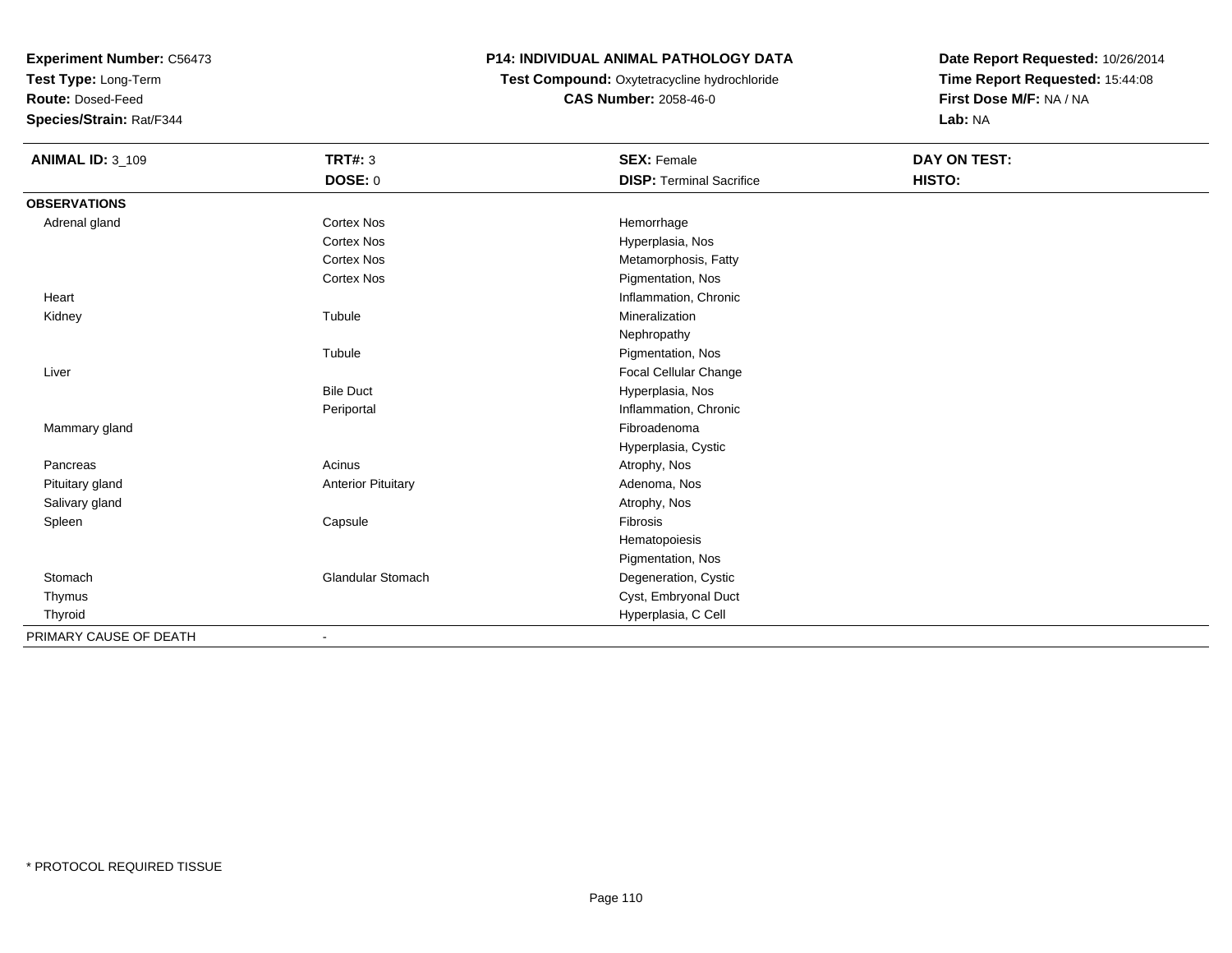**Test Type:** Long-Term

**Route:** Dosed-Feed

**Species/Strain:** Rat/F344

# **P14: INDIVIDUAL ANIMAL PATHOLOGY DATA**

**Test Compound:** Oxytetracycline hydrochloride**CAS Number:** 2058-46-0

| <b>ANIMAL ID: 3_109</b> | <b>TRT#: 3</b>            | <b>SEX: Female</b>              | DAY ON TEST: |  |
|-------------------------|---------------------------|---------------------------------|--------------|--|
|                         | DOSE: 0                   | <b>DISP: Terminal Sacrifice</b> | HISTO:       |  |
| <b>OBSERVATIONS</b>     |                           |                                 |              |  |
| Adrenal gland           | <b>Cortex Nos</b>         | Hemorrhage                      |              |  |
|                         | <b>Cortex Nos</b>         | Hyperplasia, Nos                |              |  |
|                         | <b>Cortex Nos</b>         | Metamorphosis, Fatty            |              |  |
|                         | <b>Cortex Nos</b>         | Pigmentation, Nos               |              |  |
| Heart                   |                           | Inflammation, Chronic           |              |  |
| Kidney                  | Tubule                    | Mineralization                  |              |  |
|                         |                           | Nephropathy                     |              |  |
|                         | Tubule                    | Pigmentation, Nos               |              |  |
| Liver                   |                           | Focal Cellular Change           |              |  |
|                         | <b>Bile Duct</b>          | Hyperplasia, Nos                |              |  |
|                         | Periportal                | Inflammation, Chronic           |              |  |
| Mammary gland           |                           | Fibroadenoma                    |              |  |
|                         |                           | Hyperplasia, Cystic             |              |  |
| Pancreas                | Acinus                    | Atrophy, Nos                    |              |  |
| Pituitary gland         | <b>Anterior Pituitary</b> | Adenoma, Nos                    |              |  |
| Salivary gland          |                           | Atrophy, Nos                    |              |  |
| Spleen                  | Capsule                   | Fibrosis                        |              |  |
|                         |                           | Hematopoiesis                   |              |  |
|                         |                           | Pigmentation, Nos               |              |  |
| Stomach                 | <b>Glandular Stomach</b>  | Degeneration, Cystic            |              |  |
| Thymus                  |                           | Cyst, Embryonal Duct            |              |  |
| Thyroid                 |                           | Hyperplasia, C Cell             |              |  |
| PRIMARY CAUSE OF DEATH  |                           |                                 |              |  |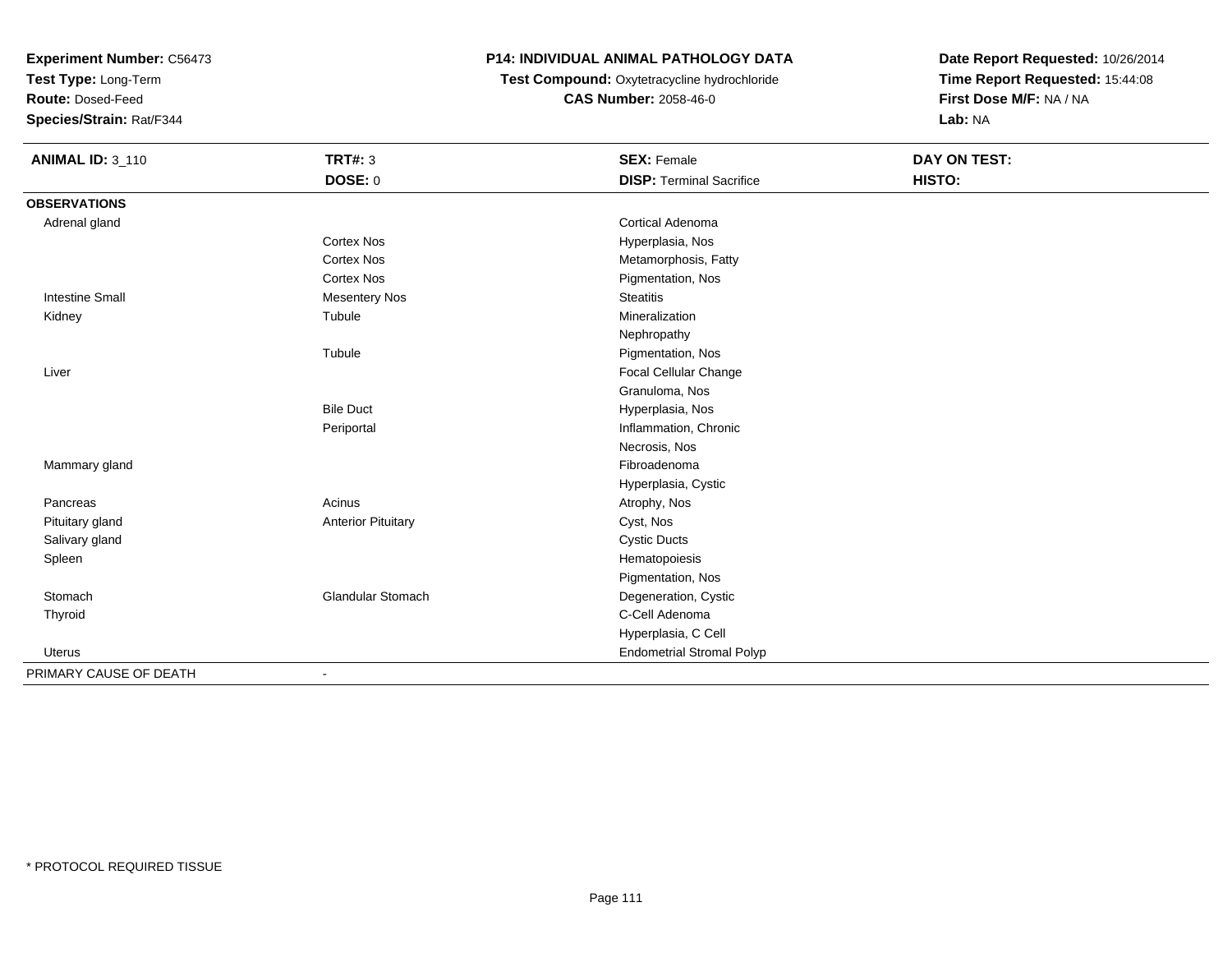**Test Type:** Long-Term

**Route:** Dosed-Feed

**Species/Strain:** Rat/F344

# **P14: INDIVIDUAL ANIMAL PATHOLOGY DATA**

 **Test Compound:** Oxytetracycline hydrochloride**CAS Number:** 2058-46-0

| <b>ANIMAL ID: 3_110</b> | <b>TRT#: 3</b>            | <b>SEX: Female</b>               | DAY ON TEST: |  |
|-------------------------|---------------------------|----------------------------------|--------------|--|
|                         | DOSE: 0                   | <b>DISP: Terminal Sacrifice</b>  | HISTO:       |  |
| <b>OBSERVATIONS</b>     |                           |                                  |              |  |
| Adrenal gland           |                           | <b>Cortical Adenoma</b>          |              |  |
|                         | <b>Cortex Nos</b>         | Hyperplasia, Nos                 |              |  |
|                         | <b>Cortex Nos</b>         | Metamorphosis, Fatty             |              |  |
|                         | <b>Cortex Nos</b>         | Pigmentation, Nos                |              |  |
| <b>Intestine Small</b>  | <b>Mesentery Nos</b>      | <b>Steatitis</b>                 |              |  |
| Kidney                  | Tubule                    | Mineralization                   |              |  |
|                         |                           | Nephropathy                      |              |  |
|                         | Tubule                    | Pigmentation, Nos                |              |  |
| Liver                   |                           | Focal Cellular Change            |              |  |
|                         |                           | Granuloma, Nos                   |              |  |
|                         | <b>Bile Duct</b>          | Hyperplasia, Nos                 |              |  |
|                         | Periportal                | Inflammation, Chronic            |              |  |
|                         |                           | Necrosis, Nos                    |              |  |
| Mammary gland           |                           | Fibroadenoma                     |              |  |
|                         |                           | Hyperplasia, Cystic              |              |  |
| Pancreas                | Acinus                    | Atrophy, Nos                     |              |  |
| Pituitary gland         | <b>Anterior Pituitary</b> | Cyst, Nos                        |              |  |
| Salivary gland          |                           | <b>Cystic Ducts</b>              |              |  |
| Spleen                  |                           | Hematopoiesis                    |              |  |
|                         |                           | Pigmentation, Nos                |              |  |
| Stomach                 | Glandular Stomach         | Degeneration, Cystic             |              |  |
| Thyroid                 |                           | C-Cell Adenoma                   |              |  |
|                         |                           | Hyperplasia, C Cell              |              |  |
| Uterus                  |                           | <b>Endometrial Stromal Polyp</b> |              |  |
| PRIMARY CAUSE OF DEATH  | $\blacksquare$            |                                  |              |  |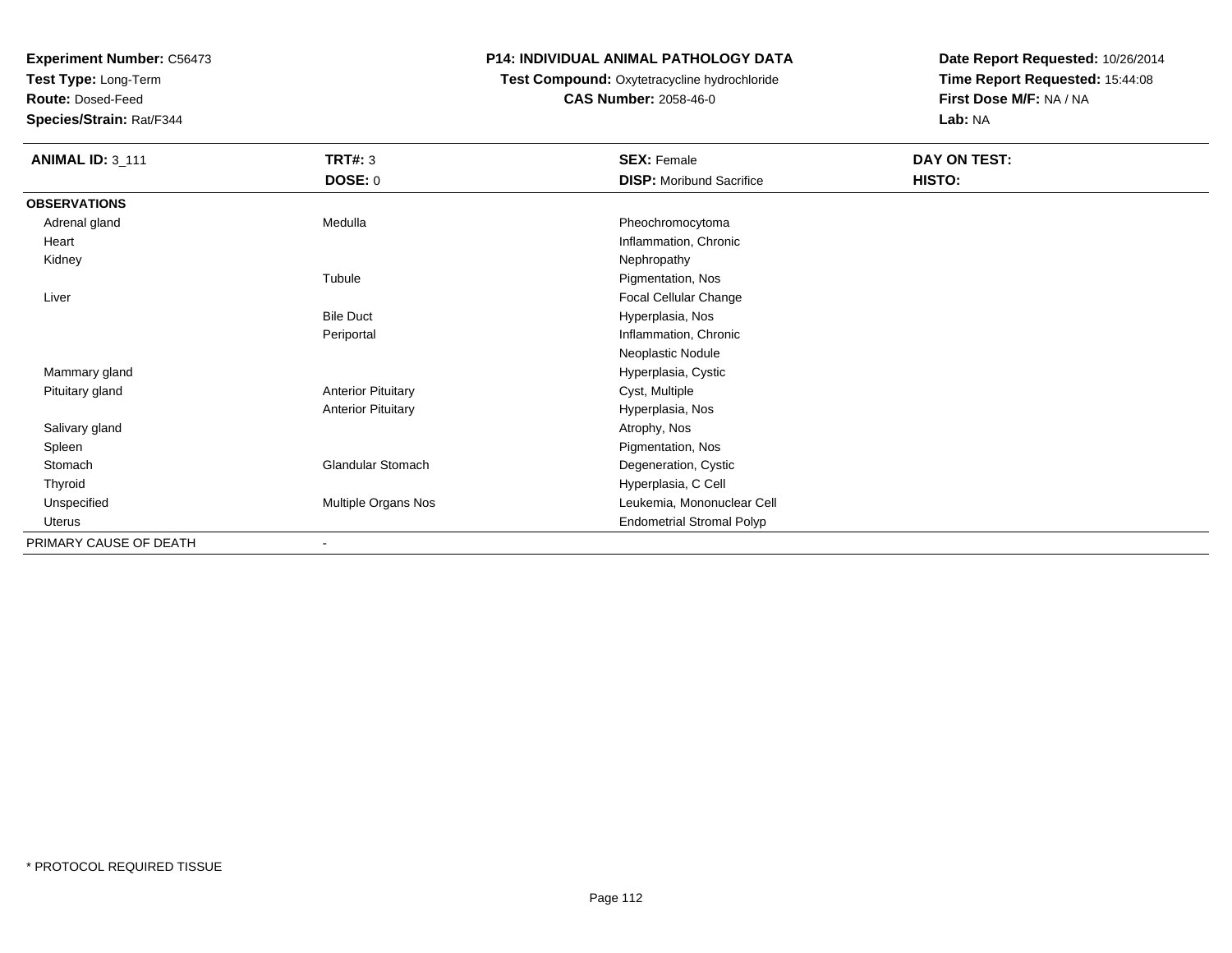**Test Type:** Long-Term

**Route:** Dosed-Feed

**Species/Strain:** Rat/F344

## **P14: INDIVIDUAL ANIMAL PATHOLOGY DATA**

### **Test Compound:** Oxytetracycline hydrochloride**CAS Number:** 2058-46-0

| <b>ANIMAL ID: 3_111</b> | <b>TRT#: 3</b>            | <b>SEX: Female</b>               | DAY ON TEST: |
|-------------------------|---------------------------|----------------------------------|--------------|
|                         | <b>DOSE: 0</b>            | <b>DISP:</b> Moribund Sacrifice  | HISTO:       |
| <b>OBSERVATIONS</b>     |                           |                                  |              |
| Adrenal gland           | Medulla                   | Pheochromocytoma                 |              |
| Heart                   |                           | Inflammation, Chronic            |              |
| Kidney                  |                           | Nephropathy                      |              |
|                         | Tubule                    | Pigmentation, Nos                |              |
| Liver                   |                           | Focal Cellular Change            |              |
|                         | <b>Bile Duct</b>          | Hyperplasia, Nos                 |              |
|                         | Periportal                | Inflammation, Chronic            |              |
|                         |                           | Neoplastic Nodule                |              |
| Mammary gland           |                           | Hyperplasia, Cystic              |              |
| Pituitary gland         | <b>Anterior Pituitary</b> | Cyst, Multiple                   |              |
|                         | <b>Anterior Pituitary</b> | Hyperplasia, Nos                 |              |
| Salivary gland          |                           | Atrophy, Nos                     |              |
| Spleen                  |                           | Pigmentation, Nos                |              |
| Stomach                 | <b>Glandular Stomach</b>  | Degeneration, Cystic             |              |
| Thyroid                 |                           | Hyperplasia, C Cell              |              |
| Unspecified             | Multiple Organs Nos       | Leukemia, Mononuclear Cell       |              |
| Uterus                  |                           | <b>Endometrial Stromal Polyp</b> |              |
| PRIMARY CAUSE OF DEATH  | $\overline{\phantom{a}}$  |                                  |              |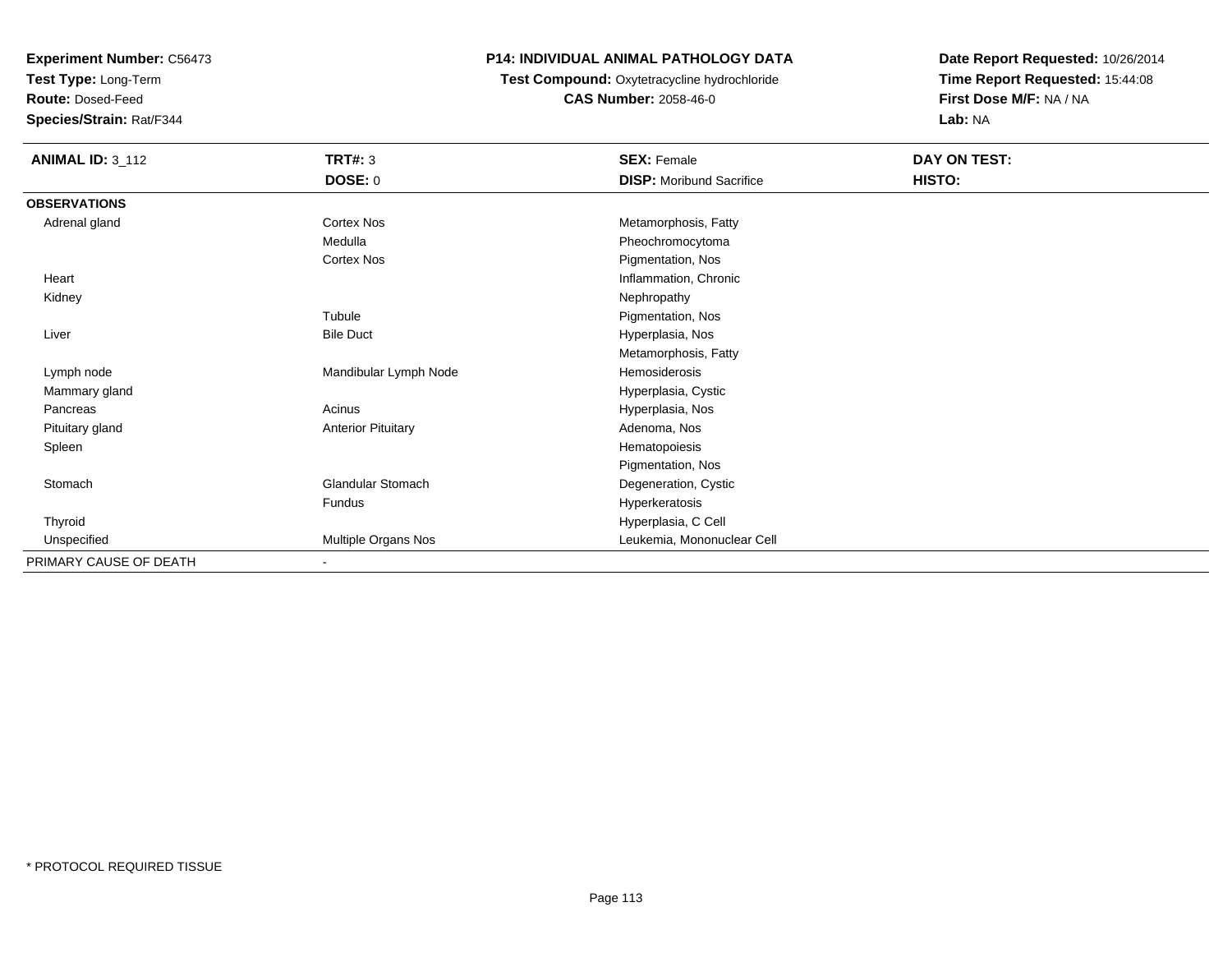**Test Type:** Long-Term

**Route:** Dosed-Feed

**Species/Strain:** Rat/F344

## **P14: INDIVIDUAL ANIMAL PATHOLOGY DATA**

**Test Compound:** Oxytetracycline hydrochloride**CAS Number:** 2058-46-0

| <b>ANIMAL ID: 3_112</b> | <b>TRT#: 3</b>            | <b>SEX: Female</b>              | DAY ON TEST: |
|-------------------------|---------------------------|---------------------------------|--------------|
|                         | <b>DOSE: 0</b>            | <b>DISP:</b> Moribund Sacrifice | HISTO:       |
| <b>OBSERVATIONS</b>     |                           |                                 |              |
| Adrenal gland           | <b>Cortex Nos</b>         | Metamorphosis, Fatty            |              |
|                         | Medulla                   | Pheochromocytoma                |              |
|                         | Cortex Nos                | Pigmentation, Nos               |              |
| Heart                   |                           | Inflammation, Chronic           |              |
| Kidney                  |                           | Nephropathy                     |              |
|                         | Tubule                    | Pigmentation, Nos               |              |
| Liver                   | <b>Bile Duct</b>          | Hyperplasia, Nos                |              |
|                         |                           | Metamorphosis, Fatty            |              |
| Lymph node              | Mandibular Lymph Node     | Hemosiderosis                   |              |
| Mammary gland           |                           | Hyperplasia, Cystic             |              |
| Pancreas                | Acinus                    | Hyperplasia, Nos                |              |
| Pituitary gland         | <b>Anterior Pituitary</b> | Adenoma, Nos                    |              |
| Spleen                  |                           | Hematopoiesis                   |              |
|                         |                           | Pigmentation, Nos               |              |
| Stomach                 | Glandular Stomach         | Degeneration, Cystic            |              |
|                         | Fundus                    | Hyperkeratosis                  |              |
| Thyroid                 |                           | Hyperplasia, C Cell             |              |
| Unspecified             | Multiple Organs Nos       | Leukemia, Mononuclear Cell      |              |
| PRIMARY CAUSE OF DEATH  |                           |                                 |              |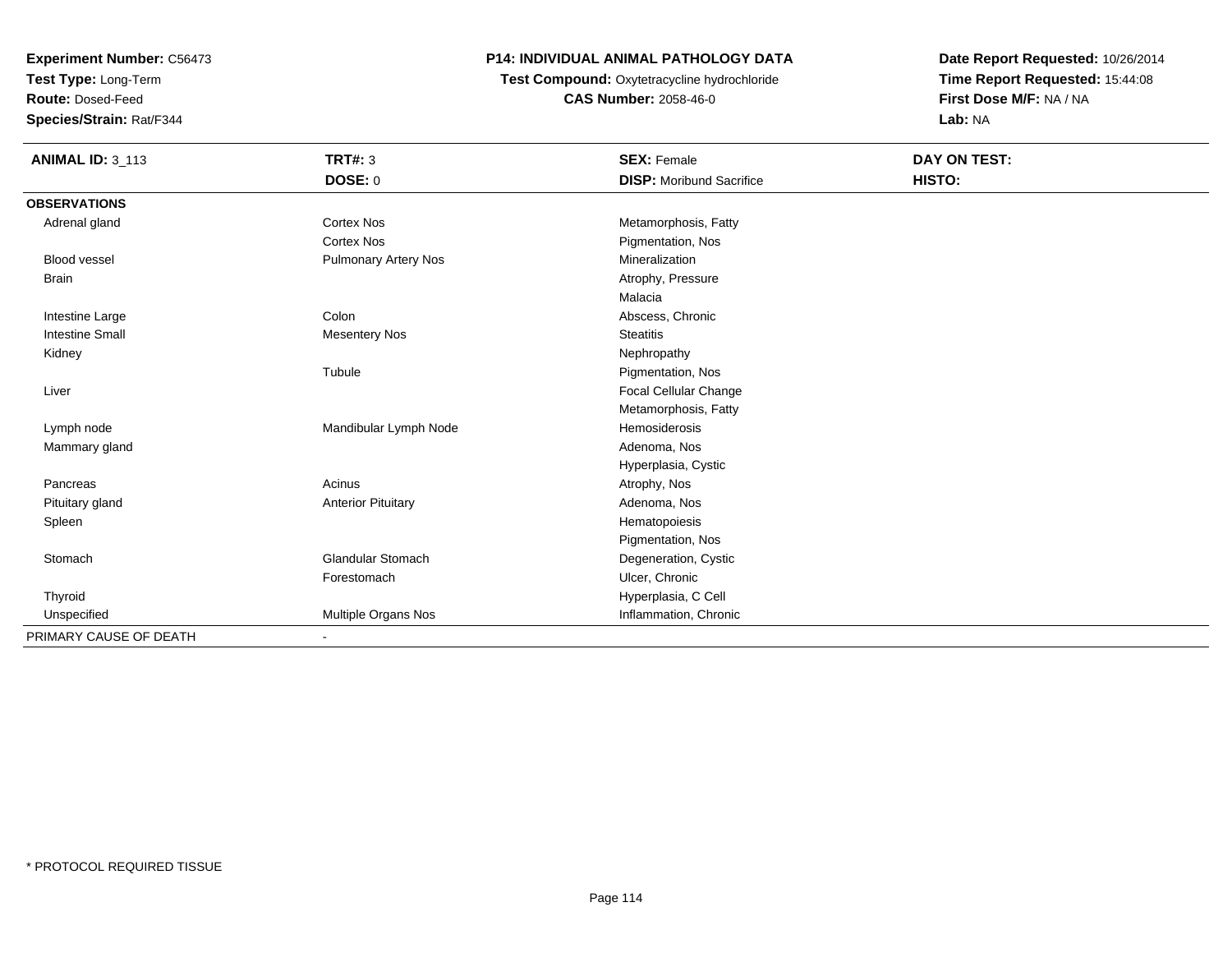**Test Type:** Long-Term

**Route:** Dosed-Feed

**Species/Strain:** Rat/F344

# **P14: INDIVIDUAL ANIMAL PATHOLOGY DATA**

 **Test Compound:** Oxytetracycline hydrochloride**CAS Number:** 2058-46-0

| <b>ANIMAL ID: 3_113</b> | <b>TRT#: 3</b>              | <b>SEX: Female</b>              | <b>DAY ON TEST:</b> |
|-------------------------|-----------------------------|---------------------------------|---------------------|
|                         | DOSE: 0                     | <b>DISP:</b> Moribund Sacrifice | HISTO:              |
| <b>OBSERVATIONS</b>     |                             |                                 |                     |
| Adrenal gland           | Cortex Nos                  | Metamorphosis, Fatty            |                     |
|                         | <b>Cortex Nos</b>           | Pigmentation, Nos               |                     |
| <b>Blood vessel</b>     | <b>Pulmonary Artery Nos</b> | Mineralization                  |                     |
| <b>Brain</b>            |                             | Atrophy, Pressure               |                     |
|                         |                             | Malacia                         |                     |
| Intestine Large         | Colon                       | Abscess, Chronic                |                     |
| <b>Intestine Small</b>  | <b>Mesentery Nos</b>        | <b>Steatitis</b>                |                     |
| Kidney                  |                             | Nephropathy                     |                     |
|                         | Tubule                      | Pigmentation, Nos               |                     |
| Liver                   |                             | Focal Cellular Change           |                     |
|                         |                             | Metamorphosis, Fatty            |                     |
| Lymph node              | Mandibular Lymph Node       | Hemosiderosis                   |                     |
| Mammary gland           |                             | Adenoma, Nos                    |                     |
|                         |                             | Hyperplasia, Cystic             |                     |
| Pancreas                | Acinus                      | Atrophy, Nos                    |                     |
| Pituitary gland         | <b>Anterior Pituitary</b>   | Adenoma, Nos                    |                     |
| Spleen                  |                             | Hematopoiesis                   |                     |
|                         |                             | Pigmentation, Nos               |                     |
| Stomach                 | <b>Glandular Stomach</b>    | Degeneration, Cystic            |                     |
|                         | Forestomach                 | Ulcer, Chronic                  |                     |
| Thyroid                 |                             | Hyperplasia, C Cell             |                     |
| Unspecified             | Multiple Organs Nos         | Inflammation, Chronic           |                     |
| PRIMARY CAUSE OF DEATH  | $\blacksquare$              |                                 |                     |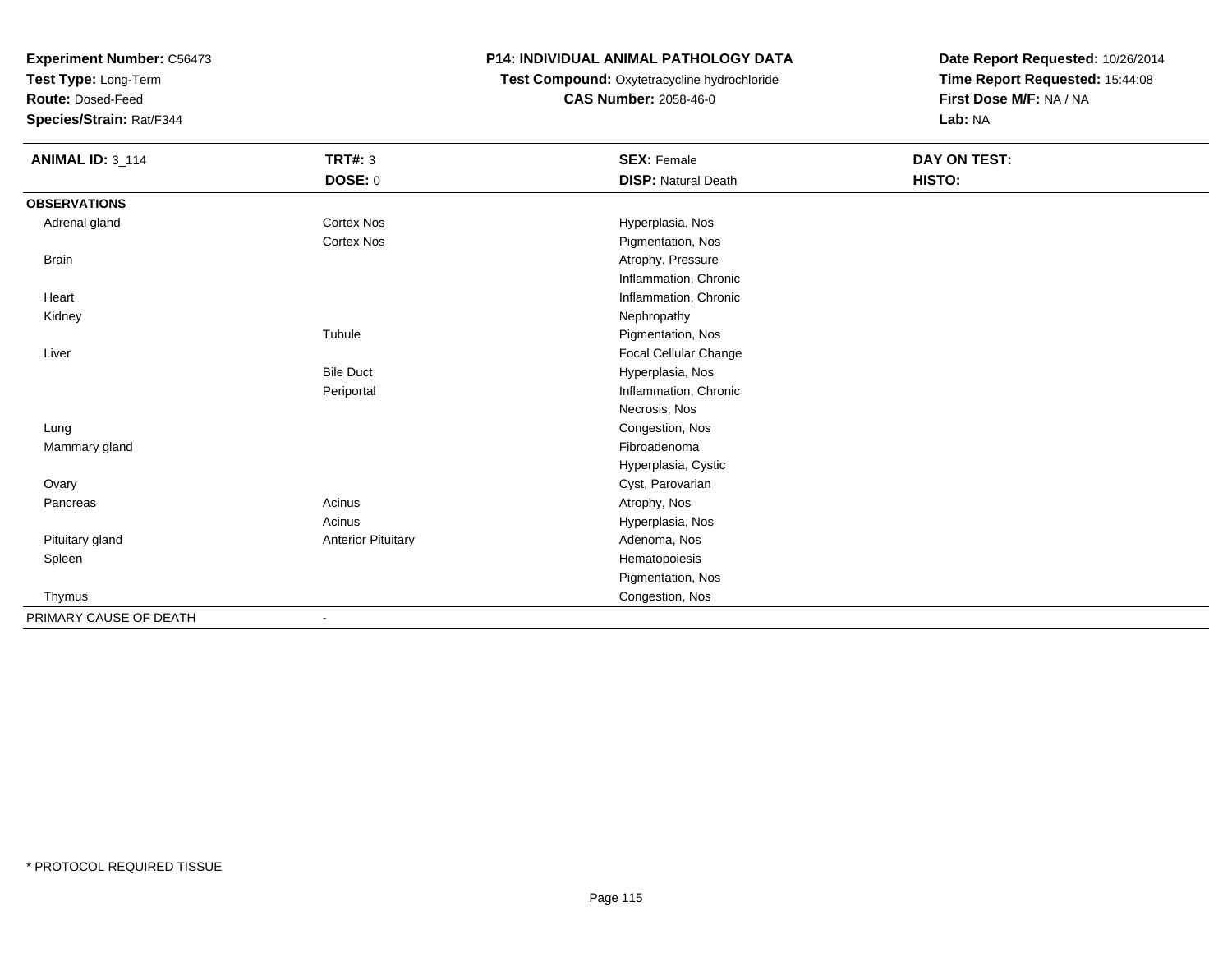**Test Type:** Long-Term

**Route:** Dosed-Feed

**Species/Strain:** Rat/F344

# **P14: INDIVIDUAL ANIMAL PATHOLOGY DATA**

# **Test Compound:** Oxytetracycline hydrochloride**CAS Number:** 2058-46-0

| <b>ANIMAL ID: 3_114</b> | <b>TRT#: 3</b>            | <b>SEX: Female</b>         | DAY ON TEST: |  |
|-------------------------|---------------------------|----------------------------|--------------|--|
|                         | <b>DOSE: 0</b>            | <b>DISP: Natural Death</b> | HISTO:       |  |
| <b>OBSERVATIONS</b>     |                           |                            |              |  |
| Adrenal gland           | <b>Cortex Nos</b>         | Hyperplasia, Nos           |              |  |
|                         | <b>Cortex Nos</b>         | Pigmentation, Nos          |              |  |
| <b>Brain</b>            |                           | Atrophy, Pressure          |              |  |
|                         |                           | Inflammation, Chronic      |              |  |
| Heart                   |                           | Inflammation, Chronic      |              |  |
| Kidney                  |                           | Nephropathy                |              |  |
|                         | Tubule                    | Pigmentation, Nos          |              |  |
| Liver                   |                           | Focal Cellular Change      |              |  |
|                         | <b>Bile Duct</b>          | Hyperplasia, Nos           |              |  |
|                         | Periportal                | Inflammation, Chronic      |              |  |
|                         |                           | Necrosis, Nos              |              |  |
| Lung                    |                           | Congestion, Nos            |              |  |
| Mammary gland           |                           | Fibroadenoma               |              |  |
|                         |                           | Hyperplasia, Cystic        |              |  |
| Ovary                   |                           | Cyst, Parovarian           |              |  |
| Pancreas                | Acinus                    | Atrophy, Nos               |              |  |
|                         | Acinus                    | Hyperplasia, Nos           |              |  |
| Pituitary gland         | <b>Anterior Pituitary</b> | Adenoma, Nos               |              |  |
| Spleen                  |                           | Hematopoiesis              |              |  |
|                         |                           | Pigmentation, Nos          |              |  |
| Thymus                  |                           | Congestion, Nos            |              |  |
| PRIMARY CAUSE OF DEATH  |                           |                            |              |  |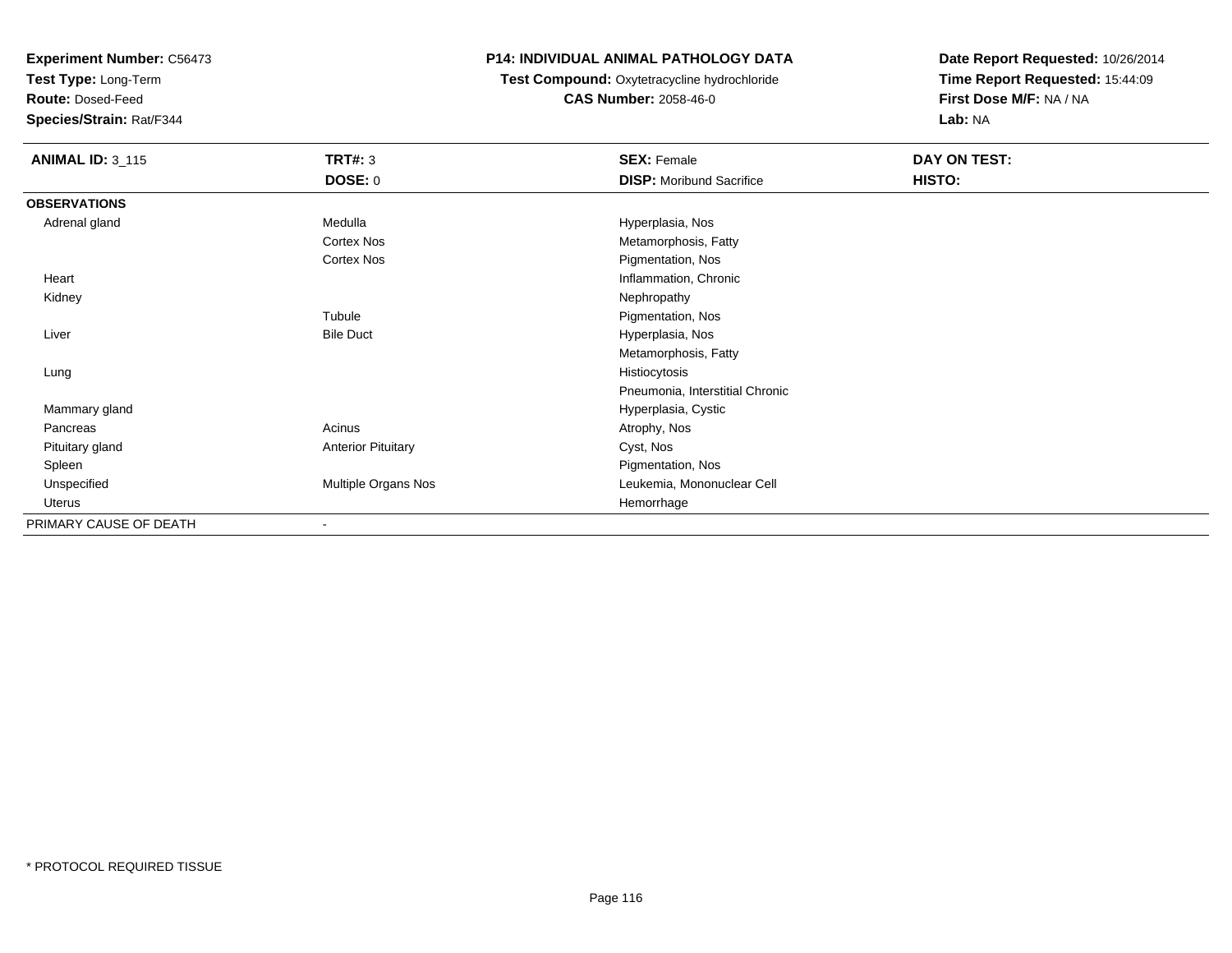**Test Type:** Long-Term

**Route:** Dosed-Feed

**Species/Strain:** Rat/F344

## **P14: INDIVIDUAL ANIMAL PATHOLOGY DATA**

 **Test Compound:** Oxytetracycline hydrochloride**CAS Number:** 2058-46-0

| <b>ANIMAL ID: 3_115</b> | <b>TRT#: 3</b>            | <b>SEX: Female</b>              | DAY ON TEST: |
|-------------------------|---------------------------|---------------------------------|--------------|
|                         | <b>DOSE: 0</b>            | <b>DISP:</b> Moribund Sacrifice | HISTO:       |
| <b>OBSERVATIONS</b>     |                           |                                 |              |
| Adrenal gland           | Medulla                   | Hyperplasia, Nos                |              |
|                         | <b>Cortex Nos</b>         | Metamorphosis, Fatty            |              |
|                         | Cortex Nos                | Pigmentation, Nos               |              |
| Heart                   |                           | Inflammation, Chronic           |              |
| Kidney                  |                           | Nephropathy                     |              |
|                         | Tubule                    | Pigmentation, Nos               |              |
| Liver                   | <b>Bile Duct</b>          | Hyperplasia, Nos                |              |
|                         |                           | Metamorphosis, Fatty            |              |
| Lung                    |                           | Histiocytosis                   |              |
|                         |                           | Pneumonia, Interstitial Chronic |              |
| Mammary gland           |                           | Hyperplasia, Cystic             |              |
| Pancreas                | Acinus                    | Atrophy, Nos                    |              |
| Pituitary gland         | <b>Anterior Pituitary</b> | Cyst, Nos                       |              |
| Spleen                  |                           | Pigmentation, Nos               |              |
| Unspecified             | Multiple Organs Nos       | Leukemia, Mononuclear Cell      |              |
| Uterus                  |                           | Hemorrhage                      |              |
| PRIMARY CAUSE OF DEATH  | $\overline{\phantom{a}}$  |                                 |              |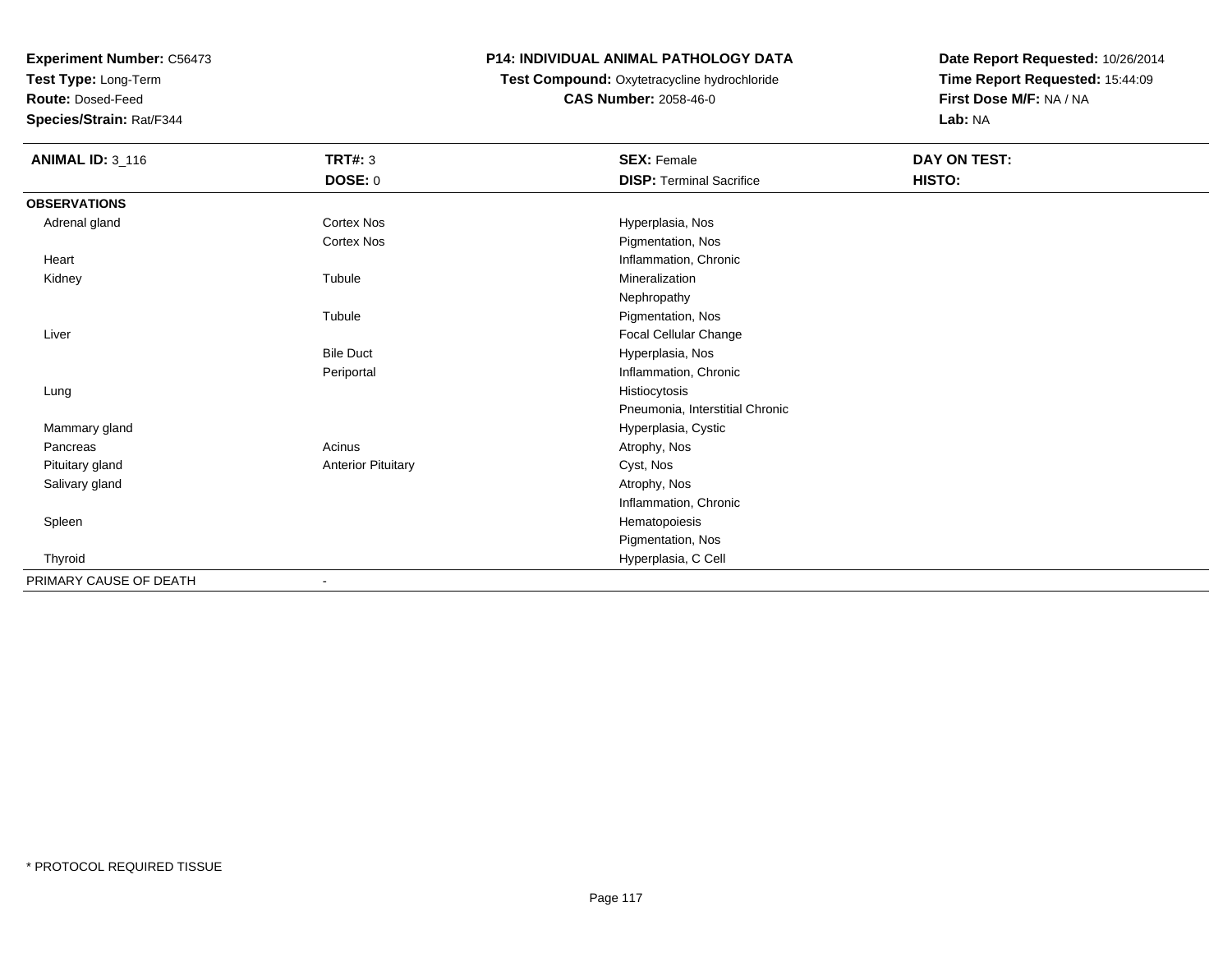**Test Type:** Long-Term

**Route:** Dosed-Feed

**Species/Strain:** Rat/F344

# **P14: INDIVIDUAL ANIMAL PATHOLOGY DATA**

 **Test Compound:** Oxytetracycline hydrochloride**CAS Number:** 2058-46-0

| <b>ANIMAL ID: 3_116</b> | <b>TRT#: 3</b>            | <b>SEX: Female</b>              | DAY ON TEST: |  |
|-------------------------|---------------------------|---------------------------------|--------------|--|
|                         | <b>DOSE: 0</b>            | <b>DISP: Terminal Sacrifice</b> | HISTO:       |  |
| <b>OBSERVATIONS</b>     |                           |                                 |              |  |
| Adrenal gland           | Cortex Nos                | Hyperplasia, Nos                |              |  |
|                         | <b>Cortex Nos</b>         | Pigmentation, Nos               |              |  |
| Heart                   |                           | Inflammation, Chronic           |              |  |
| Kidney                  | Tubule                    | Mineralization                  |              |  |
|                         |                           | Nephropathy                     |              |  |
|                         | Tubule                    | Pigmentation, Nos               |              |  |
| Liver                   |                           | Focal Cellular Change           |              |  |
|                         | <b>Bile Duct</b>          | Hyperplasia, Nos                |              |  |
|                         | Periportal                | Inflammation, Chronic           |              |  |
| Lung                    |                           | Histiocytosis                   |              |  |
|                         |                           | Pneumonia, Interstitial Chronic |              |  |
| Mammary gland           |                           | Hyperplasia, Cystic             |              |  |
| Pancreas                | Acinus                    | Atrophy, Nos                    |              |  |
| Pituitary gland         | <b>Anterior Pituitary</b> | Cyst, Nos                       |              |  |
| Salivary gland          |                           | Atrophy, Nos                    |              |  |
|                         |                           | Inflammation, Chronic           |              |  |
| Spleen                  |                           | Hematopoiesis                   |              |  |
|                         |                           | Pigmentation, Nos               |              |  |
| Thyroid                 |                           | Hyperplasia, C Cell             |              |  |
| PRIMARY CAUSE OF DEATH  | $\overline{\phantom{a}}$  |                                 |              |  |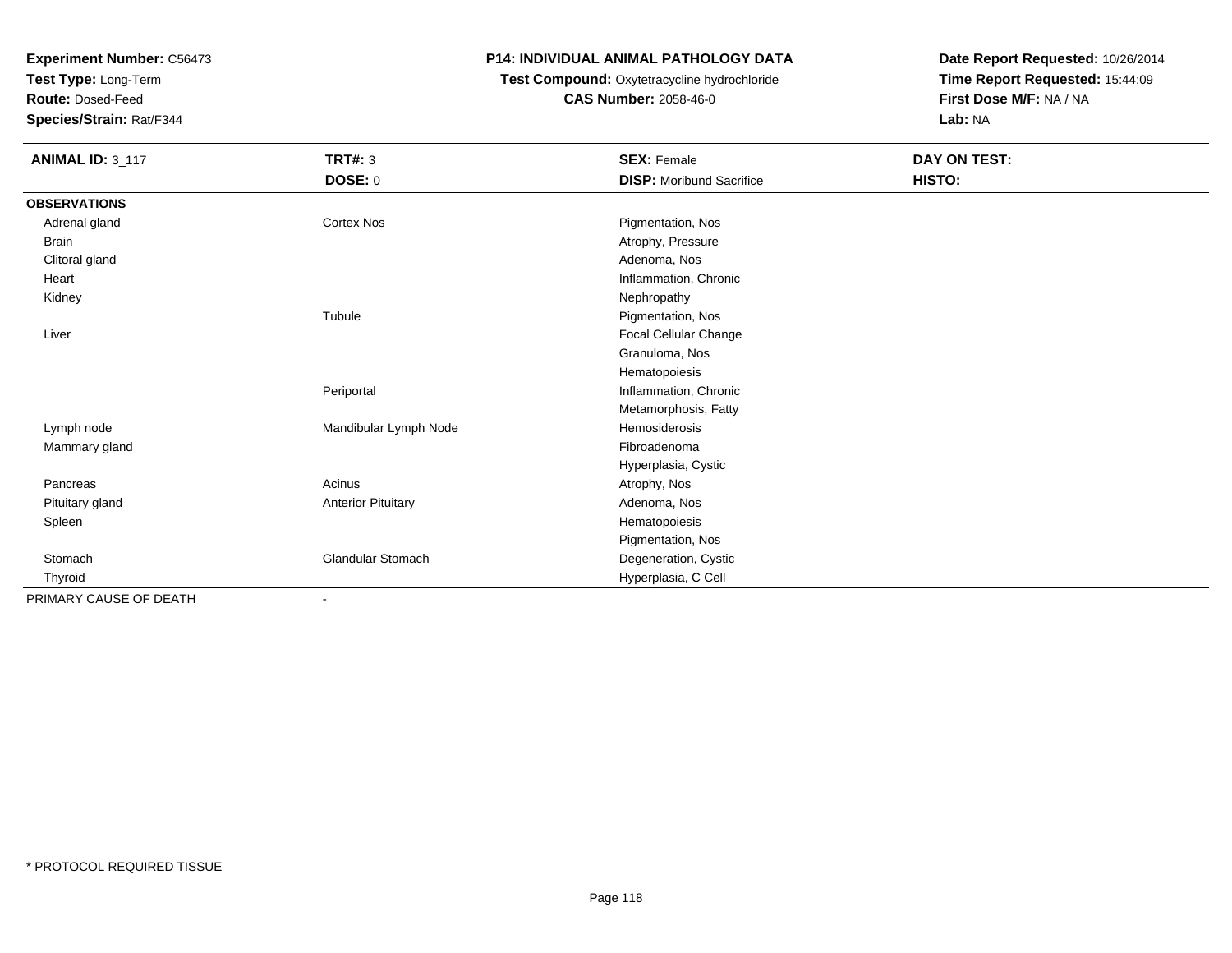**Test Type:** Long-Term

**Route:** Dosed-Feed

**Species/Strain:** Rat/F344

# **P14: INDIVIDUAL ANIMAL PATHOLOGY DATA**

# **Test Compound:** Oxytetracycline hydrochloride**CAS Number:** 2058-46-0

| <b>ANIMAL ID: 3_117</b> | <b>TRT#: 3</b>            | <b>SEX: Female</b>              | DAY ON TEST: |  |
|-------------------------|---------------------------|---------------------------------|--------------|--|
|                         | DOSE: 0                   | <b>DISP:</b> Moribund Sacrifice | HISTO:       |  |
| <b>OBSERVATIONS</b>     |                           |                                 |              |  |
| Adrenal gland           | <b>Cortex Nos</b>         | Pigmentation, Nos               |              |  |
| Brain                   |                           | Atrophy, Pressure               |              |  |
| Clitoral gland          |                           | Adenoma, Nos                    |              |  |
| Heart                   |                           | Inflammation, Chronic           |              |  |
| Kidney                  |                           | Nephropathy                     |              |  |
|                         | Tubule                    | Pigmentation, Nos               |              |  |
| Liver                   |                           | Focal Cellular Change           |              |  |
|                         |                           | Granuloma, Nos                  |              |  |
|                         |                           | Hematopoiesis                   |              |  |
|                         | Periportal                | Inflammation, Chronic           |              |  |
|                         |                           | Metamorphosis, Fatty            |              |  |
| Lymph node              | Mandibular Lymph Node     | Hemosiderosis                   |              |  |
| Mammary gland           |                           | Fibroadenoma                    |              |  |
|                         |                           | Hyperplasia, Cystic             |              |  |
| Pancreas                | Acinus                    | Atrophy, Nos                    |              |  |
| Pituitary gland         | <b>Anterior Pituitary</b> | Adenoma, Nos                    |              |  |
| Spleen                  |                           | Hematopoiesis                   |              |  |
|                         |                           | Pigmentation, Nos               |              |  |
| Stomach                 | <b>Glandular Stomach</b>  | Degeneration, Cystic            |              |  |
| Thyroid                 |                           | Hyperplasia, C Cell             |              |  |
| PRIMARY CAUSE OF DEATH  | $\overline{\phantom{a}}$  |                                 |              |  |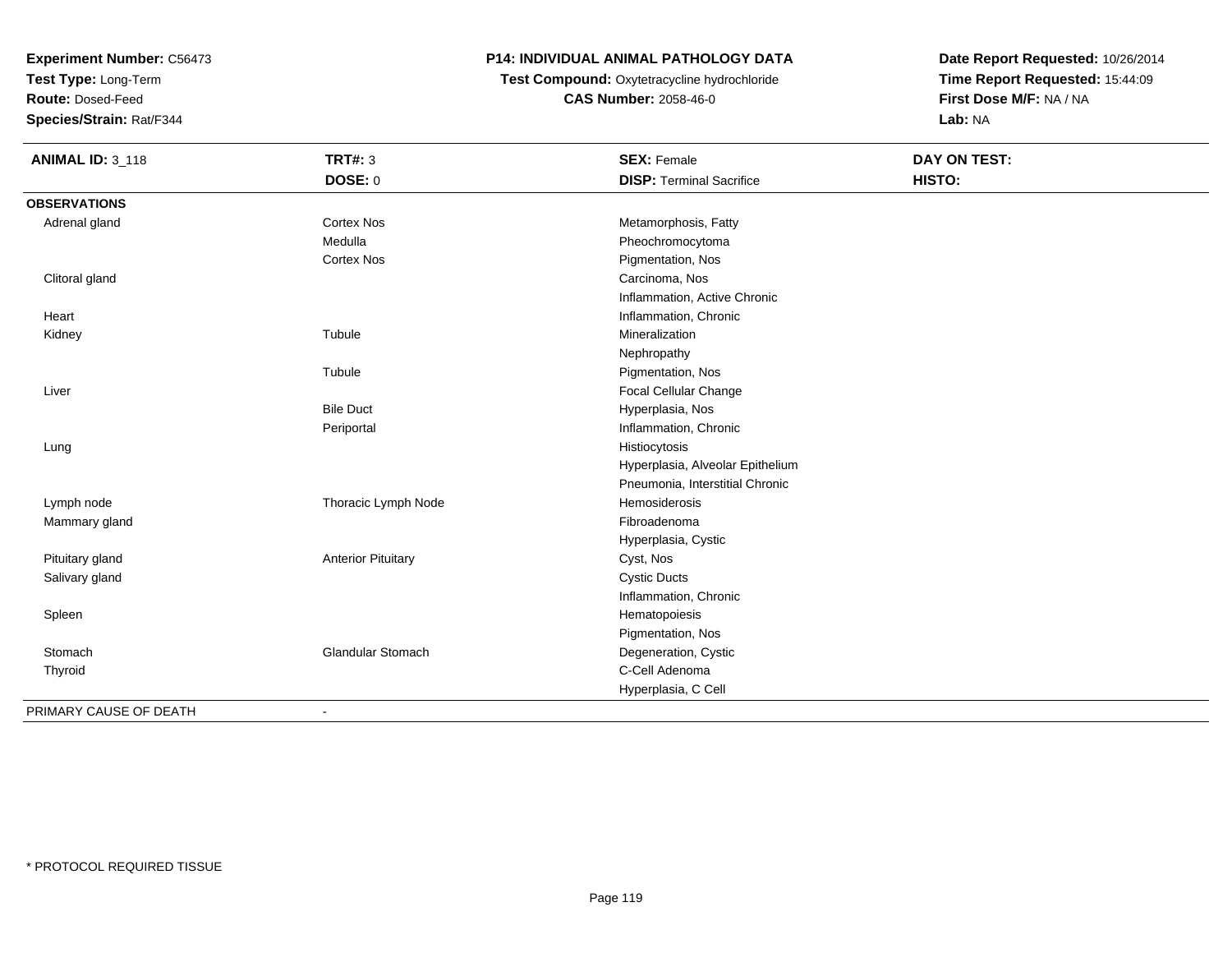**Test Type:** Long-Term

**Route:** Dosed-Feed

**Species/Strain:** Rat/F344

# **P14: INDIVIDUAL ANIMAL PATHOLOGY DATA**

**Test Compound:** Oxytetracycline hydrochloride**CAS Number:** 2058-46-0

| <b>ANIMAL ID: 3_118</b> | <b>TRT#: 3</b>            | <b>SEX: Female</b>               | DAY ON TEST: |  |
|-------------------------|---------------------------|----------------------------------|--------------|--|
|                         | DOSE: 0                   | <b>DISP: Terminal Sacrifice</b>  | HISTO:       |  |
| <b>OBSERVATIONS</b>     |                           |                                  |              |  |
| Adrenal gland           | <b>Cortex Nos</b>         | Metamorphosis, Fatty             |              |  |
|                         | Medulla                   | Pheochromocytoma                 |              |  |
|                         | <b>Cortex Nos</b>         | Pigmentation, Nos                |              |  |
| Clitoral gland          |                           | Carcinoma, Nos                   |              |  |
|                         |                           | Inflammation, Active Chronic     |              |  |
| Heart                   |                           | Inflammation, Chronic            |              |  |
| Kidney                  | Tubule                    | Mineralization                   |              |  |
|                         |                           | Nephropathy                      |              |  |
|                         | Tubule                    | Pigmentation, Nos                |              |  |
| Liver                   |                           | Focal Cellular Change            |              |  |
|                         | <b>Bile Duct</b>          | Hyperplasia, Nos                 |              |  |
|                         | Periportal                | Inflammation, Chronic            |              |  |
| Lung                    |                           | Histiocytosis                    |              |  |
|                         |                           | Hyperplasia, Alveolar Epithelium |              |  |
|                         |                           | Pneumonia, Interstitial Chronic  |              |  |
| Lymph node              | Thoracic Lymph Node       | Hemosiderosis                    |              |  |
| Mammary gland           |                           | Fibroadenoma                     |              |  |
|                         |                           | Hyperplasia, Cystic              |              |  |
| Pituitary gland         | <b>Anterior Pituitary</b> | Cyst, Nos                        |              |  |
| Salivary gland          |                           | <b>Cystic Ducts</b>              |              |  |
|                         |                           | Inflammation, Chronic            |              |  |
| Spleen                  |                           | Hematopoiesis                    |              |  |
|                         |                           | Pigmentation, Nos                |              |  |
| Stomach                 | <b>Glandular Stomach</b>  | Degeneration, Cystic             |              |  |
| Thyroid                 |                           | C-Cell Adenoma                   |              |  |
|                         |                           | Hyperplasia, C Cell              |              |  |
| PRIMARY CAUSE OF DEATH  |                           |                                  |              |  |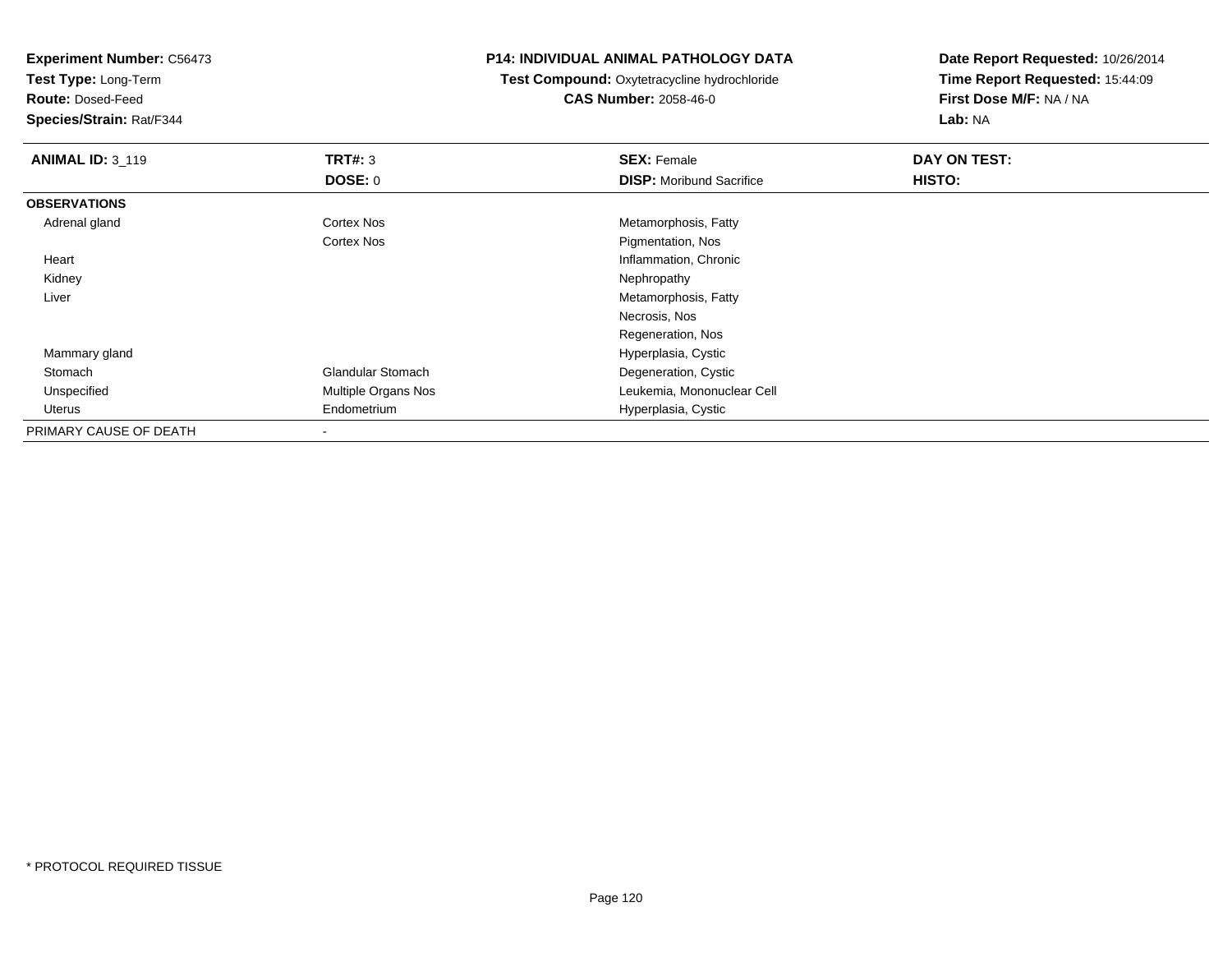**Test Type:** Long-Term

**Route:** Dosed-Feed

**Species/Strain:** Rat/F344

#### **P14: INDIVIDUAL ANIMAL PATHOLOGY DATA**

 **Test Compound:** Oxytetracycline hydrochloride**CAS Number:** 2058-46-0

| <b>ANIMAL ID: 3_119</b> | TRT#: 3                    | <b>SEX: Female</b>              | DAY ON TEST: |  |
|-------------------------|----------------------------|---------------------------------|--------------|--|
|                         | <b>DOSE: 0</b>             | <b>DISP:</b> Moribund Sacrifice | HISTO:       |  |
| <b>OBSERVATIONS</b>     |                            |                                 |              |  |
| Adrenal gland           | <b>Cortex Nos</b>          | Metamorphosis, Fatty            |              |  |
|                         | Cortex Nos                 | Pigmentation, Nos               |              |  |
| Heart                   |                            | Inflammation, Chronic           |              |  |
| Kidney                  |                            | Nephropathy                     |              |  |
| Liver                   |                            | Metamorphosis, Fatty            |              |  |
|                         |                            | Necrosis, Nos                   |              |  |
|                         |                            | Regeneration, Nos               |              |  |
| Mammary gland           |                            | Hyperplasia, Cystic             |              |  |
| Stomach                 | <b>Glandular Stomach</b>   | Degeneration, Cystic            |              |  |
| Unspecified             | <b>Multiple Organs Nos</b> | Leukemia, Mononuclear Cell      |              |  |
| Uterus                  | Endometrium                | Hyperplasia, Cystic             |              |  |
| PRIMARY CAUSE OF DEATH  |                            |                                 |              |  |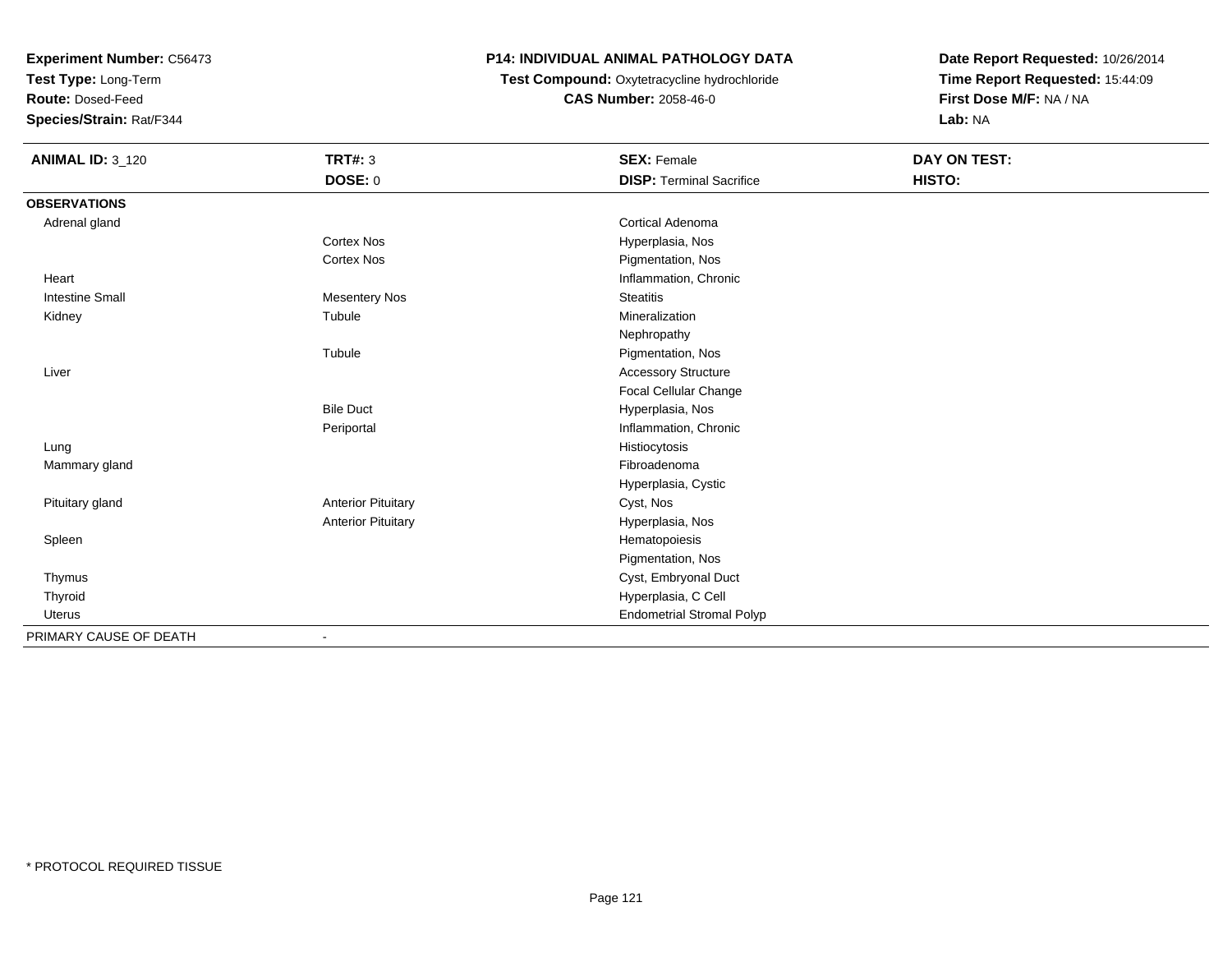**Test Type:** Long-Term

**Route:** Dosed-Feed

**Species/Strain:** Rat/F344

# **P14: INDIVIDUAL ANIMAL PATHOLOGY DATA**

 **Test Compound:** Oxytetracycline hydrochloride**CAS Number:** 2058-46-0

| <b>ANIMAL ID: 3_120</b> | <b>TRT#: 3</b>            | <b>SEX: Female</b>               | <b>DAY ON TEST:</b> |  |
|-------------------------|---------------------------|----------------------------------|---------------------|--|
|                         | DOSE: 0                   | <b>DISP: Terminal Sacrifice</b>  | HISTO:              |  |
| <b>OBSERVATIONS</b>     |                           |                                  |                     |  |
| Adrenal gland           |                           | Cortical Adenoma                 |                     |  |
|                         | <b>Cortex Nos</b>         | Hyperplasia, Nos                 |                     |  |
|                         | <b>Cortex Nos</b>         | Pigmentation, Nos                |                     |  |
| Heart                   |                           | Inflammation, Chronic            |                     |  |
| <b>Intestine Small</b>  | <b>Mesentery Nos</b>      | <b>Steatitis</b>                 |                     |  |
| Kidney                  | Tubule                    | Mineralization                   |                     |  |
|                         |                           | Nephropathy                      |                     |  |
|                         | Tubule                    | Pigmentation, Nos                |                     |  |
| Liver                   |                           | <b>Accessory Structure</b>       |                     |  |
|                         |                           | <b>Focal Cellular Change</b>     |                     |  |
|                         | <b>Bile Duct</b>          | Hyperplasia, Nos                 |                     |  |
|                         | Periportal                | Inflammation, Chronic            |                     |  |
| Lung                    |                           | Histiocytosis                    |                     |  |
| Mammary gland           |                           | Fibroadenoma                     |                     |  |
|                         |                           | Hyperplasia, Cystic              |                     |  |
| Pituitary gland         | <b>Anterior Pituitary</b> | Cyst, Nos                        |                     |  |
|                         | <b>Anterior Pituitary</b> | Hyperplasia, Nos                 |                     |  |
| Spleen                  |                           | Hematopoiesis                    |                     |  |
|                         |                           | Pigmentation, Nos                |                     |  |
| Thymus                  |                           | Cyst, Embryonal Duct             |                     |  |
| Thyroid                 |                           | Hyperplasia, C Cell              |                     |  |
| Uterus                  |                           | <b>Endometrial Stromal Polyp</b> |                     |  |
| PRIMARY CAUSE OF DEATH  | $\blacksquare$            |                                  |                     |  |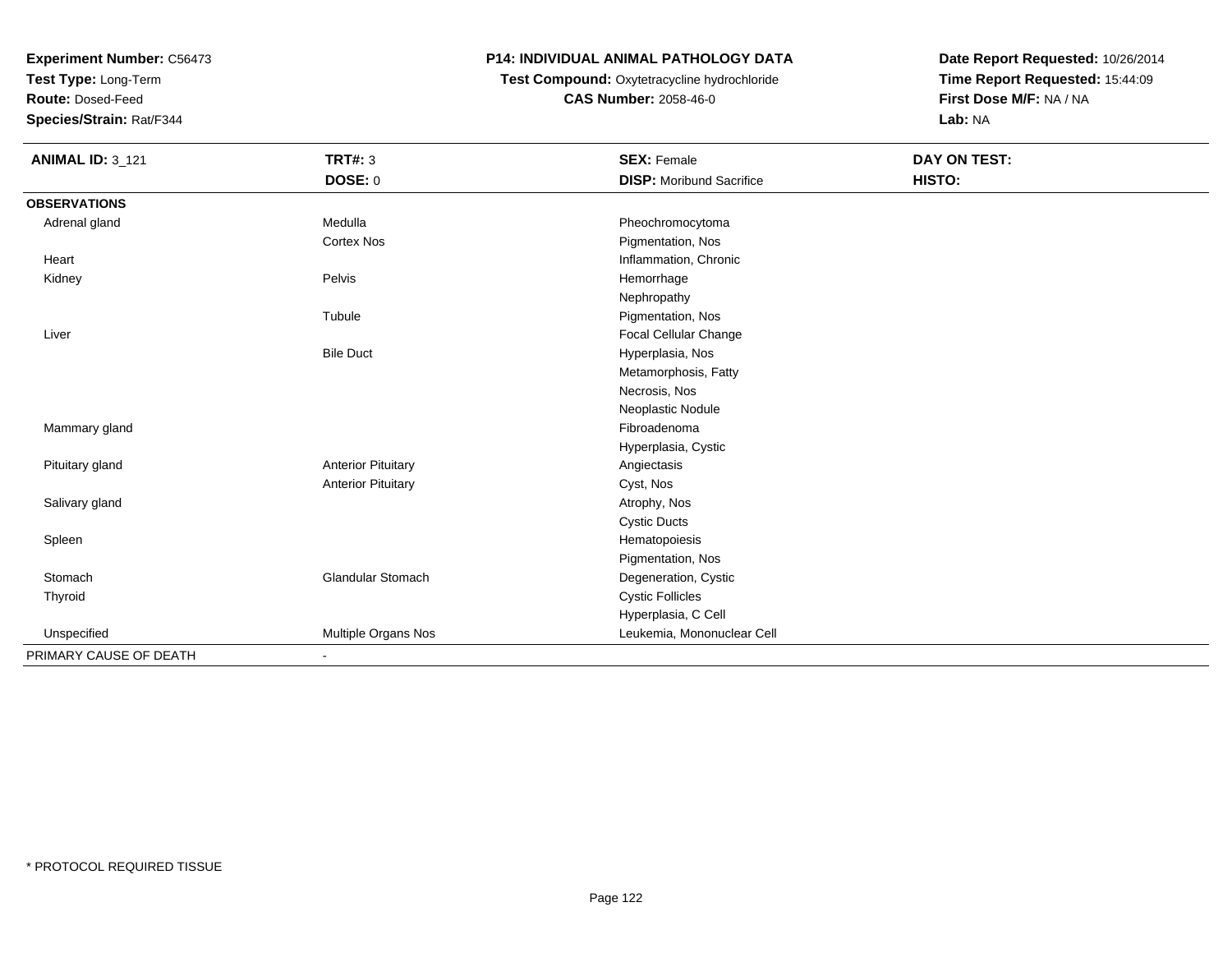**Test Type:** Long-Term

**Route:** Dosed-Feed

**Species/Strain:** Rat/F344

# **P14: INDIVIDUAL ANIMAL PATHOLOGY DATA**

**Test Compound:** Oxytetracycline hydrochloride**CAS Number:** 2058-46-0

| <b>ANIMAL ID: 3_121</b> | <b>TRT#: 3</b>            | <b>SEX: Female</b>              | <b>DAY ON TEST:</b> |  |
|-------------------------|---------------------------|---------------------------------|---------------------|--|
|                         | DOSE: 0                   | <b>DISP:</b> Moribund Sacrifice | HISTO:              |  |
| <b>OBSERVATIONS</b>     |                           |                                 |                     |  |
| Adrenal gland           | Medulla                   | Pheochromocytoma                |                     |  |
|                         | <b>Cortex Nos</b>         | Pigmentation, Nos               |                     |  |
| Heart                   |                           | Inflammation, Chronic           |                     |  |
| Kidney                  | Pelvis                    | Hemorrhage                      |                     |  |
|                         |                           | Nephropathy                     |                     |  |
|                         | Tubule                    | Pigmentation, Nos               |                     |  |
| Liver                   |                           | Focal Cellular Change           |                     |  |
|                         | <b>Bile Duct</b>          | Hyperplasia, Nos                |                     |  |
|                         |                           | Metamorphosis, Fatty            |                     |  |
|                         |                           | Necrosis, Nos                   |                     |  |
|                         |                           | Neoplastic Nodule               |                     |  |
| Mammary gland           |                           | Fibroadenoma                    |                     |  |
|                         |                           | Hyperplasia, Cystic             |                     |  |
| Pituitary gland         | <b>Anterior Pituitary</b> | Angiectasis                     |                     |  |
|                         | <b>Anterior Pituitary</b> | Cyst, Nos                       |                     |  |
| Salivary gland          |                           | Atrophy, Nos                    |                     |  |
|                         |                           | <b>Cystic Ducts</b>             |                     |  |
| Spleen                  |                           | Hematopoiesis                   |                     |  |
|                         |                           | Pigmentation, Nos               |                     |  |
| Stomach                 | Glandular Stomach         | Degeneration, Cystic            |                     |  |
| Thyroid                 |                           | <b>Cystic Follicles</b>         |                     |  |
|                         |                           | Hyperplasia, C Cell             |                     |  |
| Unspecified             | Multiple Organs Nos       | Leukemia, Mononuclear Cell      |                     |  |
| PRIMARY CAUSE OF DEATH  | ٠                         |                                 |                     |  |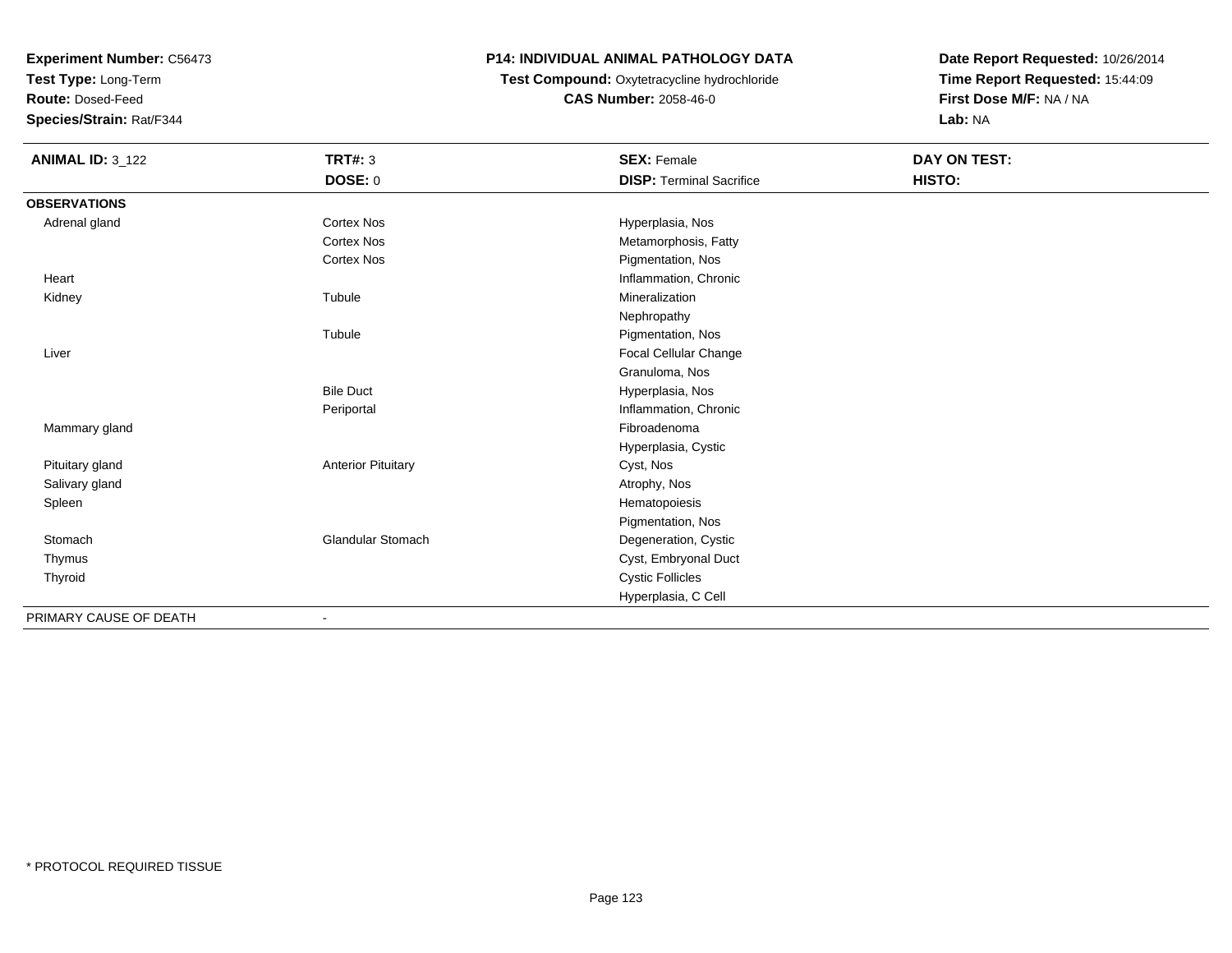**Test Type:** Long-Term

**Route:** Dosed-Feed

**Species/Strain:** Rat/F344

# **P14: INDIVIDUAL ANIMAL PATHOLOGY DATA**

# **Test Compound:** Oxytetracycline hydrochloride**CAS Number:** 2058-46-0

| <b>ANIMAL ID: 3_122</b> | <b>TRT#: 3</b>            | <b>SEX: Female</b>              | DAY ON TEST: |  |
|-------------------------|---------------------------|---------------------------------|--------------|--|
|                         | <b>DOSE: 0</b>            | <b>DISP: Terminal Sacrifice</b> | HISTO:       |  |
| <b>OBSERVATIONS</b>     |                           |                                 |              |  |
| Adrenal gland           | <b>Cortex Nos</b>         | Hyperplasia, Nos                |              |  |
|                         | <b>Cortex Nos</b>         | Metamorphosis, Fatty            |              |  |
|                         | <b>Cortex Nos</b>         | Pigmentation, Nos               |              |  |
| Heart                   |                           | Inflammation, Chronic           |              |  |
| Kidney                  | Tubule                    | Mineralization                  |              |  |
|                         |                           | Nephropathy                     |              |  |
|                         | Tubule                    | Pigmentation, Nos               |              |  |
| Liver                   |                           | <b>Focal Cellular Change</b>    |              |  |
|                         |                           | Granuloma, Nos                  |              |  |
|                         | <b>Bile Duct</b>          | Hyperplasia, Nos                |              |  |
|                         | Periportal                | Inflammation, Chronic           |              |  |
| Mammary gland           |                           | Fibroadenoma                    |              |  |
|                         |                           | Hyperplasia, Cystic             |              |  |
| Pituitary gland         | <b>Anterior Pituitary</b> | Cyst, Nos                       |              |  |
| Salivary gland          |                           | Atrophy, Nos                    |              |  |
| Spleen                  |                           | Hematopoiesis                   |              |  |
|                         |                           | Pigmentation, Nos               |              |  |
| Stomach                 | Glandular Stomach         | Degeneration, Cystic            |              |  |
| Thymus                  |                           | Cyst, Embryonal Duct            |              |  |
| Thyroid                 |                           | <b>Cystic Follicles</b>         |              |  |
|                         |                           | Hyperplasia, C Cell             |              |  |
| PRIMARY CAUSE OF DEATH  | $\overline{\phantom{a}}$  |                                 |              |  |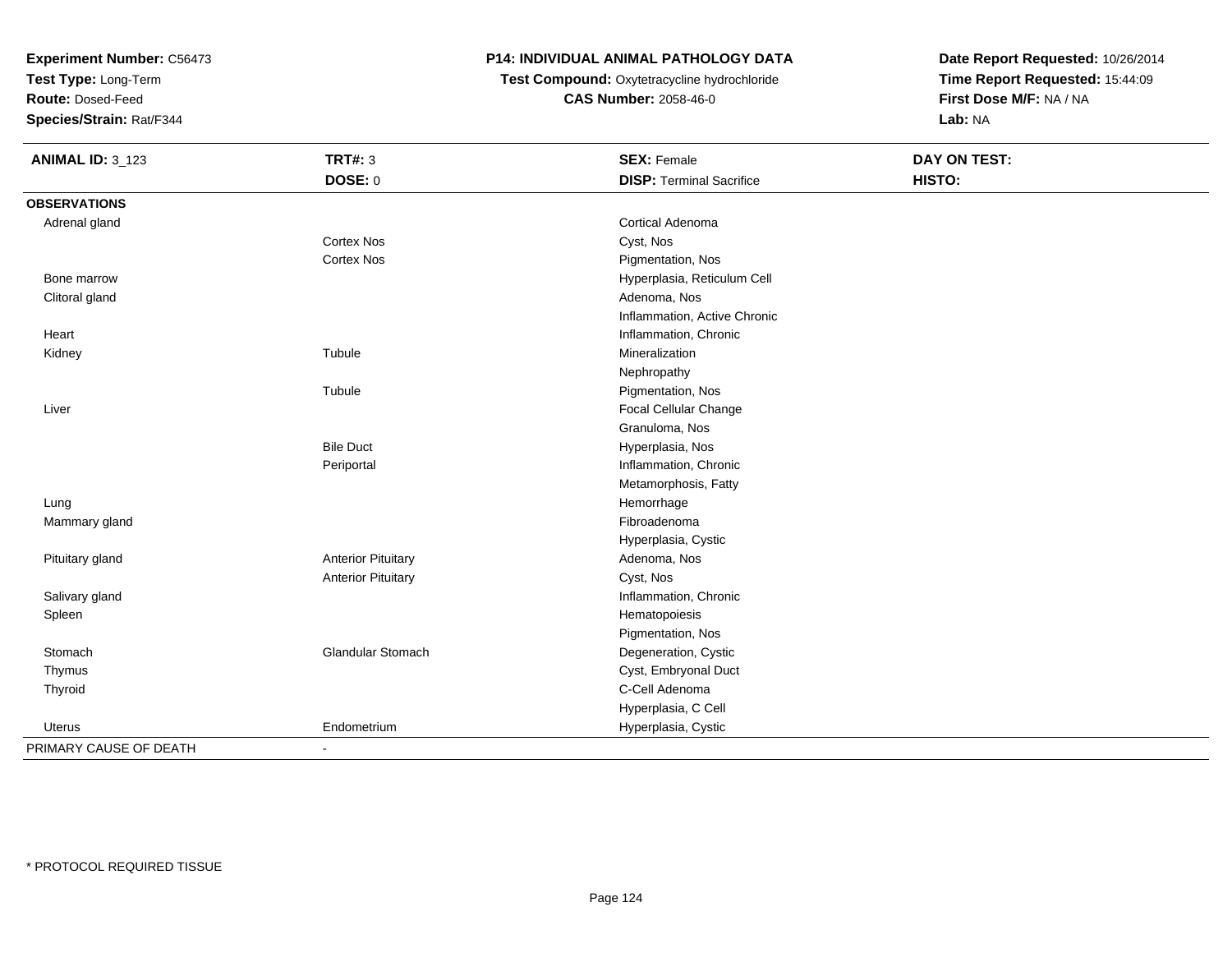**Test Type:** Long-Term

**Route:** Dosed-Feed

**Species/Strain:** Rat/F344

# **P14: INDIVIDUAL ANIMAL PATHOLOGY DATA**

 **Test Compound:** Oxytetracycline hydrochloride**CAS Number:** 2058-46-0

| <b>ANIMAL ID: 3_123</b> | <b>TRT#: 3</b>            | <b>SEX: Female</b>              | <b>DAY ON TEST:</b> |  |
|-------------------------|---------------------------|---------------------------------|---------------------|--|
|                         | <b>DOSE: 0</b>            | <b>DISP: Terminal Sacrifice</b> | HISTO:              |  |
| <b>OBSERVATIONS</b>     |                           |                                 |                     |  |
| Adrenal gland           |                           | <b>Cortical Adenoma</b>         |                     |  |
|                         | Cortex Nos                | Cyst, Nos                       |                     |  |
|                         | Cortex Nos                | Pigmentation, Nos               |                     |  |
| Bone marrow             |                           | Hyperplasia, Reticulum Cell     |                     |  |
| Clitoral gland          |                           | Adenoma, Nos                    |                     |  |
|                         |                           | Inflammation, Active Chronic    |                     |  |
| Heart                   |                           | Inflammation, Chronic           |                     |  |
| Kidney                  | Tubule                    | Mineralization                  |                     |  |
|                         |                           | Nephropathy                     |                     |  |
|                         | Tubule                    | Pigmentation, Nos               |                     |  |
| Liver                   |                           | Focal Cellular Change           |                     |  |
|                         |                           | Granuloma, Nos                  |                     |  |
|                         | <b>Bile Duct</b>          | Hyperplasia, Nos                |                     |  |
|                         | Periportal                | Inflammation, Chronic           |                     |  |
|                         |                           | Metamorphosis, Fatty            |                     |  |
| Lung                    |                           | Hemorrhage                      |                     |  |
| Mammary gland           |                           | Fibroadenoma                    |                     |  |
|                         |                           | Hyperplasia, Cystic             |                     |  |
| Pituitary gland         | <b>Anterior Pituitary</b> | Adenoma, Nos                    |                     |  |
|                         | <b>Anterior Pituitary</b> | Cyst, Nos                       |                     |  |
| Salivary gland          |                           | Inflammation, Chronic           |                     |  |
| Spleen                  |                           | Hematopoiesis                   |                     |  |
|                         |                           | Pigmentation, Nos               |                     |  |
| Stomach                 | <b>Glandular Stomach</b>  | Degeneration, Cystic            |                     |  |
| Thymus                  |                           | Cyst, Embryonal Duct            |                     |  |
| Thyroid                 |                           | C-Cell Adenoma                  |                     |  |
|                         |                           | Hyperplasia, C Cell             |                     |  |
| Uterus                  | Endometrium               | Hyperplasia, Cystic             |                     |  |
| PRIMARY CAUSE OF DEATH  | $\blacksquare$            |                                 |                     |  |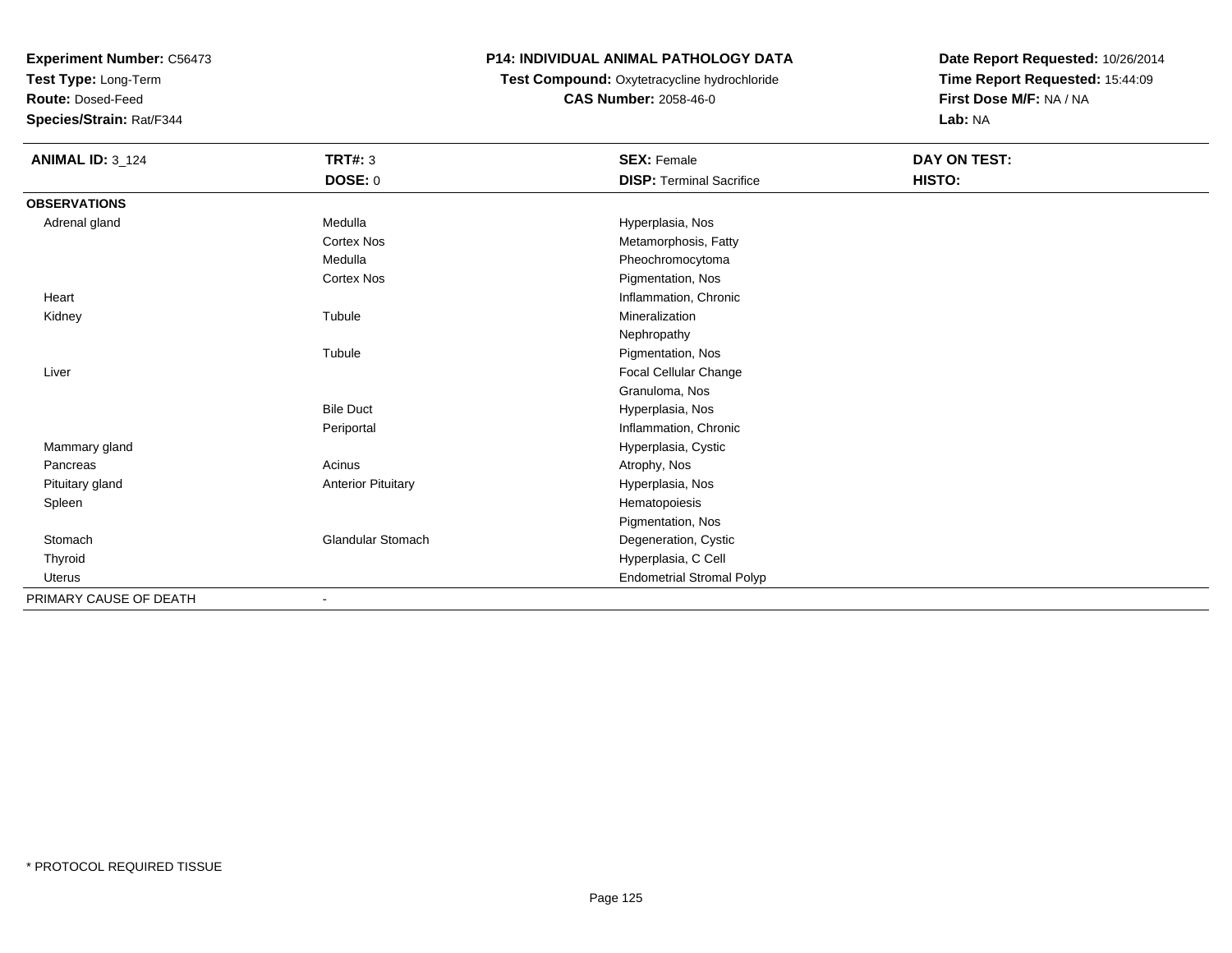**Test Type:** Long-Term

**Route:** Dosed-Feed

**Species/Strain:** Rat/F344

# **P14: INDIVIDUAL ANIMAL PATHOLOGY DATA**

 **Test Compound:** Oxytetracycline hydrochloride**CAS Number:** 2058-46-0

| <b>ANIMAL ID: 3_124</b> | <b>TRT#: 3</b>            | <b>SEX: Female</b>               | DAY ON TEST: |  |
|-------------------------|---------------------------|----------------------------------|--------------|--|
|                         | DOSE: 0                   | <b>DISP: Terminal Sacrifice</b>  | HISTO:       |  |
| <b>OBSERVATIONS</b>     |                           |                                  |              |  |
| Adrenal gland           | Medulla                   | Hyperplasia, Nos                 |              |  |
|                         | Cortex Nos                | Metamorphosis, Fatty             |              |  |
|                         | Medulla                   | Pheochromocytoma                 |              |  |
|                         | <b>Cortex Nos</b>         | Pigmentation, Nos                |              |  |
| Heart                   |                           | Inflammation, Chronic            |              |  |
| Kidney                  | Tubule                    | Mineralization                   |              |  |
|                         |                           | Nephropathy                      |              |  |
|                         | Tubule                    | Pigmentation, Nos                |              |  |
| Liver                   |                           | Focal Cellular Change            |              |  |
|                         |                           | Granuloma, Nos                   |              |  |
|                         | <b>Bile Duct</b>          | Hyperplasia, Nos                 |              |  |
|                         | Periportal                | Inflammation, Chronic            |              |  |
| Mammary gland           |                           | Hyperplasia, Cystic              |              |  |
| Pancreas                | Acinus                    | Atrophy, Nos                     |              |  |
| Pituitary gland         | <b>Anterior Pituitary</b> | Hyperplasia, Nos                 |              |  |
| Spleen                  |                           | Hematopoiesis                    |              |  |
|                         |                           | Pigmentation, Nos                |              |  |
| Stomach                 | <b>Glandular Stomach</b>  | Degeneration, Cystic             |              |  |
| Thyroid                 |                           | Hyperplasia, C Cell              |              |  |
| <b>Uterus</b>           |                           | <b>Endometrial Stromal Polyp</b> |              |  |
| PRIMARY CAUSE OF DEATH  | $\blacksquare$            |                                  |              |  |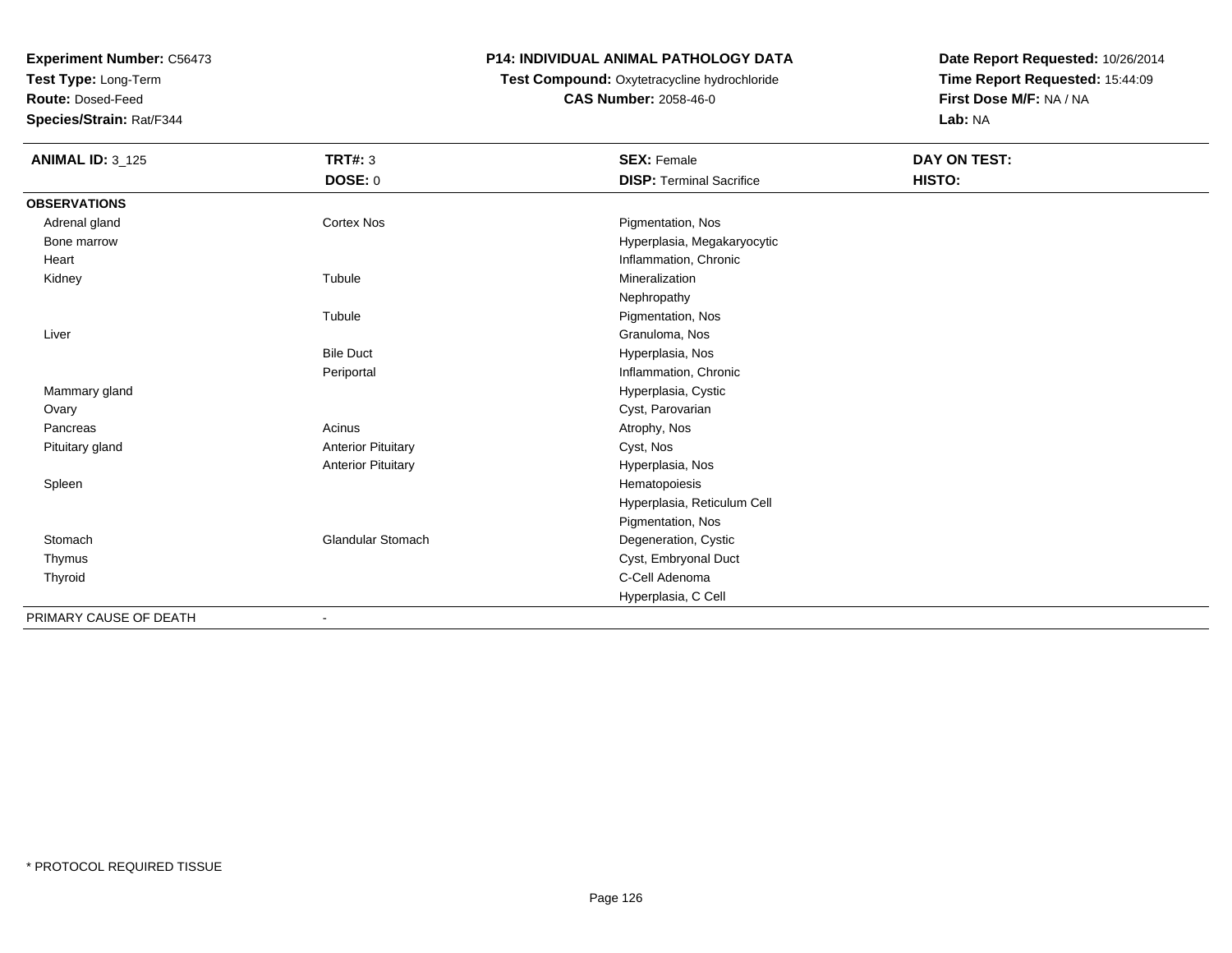**Test Type:** Long-Term

**Route:** Dosed-Feed

**Species/Strain:** Rat/F344

# **P14: INDIVIDUAL ANIMAL PATHOLOGY DATA**

# **Test Compound:** Oxytetracycline hydrochloride**CAS Number:** 2058-46-0

| <b>ANIMAL ID: 3_125</b> | <b>TRT#: 3</b>            | <b>SEX: Female</b>              | <b>DAY ON TEST:</b> |  |
|-------------------------|---------------------------|---------------------------------|---------------------|--|
|                         | DOSE: 0                   | <b>DISP: Terminal Sacrifice</b> | HISTO:              |  |
| <b>OBSERVATIONS</b>     |                           |                                 |                     |  |
| Adrenal gland           | <b>Cortex Nos</b>         | Pigmentation, Nos               |                     |  |
| Bone marrow             |                           | Hyperplasia, Megakaryocytic     |                     |  |
| Heart                   |                           | Inflammation, Chronic           |                     |  |
| Kidney                  | Tubule                    | Mineralization                  |                     |  |
|                         |                           | Nephropathy                     |                     |  |
|                         | Tubule                    | Pigmentation, Nos               |                     |  |
| Liver                   |                           | Granuloma, Nos                  |                     |  |
|                         | <b>Bile Duct</b>          | Hyperplasia, Nos                |                     |  |
|                         | Periportal                | Inflammation, Chronic           |                     |  |
| Mammary gland           |                           | Hyperplasia, Cystic             |                     |  |
| Ovary                   |                           | Cyst, Parovarian                |                     |  |
| Pancreas                | Acinus                    | Atrophy, Nos                    |                     |  |
| Pituitary gland         | <b>Anterior Pituitary</b> | Cyst, Nos                       |                     |  |
|                         | <b>Anterior Pituitary</b> | Hyperplasia, Nos                |                     |  |
| Spleen                  |                           | Hematopoiesis                   |                     |  |
|                         |                           | Hyperplasia, Reticulum Cell     |                     |  |
|                         |                           | Pigmentation, Nos               |                     |  |
| Stomach                 | <b>Glandular Stomach</b>  | Degeneration, Cystic            |                     |  |
| Thymus                  |                           | Cyst, Embryonal Duct            |                     |  |
| Thyroid                 |                           | C-Cell Adenoma                  |                     |  |
|                         |                           | Hyperplasia, C Cell             |                     |  |
| PRIMARY CAUSE OF DEATH  | $\blacksquare$            |                                 |                     |  |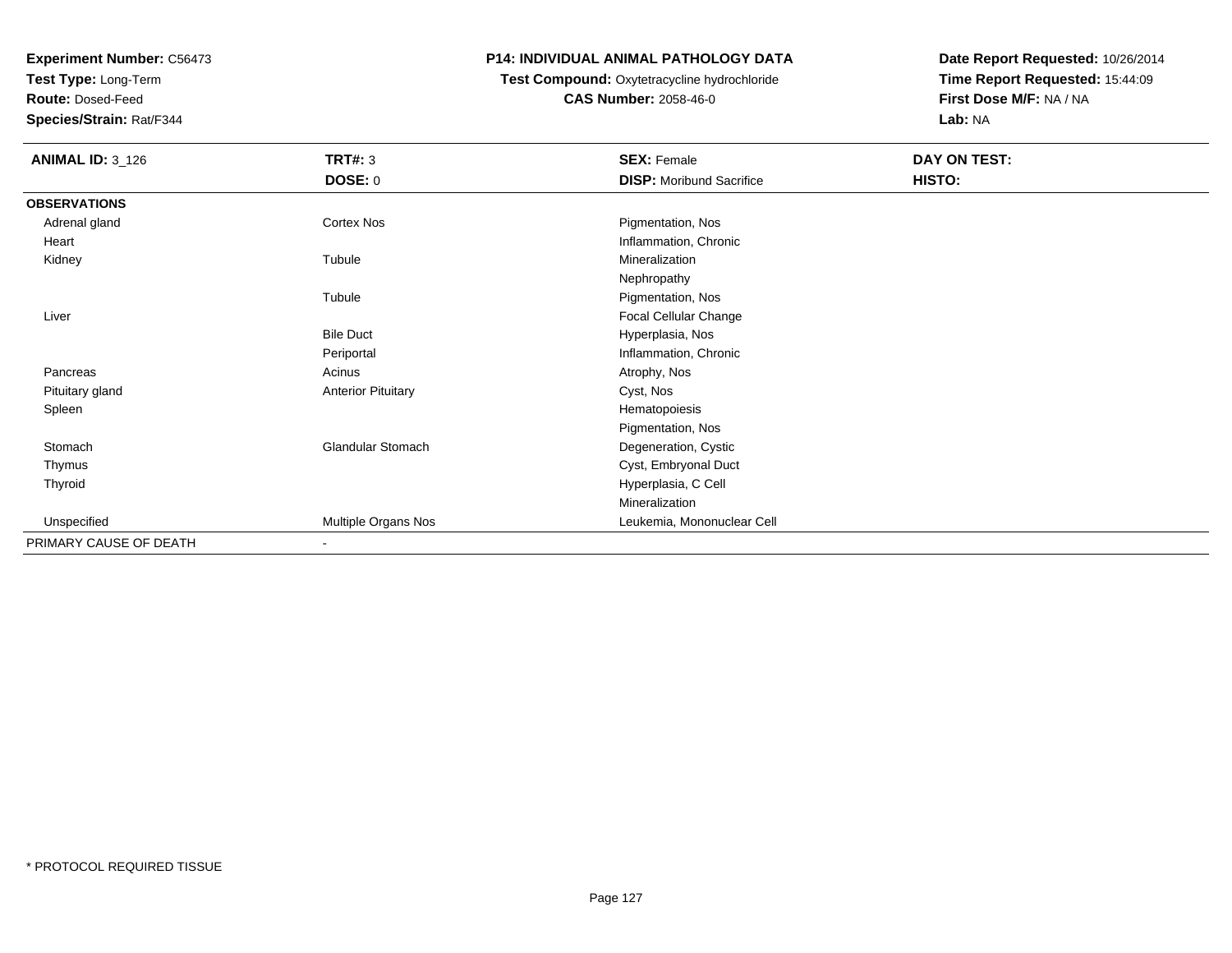**Test Type:** Long-Term

**Route:** Dosed-Feed

**Species/Strain:** Rat/F344

### **P14: INDIVIDUAL ANIMAL PATHOLOGY DATA**

**Test Compound:** Oxytetracycline hydrochloride**CAS Number:** 2058-46-0

| <b>ANIMAL ID: 3_126</b> | <b>TRT#: 3</b>            | <b>SEX: Female</b>              | DAY ON TEST: |
|-------------------------|---------------------------|---------------------------------|--------------|
|                         | <b>DOSE: 0</b>            | <b>DISP:</b> Moribund Sacrifice | HISTO:       |
| <b>OBSERVATIONS</b>     |                           |                                 |              |
| Adrenal gland           | Cortex Nos                | Pigmentation, Nos               |              |
| Heart                   |                           | Inflammation, Chronic           |              |
| Kidney                  | Tubule                    | Mineralization                  |              |
|                         |                           | Nephropathy                     |              |
|                         | Tubule                    | Pigmentation, Nos               |              |
| Liver                   |                           | Focal Cellular Change           |              |
|                         | <b>Bile Duct</b>          | Hyperplasia, Nos                |              |
|                         | Periportal                | Inflammation, Chronic           |              |
| Pancreas                | Acinus                    | Atrophy, Nos                    |              |
| Pituitary gland         | <b>Anterior Pituitary</b> | Cyst, Nos                       |              |
| Spleen                  |                           | Hematopoiesis                   |              |
|                         |                           | Pigmentation, Nos               |              |
| Stomach                 | <b>Glandular Stomach</b>  | Degeneration, Cystic            |              |
| Thymus                  |                           | Cyst, Embryonal Duct            |              |
| Thyroid                 |                           | Hyperplasia, C Cell             |              |
|                         |                           | Mineralization                  |              |
| Unspecified             | Multiple Organs Nos       | Leukemia, Mononuclear Cell      |              |
| PRIMARY CAUSE OF DEATH  | $\sim$                    |                                 |              |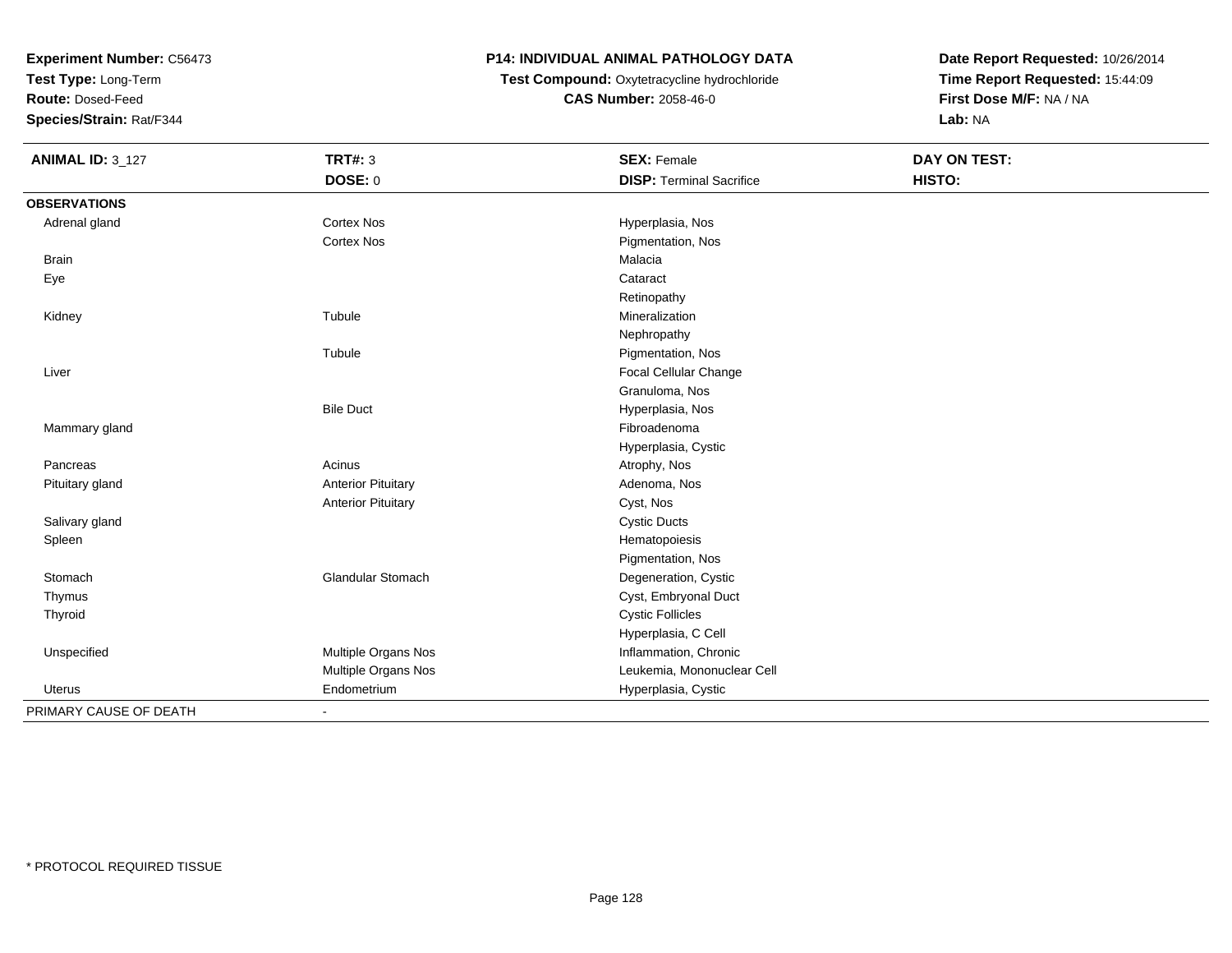**Test Type:** Long-Term

**Route:** Dosed-Feed

**Species/Strain:** Rat/F344

# **P14: INDIVIDUAL ANIMAL PATHOLOGY DATA**

**Test Compound:** Oxytetracycline hydrochloride**CAS Number:** 2058-46-0

| <b>ANIMAL ID: 3_127</b> | <b>TRT#: 3</b>            | <b>SEX: Female</b>              | <b>DAY ON TEST:</b> |  |
|-------------------------|---------------------------|---------------------------------|---------------------|--|
|                         | DOSE: 0                   | <b>DISP: Terminal Sacrifice</b> | HISTO:              |  |
| <b>OBSERVATIONS</b>     |                           |                                 |                     |  |
| Adrenal gland           | Cortex Nos                | Hyperplasia, Nos                |                     |  |
|                         | <b>Cortex Nos</b>         | Pigmentation, Nos               |                     |  |
| <b>Brain</b>            |                           | Malacia                         |                     |  |
| Eye                     |                           | Cataract                        |                     |  |
|                         |                           | Retinopathy                     |                     |  |
| Kidney                  | Tubule                    | Mineralization                  |                     |  |
|                         |                           | Nephropathy                     |                     |  |
|                         | Tubule                    | Pigmentation, Nos               |                     |  |
| Liver                   |                           | Focal Cellular Change           |                     |  |
|                         |                           | Granuloma, Nos                  |                     |  |
|                         | <b>Bile Duct</b>          | Hyperplasia, Nos                |                     |  |
| Mammary gland           |                           | Fibroadenoma                    |                     |  |
|                         |                           | Hyperplasia, Cystic             |                     |  |
| Pancreas                | Acinus                    | Atrophy, Nos                    |                     |  |
| Pituitary gland         | <b>Anterior Pituitary</b> | Adenoma, Nos                    |                     |  |
|                         | <b>Anterior Pituitary</b> | Cyst, Nos                       |                     |  |
| Salivary gland          |                           | <b>Cystic Ducts</b>             |                     |  |
| Spleen                  |                           | Hematopoiesis                   |                     |  |
|                         |                           | Pigmentation, Nos               |                     |  |
| Stomach                 | Glandular Stomach         | Degeneration, Cystic            |                     |  |
| Thymus                  |                           | Cyst, Embryonal Duct            |                     |  |
| Thyroid                 |                           | <b>Cystic Follicles</b>         |                     |  |
|                         |                           | Hyperplasia, C Cell             |                     |  |
| Unspecified             | Multiple Organs Nos       | Inflammation, Chronic           |                     |  |
|                         | Multiple Organs Nos       | Leukemia, Mononuclear Cell      |                     |  |
| Uterus                  | Endometrium               | Hyperplasia, Cystic             |                     |  |
| PRIMARY CAUSE OF DEATH  | $\blacksquare$            |                                 |                     |  |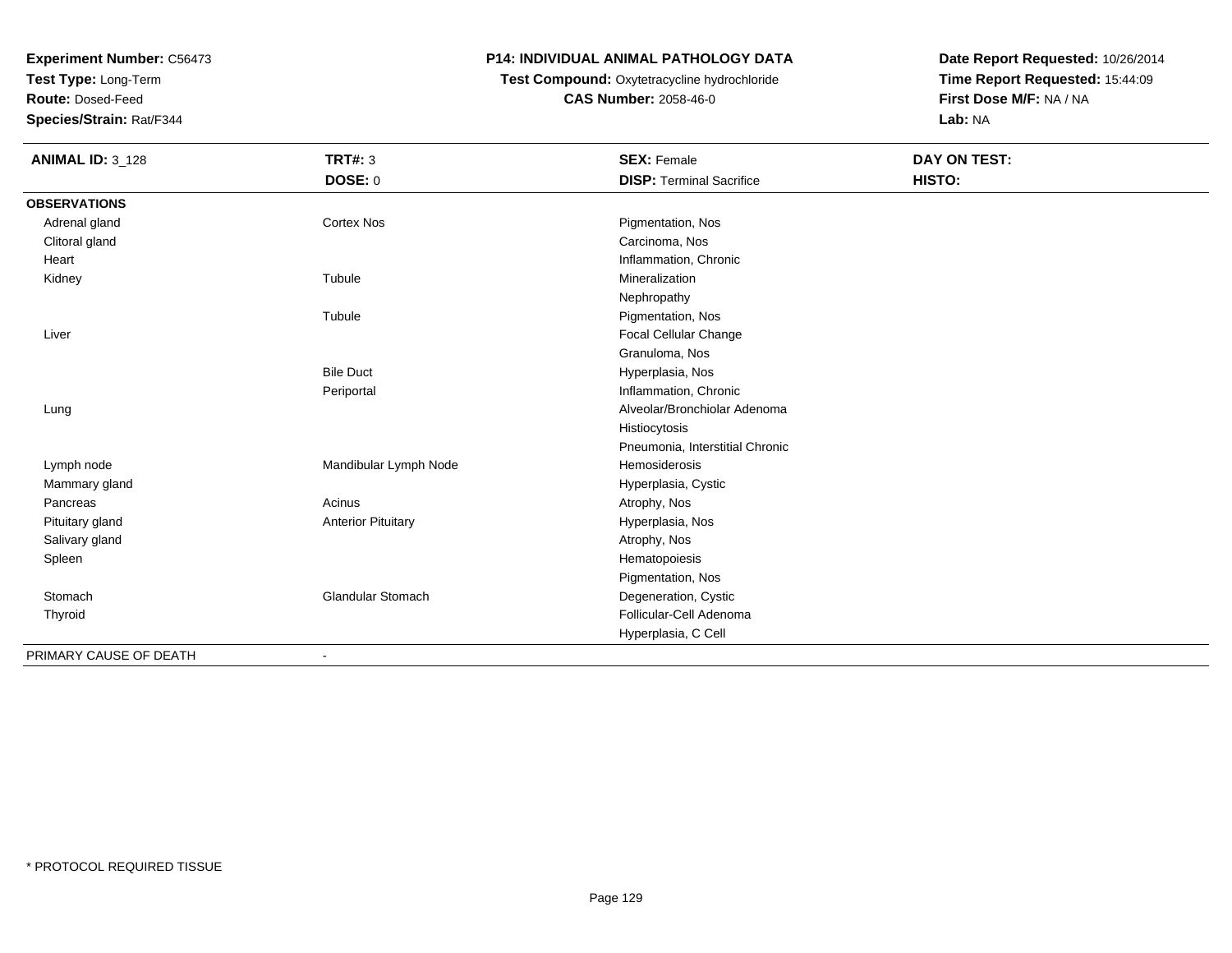**Test Type:** Long-Term

**Route:** Dosed-Feed

**Species/Strain:** Rat/F344

# **P14: INDIVIDUAL ANIMAL PATHOLOGY DATA**

# **Test Compound:** Oxytetracycline hydrochloride**CAS Number:** 2058-46-0

| <b>ANIMAL ID: 3_128</b> | <b>TRT#: 3</b>            | <b>SEX: Female</b>              | DAY ON TEST: |
|-------------------------|---------------------------|---------------------------------|--------------|
|                         | DOSE: 0                   | <b>DISP: Terminal Sacrifice</b> | HISTO:       |
| <b>OBSERVATIONS</b>     |                           |                                 |              |
| Adrenal gland           | Cortex Nos                | Pigmentation, Nos               |              |
| Clitoral gland          |                           | Carcinoma, Nos                  |              |
| Heart                   |                           | Inflammation, Chronic           |              |
| Kidney                  | Tubule                    | Mineralization                  |              |
|                         |                           | Nephropathy                     |              |
|                         | Tubule                    | Pigmentation, Nos               |              |
| Liver                   |                           | Focal Cellular Change           |              |
|                         |                           | Granuloma, Nos                  |              |
|                         | <b>Bile Duct</b>          | Hyperplasia, Nos                |              |
|                         | Periportal                | Inflammation, Chronic           |              |
| Lung                    |                           | Alveolar/Bronchiolar Adenoma    |              |
|                         |                           | Histiocytosis                   |              |
|                         |                           | Pneumonia, Interstitial Chronic |              |
| Lymph node              | Mandibular Lymph Node     | Hemosiderosis                   |              |
| Mammary gland           |                           | Hyperplasia, Cystic             |              |
| Pancreas                | Acinus                    | Atrophy, Nos                    |              |
| Pituitary gland         | <b>Anterior Pituitary</b> | Hyperplasia, Nos                |              |
| Salivary gland          |                           | Atrophy, Nos                    |              |
| Spleen                  |                           | Hematopoiesis                   |              |
|                         |                           | Pigmentation, Nos               |              |
| Stomach                 | <b>Glandular Stomach</b>  | Degeneration, Cystic            |              |
| Thyroid                 |                           | Follicular-Cell Adenoma         |              |
|                         |                           | Hyperplasia, C Cell             |              |
| PRIMARY CAUSE OF DEATH  |                           |                                 |              |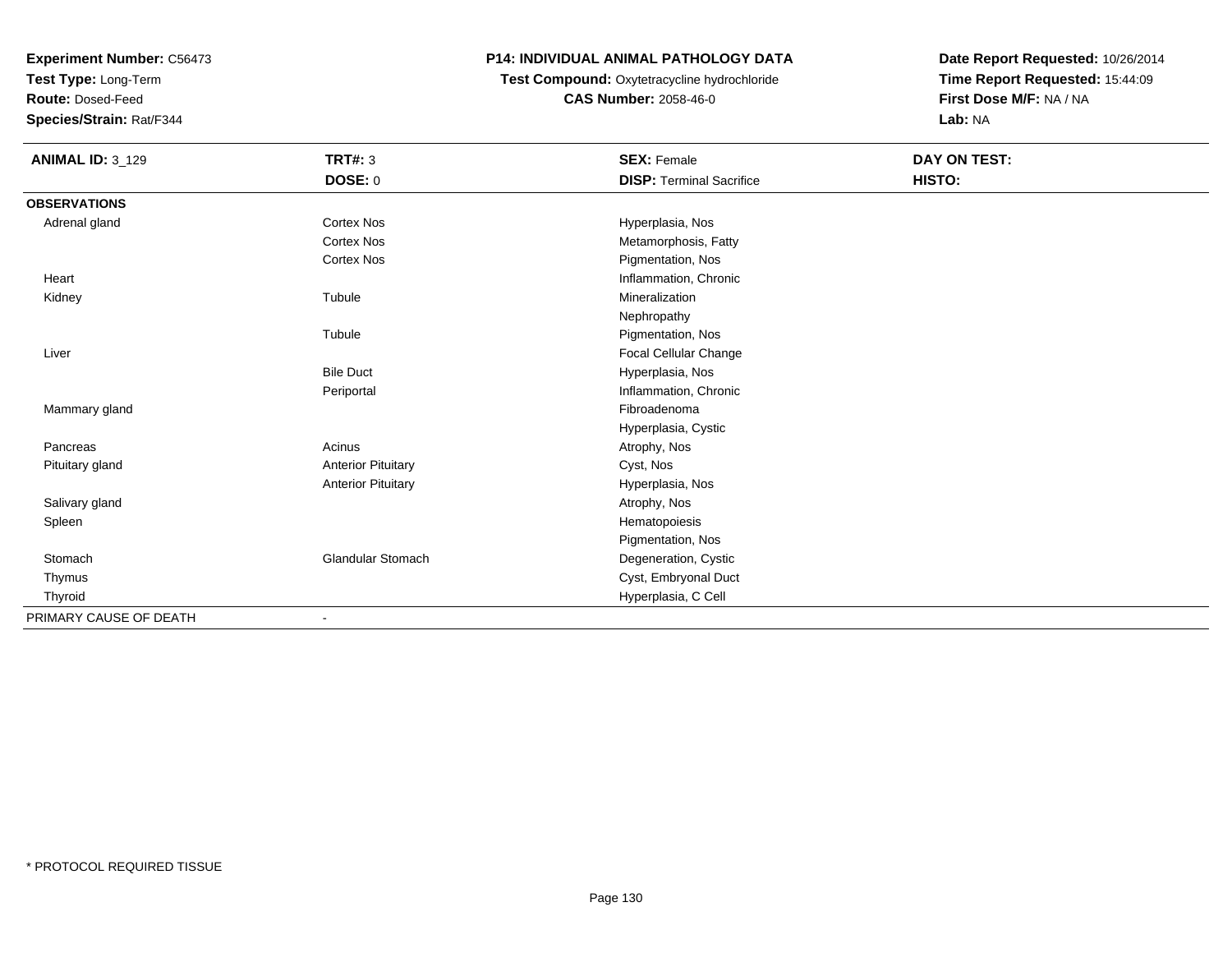**Test Type:** Long-Term

**Route:** Dosed-Feed

**Species/Strain:** Rat/F344

# **P14: INDIVIDUAL ANIMAL PATHOLOGY DATA**

 **Test Compound:** Oxytetracycline hydrochloride**CAS Number:** 2058-46-0

| <b>ANIMAL ID: 3_129</b> | <b>TRT#: 3</b>            | <b>SEX: Female</b>              | DAY ON TEST: |  |
|-------------------------|---------------------------|---------------------------------|--------------|--|
|                         | <b>DOSE: 0</b>            | <b>DISP: Terminal Sacrifice</b> | HISTO:       |  |
| <b>OBSERVATIONS</b>     |                           |                                 |              |  |
| Adrenal gland           | <b>Cortex Nos</b>         | Hyperplasia, Nos                |              |  |
|                         | <b>Cortex Nos</b>         | Metamorphosis, Fatty            |              |  |
|                         | <b>Cortex Nos</b>         | Pigmentation, Nos               |              |  |
| Heart                   |                           | Inflammation, Chronic           |              |  |
| Kidney                  | Tubule                    | Mineralization                  |              |  |
|                         |                           | Nephropathy                     |              |  |
|                         | Tubule                    | Pigmentation, Nos               |              |  |
| Liver                   |                           | Focal Cellular Change           |              |  |
|                         | <b>Bile Duct</b>          | Hyperplasia, Nos                |              |  |
|                         | Periportal                | Inflammation, Chronic           |              |  |
| Mammary gland           |                           | Fibroadenoma                    |              |  |
|                         |                           | Hyperplasia, Cystic             |              |  |
| Pancreas                | Acinus                    | Atrophy, Nos                    |              |  |
| Pituitary gland         | <b>Anterior Pituitary</b> | Cyst, Nos                       |              |  |
|                         | <b>Anterior Pituitary</b> | Hyperplasia, Nos                |              |  |
| Salivary gland          |                           | Atrophy, Nos                    |              |  |
| Spleen                  |                           | Hematopoiesis                   |              |  |
|                         |                           | Pigmentation, Nos               |              |  |
| Stomach                 | <b>Glandular Stomach</b>  | Degeneration, Cystic            |              |  |
| Thymus                  |                           | Cyst, Embryonal Duct            |              |  |
| Thyroid                 |                           | Hyperplasia, C Cell             |              |  |
| PRIMARY CAUSE OF DEATH  |                           |                                 |              |  |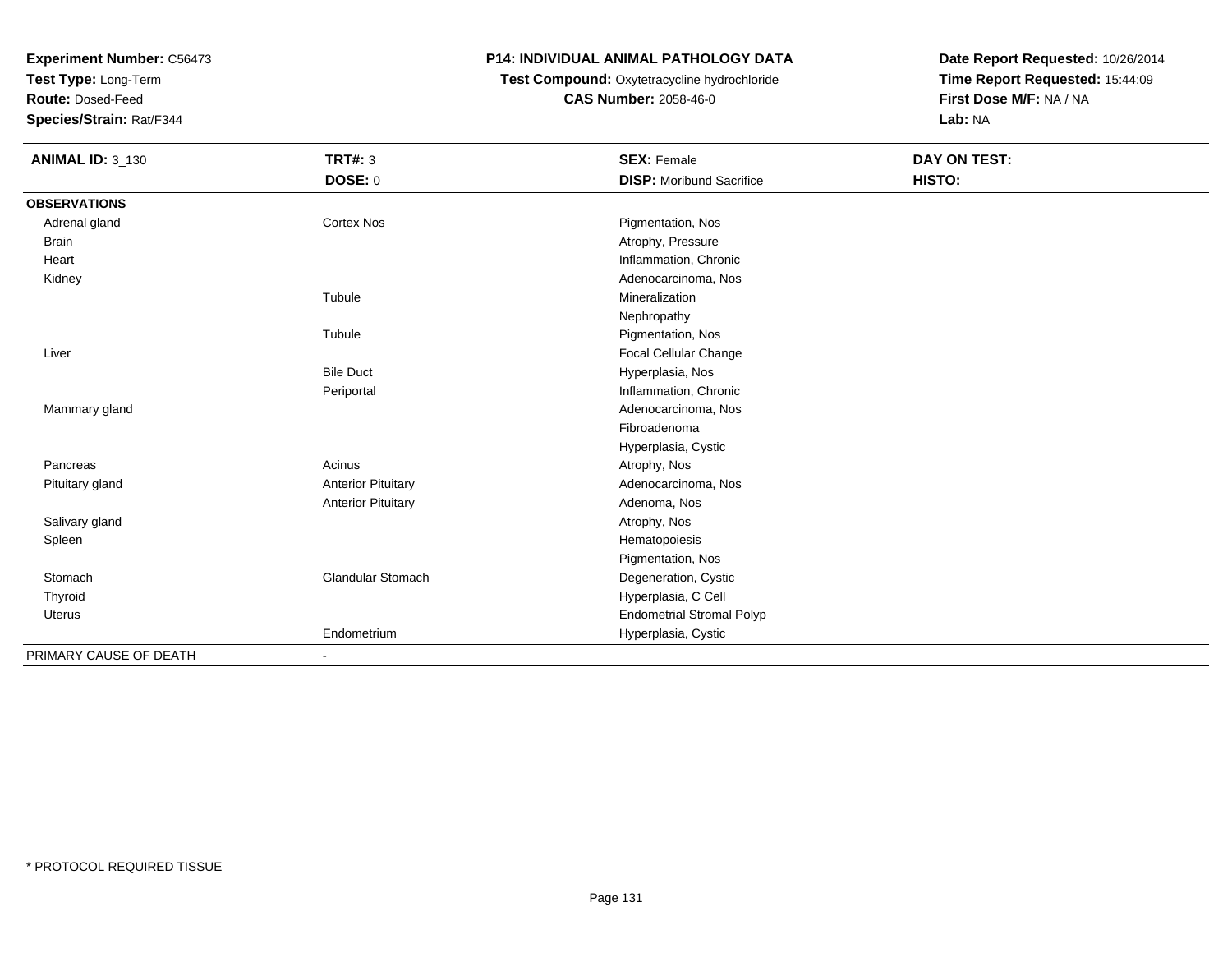**Test Type:** Long-Term

**Route:** Dosed-Feed

**Species/Strain:** Rat/F344

# **P14: INDIVIDUAL ANIMAL PATHOLOGY DATA**

# **Test Compound:** Oxytetracycline hydrochloride**CAS Number:** 2058-46-0

| <b>ANIMAL ID: 3_130</b> | <b>TRT#: 3</b>               | <b>SEX: Female</b>               | DAY ON TEST: |  |
|-------------------------|------------------------------|----------------------------------|--------------|--|
|                         | <b>DOSE: 0</b>               | <b>DISP:</b> Moribund Sacrifice  | HISTO:       |  |
| <b>OBSERVATIONS</b>     |                              |                                  |              |  |
| Adrenal gland           | Cortex Nos                   | Pigmentation, Nos                |              |  |
| <b>Brain</b>            |                              | Atrophy, Pressure                |              |  |
| Heart                   |                              | Inflammation, Chronic            |              |  |
| Kidney                  |                              | Adenocarcinoma, Nos              |              |  |
|                         | Tubule                       | Mineralization                   |              |  |
|                         |                              | Nephropathy                      |              |  |
|                         | Tubule                       | Pigmentation, Nos                |              |  |
| Liver                   |                              | Focal Cellular Change            |              |  |
|                         | <b>Bile Duct</b>             | Hyperplasia, Nos                 |              |  |
|                         | Periportal                   | Inflammation, Chronic            |              |  |
| Mammary gland           |                              | Adenocarcinoma, Nos              |              |  |
|                         |                              | Fibroadenoma                     |              |  |
|                         |                              | Hyperplasia, Cystic              |              |  |
| Pancreas                | Acinus                       | Atrophy, Nos                     |              |  |
| Pituitary gland         | <b>Anterior Pituitary</b>    | Adenocarcinoma, Nos              |              |  |
|                         | <b>Anterior Pituitary</b>    | Adenoma, Nos                     |              |  |
| Salivary gland          |                              | Atrophy, Nos                     |              |  |
| Spleen                  |                              | Hematopoiesis                    |              |  |
|                         |                              | Pigmentation, Nos                |              |  |
| Stomach                 | Glandular Stomach            | Degeneration, Cystic             |              |  |
| Thyroid                 |                              | Hyperplasia, C Cell              |              |  |
| Uterus                  |                              | <b>Endometrial Stromal Polyp</b> |              |  |
|                         | Endometrium                  | Hyperplasia, Cystic              |              |  |
| PRIMARY CAUSE OF DEATH  | $\qquad \qquad \blacksquare$ |                                  |              |  |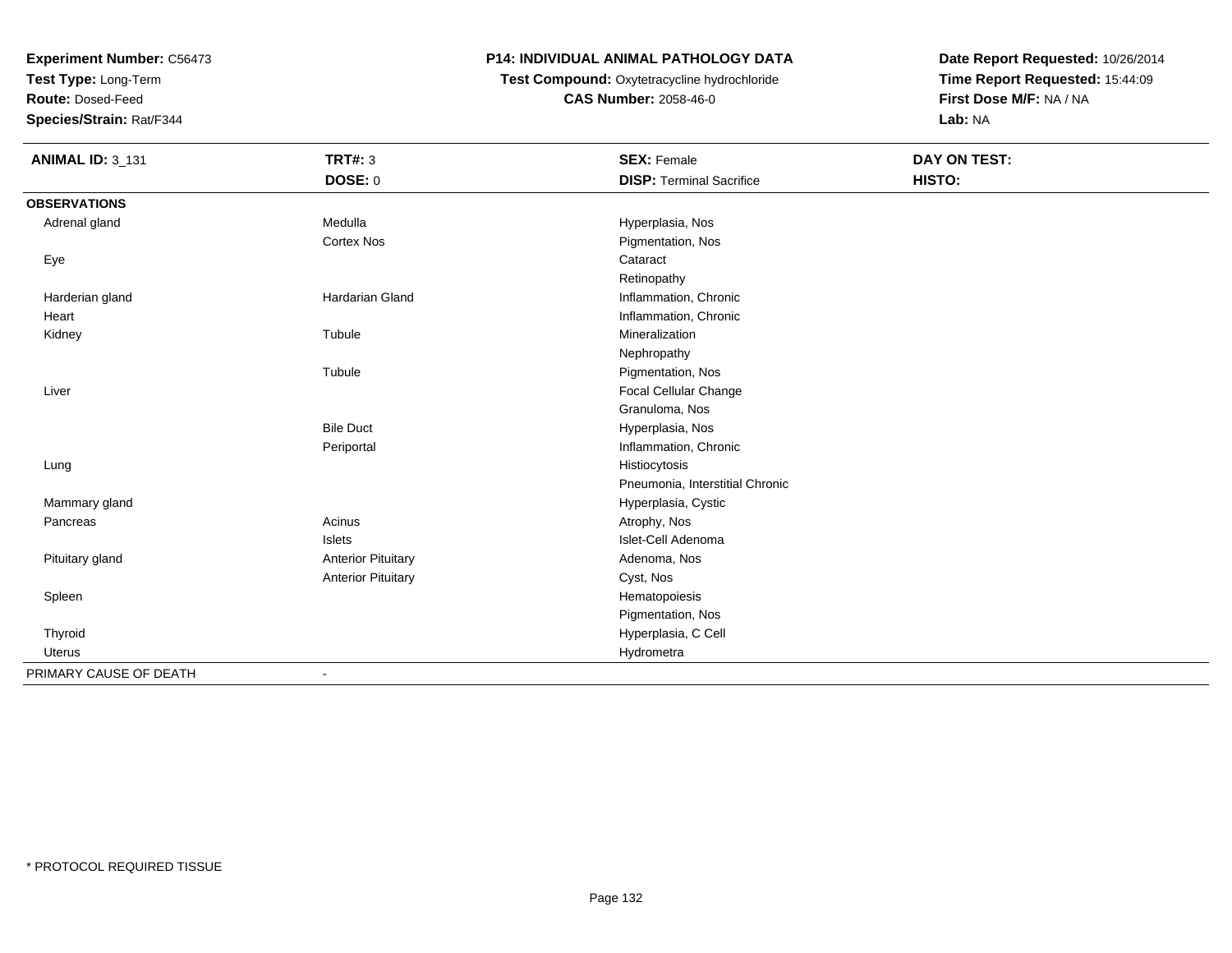**Test Type:** Long-Term

**Route:** Dosed-Feed

**Species/Strain:** Rat/F344

# **P14: INDIVIDUAL ANIMAL PATHOLOGY DATA**

 **Test Compound:** Oxytetracycline hydrochloride**CAS Number:** 2058-46-0

| <b>ANIMAL ID: 3_131</b> | <b>TRT#: 3</b>            | <b>SEX: Female</b>              | <b>DAY ON TEST:</b> |  |
|-------------------------|---------------------------|---------------------------------|---------------------|--|
|                         | <b>DOSE: 0</b>            | <b>DISP: Terminal Sacrifice</b> | HISTO:              |  |
| <b>OBSERVATIONS</b>     |                           |                                 |                     |  |
| Adrenal gland           | Medulla                   | Hyperplasia, Nos                |                     |  |
|                         | <b>Cortex Nos</b>         | Pigmentation, Nos               |                     |  |
| Eye                     |                           | Cataract                        |                     |  |
|                         |                           | Retinopathy                     |                     |  |
| Harderian gland         | Hardarian Gland           | Inflammation, Chronic           |                     |  |
| Heart                   |                           | Inflammation, Chronic           |                     |  |
| Kidney                  | Tubule                    | Mineralization                  |                     |  |
|                         |                           | Nephropathy                     |                     |  |
|                         | Tubule                    | Pigmentation, Nos               |                     |  |
| Liver                   |                           | Focal Cellular Change           |                     |  |
|                         |                           | Granuloma, Nos                  |                     |  |
|                         | <b>Bile Duct</b>          | Hyperplasia, Nos                |                     |  |
|                         | Periportal                | Inflammation, Chronic           |                     |  |
| Lung                    |                           | Histiocytosis                   |                     |  |
|                         |                           | Pneumonia, Interstitial Chronic |                     |  |
| Mammary gland           |                           | Hyperplasia, Cystic             |                     |  |
| Pancreas                | Acinus                    | Atrophy, Nos                    |                     |  |
|                         | Islets                    | Islet-Cell Adenoma              |                     |  |
| Pituitary gland         | <b>Anterior Pituitary</b> | Adenoma, Nos                    |                     |  |
|                         | <b>Anterior Pituitary</b> | Cyst, Nos                       |                     |  |
| Spleen                  |                           | Hematopoiesis                   |                     |  |
|                         |                           | Pigmentation, Nos               |                     |  |
| Thyroid                 |                           | Hyperplasia, C Cell             |                     |  |
| Uterus                  |                           | Hydrometra                      |                     |  |
| PRIMARY CAUSE OF DEATH  | $\blacksquare$            |                                 |                     |  |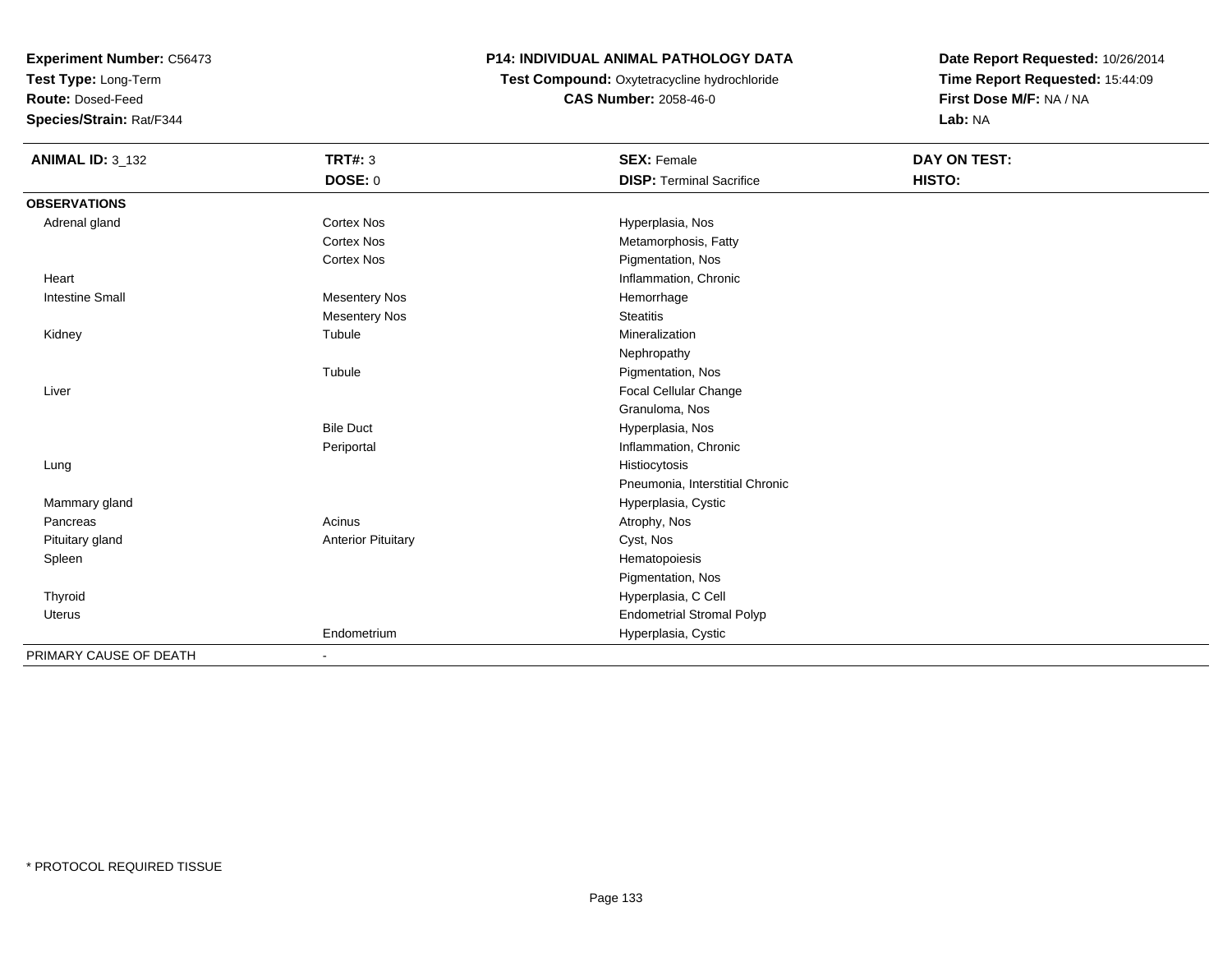**Test Type:** Long-Term

**Route:** Dosed-Feed

**Species/Strain:** Rat/F344

# **P14: INDIVIDUAL ANIMAL PATHOLOGY DATA**

**Test Compound:** Oxytetracycline hydrochloride**CAS Number:** 2058-46-0

| <b>ANIMAL ID: 3_132</b> | <b>TRT#: 3</b>            | <b>SEX: Female</b>               | DAY ON TEST: |  |
|-------------------------|---------------------------|----------------------------------|--------------|--|
|                         | DOSE: 0                   | <b>DISP: Terminal Sacrifice</b>  | HISTO:       |  |
| <b>OBSERVATIONS</b>     |                           |                                  |              |  |
| Adrenal gland           | <b>Cortex Nos</b>         | Hyperplasia, Nos                 |              |  |
|                         | <b>Cortex Nos</b>         | Metamorphosis, Fatty             |              |  |
|                         | <b>Cortex Nos</b>         | Pigmentation, Nos                |              |  |
| Heart                   |                           | Inflammation, Chronic            |              |  |
| <b>Intestine Small</b>  | <b>Mesentery Nos</b>      | Hemorrhage                       |              |  |
|                         | <b>Mesentery Nos</b>      | <b>Steatitis</b>                 |              |  |
| Kidney                  | Tubule                    | Mineralization                   |              |  |
|                         |                           | Nephropathy                      |              |  |
|                         | Tubule                    | Pigmentation, Nos                |              |  |
| Liver                   |                           | Focal Cellular Change            |              |  |
|                         |                           | Granuloma, Nos                   |              |  |
|                         | <b>Bile Duct</b>          | Hyperplasia, Nos                 |              |  |
|                         | Periportal                | Inflammation, Chronic            |              |  |
| Lung                    |                           | Histiocytosis                    |              |  |
|                         |                           | Pneumonia, Interstitial Chronic  |              |  |
| Mammary gland           |                           | Hyperplasia, Cystic              |              |  |
| Pancreas                | Acinus                    | Atrophy, Nos                     |              |  |
| Pituitary gland         | <b>Anterior Pituitary</b> | Cyst, Nos                        |              |  |
| Spleen                  |                           | Hematopoiesis                    |              |  |
|                         |                           | Pigmentation, Nos                |              |  |
| Thyroid                 |                           | Hyperplasia, C Cell              |              |  |
| <b>Uterus</b>           |                           | <b>Endometrial Stromal Polyp</b> |              |  |
|                         | Endometrium               | Hyperplasia, Cystic              |              |  |
| PRIMARY CAUSE OF DEATH  | $\blacksquare$            |                                  |              |  |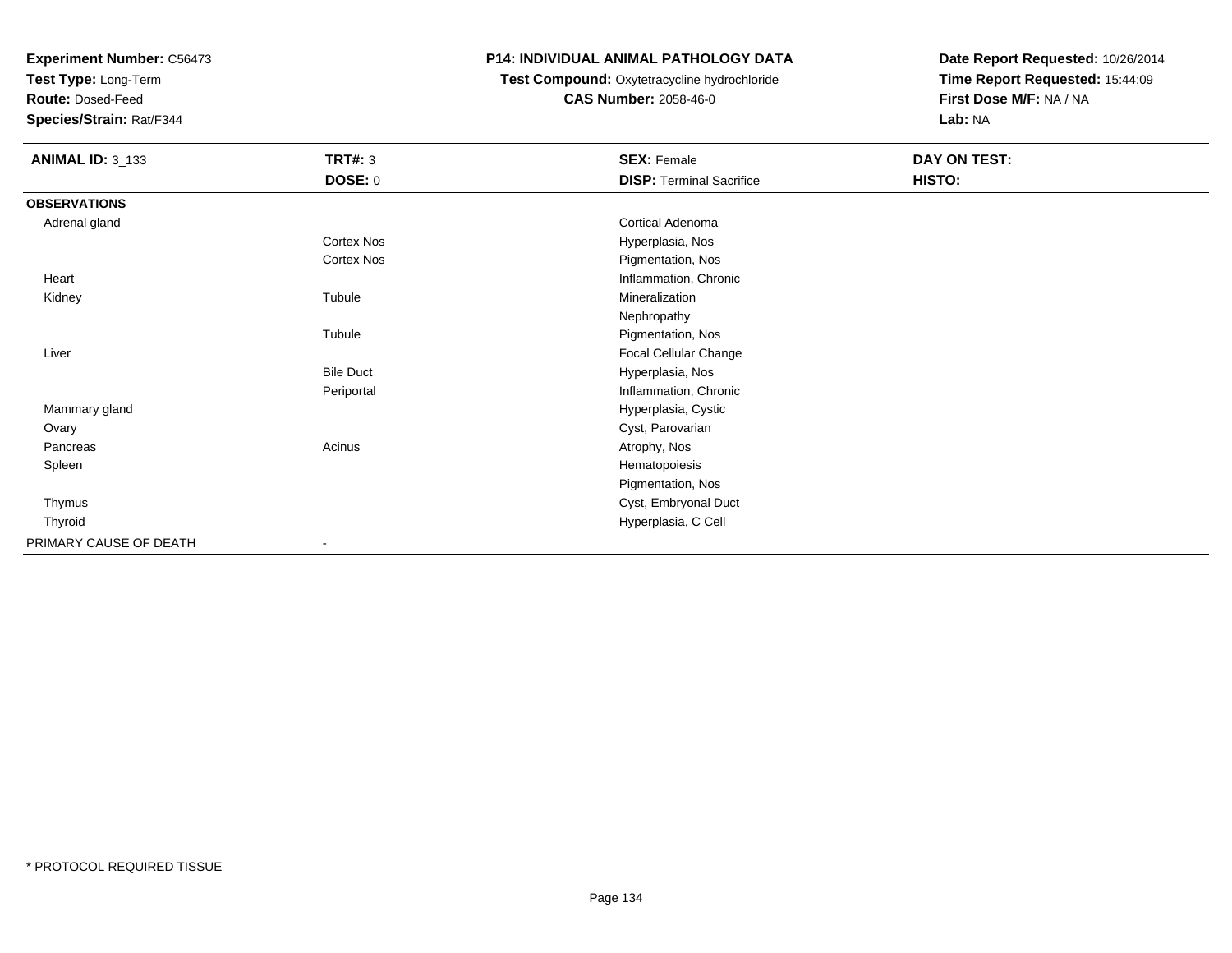**Test Type:** Long-Term

**Route:** Dosed-Feed

**Species/Strain:** Rat/F344

# **P14: INDIVIDUAL ANIMAL PATHOLOGY DATA**

**Test Compound:** Oxytetracycline hydrochloride**CAS Number:** 2058-46-0

| <b>ANIMAL ID: 3_133</b> | <b>TRT#: 3</b>    | <b>SEX: Female</b>              | DAY ON TEST: |  |
|-------------------------|-------------------|---------------------------------|--------------|--|
|                         | <b>DOSE: 0</b>    | <b>DISP: Terminal Sacrifice</b> | HISTO:       |  |
| <b>OBSERVATIONS</b>     |                   |                                 |              |  |
| Adrenal gland           |                   | Cortical Adenoma                |              |  |
|                         | Cortex Nos        | Hyperplasia, Nos                |              |  |
|                         | <b>Cortex Nos</b> | Pigmentation, Nos               |              |  |
| Heart                   |                   | Inflammation, Chronic           |              |  |
| Kidney                  | Tubule            | Mineralization                  |              |  |
|                         |                   | Nephropathy                     |              |  |
|                         | Tubule            | Pigmentation, Nos               |              |  |
| Liver                   |                   | Focal Cellular Change           |              |  |
|                         | <b>Bile Duct</b>  | Hyperplasia, Nos                |              |  |
|                         | Periportal        | Inflammation, Chronic           |              |  |
| Mammary gland           |                   | Hyperplasia, Cystic             |              |  |
| Ovary                   |                   | Cyst, Parovarian                |              |  |
| Pancreas                | Acinus            | Atrophy, Nos                    |              |  |
| Spleen                  |                   | Hematopoiesis                   |              |  |
|                         |                   | Pigmentation, Nos               |              |  |
| Thymus                  |                   | Cyst, Embryonal Duct            |              |  |
| Thyroid                 |                   | Hyperplasia, C Cell             |              |  |
| PRIMARY CAUSE OF DEATH  |                   |                                 |              |  |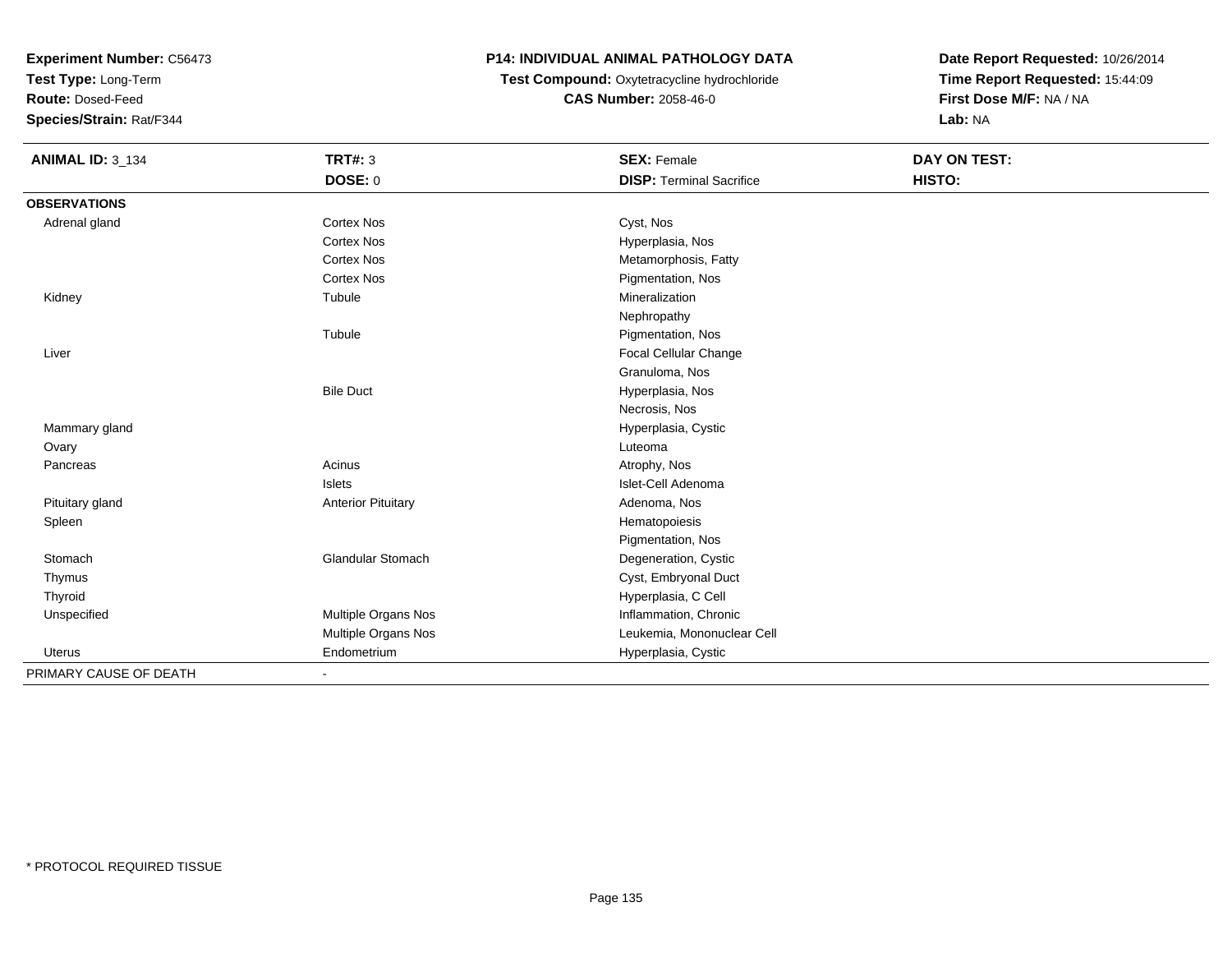**Test Type:** Long-Term

**Route:** Dosed-Feed

**Species/Strain:** Rat/F344

# **P14: INDIVIDUAL ANIMAL PATHOLOGY DATA**

 **Test Compound:** Oxytetracycline hydrochloride**CAS Number:** 2058-46-0

| <b>ANIMAL ID: 3_134</b> | <b>TRT#: 3</b>            | <b>SEX: Female</b>              | DAY ON TEST: |  |
|-------------------------|---------------------------|---------------------------------|--------------|--|
|                         | DOSE: 0                   | <b>DISP: Terminal Sacrifice</b> | HISTO:       |  |
| <b>OBSERVATIONS</b>     |                           |                                 |              |  |
| Adrenal gland           | <b>Cortex Nos</b>         | Cyst, Nos                       |              |  |
|                         | <b>Cortex Nos</b>         | Hyperplasia, Nos                |              |  |
|                         | <b>Cortex Nos</b>         | Metamorphosis, Fatty            |              |  |
|                         | <b>Cortex Nos</b>         | Pigmentation, Nos               |              |  |
| Kidney                  | Tubule                    | Mineralization                  |              |  |
|                         |                           | Nephropathy                     |              |  |
|                         | Tubule                    | Pigmentation, Nos               |              |  |
| Liver                   |                           | Focal Cellular Change           |              |  |
|                         |                           | Granuloma, Nos                  |              |  |
|                         | <b>Bile Duct</b>          | Hyperplasia, Nos                |              |  |
|                         |                           | Necrosis, Nos                   |              |  |
| Mammary gland           |                           | Hyperplasia, Cystic             |              |  |
| Ovary                   |                           | Luteoma                         |              |  |
| Pancreas                | Acinus                    | Atrophy, Nos                    |              |  |
|                         | Islets                    | Islet-Cell Adenoma              |              |  |
| Pituitary gland         | <b>Anterior Pituitary</b> | Adenoma, Nos                    |              |  |
| Spleen                  |                           | Hematopoiesis                   |              |  |
|                         |                           | Pigmentation, Nos               |              |  |
| Stomach                 | <b>Glandular Stomach</b>  | Degeneration, Cystic            |              |  |
| Thymus                  |                           | Cyst, Embryonal Duct            |              |  |
| Thyroid                 |                           | Hyperplasia, C Cell             |              |  |
| Unspecified             | Multiple Organs Nos       | Inflammation, Chronic           |              |  |
|                         | Multiple Organs Nos       | Leukemia, Mononuclear Cell      |              |  |
| Uterus                  | Endometrium               | Hyperplasia, Cystic             |              |  |
| PRIMARY CAUSE OF DEATH  |                           |                                 |              |  |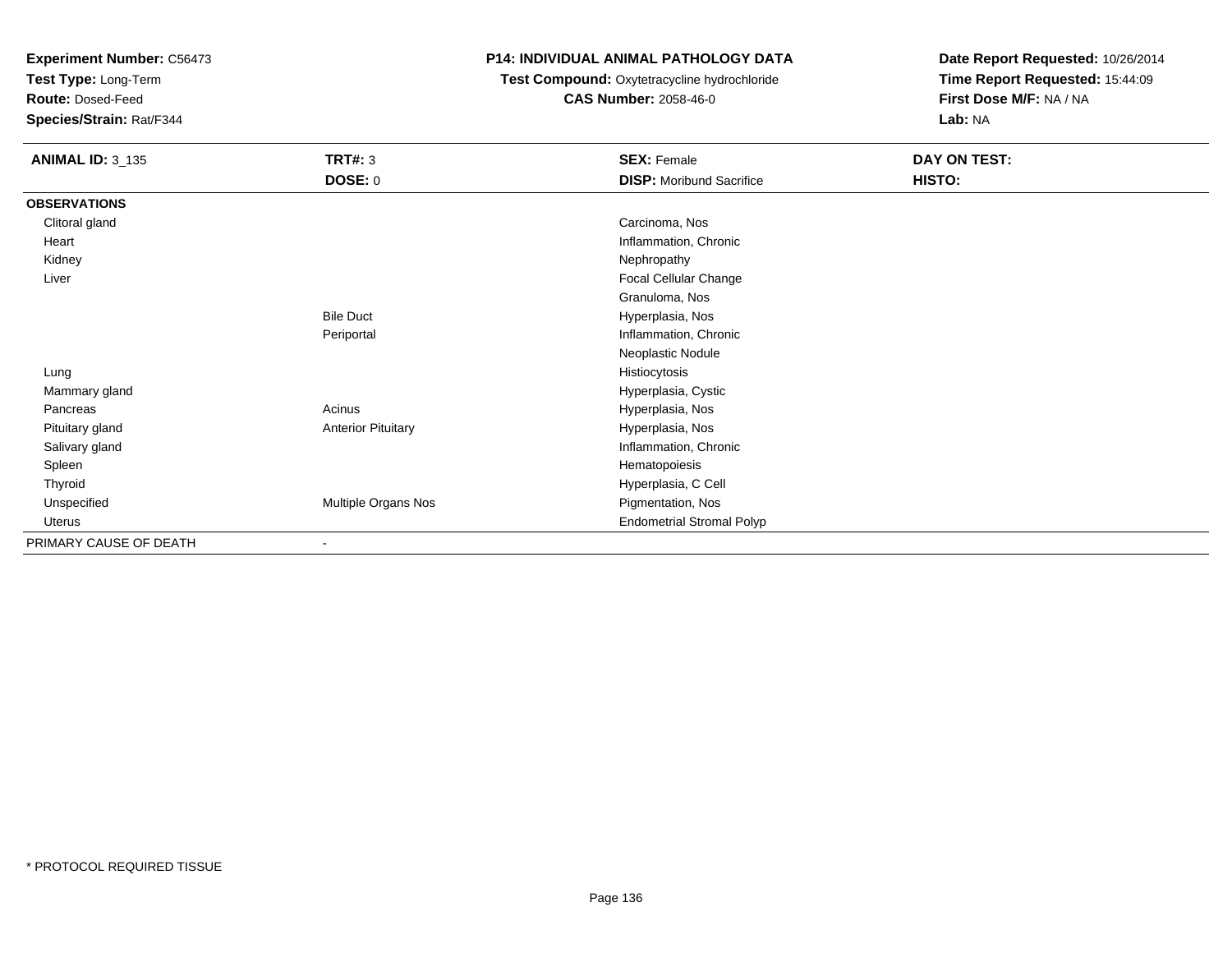**Test Type:** Long-Term

**Route:** Dosed-Feed

**Species/Strain:** Rat/F344

#### **P14: INDIVIDUAL ANIMAL PATHOLOGY DATA**

**Test Compound:** Oxytetracycline hydrochloride**CAS Number:** 2058-46-0

| <b>ANIMAL ID: 3_135</b> | <b>TRT#: 3</b>            | <b>SEX: Female</b>               | DAY ON TEST: |  |
|-------------------------|---------------------------|----------------------------------|--------------|--|
|                         | <b>DOSE: 0</b>            | <b>DISP:</b> Moribund Sacrifice  | HISTO:       |  |
| <b>OBSERVATIONS</b>     |                           |                                  |              |  |
| Clitoral gland          |                           | Carcinoma, Nos                   |              |  |
| Heart                   |                           | Inflammation, Chronic            |              |  |
| Kidney                  |                           | Nephropathy                      |              |  |
| Liver                   |                           | Focal Cellular Change            |              |  |
|                         |                           | Granuloma, Nos                   |              |  |
|                         | <b>Bile Duct</b>          | Hyperplasia, Nos                 |              |  |
|                         | Periportal                | Inflammation, Chronic            |              |  |
|                         |                           | Neoplastic Nodule                |              |  |
| Lung                    |                           | Histiocytosis                    |              |  |
| Mammary gland           |                           | Hyperplasia, Cystic              |              |  |
| Pancreas                | Acinus                    | Hyperplasia, Nos                 |              |  |
| Pituitary gland         | <b>Anterior Pituitary</b> | Hyperplasia, Nos                 |              |  |
| Salivary gland          |                           | Inflammation, Chronic            |              |  |
| Spleen                  |                           | Hematopoiesis                    |              |  |
| Thyroid                 |                           | Hyperplasia, C Cell              |              |  |
| Unspecified             | Multiple Organs Nos       | Pigmentation, Nos                |              |  |
| Uterus                  |                           | <b>Endometrial Stromal Polyp</b> |              |  |
| PRIMARY CAUSE OF DEATH  | ۰                         |                                  |              |  |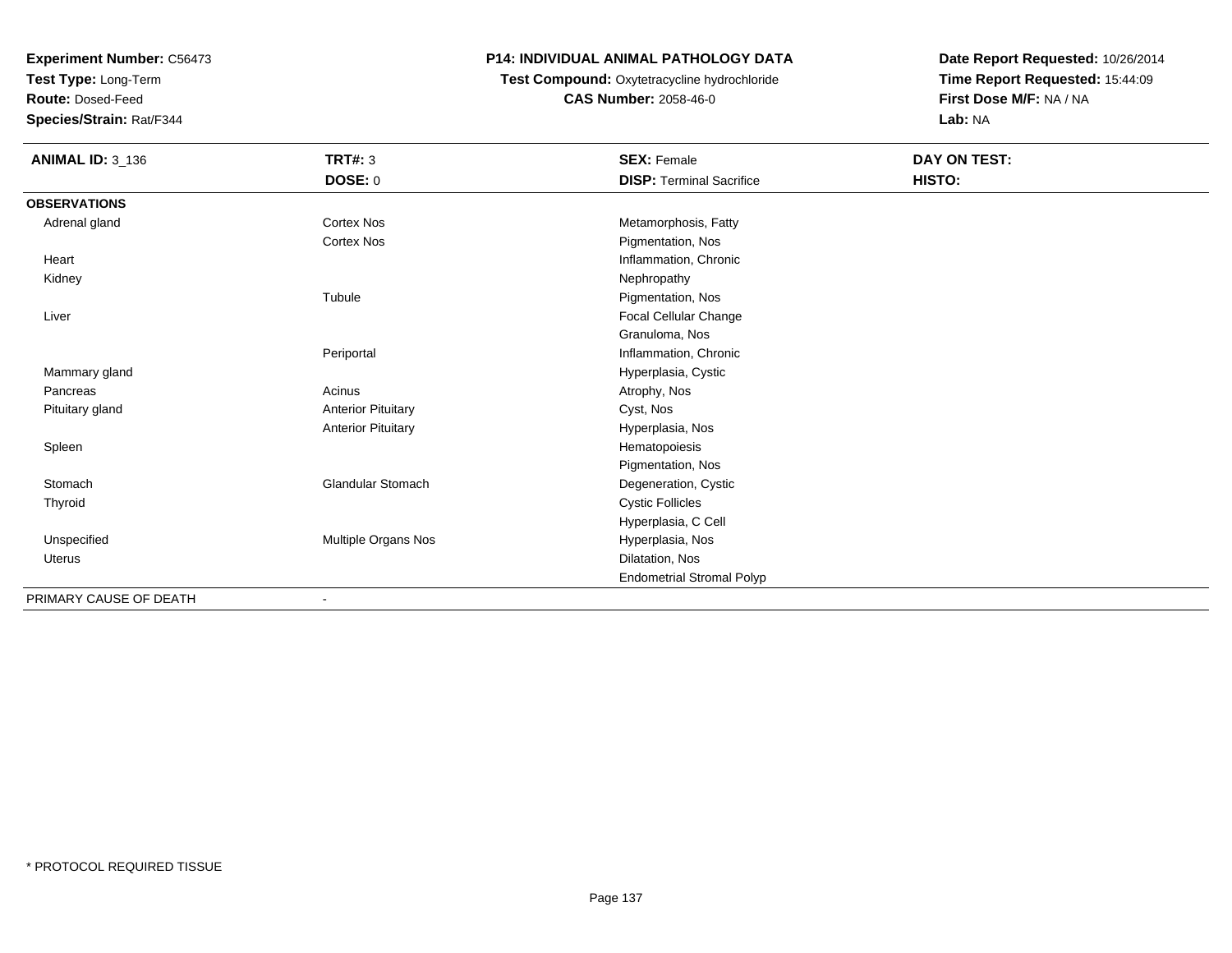**Test Type:** Long-Term

**Route:** Dosed-Feed

**Species/Strain:** Rat/F344

# **P14: INDIVIDUAL ANIMAL PATHOLOGY DATA**

 **Test Compound:** Oxytetracycline hydrochloride**CAS Number:** 2058-46-0

| <b>ANIMAL ID: 3_136</b> | <b>TRT#: 3</b>            | <b>SEX: Female</b>               | DAY ON TEST: |
|-------------------------|---------------------------|----------------------------------|--------------|
|                         | DOSE: 0                   | <b>DISP: Terminal Sacrifice</b>  | HISTO:       |
| <b>OBSERVATIONS</b>     |                           |                                  |              |
| Adrenal gland           | <b>Cortex Nos</b>         | Metamorphosis, Fatty             |              |
|                         | <b>Cortex Nos</b>         | Pigmentation, Nos                |              |
| Heart                   |                           | Inflammation, Chronic            |              |
| Kidney                  |                           | Nephropathy                      |              |
|                         | Tubule                    | Pigmentation, Nos                |              |
| Liver                   |                           | Focal Cellular Change            |              |
|                         |                           | Granuloma, Nos                   |              |
|                         | Periportal                | Inflammation, Chronic            |              |
| Mammary gland           |                           | Hyperplasia, Cystic              |              |
| Pancreas                | Acinus                    | Atrophy, Nos                     |              |
| Pituitary gland         | <b>Anterior Pituitary</b> | Cyst, Nos                        |              |
|                         | <b>Anterior Pituitary</b> | Hyperplasia, Nos                 |              |
| Spleen                  |                           | Hematopoiesis                    |              |
|                         |                           | Pigmentation, Nos                |              |
| Stomach                 | Glandular Stomach         | Degeneration, Cystic             |              |
| Thyroid                 |                           | <b>Cystic Follicles</b>          |              |
|                         |                           | Hyperplasia, C Cell              |              |
| Unspecified             | Multiple Organs Nos       | Hyperplasia, Nos                 |              |
| Uterus                  |                           | Dilatation, Nos                  |              |
|                         |                           | <b>Endometrial Stromal Polyp</b> |              |
| PRIMARY CAUSE OF DEATH  | $\blacksquare$            |                                  |              |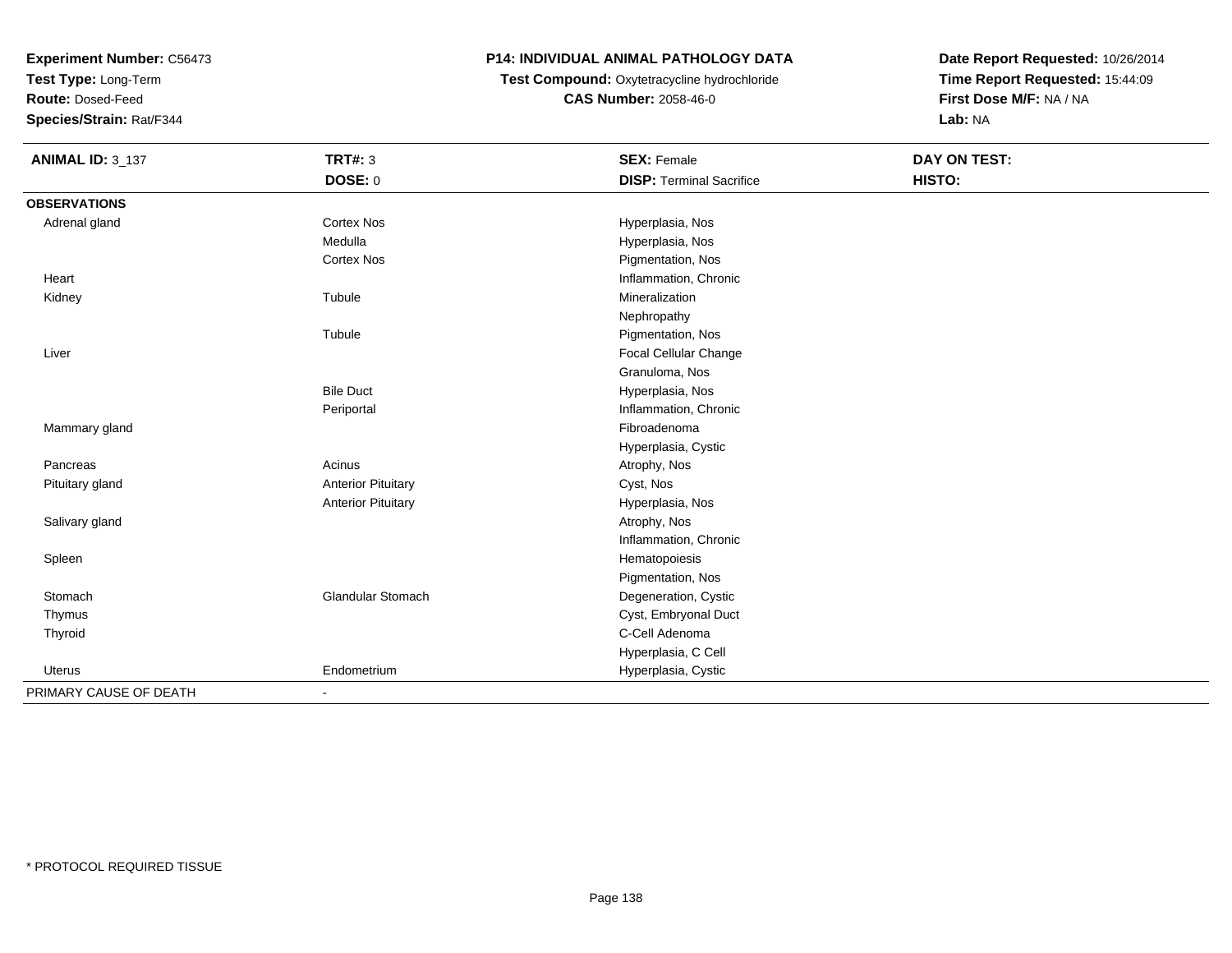**Test Type:** Long-Term

**Route:** Dosed-Feed

**Species/Strain:** Rat/F344

# **P14: INDIVIDUAL ANIMAL PATHOLOGY DATA**

 **Test Compound:** Oxytetracycline hydrochloride**CAS Number:** 2058-46-0

| <b>ANIMAL ID: 3_137</b> | <b>TRT#: 3</b>            | <b>SEX: Female</b>              | <b>DAY ON TEST:</b> |  |
|-------------------------|---------------------------|---------------------------------|---------------------|--|
|                         | DOSE: 0                   | <b>DISP: Terminal Sacrifice</b> | HISTO:              |  |
| <b>OBSERVATIONS</b>     |                           |                                 |                     |  |
| Adrenal gland           | Cortex Nos                | Hyperplasia, Nos                |                     |  |
|                         | Medulla                   | Hyperplasia, Nos                |                     |  |
|                         | <b>Cortex Nos</b>         | Pigmentation, Nos               |                     |  |
| Heart                   |                           | Inflammation, Chronic           |                     |  |
| Kidney                  | Tubule                    | Mineralization                  |                     |  |
|                         |                           | Nephropathy                     |                     |  |
|                         | Tubule                    | Pigmentation, Nos               |                     |  |
| Liver                   |                           | Focal Cellular Change           |                     |  |
|                         |                           | Granuloma, Nos                  |                     |  |
|                         | <b>Bile Duct</b>          | Hyperplasia, Nos                |                     |  |
|                         | Periportal                | Inflammation, Chronic           |                     |  |
| Mammary gland           |                           | Fibroadenoma                    |                     |  |
|                         |                           | Hyperplasia, Cystic             |                     |  |
| Pancreas                | Acinus                    | Atrophy, Nos                    |                     |  |
| Pituitary gland         | <b>Anterior Pituitary</b> | Cyst, Nos                       |                     |  |
|                         | <b>Anterior Pituitary</b> | Hyperplasia, Nos                |                     |  |
| Salivary gland          |                           | Atrophy, Nos                    |                     |  |
|                         |                           | Inflammation, Chronic           |                     |  |
| Spleen                  |                           | Hematopoiesis                   |                     |  |
|                         |                           | Pigmentation, Nos               |                     |  |
| Stomach                 | <b>Glandular Stomach</b>  | Degeneration, Cystic            |                     |  |
| Thymus                  |                           | Cyst, Embryonal Duct            |                     |  |
| Thyroid                 |                           | C-Cell Adenoma                  |                     |  |
|                         |                           | Hyperplasia, C Cell             |                     |  |
| <b>Uterus</b>           | Endometrium               | Hyperplasia, Cystic             |                     |  |
| PRIMARY CAUSE OF DEATH  | $\blacksquare$            |                                 |                     |  |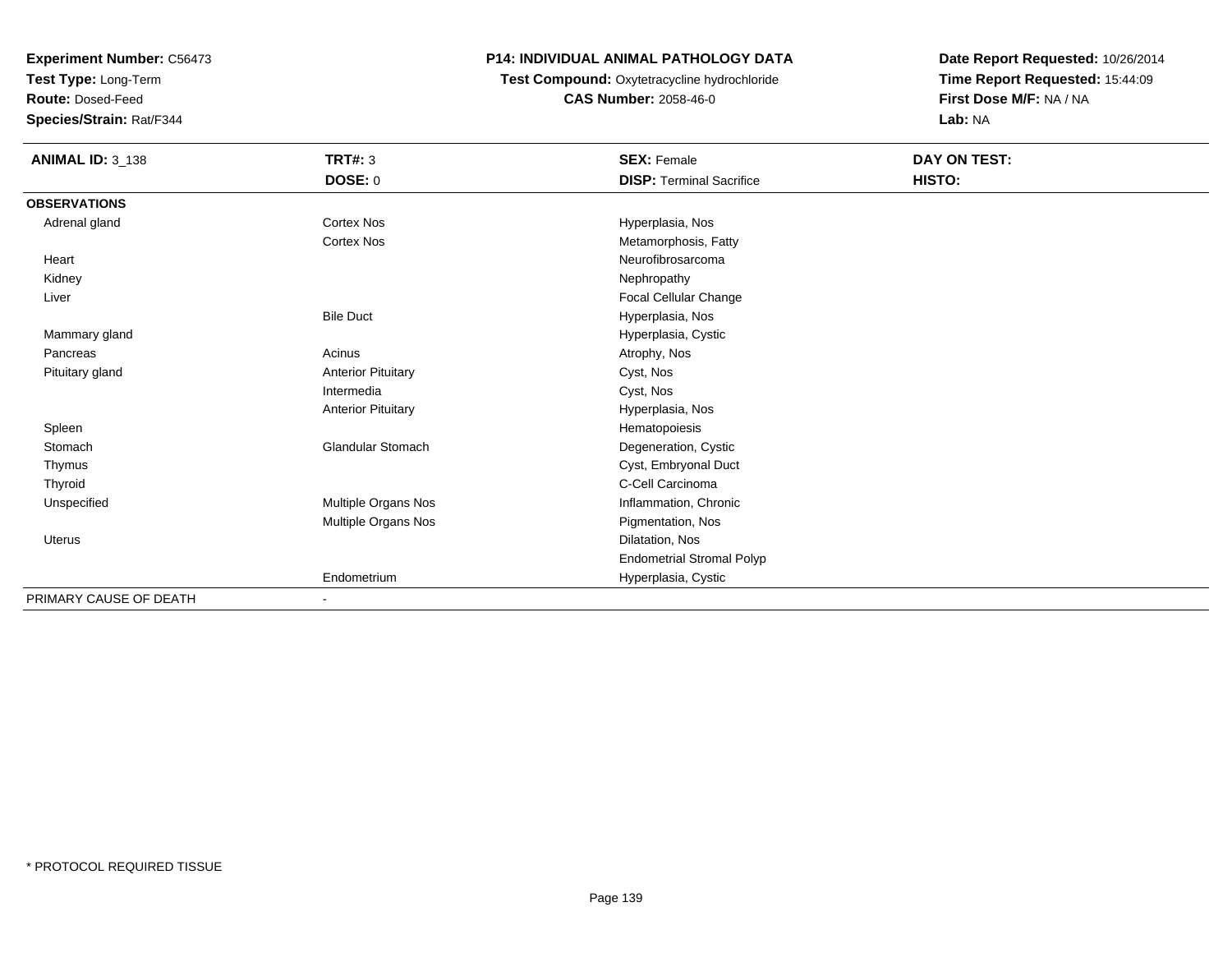**Test Type:** Long-Term

**Route:** Dosed-Feed

**Species/Strain:** Rat/F344

# **P14: INDIVIDUAL ANIMAL PATHOLOGY DATA**

**Test Compound:** Oxytetracycline hydrochloride**CAS Number:** 2058-46-0

| <b>ANIMAL ID: 3_138</b> | <b>TRT#: 3</b>            | <b>SEX: Female</b>               | DAY ON TEST: |  |
|-------------------------|---------------------------|----------------------------------|--------------|--|
|                         | DOSE: 0                   | <b>DISP: Terminal Sacrifice</b>  | HISTO:       |  |
| <b>OBSERVATIONS</b>     |                           |                                  |              |  |
| Adrenal gland           | Cortex Nos                | Hyperplasia, Nos                 |              |  |
|                         | Cortex Nos                | Metamorphosis, Fatty             |              |  |
| Heart                   |                           | Neurofibrosarcoma                |              |  |
| Kidney                  |                           | Nephropathy                      |              |  |
| Liver                   |                           | Focal Cellular Change            |              |  |
|                         | <b>Bile Duct</b>          | Hyperplasia, Nos                 |              |  |
| Mammary gland           |                           | Hyperplasia, Cystic              |              |  |
| Pancreas                | Acinus                    | Atrophy, Nos                     |              |  |
| Pituitary gland         | <b>Anterior Pituitary</b> | Cyst, Nos                        |              |  |
|                         | Intermedia                | Cyst, Nos                        |              |  |
|                         | <b>Anterior Pituitary</b> | Hyperplasia, Nos                 |              |  |
| Spleen                  |                           | Hematopoiesis                    |              |  |
| Stomach                 | Glandular Stomach         | Degeneration, Cystic             |              |  |
| Thymus                  |                           | Cyst, Embryonal Duct             |              |  |
| Thyroid                 |                           | C-Cell Carcinoma                 |              |  |
| Unspecified             | Multiple Organs Nos       | Inflammation, Chronic            |              |  |
|                         | Multiple Organs Nos       | Pigmentation, Nos                |              |  |
| <b>Uterus</b>           |                           | Dilatation, Nos                  |              |  |
|                         |                           | <b>Endometrial Stromal Polyp</b> |              |  |
|                         | Endometrium               | Hyperplasia, Cystic              |              |  |
| PRIMARY CAUSE OF DEATH  | $\overline{\phantom{a}}$  |                                  |              |  |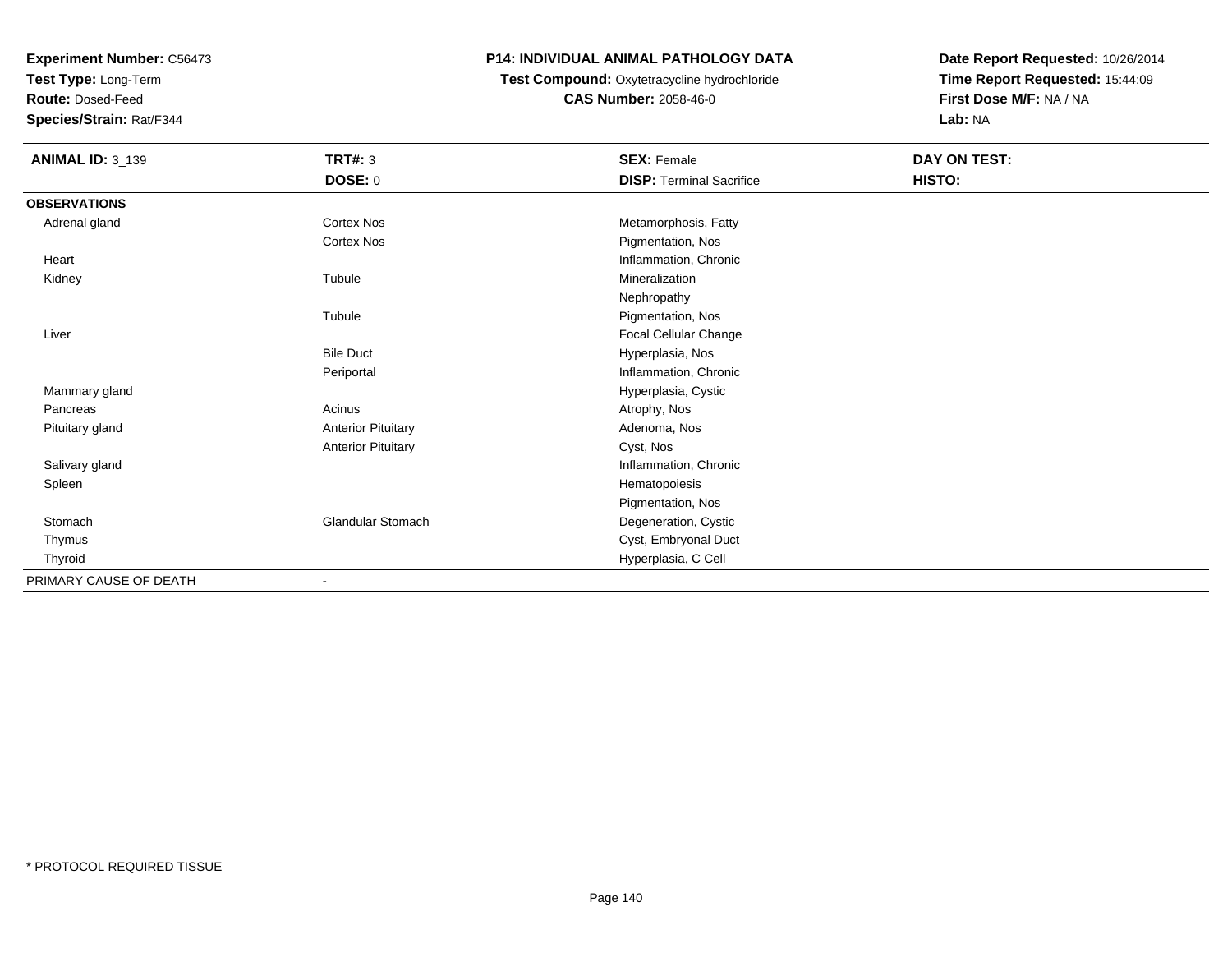**Test Type:** Long-Term

**Route:** Dosed-Feed

**Species/Strain:** Rat/F344

# **P14: INDIVIDUAL ANIMAL PATHOLOGY DATA**

 **Test Compound:** Oxytetracycline hydrochloride**CAS Number:** 2058-46-0

| <b>ANIMAL ID: 3_139</b> | <b>TRT#: 3</b>            | <b>SEX: Female</b>              | DAY ON TEST: |  |
|-------------------------|---------------------------|---------------------------------|--------------|--|
|                         | <b>DOSE: 0</b>            | <b>DISP: Terminal Sacrifice</b> | HISTO:       |  |
| <b>OBSERVATIONS</b>     |                           |                                 |              |  |
| Adrenal gland           | Cortex Nos                | Metamorphosis, Fatty            |              |  |
|                         | Cortex Nos                | Pigmentation, Nos               |              |  |
| Heart                   |                           | Inflammation, Chronic           |              |  |
| Kidney                  | Tubule                    | Mineralization                  |              |  |
|                         |                           | Nephropathy                     |              |  |
|                         | Tubule                    | Pigmentation, Nos               |              |  |
| Liver                   |                           | Focal Cellular Change           |              |  |
|                         | <b>Bile Duct</b>          | Hyperplasia, Nos                |              |  |
|                         | Periportal                | Inflammation, Chronic           |              |  |
| Mammary gland           |                           | Hyperplasia, Cystic             |              |  |
| Pancreas                | Acinus                    | Atrophy, Nos                    |              |  |
| Pituitary gland         | <b>Anterior Pituitary</b> | Adenoma, Nos                    |              |  |
|                         | <b>Anterior Pituitary</b> | Cyst, Nos                       |              |  |
| Salivary gland          |                           | Inflammation, Chronic           |              |  |
| Spleen                  |                           | Hematopoiesis                   |              |  |
|                         |                           | Pigmentation, Nos               |              |  |
| Stomach                 | Glandular Stomach         | Degeneration, Cystic            |              |  |
| Thymus                  |                           | Cyst, Embryonal Duct            |              |  |
| Thyroid                 |                           | Hyperplasia, C Cell             |              |  |
| PRIMARY CAUSE OF DEATH  | $\overline{\phantom{a}}$  |                                 |              |  |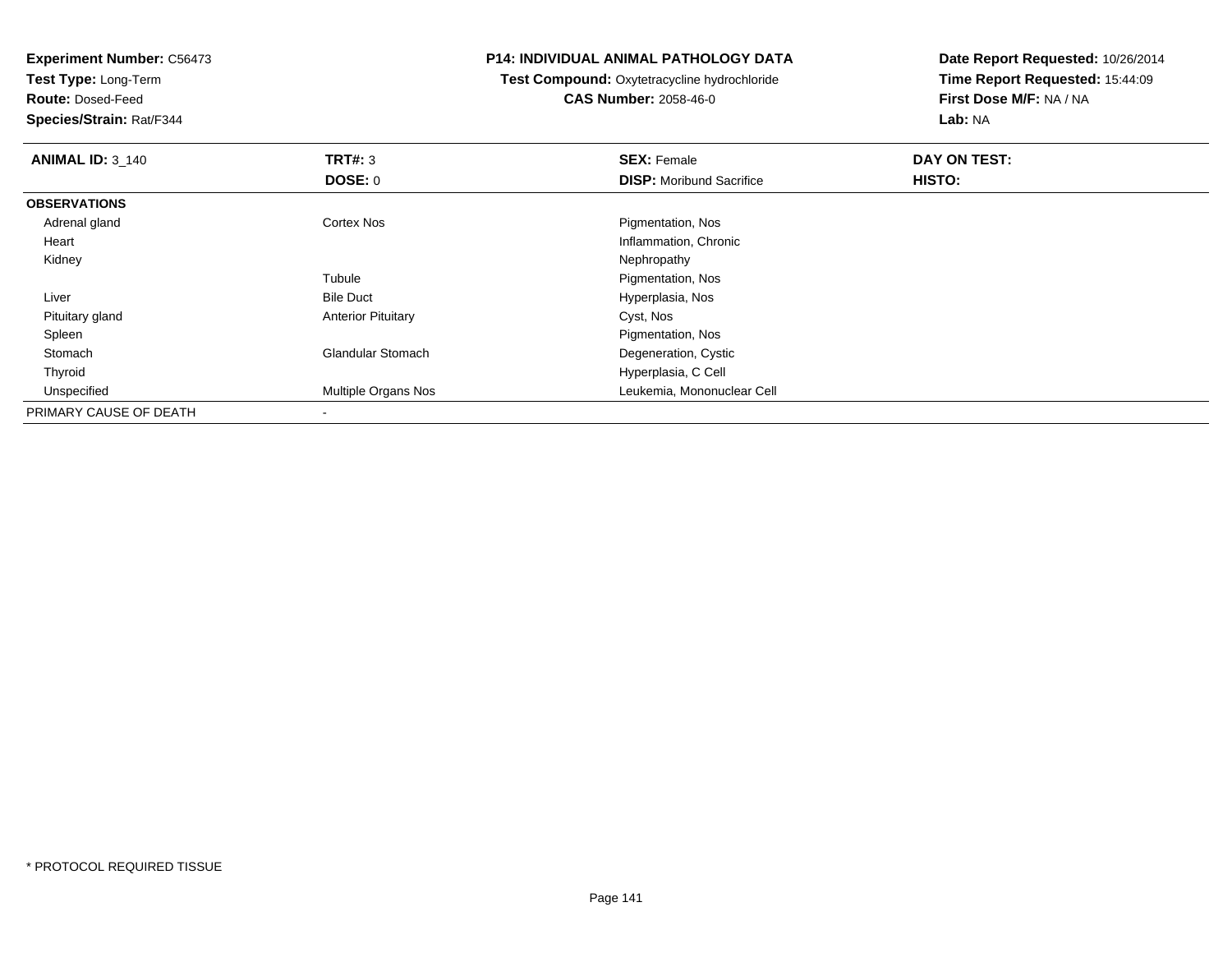**Experiment Number:** C56473**Test Type:** Long-Term**Route:** Dosed-Feed **Species/Strain:** Rat/F344**P14: INDIVIDUAL ANIMAL PATHOLOGY DATATest Compound:** Oxytetracycline hydrochloride**CAS Number:** 2058-46-0**Date Report Requested:** 10/26/2014**Time Report Requested:** 15:44:09**First Dose M/F:** NA / NA**Lab:** NA**ANIMAL ID: 3 140 C SEX:** Female **DAY ON TEST: DAY ON TEST: DOSE:** 0**DISP:** Moribund Sacrifice **HISTO: OBSERVATIONS** Adrenal glandCortex Nos **Pigmentation**, Nos Heart Inflammation, Chronic Kidneyy the control of the control of the control of the control of the control of the control of the control of the control of the control of the control of the control of the control of the control of the control of the contro TubuleTubule The Contract of the Pigmentation, Nos<br>
Bile Duct The Contract of the Pigmentation, Nos LiverHyperplasia, Nos Pituitary glandAnterior Pituitary **Cyst, Nos**  SpleenPigmentation, Nos<br>
Glandular Stomach (Cystally and Chemical Degeneration, Cystally and Chemical Stomach (Cystally and Chemical S StomachDegeneration, Cystic Thyroid Hyperplasia, C Cell UnspecifiedLeukemia, Mononuclear Cell PRIMARY CAUSE OF DEATH-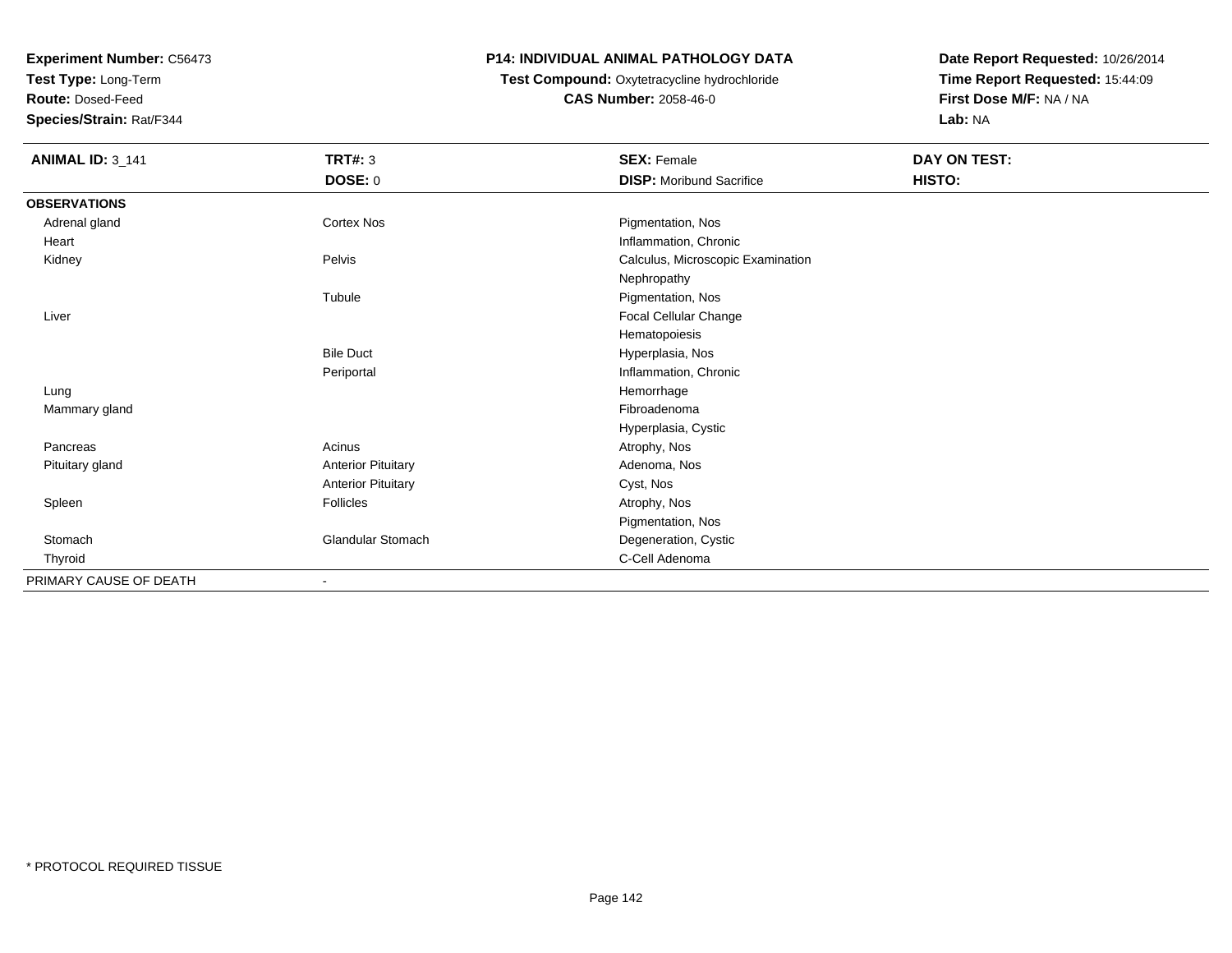**Test Type:** Long-Term

**Route:** Dosed-Feed

**Species/Strain:** Rat/F344

## **P14: INDIVIDUAL ANIMAL PATHOLOGY DATA**

 **Test Compound:** Oxytetracycline hydrochloride**CAS Number:** 2058-46-0

| <b>ANIMAL ID: 3_141</b> | <b>TRT#: 3</b>            | <b>SEX: Female</b>                | DAY ON TEST: |  |
|-------------------------|---------------------------|-----------------------------------|--------------|--|
|                         | <b>DOSE: 0</b>            | <b>DISP:</b> Moribund Sacrifice   | HISTO:       |  |
| <b>OBSERVATIONS</b>     |                           |                                   |              |  |
| Adrenal gland           | Cortex Nos                | Pigmentation, Nos                 |              |  |
| Heart                   |                           | Inflammation, Chronic             |              |  |
| Kidney                  | Pelvis                    | Calculus, Microscopic Examination |              |  |
|                         |                           | Nephropathy                       |              |  |
|                         | Tubule                    | Pigmentation, Nos                 |              |  |
| Liver                   |                           | Focal Cellular Change             |              |  |
|                         |                           | Hematopoiesis                     |              |  |
|                         | <b>Bile Duct</b>          | Hyperplasia, Nos                  |              |  |
|                         | Periportal                | Inflammation, Chronic             |              |  |
| Lung                    |                           | Hemorrhage                        |              |  |
| Mammary gland           |                           | Fibroadenoma                      |              |  |
|                         |                           | Hyperplasia, Cystic               |              |  |
| Pancreas                | Acinus                    | Atrophy, Nos                      |              |  |
| Pituitary gland         | <b>Anterior Pituitary</b> | Adenoma, Nos                      |              |  |
|                         | <b>Anterior Pituitary</b> | Cyst, Nos                         |              |  |
| Spleen                  | Follicles                 | Atrophy, Nos                      |              |  |
|                         |                           | Pigmentation, Nos                 |              |  |
| Stomach                 | <b>Glandular Stomach</b>  | Degeneration, Cystic              |              |  |
| Thyroid                 |                           | C-Cell Adenoma                    |              |  |
| PRIMARY CAUSE OF DEATH  | $\overline{\phantom{a}}$  |                                   |              |  |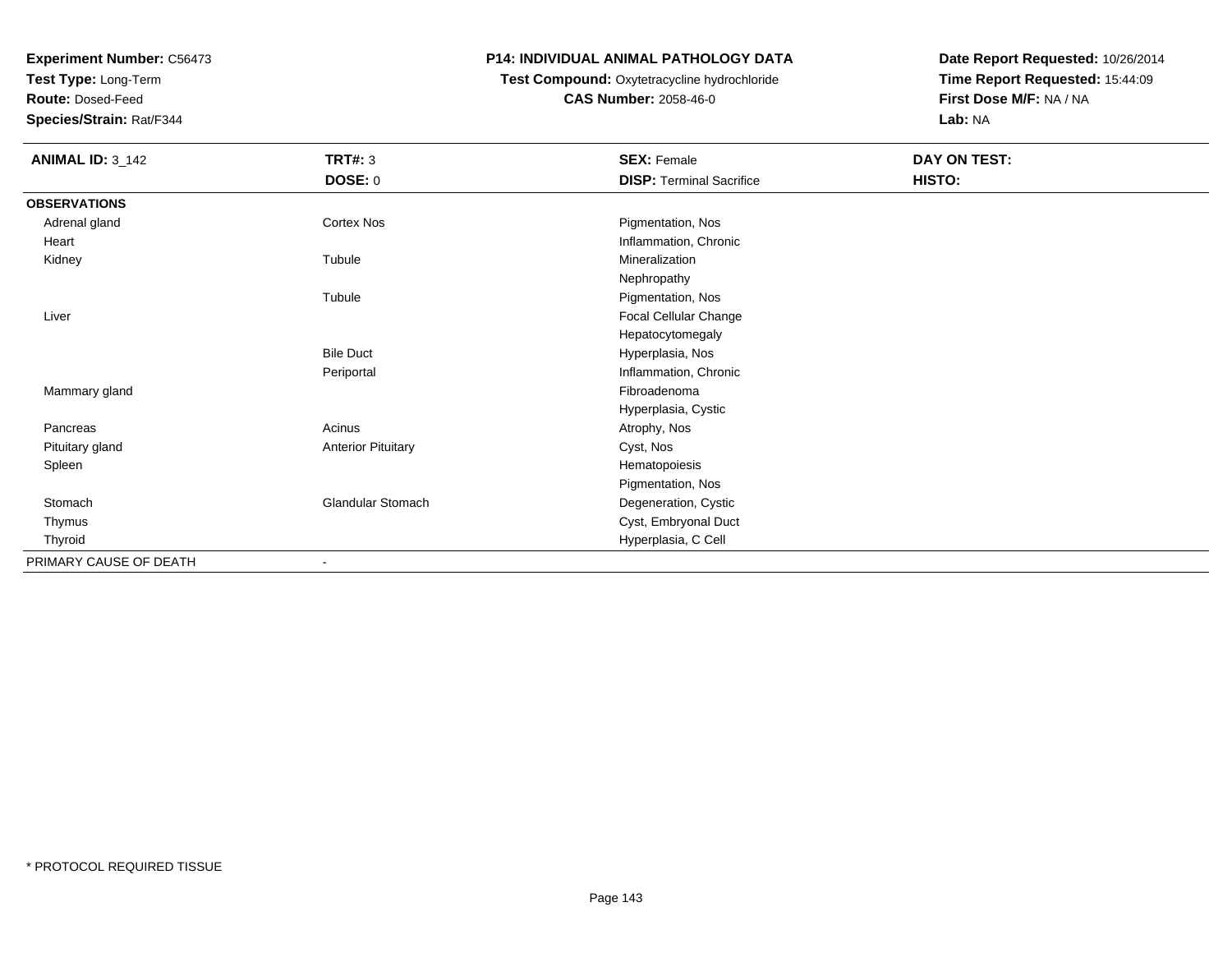**Test Type:** Long-Term

**Route:** Dosed-Feed

**Species/Strain:** Rat/F344

## **P14: INDIVIDUAL ANIMAL PATHOLOGY DATA**

# **Test Compound:** Oxytetracycline hydrochloride**CAS Number:** 2058-46-0

| <b>ANIMAL ID: 3_142</b> | <b>TRT#: 3</b>            | <b>SEX: Female</b>              | DAY ON TEST: |  |
|-------------------------|---------------------------|---------------------------------|--------------|--|
|                         | <b>DOSE: 0</b>            | <b>DISP: Terminal Sacrifice</b> | HISTO:       |  |
| <b>OBSERVATIONS</b>     |                           |                                 |              |  |
| Adrenal gland           | Cortex Nos                | Pigmentation, Nos               |              |  |
| Heart                   |                           | Inflammation, Chronic           |              |  |
| Kidney                  | Tubule                    | Mineralization                  |              |  |
|                         |                           | Nephropathy                     |              |  |
|                         | Tubule                    | Pigmentation, Nos               |              |  |
| Liver                   |                           | Focal Cellular Change           |              |  |
|                         |                           | Hepatocytomegaly                |              |  |
|                         | <b>Bile Duct</b>          | Hyperplasia, Nos                |              |  |
|                         | Periportal                | Inflammation, Chronic           |              |  |
| Mammary gland           |                           | Fibroadenoma                    |              |  |
|                         |                           | Hyperplasia, Cystic             |              |  |
| Pancreas                | Acinus                    | Atrophy, Nos                    |              |  |
| Pituitary gland         | <b>Anterior Pituitary</b> | Cyst, Nos                       |              |  |
| Spleen                  |                           | Hematopoiesis                   |              |  |
|                         |                           | Pigmentation, Nos               |              |  |
| Stomach                 | Glandular Stomach         | Degeneration, Cystic            |              |  |
| Thymus                  |                           | Cyst, Embryonal Duct            |              |  |
| Thyroid                 |                           | Hyperplasia, C Cell             |              |  |
| PRIMARY CAUSE OF DEATH  |                           |                                 |              |  |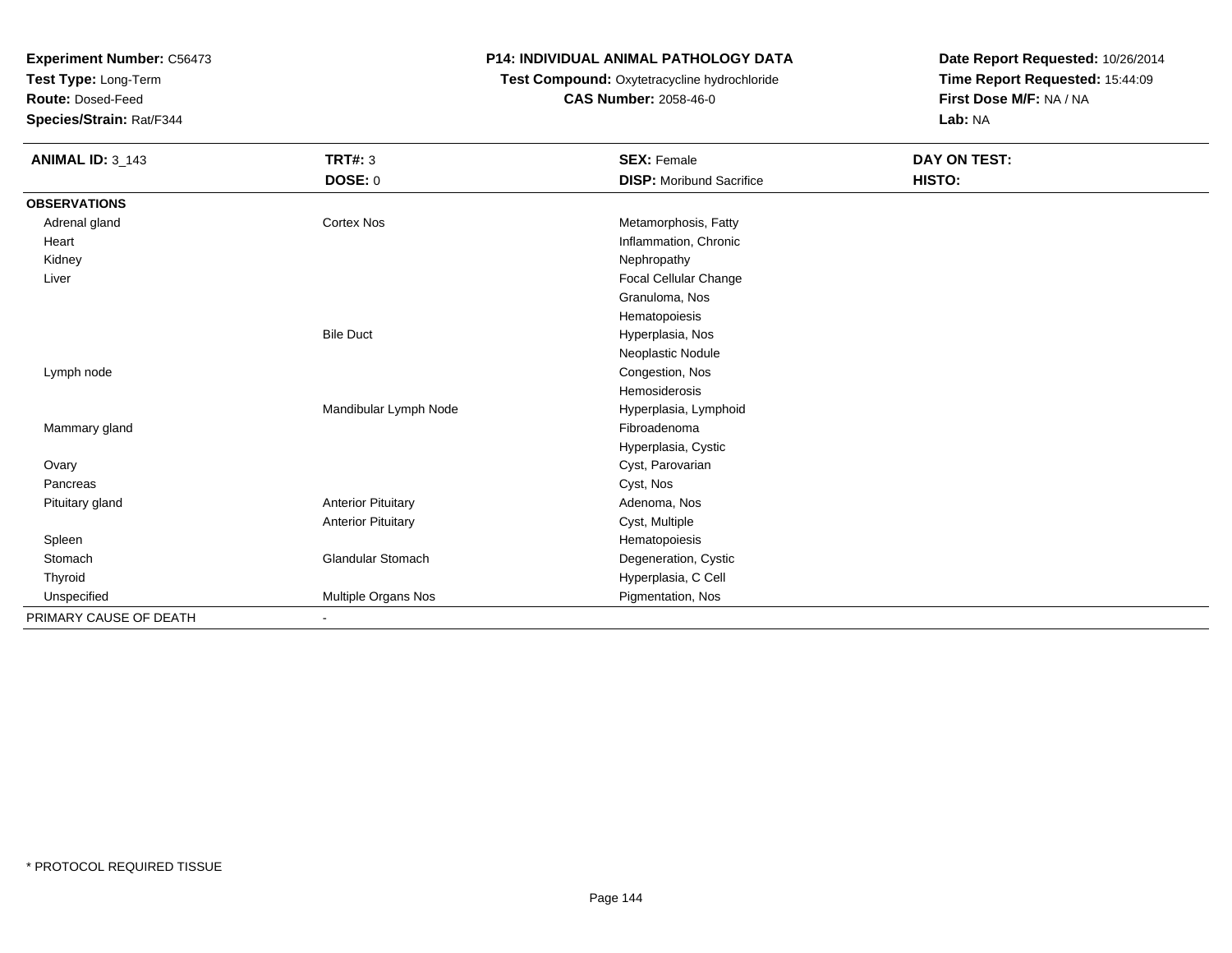**Test Type:** Long-Term

**Route:** Dosed-Feed

**Species/Strain:** Rat/F344

## **P14: INDIVIDUAL ANIMAL PATHOLOGY DATA**

# **Test Compound:** Oxytetracycline hydrochloride**CAS Number:** 2058-46-0

| <b>ANIMAL ID: 3_143</b> | <b>TRT#: 3</b>            | <b>SEX: Female</b>              | DAY ON TEST: |
|-------------------------|---------------------------|---------------------------------|--------------|
|                         | DOSE: 0                   | <b>DISP:</b> Moribund Sacrifice | HISTO:       |
| <b>OBSERVATIONS</b>     |                           |                                 |              |
| Adrenal gland           | Cortex Nos                | Metamorphosis, Fatty            |              |
| Heart                   |                           | Inflammation, Chronic           |              |
| Kidney                  |                           | Nephropathy                     |              |
| Liver                   |                           | Focal Cellular Change           |              |
|                         |                           | Granuloma, Nos                  |              |
|                         |                           | Hematopoiesis                   |              |
|                         | <b>Bile Duct</b>          | Hyperplasia, Nos                |              |
|                         |                           | Neoplastic Nodule               |              |
| Lymph node              |                           | Congestion, Nos                 |              |
|                         |                           | Hemosiderosis                   |              |
|                         | Mandibular Lymph Node     | Hyperplasia, Lymphoid           |              |
| Mammary gland           |                           | Fibroadenoma                    |              |
|                         |                           | Hyperplasia, Cystic             |              |
| Ovary                   |                           | Cyst, Parovarian                |              |
| Pancreas                |                           | Cyst, Nos                       |              |
| Pituitary gland         | <b>Anterior Pituitary</b> | Adenoma, Nos                    |              |
|                         | <b>Anterior Pituitary</b> | Cyst, Multiple                  |              |
| Spleen                  |                           | Hematopoiesis                   |              |
| Stomach                 | <b>Glandular Stomach</b>  | Degeneration, Cystic            |              |
| Thyroid                 |                           | Hyperplasia, C Cell             |              |
| Unspecified             | Multiple Organs Nos       | Pigmentation, Nos               |              |
| PRIMARY CAUSE OF DEATH  | $\blacksquare$            |                                 |              |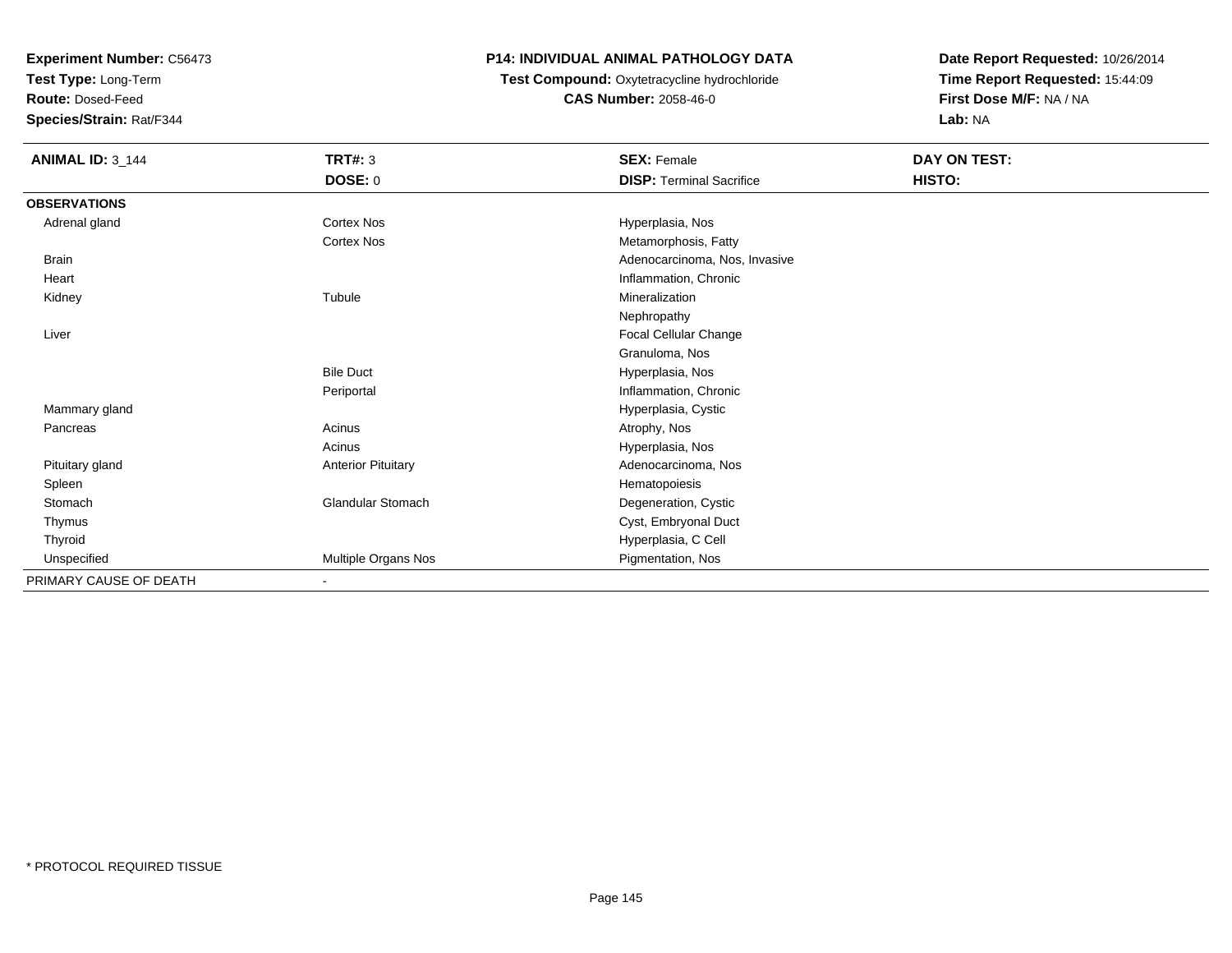**Test Type:** Long-Term

**Route:** Dosed-Feed

**Species/Strain:** Rat/F344

## **P14: INDIVIDUAL ANIMAL PATHOLOGY DATA**

 **Test Compound:** Oxytetracycline hydrochloride**CAS Number:** 2058-46-0

| <b>ANIMAL ID: 3_144</b> | <b>TRT#: 3</b>            | <b>SEX: Female</b>              | DAY ON TEST: |  |
|-------------------------|---------------------------|---------------------------------|--------------|--|
|                         | <b>DOSE: 0</b>            | <b>DISP: Terminal Sacrifice</b> | HISTO:       |  |
| <b>OBSERVATIONS</b>     |                           |                                 |              |  |
| Adrenal gland           | Cortex Nos                | Hyperplasia, Nos                |              |  |
|                         | Cortex Nos                | Metamorphosis, Fatty            |              |  |
| <b>Brain</b>            |                           | Adenocarcinoma, Nos, Invasive   |              |  |
| Heart                   |                           | Inflammation, Chronic           |              |  |
| Kidney                  | Tubule                    | Mineralization                  |              |  |
|                         |                           | Nephropathy                     |              |  |
| Liver                   |                           | Focal Cellular Change           |              |  |
|                         |                           | Granuloma, Nos                  |              |  |
|                         | <b>Bile Duct</b>          | Hyperplasia, Nos                |              |  |
|                         | Periportal                | Inflammation, Chronic           |              |  |
| Mammary gland           |                           | Hyperplasia, Cystic             |              |  |
| Pancreas                | Acinus                    | Atrophy, Nos                    |              |  |
|                         | Acinus                    | Hyperplasia, Nos                |              |  |
| Pituitary gland         | <b>Anterior Pituitary</b> | Adenocarcinoma, Nos             |              |  |
| Spleen                  |                           | Hematopoiesis                   |              |  |
| Stomach                 | Glandular Stomach         | Degeneration, Cystic            |              |  |
| Thymus                  |                           | Cyst, Embryonal Duct            |              |  |
| Thyroid                 |                           | Hyperplasia, C Cell             |              |  |
| Unspecified             | Multiple Organs Nos       | Pigmentation, Nos               |              |  |
| PRIMARY CAUSE OF DEATH  | ٠                         |                                 |              |  |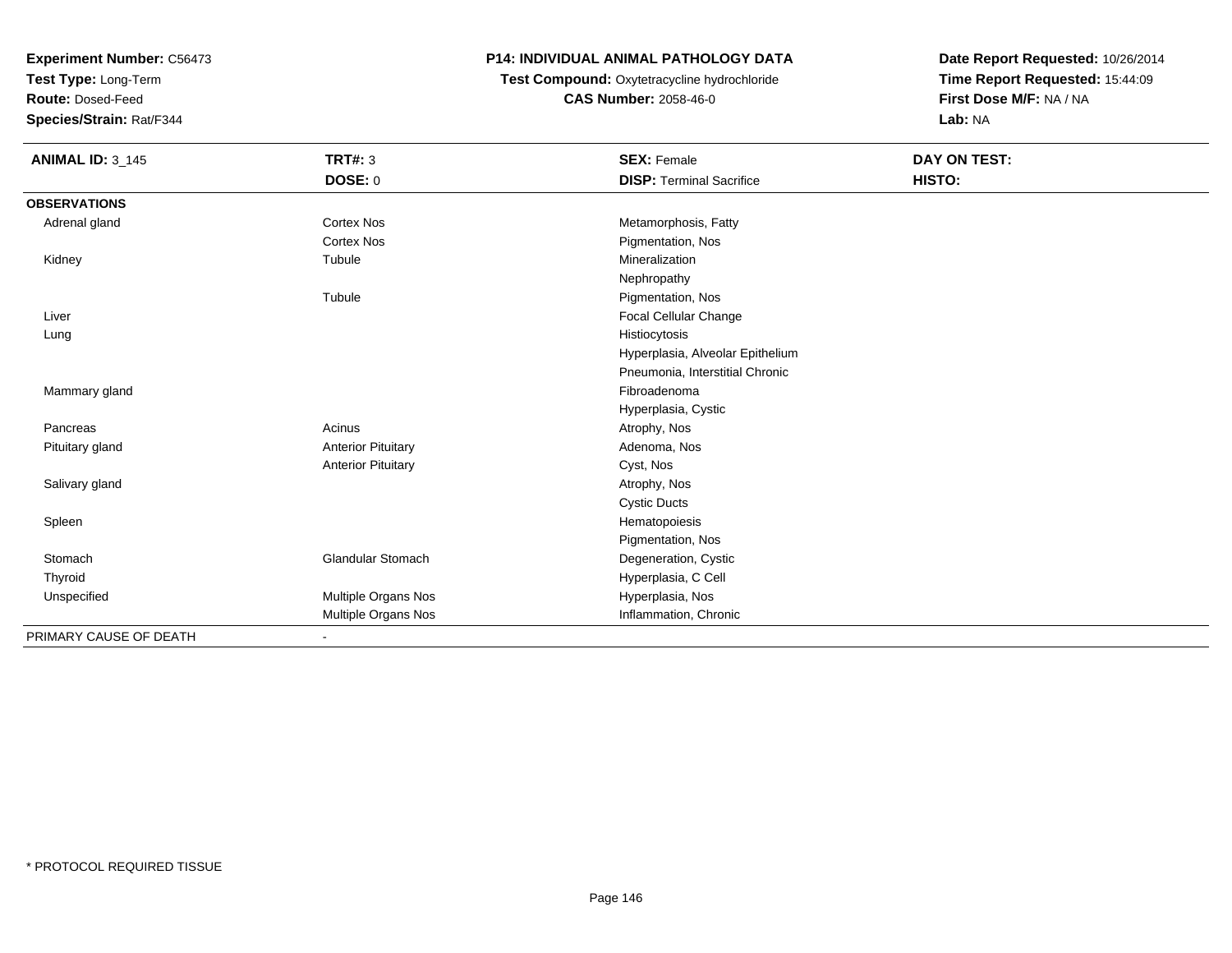**Test Type:** Long-Term

**Route:** Dosed-Feed

**Species/Strain:** Rat/F344

## **P14: INDIVIDUAL ANIMAL PATHOLOGY DATA**

 **Test Compound:** Oxytetracycline hydrochloride**CAS Number:** 2058-46-0

| <b>ANIMAL ID: 3_145</b> | <b>TRT#: 3</b>            | <b>SEX: Female</b>               | <b>DAY ON TEST:</b> |
|-------------------------|---------------------------|----------------------------------|---------------------|
|                         | DOSE: 0                   | <b>DISP: Terminal Sacrifice</b>  | HISTO:              |
| <b>OBSERVATIONS</b>     |                           |                                  |                     |
| Adrenal gland           | <b>Cortex Nos</b>         | Metamorphosis, Fatty             |                     |
|                         | <b>Cortex Nos</b>         | Pigmentation, Nos                |                     |
| Kidney                  | Tubule                    | Mineralization                   |                     |
|                         |                           | Nephropathy                      |                     |
|                         | Tubule                    | Pigmentation, Nos                |                     |
| Liver                   |                           | <b>Focal Cellular Change</b>     |                     |
| Lung                    |                           | Histiocytosis                    |                     |
|                         |                           | Hyperplasia, Alveolar Epithelium |                     |
|                         |                           | Pneumonia, Interstitial Chronic  |                     |
| Mammary gland           |                           | Fibroadenoma                     |                     |
|                         |                           | Hyperplasia, Cystic              |                     |
| Pancreas                | Acinus                    | Atrophy, Nos                     |                     |
| Pituitary gland         | <b>Anterior Pituitary</b> | Adenoma, Nos                     |                     |
|                         | <b>Anterior Pituitary</b> | Cyst, Nos                        |                     |
| Salivary gland          |                           | Atrophy, Nos                     |                     |
|                         |                           | <b>Cystic Ducts</b>              |                     |
| Spleen                  |                           | Hematopoiesis                    |                     |
|                         |                           | Pigmentation, Nos                |                     |
| Stomach                 | <b>Glandular Stomach</b>  | Degeneration, Cystic             |                     |
| Thyroid                 |                           | Hyperplasia, C Cell              |                     |
| Unspecified             | Multiple Organs Nos       | Hyperplasia, Nos                 |                     |
|                         | Multiple Organs Nos       | Inflammation, Chronic            |                     |
| PRIMARY CAUSE OF DEATH  |                           |                                  |                     |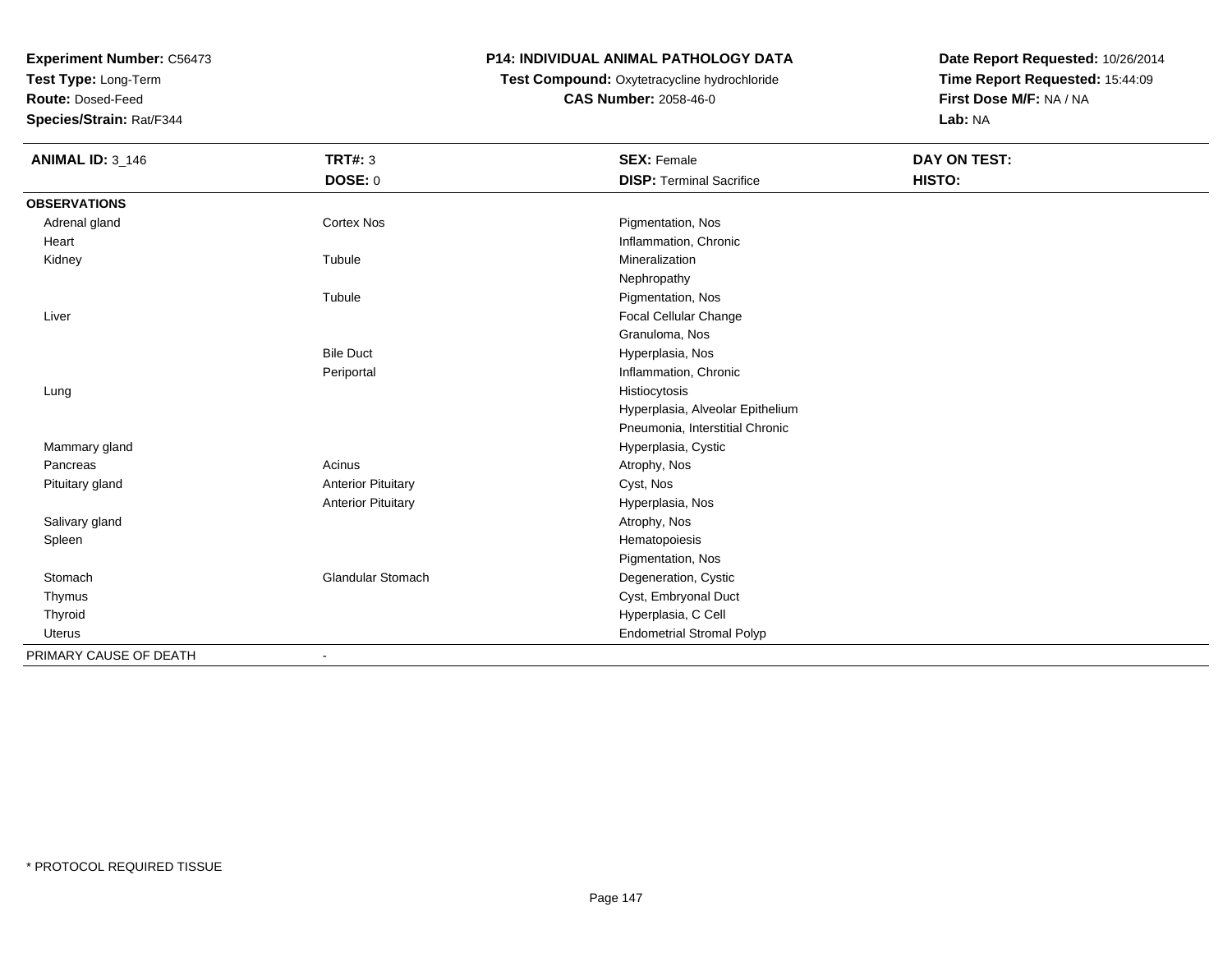**Test Type:** Long-Term

**Route:** Dosed-Feed

**Species/Strain:** Rat/F344

## **P14: INDIVIDUAL ANIMAL PATHOLOGY DATA**

# **Test Compound:** Oxytetracycline hydrochloride**CAS Number:** 2058-46-0

| <b>ANIMAL ID: 3_146</b> | <b>TRT#: 3</b>            | <b>SEX: Female</b>               | <b>DAY ON TEST:</b> |  |
|-------------------------|---------------------------|----------------------------------|---------------------|--|
|                         | DOSE: 0                   | <b>DISP: Terminal Sacrifice</b>  | HISTO:              |  |
| <b>OBSERVATIONS</b>     |                           |                                  |                     |  |
| Adrenal gland           | <b>Cortex Nos</b>         | Pigmentation, Nos                |                     |  |
| Heart                   |                           | Inflammation, Chronic            |                     |  |
| Kidney                  | Tubule                    | Mineralization                   |                     |  |
|                         |                           | Nephropathy                      |                     |  |
|                         | Tubule                    | Pigmentation, Nos                |                     |  |
| Liver                   |                           | <b>Focal Cellular Change</b>     |                     |  |
|                         |                           | Granuloma, Nos                   |                     |  |
|                         | <b>Bile Duct</b>          | Hyperplasia, Nos                 |                     |  |
|                         | Periportal                | Inflammation, Chronic            |                     |  |
| Lung                    |                           | Histiocytosis                    |                     |  |
|                         |                           | Hyperplasia, Alveolar Epithelium |                     |  |
|                         |                           | Pneumonia, Interstitial Chronic  |                     |  |
| Mammary gland           |                           | Hyperplasia, Cystic              |                     |  |
| Pancreas                | Acinus                    | Atrophy, Nos                     |                     |  |
| Pituitary gland         | <b>Anterior Pituitary</b> | Cyst, Nos                        |                     |  |
|                         | <b>Anterior Pituitary</b> | Hyperplasia, Nos                 |                     |  |
| Salivary gland          |                           | Atrophy, Nos                     |                     |  |
| Spleen                  |                           | Hematopoiesis                    |                     |  |
|                         |                           | Pigmentation, Nos                |                     |  |
| Stomach                 | Glandular Stomach         | Degeneration, Cystic             |                     |  |
| Thymus                  |                           | Cyst, Embryonal Duct             |                     |  |
| Thyroid                 |                           | Hyperplasia, C Cell              |                     |  |
| <b>Uterus</b>           |                           | <b>Endometrial Stromal Polyp</b> |                     |  |
| PRIMARY CAUSE OF DEATH  |                           |                                  |                     |  |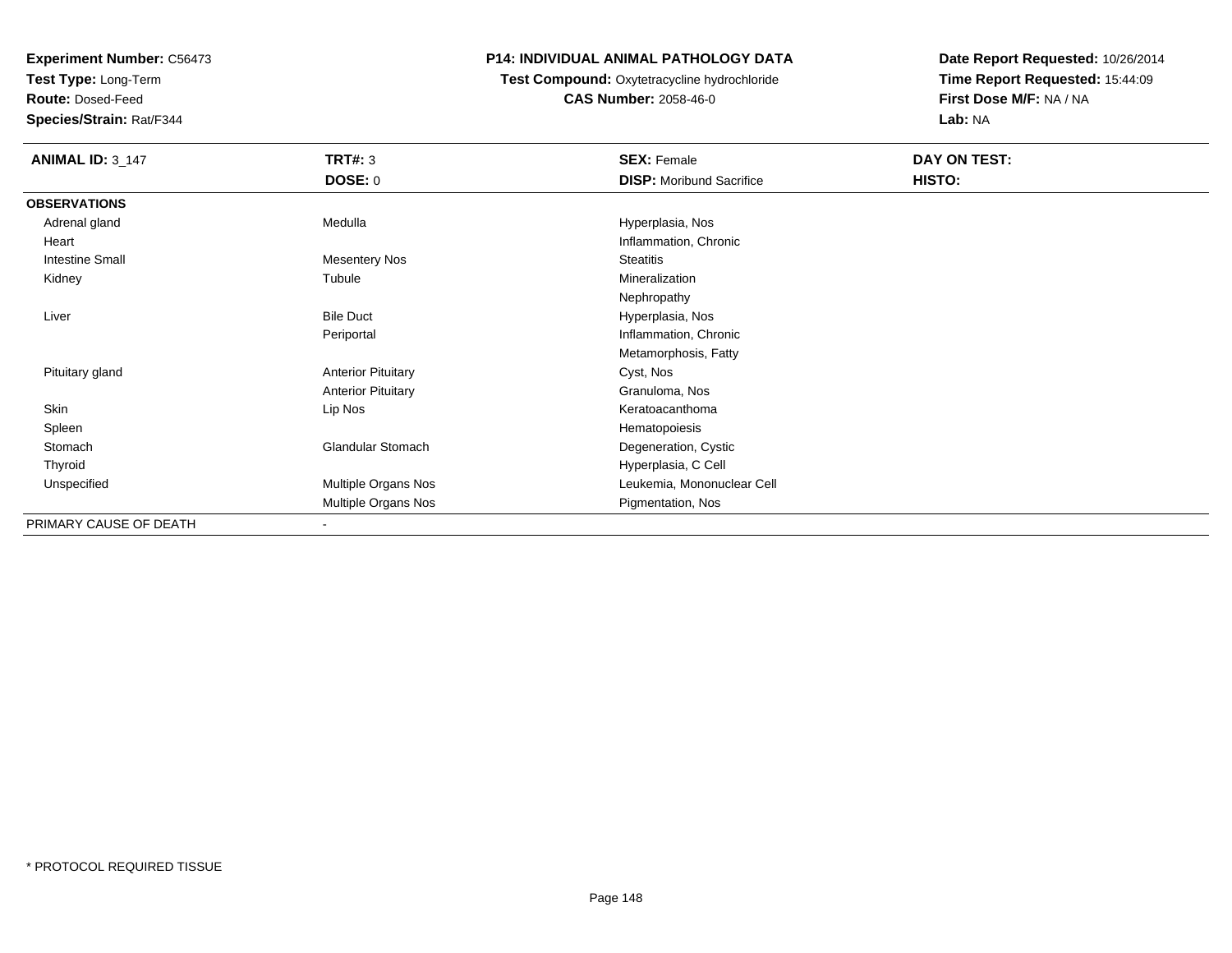**Test Type:** Long-Term

**Route:** Dosed-Feed

**Species/Strain:** Rat/F344

### **P14: INDIVIDUAL ANIMAL PATHOLOGY DATA**

 **Test Compound:** Oxytetracycline hydrochloride**CAS Number:** 2058-46-0

| <b>ANIMAL ID: 3_147</b> | <b>TRT#: 3</b>            | <b>SEX: Female</b>              | DAY ON TEST: |  |
|-------------------------|---------------------------|---------------------------------|--------------|--|
|                         | <b>DOSE: 0</b>            | <b>DISP:</b> Moribund Sacrifice | HISTO:       |  |
| <b>OBSERVATIONS</b>     |                           |                                 |              |  |
| Adrenal gland           | Medulla                   | Hyperplasia, Nos                |              |  |
| Heart                   |                           | Inflammation, Chronic           |              |  |
| Intestine Small         | <b>Mesentery Nos</b>      | <b>Steatitis</b>                |              |  |
| Kidney                  | Tubule                    | Mineralization                  |              |  |
|                         |                           | Nephropathy                     |              |  |
| Liver                   | <b>Bile Duct</b>          | Hyperplasia, Nos                |              |  |
|                         | Periportal                | Inflammation, Chronic           |              |  |
|                         |                           | Metamorphosis, Fatty            |              |  |
| Pituitary gland         | <b>Anterior Pituitary</b> | Cyst, Nos                       |              |  |
|                         | <b>Anterior Pituitary</b> | Granuloma, Nos                  |              |  |
| Skin                    | Lip Nos                   | Keratoacanthoma                 |              |  |
| Spleen                  |                           | Hematopoiesis                   |              |  |
| Stomach                 | <b>Glandular Stomach</b>  | Degeneration, Cystic            |              |  |
| Thyroid                 |                           | Hyperplasia, C Cell             |              |  |
| Unspecified             | Multiple Organs Nos       | Leukemia, Mononuclear Cell      |              |  |
|                         | Multiple Organs Nos       | Pigmentation, Nos               |              |  |
| PRIMARY CAUSE OF DEATH  | $\blacksquare$            |                                 |              |  |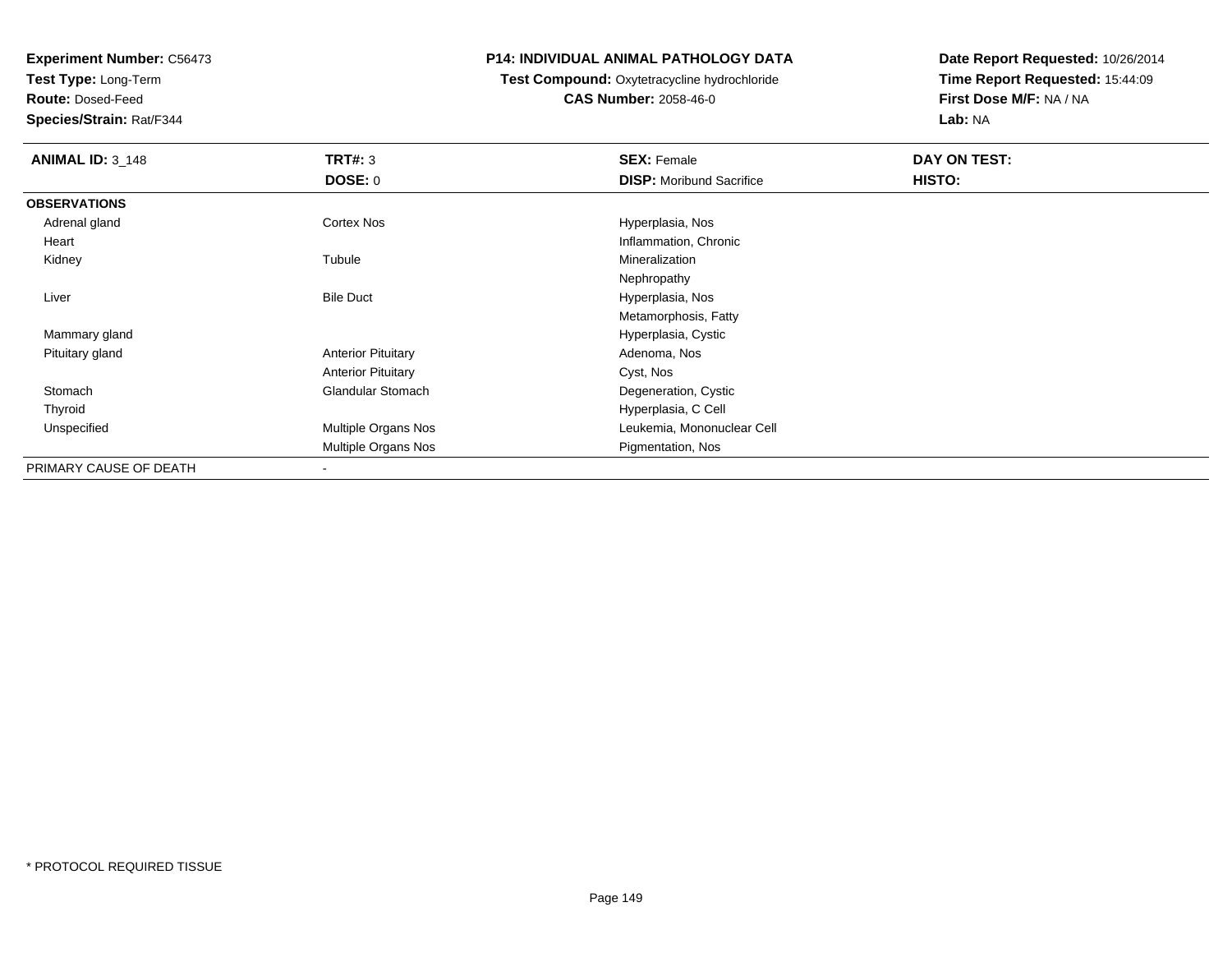**Test Type:** Long-Term

**Route:** Dosed-Feed

**Species/Strain:** Rat/F344

#### **P14: INDIVIDUAL ANIMAL PATHOLOGY DATA**

**Test Compound:** Oxytetracycline hydrochloride**CAS Number:** 2058-46-0

| <b>ANIMAL ID: 3_148</b> | TRT#: 3                    | <b>SEX: Female</b>              | DAY ON TEST: |  |
|-------------------------|----------------------------|---------------------------------|--------------|--|
|                         | DOSE: 0                    | <b>DISP:</b> Moribund Sacrifice | HISTO:       |  |
| <b>OBSERVATIONS</b>     |                            |                                 |              |  |
| Adrenal gland           | <b>Cortex Nos</b>          | Hyperplasia, Nos                |              |  |
| Heart                   |                            | Inflammation, Chronic           |              |  |
| Kidney                  | Tubule                     | Mineralization                  |              |  |
|                         |                            | Nephropathy                     |              |  |
| Liver                   | <b>Bile Duct</b>           | Hyperplasia, Nos                |              |  |
|                         |                            | Metamorphosis, Fatty            |              |  |
| Mammary gland           |                            | Hyperplasia, Cystic             |              |  |
| Pituitary gland         | <b>Anterior Pituitary</b>  | Adenoma, Nos                    |              |  |
|                         | <b>Anterior Pituitary</b>  | Cyst, Nos                       |              |  |
| Stomach                 | <b>Glandular Stomach</b>   | Degeneration, Cystic            |              |  |
| Thyroid                 |                            | Hyperplasia, C Cell             |              |  |
| Unspecified             | Multiple Organs Nos        | Leukemia, Mononuclear Cell      |              |  |
|                         | <b>Multiple Organs Nos</b> | Pigmentation, Nos               |              |  |
| PRIMARY CAUSE OF DEATH  |                            |                                 |              |  |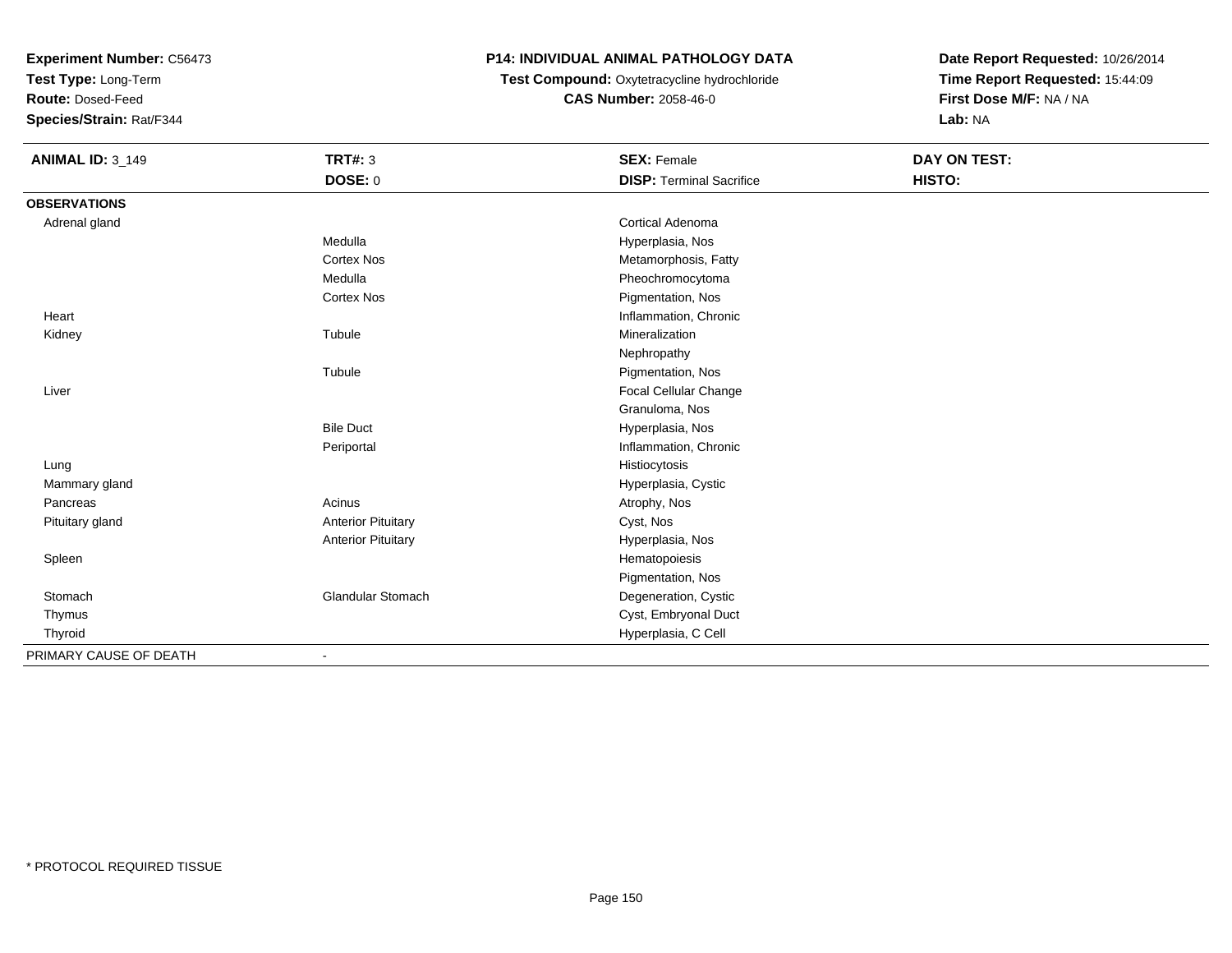**Test Type:** Long-Term

**Route:** Dosed-Feed

**Species/Strain:** Rat/F344

# **P14: INDIVIDUAL ANIMAL PATHOLOGY DATA**

**Test Compound:** Oxytetracycline hydrochloride**CAS Number:** 2058-46-0

| <b>ANIMAL ID: 3_149</b> | <b>TRT#: 3</b>            | <b>SEX: Female</b>              | <b>DAY ON TEST:</b> |  |
|-------------------------|---------------------------|---------------------------------|---------------------|--|
|                         | DOSE: 0                   | <b>DISP: Terminal Sacrifice</b> | HISTO:              |  |
| <b>OBSERVATIONS</b>     |                           |                                 |                     |  |
| Adrenal gland           |                           | <b>Cortical Adenoma</b>         |                     |  |
|                         | Medulla                   | Hyperplasia, Nos                |                     |  |
|                         | <b>Cortex Nos</b>         | Metamorphosis, Fatty            |                     |  |
|                         | Medulla                   | Pheochromocytoma                |                     |  |
|                         | <b>Cortex Nos</b>         | Pigmentation, Nos               |                     |  |
| Heart                   |                           | Inflammation, Chronic           |                     |  |
| Kidney                  | Tubule                    | Mineralization                  |                     |  |
|                         |                           | Nephropathy                     |                     |  |
|                         | Tubule                    | Pigmentation, Nos               |                     |  |
| Liver                   |                           | Focal Cellular Change           |                     |  |
|                         |                           | Granuloma, Nos                  |                     |  |
|                         | <b>Bile Duct</b>          | Hyperplasia, Nos                |                     |  |
|                         | Periportal                | Inflammation, Chronic           |                     |  |
| Lung                    |                           | Histiocytosis                   |                     |  |
| Mammary gland           |                           | Hyperplasia, Cystic             |                     |  |
| Pancreas                | Acinus                    | Atrophy, Nos                    |                     |  |
| Pituitary gland         | <b>Anterior Pituitary</b> | Cyst, Nos                       |                     |  |
|                         | <b>Anterior Pituitary</b> | Hyperplasia, Nos                |                     |  |
| Spleen                  |                           | Hematopoiesis                   |                     |  |
|                         |                           | Pigmentation, Nos               |                     |  |
| Stomach                 | Glandular Stomach         | Degeneration, Cystic            |                     |  |
| Thymus                  |                           | Cyst, Embryonal Duct            |                     |  |
| Thyroid                 |                           | Hyperplasia, C Cell             |                     |  |
| PRIMARY CAUSE OF DEATH  |                           |                                 |                     |  |